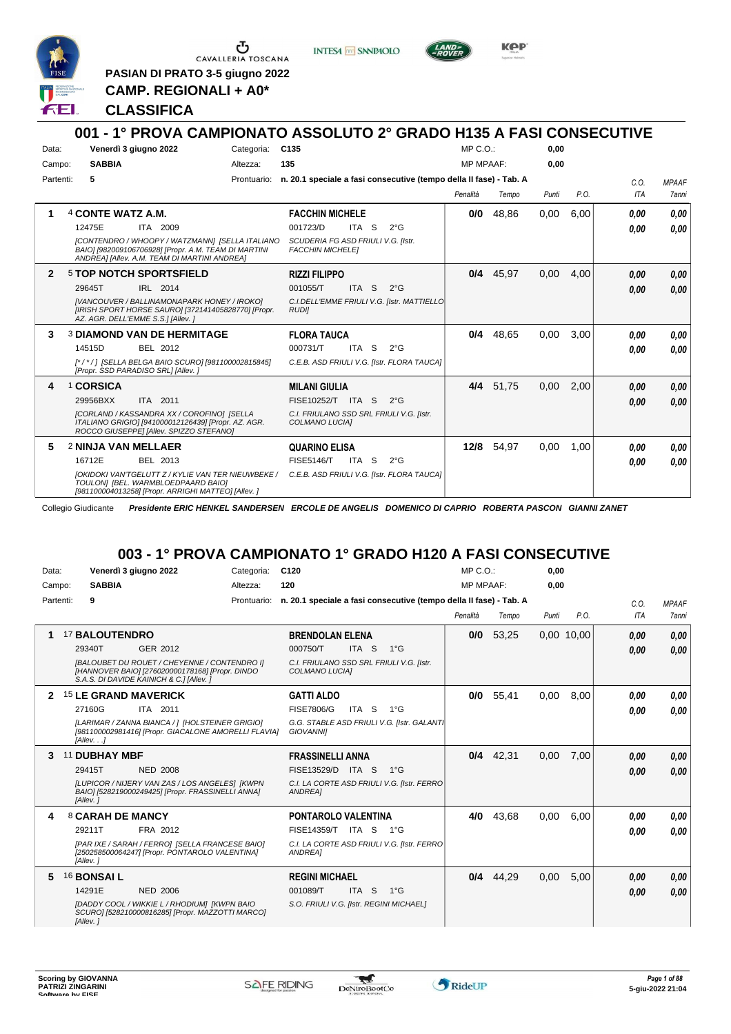

Ⴇ CAVALLERIA TOSCANA

**PASIAN DI PRATO 3-5 giugno 2022 CAMP. REGIONALI + A0\***

**INTESA** M SANPAOLO



KOP

#### **CLASSIFICA**

#### **001 - 1° PROVA CAMPIONATO ASSOLUTO 2° GRADO H135 A FASI CONSECUTIVE** Data: Venerdì 3 giugno 2022 Categoria: C135 Prontuario: **n. 20.1 speciale a fasi consecutive (tempo della II fase) - Tab. A** Campo: **SABBIA** Partenti: **5** Altezza: **135**  $MP C.$ MP MPAAF: **0,00 0,00** *Penalità Tempo Punti P.O. C.O. ITA MPAAF 7anni* **1** 4 **CONTE WATZ A.M.** ITA 2009 **FACCHIN MICHELE** *[CONTENDRO / WHOOPY / WATZMANN] [SELLA ITALIANO BAIO] [982009106706928] [Propr. A.M. TEAM DI MARTINI ANDREA] [Allev. A.M. TEAM DI MARTINI ANDREA] SCUDERIA FG ASD FRIULI V.G. [Istr. FACCHIN MICHELE]* ITA S 2°G **0/0** 48,86 0,00 6,00 *0,00 0,00 0,00* 12475E 001723/D *0,00* **2** 5 **TOP NOTCH SPORTSFIELD** IRL 2014 **RIZZI FILIPPO** *[VANCOUVER / BALLINAMONAPARK HONEY / IROKO] [IRISH SPORT HORSE SAURO] [372141405828770] [Propr. AZ. AGR. DELL'EMME S.S.] [Allev. ] C.I.DELL'EMME FRIULI V.G. [Istr. MATTIELLO RUDI]* ITA S 2°G **0/4** 45,97 0,00 4,00 *0,00 0,00 0,00* 29645T IRL 2014 001055/T ITA S 2°G <mark> 0,00 0,00</mark> **3** 3 **DIAMOND VAN DE HERMITAGE** BEL 2012 **FLORA TAUCA** *[\* / \* / ] [SELLA BELGA BAIO SCURO] [981100002815845] [Propr. SSD PARADISO SRL] [Allev. ] C.E.B. ASD FRIULI V.G. [Istr. FLORA TAUCA]* ITA S 2°G **0/4** 48,65 0,00 3,00 *0,00 0,00 0,00* 14515D BEL 2012 000731/T ITA S 2°G <mark> 0,00 0,00</mark> **4** 1 **CORSICA** ITA 2011 **MILANI GIULIA** *[CORLAND / KASSANDRA XX / COROFINO] [SELLA ITALIANO GRIGIO] [941000012126439] [Propr. AZ. AGR. ROCCO GIUSEPPE] [Allev. SPIZZO STEFANO] C.I. FRIULANO SSD SRL FRIULI V.G. [Istr. COLMANO LUCIA]* 29956BXX ITA 2011 FISE10252/T ITA S 2°G **0,00 0,00 4/4** 51,75 0,00 2,00 *0,00 0,00 0,00* **5** 2 **NINJA VAN MELLAER** BEL 2013 **QUARINO ELISA** *[OKIDOKI VAN'TGELUTT Z / KYLIE VAN TER NIEUWBEKE / C.E.B. ASD FRIULI V.G. [Istr. FLORA TAUCA] TOULON] [BEL. WARMBLOEDPAARD BAIO] [981100004013258] [Propr. ARRIGHI MATTEO] [Allev. ]* 16712E BEL 2013 FISE5146/T ITA S 2°G **0,00 0,00 12/8** 54,97 0,00 1,00 *0,00 0,00 0,00*

Collegio Giudicante *Presidente ERIC HENKEL SANDERSEN ERCOLE DE ANGELIS DOMENICO DI CAPRIO ROBERTA PASCON GIANNI ZANET*

### **003 - 1° PROVA CAMPIONATO 1° GRADO H120 A FASI CONSECUTIVE**

| Data:        |                                 | Venerdì 3 giugno 2022                                                                                                                      | Categoria:  | C120                                    |                  |                                                                    | MP C. O.         |       | 0,00  |            |            |              |
|--------------|---------------------------------|--------------------------------------------------------------------------------------------------------------------------------------------|-------------|-----------------------------------------|------------------|--------------------------------------------------------------------|------------------|-------|-------|------------|------------|--------------|
| Campo:       | <b>SABBIA</b>                   |                                                                                                                                            | Altezza:    | 120                                     |                  |                                                                    | <b>MP MPAAF:</b> |       | 0,00  |            |            |              |
| Partenti:    | 9                               |                                                                                                                                            | Prontuario: |                                         |                  | n. 20.1 speciale a fasi consecutive (tempo della II fase) - Tab. A |                  |       |       |            | C.0.       | <b>MPAAF</b> |
|              |                                 |                                                                                                                                            |             |                                         |                  |                                                                    | Penalità         | Tempo | Punti | P.O.       | <b>ITA</b> | <b>7anni</b> |
|              | <b>17 BALOUTENDRO</b>           |                                                                                                                                            |             | <b>BRENDOLAN ELENA</b>                  |                  |                                                                    | 0/0              | 53,25 |       | 0,00 10,00 | 0,00       | 0,00         |
|              | 29340T                          | GER 2012                                                                                                                                   |             | 000750/T                                | ITA <sub>S</sub> | $1^{\circ}G$                                                       |                  |       |       |            | 0.00       | 0,00         |
|              |                                 | [BALOUBET DU ROUET / CHEYENNE / CONTENDRO I]<br>[HANNOVER BAIO] [276020000178168] [Propr. DINDO<br>S.A.S. DI DAVIDE KAINICH & C.] [Allev.] |             | COLMANO LUCIAI                          |                  | C.I. FRIULANO SSD SRL FRIULI V.G. [Istr.                           |                  |       |       |            |            |              |
| $\mathbf{2}$ | <sup>15</sup> LE GRAND MAVERICK |                                                                                                                                            |             | <b>GATTI ALDO</b>                       |                  |                                                                    | 0/0              | 55,41 | 0.00  | 8.00       | 0.00       | 0.00         |
|              | 27160G                          | ITA 2011                                                                                                                                   |             | <b>FISE7806/G</b>                       | ITA S            | $1^{\circ}G$                                                       |                  |       |       |            | 0.00       | 0.00         |
|              | [Allev. .]                      | [LARIMAR / ZANNA BIANCA / 1 [HOLSTEINER GRIGIO]<br>[981100002981416] [Propr. GIACALONE AMORELLI FLAVIA]                                    |             | <b>GIOVANNII</b>                        |                  | G.G. STABLE ASD FRIULI V.G. [Istr. GALANT]                         |                  |       |       |            |            |              |
| 3            | 11 DUBHAY MBF                   |                                                                                                                                            |             | <b>FRASSINELLI ANNA</b>                 |                  |                                                                    | 0/4              | 42.31 | 0,00  | 7,00       | 0,00       | 0,00         |
|              | 29415T                          | <b>NED 2008</b>                                                                                                                            |             | FISE13529/D ITA S                       |                  | $1^{\circ}G$                                                       |                  |       |       |            | 0.00       | 0.00         |
|              | [Allev.]                        | [LUPICOR / NIJERY VAN ZAS / LOS ANGELES] [KWPN<br>BAIO] [528219000249425] [Propr. FRASSINELLI ANNA]                                        |             | ANDREA1                                 |                  | C.I. LA CORTE ASD FRIULI V.G. [Istr. FERRO                         |                  |       |       |            |            |              |
|              | 8 CARAH DE MANCY                |                                                                                                                                            |             | <b>PONTAROLO VALENTINA</b>              |                  |                                                                    | 4/0              | 43.68 | 0.00  | 6.00       | 0.00       | 0.00         |
|              | 29211T                          | FRA 2012                                                                                                                                   |             | FISE14359/T ITA S                       |                  | $1^{\circ}G$                                                       |                  |       |       |            | 0.00       | 0.00         |
|              | [Allev.]                        | [PAR IXE / SARAH / FERRO] [SELLA FRANCESE BAIO]<br>[250258500064247] [Propr. PONTAROLO VALENTINA]                                          |             | <b>ANDREA1</b>                          |                  | C.I. LA CORTE ASD FRIULI V.G. [Istr. FERRO]                        |                  |       |       |            |            |              |
| 5.           | 16 <b>BONSAI L</b>              |                                                                                                                                            |             | <b>REGINI MICHAEL</b>                   |                  |                                                                    | 0/4              | 44.29 | 0,00  | 5.00       | 0.00       | 0,00         |
|              | 14291E                          | <b>NED 2006</b>                                                                                                                            |             | 001089/T                                | ITA S            | $1^{\circ}G$                                                       |                  |       |       |            | 0.00       | 0,00         |
|              | [Allev.]                        | [DADDY COOL / WIKKIE L / RHODIUM] [KWPN BAIO<br>SCURO] [528210000816285] [Propr. MAZZOTTI MARCO]                                           |             | S.O. FRIULI V.G. [Istr. REGINI MICHAEL] |                  |                                                                    |                  |       |       |            |            |              |

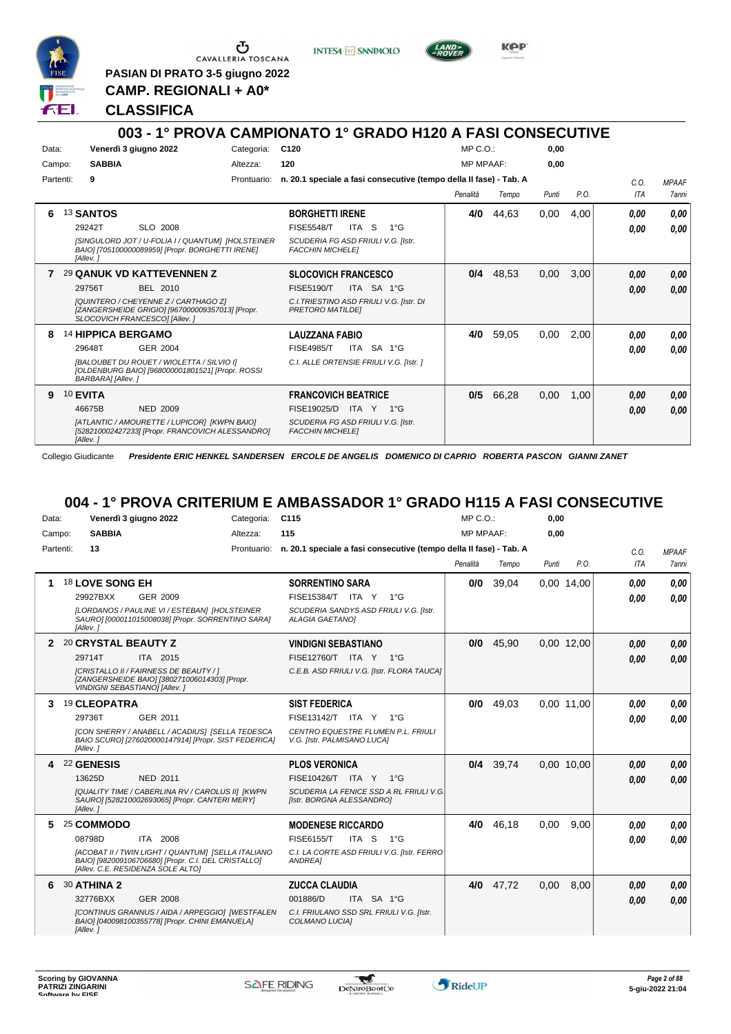

G CAVALLERIA TOSCANA

**PASIAN DI PRATO 3-5 giugno 2022**

**INTESA** M SANPAOLO



KOP

**CAMP. REGIONALI + A0\***

#### **CLASSIFICA**

#### **003 - 1° PROVA CAMPIONATO 1° GRADO H120 A FASI CONSECUTIVE** Data: Venerdì 3 giugno 2022 Categoria: C120 Prontuario: **n. 20.1 speciale a fasi consecutive (tempo della II fase) - Tab. A** Campo: **SABBIA** Partenti: **9** Altezza: **120**  $MP C.$ MP MPAAF: **0,00 0,00** *Penalità Tempo Punti P.O. C.O. ITA MPAAF 7anni* **6** 13 **SANTOS** SLO 2008 **BORGHETTI IRENE** *[SINGULORD JOT / U-FOLIA I / QUANTUM] [HOLSTEINER BAIO] [705100000089959] [Propr. BORGHETTI IRENE] [Allev. ] SCUDERIA FG ASD FRIULI V.G. [Istr. FACCHIN MICHELE]* ITA S 1°G **4/0** 44,63 0,00 4,00 *0,00 0,00 0,00* 29242T FISE5548/T *0,00* **7** 29 **QANUK VD KATTEVENNEN Z** BEL 2010 **SLOCOVICH FRANCESCO** *[QUINTERO / CHEYENNE Z / CARTHAGO Z] [ZANGERSHEIDE GRIGIO] [967000009357013] [Propr. SLOCOVICH FRANCESCO] [Allev. ] C.I.TRIESTINO ASD FRIULI V.G. [Istr. DI PRETORO MATILDE]* ITA SA 1°G 29756T FISE5190/T *0,00* **0/4** 48,53 0,00 3,00 *0,00 0,00 0,00* **8** 14 **HIPPICA BERGAMO** GER 2004 **LAUZZANA FABIO** *[BALOUBET DU ROUET / WIOLETTA / SILVIO I] [OLDENBURG BAIO] [968000001801521] [Propr. ROSSI BARBARA] [Allev. ] C.I. ALLE ORTENSIE FRIULI V.G. [Istr. ]* ITA SA 1°G **4/0** 59,05 0,00 2,00 *0,00 0,00 0,00* 29648T GER\_2004 FISE4985/T ITA SA 1°G *0,00 0,00* **9** 10 **EVITA** NED 2009 **FRANCOVICH BEATRICE** *[ATLANTIC / AMOURETTE / LUPICOR] [KWPN BAIO] [528210002427233] [Propr. FRANCOVICH ALESSANDRO] [Allev. ] SCUDERIA FG ASD FRIULI V.G. [Istr. FACCHIN MICHELE]* ITA Y 1°G 46675B FISE19025/D *0,00* **0/5** 66,28 0,00 1,00 *0,00 0,00 0,00*

Collegio Giudicante *Presidente ERIC HENKEL SANDERSEN ERCOLE DE ANGELIS DOMENICO DI CAPRIO ROBERTA PASCON GIANNI ZANET*

### **004 - 1° PROVA CRITERIUM E AMBASSADOR 1° GRADO H115 A FASI CONSECUTIVE**

| Data:  |           |                     | Venerdì 3 giugno 2022                                                                                                                          | Categoria: | C <sub>115</sub>            |                                                                                | $MP C. O.$ :     |       | 0,00  |            |            |              |
|--------|-----------|---------------------|------------------------------------------------------------------------------------------------------------------------------------------------|------------|-----------------------------|--------------------------------------------------------------------------------|------------------|-------|-------|------------|------------|--------------|
| Campo: |           | <b>SABBIA</b>       |                                                                                                                                                | Altezza:   | 115                         |                                                                                | <b>MP MPAAF:</b> |       | 0.00  |            |            |              |
|        | Partenti: | 13                  |                                                                                                                                                |            |                             | Prontuario: n. 20.1 speciale a fasi consecutive (tempo della II fase) - Tab. A |                  |       |       |            | C.O.       | <b>MPAAF</b> |
|        |           |                     |                                                                                                                                                |            |                             |                                                                                | Penalità         | Tempo | Punti | P.O.       | <b>ITA</b> | <b>7anni</b> |
|        |           | 18 LOVE SONG EH     |                                                                                                                                                |            | <b>SORRENTINO SARA</b>      |                                                                                | 0/0              | 39,04 |       | 0.00 14,00 | 0.00       | 0.00         |
|        |           | 29927BXX            | GER 2009                                                                                                                                       |            | FISE15384/T ITA Y           | $1^{\circ}G$                                                                   |                  |       |       |            | 0.00       | 0.00         |
|        |           | [Allev. ]           | [LORDANOS / PAULINE VI / ESTEBAN] [HOLSTEINER<br>SAURO] [000011015008038] [Propr. SORRENTINO SARA]                                             |            | <b>ALAGIA GAETANOI</b>      | SCUDERIA SANDYS ASD FRIULI V.G. [Istr.                                         |                  |       |       |            |            |              |
| 2      |           | 20 CRYSTAL BEAUTY Z |                                                                                                                                                |            | <b>VINDIGNI SEBASTIANO</b>  |                                                                                | 0/0              | 45,90 |       | 0.00 12,00 | 0.00       | 0.00         |
|        |           | 29714T              | ITA 2015                                                                                                                                       |            |                             | FISE12760/T ITA Y 1°G                                                          |                  |       |       |            | 0,00       | 0.00         |
|        |           |                     | [CRISTALLO II / FAIRNESS DE BEAUTY / ]<br>[ZANGERSHEIDE BAIO] [380271006014303] [Propr.<br>VINDIGNI SEBASTIANO] [Allev.]                       |            |                             | C.E.B. ASD FRIULI V.G. [Istr. FLORA TAUCA]                                     |                  |       |       |            |            |              |
| 3      |           | <b>19 CLEOPATRA</b> |                                                                                                                                                |            | <b>SIST FEDERICA</b>        |                                                                                | 0/0              | 49,03 |       | 0.00 11.00 | 0.00       | 0.00         |
|        |           | 29736T              | GER 2011                                                                                                                                       |            |                             | FISE13142/T ITA Y 1°G                                                          |                  |       |       |            | 0.00       | 0.00         |
|        |           | [Allev.]            | [CON SHERRY / ANABELL / ACADIUS] [SELLA TEDESCA<br>BAIO SCURO] [276020000147914] [Propr. SIST FEDERICA]                                        |            | V.G. [Istr. PALMISANO LUCA] | CENTRO EQUESTRE FLUMEN P.L. FRIULI                                             |                  |       |       |            |            |              |
|        |           | 22 GENESIS          |                                                                                                                                                |            | <b>PLOS VERONICA</b>        |                                                                                | 0/4              | 39.74 |       | 0.00 10.00 | 0.00       | 0.00         |
|        |           | 13625D              | <b>NED 2011</b>                                                                                                                                |            |                             | FISE10426/T ITA Y 1°G                                                          |                  |       |       |            | 0.00       | 0.00         |
|        |           | [Allev.]            | [QUALITY TIME / CABERLINA RV / CAROLUS II] [KWPN<br>SAURO] [528210002693065] [Propr. CANTERI MERY]                                             |            | [Istr. BORGNA ALESSANDRO]   | SCUDERIA LA FENICE SSD A RL FRIULI V.G.                                        |                  |       |       |            |            |              |
|        |           | 25 COMMODO          |                                                                                                                                                |            | <b>MODENESE RICCARDO</b>    |                                                                                | 4/0              | 46.18 | 0.00  | 9.00       | 0.00       | 0.00         |
|        |           | 08798D              | ITA 2008                                                                                                                                       |            | <b>FISE6155/T</b>           | ITA S 1°G                                                                      |                  |       |       |            | 0.00       | 0.00         |
|        |           |                     | [ACOBAT II / TWIN LIGHT / QUANTUM] [SELLA ITALIANO<br>BAIO] [982009106706680] [Propr. C.I. DEL CRISTALLO]<br>[Allev. C.E. RESIDENZA SOLE ALTO] |            | ANDREA1                     | C.I. LA CORTE ASD FRIULI V.G. [Istr. FERRO]                                    |                  |       |       |            |            |              |
| 6      |           | 30 ATHINA 2         |                                                                                                                                                |            | <b>ZUCCA CLAUDIA</b>        |                                                                                | 4/0              | 47,72 | 0,00  | 8.00       | 0,00       | 0,00         |
|        |           | 32776BXX            | <b>GER 2008</b>                                                                                                                                |            | 001886/D                    | ITA SA 1°G                                                                     |                  |       |       |            | 0.00       | 0,00         |
|        |           | [Allev.]            | [CONTINUS GRANNUS / AIDA / ARPEGGIO] [WESTFALEN<br>BAIO] [040098100355778] [Propr. CHINI EMANUELA]                                             |            | COLMANO LUCIA]              | C.I. FRIULANO SSD SRL FRIULI V.G. [Istr.                                       |                  |       |       |            |            |              |

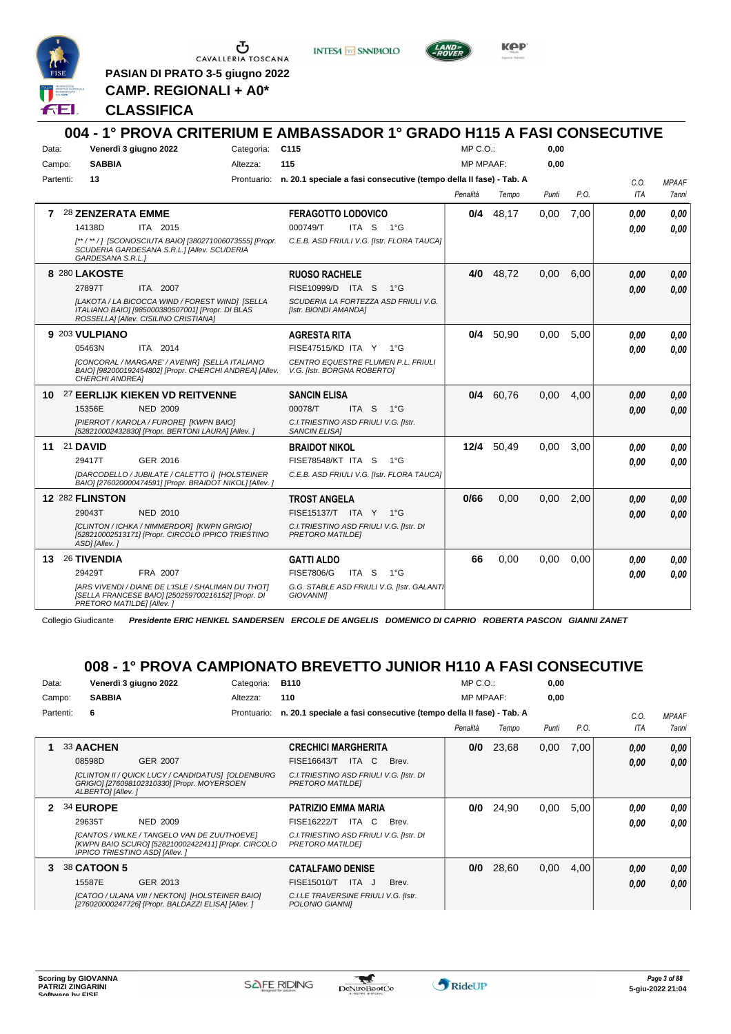

 $\begin{array}{c}\n\bullet \\
\bullet \\
\bullet \\
\bullet \\
\bullet\n\end{array}$  CAVALLERIA TOSCANA

**PASIAN DI PRATO 3-5 giugno 2022 CAMP. REGIONALI + A0\***

**INTESA** M SANPAOLO



**Kep** 

#### **CLASSIFICA**

|           |                                                                                                                                              |             | 004 - 1° PROVA CRITERIUM E AMBASSADOR 1° GRADO H115 A FASI CONSECUTIVE |                  |             |       |      |      |              |
|-----------|----------------------------------------------------------------------------------------------------------------------------------------------|-------------|------------------------------------------------------------------------|------------------|-------------|-------|------|------|--------------|
| Data:     | Venerdì 3 giugno 2022                                                                                                                        | Categoria:  | C115                                                                   | $MP C. O.$ :     |             | 0.00  |      |      |              |
| Campo:    | <b>SABBIA</b>                                                                                                                                | Altezza:    | 115                                                                    | <b>MP MPAAF:</b> |             | 0,00  |      |      |              |
| Partenti: | 13                                                                                                                                           | Prontuario: | n. 20.1 speciale a fasi consecutive (tempo della II fase) - Tab. A     |                  |             |       |      | C.O. | <b>MPAAF</b> |
|           |                                                                                                                                              |             |                                                                        | Penalità         | Tempo       | Punti | P.O. | ITA  | <b>7anni</b> |
| 7         | 28 ZENZERATA EMME                                                                                                                            |             | <b>FERAGOTTO LODOVICO</b>                                              |                  | $0/4$ 48,17 | 0,00  | 7,00 | 0.00 | 0.00         |
|           | 14138D<br>ITA 2015                                                                                                                           |             | 000749/T<br>ITA S 1°G                                                  |                  |             |       |      | 0,00 | 0.00         |
|           | [**/**/] [SCONOSCIUTA BAIO] [380271006073555] [Propr.<br>SCUDERIA GARDESANA S.R.L.] [Allev. SCUDERIA<br>GARDESANA S.R.L.1                    |             | C.E.B. ASD FRIULI V.G. [Istr. FLORA TAUCA]                             |                  |             |       |      |      |              |
|           | 8 280 LAKOSTE                                                                                                                                |             | <b>RUOSO RACHELE</b>                                                   | 4/0              | 48,72       | 0,00  | 6,00 | 0.00 | 0.00         |
|           | ITA 2007<br>27897T                                                                                                                           |             | FISE10999/D ITA S<br>$1^{\circ}G$                                      |                  |             |       |      | 0.00 | 0.00         |
|           | [LAKOTA / LA BICOCCA WIND / FOREST WIND] [SELLA<br>ITALIANO BAIO] [985000380507001] [Propr. DI BLAS<br>ROSSELLA] [Allev. CISILINO CRISTIANA] |             | SCUDERIA LA FORTEZZA ASD FRIULI V.G.<br>[Istr. BIONDI AMANDA]          |                  |             |       |      |      |              |
|           | 9 203 VULPIANO                                                                                                                               |             | <b>AGRESTA RITA</b>                                                    | 0/4              | 50,90       | 0.00  | 5,00 | 0.00 | 0.00         |
|           | 05463N<br>ITA 2014                                                                                                                           |             | FISE47515/KD ITA Y 1°G                                                 |                  |             |       |      | 0.00 | 0.00         |
|           | [CONCORAL / MARGARE' / AVENIR] [SELLA ITALIANO<br>BAIO] [982000192454802] [Propr. CHERCHI ANDREA] [Allev.<br><b>CHERCHI ANDREA1</b>          |             | CENTRO EQUESTRE FLUMEN P.L. FRIULI<br>V.G. [Istr. BORGNA ROBERTO]      |                  |             |       |      |      |              |
| 10        | 27 EERLIJK KIEKEN VD REITVENNE                                                                                                               |             | <b>SANCIN ELISA</b>                                                    | 0/4              | 60,76       | 0,00  | 4,00 | 0.00 | 0.00         |
|           | 15356E<br><b>NED 2009</b>                                                                                                                    |             | 00078/T<br>ITA S $1^{\circ}$ G                                         |                  |             |       |      | 0,00 | 0.00         |
|           | [PIERROT / KAROLA / FURORE] [KWPN BAIO]<br>[528210002432830] [Propr. BERTONI LAURA] [Allev. ]                                                |             | C.I. TRIESTINO ASD FRIULI V.G. [Istr.<br><b>SANCIN ELISA1</b>          |                  |             |       |      |      |              |
| 11        | 21 DAVID                                                                                                                                     |             | <b>BRAIDOT NIKOL</b>                                                   |                  | 12/4 50,49  | 0,00  | 3,00 | 0.00 | 0.00         |
|           | 29417T<br>GER 2016                                                                                                                           |             | FISE78548/KT ITA S<br>$1^{\circ}G$                                     |                  |             |       |      | 0.00 | 0.00         |
|           | [DARCODELLO / JUBILATE / CALETTO I] [HOLSTEINER<br>BAIO] [276020000474591] [Propr. BRAIDOT NIKOL] [Allev. ]                                  |             | C.E.B. ASD FRIULI V.G. [Istr. FLORA TAUCA]                             |                  |             |       |      |      |              |
|           | 12 282 FLINSTON                                                                                                                              |             | <b>TROST ANGELA</b>                                                    | 0/66             | 0,00        | 0,00  | 2,00 | 0,00 | 0,00         |
|           | 29043T<br><b>NED 2010</b>                                                                                                                    |             | FISE15137/T ITA Y 1°G                                                  |                  |             |       |      | 0.00 | 0.00         |
|           | [CLINTON / ICHKA / NIMMERDOR] [KWPN GRIGIO]<br>[528210002513171] [Propr. CIRCOLO IPPICO TRIESTINO<br>ASD] [Allev.]                           |             | C.I. TRIESTINO ASD FRIULI V.G. [Istr. DI<br><b>PRETORO MATILDEI</b>    |                  |             |       |      |      |              |
| 13.       | 26 TIVENDIA                                                                                                                                  |             | <b>GATTI ALDO</b>                                                      | 66               | 0.00        | 0.00  | 0.00 | 0.00 | 0.00         |
|           | 29429T<br>FRA 2007                                                                                                                           |             | <b>FISE7806/G</b><br>ITA <sub>S</sub><br>$1^{\circ}G$                  |                  |             |       |      | 0.00 | 0.00         |
|           | <b>IARS VIVENDI / DIANE DE L'ISLE / SHALIMAN DU THOTI</b><br>[SELLA FRANCESE BAIO] [250259700216152] [Propr. DI<br>PRETORO MATILDE] [Allev.] |             | G.G. STABLE ASD FRIULI V.G. [Istr. GALANTI<br><b>GIOVANNII</b>         |                  |             |       |      |      |              |

Collegio Giudicante *Presidente ERIC HENKEL SANDERSEN ERCOLE DE ANGELIS DOMENICO DI CAPRIO ROBERTA PASCON GIANNI ZANET*

# **008 - 1° PROVA CAMPIONATO BREVETTO JUNIOR H110 A FASI CONSECUTIVE**

| Data:        |           |                   | Venerdì 3 giugno 2022                                                                                                                        | Categoria:  | <b>B110</b>                                                        |       | $MP C. O.$ :     |       | 0,00  |      |      |                     |
|--------------|-----------|-------------------|----------------------------------------------------------------------------------------------------------------------------------------------|-------------|--------------------------------------------------------------------|-------|------------------|-------|-------|------|------|---------------------|
| Campo:       |           | <b>SABBIA</b>     |                                                                                                                                              | Altezza:    | 110                                                                |       | <b>MP MPAAF:</b> |       | 0,00  |      |      |                     |
|              | Partenti: | 6                 |                                                                                                                                              | Prontuario: | n. 20.1 speciale a fasi consecutive (tempo della Il fase) - Tab. A |       |                  |       |       |      | C.0  | <b>MPAAF</b>        |
|              |           |                   |                                                                                                                                              |             |                                                                    |       | Penalità         | Tempo | Punti | P.O. | ITA  | <i><b>7anni</b></i> |
|              |           | 33 AACHEN         |                                                                                                                                              |             | <b>CRECHICI MARGHERITA</b>                                         |       | 0/0              | 23,68 | 0,00  | 7,00 | 0,00 | 0.00                |
|              |           | 08598D            | <b>GER 2007</b>                                                                                                                              |             | ITA C<br><b>FISE16643/T</b>                                        | Brev. |                  |       |       |      | 0,00 | 0.00                |
|              |           | ALBERTO] [Allev.] | [CLINTON II / QUICK LUCY / CANDIDATUS] [OLDENBURG<br>GRIGIO] [276098102310330] [Propr. MOYERSOEN                                             |             | C.I. TRIESTINO ASD FRIULI V.G. [Istr. DI<br>PRETORO MATILDEI       |       |                  |       |       |      |      |                     |
| $\mathbf{2}$ |           | 34 EUROPE         |                                                                                                                                              |             | PATRIZIO EMMA MARIA                                                |       | 0/0              | 24,90 | 0,00  | 5,00 | 0.00 | 0,00                |
|              |           | 29635T            | <b>NED 2009</b>                                                                                                                              |             | ITA C<br>FISE16222/T                                               | Brev. |                  |       |       |      | 0,00 | 0.00                |
|              |           |                   | [CANTOS / WILKE / TANGELO VAN DE ZUUTHOEVE]<br>[KWPN BAIO SCURO] [528210002422411] [Propr. CIRCOLO<br><b>IPPICO TRIESTINO ASDI [Allev. ]</b> |             | C.I. TRIESTINO ASD FRIULI V.G. [Istr. DI<br>PRETORO MATILDEI       |       |                  |       |       |      |      |                     |
| 3            |           | 38 CATOON 5       |                                                                                                                                              |             | <b>CATALFAMO DENISE</b>                                            |       | 0/0              | 28,60 | 0,00  | 4,00 | 0,00 | 0,00                |
|              |           | 15587E            | GER 2013                                                                                                                                     |             | FISE15010/T<br>ITA J                                               | Brev. |                  |       |       |      | 0,00 | 0,00                |
|              |           |                   | [CATOO / ULANA VIII / NEKTON] [HOLSTEINER BAIO]<br>[276020000247726] [Propr. BALDAZZI ELISA] [Allev. ]                                       |             | C.I.LE TRAVERSINE FRIULI V.G. [Istr.<br>POLONIO GIANNII            |       |                  |       |       |      |      |                     |

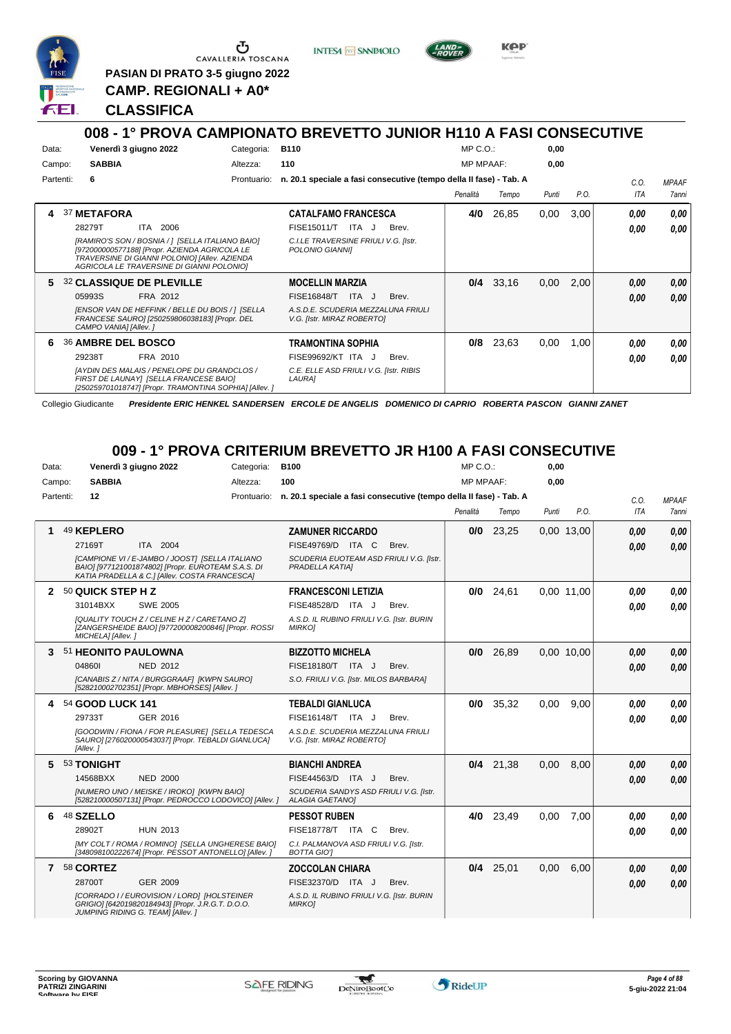

Ⴇ CAVALLERIA TOSCANA

**PASIAN DI PRATO 3-5 giugno 2022 CAMP. REGIONALI + A0\***

**INTESA** M SANPAOLO



KOP

#### **CLASSIFICA**

#### **008 - 1° PROVA CAMPIONATO BREVETTO JUNIOR H110 A FASI CONSECUTIVE** Data: Venerdì 3 giugno 2022 Gategoria: B110 Prontuario: **n. 20.1 speciale a fasi consecutive (tempo della II fase) - Tab. A** Campo: **SABBIA** Partenti: **6** Altezza: **110**  $MP \cap \bigcap$ MP MPAAF: **0,00 0,00** *Penalità Tempo Punti P.O. C.O. ITA MPAAF 7anni* **4** 37 **METAFORA** ITA 2006 **CATALFAMO FRANCESCA** *[RAMIRO'S SON / BOSNIA / ] [SELLA ITALIANO BAIO] [972000000577188] [Propr. AZIENDA AGRICOLA LE TRAVERSINE DI GIANNI POLONIO] [Allev. AZIENDA AGRICOLA LE TRAVERSINE DI GIANNI POLONIO] C.I.LE TRAVERSINE FRIULI V.G. [Istr. POLONIO GIANNI]* 28279T ITA 2006 FISE15011/T ITA J Brev. **0,00 0,00 4/0** 26,85 0,00 3,00 *0,00 0,00 0,00* **5** 32 **CLASSIQUE DE PLEVILLE** FRA 2012 **MOCELLIN MARZIA** *[ENSOR VAN DE HEFFINK / BELLE DU BOIS / ] [SELLA FRANCESE SAURO] [250259806038183] [Propr. DEL CAMPO VANIA] [Allev. ] A.S.D.E. SCUDERIA MEZZALUNA FRIULI V.G. [Istr. MIRAZ ROBERTO]* 05993S FRA 2012 FISE16848/T ITA J Brev. *0,00 0,00* **0/4** 33,16 0,00 2,00 *0,00 0,00 0,00* **6** 36 **AMBRE DEL BOSCO** FRA 2010 **TRAMONTINA SOPHIA** *[AYDIN DES MALAIS / PENELOPE DU GRANDCLOS / FIRST DE LAUNAY] [SELLA FRANCESE BAIO] [250259701018747] [Propr. TRAMONTINA SOPHIA] [Allev. ] C.E. ELLE ASD FRIULI V.G. [Istr. RIBIS LAURA]* ITA J Brev. 29238T FISE99692/KT *0,00* **0/8** 23,63 0,00 1,00 *0,00 0,00 0,00*

Collegio Giudicante *Presidente ERIC HENKEL SANDERSEN ERCOLE DE ANGELIS DOMENICO DI CAPRIO ROBERTA PASCON GIANNI ZANET*

### **009 - 1° PROVA CRITERIUM BREVETTO JR H100 A FASI CONSECUTIVE**

| Data:     |                     | Venerdì 3 giugno 2022                                                                                                                                  | Categoria: | <b>B100</b>                                                                    |       | MP C.O.:         |             | 0,00  |            |            |                     |
|-----------|---------------------|--------------------------------------------------------------------------------------------------------------------------------------------------------|------------|--------------------------------------------------------------------------------|-------|------------------|-------------|-------|------------|------------|---------------------|
| Campo:    | <b>SABBIA</b>       |                                                                                                                                                        | Altezza:   | 100                                                                            |       | <b>MP MPAAF:</b> |             | 0,00  |            |            |                     |
| Partenti: | 12                  |                                                                                                                                                        |            | Prontuario: n. 20.1 speciale a fasi consecutive (tempo della II fase) - Tab. A |       |                  |             |       |            | C.0.       | <b>MPAAF</b>        |
|           |                     |                                                                                                                                                        |            |                                                                                |       | Penalità         | Tempo       | Punti | P.O.       | <b>ITA</b> | <i><b>7anni</b></i> |
|           | 49 KEPLERO          |                                                                                                                                                        |            | <b>ZAMUNER RICCARDO</b>                                                        |       |                  | $0/0$ 23,25 |       | 0,00 13,00 | 0.00       | 0.00                |
|           | 27169T              | ITA 2004                                                                                                                                               |            | FISE49769/D ITA C                                                              | Brev. |                  |             |       |            | 0.00       | 0,00                |
|           |                     | [CAMPIONE VI / E-JAMBO / JOOST] [SELLA ITALIANO<br>BAIO] [977121001874802] [Propr. EUROTEAM S.A.S. DI<br>KATIA PRADELLA & C.] [Allev. COSTA FRANCESCA] |            | SCUDERIA EUOTEAM ASD FRIULI V.G. [Istr.<br>PRADELLA KATIAI                     |       |                  |             |       |            |            |                     |
| 2         | 50 QUICK STEP H Z   |                                                                                                                                                        |            | <b>FRANCESCONI LETIZIA</b>                                                     |       | 0/0              | 24,61       |       | 0.00 11.00 | 0.00       | 0,00                |
|           | 31014BXX            | <b>SWE 2005</b>                                                                                                                                        |            | FISE48528/D ITA J                                                              | Brev. |                  |             |       |            | 0.00       | 0.00                |
|           | MICHELA] [Allev.]   | <b>IQUALITY TOUCH Z / CELINE H Z / CARETANO ZI</b><br>[ZANGERSHEIDE BAIO] [977200008200846] [Propr. ROSSI                                              |            | A.S.D. IL RUBINO FRIULI V.G. [Istr. BURIN<br><b>MIRKOJ</b>                     |       |                  |             |       |            |            |                     |
| 3.        | 51 HEONITO PAULOWNA |                                                                                                                                                        |            | <b>BIZZOTTO MICHELA</b>                                                        |       |                  | $0/0$ 26,89 |       | 0.00 10.00 | 0.00       | 0,00                |
|           | 048601              | <b>NED 2012</b>                                                                                                                                        |            | FISE18180/T ITA J                                                              | Brev. |                  |             |       |            | 0.00       | 0.00                |
|           |                     | [CANABIS Z / NITA / BURGGRAAF] [KWPN SAURO]<br>[528210002702351] [Propr. MBHORSES] [Allev.]                                                            |            | S.O. FRIULI V.G. [Istr. MILOS BARBARA]                                         |       |                  |             |       |            |            |                     |
| 4         | 54 GOOD LUCK 141    |                                                                                                                                                        |            | <b>TEBALDI GIANLUCA</b>                                                        |       |                  | $0/0$ 35,32 | 0.00  | 9.00       | 0.00       | 0,00                |
|           | 29733T              | GER 2016                                                                                                                                               |            | FISE16148/T ITA J                                                              | Brev. |                  |             |       |            | 0.00       | 0.00                |
|           | [Allev.]            | [GOODWIN / FIONA / FOR PLEASURE] [SELLA TEDESCA<br>SAURO] [276020000543037] [Propr. TEBALDI GIANLUCA]                                                  |            | A.S.D.E. SCUDERIA MEZZALUNA FRIULI<br>V.G. [Istr. MIRAZ ROBERTO]               |       |                  |             |       |            |            |                     |
| 5.        | 53 TONIGHT          |                                                                                                                                                        |            | <b>BIANCHI ANDREA</b>                                                          |       |                  | $0/4$ 21.38 | 0.00  | 8.00       | 0.00       | 0,00                |
|           | 14568BXX            | <b>NED 2000</b>                                                                                                                                        |            | FISE44563/D ITA J                                                              | Brev. |                  |             |       |            | 0.00       | 0.00                |
|           |                     | INUMERO UNO / MEISKE / IROKO] [KWPN BAIO]<br>[528210000507131] [Propr. PEDROCCO LODOVICO] [Allev. ]                                                    |            | SCUDERIA SANDYS ASD FRIULI V.G. [Istr.<br><b>ALAGIA GAETANO]</b>               |       |                  |             |       |            |            |                     |
| 6         | 48 SZELLO           |                                                                                                                                                        |            | <b>PESSOT RUBEN</b>                                                            |       | 4/0              | 23,49       | 0.00  | 7,00       | 0.00       | 0,00                |
|           | 28902T              | <b>HUN 2013</b>                                                                                                                                        |            | FISE18778/T ITA C                                                              | Brev. |                  |             |       |            | 0.00       | 0.00                |
|           |                     | [MY COLT / ROMA / ROMINO] [SELLA UNGHERESE BAIO]<br>[348098100222674] [Propr. PESSOT ANTONELLO] [Allev. ]                                              |            | C.I. PALMANOVA ASD FRIULI V.G. [Istr.<br><b>BOTTA GIOT</b>                     |       |                  |             |       |            |            |                     |
|           | 7 58 CORTEZ         |                                                                                                                                                        |            | <b>ZOCCOLAN CHIARA</b>                                                         |       |                  | $0/4$ 25,01 | 0.00  | 6.00       | 0,00       | 0,00                |
|           | 28700T              | GER 2009                                                                                                                                               |            | FISE32370/D ITA J                                                              | Brev. |                  |             |       |            | 0.00       | 0.00                |
|           |                     | [CORRADO I / EUROVISION / LORD] [HOLSTEINER<br>GRIGIO] [642019820184943] [Propr. J.R.G.T. D.O.O.<br>JUMPING RIDING G. TEAM] [Allev. ]                  |            | A.S.D. IL RUBINO FRIULI V.G. [Istr. BURIN<br><b>MIRKOJ</b>                     |       |                  |             |       |            |            |                     |

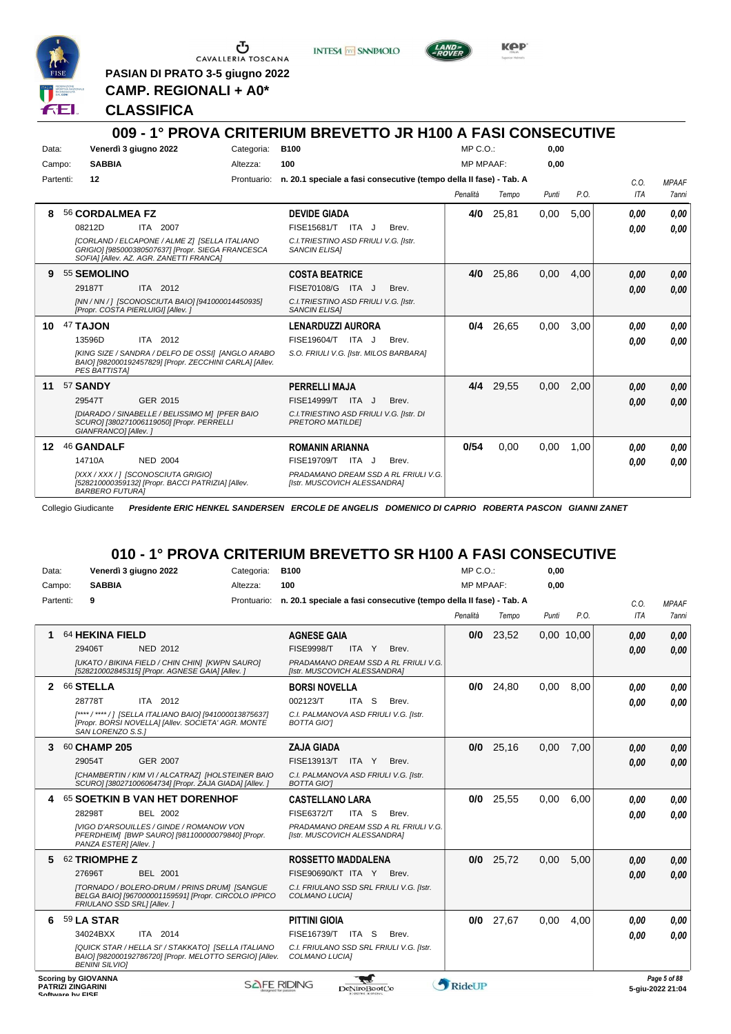

 $\begin{array}{c}\n\bullet \\
\bullet \\
\bullet \\
\bullet\n\end{array}$  CAVALLERIA TOSCANA

**PASIAN DI PRATO 3-5 giugno 2022 CAMP. REGIONALI + A0\***

**INTESA M** SANPAOLO



**KPP** 

#### **CLASSIFICA**

|                  | 009 - 1° PROVA CRITERIUM BREVETTO JR H100 A FASI CONSECUTIVE                                                                                  |             |                                                                      |       |                  |       |       |      |            |              |
|------------------|-----------------------------------------------------------------------------------------------------------------------------------------------|-------------|----------------------------------------------------------------------|-------|------------------|-------|-------|------|------------|--------------|
| Data:            | Venerdì 3 giugno 2022                                                                                                                         | Categoria:  | <b>B100</b>                                                          |       | MP C. O.         |       | 0.00  |      |            |              |
| Campo:           | <b>SABBIA</b>                                                                                                                                 | Altezza:    | 100                                                                  |       | <b>MP MPAAF:</b> |       | 0.00  |      |            |              |
| Partenti:        | 12                                                                                                                                            | Prontuario: | n. 20.1 speciale a fasi consecutive (tempo della II fase) - Tab. A   |       |                  |       |       |      | C.0.       | <b>MPAAF</b> |
|                  |                                                                                                                                               |             |                                                                      |       | Penalità         | Tempo | Punti | P.O. | <b>ITA</b> | 7anni        |
| 8                | 56 CORDALMEA FZ                                                                                                                               |             | <b>DEVIDE GIADA</b>                                                  |       | 4/0              | 25,81 | 0,00  | 5,00 | 0.00       | 0.00         |
|                  | 08212D<br>ITA 2007                                                                                                                            |             | FISE15681/T ITA J                                                    | Brev. |                  |       |       |      | 0.00       | 0.00         |
|                  | [CORLAND / ELCAPONE / ALME Z] [SELLA ITALIANO<br>GRIGIO] [985000380507637] [Propr. SIEGA FRANCESCA<br>SOFIA] [Allev. AZ. AGR. ZANETTI FRANCA] |             | C.I. TRIESTINO ASD FRIULI V.G. [Istr.<br><b>SANCIN ELISAI</b>        |       |                  |       |       |      |            |              |
| 9                | 55 SEMOLINO                                                                                                                                   |             | <b>COSTA BEATRICE</b>                                                |       | 4/0              | 25,86 | 0,00  | 4,00 | 0.00       | 0,00         |
|                  | ITA 2012<br>29187T                                                                                                                            |             | FISE70108/G ITA J                                                    | Brev. |                  |       |       |      | 0,00       | 0.00         |
|                  | [NN / NN / ] [SCONOSCIUTA BAIO] [941000014450935]<br>[Propr. COSTA PIERLUIGI] [Allev. ]                                                       |             | C.I. TRIESTINO ASD FRIULI V.G. [Istr.<br><b>SANCIN ELISAI</b>        |       |                  |       |       |      |            |              |
| 10               | 47 TAJON                                                                                                                                      |             | <b>LENARDUZZI AURORA</b>                                             |       | 0/4              | 26,65 | 0,00  | 3.00 | 0.00       | 0.00         |
|                  | 13596D<br>ITA 2012                                                                                                                            |             | FISE19604/T ITA J                                                    | Brev. |                  |       |       |      | 0.00       | 0.00         |
|                  | [KING SIZE / SANDRA / DELFO DE OSSI] [ANGLO ARABO<br>BAIO] [982000192457829] [Propr. ZECCHINI CARLA] [Allev.<br><b>PES BATTISTAI</b>          |             | S.O. FRIULI V.G. [Istr. MILOS BARBARA]                               |       |                  |       |       |      |            |              |
| 11               | 57 SANDY                                                                                                                                      |             | <b>PERRELLI MAJA</b>                                                 |       | 4/4              | 29,55 | 0,00  | 2,00 | 0.00       | 0,00         |
|                  | GER 2015<br>29547T                                                                                                                            |             | FISE14999/T ITA J                                                    | Brev. |                  |       |       |      | 0.00       | 0,00         |
|                  | [DIARADO / SINABELLE / BELISSIMO M] [PFER BAIO<br>SCURO] [380271006119050] [Propr. PERRELLI<br>GIANFRANCO] [Allev.]                           |             | C.I. TRIESTINO ASD FRIULI V.G. [Istr. DI<br><b>PRETORO MATILDEI</b>  |       |                  |       |       |      |            |              |
| 12 <sup>12</sup> | 46 GANDALF                                                                                                                                    |             | <b>ROMANIN ARIANNA</b>                                               |       | 0/54             | 0.00  | 0.00  | 1.00 | 0.00       | 0.00         |
|                  | 14710A<br><b>NED 2004</b>                                                                                                                     |             | FISE19709/T ITA J                                                    | Brev. |                  |       |       |      | 0.00       | 0.00         |
|                  | [XXX / XXX / ] [SCONOSCIUTA GRIGIO]<br>[528210000359132] [Propr. BACCI PATRIZIA] [Allev.<br><b>BARBERO FUTURAI</b>                            |             | PRADAMANO DREAM SSD A RL FRIULI V.G.<br>[Istr. MUSCOVICH ALESSANDRA] |       |                  |       |       |      |            |              |

Collegio Giudicante *Presidente ERIC HENKEL SANDERSEN ERCOLE DE ANGELIS DOMENICO DI CAPRIO ROBERTA PASCON GIANNI ZANET*

### **010 - 1° PROVA CRITERIUM BREVETTO SR H100 A FASI CONSECUTIVE**

| Data: |           |                                                                            | Venerdì 3 giugno 2022                                                                                          | Categoria:  | <b>B100</b>                                                        |              |                                      | $MP C. O.$ :     |             | 0,00  |            |      |                                  |
|-------|-----------|----------------------------------------------------------------------------|----------------------------------------------------------------------------------------------------------------|-------------|--------------------------------------------------------------------|--------------|--------------------------------------|------------------|-------------|-------|------------|------|----------------------------------|
|       | Campo:    | <b>SABBIA</b>                                                              |                                                                                                                | Altezza:    | 100                                                                |              |                                      | <b>MP MPAAF:</b> |             | 0.00  |            |      |                                  |
|       | Partenti: | 9                                                                          |                                                                                                                | Prontuario: | n. 20.1 speciale a fasi consecutive (tempo della II fase) - Tab. A |              |                                      |                  |             |       |            | C.O. | <b>MPAAF</b>                     |
|       |           |                                                                            |                                                                                                                |             |                                                                    |              |                                      | Penalità         | Tempo       | Punti | P.O.       | ITA  | 7anni                            |
|       |           | 64 HEKINA FIELD                                                            |                                                                                                                |             | <b>AGNESE GAIA</b>                                                 |              |                                      | 0/0              | 23,52       |       | 0.00 10.00 | 0,00 | 0,00                             |
|       |           | 29406T                                                                     | NED 2012                                                                                                       |             | <b>FISE9998/T</b>                                                  | ITA Y        | Brev.                                |                  |             |       |            | 0.00 | 0.00                             |
|       |           |                                                                            | [UKATO / BIKINA FIELD / CHIN CHIN] [KWPN SAURO]<br>[528210002845315] [Propr. AGNESE GAIA] [Allev.]             |             | [Istr. MUSCOVICH ALESSANDRA]                                       |              | PRADAMANO DREAM SSD A RL FRIULI V.G. |                  |             |       |            |      |                                  |
| 2     |           | 66 STELLA                                                                  |                                                                                                                |             | <b>BORSI NOVELLA</b>                                               |              |                                      | 0/0              | 24,80       | 0,00  | 8.00       | 0.00 | 0,00                             |
|       |           | 28778T                                                                     | ITA 2012                                                                                                       |             | 002123/T                                                           | ITA S        | Brev.                                |                  |             |       |            | 0.00 | 0.00                             |
|       |           | SAN LORENZO S.S.1                                                          | [****/****/] [SELLA ITALIANO BAIO] [941000013875637]<br>[Propr. BORSI NOVELLA] [Allev. SOCIETA' AGR. MONTE     |             | C.I. PALMANOVA ASD FRIULI V.G. [Istr.<br><b>BOTTA GIOT</b>         |              |                                      |                  |             |       |            |      |                                  |
| 3.    |           | 60 CHAMP 205                                                               |                                                                                                                |             | <b>ZAJA GIADA</b>                                                  |              |                                      |                  | $0/0$ 25,16 | 0,00  | 7,00       | 0,00 | 0,00                             |
|       |           | 29054T                                                                     | <b>GER 2007</b>                                                                                                |             | FISE13913/T ITA Y                                                  |              | Brev.                                |                  |             |       |            | 0.00 | 0.00                             |
|       |           |                                                                            | [CHAMBERTIN / KIM VI / ALCATRAZ] [HOLSTEINER BAIO<br>SCURO] [380271006064734] [Propr. ZAJA GIADA] [Allev. ]    |             | C.I. PALMANOVA ASD FRIULI V.G. [Istr.<br><b>BOTTA GIOT</b>         |              |                                      |                  |             |       |            |      |                                  |
|       |           |                                                                            | 65 SOETKIN B VAN HET DORENHOF                                                                                  |             | <b>CASTELLANO LARA</b>                                             |              |                                      | 0/0              | 25.55       | 0.00  | 6.00       | 0.00 | 0.00                             |
|       |           | 28298T                                                                     | BEL 2002                                                                                                       |             | <b>FISE6372/T</b>                                                  | ITA S        | Brev.                                |                  |             |       |            | 0.00 | 0.00                             |
|       |           | PANZA ESTER] [Allev.]                                                      | <b>IVIGO D'ARSOUILLES / GINDE / ROMANOW VON</b><br>PFERDHEIM] [BWP SAURO] [981100000079840] [Propr.            |             | [Istr. MUSCOVICH ALESSANDRA]                                       |              | PRADAMANO DREAM SSD A RL FRIULI V.G. |                  |             |       |            |      |                                  |
| 5.    |           | 62 TRIOMPHE Z                                                              |                                                                                                                |             | <b>ROSSETTO MADDALENA</b>                                          |              |                                      | 0/0              | 25,72       | 0.00  | 5.00       | 0.00 | 0,00                             |
|       |           | 27696T                                                                     | <b>BEL 2001</b>                                                                                                |             | FISE90690/KT ITA Y                                                 |              | Brev.                                |                  |             |       |            | 0,00 | 0.00                             |
|       |           | FRIULANO SSD SRL1 [Allev.]                                                 | [TORNADO / BOLERO-DRUM / PRINS DRUM] [SANGUE<br>BELGA BAIO] [967000001159591] [Propr. CIRCOLO IPPICO           |             | C.I. FRIULANO SSD SRL FRIULI V.G. [Istr.<br>COLMANO LUCIAI         |              |                                      |                  |             |       |            |      |                                  |
|       |           | 59 LA STAR                                                                 |                                                                                                                |             | <b>PITTINI GIOIA</b>                                               |              |                                      | 0/0              | 27,67       | 0.00  | 4.00       | 0.00 | 0.00                             |
|       |           | 34024BXX                                                                   | ITA 2014                                                                                                       |             | FISE16739/T ITA S                                                  |              | Brev.                                |                  |             |       |            | 0.00 | 0.00                             |
|       |           | <b>BENINI SILVIOI</b>                                                      | [QUICK STAR / HELLA SI' / STAKKATO] [SELLA ITALIANO<br>BAIO] [982000192786720] [Propr. MELOTTO SERGIO] [Allev. |             | C.I. FRIULANO SSD SRL FRIULI V.G. [Istr.<br>COLMANO LUCIA]         |              |                                      |                  |             |       |            |      |                                  |
|       |           | <b>Scoring by GIOVANNA</b><br><b>PATRIZI ZINGARINI</b><br>Coffware by EICE |                                                                                                                |             | <b>SAFE RIDING</b>                                                 | DeNiroBootCo |                                      | RideUP           |             |       |            |      | Page 5 of 88<br>5-giu-2022 21:04 |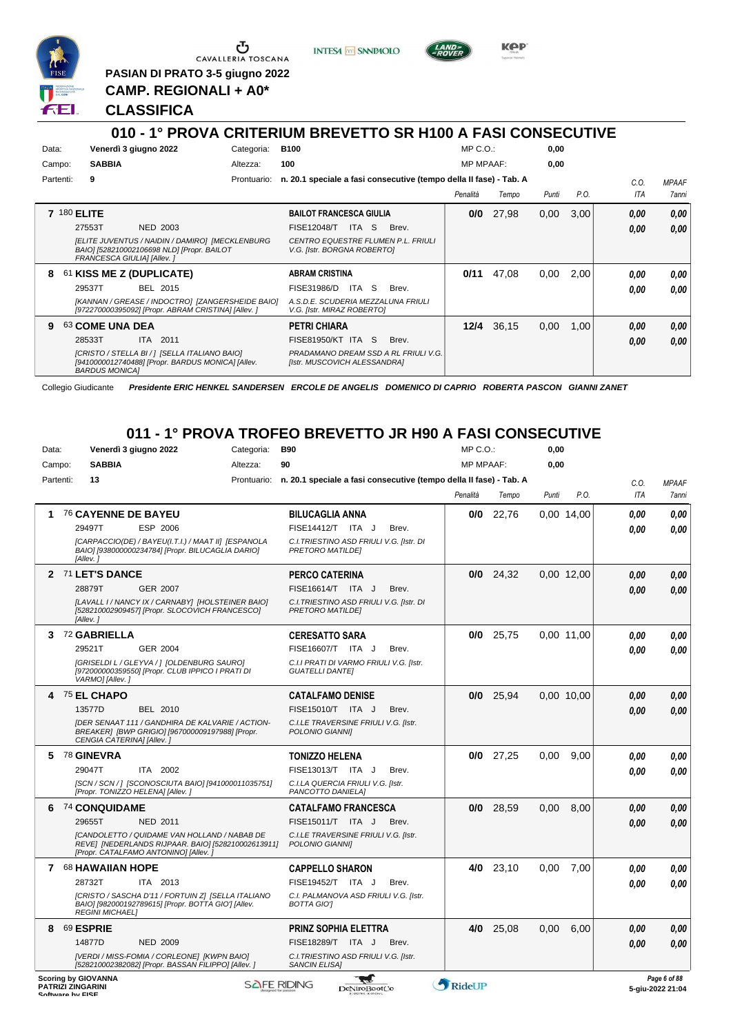

G CAVALLERIA TOSCANA

**PASIAN DI PRATO 3-5 giugno 2022 CAMP. REGIONALI + A0\***

**INTESA** M SANPAOLO



**KPP** 

#### **CLASSIFICA**

*BARDUS MONICA]*

#### **010 - 1° PROVA CRITERIUM BREVETTO SR H100 A FASI CONSECUTIVE** Data: Venerdì 3 giugno 2022 **Categoria: B100** Prontuario: **n. 20.1 speciale a fasi consecutive (tempo della II fase) - Tab. A** Campo: **SABBIA** Partenti: **9** Altezza: **100** MP C.O.: MP MPAAF: **0,00 0,00** *Penalità Tempo Punti P.O. C.O. ITA MPAAF 7anni* **7** 180 **ELITE** NED 2003 **BAILOT FRANCESCA GIULIA** *[ELITE JUVENTUS / NAIDIN / DAMIRO] [MECKLENBURG BAIO] [528210002106698 NLD] [Propr. BAILOT FRANCESCA GIULIA] [Allev. ] CENTRO EQUESTRE FLUMEN P.L. FRIULI V.G. [Istr. BORGNA ROBERTO]* 27553T NED 2003 FISE12048/T ITA S Brev. <mark>0,00 0,00</mark> **0/0** 27,98 0,00 3,00 *0,00 0,00 0,00* **8** 61 **KISS ME Z (DUPLICATE)** BEL 2015 **ABRAM CRISTINA** *[KANNAN / GREASE / INDOCTRO] [ZANGERSHEIDE BAIO] [972270000395092] [Propr. ABRAM CRISTINA] [Allev. ] A.S.D.E. SCUDERIA MEZZALUNA FRIULI V.G. [Istr. MIRAZ ROBERTO]* 29537T BEL 2015 FISE31986/D ITA S Brev. *0,00 0,00* **0/11** 47,08 0,00 2,00 *0,00 0,00 0,00* **9** 63 **COME UNA DEA** ITA 2011 **PETRI CHIARA** *[CRISTO / STELLA BI / ] [SELLA ITALIANO BAIO] [9410000012740488] [Propr. BARDUS MONICA] [Allev. PRADAMANO DREAM SSD A RL FRIULI V.G. [Istr. MUSCOVICH ALESSANDRA]* 28533T ITA 2011 FISE81950/KT ITA S Brev. **0,00 0,00 12/4** 36,15 0,00 1,00 *0,00 0,00 0,00*

Collegio Giudicante *Presidente ERIC HENKEL SANDERSEN ERCOLE DE ANGELIS DOMENICO DI CAPRIO ROBERTA PASCON GIANNI ZANET*

#### **011 - 1° PROVA TROFEO BREVETTO JR H90 A FASI CONSECUTIVE**

| Data:     |                                              |                            | Venerdì 3 giugno 2022                                                                                                                             | Categoria:         | <b>B90</b>                                                         |       | $MP C. O.$ :     |             | 0,00  |            |            |                                  |
|-----------|----------------------------------------------|----------------------------|---------------------------------------------------------------------------------------------------------------------------------------------------|--------------------|--------------------------------------------------------------------|-------|------------------|-------------|-------|------------|------------|----------------------------------|
| Campo:    |                                              | <b>SABBIA</b>              |                                                                                                                                                   | Altezza:           | 90                                                                 |       | <b>MP MPAAF:</b> |             | 0,00  |            |            |                                  |
| Partenti: |                                              | 13                         |                                                                                                                                                   | Prontuario:        | n. 20.1 speciale a fasi consecutive (tempo della II fase) - Tab. A |       |                  |             |       |            | C.O.       | <b>MPAAF</b>                     |
|           |                                              |                            |                                                                                                                                                   |                    |                                                                    |       | Penalità         | Tempo       | Punti | P.O.       | <b>ITA</b> | 7anni                            |
| 1.        |                                              | 76 CAYENNE DE BAYEU        |                                                                                                                                                   |                    | <b>BILUCAGLIA ANNA</b>                                             |       | 0/0              | 22,76       |       | 0,00 14,00 | 0.00       | 0.00                             |
|           |                                              | 29497T                     | ESP 2006                                                                                                                                          |                    | FISE14412/T ITA J                                                  | Brev. |                  |             |       |            | 0.00       | 0.00                             |
|           |                                              | [Allev.]                   | [CARPACCIO(DE) / BAYEU(I.T.I.) / MAAT II] [ESPANOLA<br>BAIO] [938000000234784] [Propr. BILUCAGLIA DARIO]                                          |                    | C.I. TRIESTINO ASD FRIULI V.G. [Istr. DI<br>PRETORO MATILDEI       |       |                  |             |       |            |            |                                  |
|           |                                              | 2 71 LET'S DANCE           |                                                                                                                                                   |                    | <b>PERCO CATERINA</b>                                              |       |                  | $0/0$ 24,32 |       | 0.00 12,00 | 0.00       | 0.00                             |
|           |                                              | 28879T                     | GER 2007                                                                                                                                          |                    | FISE16614/T ITA J                                                  | Brev. |                  |             |       |            | 0.00       | 0,00                             |
|           |                                              | [Allev.]                   | [LAVALL I / NANCY IX / CARNABY] [HOLSTEINER BAIO]<br>[528210002909457] [Propr. SLOCOVICH FRANCESCO]                                               |                    | C.I. TRIESTINO ASD FRIULI V.G. [Istr. DI<br>PRETORO MATILDEI       |       |                  |             |       |            |            |                                  |
| 3         |                                              | 72 GABRIELLA               |                                                                                                                                                   |                    | <b>CERESATTO SARA</b>                                              |       | 0/0              | 25,75       |       | 0.00 11.00 | 0.00       | 0.00                             |
|           |                                              | 29521T                     | GER 2004                                                                                                                                          |                    | FISE16607/T ITA J                                                  | Brev. |                  |             |       |            | 0.00       | 0.00                             |
|           |                                              | VARMO] [Allev.]            | [GRISELDI L / GLEYVA /   [OLDENBURG SAURO]<br>[972000000359550] [Propr. CLUB IPPICO I PRATI DI                                                    |                    | C.I.I PRATI DI VARMO FRIULI V.G. [Istr.<br><b>GUATELLI DANTEI</b>  |       |                  |             |       |            |            |                                  |
| 4         |                                              | 75 EL CHAPO                |                                                                                                                                                   |                    | <b>CATALFAMO DENISE</b>                                            |       | 0/0              | 25,94       |       | 0,00 10,00 | 0,00       | 0,00                             |
|           |                                              | 13577D                     | <b>BEL 2010</b>                                                                                                                                   |                    | FISE15010/T ITA J                                                  | Brev. |                  |             |       |            | 0.00       | 0,00                             |
|           |                                              | CENGIA CATERINA] [Allev.]  | <b>IDER SENAAT 111 / GANDHIRA DE KALVARIE / ACTION-</b><br>BREAKER] [BWP GRIGIO] [967000009197988] [Propr.                                        |                    | C.I.LE TRAVERSINE FRIULI V.G. [Istr.<br>POLONIO GIANNII            |       |                  |             |       |            |            |                                  |
| 5.        |                                              | <sup>78</sup> GINEVRA      |                                                                                                                                                   |                    | <b>TONIZZO HELENA</b>                                              |       | 0/0              | 27,25       | 0.00  | 9.00       | 0.00       | 0.00                             |
|           |                                              | 29047T                     | ITA 2002                                                                                                                                          |                    | FISE13013/T ITA J                                                  | Brev. |                  |             |       |            | 0.00       | 0.00                             |
|           |                                              |                            | [SCN / SCN / ] [SCONOSCIUTA BAIO] [941000011035751]<br>[Propr. TONIZZO HELENA] [Allev.]                                                           |                    | C.I.LA QUERCIA FRIULI V.G. [Istr.<br>PANCOTTO DANIELA]             |       |                  |             |       |            |            |                                  |
| 6         |                                              | 74 CONQUIDAME              |                                                                                                                                                   |                    | <b>CATALFAMO FRANCESCA</b>                                         |       | 0/0              | 28,59       | 0,00  | 8.00       | 0.00       | 0.00                             |
|           |                                              | 29655T                     | <b>NED 2011</b>                                                                                                                                   |                    | FISE15011/T ITA J                                                  | Brev. |                  |             |       |            | 0.00       | 0,00                             |
|           |                                              |                            | <b>ICANDOLETTO / QUIDAME VAN HOLLAND / NABAB DE</b><br>REVE] [NEDERLANDS RIJPAAR. BAIO] [528210002613911]<br>[Propr. CATALFAMO ANTONINO] [Allev.] |                    | C.I.LE TRAVERSINE FRIULI V.G. [Istr.<br>POLONIO GIANNII            |       |                  |             |       |            |            |                                  |
|           |                                              | 7 68 HAWAIIAN HOPE         |                                                                                                                                                   |                    | <b>CAPPELLO SHARON</b>                                             |       | 4/0              | 23,10       | 0.00  | 7.00       | 0.00       | 0.00                             |
|           |                                              | 28732T                     | ITA 2013                                                                                                                                          |                    | FISE19452/T ITA J                                                  | Brev. |                  |             |       |            | 0.00       | 0.00                             |
|           |                                              | <b>REGINI MICHAEL]</b>     | [CRISTO / SASCHA D'11 / FORTUIN Z] [SELLA ITALIANO<br>BAIO] [982000192789615] [Propr. BOTTA GIO'] [Allev.                                         |                    | C.I. PALMANOVA ASD FRIULI V.G. [Istr.<br><b>BOTTA GIOT</b>         |       |                  |             |       |            |            |                                  |
| 8         |                                              | 69 ESPRIE                  |                                                                                                                                                   |                    | <b>PRINZ SOPHIA ELETTRA</b>                                        |       | 4/0              | 25,08       | 0.00  | 6,00       | 0.00       | 0.00                             |
|           |                                              | 14877D                     | <b>NED 2009</b>                                                                                                                                   |                    | FISE18289/T ITA J                                                  | Brev. |                  |             |       |            | 0.00       | 0.00                             |
|           |                                              |                            | [VERDI / MISS-FOMIA / CORLEONE] [KWPN BAIO]<br>[528210002382082] [Propr. BASSAN FILIPPO] [Allev.]                                                 |                    | C.I. TRIESTINO ASD FRIULI V.G. [Istr.<br><b>SANCIN ELISA]</b>      |       |                  |             |       |            |            |                                  |
|           | <b>PATRIZI ZINGARINI</b><br>Coffware by EICE | <b>Scoring by GIOVANNA</b> |                                                                                                                                                   | <b>SAFE RIDING</b> | DeNiroBootCo                                                       |       | RideUP           |             |       |            |            | Page 6 of 88<br>5-giu-2022 21:04 |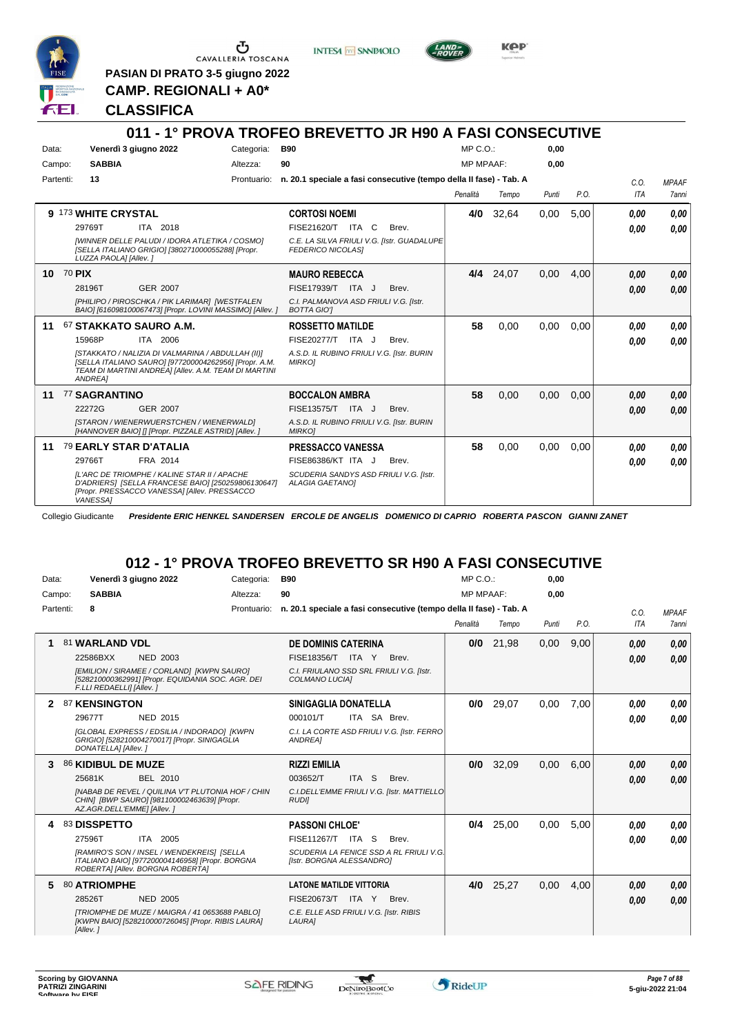

CAVALLERIA TOSCANA

**PASIAN DI PRATO 3-5 giugno 2022 CAMP. REGIONALI + A0\***

**INTESA** M SANPAOLO



KOP

#### **CLASSIFICA**

#### **011 - 1° PROVA TROFEO BREVETTO JR H90 A FASI CONSECUTIVE** Data: Venerdì 3 giugno 2022 Categoria: B90 Prontuario: **n. 20.1 speciale a fasi consecutive (tempo della II fase) - Tab. A** Campo: **SABBIA** Partenti: **13** Altezza: **90**  $MP C.$ MP MPAAF: **0,00 0,00** *Penalità Tempo Punti P.O. C.O. ITA MPAAF 7anni* **9** 173 **WHITE CRYSTAL** ITA 2018 **CORTOSI NOEMI** *[WINNER DELLE PALUDI / IDORA ATLETIKA / COSMO] [SELLA ITALIANO GRIGIO] [380271000055288] [Propr. LUZZA PAOLA] [Allev. ] C.E. LA SILVA FRIULI V.G. [Istr. GUADALUPE FEDERICO NICOLAS]* 29769T ITA 2018 FISE21620/T ITA C Brev. **0,00 0,00 4/0** 32,64 0,00 5,00 *0,00 0,00 0,00* **10** 70 **PIX** GER 2007 **MAURO REBECCA** *[PHILIPO / PIROSCHKA / PIK LARIMAR] [WESTFALEN BAIO] [616098100067473] [Propr. LOVINI MASSIMO] [Allev. ] C.I. PALMANOVA ASD FRIULI V.G. [Istr. BOTTA GIO']* 28196T GER\_2007 FISE17939/T ITA J Brev. *0,00 0,00* **4/4** 24,07 0,00 4,00 *0,00 0,00 0,00* **11** 67 **STAKKATO SAURO A.M.** ITA 2006 **ROSSETTO MATILDE** *[STAKKATO / NALIZIA DI VALMARINA / ABDULLAH (II)] [SELLA ITALIANO SAURO] [977200004262956] [Propr. A.M. TEAM DI MARTINI ANDREA] [Allev. A.M. TEAM DI MARTINI ANDREA] A.S.D. IL RUBINO FRIULI V.G. [Istr. BURIN MIRKO]* 15968P ITA 2006 FISE20277/T ITA J Brev. **0,00 0,00 58** 0,00 0,00 0,00 *0,00 0,00 0,00* **11** 77 **SAGRANTINO** GER 2007 **BOCCALON AMBRA** *[STARON / WIENERWUERSTCHEN / WIENERWALD] [HANNOVER BAIO] [] [Propr. PIZZALE ASTRID] [Allev. ] A.S.D. IL RUBINO FRIULI V.G. [Istr. BURIN MIRKO]* ITA J Brev. 22272G FISE13575/T *0,00* **58** 0,00 0,00 0,00 *0,00 0,00 0,00* **11** 79 **EARLY STAR D'ATALIA** FRA 2014 **PRESSACCO VANESSA** *[L'ARC DE TRIOMPHE / KALINE STAR II / APACHE D'ADRIERS] [SELLA FRANCESE BAIO] [250259806130647] [Propr. PRESSACCO VANESSA] [Allev. PRESSACCO VANESSA] SCUDERIA SANDYS ASD FRIULI V.G. [Istr. ALAGIA GAETANO]* 29766T FRA 2014 FISE86386/KT ITA J Brev. **0,00 0,00 58** 0,00 0,00 0,00 *0,00 0,00 0,00*

Collegio Giudicante *Presidente ERIC HENKEL SANDERSEN ERCOLE DE ANGELIS DOMENICO DI CAPRIO ROBERTA PASCON GIANNI ZANET*

### **012 - 1° PROVA TROFEO BREVETTO SR H90 A FASI CONSECUTIVE**

| Data:     | Venerdì 3 giugno 2022      |                                                                                                                                   | Categoria:  | <b>B90</b>                                                         |                  |                                             | MP C. O.         |             | 0,00  |      |      |              |
|-----------|----------------------------|-----------------------------------------------------------------------------------------------------------------------------------|-------------|--------------------------------------------------------------------|------------------|---------------------------------------------|------------------|-------------|-------|------|------|--------------|
| Campo:    | <b>SABBIA</b>              |                                                                                                                                   | Altezza:    | 90                                                                 |                  |                                             | <b>MP MPAAF:</b> |             | 0.00  |      |      |              |
| Partenti: | 8                          |                                                                                                                                   | Prontuario: | n. 20.1 speciale a fasi consecutive (tempo della II fase) - Tab. A |                  |                                             |                  |             |       |      | C.O. | <b>MPAAF</b> |
|           |                            |                                                                                                                                   |             |                                                                    |                  |                                             | Penalità         | Tempo       | Punti | P.O. | ITA  | 7anni        |
|           | 81 WARLAND VDL             |                                                                                                                                   |             | <b>DE DOMINIS CATERINA</b>                                         |                  |                                             | 0/0              | 21,98       | 0,00  | 9,00 | 0,00 | 0,00         |
|           | 22586BXX                   | <b>NED 2003</b>                                                                                                                   |             | FISE18356/T ITA Y                                                  |                  | Brev.                                       |                  |             |       |      | 0.00 | 0,00         |
|           | F.LLI REDAELLI] [Allev.]   | [EMILION / SIRAMEE / CORLAND] [KWPN SAURO]<br>[528210000362991] [Propr. EQUIDANIA SOC. AGR. DEI                                   |             | C.I. FRIULANO SSD SRL FRIULI V.G. [Istr.<br>COLMANO LUCIA]         |                  |                                             |                  |             |       |      |      |              |
| 2         | 87 KENSINGTON              |                                                                                                                                   |             | SINIGAGLIA DONATELLA                                               |                  |                                             | 0/0              | 29,07       | 0.00  | 7.00 | 0.00 | 0.00         |
|           | 29677T                     | <b>NED 2015</b>                                                                                                                   |             | 000101/T                                                           | ITA SA Brev.     |                                             |                  |             |       |      | 0.00 | 0.00         |
|           | DONATELLA] [Allev.]        | [GLOBAL EXPRESS / EDSILIA / INDORADO] [KWPN<br>GRIGIO] [528210004270017] [Propr. SINIGAGLIA                                       |             | ANDREA]                                                            |                  | C.I. LA CORTE ASD FRIULI V.G. [Istr. FERRO] |                  |             |       |      |      |              |
|           | 86 KIDIBUL DE MUZE         |                                                                                                                                   |             | <b>RIZZI EMILIA</b>                                                |                  |                                             | 0/0              | 32,09       | 0,00  | 6,00 | 0.00 | 0,00         |
|           | 25681K                     | BEL 2010                                                                                                                          |             | 003652/T                                                           | ITA <sub>S</sub> | Brev.                                       |                  |             |       |      | 0.00 | 0,00         |
|           | AZ.AGR.DELL'EMME] [Allev.] | <b>INABAB DE REVEL / QUILINA V'T PLUTONIA HOF / CHIN</b><br>CHIN] [BWP SAURO] [981100002463639] [Propr.                           |             | <b>RUDII</b>                                                       |                  | C.I.DELL'EMME FRIULI V.G. [Istr. MATTIELLO  |                  |             |       |      |      |              |
|           | 83 DISSPETTO               |                                                                                                                                   |             | <b>PASSONI CHLOE'</b>                                              |                  |                                             |                  | $0/4$ 25,00 | 0,00  | 5,00 | 0.00 | 0,00         |
|           | 27596T                     | ITA 2005                                                                                                                          |             | FISE11267/T ITA S                                                  |                  | Brev.                                       |                  |             |       |      | 0.00 | 0.00         |
|           |                            | [RAMIRO'S SON / INSEL / WENDEKREIS] [SELLA<br>ITALIANO BAIO] [977200004146958] [Propr. BORGNA<br>ROBERTA] [Allev. BORGNA ROBERTA] |             | [Istr. BORGNA ALESSANDRO]                                          |                  | SCUDERIA LA FENICE SSD A RL FRIULI V.G.     |                  |             |       |      |      |              |
| 5         | 80 ATRIOMPHE               |                                                                                                                                   |             | <b>LATONE MATILDE VITTORIA</b>                                     |                  |                                             | 4/0              | 25,27       | 0,00  | 4.00 | 0.00 | 0,00         |
|           | 28526T                     | <b>NED 2005</b>                                                                                                                   |             | FISE20673/T ITA Y                                                  |                  | Brev.                                       |                  |             |       |      | 0.00 | 0,00         |
|           | [Allev.]                   | [TRIOMPHE DE MUZE / MAIGRA / 41 0653688 PABLO]<br>[KWPN BAIO] [528210000726045] [Propr. RIBIS LAURA]                              |             | C.E. ELLE ASD FRIULI V.G. [Istr. RIBIS<br>LAURA]                   |                  |                                             |                  |             |       |      |      |              |

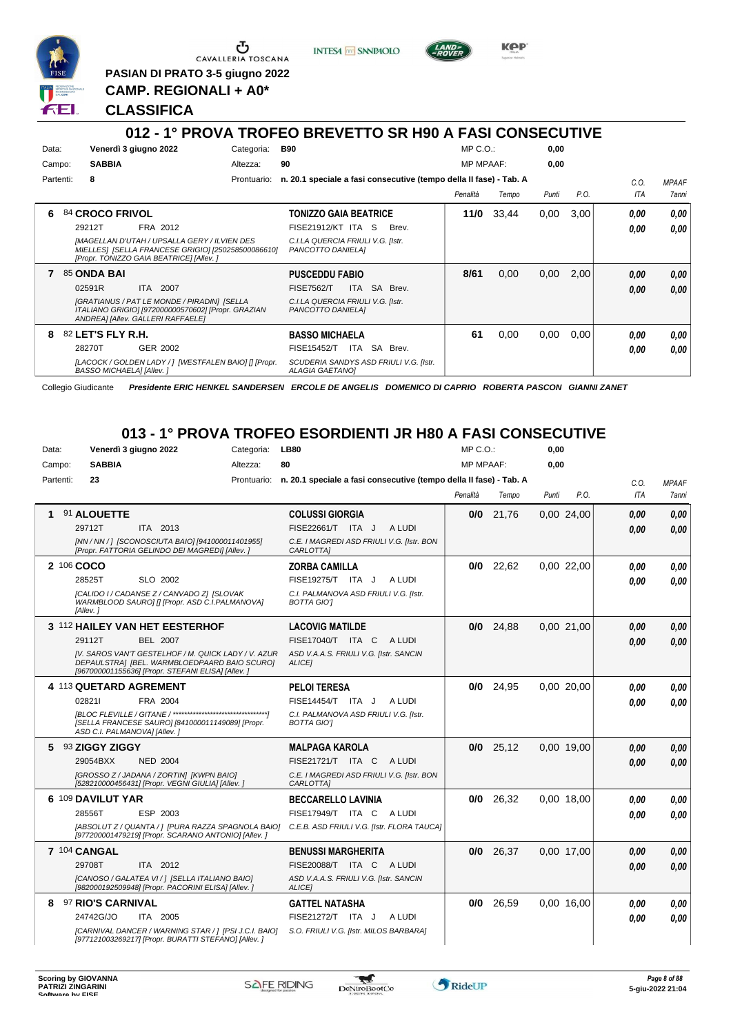

Ⴠ CAVALLERIA TOSCANA

**PASIAN DI PRATO 3-5 giugno 2022 CAMP. REGIONALI + A0\***

**INTESA** M SANPAOLO



**KPP** 

#### **CLASSIFICA**

#### **012 - 1° PROVA TROFEO BREVETTO SR H90 A FASI CONSECUTIVE** Data: Venerdì 3 giugno 2022 Categoria: B90 Prontuario: **n. 20.1 speciale a fasi consecutive (tempo della II fase) - Tab. A** Campo: **SABBIA** Partenti: **8** Altezza: **90**  $MP \cap \bigcap$ MP MPAAF: **0,00 0,00** *Penalità Tempo Punti P.O. C.O. ITA* **6** 84 **CROCO FRIVOL** FRA 2012 **TONIZZO GAIA BEATRICE** *[MAGELLAN D'UTAH / UPSALLA GERY / ILVIEN DES MIELLES] [SELLA FRANCESE GRIGIO] [250258500086610] [Propr. TONIZZO GAIA BEATRICE] [Allev. ] C.I.LA QUERCIA FRIULI V.G. [Istr. PANCOTTO DANIELA]* ITA S Brev. 29212T FISE21912/KT *0,00* **11/0** 33,44 0,00 3,00 *0,00 0,00* **7** 85 **ONDA BAI** ITA 2007 **PUSCEDDU FABIO** *[GRATIANUS / PAT LE MONDE / PIRADIN] [SELLA ITALIANO GRIGIO] [972000000570602] [Propr. GRAZIAN ANDREA] [Allev. GALLERI RAFFAELE] C.I.LA QUERCIA FRIULI V.G. [Istr. PANCOTTO DANIELA]* 02591R ITA 2007 FISE7562/T ITA SA Brev. **0,00 0,00 8/61** 0,00 0,00 2,00 *0,00 0,00* **8** 82 **LET'S FLY R.H.** GER 2002 **BASSO MICHAELA** *[LACOCK / GOLDEN LADY / ] [WESTFALEN BAIO] [] [Propr. BASSO MICHAELA] [Allev. ] SCUDERIA SANDYS ASD FRIULI V.G. [Istr. ALAGIA GAETANO]* ITA SA Brev. 28270T FISE15452/T *0,00* **61** 0,00 0,00 0,00 *0,00 0,00*

Collegio Giudicante *Presidente ERIC HENKEL SANDERSEN ERCOLE DE ANGELIS DOMENICO DI CAPRIO ROBERTA PASCON GIANNI ZANET*

### **013 - 1° PROVA TROFEO ESORDIENTI JR H80 A FASI CONSECUTIVE**

| Data:     | Venerdì 3 giugno 2022                                                                                                                                    | Categoria: | <b>LB80</b>                                                                    | MP C.O.:         |             | 0,00  |            |      |              |
|-----------|----------------------------------------------------------------------------------------------------------------------------------------------------------|------------|--------------------------------------------------------------------------------|------------------|-------------|-------|------------|------|--------------|
| Campo:    | <b>SABBIA</b>                                                                                                                                            | Altezza:   | 80                                                                             | <b>MP MPAAF:</b> |             | 0,00  |            |      |              |
| Partenti: | 23                                                                                                                                                       |            | Prontuario: n. 20.1 speciale a fasi consecutive (tempo della II fase) - Tab. A |                  |             |       |            | C.O. | <b>MPAAF</b> |
|           |                                                                                                                                                          |            |                                                                                | Penalità         | Tempo       | Punti | P.O.       | ITA  | 7anni        |
|           | 91 ALOUETTE                                                                                                                                              |            | <b>COLUSSI GIORGIA</b>                                                         |                  | $0/0$ 21,76 |       | 0,00 24,00 | 0.00 | 0.00         |
|           | 29712T<br>ITA 2013                                                                                                                                       |            | FISE22661/T ITA J ALUDI                                                        |                  |             |       |            | 0.00 | 0.00         |
|           | [NN / NN / ] [SCONOSCIUTA BAIO] [941000011401955]<br>[Propr. FATTORIA GELINDO DEI MAGREDI] [Allev.]                                                      |            | C.E. I MAGREDI ASD FRIULI V.G. [Istr. BON<br>CARLOTTA]                         |                  |             |       |            |      |              |
|           | 2 106 COCO                                                                                                                                               |            | <b>ZORBA CAMILLA</b>                                                           |                  | $0/0$ 22,62 |       | 0.00 22,00 | 0,00 | 0.00         |
|           | 28525T<br>SLO 2002                                                                                                                                       |            | FISE19275/T ITA J<br>A LUDI                                                    |                  |             |       |            | 0.00 | 0.00         |
|           | [CALIDO I / CADANSE Z / CANVADO Z] [SLOVAK<br>WARMBLOOD SAURO] [] [Propr. ASD C.I.PALMANOVA]<br>[Allev.]                                                 |            | C.I. PALMANOVA ASD FRIULI V.G. [Istr.<br><b>BOTTA GIOT</b>                     |                  |             |       |            |      |              |
|           | 3 112 HAILEY VAN HET EESTERHOF                                                                                                                           |            | <b>LACOVIG MATILDE</b>                                                         |                  | $0/0$ 24,88 |       | 0.00 21,00 | 0.00 | 0.00         |
|           | 29112T<br><b>BEL 2007</b>                                                                                                                                |            | FISE17040/T ITA C ALUDI                                                        |                  |             |       |            | 0.00 | 0.00         |
|           | IV. SAROS VAN'T GESTELHOF / M. QUICK LADY / V. AZUR<br>DEPAULSTRA] [BEL. WARMBLOEDPAARD BAIO SCURO]<br>[967000001155636] [Propr. STEFANI ELISA] [Allev.] |            | ASD V.A.A.S. FRIULI V.G. [Istr. SANCIN<br>ALICE1                               |                  |             |       |            |      |              |
|           | 4 113 QUETARD AGREMENT                                                                                                                                   |            | <b>PELOI TERESA</b>                                                            |                  | $0/0$ 24,95 |       | 0.00 20.00 | 0.00 | 0.00         |
|           | 028211<br>FRA 2004                                                                                                                                       |            | FISE14454/T ITA J ALUDI                                                        |                  |             |       |            | 0.00 | 0.00         |
|           | [SELLA FRANCESE SAURO] [841000011149089] [Propr.<br>ASD C.I. PALMANOVAI [Allev.]                                                                         |            | C.I. PALMANOVA ASD FRIULI V.G. [Istr.<br><b>BOTTA GIOT</b>                     |                  |             |       |            |      |              |
|           | 5 93 ZIGGY ZIGGY                                                                                                                                         |            | <b>MALPAGA KAROLA</b>                                                          |                  | $0/0$ 25,12 |       | 0,00 19,00 | 0,00 | 0,00         |
|           | 29054BXX<br><b>NED 2004</b>                                                                                                                              |            | FISE21721/T ITA C ALUDI                                                        |                  |             |       |            | 0.00 | 0.00         |
|           | [GROSSO Z / JADANA / ZORTIN] [KWPN BAIO]<br>[528210000456431] [Propr. VEGNI GIULIA] [Allev.]                                                             |            | C.E. I MAGREDI ASD FRIULI V.G. [Istr. BON<br>CARLOTTA]                         |                  |             |       |            |      |              |
|           | 6 109 DAVILUT YAR                                                                                                                                        |            | <b>BECCARELLO LAVINIA</b>                                                      | 0/0              | 26,32       |       | 0.00 18.00 | 0.00 | 0.00         |
|           | ESP 2003<br>28556T                                                                                                                                       |            | FISE17949/T ITA C ALUDI                                                        |                  |             |       |            | 0.00 | 0.00         |
|           | [ABSOLUT Z / QUANTA / ] [PURA RAZZA SPAGNOLA BAIO]<br>[977200001479219] [Propr. SCARANO ANTONIO] [Allev.]                                                |            | C.E.B. ASD FRIULI V.G. [Istr. FLORA TAUCA]                                     |                  |             |       |            |      |              |
|           | 7 104 CANGAL                                                                                                                                             |            | <b>BENUSSI MARGHERITA</b>                                                      | 0/0              | 26,37       |       | 0,00 17,00 | 0.00 | 0.00         |
|           | 29708T<br>ITA 2012                                                                                                                                       |            | FISE20088/T ITA C ALUDI                                                        |                  |             |       |            | 0.00 | 0.00         |
|           | [CANOSO / GALATEA VI / ] [SELLA ITALIANO BAIO]<br>[982000192509948] [Propr. PACORINI ELISA] [Allev. ]                                                    |            | ASD V.A.A.S. FRIULI V.G. [Istr. SANCIN<br><b>ALICEI</b>                        |                  |             |       |            |      |              |
| 8         | <b>97 RIO'S CARNIVAL</b>                                                                                                                                 |            | <b>GATTEL NATASHA</b>                                                          | 0/0              | 26,59       |       | 0.00 16.00 | 0.00 | 0.00         |
|           | 24742G/JO<br>ITA 2005                                                                                                                                    |            | FISE21272/T ITA J<br>A LUDI                                                    |                  |             |       |            | 0.00 | 0.00         |
|           | [CARNIVAL DANCER / WARNING STAR / ] [PSI J.C.I. BAIO]<br>[977121003269217] [Propr. BURATTI STEFANO] [Allev.]                                             |            | S.O. FRIULI V.G. [Istr. MILOS BARBARA]                                         |                  |             |       |            |      |              |



*MPAAF 7anni*

*0,00*

*0,00*

*0,00*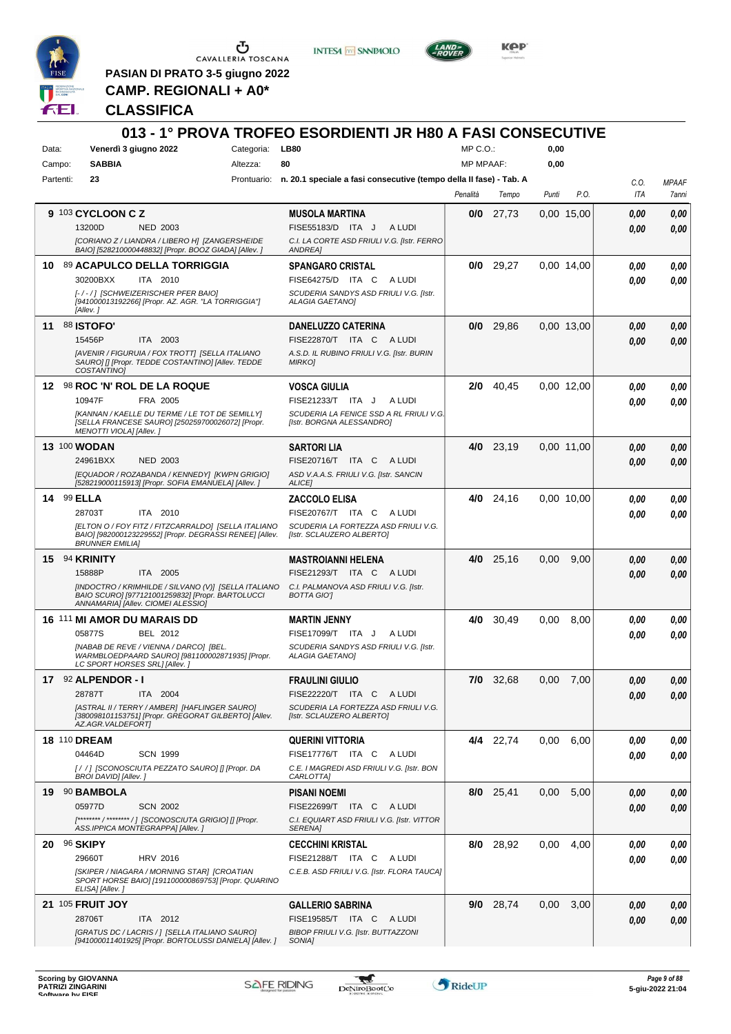

 $\begin{array}{c}\n\bullet \\
\bullet \\
\bullet \\
\bullet\n\end{array}$  CAVALLERIA TOSCANA

**PASIAN DI PRATO 3-5 giugno 2022 CAMP. REGIONALI + A0\***

**INTESA M** SANPAOLO



**Kep** 

#### **CLASSIFICA**

| MP C.O.:<br>Venerdì 3 giugno 2022<br>Categoria:<br><b>LB80</b><br>0,00<br>Data:<br><b>SABBIA</b><br>80<br><b>MP MPAAF:</b><br>0,00<br>Campo:<br>Altezza:<br>23<br>Prontuario: n. 20.1 speciale a fasi consecutive (tempo della II fase) - Tab. A<br>Partenti:<br>C.O.<br><b>MPAAF</b><br>P.O.<br>ITA<br>Penalità<br>Tempo<br>Punti<br>9 103 CYCLOON C Z<br><b>MUSOLA MARTINA</b><br>0/0<br>27,73<br>0,00 15,00<br>0.00<br>13200D<br><b>NED 2003</b><br>FISE55183/D ITA J<br>A LUDI<br>0.00<br>C.I. LA CORTE ASD FRIULI V.G. [Istr. FERRO<br>[CORIANO Z / LIANDRA / LIBERO H] [ZANGERSHEIDE<br>BAIO] [528210000448832] [Propr. BOOZ GIADA] [Allev. ]<br><b>ANDREA1</b><br>89 ACAPULCO DELLA TORRIGGIA<br>29,27<br>0/0<br>0.00 14.00<br>10<br><b>SPANGARO CRISTAL</b><br>0.00<br>30200BXX<br>ITA 2010<br>FISE64275/D ITA C<br>A LUDI<br>0.00<br>[-/-/] [SCHWEIZERISCHER PFER BAIO]<br>SCUDERIA SANDYS ASD FRIULI V.G. [Istr.<br>[941000013192266] [Propr. AZ. AGR. "LA TORRIGGIA"]<br><b>ALAGIA GAETANO]</b><br>[Allev.]<br><b>88 ISTOFO'</b><br>$0/0$ 29,86<br>0,00 13,00<br>11<br><b>DANELUZZO CATERINA</b><br>0,00<br>0,00<br>15456P<br>ITA 2003<br>FISE22870/T ITA C ALUDI<br>0.00<br>0,00<br>[AVENIR / FIGURUIA / FOX TROTT] [SELLA ITALIANO<br>A.S.D. IL RUBINO FRIULI V.G. [Istr. BURIN<br>SAURO] [] [Propr. TEDDE COSTANTINO] [Allev. TEDDE<br><b>MIRKOI</b><br>COSTANTINO]<br>12 98 ROC 'N' ROL DE LA ROQUE<br>$2/0$ 40,45<br>0.00 12,00<br><b>VOSCA GIULIA</b><br>0.00<br>0,00<br>10947F<br>FRA 2005<br>FISE21233/T ITA J<br>A LUDI<br>0.00<br>[KANNAN / KAELLE DU TERME / LE TOT DE SEMILLY]<br>SCUDERIA LA FENICE SSD A RL FRIULI V.G.<br>[SELLA FRANCESE SAURO] [250259700026072] [Propr.<br>[Istr. BORGNA ALESSANDRO]<br>MENOTTI VIOLA] [Allev.]<br><b>13 100 WODAN</b><br><b>SARTORI LIA</b><br>4/0 23,19<br>0,00 11,00<br>0.00<br>24961BXX<br><b>NED 2003</b><br>FISE20716/T ITA C<br>A LUDI<br>0.00<br>[EQUADOR / ROZABANDA / KENNEDY] [KWPN GRIGIO]<br>ASD V.A.A.S. FRIULI V.G. [Istr. SANCIN<br>[528219000115913] [Propr. SOFIA EMANUELA] [Allev. ]<br>ALICE]<br>14 99 ELLA<br>4/0 24,16<br>0,00 10,00<br><b>ZACCOLO ELISA</b><br>0,00<br>0.00<br>28703T<br>ITA 2010<br>FISE20767/T ITA C<br>A LUDI<br>0.00<br>0.00<br>[ELTON O / FOY FITZ / FITZCARRALDO] [SELLA ITALIANO<br>SCUDERIA LA FORTEZZA ASD FRIULI V.G.<br>BAIO] [982000123229552] [Propr. DEGRASSI RENEE] [Allev.<br>[Istr. SCLAUZERO ALBERTO]<br><b>BRUNNER EMILIA1</b><br>15 94 KRINITY<br><b>MASTROIANNI HELENA</b><br>4/0 25,16<br>0,00<br>9,00<br>0.00<br>15888P<br>ITA 2005<br>FISE21293/T ITA C<br>A LUDI<br>0.00<br>[INDOCTRO / KRIMHILDE / SILVANO (V)] [SELLA ITALIANO<br>C.I. PALMANOVA ASD FRIULI V.G. [Istr.<br>BAIO SCURO] [977121001259832] [Propr. BARTOLUCCI<br><b>BOTTA GIOT</b><br>ANNAMARIA] [Allev. CIOMEI ALESSIO]<br>30,49<br>16 111 MI AMOR DU MARAIS DD<br>4/0<br>0,00<br>8,00<br><b>MARTIN JENNY</b><br>0.00<br>05877S<br>BEL 2012<br>FISE17099/T ITA J<br>A LUDI<br>0.00<br>SCUDERIA SANDYS ASD FRIULI V.G. [Istr.<br>[NABAB DE REVE / VIENNA / DARCO] [BEL.<br>WARMBLOEDPAARD SAURO] [981100002871935] [Propr.<br><b>ALAGIA GAETANO]</b><br>LC SPORT HORSES SRL] [Allev. ]<br>17 92 ALPENDOR - I<br>7/0 32,68<br><b>FRAULINI GIULIO</b><br>0,00<br>7,00<br>0,00<br>28787T<br>ITA 2004<br>FISE22220/T ITA C ALUDI<br>0,00<br>0,00<br>[ASTRAL II / TERRY / AMBER] [HAFLINGER SAURO]<br>SCUDERIA LA FORTEZZA ASD FRIULI V.G.<br>[380098101153751] [Propr. GREGORAT GILBERTO] [Allev.<br>[Istr. SCLAUZERO ALBERTO]<br>AZ.AGR.VALDEFORT]<br><b>18 110 DREAM</b><br>4/4 22,74<br>0,00<br>6,00<br><b>QUERINI VITTORIA</b><br>0,00<br>0,00<br>04464D<br><b>SCN 1999</b><br>FISE17776/T ITA C<br>A LUDI<br>0.00<br>0,00<br>[/ / ] [SCONOSCIUTA PEZZATO SAURO] [] [Propr. DA<br>C.E. I MAGREDI ASD FRIULI V.G. [Istr. BON<br>BROI DAVID] [Allev. ]<br><b>CARLOTTAJ</b><br>8/0 25,41<br>19 90 BAMBOLA<br>0,00<br>5,00<br><b>PISANI NOEMI</b><br>0,00<br>0,00<br>05977D<br><b>SCN 2002</b><br>FISE22699/T ITA C ALUDI<br>0.00<br>[******** / ******** / ] [SCONOSCIUTA GRIGIO] [] [Propr.<br>C.I. EQUIART ASD FRIULI V.G. [Istr. VITTOR<br>ASS.IPPICA MONTEGRAPPA] [Allev.]<br>SERENA]<br>20 96 SKIPY<br>8/0 28,92<br><b>CECCHINI KRISTAL</b><br>0.00<br>4,00<br>0,00<br>29660T<br><b>HRV 2016</b><br>FISE21288/T ITA C<br>A LUDI<br>0,00<br>[SKIPER / NIAGARA / MORNING STAR] [CROATIAN<br>C.E.B. ASD FRIULI V.G. [Istr. FLORA TAUCA]<br>SPORT HORSE BAIO] [191100000869753] [Propr. QUARINO<br>ELISA] [Allev.]<br><b>21 105 FRUIT JOY</b><br>9/0 28,74<br>0,00<br>3,00<br><b>GALLERIO SABRINA</b><br>0,00<br>28706T<br>ITA 2012<br>FISE19585/T ITA C<br>A LUDI<br>0,00<br>[GRATUS DC / LACRIS / ] [SELLA ITALIANO SAURO]<br>BIBOP FRIULI V.G. [Istr. BUTTAZZONI<br>[941000011401925] [Propr. BORTOLUSSI DANIELA] [Allev.]<br>SONIA] |  |  | 013 - 1° PROVA TROFEO ESORDIENTI JR H80 A FASI CONSECUTIVE |  |  |       |
|------------------------------------------------------------------------------------------------------------------------------------------------------------------------------------------------------------------------------------------------------------------------------------------------------------------------------------------------------------------------------------------------------------------------------------------------------------------------------------------------------------------------------------------------------------------------------------------------------------------------------------------------------------------------------------------------------------------------------------------------------------------------------------------------------------------------------------------------------------------------------------------------------------------------------------------------------------------------------------------------------------------------------------------------------------------------------------------------------------------------------------------------------------------------------------------------------------------------------------------------------------------------------------------------------------------------------------------------------------------------------------------------------------------------------------------------------------------------------------------------------------------------------------------------------------------------------------------------------------------------------------------------------------------------------------------------------------------------------------------------------------------------------------------------------------------------------------------------------------------------------------------------------------------------------------------------------------------------------------------------------------------------------------------------------------------------------------------------------------------------------------------------------------------------------------------------------------------------------------------------------------------------------------------------------------------------------------------------------------------------------------------------------------------------------------------------------------------------------------------------------------------------------------------------------------------------------------------------------------------------------------------------------------------------------------------------------------------------------------------------------------------------------------------------------------------------------------------------------------------------------------------------------------------------------------------------------------------------------------------------------------------------------------------------------------------------------------------------------------------------------------------------------------------------------------------------------------------------------------------------------------------------------------------------------------------------------------------------------------------------------------------------------------------------------------------------------------------------------------------------------------------------------------------------------------------------------------------------------------------------------------------------------------------------------------------------------------------------------------------------------------------------------------------------------------------------------------------------------------------------------------------------------------------------------------------------------------------------------------------------------------------------------------------------------------------------------------------------------------------------------------------------------------------------------------------------------------------------------------------------------------------------------------------------------------------------------------------------------------------------------------------------------------------------------------------------------------------------------------------------------------------------------------------------------------------------------------------------------------------------------------------------------------------------------------------------------------------------------------------------------------------------------------------------------------------------------------|--|--|------------------------------------------------------------|--|--|-------|
|                                                                                                                                                                                                                                                                                                                                                                                                                                                                                                                                                                                                                                                                                                                                                                                                                                                                                                                                                                                                                                                                                                                                                                                                                                                                                                                                                                                                                                                                                                                                                                                                                                                                                                                                                                                                                                                                                                                                                                                                                                                                                                                                                                                                                                                                                                                                                                                                                                                                                                                                                                                                                                                                                                                                                                                                                                                                                                                                                                                                                                                                                                                                                                                                                                                                                                                                                                                                                                                                                                                                                                                                                                                                                                                                                                                                                                                                                                                                                                                                                                                                                                                                                                                                                                                                                                                                                                                                                                                                                                                                                                                                                                                                                                                                                                                                                                    |  |  |                                                            |  |  |       |
|                                                                                                                                                                                                                                                                                                                                                                                                                                                                                                                                                                                                                                                                                                                                                                                                                                                                                                                                                                                                                                                                                                                                                                                                                                                                                                                                                                                                                                                                                                                                                                                                                                                                                                                                                                                                                                                                                                                                                                                                                                                                                                                                                                                                                                                                                                                                                                                                                                                                                                                                                                                                                                                                                                                                                                                                                                                                                                                                                                                                                                                                                                                                                                                                                                                                                                                                                                                                                                                                                                                                                                                                                                                                                                                                                                                                                                                                                                                                                                                                                                                                                                                                                                                                                                                                                                                                                                                                                                                                                                                                                                                                                                                                                                                                                                                                                                    |  |  |                                                            |  |  |       |
|                                                                                                                                                                                                                                                                                                                                                                                                                                                                                                                                                                                                                                                                                                                                                                                                                                                                                                                                                                                                                                                                                                                                                                                                                                                                                                                                                                                                                                                                                                                                                                                                                                                                                                                                                                                                                                                                                                                                                                                                                                                                                                                                                                                                                                                                                                                                                                                                                                                                                                                                                                                                                                                                                                                                                                                                                                                                                                                                                                                                                                                                                                                                                                                                                                                                                                                                                                                                                                                                                                                                                                                                                                                                                                                                                                                                                                                                                                                                                                                                                                                                                                                                                                                                                                                                                                                                                                                                                                                                                                                                                                                                                                                                                                                                                                                                                                    |  |  |                                                            |  |  |       |
|                                                                                                                                                                                                                                                                                                                                                                                                                                                                                                                                                                                                                                                                                                                                                                                                                                                                                                                                                                                                                                                                                                                                                                                                                                                                                                                                                                                                                                                                                                                                                                                                                                                                                                                                                                                                                                                                                                                                                                                                                                                                                                                                                                                                                                                                                                                                                                                                                                                                                                                                                                                                                                                                                                                                                                                                                                                                                                                                                                                                                                                                                                                                                                                                                                                                                                                                                                                                                                                                                                                                                                                                                                                                                                                                                                                                                                                                                                                                                                                                                                                                                                                                                                                                                                                                                                                                                                                                                                                                                                                                                                                                                                                                                                                                                                                                                                    |  |  |                                                            |  |  | 7anni |
|                                                                                                                                                                                                                                                                                                                                                                                                                                                                                                                                                                                                                                                                                                                                                                                                                                                                                                                                                                                                                                                                                                                                                                                                                                                                                                                                                                                                                                                                                                                                                                                                                                                                                                                                                                                                                                                                                                                                                                                                                                                                                                                                                                                                                                                                                                                                                                                                                                                                                                                                                                                                                                                                                                                                                                                                                                                                                                                                                                                                                                                                                                                                                                                                                                                                                                                                                                                                                                                                                                                                                                                                                                                                                                                                                                                                                                                                                                                                                                                                                                                                                                                                                                                                                                                                                                                                                                                                                                                                                                                                                                                                                                                                                                                                                                                                                                    |  |  |                                                            |  |  | 0,00  |
|                                                                                                                                                                                                                                                                                                                                                                                                                                                                                                                                                                                                                                                                                                                                                                                                                                                                                                                                                                                                                                                                                                                                                                                                                                                                                                                                                                                                                                                                                                                                                                                                                                                                                                                                                                                                                                                                                                                                                                                                                                                                                                                                                                                                                                                                                                                                                                                                                                                                                                                                                                                                                                                                                                                                                                                                                                                                                                                                                                                                                                                                                                                                                                                                                                                                                                                                                                                                                                                                                                                                                                                                                                                                                                                                                                                                                                                                                                                                                                                                                                                                                                                                                                                                                                                                                                                                                                                                                                                                                                                                                                                                                                                                                                                                                                                                                                    |  |  |                                                            |  |  | 0.00  |
|                                                                                                                                                                                                                                                                                                                                                                                                                                                                                                                                                                                                                                                                                                                                                                                                                                                                                                                                                                                                                                                                                                                                                                                                                                                                                                                                                                                                                                                                                                                                                                                                                                                                                                                                                                                                                                                                                                                                                                                                                                                                                                                                                                                                                                                                                                                                                                                                                                                                                                                                                                                                                                                                                                                                                                                                                                                                                                                                                                                                                                                                                                                                                                                                                                                                                                                                                                                                                                                                                                                                                                                                                                                                                                                                                                                                                                                                                                                                                                                                                                                                                                                                                                                                                                                                                                                                                                                                                                                                                                                                                                                                                                                                                                                                                                                                                                    |  |  |                                                            |  |  |       |
|                                                                                                                                                                                                                                                                                                                                                                                                                                                                                                                                                                                                                                                                                                                                                                                                                                                                                                                                                                                                                                                                                                                                                                                                                                                                                                                                                                                                                                                                                                                                                                                                                                                                                                                                                                                                                                                                                                                                                                                                                                                                                                                                                                                                                                                                                                                                                                                                                                                                                                                                                                                                                                                                                                                                                                                                                                                                                                                                                                                                                                                                                                                                                                                                                                                                                                                                                                                                                                                                                                                                                                                                                                                                                                                                                                                                                                                                                                                                                                                                                                                                                                                                                                                                                                                                                                                                                                                                                                                                                                                                                                                                                                                                                                                                                                                                                                    |  |  |                                                            |  |  | 0,00  |
|                                                                                                                                                                                                                                                                                                                                                                                                                                                                                                                                                                                                                                                                                                                                                                                                                                                                                                                                                                                                                                                                                                                                                                                                                                                                                                                                                                                                                                                                                                                                                                                                                                                                                                                                                                                                                                                                                                                                                                                                                                                                                                                                                                                                                                                                                                                                                                                                                                                                                                                                                                                                                                                                                                                                                                                                                                                                                                                                                                                                                                                                                                                                                                                                                                                                                                                                                                                                                                                                                                                                                                                                                                                                                                                                                                                                                                                                                                                                                                                                                                                                                                                                                                                                                                                                                                                                                                                                                                                                                                                                                                                                                                                                                                                                                                                                                                    |  |  |                                                            |  |  | 0.00  |
|                                                                                                                                                                                                                                                                                                                                                                                                                                                                                                                                                                                                                                                                                                                                                                                                                                                                                                                                                                                                                                                                                                                                                                                                                                                                                                                                                                                                                                                                                                                                                                                                                                                                                                                                                                                                                                                                                                                                                                                                                                                                                                                                                                                                                                                                                                                                                                                                                                                                                                                                                                                                                                                                                                                                                                                                                                                                                                                                                                                                                                                                                                                                                                                                                                                                                                                                                                                                                                                                                                                                                                                                                                                                                                                                                                                                                                                                                                                                                                                                                                                                                                                                                                                                                                                                                                                                                                                                                                                                                                                                                                                                                                                                                                                                                                                                                                    |  |  |                                                            |  |  |       |
|                                                                                                                                                                                                                                                                                                                                                                                                                                                                                                                                                                                                                                                                                                                                                                                                                                                                                                                                                                                                                                                                                                                                                                                                                                                                                                                                                                                                                                                                                                                                                                                                                                                                                                                                                                                                                                                                                                                                                                                                                                                                                                                                                                                                                                                                                                                                                                                                                                                                                                                                                                                                                                                                                                                                                                                                                                                                                                                                                                                                                                                                                                                                                                                                                                                                                                                                                                                                                                                                                                                                                                                                                                                                                                                                                                                                                                                                                                                                                                                                                                                                                                                                                                                                                                                                                                                                                                                                                                                                                                                                                                                                                                                                                                                                                                                                                                    |  |  |                                                            |  |  |       |
|                                                                                                                                                                                                                                                                                                                                                                                                                                                                                                                                                                                                                                                                                                                                                                                                                                                                                                                                                                                                                                                                                                                                                                                                                                                                                                                                                                                                                                                                                                                                                                                                                                                                                                                                                                                                                                                                                                                                                                                                                                                                                                                                                                                                                                                                                                                                                                                                                                                                                                                                                                                                                                                                                                                                                                                                                                                                                                                                                                                                                                                                                                                                                                                                                                                                                                                                                                                                                                                                                                                                                                                                                                                                                                                                                                                                                                                                                                                                                                                                                                                                                                                                                                                                                                                                                                                                                                                                                                                                                                                                                                                                                                                                                                                                                                                                                                    |  |  |                                                            |  |  |       |
|                                                                                                                                                                                                                                                                                                                                                                                                                                                                                                                                                                                                                                                                                                                                                                                                                                                                                                                                                                                                                                                                                                                                                                                                                                                                                                                                                                                                                                                                                                                                                                                                                                                                                                                                                                                                                                                                                                                                                                                                                                                                                                                                                                                                                                                                                                                                                                                                                                                                                                                                                                                                                                                                                                                                                                                                                                                                                                                                                                                                                                                                                                                                                                                                                                                                                                                                                                                                                                                                                                                                                                                                                                                                                                                                                                                                                                                                                                                                                                                                                                                                                                                                                                                                                                                                                                                                                                                                                                                                                                                                                                                                                                                                                                                                                                                                                                    |  |  |                                                            |  |  |       |
|                                                                                                                                                                                                                                                                                                                                                                                                                                                                                                                                                                                                                                                                                                                                                                                                                                                                                                                                                                                                                                                                                                                                                                                                                                                                                                                                                                                                                                                                                                                                                                                                                                                                                                                                                                                                                                                                                                                                                                                                                                                                                                                                                                                                                                                                                                                                                                                                                                                                                                                                                                                                                                                                                                                                                                                                                                                                                                                                                                                                                                                                                                                                                                                                                                                                                                                                                                                                                                                                                                                                                                                                                                                                                                                                                                                                                                                                                                                                                                                                                                                                                                                                                                                                                                                                                                                                                                                                                                                                                                                                                                                                                                                                                                                                                                                                                                    |  |  |                                                            |  |  |       |
|                                                                                                                                                                                                                                                                                                                                                                                                                                                                                                                                                                                                                                                                                                                                                                                                                                                                                                                                                                                                                                                                                                                                                                                                                                                                                                                                                                                                                                                                                                                                                                                                                                                                                                                                                                                                                                                                                                                                                                                                                                                                                                                                                                                                                                                                                                                                                                                                                                                                                                                                                                                                                                                                                                                                                                                                                                                                                                                                                                                                                                                                                                                                                                                                                                                                                                                                                                                                                                                                                                                                                                                                                                                                                                                                                                                                                                                                                                                                                                                                                                                                                                                                                                                                                                                                                                                                                                                                                                                                                                                                                                                                                                                                                                                                                                                                                                    |  |  |                                                            |  |  | 0.00  |
|                                                                                                                                                                                                                                                                                                                                                                                                                                                                                                                                                                                                                                                                                                                                                                                                                                                                                                                                                                                                                                                                                                                                                                                                                                                                                                                                                                                                                                                                                                                                                                                                                                                                                                                                                                                                                                                                                                                                                                                                                                                                                                                                                                                                                                                                                                                                                                                                                                                                                                                                                                                                                                                                                                                                                                                                                                                                                                                                                                                                                                                                                                                                                                                                                                                                                                                                                                                                                                                                                                                                                                                                                                                                                                                                                                                                                                                                                                                                                                                                                                                                                                                                                                                                                                                                                                                                                                                                                                                                                                                                                                                                                                                                                                                                                                                                                                    |  |  |                                                            |  |  |       |
|                                                                                                                                                                                                                                                                                                                                                                                                                                                                                                                                                                                                                                                                                                                                                                                                                                                                                                                                                                                                                                                                                                                                                                                                                                                                                                                                                                                                                                                                                                                                                                                                                                                                                                                                                                                                                                                                                                                                                                                                                                                                                                                                                                                                                                                                                                                                                                                                                                                                                                                                                                                                                                                                                                                                                                                                                                                                                                                                                                                                                                                                                                                                                                                                                                                                                                                                                                                                                                                                                                                                                                                                                                                                                                                                                                                                                                                                                                                                                                                                                                                                                                                                                                                                                                                                                                                                                                                                                                                                                                                                                                                                                                                                                                                                                                                                                                    |  |  |                                                            |  |  | 0,00  |
|                                                                                                                                                                                                                                                                                                                                                                                                                                                                                                                                                                                                                                                                                                                                                                                                                                                                                                                                                                                                                                                                                                                                                                                                                                                                                                                                                                                                                                                                                                                                                                                                                                                                                                                                                                                                                                                                                                                                                                                                                                                                                                                                                                                                                                                                                                                                                                                                                                                                                                                                                                                                                                                                                                                                                                                                                                                                                                                                                                                                                                                                                                                                                                                                                                                                                                                                                                                                                                                                                                                                                                                                                                                                                                                                                                                                                                                                                                                                                                                                                                                                                                                                                                                                                                                                                                                                                                                                                                                                                                                                                                                                                                                                                                                                                                                                                                    |  |  |                                                            |  |  | 0.00  |
|                                                                                                                                                                                                                                                                                                                                                                                                                                                                                                                                                                                                                                                                                                                                                                                                                                                                                                                                                                                                                                                                                                                                                                                                                                                                                                                                                                                                                                                                                                                                                                                                                                                                                                                                                                                                                                                                                                                                                                                                                                                                                                                                                                                                                                                                                                                                                                                                                                                                                                                                                                                                                                                                                                                                                                                                                                                                                                                                                                                                                                                                                                                                                                                                                                                                                                                                                                                                                                                                                                                                                                                                                                                                                                                                                                                                                                                                                                                                                                                                                                                                                                                                                                                                                                                                                                                                                                                                                                                                                                                                                                                                                                                                                                                                                                                                                                    |  |  |                                                            |  |  |       |
|                                                                                                                                                                                                                                                                                                                                                                                                                                                                                                                                                                                                                                                                                                                                                                                                                                                                                                                                                                                                                                                                                                                                                                                                                                                                                                                                                                                                                                                                                                                                                                                                                                                                                                                                                                                                                                                                                                                                                                                                                                                                                                                                                                                                                                                                                                                                                                                                                                                                                                                                                                                                                                                                                                                                                                                                                                                                                                                                                                                                                                                                                                                                                                                                                                                                                                                                                                                                                                                                                                                                                                                                                                                                                                                                                                                                                                                                                                                                                                                                                                                                                                                                                                                                                                                                                                                                                                                                                                                                                                                                                                                                                                                                                                                                                                                                                                    |  |  |                                                            |  |  |       |
|                                                                                                                                                                                                                                                                                                                                                                                                                                                                                                                                                                                                                                                                                                                                                                                                                                                                                                                                                                                                                                                                                                                                                                                                                                                                                                                                                                                                                                                                                                                                                                                                                                                                                                                                                                                                                                                                                                                                                                                                                                                                                                                                                                                                                                                                                                                                                                                                                                                                                                                                                                                                                                                                                                                                                                                                                                                                                                                                                                                                                                                                                                                                                                                                                                                                                                                                                                                                                                                                                                                                                                                                                                                                                                                                                                                                                                                                                                                                                                                                                                                                                                                                                                                                                                                                                                                                                                                                                                                                                                                                                                                                                                                                                                                                                                                                                                    |  |  |                                                            |  |  |       |
|                                                                                                                                                                                                                                                                                                                                                                                                                                                                                                                                                                                                                                                                                                                                                                                                                                                                                                                                                                                                                                                                                                                                                                                                                                                                                                                                                                                                                                                                                                                                                                                                                                                                                                                                                                                                                                                                                                                                                                                                                                                                                                                                                                                                                                                                                                                                                                                                                                                                                                                                                                                                                                                                                                                                                                                                                                                                                                                                                                                                                                                                                                                                                                                                                                                                                                                                                                                                                                                                                                                                                                                                                                                                                                                                                                                                                                                                                                                                                                                                                                                                                                                                                                                                                                                                                                                                                                                                                                                                                                                                                                                                                                                                                                                                                                                                                                    |  |  |                                                            |  |  |       |
|                                                                                                                                                                                                                                                                                                                                                                                                                                                                                                                                                                                                                                                                                                                                                                                                                                                                                                                                                                                                                                                                                                                                                                                                                                                                                                                                                                                                                                                                                                                                                                                                                                                                                                                                                                                                                                                                                                                                                                                                                                                                                                                                                                                                                                                                                                                                                                                                                                                                                                                                                                                                                                                                                                                                                                                                                                                                                                                                                                                                                                                                                                                                                                                                                                                                                                                                                                                                                                                                                                                                                                                                                                                                                                                                                                                                                                                                                                                                                                                                                                                                                                                                                                                                                                                                                                                                                                                                                                                                                                                                                                                                                                                                                                                                                                                                                                    |  |  |                                                            |  |  | 0,00  |
|                                                                                                                                                                                                                                                                                                                                                                                                                                                                                                                                                                                                                                                                                                                                                                                                                                                                                                                                                                                                                                                                                                                                                                                                                                                                                                                                                                                                                                                                                                                                                                                                                                                                                                                                                                                                                                                                                                                                                                                                                                                                                                                                                                                                                                                                                                                                                                                                                                                                                                                                                                                                                                                                                                                                                                                                                                                                                                                                                                                                                                                                                                                                                                                                                                                                                                                                                                                                                                                                                                                                                                                                                                                                                                                                                                                                                                                                                                                                                                                                                                                                                                                                                                                                                                                                                                                                                                                                                                                                                                                                                                                                                                                                                                                                                                                                                                    |  |  |                                                            |  |  | 0.00  |
|                                                                                                                                                                                                                                                                                                                                                                                                                                                                                                                                                                                                                                                                                                                                                                                                                                                                                                                                                                                                                                                                                                                                                                                                                                                                                                                                                                                                                                                                                                                                                                                                                                                                                                                                                                                                                                                                                                                                                                                                                                                                                                                                                                                                                                                                                                                                                                                                                                                                                                                                                                                                                                                                                                                                                                                                                                                                                                                                                                                                                                                                                                                                                                                                                                                                                                                                                                                                                                                                                                                                                                                                                                                                                                                                                                                                                                                                                                                                                                                                                                                                                                                                                                                                                                                                                                                                                                                                                                                                                                                                                                                                                                                                                                                                                                                                                                    |  |  |                                                            |  |  |       |
|                                                                                                                                                                                                                                                                                                                                                                                                                                                                                                                                                                                                                                                                                                                                                                                                                                                                                                                                                                                                                                                                                                                                                                                                                                                                                                                                                                                                                                                                                                                                                                                                                                                                                                                                                                                                                                                                                                                                                                                                                                                                                                                                                                                                                                                                                                                                                                                                                                                                                                                                                                                                                                                                                                                                                                                                                                                                                                                                                                                                                                                                                                                                                                                                                                                                                                                                                                                                                                                                                                                                                                                                                                                                                                                                                                                                                                                                                                                                                                                                                                                                                                                                                                                                                                                                                                                                                                                                                                                                                                                                                                                                                                                                                                                                                                                                                                    |  |  |                                                            |  |  | 0,00  |
|                                                                                                                                                                                                                                                                                                                                                                                                                                                                                                                                                                                                                                                                                                                                                                                                                                                                                                                                                                                                                                                                                                                                                                                                                                                                                                                                                                                                                                                                                                                                                                                                                                                                                                                                                                                                                                                                                                                                                                                                                                                                                                                                                                                                                                                                                                                                                                                                                                                                                                                                                                                                                                                                                                                                                                                                                                                                                                                                                                                                                                                                                                                                                                                                                                                                                                                                                                                                                                                                                                                                                                                                                                                                                                                                                                                                                                                                                                                                                                                                                                                                                                                                                                                                                                                                                                                                                                                                                                                                                                                                                                                                                                                                                                                                                                                                                                    |  |  |                                                            |  |  | 0.00  |
|                                                                                                                                                                                                                                                                                                                                                                                                                                                                                                                                                                                                                                                                                                                                                                                                                                                                                                                                                                                                                                                                                                                                                                                                                                                                                                                                                                                                                                                                                                                                                                                                                                                                                                                                                                                                                                                                                                                                                                                                                                                                                                                                                                                                                                                                                                                                                                                                                                                                                                                                                                                                                                                                                                                                                                                                                                                                                                                                                                                                                                                                                                                                                                                                                                                                                                                                                                                                                                                                                                                                                                                                                                                                                                                                                                                                                                                                                                                                                                                                                                                                                                                                                                                                                                                                                                                                                                                                                                                                                                                                                                                                                                                                                                                                                                                                                                    |  |  |                                                            |  |  |       |
|                                                                                                                                                                                                                                                                                                                                                                                                                                                                                                                                                                                                                                                                                                                                                                                                                                                                                                                                                                                                                                                                                                                                                                                                                                                                                                                                                                                                                                                                                                                                                                                                                                                                                                                                                                                                                                                                                                                                                                                                                                                                                                                                                                                                                                                                                                                                                                                                                                                                                                                                                                                                                                                                                                                                                                                                                                                                                                                                                                                                                                                                                                                                                                                                                                                                                                                                                                                                                                                                                                                                                                                                                                                                                                                                                                                                                                                                                                                                                                                                                                                                                                                                                                                                                                                                                                                                                                                                                                                                                                                                                                                                                                                                                                                                                                                                                                    |  |  |                                                            |  |  | 0,00  |
|                                                                                                                                                                                                                                                                                                                                                                                                                                                                                                                                                                                                                                                                                                                                                                                                                                                                                                                                                                                                                                                                                                                                                                                                                                                                                                                                                                                                                                                                                                                                                                                                                                                                                                                                                                                                                                                                                                                                                                                                                                                                                                                                                                                                                                                                                                                                                                                                                                                                                                                                                                                                                                                                                                                                                                                                                                                                                                                                                                                                                                                                                                                                                                                                                                                                                                                                                                                                                                                                                                                                                                                                                                                                                                                                                                                                                                                                                                                                                                                                                                                                                                                                                                                                                                                                                                                                                                                                                                                                                                                                                                                                                                                                                                                                                                                                                                    |  |  |                                                            |  |  |       |
|                                                                                                                                                                                                                                                                                                                                                                                                                                                                                                                                                                                                                                                                                                                                                                                                                                                                                                                                                                                                                                                                                                                                                                                                                                                                                                                                                                                                                                                                                                                                                                                                                                                                                                                                                                                                                                                                                                                                                                                                                                                                                                                                                                                                                                                                                                                                                                                                                                                                                                                                                                                                                                                                                                                                                                                                                                                                                                                                                                                                                                                                                                                                                                                                                                                                                                                                                                                                                                                                                                                                                                                                                                                                                                                                                                                                                                                                                                                                                                                                                                                                                                                                                                                                                                                                                                                                                                                                                                                                                                                                                                                                                                                                                                                                                                                                                                    |  |  |                                                            |  |  |       |
|                                                                                                                                                                                                                                                                                                                                                                                                                                                                                                                                                                                                                                                                                                                                                                                                                                                                                                                                                                                                                                                                                                                                                                                                                                                                                                                                                                                                                                                                                                                                                                                                                                                                                                                                                                                                                                                                                                                                                                                                                                                                                                                                                                                                                                                                                                                                                                                                                                                                                                                                                                                                                                                                                                                                                                                                                                                                                                                                                                                                                                                                                                                                                                                                                                                                                                                                                                                                                                                                                                                                                                                                                                                                                                                                                                                                                                                                                                                                                                                                                                                                                                                                                                                                                                                                                                                                                                                                                                                                                                                                                                                                                                                                                                                                                                                                                                    |  |  |                                                            |  |  |       |
|                                                                                                                                                                                                                                                                                                                                                                                                                                                                                                                                                                                                                                                                                                                                                                                                                                                                                                                                                                                                                                                                                                                                                                                                                                                                                                                                                                                                                                                                                                                                                                                                                                                                                                                                                                                                                                                                                                                                                                                                                                                                                                                                                                                                                                                                                                                                                                                                                                                                                                                                                                                                                                                                                                                                                                                                                                                                                                                                                                                                                                                                                                                                                                                                                                                                                                                                                                                                                                                                                                                                                                                                                                                                                                                                                                                                                                                                                                                                                                                                                                                                                                                                                                                                                                                                                                                                                                                                                                                                                                                                                                                                                                                                                                                                                                                                                                    |  |  |                                                            |  |  |       |
|                                                                                                                                                                                                                                                                                                                                                                                                                                                                                                                                                                                                                                                                                                                                                                                                                                                                                                                                                                                                                                                                                                                                                                                                                                                                                                                                                                                                                                                                                                                                                                                                                                                                                                                                                                                                                                                                                                                                                                                                                                                                                                                                                                                                                                                                                                                                                                                                                                                                                                                                                                                                                                                                                                                                                                                                                                                                                                                                                                                                                                                                                                                                                                                                                                                                                                                                                                                                                                                                                                                                                                                                                                                                                                                                                                                                                                                                                                                                                                                                                                                                                                                                                                                                                                                                                                                                                                                                                                                                                                                                                                                                                                                                                                                                                                                                                                    |  |  |                                                            |  |  |       |
|                                                                                                                                                                                                                                                                                                                                                                                                                                                                                                                                                                                                                                                                                                                                                                                                                                                                                                                                                                                                                                                                                                                                                                                                                                                                                                                                                                                                                                                                                                                                                                                                                                                                                                                                                                                                                                                                                                                                                                                                                                                                                                                                                                                                                                                                                                                                                                                                                                                                                                                                                                                                                                                                                                                                                                                                                                                                                                                                                                                                                                                                                                                                                                                                                                                                                                                                                                                                                                                                                                                                                                                                                                                                                                                                                                                                                                                                                                                                                                                                                                                                                                                                                                                                                                                                                                                                                                                                                                                                                                                                                                                                                                                                                                                                                                                                                                    |  |  |                                                            |  |  |       |
|                                                                                                                                                                                                                                                                                                                                                                                                                                                                                                                                                                                                                                                                                                                                                                                                                                                                                                                                                                                                                                                                                                                                                                                                                                                                                                                                                                                                                                                                                                                                                                                                                                                                                                                                                                                                                                                                                                                                                                                                                                                                                                                                                                                                                                                                                                                                                                                                                                                                                                                                                                                                                                                                                                                                                                                                                                                                                                                                                                                                                                                                                                                                                                                                                                                                                                                                                                                                                                                                                                                                                                                                                                                                                                                                                                                                                                                                                                                                                                                                                                                                                                                                                                                                                                                                                                                                                                                                                                                                                                                                                                                                                                                                                                                                                                                                                                    |  |  |                                                            |  |  | 0,00  |
|                                                                                                                                                                                                                                                                                                                                                                                                                                                                                                                                                                                                                                                                                                                                                                                                                                                                                                                                                                                                                                                                                                                                                                                                                                                                                                                                                                                                                                                                                                                                                                                                                                                                                                                                                                                                                                                                                                                                                                                                                                                                                                                                                                                                                                                                                                                                                                                                                                                                                                                                                                                                                                                                                                                                                                                                                                                                                                                                                                                                                                                                                                                                                                                                                                                                                                                                                                                                                                                                                                                                                                                                                                                                                                                                                                                                                                                                                                                                                                                                                                                                                                                                                                                                                                                                                                                                                                                                                                                                                                                                                                                                                                                                                                                                                                                                                                    |  |  |                                                            |  |  |       |
|                                                                                                                                                                                                                                                                                                                                                                                                                                                                                                                                                                                                                                                                                                                                                                                                                                                                                                                                                                                                                                                                                                                                                                                                                                                                                                                                                                                                                                                                                                                                                                                                                                                                                                                                                                                                                                                                                                                                                                                                                                                                                                                                                                                                                                                                                                                                                                                                                                                                                                                                                                                                                                                                                                                                                                                                                                                                                                                                                                                                                                                                                                                                                                                                                                                                                                                                                                                                                                                                                                                                                                                                                                                                                                                                                                                                                                                                                                                                                                                                                                                                                                                                                                                                                                                                                                                                                                                                                                                                                                                                                                                                                                                                                                                                                                                                                                    |  |  |                                                            |  |  | 0,00  |
|                                                                                                                                                                                                                                                                                                                                                                                                                                                                                                                                                                                                                                                                                                                                                                                                                                                                                                                                                                                                                                                                                                                                                                                                                                                                                                                                                                                                                                                                                                                                                                                                                                                                                                                                                                                                                                                                                                                                                                                                                                                                                                                                                                                                                                                                                                                                                                                                                                                                                                                                                                                                                                                                                                                                                                                                                                                                                                                                                                                                                                                                                                                                                                                                                                                                                                                                                                                                                                                                                                                                                                                                                                                                                                                                                                                                                                                                                                                                                                                                                                                                                                                                                                                                                                                                                                                                                                                                                                                                                                                                                                                                                                                                                                                                                                                                                                    |  |  |                                                            |  |  | 0,00  |
|                                                                                                                                                                                                                                                                                                                                                                                                                                                                                                                                                                                                                                                                                                                                                                                                                                                                                                                                                                                                                                                                                                                                                                                                                                                                                                                                                                                                                                                                                                                                                                                                                                                                                                                                                                                                                                                                                                                                                                                                                                                                                                                                                                                                                                                                                                                                                                                                                                                                                                                                                                                                                                                                                                                                                                                                                                                                                                                                                                                                                                                                                                                                                                                                                                                                                                                                                                                                                                                                                                                                                                                                                                                                                                                                                                                                                                                                                                                                                                                                                                                                                                                                                                                                                                                                                                                                                                                                                                                                                                                                                                                                                                                                                                                                                                                                                                    |  |  |                                                            |  |  |       |
|                                                                                                                                                                                                                                                                                                                                                                                                                                                                                                                                                                                                                                                                                                                                                                                                                                                                                                                                                                                                                                                                                                                                                                                                                                                                                                                                                                                                                                                                                                                                                                                                                                                                                                                                                                                                                                                                                                                                                                                                                                                                                                                                                                                                                                                                                                                                                                                                                                                                                                                                                                                                                                                                                                                                                                                                                                                                                                                                                                                                                                                                                                                                                                                                                                                                                                                                                                                                                                                                                                                                                                                                                                                                                                                                                                                                                                                                                                                                                                                                                                                                                                                                                                                                                                                                                                                                                                                                                                                                                                                                                                                                                                                                                                                                                                                                                                    |  |  |                                                            |  |  | 0,00  |
|                                                                                                                                                                                                                                                                                                                                                                                                                                                                                                                                                                                                                                                                                                                                                                                                                                                                                                                                                                                                                                                                                                                                                                                                                                                                                                                                                                                                                                                                                                                                                                                                                                                                                                                                                                                                                                                                                                                                                                                                                                                                                                                                                                                                                                                                                                                                                                                                                                                                                                                                                                                                                                                                                                                                                                                                                                                                                                                                                                                                                                                                                                                                                                                                                                                                                                                                                                                                                                                                                                                                                                                                                                                                                                                                                                                                                                                                                                                                                                                                                                                                                                                                                                                                                                                                                                                                                                                                                                                                                                                                                                                                                                                                                                                                                                                                                                    |  |  |                                                            |  |  | 0,00  |
|                                                                                                                                                                                                                                                                                                                                                                                                                                                                                                                                                                                                                                                                                                                                                                                                                                                                                                                                                                                                                                                                                                                                                                                                                                                                                                                                                                                                                                                                                                                                                                                                                                                                                                                                                                                                                                                                                                                                                                                                                                                                                                                                                                                                                                                                                                                                                                                                                                                                                                                                                                                                                                                                                                                                                                                                                                                                                                                                                                                                                                                                                                                                                                                                                                                                                                                                                                                                                                                                                                                                                                                                                                                                                                                                                                                                                                                                                                                                                                                                                                                                                                                                                                                                                                                                                                                                                                                                                                                                                                                                                                                                                                                                                                                                                                                                                                    |  |  |                                                            |  |  |       |

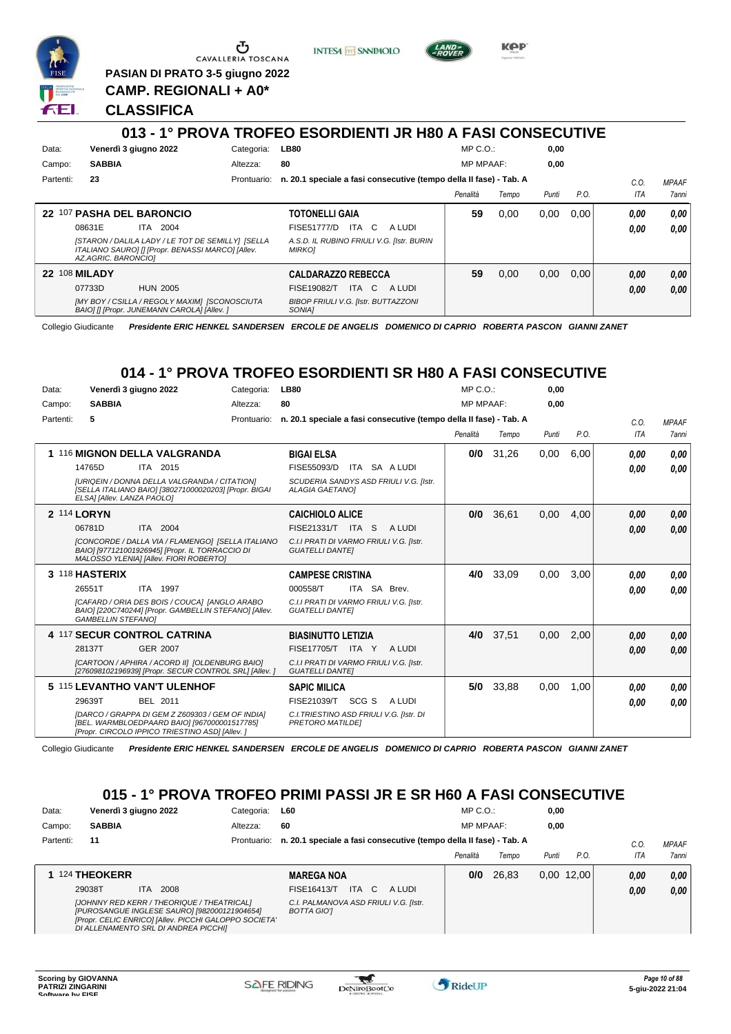

CAVALLERIA TOSCANA

**PASIAN DI PRATO 3-5 giugno 2022 CAMP. REGIONALI + A0\***

**CLASSIFICA**

#### **013 - 1° PROVA TROFEO ESORDIENTI JR H80 A FASI CONSECUTIVE** Data: Venerdì 3 giugno 2022 Categoria: LB80 Prontuario: **n. 20.1 speciale a fasi consecutive (tempo della II fase) - Tab. A** Campo: **SABBIA** Partenti: **23** Altezza: **80** MP C.O.: MP MPAAF: **0,00 0,00** *Penalità Tempo Punti P.O. C.O. ITA* **22** 107 **PASHA DEL BARONCIO** ITA 2004 **TOTONELLI GAIA** ITA C A LUDI **59** 0,00 0,00 0,00 *0,00 0,00* 08631E ITA 2004 FISE51777/D ITA C A LUDI <mark>0 ,00 0,00</mark>

**INTESA** m SANPAOLO

| 08631E<br>IIA.<br>-2004<br><b>ISTARON / DALILA LADY / LE TOT DE SEMILLY] ISELLA</b><br>ITALIANO SAURO] [] [Propr. BENASSI MARCO] [Allev.<br>AZ.AGRIC. BARONCIOI | FISE51777/D IIA C ALUDI<br>A.S.D. IL RUBINO FRIULI V.G. [Istr. BURIN<br><b>MIRKO1</b> |    |      |      |      | 0.00 | 0.00 |
|-----------------------------------------------------------------------------------------------------------------------------------------------------------------|---------------------------------------------------------------------------------------|----|------|------|------|------|------|
| <b>22 108 MILADY</b>                                                                                                                                            | <b>CALDARAZZO REBECCA</b>                                                             | 59 | 0.00 | 0.00 | 0.00 | 0.00 | 0.00 |
| 07733D<br><b>HUN 2005</b>                                                                                                                                       | ITA C<br>FISE19082/T<br>A LUDI                                                        |    |      |      |      | 0.00 | 0.00 |
| [MY BOY / CSILLA / REGOLY MAXIM] [SCONOSCIUTA<br>BAIO] [] [Propr. JUNEMANN CAROLA] [Allev. ]                                                                    | <b>BIBOP FRIULI V.G. [Istr. BUTTAZZONI</b><br>SONIA1                                  |    |      |      |      |      |      |

Collegio Giudicante *Presidente ERIC HENKEL SANDERSEN ERCOLE DE ANGELIS DOMENICO DI CAPRIO ROBERTA PASCON GIANNI ZANET*

# **014 - 1° PROVA TROFEO ESORDIENTI SR H80 A FASI CONSECUTIVE**

| Data:     | Venerdì 3 giugno 2022                                                                                                                              | Categoria:  | <b>LB80</b>                                                        | MP C. O.         |       | 0,00  |      |      |              |
|-----------|----------------------------------------------------------------------------------------------------------------------------------------------------|-------------|--------------------------------------------------------------------|------------------|-------|-------|------|------|--------------|
| Campo:    | <b>SABBIA</b>                                                                                                                                      | Altezza:    | 80                                                                 | <b>MP MPAAF:</b> |       | 0,00  |      |      |              |
| Partenti: | 5                                                                                                                                                  | Prontuario: | n. 20.1 speciale a fasi consecutive (tempo della II fase) - Tab. A |                  |       |       |      | C.0. | <b>MPAAF</b> |
|           |                                                                                                                                                    |             |                                                                    | Penalità         | Tempo | Punti | P.O. | ITA  | <b>7anni</b> |
|           | 1 116 MIGNON DELLA VALGRANDA                                                                                                                       |             | <b>BIGAI ELSA</b>                                                  | 0/0              | 31,26 | 0,00  | 6.00 | 0.00 | 0,00         |
|           | 14765D<br>ITA 2015                                                                                                                                 |             | ITA SA A LUDI<br>FISE55093/D                                       |                  |       |       |      | 0.00 | 0,00         |
|           | [URIQEIN / DONNA DELLA VALGRANDA / CITATION]<br>[SELLA ITALIANO BAIO] [380271000020203] [Propr. BIGAI<br>ELSA] [Allev. LANZA PAOLO]                |             | SCUDERIA SANDYS ASD FRIULI V.G. [Istr.<br>ALAGIA GAETANOI          |                  |       |       |      |      |              |
|           | 2 114 LORYN                                                                                                                                        |             | <b>CAICHIOLO ALICE</b>                                             | 0/0              | 36,61 | 0,00  | 4,00 | 0,00 | 0,00         |
|           | 06781D<br>ITA 2004                                                                                                                                 |             | FISE21331/T ITA S<br>A LUDI                                        |                  |       |       |      | 0,00 | 0.00         |
|           | [CONCORDE / DALLA VIA / FLAMENGO] [SELLA ITALIANO<br>BAIO] [977121001926945] [Propr. IL TORRACCIO DI<br>MALOSSO YLENIA] [Allev. FIORI ROBERTO]     |             | C.I.I PRATI DI VARMO FRIULI V.G. [Istr.<br><b>GUATELLI DANTEI</b>  |                  |       |       |      |      |              |
|           | 3 118 HASTERIX                                                                                                                                     |             | <b>CAMPESE CRISTINA</b>                                            | 4/0              | 33,09 | 0,00  | 3,00 | 0,00 | 0,00         |
|           | 26551T<br>ITA 1997                                                                                                                                 |             | ITA SA<br>000558/T<br>Brev.                                        |                  |       |       |      | 0,00 | 0.00         |
|           | [CAFARD / ORIA DES BOIS / COUCA] [ANGLO ARABO<br>BAIO] [220C740244] [Propr. GAMBELLIN STEFANO] [Allev.<br><b>GAMBELLIN STEFANOI</b>                |             | C.I.I PRATI DI VARMO FRIULI V.G. [Istr.<br><b>GUATELLI DANTEI</b>  |                  |       |       |      |      |              |
|           | 4 117 SECUR CONTROL CATRINA                                                                                                                        |             | <b>BIASINUTTO LETIZIA</b>                                          | 4/0              | 37.51 | 0.00  | 2.00 | 0.00 | 0,00         |
|           | 28137T<br><b>GER 2007</b>                                                                                                                          |             | FISE17705/T ITA Y<br>A LUDI                                        |                  |       |       |      | 0.00 | 0.00         |
|           | <b>ICARTOON / APHIRA / ACORD III IOLDENBURG BAIOI</b><br>[276098102196939] [Propr. SECUR CONTROL SRL] [Allev.]                                     |             | C.I.I PRATI DI VARMO FRIULI V.G. [Istr.<br><b>GUATELLI DANTEI</b>  |                  |       |       |      |      |              |
|           | 5 115 LEVANTHO VAN'T ULENHOF                                                                                                                       |             | <b>SAPIC MILICA</b>                                                | 5/0              | 33,88 | 0,00  | 1,00 | 0.00 | 0.00         |
|           | 29639T<br>BEL 2011                                                                                                                                 |             | SCG S<br>FISE21039/T<br>A LUDI                                     |                  |       |       |      | 0,00 | 0.00         |
|           | [DARCO / GRAPPA DI GEM Z Z609303 / GEM OF INDIA]<br>[BEL. WARMBLOEDPAARD BAIO] [967000001517785]<br>[Propr. CIRCOLO IPPICO TRIESTINO ASD] [Allev.] |             | C.I. TRIESTINO ASD FRIULI V.G. [Istr. DI<br>PRETORO MATILDEI       |                  |       |       |      |      |              |

Collegio Giudicante *Presidente ERIC HENKEL SANDERSEN ERCOLE DE ANGELIS DOMENICO DI CAPRIO ROBERTA PASCON GIANNI ZANET*

# **015 - 1° PROVA TROFEO PRIMI PASSI JR E SR H60 A FASI CONSECUTIVE**

| Data:     | Venerdì 3 giugno 2022                                                                                                                                                                       | Categoria: | <b>L60</b>                                                                     | $MP C. O.$ :     |       | 0,00  |              |      |              |
|-----------|---------------------------------------------------------------------------------------------------------------------------------------------------------------------------------------------|------------|--------------------------------------------------------------------------------|------------------|-------|-------|--------------|------|--------------|
| Campo:    | <b>SABBIA</b>                                                                                                                                                                               | Altezza:   | 60                                                                             | <b>MP MPAAF:</b> |       | 0,00  |              |      |              |
| Partenti: | 11                                                                                                                                                                                          |            | Prontuario: n. 20.1 speciale a fasi consecutive (tempo della II fase) - Tab. A |                  |       |       |              | C.O  | <b>MPAAF</b> |
|           |                                                                                                                                                                                             |            |                                                                                | Penalità         | Tempo | Punti | P.O.         | ITA  | 7anni        |
|           | 1 124 THEOKERR                                                                                                                                                                              |            | <b>MAREGA NOA</b>                                                              | 0/0              | 26.83 |       | $0,00$ 12,00 | 0.00 | 0.00         |
|           | 29038T<br>2008<br>ITA.                                                                                                                                                                      |            | <b>ITA</b><br>C.<br>FISE16413/T<br>A LUDI                                      |                  |       |       |              | 0.00 | 0,00         |
|           | [JOHNNY RED KERR / THEORIQUE / THEATRICAL]<br>[PUROSANGUE INGLESE SAURO] [982000121904654]<br>[Propr. CELIC ENRICO] [Allev. PICCHI GALOPPO SOCIETA'<br>DI ALLENAMENTO SRL DI ANDREA PICCHI] |            | C.I. PALMANOVA ASD FRIULI V.G. [Istr.<br><b>BOTTA GIOT</b>                     |                  |       |       |              |      |              |

W



*MPAAF 7anni*

*0,00*



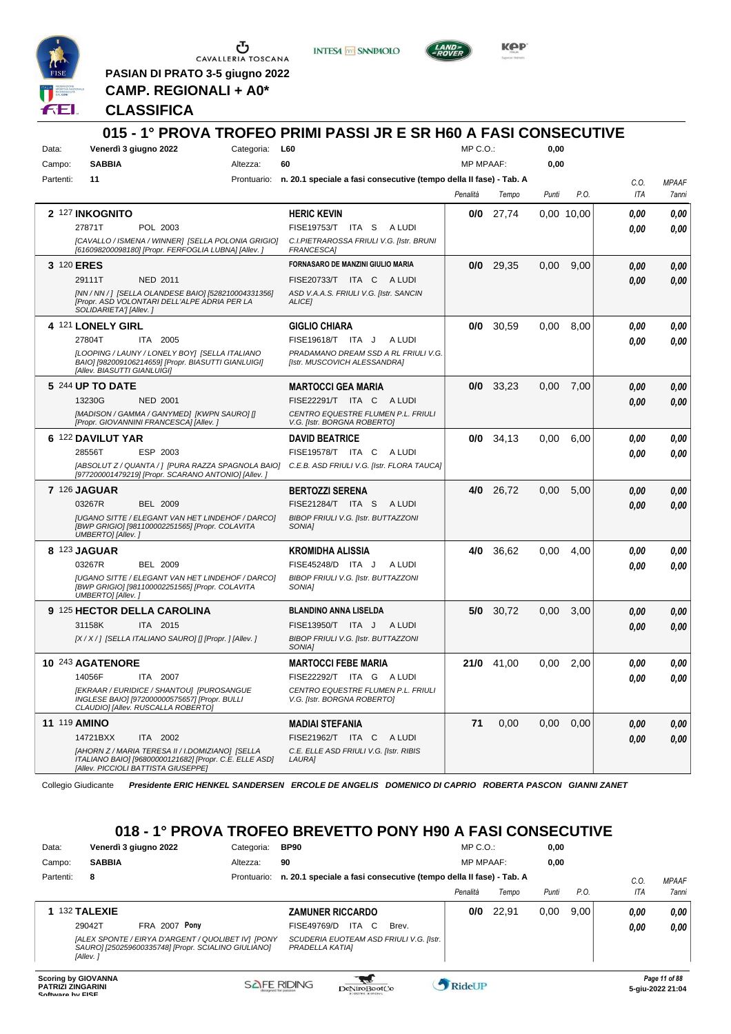

 $\sum_{\text{CAVALLERIA TOSCANA}}$ 

**PASIAN DI PRATO 3-5 giugno 2022 CAMP. REGIONALI + A0\***

**INTESA** M SANPAOLO



**KPP** 

#### **CLASSIFICA**

|           |                          |                                                                                                                                                   |            | 015 - 1° PROVA TROFEO PRIMI PASSI JR E SR H60 A FASI CONSECUTIVE                                  |                  |       |       |            |            |              |
|-----------|--------------------------|---------------------------------------------------------------------------------------------------------------------------------------------------|------------|---------------------------------------------------------------------------------------------------|------------------|-------|-------|------------|------------|--------------|
| Data:     |                          | Venerdì 3 giugno 2022                                                                                                                             | Categoria: | L60                                                                                               | MP C.O.:         |       | 0,00  |            |            |              |
| Campo:    | <b>SABBIA</b>            |                                                                                                                                                   | Altezza:   | 60                                                                                                | <b>MP MPAAF:</b> |       | 0,00  |            |            |              |
| Partenti: | 11                       |                                                                                                                                                   |            | Prontuario: n. 20.1 speciale a fasi consecutive (tempo della II fase) - Tab. A                    |                  |       |       |            | C.O.       | <b>MPAAF</b> |
|           |                          |                                                                                                                                                   |            |                                                                                                   | Penalità         | Tempo | Punti | P.O.       | <b>ITA</b> | 7anni        |
|           | 2 127 INKOGNITO          |                                                                                                                                                   |            | <b>HERIC KEVIN</b>                                                                                | 0/0              | 27,74 |       | 0.00 10.00 | 0.00       | 0,00         |
|           | 27871T                   | POL 2003                                                                                                                                          |            | FISE19753/T<br>ITA S<br>A LUDI                                                                    |                  |       |       |            | 0.00       | 0.00         |
|           |                          | [CAVALLO / ISMENA / WINNER] [SELLA POLONIA GRIGIO]<br>[616098200098180] [Propr. FERFOGLIA LUBNA] [Allev. ]                                        |            | C.I.PIETRAROSSA FRIULI V.G. [Istr. BRUNI<br><b>FRANCESCAI</b>                                     |                  |       |       |            |            |              |
|           | 3 120 ERES               |                                                                                                                                                   |            | FORNASARO DE MANZINI GIULIO MARIA                                                                 | 0/0              | 29.35 | 0,00  | 9,00       | 0.00       | 0,00         |
|           | 29111T                   | <b>NED 2011</b>                                                                                                                                   |            | FISE20733/T ITA C ALUDI                                                                           |                  |       |       |            | 0.00       | 0,00         |
|           | SOLIDARIETA'] [Allev.]   | [NN / NN / ] [SELLA OLANDESE BAIO] [528210004331356]<br>[Propr. ASD VOLONTARI DELL'ALPE ADRIA PER LA                                              |            | ASD V.A.A.S. FRIULI V.G. [Istr. SANCIN<br>ALICE]                                                  |                  |       |       |            |            |              |
|           | 4 121 LONELY GIRL        |                                                                                                                                                   |            | <b>GIGLIO CHIARA</b>                                                                              | 0/0              | 30,59 | 0,00  | 8,00       | 0,00       | 0,00         |
|           | 27804T                   | ITA 2005                                                                                                                                          |            | FISE19618/T ITA J<br>A LUDI                                                                       |                  |       |       |            | 0.00       | 0,00         |
|           |                          | ILOOPING / LAUNY / LONELY BOY] [SELLA ITALIANO<br>BAIO] [982009106214659] [Propr. BIASUTTI GIANLUIGI]<br>[Allev. BIASUTTI GIANLUIGI]              |            | PRADAMANO DREAM SSD A RL FRIULI V.G.<br>[Istr. MUSCOVICH ALESSANDRA]                              |                  |       |       |            |            |              |
|           | 5 244 UP TO DATE         |                                                                                                                                                   |            | <b>MARTOCCI GEA MARIA</b>                                                                         | 0/0              | 33,23 | 0,00  | 7,00       | 0.00       | 0,00         |
|           | 13230G                   | <b>NED 2001</b>                                                                                                                                   |            | FISE22291/T ITA C ALUDI                                                                           |                  |       |       |            | 0.00       | 0.00         |
|           |                          | [MADISON / GAMMA / GANYMED] [KWPN SAURO] []<br>[Propr. GIOVANNINI FRANCESCA] [Allev.]                                                             |            | CENTRO EQUESTRE FLUMEN P.L. FRIULI<br>V.G. [Istr. BORGNA ROBERTO]                                 |                  |       |       |            |            |              |
|           | 6 122 DAVILUT YAR        |                                                                                                                                                   |            | <b>DAVID BEATRICE</b>                                                                             | 0/0              | 34,13 | 0,00  | 6,00       | 0.00       | 0,00         |
|           | 28556T                   | ESP 2003                                                                                                                                          |            | <b>FISE19578/T ITA C</b><br>A LUDI                                                                |                  |       |       |            | 0.00       | 0.00         |
|           |                          | [ABSOLUT Z / QUANTA / 1 [PURA RAZZA SPAGNOLA BAIO]<br>[977200001479219] [Propr. SCARANO ANTONIO] [Allev.]                                         |            | C.E.B. ASD FRIULI V.G. [Istr. FLORA TAUCA]                                                        |                  |       |       |            |            |              |
|           | <b>7 126 JAGUAR</b>      |                                                                                                                                                   |            | <b>BERTOZZI SERENA</b>                                                                            | 4/0              | 26,72 | 0,00  | 5,00       | 0.00       | 0,00         |
|           | 03267R                   | BEL 2009                                                                                                                                          |            | FISE21284/T ITA S<br>A LUDI                                                                       |                  |       |       |            | 0.00       | 0.00         |
|           | <b>UMBERTO]</b> [Allev.] | <b>IUGANO SITTE / ELEGANT VAN HET LINDEHOF / DARCO]</b><br>[BWP GRIGIO] [981100002251565] [Propr. COLAVITA                                        |            | BIBOP FRIULI V.G. [Istr. BUTTAZZONI<br>SONIA]                                                     |                  |       |       |            |            |              |
|           | 8 123 JAGUAR             |                                                                                                                                                   |            | KROMIDHA ALISSIA                                                                                  | 4/0              | 36,62 | 0.00  | 4,00       | 0,00       | 0,00         |
|           | 03267R                   | <b>BEL 2009</b>                                                                                                                                   |            | FISE45248/D ITA J<br>A LUDI                                                                       |                  |       |       |            | 0.00       | 0.00         |
|           | UMBERTO] [Allev.]        | [UGANO SITTE / ELEGANT VAN HET LINDEHOF / DARCO]<br>[BWP GRIGIO] [981100002251565] [Propr. COLAVITA                                               |            | BIBOP FRIULI V.G. [Istr. BUTTAZZONI<br>SONIA]                                                     |                  |       |       |            |            |              |
|           |                          | 9 125 HECTOR DELLA CAROLINA                                                                                                                       |            | <b>BLANDINO ANNA LISELDA</b>                                                                      | 5/0              | 30.72 | 0,00  | 3,00       | 0.00       | 0,00         |
|           | 31158K                   | ITA 2015                                                                                                                                          |            | FISE13950/T ITA J<br>A LUDI                                                                       |                  |       |       |            | 0.00       | 0.00         |
|           |                          | [X / X / ] [SELLA ITALIANO SAURO] [] [Propr. ] [Allev. ]                                                                                          |            | BIBOP FRIULI V.G. [Istr. BUTTAZZONI<br>SONIA <sub>l</sub>                                         |                  |       |       |            |            |              |
|           | 10 243 AGATENORE         |                                                                                                                                                   |            | <b>MARTOCCI FEBE MARIA</b>                                                                        | 21/0             | 41.00 | 0.00  | 2,00       | 0.00       | 0.00         |
|           | 14056F                   | ITA 2007                                                                                                                                          |            | FISE22292/T ITA G ALUDI                                                                           |                  |       |       |            | 0,00       | 0,00         |
|           |                          | [EKRAAR / EURIDICE / SHANTOU] [PUROSANGUE<br>INGLESE BAIO] [972000000575657] [Propr. BULLI<br>CLAUDIO] [Allev. RUSCALLA ROBERTO]                  |            | CENTRO EQUESTRE FLUMEN P.L. FRIULI<br>V.G. [Istr. BORGNA ROBERTO]                                 |                  |       |       |            |            |              |
|           | <b>11 119 AMINO</b>      |                                                                                                                                                   |            | <b>MADIAI STEFANIA</b>                                                                            | 71               | 0,00  | 0,00  | 0,00       | 0,00       | 0,00         |
|           | 14721BXX                 | ITA 2002                                                                                                                                          |            | FISE21962/T ITA C ALUDI                                                                           |                  |       |       |            | 0,00       | 0,00         |
|           |                          | [AHORN Z / MARIA TERESA II / I.DOMIZIANO] [SELLA<br>ITALIANO BAIO] [96800000121682] [Propr. C.E. ELLE ASD]<br>[Allev. PICCIOLI BATTISTA GIUSEPPE] |            | C.E. ELLE ASD FRIULI V.G. [Istr. RIBIS<br>LAURA]                                                  |                  |       |       |            |            |              |
|           | Collegio Giudicante      |                                                                                                                                                   |            | Presidente ERIC HENKEL SANDERSEN ERCOLE DE ANGELIS DOMENICO DI CAPRIO ROBERTA PASCON GIANNI ZANET |                  |       |       |            |            |              |

### **018 - 1° PROVA TROFEO BREVETTO PONY H90 A FASI CONSECUTIVE**

| Data:                                                                      | Venerdì 3 giugno 2022                                                                                                 | Categoria:  | <b>BP90</b>             |               |                                                                    | $MP C. O.$ :     |       | 0,00  |      |      |                                   |
|----------------------------------------------------------------------------|-----------------------------------------------------------------------------------------------------------------------|-------------|-------------------------|---------------|--------------------------------------------------------------------|------------------|-------|-------|------|------|-----------------------------------|
| Campo:                                                                     | <b>SABBIA</b>                                                                                                         | Altezza:    | 90                      |               |                                                                    | <b>MP MPAAF:</b> |       | 0,00  |      |      |                                   |
| Partenti:                                                                  | 8                                                                                                                     | Prontuario: |                         |               | n. 20.1 speciale a fasi consecutive (tempo della Il fase) - Tab. A |                  |       |       |      | C.0  | <b>MPAAF</b>                      |
|                                                                            |                                                                                                                       |             |                         |               |                                                                    | Penalità         | Tempo | Punti | P.O. | ITA  | <i><b>7anni</b></i>               |
|                                                                            | 132 TALEXIE                                                                                                           |             | <b>ZAMUNER RICCARDO</b> |               |                                                                    | 0/0              | 22.91 | 0,00  | 9.00 | 0.00 | 0.00                              |
|                                                                            | <b>FRA 2007 Pony</b><br>29042T                                                                                        |             | FISE49769/D             | ITA C         | Brev.                                                              |                  |       |       |      | 0.00 | 0.00                              |
|                                                                            | [ALEX SPONTE / EIRYA D'ARGENT / QUOLIBET IV] [PONY<br>SAURO] [250259600335748] [Propr. SCIALINO GIULIANO]<br>[Allev.] |             | PRADELLA KATIAI         |               | SCUDERIA EUOTEAM ASD FRIULI V.G. [Istr.                            |                  |       |       |      |      |                                   |
| <b>Scoring by GIOVANNA</b><br><b>PATRIZI ZINGARINI</b><br>Coffware by EICE |                                                                                                                       |             | <b>SAFE RIDING</b>      | DeNiroBoot('o |                                                                    | RideUP           |       |       |      |      | Page 11 of 88<br>5-giu-2022 21:04 |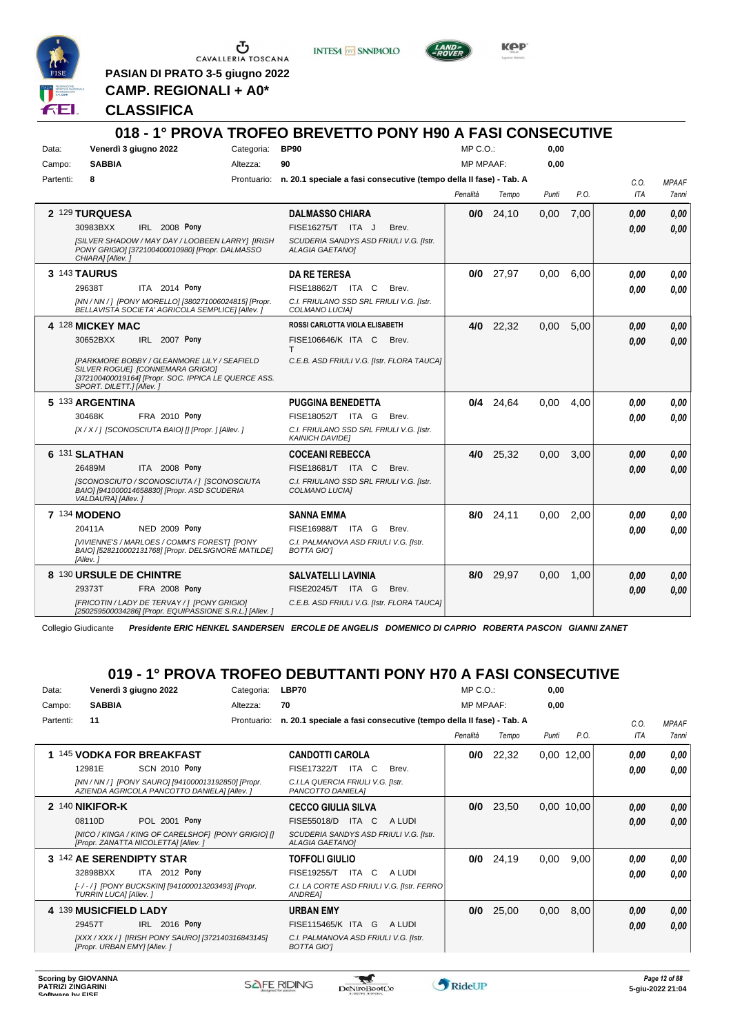

Ⴠ CAVALLERIA TOSCANA

**PASIAN DI PRATO 3-5 giugno 2022 CAMP. REGIONALI + A0\***

**INTESA** M SANPAOLO



**Kep** 

#### **CLASSIFICA**

|           |                                                                                                                                                                     |                      |            | 018 - 1° PROVA TROFEO BREVETTO PONY H90 A FASI CONSECUTIVE                     |                  |             |       |      |            |              |
|-----------|---------------------------------------------------------------------------------------------------------------------------------------------------------------------|----------------------|------------|--------------------------------------------------------------------------------|------------------|-------------|-------|------|------------|--------------|
| Data:     | Venerdì 3 giugno 2022                                                                                                                                               |                      | Categoria: | <b>BP90</b>                                                                    | MP C. O.         |             | 0.00  |      |            |              |
| Campo:    | <b>SABBIA</b>                                                                                                                                                       |                      | Altezza:   | 90                                                                             | <b>MP MPAAF:</b> |             | 0,00  |      |            |              |
| Partenti: | 8                                                                                                                                                                   |                      |            | Prontuario: n. 20.1 speciale a fasi consecutive (tempo della II fase) - Tab. A |                  |             |       |      | C.O.       | <b>MPAAF</b> |
|           |                                                                                                                                                                     |                      |            |                                                                                | Penalità         | Tempo       | Punti | P.O. | <b>ITA</b> | <b>7anni</b> |
|           | 2 129 TURQUESA                                                                                                                                                      |                      |            | <b>DALMASSO CHIARA</b>                                                         | 0/0              | 24.10       | 0.00  | 7.00 | 0.00       | 0.00         |
|           | 30983BXX                                                                                                                                                            | <b>IRL 2008 Pony</b> |            | FISE16275/T ITA J<br>Brev.                                                     |                  |             |       |      | 0.00       | 0.00         |
|           | [SILVER SHADOW / MAY DAY / LOOBEEN LARRY] [IRISH<br>PONY GRIGIO] [372100400010980] [Propr. DALMASSO<br>CHIARA] [Allev.]                                             |                      |            | SCUDERIA SANDYS ASD FRIULI V.G. [Istr.<br><b>ALAGIA GAETANO]</b>               |                  |             |       |      |            |              |
|           | <b>3 143 TAURUS</b>                                                                                                                                                 |                      |            | <b>DA RE TERESA</b>                                                            |                  | $0/0$ 27,97 | 0.00  | 6.00 | 0.00       | 0,00         |
|           | 29638T                                                                                                                                                              | ITA 2014 Pony        |            | FISE18862/T ITA C<br>Brev.                                                     |                  |             |       |      | 0.00       | 0.00         |
|           | [NN / NN / ] [PONY MORELLO] [380271006024815] [Propr.<br>BELLAVISTA SOCIETA' AGRICOLA SEMPLICE  [Allev.]                                                            |                      |            | C.I. FRIULANO SSD SRL FRIULI V.G. [Istr.<br>COLMANO LUCIA]                     |                  |             |       |      |            |              |
|           | 4 128 MICKEY MAC                                                                                                                                                    |                      |            | ROSSI CARLOTTA VIOLA ELISABETH                                                 | 4/0              | 22.32       | 0.00  | 5.00 | 0.00       | 0.00         |
|           | 30652BXX                                                                                                                                                            | IRL 2007 Pony        |            | <b>FISE106646/K ITA C</b><br>Brev.<br>т                                        |                  |             |       |      | 0.00       | 0,00         |
|           | [PARKMORE BOBBY / GLEANMORE LILY / SEAFIELD<br>SILVER ROGUEI [CONNEMARA GRIGIO]<br>[372100400019164] [Propr. SOC. IPPICA LE QUERCE ASS.<br>SPORT. DILETT.] [Allev.] |                      |            | C.E.B. ASD FRIULI V.G. [Istr. FLORA TAUCA]                                     |                  |             |       |      |            |              |
|           | 5 133 ARGENTINA                                                                                                                                                     |                      |            | <b>PUGGINA BENEDETTA</b>                                                       |                  | $0/4$ 24,64 | 0,00  | 4.00 | 0.00       | 0.00         |
|           | 30468K                                                                                                                                                              | <b>FRA 2010 Pony</b> |            | FISE18052/T ITA G<br>Brev.                                                     |                  |             |       |      | 0.00       | 0.00         |
|           | [X / X / ] [SCONOSCIUTA BAIO] [] [Propr. ] [Allev. ]                                                                                                                |                      |            | C.I. FRIULANO SSD SRL FRIULI V.G. [Istr.<br><b>KAINICH DAVIDE]</b>             |                  |             |       |      |            |              |
|           | 6 131 SLATHAN                                                                                                                                                       |                      |            | <b>COCEANI REBECCA</b>                                                         |                  | 4/0 25,32   | 0,00  | 3,00 | 0.00       | 0.00         |
|           | 26489M                                                                                                                                                              | ITA 2008 Pony        |            | FISE18681/T ITA C<br>Brev.                                                     |                  |             |       |      | 0.00       | 0.00         |
|           | [SCONOSCIUTO / SCONOSCIUTA / ] [SCONOSCIUTA<br>BAIO] [941000014658830] [Propr. ASD SCUDERIA<br>VALDAURA] [Allev.]                                                   |                      |            | C.I. FRIULANO SSD SRL FRIULI V.G. [Istr.<br>COLMANO LUCIA]                     |                  |             |       |      |            |              |
|           | <b>7 134 MODENO</b>                                                                                                                                                 |                      |            | <b>SANNA EMMA</b>                                                              |                  | 8/0 24,11   | 0,00  | 2.00 | 0.00       | 0,00         |
|           | 20411A                                                                                                                                                              | NED 2009 Pony        |            | FISE16988/T ITA G<br>Brev.                                                     |                  |             |       |      | 0.00       | 0.00         |
|           | [VIVIENNE'S / MARLOES / COMM'S FOREST] [PONY<br>BAIO] [528210002131768] [Propr. DELSIGNORE MATILDE]<br>[Allev.]                                                     |                      |            | C.I. PALMANOVA ASD FRIULI V.G. [Istr.<br><b>BOTTA GIOT</b>                     |                  |             |       |      |            |              |
|           | 8 130 URSULE DE CHINTRE                                                                                                                                             |                      |            | <b>SALVATELLI LAVINIA</b>                                                      | 8/0              | 29.97       | 0.00  | 1.00 | 0.00       | 0,00         |
|           | 29373T                                                                                                                                                              | <b>FRA 2008 Pony</b> |            | FISE20245/T ITA G<br>Brev.                                                     |                  |             |       |      | 0.00       | 0.00         |
|           | [FRICOTIN / LADY DE TERVAY / ] [PONY GRIGIO]<br>[250259500034286] [Propr. EQUIPASSIONE S.R.L.] [Allev.]                                                             |                      |            | C.E.B. ASD FRIULI V.G. [Istr. FLORA TAUCA]                                     |                  |             |       |      |            |              |

Collegio Giudicante *Presidente ERIC HENKEL SANDERSEN ERCOLE DE ANGELIS DOMENICO DI CAPRIO ROBERTA PASCON GIANNI ZANET*

# **019 - 1° PROVA TROFEO DEBUTTANTI PONY H70 A FASI CONSECUTIVE**

| Data:     | Venerdì 3 giugno 2022                                                                              | Categoria:  | LBP70                                                              | $MP C. O.$ :     |       | 0,00  |            |            |              |
|-----------|----------------------------------------------------------------------------------------------------|-------------|--------------------------------------------------------------------|------------------|-------|-------|------------|------------|--------------|
| Campo:    | <b>SABBIA</b>                                                                                      | Altezza:    | 70                                                                 | <b>MP MPAAF:</b> |       | 0,00  |            |            |              |
| Partenti: | 11                                                                                                 | Prontuario: | n. 20.1 speciale a fasi consecutive (tempo della Il fase) - Tab. A |                  |       |       |            | C.O.       | <b>MPAAF</b> |
|           |                                                                                                    |             |                                                                    | Penalità         | Tempo | Punti | P.O.       | <b>ITA</b> | 7anni        |
|           | 1 145 VODKA FOR BREAKFAST                                                                          |             | <b>CANDOTTI CAROLA</b>                                             | 0/0              | 22,32 |       | 0,00 12,00 | 0.00       | 0,00         |
|           | <b>SCN 2010 Pony</b><br>12981E                                                                     |             | ITA C<br><b>FISE17322/T</b><br>Brev.                               |                  |       |       |            | 0.00       | 0.00         |
|           | [NN / NN / ] [PONY SAURO] [941000013192850] [Propr.<br>AZIENDA AGRICOLA PANCOTTO DANIELA] [Allev.] |             | C.I.LA QUERCIA FRIULI V.G. [Istr.<br>PANCOTTO DANIELA]             |                  |       |       |            |            |              |
|           | 2 140 NIKIFOR-K                                                                                    |             | <b>CECCO GIULIA SILVA</b>                                          | 0/0              | 23,50 |       | 0,00 10,00 | 0,00       | 0.00         |
|           | POL 2001 Pony<br>08110D                                                                            |             | ITA C<br>FISE55018/D<br>A LUDI                                     |                  |       |       |            | 0.00       | 0,00         |
|           | [NICO / KINGA / KING OF CARELSHOF] [PONY GRIGIO] []<br>[Propr. ZANATTA NICOLETTA] [Allev.]         |             | SCUDERIA SANDYS ASD FRIULI V.G. [Istr.<br><b>ALAGIA GAETANOI</b>   |                  |       |       |            |            |              |
|           | 3 142 AE SERENDIPTY STAR                                                                           |             | <b>TOFFOLI GIULIO</b>                                              | 0/0              | 24,19 | 0,00  | 9,00       | 0.00       | 0,00         |
|           | 2012 Pony<br>32898BXX<br>ITA                                                                       |             | <b>FISE19255/T</b><br>ITA<br>C<br>A LUDI                           |                  |       |       |            | 0.00       | 0.00         |
|           | [-/-/] [PONY BUCKSKIN] [941000013203493] [Propr.<br>TURRIN LUCA] [Allev.]                          |             | C.I. LA CORTE ASD FRIULI V.G. [Istr. FERRO]<br>ANDREA1             |                  |       |       |            |            |              |
|           | 4 139 MUSICFIELD LADY                                                                              |             | <b>URBAN EMY</b>                                                   | 0/0              | 25,00 | 0,00  | 8,00       | 0,00       | 0,00         |
|           | IRL 2016 Pony<br>29457T                                                                            |             | FISE115465/K ITA<br>G<br>A LUDI                                    |                  |       |       |            | 0.00       | 0.00         |
|           | [XXX / XXX / ] [IRISH PONY SAURO] [372140316843145]<br>[Propr. URBAN EMY] [Allev. ]                |             | C.I. PALMANOVA ASD FRIULI V.G. [Istr.<br><b>BOTTA GIOT</b>         |                  |       |       |            |            |              |

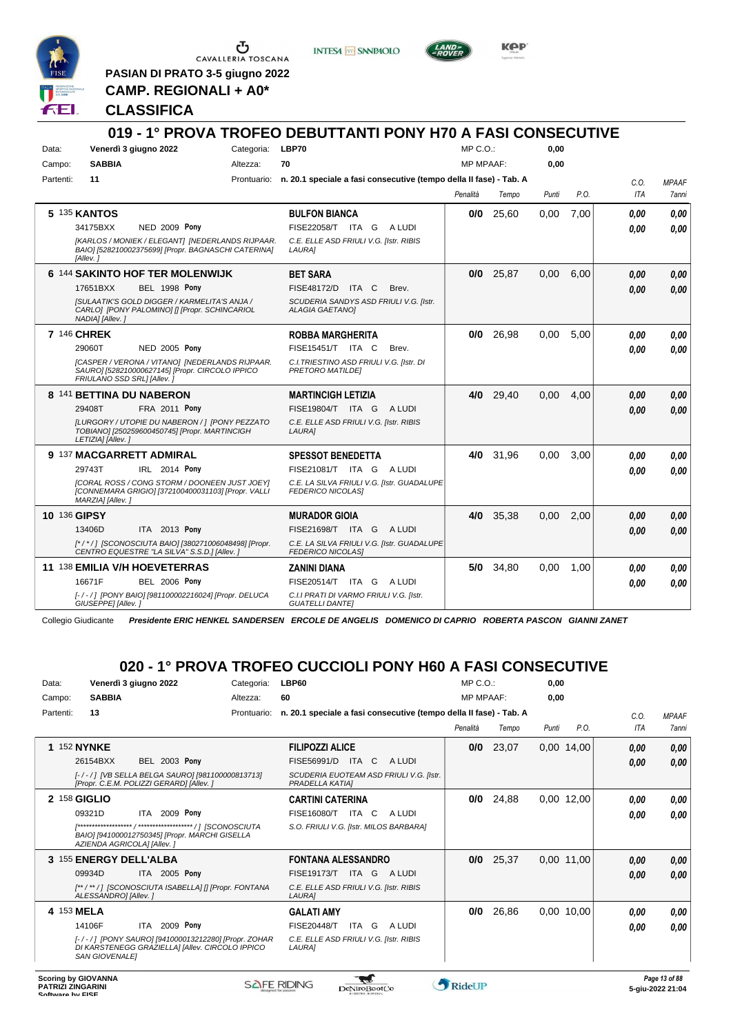

 $\begin{array}{c}\n\bullet \\
\bullet \\
\bullet \\
\bullet \\
\bullet\n\end{array}$  CAVALLERIA TOSCANA

**PASIAN DI PRATO 3-5 giugno 2022 CAMP. REGIONALI + A0\***

**INTESA** M SANPAOLO



**Kep** 

#### **CLASSIFICA**

|           |                            |                                                                                                         |                  | 019 - 1° PROVA TROFEO DEBUTTANTI PONY H70 A FASI CONSECUTIVE                   |                  |             |       |      |            |              |
|-----------|----------------------------|---------------------------------------------------------------------------------------------------------|------------------|--------------------------------------------------------------------------------|------------------|-------------|-------|------|------------|--------------|
| Data:     |                            | Venerdì 3 giugno 2022                                                                                   | Categoria: LBP70 |                                                                                | MP C. O.         |             | 0,00  |      |            |              |
| Campo:    | <b>SABBIA</b>              |                                                                                                         | Altezza:         | 70                                                                             | <b>MP MPAAF:</b> |             | 0,00  |      |            |              |
| Partenti: | 11                         |                                                                                                         |                  | Prontuario: n. 20.1 speciale a fasi consecutive (tempo della II fase) - Tab. A |                  |             |       |      | C.O.       | <b>MPAAF</b> |
|           |                            |                                                                                                         |                  |                                                                                | Penalità         | Tempo       | Punti | P.O. | <b>ITA</b> | <b>7anni</b> |
|           | 5 135 KANTOS               |                                                                                                         |                  | <b>BULFON BIANCA</b>                                                           |                  | $0/0$ 25,60 | 0,00  | 7,00 | 0,00       | 0.00         |
|           | 34175BXX                   | <b>NED 2009 Pony</b>                                                                                    |                  | FISE22058/T ITA G<br>A LUDI                                                    |                  |             |       |      | 0,00       | 0.00         |
|           | [Allev.]                   | [KARLOS / MONIEK / ELEGANT] [NEDERLANDS RIJPAAR.<br>BAIO] [528210002375699] [Propr. BAGNASCHI CATERINA] |                  | C.E. ELLE ASD FRIULI V.G. [Istr. RIBIS<br><b>LAURA1</b>                        |                  |             |       |      |            |              |
|           |                            | 6 144 SAKINTO HOF TER MOLENWIJK                                                                         |                  | <b>BET SARA</b>                                                                | 0/0              | 25.87       | 0.00  | 6.00 | 0.00       | 0.00         |
|           | 17651BXX                   | <b>BEL 1998 Pony</b>                                                                                    |                  | FISE48172/D ITA C<br>Brev.                                                     |                  |             |       |      | 0.00       | 0.00         |
|           | NADIA] [Allev.]            | <b>ISULAATIK'S GOLD DIGGER / KARMELITA'S ANJA /</b><br>CARLO] [PONY PALOMINO] [] [Propr. SCHINCARIOL    |                  | SCUDERIA SANDYS ASD FRIULI V.G. Ilstr.<br><b>ALAGIA GAETANOI</b>               |                  |             |       |      |            |              |
|           | 7 146 CHREK                |                                                                                                         |                  | <b>ROBBA MARGHERITA</b>                                                        | 0/0              | 26.98       | 0.00  | 5.00 | 0.00       | 0.00         |
|           | 29060T                     | <b>NED 2005 Pony</b>                                                                                    |                  | FISE15451/T ITA C<br>Brev.                                                     |                  |             |       |      | 0.00       | 0,00         |
|           | FRIULANO SSD SRL1 [Allev.] | [CASPER / VERONA / VITANO] [NEDERLANDS RIJPAAR.<br>SAURO] [528210000627145] [Propr. CIRCOLO IPPICO      |                  | C.I. TRIESTINO ASD FRIULI V.G. [Istr. DI<br><b>PRETORO MATILDEI</b>            |                  |             |       |      |            |              |
|           |                            | 8 141 BETTINA DU NABERON                                                                                |                  | <b>MARTINCIGH LETIZIA</b>                                                      | 4/0              | 29,40       | 0,00  | 4,00 | 0.00       | 0,00         |
|           | 29408T                     | <b>FRA 2011 Pony</b>                                                                                    |                  | FISE19804/T ITA G<br>A LUDI                                                    |                  |             |       |      | 0.00       | 0.00         |
|           | LETIZIA] [Allev.]          | ILURGORY / UTOPIE DU NABERON /   [PONY PEZZATO<br>TOBIANO] [250259600450745] [Propr. MARTINCIGH         |                  | C.E. ELLE ASD FRIULI V.G. [Istr. RIBIS<br>LAURA]                               |                  |             |       |      |            |              |
|           |                            | 9 137 MACGARRETT ADMIRAL                                                                                |                  | <b>SPESSOT BENEDETTA</b>                                                       | 4/0              | 31,96       | 0,00  | 3.00 | 0.00       | 0.00         |
|           | 29743T                     | IRL 2014 Pony                                                                                           |                  | FISE21081/T ITA G ALUDI                                                        |                  |             |       |      | 0.00       | 0,00         |
|           | MARZIA] [Allev.]           | [CORAL ROSS / CONG STORM / DOONEEN JUST JOEY]<br>[CONNEMARA GRIGIO] [372100400031103] [Propr. VALLI     |                  | C.E. LA SILVA FRIULI V.G. [Istr. GUADALUPE<br><b>FEDERICO NICOLASI</b>         |                  |             |       |      |            |              |
|           | <b>10 136 GIPSY</b>        |                                                                                                         |                  | <b>MURADOR GIOIA</b>                                                           | 4/0              | 35,38       | 0,00  | 2,00 | 0.00       | 0.00         |
|           | 13406D                     | ITA 2013 Pony                                                                                           |                  | FISE21698/T ITA G<br>A LUDI                                                    |                  |             |       |      | 0.00       | 0.00         |
|           |                            | [*/*/1 [SCONOSCIUTA BAIO] [380271006048498] [Propr.<br>CENTRO EQUESTRE "LA SILVA" S.S.D.] [Allev.]      |                  | C.E. LA SILVA FRIULI V.G. [Istr. GUADALUPE<br><b>FEDERICO NICOLASI</b>         |                  |             |       |      |            |              |
|           |                            | 11 138 EMILIA V/H HOEVETERRAS                                                                           |                  | <b>ZANINI DIANA</b>                                                            |                  | 5/0 34,80   | 0,00  | 1,00 | 0,00       | 0.00         |
|           | 16671F                     | <b>BEL 2006 Pony</b>                                                                                    |                  | FISE20514/T ITA G<br>A LUDI                                                    |                  |             |       |      | 0,00       | 0.00         |
|           | GIUSEPPE] [Allev.]         | [-/-/] [PONY BAIO] [981100002216024] [Propr. DELUCA                                                     |                  | C.I.I PRATI DI VARMO FRIULI V.G. [Istr.<br><b>GUATELLI DANTEI</b>              |                  |             |       |      |            |              |

Collegio Giudicante *Presidente ERIC HENKEL SANDERSEN ERCOLE DE ANGELIS DOMENICO DI CAPRIO ROBERTA PASCON GIANNI ZANET*

# **020 - 1° PROVA TROFEO CUCCIOLI PONY H60 A FASI CONSECUTIVE**

| Data:     | Venerdì 3 giugno 2022                                                                                                           | Categoria:  | <b>LBP60</b>                                                       | $MP C. O.$ :     |       | 0,00  |              |      |              |
|-----------|---------------------------------------------------------------------------------------------------------------------------------|-------------|--------------------------------------------------------------------|------------------|-------|-------|--------------|------|--------------|
| Campo:    | <b>SABBIA</b>                                                                                                                   | Altezza:    | 60                                                                 | <b>MP MPAAF:</b> |       | 0.00  |              |      |              |
| Partenti: | 13                                                                                                                              | Prontuario: | n. 20.1 speciale a fasi consecutive (tempo della II fase) - Tab. A |                  |       |       |              | C.0. | <b>MPAAF</b> |
|           |                                                                                                                                 |             |                                                                    | Penalità         | Tempo | Punti | P.O.         | ITA  | <b>7anni</b> |
|           | <b>1 152 NYNKE</b>                                                                                                              |             | <b>FILIPOZZI ALICE</b>                                             | 0/0              | 23,07 |       | $0,00$ 14,00 | 0,00 | 0,00         |
|           | <b>BEL 2003 Pony</b><br>26154BXX                                                                                                |             | ITA C<br>FISE56991/D<br>A LUDI                                     |                  |       |       |              | 0.00 | 0,00         |
|           | [-/-/] [VB SELLA BELGA SAURO] [981100000813713]<br>[Propr. C.E.M. POLIZZI GERARD] [Allev. ]                                     |             | SCUDERIA EUOTEAM ASD FRIULI V.G. [Istr.<br>PRADELLA KATIAI         |                  |       |       |              |      |              |
|           | 2 158 GIGLIO                                                                                                                    |             | <b>CARTINI CATERINA</b>                                            | 0/0              | 24,88 |       | $0,00$ 12,00 | 0.00 | 0,00         |
|           | ITA 2009 Pony<br>09321D                                                                                                         |             | ITA<br>FISE16080/T<br>C<br>A LUDI                                  |                  |       |       |              | 0,00 | 0.00         |
|           | BAIO] [941000012750345] [Propr. MARCHI GISELLA<br>AZIENDA AGRICOLAI [Allev.]                                                    |             | S.O. FRIULI V.G. [Istr. MILOS BARBARA]                             |                  |       |       |              |      |              |
|           | 3 155 ENERGY DELL'ALBA                                                                                                          |             | <b>FONTANA ALESSANDRO</b>                                          | 0/0              | 25,37 |       | 0.00 11.00   | 0,00 | 0,00         |
|           | ITA 2005 Pony<br>09934D                                                                                                         |             | FISE19173/T ITA G<br>A LUDI                                        |                  |       |       |              | 0.00 | 0.00         |
|           | [**/**/] [SCONOSCIUTA ISABELLA] [] [Propr. FONTANA<br>ALESSANDRO1 [Allev. 1                                                     |             | C.E. ELLE ASD FRIULI V.G. [Istr. RIBIS<br><b>LAURA1</b>            |                  |       |       |              |      |              |
|           | 4 153 MELA                                                                                                                      |             | <b>GALATI AMY</b>                                                  | 0/0              | 26,86 |       | 0.00 10.00   | 0,00 | 0.00         |
|           | 2009 Pony<br>14106F<br>ITA                                                                                                      |             | <b>FISE20448/T</b><br>ITA G<br>A LUDI                              |                  |       |       |              | 0,00 | 0.00         |
|           | [-/-/] [PONY SAURO] [941000013212280] [Propr. ZOHAR<br>DI KARSTENEGG GRAZIELLA] [Allev. CIRCOLO IPPICO<br><b>SAN GIOVENALEI</b> |             | C.E. ELLE ASD FRIULI V.G. [Istr. RIBIS<br>LAURA]                   |                  |       |       |              |      |              |
|           |                                                                                                                                 |             |                                                                    |                  |       |       |              |      |              |

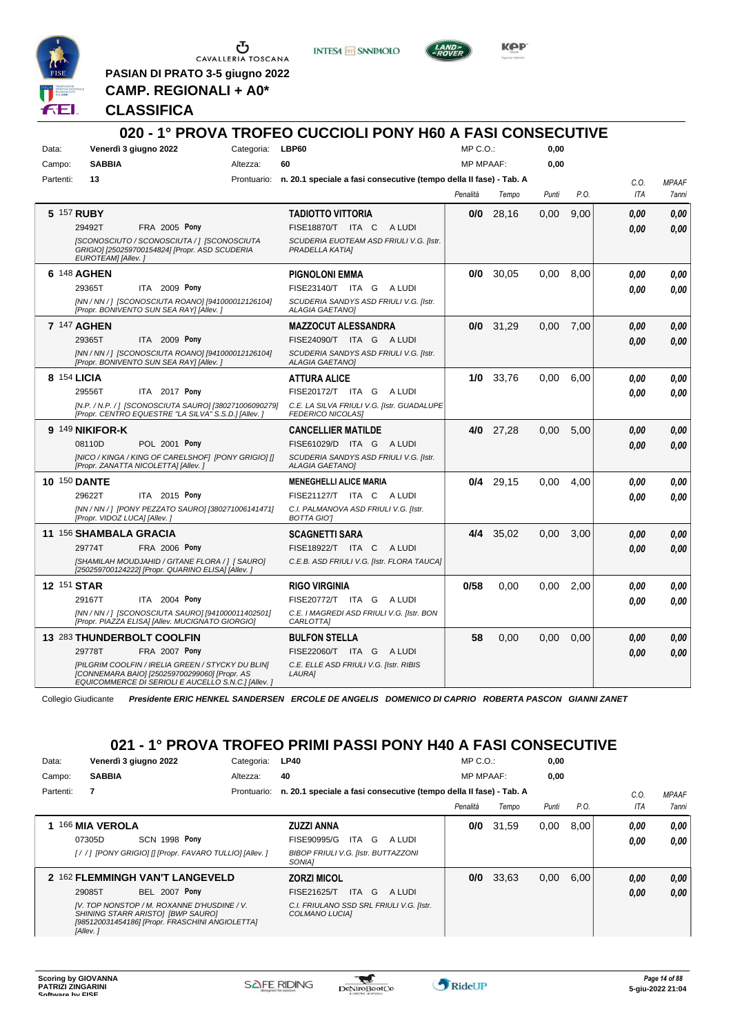

 $\begin{array}{c}\n\bullet \\
\bullet \\
\bullet \\
\bullet \\
\bullet\n\end{array}$  CAVALLERIA TOSCANA

**PASIAN DI PRATO 3-5 giugno 2022 CAMP. REGIONALI + A0\***

**INTESA** M SANPAOLO



**Kep** 

**CLASSIFICA**

| Data:<br>Campo:     | Venerdì 3 giugno 2022<br><b>SABBIA</b>                                                                                                                    | Categoria: LBP60<br>Altezza: | 60                                                                             | MP C.O.:<br><b>MP MPAAF:</b> |             | 0,00<br>0.00 |      |            |              |
|---------------------|-----------------------------------------------------------------------------------------------------------------------------------------------------------|------------------------------|--------------------------------------------------------------------------------|------------------------------|-------------|--------------|------|------------|--------------|
| Partenti:           | 13                                                                                                                                                        |                              | Prontuario: n. 20.1 speciale a fasi consecutive (tempo della II fase) - Tab. A |                              |             |              |      | C.O.       | <b>MPAAF</b> |
|                     |                                                                                                                                                           |                              |                                                                                | Penalità                     | Tempo       | Punti        | P.O. | <b>ITA</b> | 7anni        |
| 5 157 RUBY          |                                                                                                                                                           |                              | <b>TADIOTTO VITTORIA</b>                                                       | 0/0                          | 28,16       | 0,00         | 9,00 | 0.00       | 0.00         |
|                     | FRA 2005 Pony<br>29492T                                                                                                                                   |                              | FISE18870/T ITA C<br>A LUDI                                                    |                              |             |              |      | 0.00       | 0.00         |
|                     | [SCONOSCIUTO / SCONOSCIUTA / ] [SCONOSCIUTA<br>GRIGIO] [250259700154824] [Propr. ASD SCUDERIA<br>EUROTEAM] [Allev.]                                       |                              | SCUDERIA EUOTEAM ASD FRIULI V.G. [Istr.<br>PRADELLA KATIAI                     |                              |             |              |      |            |              |
| 6 148 AGHEN         |                                                                                                                                                           |                              | <b>PIGNOLONI EMMA</b>                                                          | 0/0                          | 30,05       | 0,00         | 8,00 | 0.00       | 0.00         |
|                     | 29365T<br>ITA 2009 Pony                                                                                                                                   |                              | FISE23140/T ITA G ALUDI                                                        |                              |             |              |      | 0.00       | 0.00         |
|                     | [NN / NN / ] [SCONOSCIUTA ROANO] [941000012126104]<br>[Propr. BONIVENTO SUN SEA RAY] [Allev. ]                                                            |                              | SCUDERIA SANDYS ASD FRIULI V.G. [Istr.<br><b>ALAGIA GAETANOI</b>               |                              |             |              |      |            |              |
| 7 147 AGHEN         |                                                                                                                                                           |                              | <b>MAZZOCUT ALESSANDRA</b>                                                     |                              | $0/0$ 31,29 | 0.00         | 7,00 | 0.00       | 0.00         |
|                     | 29365T<br>ITA 2009 Pony                                                                                                                                   |                              | FISE24090/T ITA G ALUDI                                                        |                              |             |              |      | 0.00       | 0.00         |
|                     | [NN / NN / ] [SCONOSCIUTA ROANO] [941000012126104]<br>[Propr. BONIVENTO SUN SEA RAY] [Allev.]                                                             |                              | SCUDERIA SANDYS ASD FRIULI V.G. [Istr.<br><b>ALAGIA GAETANOI</b>               |                              |             |              |      |            |              |
| 8 154 LICIA         |                                                                                                                                                           |                              | <b>ATTURA ALICE</b>                                                            |                              | 1/0 33,76   | 0,00         | 6,00 | 0.00       | 0.00         |
|                     | 29556T<br>ITA 2017 Pony                                                                                                                                   |                              | FISE20172/T ITA G A LUDI                                                       |                              |             |              |      | 0.00       | 0.00         |
|                     | [N.P. / N.P. / ] [SCONOSCIUTA SAURO] [380271006090279]<br>[Propr. CENTRO EQUESTRE "LA SILVA" S.S.D.] [Allev.]                                             |                              | C.E. LA SILVA FRIULI V.G. [Istr. GUADALUPE<br><b>FEDERICO NICOLASI</b>         |                              |             |              |      |            |              |
|                     | 9 149 NIKIFOR-K                                                                                                                                           |                              | <b>CANCELLIER MATILDE</b>                                                      |                              | 4/0 27,28   | 0,00         | 5,00 | 0.00       | 0.00         |
|                     | 08110D<br><b>POL 2001 Pony</b>                                                                                                                            |                              | FISE61029/D ITA G ALUDI                                                        |                              |             |              |      | 0.00       | 0.00         |
|                     | [NICO / KINGA / KING OF CARELSHOF] [PONY GRIGIO] []<br>[Propr. ZANATTA NICOLETTA] [Allev.]                                                                |                              | SCUDERIA SANDYS ASD FRIULI V.G. [Istr.<br><b>ALAGIA GAETANO]</b>               |                              |             |              |      |            |              |
| <b>10 150 DANTE</b> |                                                                                                                                                           |                              | <b>MENEGHELLI ALICE MARIA</b>                                                  |                              | $0/4$ 29,15 | 0.00         | 4.00 | 0.00       | 0.00         |
|                     | ITA 2015 Pony<br>29622T                                                                                                                                   |                              | FISE21127/T ITA C ALUDI                                                        |                              |             |              |      | 0.00       | 0.00         |
|                     | [NN / NN / ] [PONY PEZZATO SAURO] [380271006141471]<br>[Propr. VIDOZ LUCA] [Allev.]                                                                       |                              | C.I. PALMANOVA ASD FRIULI V.G. [Istr.<br><b>BOTTA GIOT</b>                     |                              |             |              |      |            |              |
|                     | 11 156 SHAMBALA GRACIA                                                                                                                                    |                              | <b>SCAGNETTI SARA</b>                                                          |                              | 4/4 35,02   | 0,00         | 3,00 | 0.00       | 0,00         |
|                     | <b>FRA 2006 Pony</b><br>29774T                                                                                                                            |                              | FISE18922/T ITA C ALUDI                                                        |                              |             |              |      | 0.00       | 0.00         |
|                     | [SHAMILAH MOUDJAHID / GITANE FLORA / ] [ SAURO]<br>[250259700124222] [Propr. QUARINO ELISA] [Allev. ]                                                     |                              | C.E.B. ASD FRIULI V.G. [Istr. FLORA TAUCA]                                     |                              |             |              |      |            |              |
| 12 151 STAR         |                                                                                                                                                           |                              | <b>RIGO VIRGINIA</b>                                                           | 0/58                         | 0.00        | 0.00         | 2.00 | 0.00       | 0.00         |
|                     | 29167T<br>2004 Pony<br>ITA                                                                                                                                |                              | FISE20772/T ITA G ALUDI                                                        |                              |             |              |      | 0.00       | 0.00         |
|                     | [NN / NN / ] [SCONOSCIUTA SAURO] [941000011402501]<br>[Propr. PIAZZA ELISA] [Allev. MUCIGNATO GIORGIO]                                                    |                              | C.E. I MAGREDI ASD FRIULI V.G. [Istr. BON<br>CARLOTTA]                         |                              |             |              |      |            |              |
|                     | 13 283 THUNDERBOLT COOLFIN                                                                                                                                |                              | <b>BULFON STELLA</b>                                                           | 58                           | 0.00        | 0.00         | 0.00 | 0,00       | 0,00         |
|                     | 29778T<br>FRA 2007 Pony                                                                                                                                   |                              | FISE22060/T ITA G ALUDI                                                        |                              |             |              |      | 0.00       | 0.00         |
|                     | [PILGRIM COOLFIN / IRELIA GREEN / STYCKY DU BLIN]<br>[CONNEMARA BAIO] [250259700299060] [Propr. AS<br>EQUICOMMERCE DI SERIOLI E AUCELLO S.N.C.1 [Allev. ] |                              | C.E. ELLE ASD FRIULI V.G. [Istr. RIBIS<br><b>LAURA1</b>                        |                              |             |              |      |            |              |

Collegio Giudicante *Presidente ERIC HENKEL SANDERSEN ERCOLE DE ANGELIS DOMENICO DI CAPRIO ROBERTA PASCON GIANNI ZANET*

# **021 - 1° PROVA TROFEO PRIMI PASSI PONY H40 A FASI CONSECUTIVE**

| Data:     |                | Venerdì 3 giugno 2022                                                                                                               | Categoria:  | <b>LP40</b>                                                        | $MP C. O.$ :     |       | 0,00  |      |      |              |
|-----------|----------------|-------------------------------------------------------------------------------------------------------------------------------------|-------------|--------------------------------------------------------------------|------------------|-------|-------|------|------|--------------|
| Campo:    | <b>SABBIA</b>  |                                                                                                                                     | Altezza:    | 40                                                                 | <b>MP MPAAF:</b> |       | 0,00  |      |      |              |
| Partenti: | 7              |                                                                                                                                     | Prontuario: | n. 20.1 speciale a fasi consecutive (tempo della II fase) - Tab. A |                  |       |       |      | C.O. | <b>MPAAF</b> |
|           |                |                                                                                                                                     |             |                                                                    | Penalità         | Tempo | Punti | P.O. | ITA  | 7anni        |
|           | 166 MIA VEROLA |                                                                                                                                     |             | <b>ZUZZI ANNA</b>                                                  | 0/0              | 31,59 | 0,00  | 8.00 | 0.00 | 0,00         |
|           | 07305D         | <b>SCN 1998 Pony</b>                                                                                                                |             | FISE90995/G<br>G<br>ITA<br>A LUDI                                  |                  |       |       |      | 0,00 | 0,00         |
|           |                | [/ /] [PONY GRIGIO] [] [Propr. FAVARO TULLIO] [Allev. ]                                                                             |             | <b>BIBOP FRIULI V.G. [Istr. BUTTAZZONI</b><br>SONIA1               |                  |       |       |      |      |              |
|           |                | 2 162 FLEMMINGH VAN'T LANGEVELD                                                                                                     |             | <b>ZORZI MICOL</b>                                                 | 0/0              | 33.63 | 0,00  | 6.00 | 0.00 | 0,00         |
|           | 29085T         | <b>BEL 2007 Pony</b>                                                                                                                |             | ITA G<br>FISE21625/T<br>A LUDI                                     |                  |       |       |      | 0,00 | 0.00         |
|           | [Allev.]       | [V. TOP NONSTOP / M. ROXANNE D'HUSDINE / V.<br>SHINING STARR ARISTOI [BWP SAURO]<br>[985120031454186] [Propr. FRASCHINI ANGIOLETTA] |             | C.I. FRIULANO SSD SRL FRIULI V.G. [Istr.<br>COLMANO LUCIA]         |                  |       |       |      |      |              |

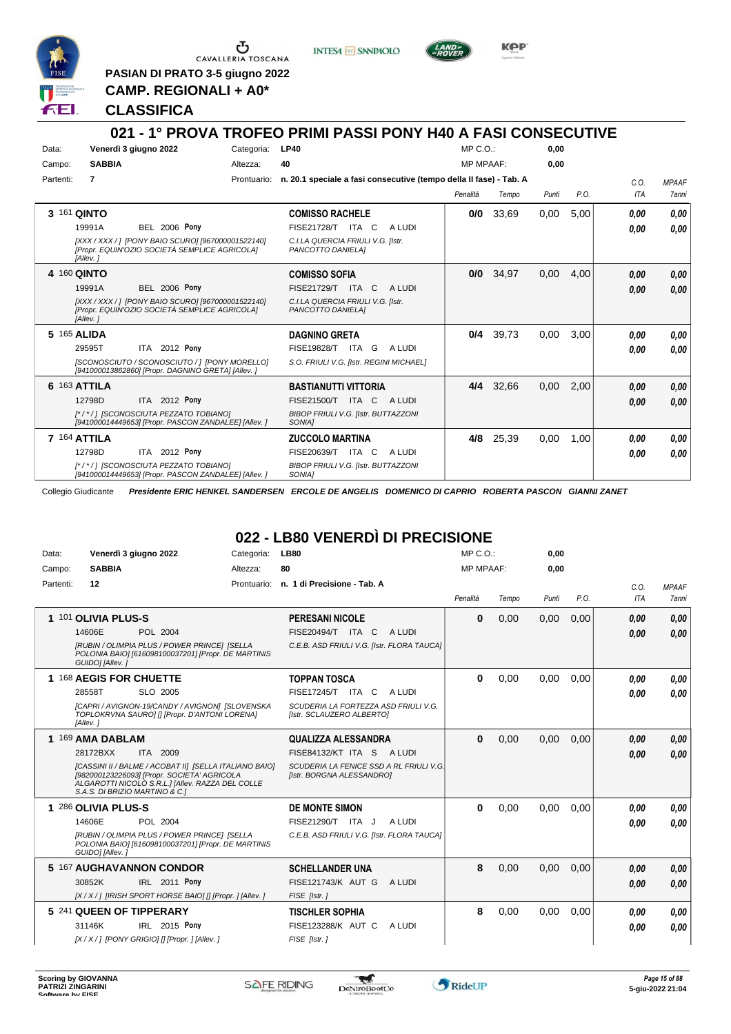

CAVALLERIA TOSCANA

**PASIAN DI PRATO 3-5 giugno 2022 CAMP. REGIONALI + A0\***

**INTESA** M SANPAOLO



KOP

#### **CLASSIFICA**

#### **021 - 1° PROVA TROFEO PRIMI PASSI PONY H40 A FASI CONSECUTIVE** Data: Venerdì 3 giugno 2022 Categoria: LP40 Prontuario: **n. 20.1 speciale a fasi consecutive (tempo della II fase) - Tab. A** Campo: **SABBIA** Partenti: **7** Altezza: **40**  $MP \cap \bigcap$ MP MPAAF: **0,00 0,00** *Penalità Tempo Punti P.O. C.O. ITA MPAAF 7anni* **3** 161 **QINTO BEL 2006 Pony COMISSO RACHELE** *[XXX / XXX / ] [PONY BAIO SCURO] [967000001522140] [Propr. EQUIN'OZIO SOCIETÀ SEMPLICE AGRICOLA] [Allev. ] C.I.LA QUERCIA FRIULI V.G. [Istr. PANCOTTO DANIELA]* ITA C A LUDI 19991A FISE21728/T *0,00* **Pony 0/0** 33,69 0,00 5,00 *0,00 0,00 0,00* **4** 160 **QINTO BEL 2006 Pony COMISSO SOFIA** *[XXX / XXX / ] [PONY BAIO SCURO] [967000001522140] [Propr. EQUIN'OZIO SOCIETÀ SEMPLICE AGRICOLA] [Allev. ] C.I.LA QUERCIA FRIULI V.G. [Istr. PANCOTTO DANIELA]* ITA C A LUDI 19991A FISE21729/T *0,00* **Pony 0/0** 34,97 0,00 4,00 *0,00 0,00 0,00* **5** 165 **ALIDA** ITA 2012 Pony **DAGNINO GRETA** *[SCONOSCIUTO / SCONOSCIUTO / ] [PONY MORELLO] [941000013862860] [Propr. DAGNINO GRETA] [Allev. ] S.O. FRIULI V.G. [Istr. REGINI MICHAEL]* ITA G A LUDI 29595T FISE19828/T *0,00* **Pony 0/4** 39,73 0,00 3,00 *0,00 0,00 0,00* **6** 163 **ATTILA** ITA 2012 Pony **BASTIANUTTI VITTORIA** *[\* / \* / ] [SCONOSCIUTA PEZZATO TOBIANO] [941000014449653] [Propr. PASCON ZANDALEE] [Allev. ] BIBOP FRIULI V.G. [Istr. BUTTAZZONI SONIA]* 12798D ITA 2012 Pony FISE21500/T ITA C A LUDI *0,00 0,00* **4/4** 32,66 0,00 2,00 *0,00 0,00 0,00* **7** 164 **ATTILA ITA** 2012 Pony **ZUCCOLO MARTINA** *[\* / \* / ] [SCONOSCIUTA PEZZATO TOBIANO] [941000014449653] [Propr. PASCON ZANDALEE] [Allev. ] BIBOP FRIULI V.G. [Istr. BUTTAZZONI SONIA]* 12798D ITA 2012 Pony FISE20639/T ITA C A LUDI *0,00 0,00* **4/8** 25,39 0,00 1,00 *0,00 0,00 0,00*

Collegio Giudicante *Presidente ERIC HENKEL SANDERSEN ERCOLE DE ANGELIS DOMENICO DI CAPRIO ROBERTA PASCON GIANNI ZANET*

# **022 - LB80 VENERDÌ DI PRECISIONE**

| Data:     | Venerdì 3 giugno 2022                                                                                                                                                                       | Categoria:  | <b>LB80</b>                                                          | MP C. O.         |       | 0.00  |      |            |              |
|-----------|---------------------------------------------------------------------------------------------------------------------------------------------------------------------------------------------|-------------|----------------------------------------------------------------------|------------------|-------|-------|------|------------|--------------|
| Campo:    | <b>SABBIA</b>                                                                                                                                                                               | Altezza:    | 80                                                                   | <b>MP MPAAF:</b> |       | 0,00  |      |            |              |
| Partenti: | 12                                                                                                                                                                                          | Prontuario: | n. 1 di Precisione - Tab. A                                          |                  |       |       |      | C.O.       | <b>MPAAF</b> |
|           |                                                                                                                                                                                             |             |                                                                      | Penalità         | Tempo | Punti | P.O. | <b>ITA</b> | <b>7anni</b> |
|           | 1 101 OLIVIA PLUS-S                                                                                                                                                                         |             | <b>PERESANI NICOLE</b>                                               | $\bf{0}$         | 0,00  | 0,00  | 0,00 | 0.00       | 0,00         |
|           | 14606E<br>POL 2004                                                                                                                                                                          |             | A LUDI<br>FISE20494/T ITA C                                          |                  |       |       |      | 0.00       | 0,00         |
|           | [RUBIN / OLIMPIA PLUS / POWER PRINCE] [SELLA<br>POLONIA BAIO] [616098100037201] [Propr. DE MARTINIS<br>GUIDO] [Allev.]                                                                      |             | C.E.B. ASD FRIULI V.G. [Istr. FLORA TAUCA]                           |                  |       |       |      |            |              |
|           | 1 168 AEGIS FOR CHUETTE                                                                                                                                                                     |             | <b>TOPPAN TOSCA</b>                                                  | $\bf{0}$         | 0.00  | 0.00  | 0.00 | 0,00       | 0.00         |
|           | 28558T<br>SLO 2005                                                                                                                                                                          |             | FISE17245/T ITA C<br>A LUDI                                          |                  |       |       |      | 0.00       | 0.00         |
|           | [CAPRI / AVIGNON-19/CANDY / AVIGNON] [SLOVENSKA<br>TOPLOKRVNA SAUROI [] [Propr. D'ANTONI LORENA]<br>[Allev.]                                                                                |             | SCUDERIA LA FORTEZZA ASD FRIULI V.G.<br>[Istr. SCLAUZERO ALBERTO]    |                  |       |       |      |            |              |
|           | 1 169 AMA DABLAM                                                                                                                                                                            |             | QUALIZZA ALESSANDRA                                                  | $\mathbf{0}$     | 0,00  | 0,00  | 0,00 | 0.00       | 0,00         |
|           | 28172BXX<br>ITA 2009                                                                                                                                                                        |             | FISE84132/KT ITA S<br>A LUDI                                         |                  |       |       |      | 0.00       | 0.00         |
|           | [CASSINI II / BALME / ACOBAT II] [SELLA ITALIANO BAIO]<br>[982000123226093] [Propr. SOCIETA' AGRICOLA<br>ALGAROTTI NICOLÒ S.R.L.] [Allev. RAZZA DEL COLLE<br>S.A.S. DI BRIZIO MARTINO & C.] |             | SCUDERIA LA FENICE SSD A RL FRIULI V.G.<br>[Istr. BORGNA ALESSANDRO] |                  |       |       |      |            |              |
|           | 1 286 OLIVIA PLUS-S                                                                                                                                                                         |             | <b>DE MONTE SIMON</b>                                                | $\bf{0}$         | 0,00  | 0,00  | 0,00 | 0.00       | 0.00         |
|           | 14606E<br>POL 2004                                                                                                                                                                          |             | FISE21290/T ITA J<br>A LUDI                                          |                  |       |       |      | 0.00       | 0.00         |
|           | [RUBIN / OLIMPIA PLUS / POWER PRINCE] [SELLA<br>POLONIA BAIO] [616098100037201] [Propr. DE MARTINIS<br>GUIDO] [Allev.]                                                                      |             | C.E.B. ASD FRIULI V.G. [Istr. FLORA TAUCA]                           |                  |       |       |      |            |              |
|           | 5 167 AUGHAVANNON CONDOR                                                                                                                                                                    |             | <b>SCHELLANDER UNA</b>                                               | 8                | 0.00  | 0.00  | 0,00 | 0.00       | 0,00         |
|           | IRL 2011 Pony<br>30852K                                                                                                                                                                     |             | FISE121743/K AUT G<br>A LUDI                                         |                  |       |       |      | 0.00       | 0.00         |
|           | [X / X / ] [IRISH SPORT HORSE BAIO] [] [Propr. ] [Allev. ]                                                                                                                                  |             | FISE [Istr.]                                                         |                  |       |       |      |            |              |
|           | 5 241 QUEEN OF TIPPERARY                                                                                                                                                                    |             | <b>TISCHLER SOPHIA</b>                                               | 8                | 0,00  | 0,00  | 0,00 | 0.00       | 0.00         |
|           | IRL 2015 Pony<br>31146K                                                                                                                                                                     |             | <b>FISE123288/K AUT C</b><br>A LUDI                                  |                  |       |       |      | 0.00       | 0.00         |
|           | [X / X / ] [PONY GRIGIO] [] [Propr. ] [Allev. ]                                                                                                                                             |             | FISE [Istr.]                                                         |                  |       |       |      |            |              |

\*

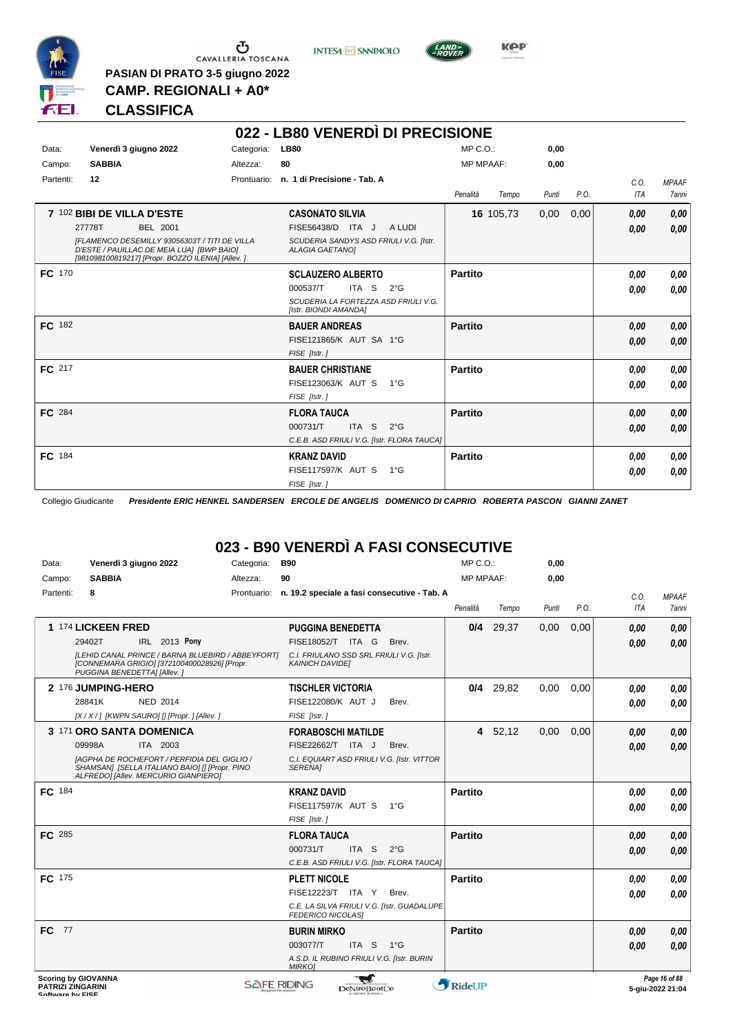

 $\begin{array}{c}\n\bullet \\
\bullet \\
\bullet \\
\bullet\n\end{array}$  CAVALLERIA TOSCANA **PASIAN DI PRATO 3-5 giugno 2022**

**INTESA M** SANPAOLO



**Kep** 

### **CLASSIFICA**

**CAMP. REGIONALI + A0\***

|               |                                                                                                                                                 |            | 022 - LB80 VENERDÌ DI PRECISIONE                                 |                   |       |      |            |              |
|---------------|-------------------------------------------------------------------------------------------------------------------------------------------------|------------|------------------------------------------------------------------|-------------------|-------|------|------------|--------------|
| Data:         | Venerdì 3 giugno 2022                                                                                                                           | Categoria: | <b>LB80</b>                                                      | MP C.O.           | 0,00  |      |            |              |
| Campo:        | <b>SABBIA</b>                                                                                                                                   | Altezza:   | 80                                                               | <b>MP MPAAF:</b>  | 0.00  |      |            |              |
| Partenti:     | 12                                                                                                                                              |            | Prontuario: n. 1 di Precisione - Tab. A                          |                   |       |      | C.0.       | <b>MPAAF</b> |
|               |                                                                                                                                                 |            |                                                                  | Penalità<br>Tempo | Punti | P.O. | <b>ITA</b> | <b>7anni</b> |
|               | 7 102 BIBI DE VILLA D'ESTE                                                                                                                      |            | <b>CASONATO SILVIA</b>                                           | 16 105,73         | 0,00  | 0,00 | 0,00       | 0,00         |
|               | 27778T<br><b>BEL 2001</b>                                                                                                                       |            | FISE56438/D ITA J<br>A LUDI                                      |                   |       |      | 0,00       | 0.00         |
|               | IFLAMENCO DESEMILLY 93056303T / TITI DE VILLA<br>D'ESTE / PAUILLAC DE MEIA LUA] [BWP BAIO]<br>[981098100819217] [Propr. BOZZO ILENIA] [Allev. ] |            | SCUDERIA SANDYS ASD FRIULI V.G. [Istr.<br><b>ALAGIA GAETANOI</b> |                   |       |      |            |              |
| FC 170        |                                                                                                                                                 |            | <b>SCLAUZERO ALBERTO</b>                                         | Partito           |       |      | 0.00       | 0.00         |
|               |                                                                                                                                                 |            | 000537/T<br>ITA S<br>$2^{\circ}G$                                |                   |       |      | 0.00       | 0.00         |
|               |                                                                                                                                                 |            | SCUDERIA LA FORTEZZA ASD FRIULI V.G.<br>[Istr. BIONDI AMANDA]    |                   |       |      |            |              |
| FC 182        |                                                                                                                                                 |            | <b>BAUER ANDREAS</b>                                             | <b>Partito</b>    |       |      | 0.00       | 0,00         |
|               |                                                                                                                                                 |            | FISE121865/K AUT SA 1°G                                          |                   |       |      | 0,00       | 0,00         |
|               |                                                                                                                                                 |            | FISE [Istr.]                                                     |                   |       |      |            |              |
| FC 217        |                                                                                                                                                 |            | <b>BAUER CHRISTIANE</b>                                          | Partito           |       |      | 0.00       | 0.00         |
|               |                                                                                                                                                 |            | FISE123063/K AUT S<br>1°G                                        |                   |       |      | 0.00       | 0.00         |
|               |                                                                                                                                                 |            | FISE [Istr.]                                                     |                   |       |      |            |              |
| <b>FC</b> 284 |                                                                                                                                                 |            | <b>FLORA TAUCA</b>                                               | <b>Partito</b>    |       |      | 0,00       | 0.00         |
|               |                                                                                                                                                 |            | 000731/T<br>ITA S<br>$2^{\circ}$ G                               |                   |       |      | 0,00       | 0.00         |
|               |                                                                                                                                                 |            | C.E.B. ASD FRIULI V.G. [Istr. FLORA TAUCA]                       |                   |       |      |            |              |
| FC 184        |                                                                                                                                                 |            | <b>KRANZ DAVID</b>                                               | Partito           |       |      | 0.00       | 0.00         |
|               |                                                                                                                                                 |            | FISE117597/K AUT S 1°G                                           |                   |       |      | 0.00       | 0.00         |
|               |                                                                                                                                                 |            | FISE [Istr.]                                                     |                   |       |      |            |              |

Collegio Giudicante *Presidente ERIC HENKEL SANDERSEN ERCOLE DE ANGELIS DOMENICO DI CAPRIO ROBERTA PASCON GIANNI ZANET*

# **023 - B90 VENERDÌ A FASI CONSECUTIVE**

| Data:           | Venerdì 3 giugno 2022                                                                                                                        | Categoria:   | <b>B90</b>                                                              | MP C.O.:                       |             | 0,00  |      |      |               |
|-----------------|----------------------------------------------------------------------------------------------------------------------------------------------|--------------|-------------------------------------------------------------------------|--------------------------------|-------------|-------|------|------|---------------|
| Campo:          | <b>SABBIA</b>                                                                                                                                | Altezza:     | 90                                                                      | <b>MP MPAAF:</b>               |             | 0,00  |      |      |               |
| Partenti:       | 8                                                                                                                                            | Prontuario:  | n. 19.2 speciale a fasi consecutive - Tab. A                            |                                |             |       |      | C.O. | <b>MPAAF</b>  |
|                 |                                                                                                                                              |              |                                                                         | Penalità                       | Tempo       | Punti | P.O. | ITA  | 7anni         |
|                 | 1 174 LICKEEN FRED                                                                                                                           |              | <b>PUGGINA BENEDETTA</b>                                                |                                | $0/4$ 29,37 | 0,00  | 0,00 | 0,00 | 0,00          |
|                 | IRL 2013 Pony<br>29402T                                                                                                                      |              | FISE18052/T ITA G<br>Brev.                                              |                                |             |       |      | 0.00 | 0,00          |
|                 | [LEHID CANAL PRINCE / BARNA BLUEBIRD / ABBEYFORT]<br>[CONNEMARA GRIGIO] [372100400028926] [Propr.<br>PUGGINA BENEDETTAI [Allev.]             |              | C.I. FRIULANO SSD SRL FRIULI V.G. [Istr.<br><b>KAINICH DAVIDEI</b>      |                                |             |       |      |      |               |
|                 | 2 176 JUMPING-HERO                                                                                                                           |              | <b>TISCHLER VICTORIA</b>                                                |                                | $0/4$ 29,82 | 0,00  | 0,00 | 0,00 | 0,00          |
|                 | 28841K<br><b>NED 2014</b>                                                                                                                    |              | FISE122080/K AUT J<br>Brev.                                             |                                |             |       |      | 0,00 | 0.00          |
|                 | [X / X / ] [KWPN SAURO] [] [Propr. ] [Allev. ]                                                                                               |              | FISE [Istr.]                                                            |                                |             |       |      |      |               |
|                 | 3 171 ORO SANTA DOMENICA                                                                                                                     |              | <b>FORABOSCHI MATILDE</b>                                               |                                | 4 52,12     | 0,00  | 0,00 | 0,00 | 0,00          |
|                 | 09998A<br>ITA 2003                                                                                                                           |              | FISE22662/T ITA J<br>Brev.                                              |                                |             |       |      | 0.00 | 0.00          |
|                 | <b>IAGPHA DE ROCHEFORT / PERFIDIA DEL GIGLIO /</b><br>SHAMSAN] [SELLA ITALIANO BAIO] [] [Propr. PINO<br>ALFREDO] [Allev. MERCURIO GIANPIERO] |              | C.I. EQUIART ASD FRIULI V.G. [Istr. VITTOR<br><b>SERENA1</b>            |                                |             |       |      |      |               |
| FC 184          |                                                                                                                                              |              | <b>KRANZ DAVID</b>                                                      | <b>Partito</b>                 |             |       |      | 0.00 | 0,00          |
|                 |                                                                                                                                              |              | FISE117597/K AUT S 1°G                                                  |                                |             |       |      | 0.00 | 0,00          |
|                 |                                                                                                                                              |              | FISE [Istr.]                                                            |                                |             |       |      |      |               |
| FC 285          |                                                                                                                                              |              | <b>FLORA TAUCA</b>                                                      | <b>Partito</b>                 |             |       |      | 0,00 | 0,00          |
|                 |                                                                                                                                              |              | 000731/T<br>ITA <sub>S</sub><br>$2^{\circ}$ G                           |                                |             |       |      | 0.00 | 0,00          |
|                 |                                                                                                                                              |              | C.E.B. ASD FRIULI V.G. [Istr. FLORA TAUCA]                              |                                |             |       |      |      |               |
| <b>FC</b> 175   |                                                                                                                                              |              | <b>PLETT NICOLE</b>                                                     | <b>Partito</b>                 |             |       |      | 0,00 | 0,00          |
|                 |                                                                                                                                              |              | FISE12223/T ITA Y<br>Brev.                                              |                                |             |       |      | 0,00 | 0.00          |
|                 |                                                                                                                                              |              | C.E. LA SILVA FRIULI V.G. [Istr. GUADALUPE]<br><b>FEDERICO NICOLAS]</b> |                                |             |       |      |      |               |
| 77<br><b>FC</b> |                                                                                                                                              |              | <b>BURIN MIRKO</b>                                                      | <b>Partito</b>                 |             |       |      | 0,00 | 0,00          |
|                 |                                                                                                                                              |              | 003077/T<br>ITA S<br>$1^{\circ}G$                                       |                                |             |       |      | 0.00 | 0.00          |
|                 |                                                                                                                                              |              | A.S.D. IL RUBINO FRIULI V.G. [Istr. BURIN<br><b>MIRKOJ</b>              |                                |             |       |      |      |               |
|                 | <b>Scoring by GIOVANNA</b>                                                                                                                   | CALLE DINNIC |                                                                         | $\mathbf{A}$ p. 1 $\mathbf{m}$ |             |       |      |      | Page 16 of 88 |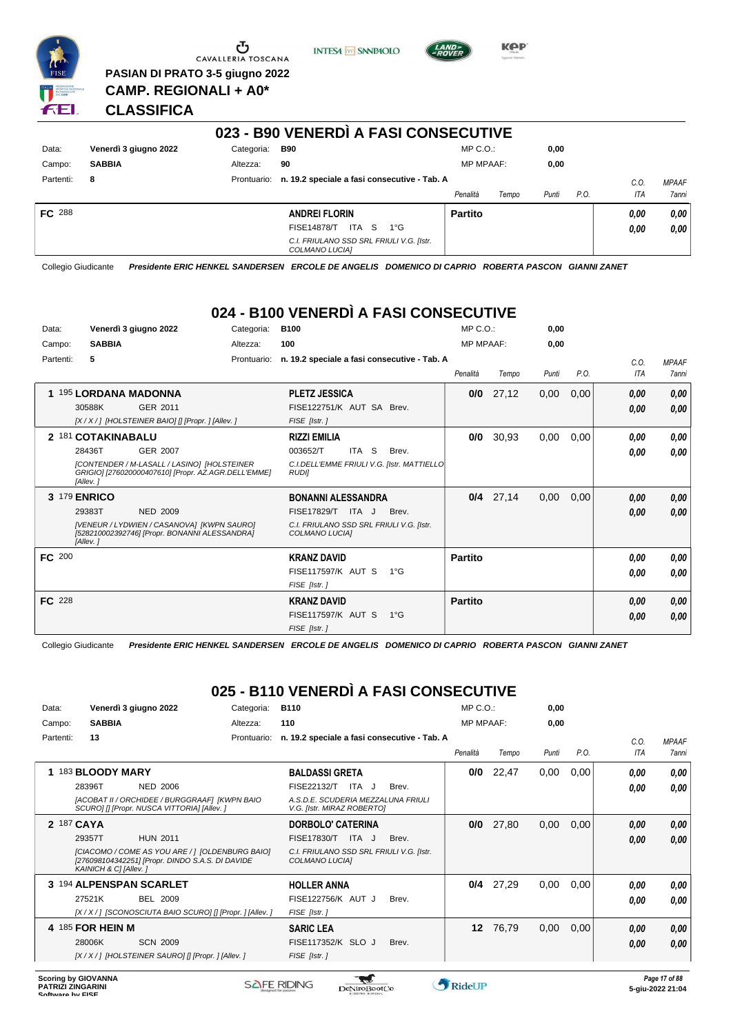

Ⴠ CAVALLERIA TOSCANA

**PASIAN DI PRATO 3-5 giugno 2022 CAMP. REGIONALI + A0\***

**INTESA** M SANPAOLO



**KOP** 

### **CLASSIFICA**

|               |                       |             | 023 - B90 VENERDI A FASI CONSECUTIVE                       |                  |       |       |      |      |              |  |
|---------------|-----------------------|-------------|------------------------------------------------------------|------------------|-------|-------|------|------|--------------|--|
| Data:         | Venerdì 3 giugno 2022 | Categoria:  | B90                                                        | $MP C. O.$ :     |       | 0,00  |      |      |              |  |
| Campo:        | <b>SABBIA</b>         | Altezza:    | 90                                                         | <b>MP MPAAF:</b> |       | 0,00  |      |      |              |  |
| Partenti:     | 8                     | Prontuario: | n. 19.2 speciale a fasi consecutive - Tab. A               |                  |       |       |      | C.O. | <b>MPAAF</b> |  |
|               |                       |             |                                                            | Penalità         | Tempo | Punti | P.O. | ITA  | 7anni        |  |
| <b>FC</b> 288 |                       |             | <b>ANDREI FLORIN</b>                                       | <b>Partito</b>   |       |       |      | 0.00 | 0,00         |  |
|               |                       |             | <b>FISE14878/T</b><br>ITA S<br>$1^{\circ}G$                |                  |       |       |      | 0.00 | 0,00         |  |
|               |                       |             | C.I. FRIULANO SSD SRL FRIULI V.G. [Istr.<br>COLMANO LUCIA] |                  |       |       |      |      |              |  |

Collegio Giudicante *Presidente ERIC HENKEL SANDERSEN ERCOLE DE ANGELIS DOMENICO DI CAPRIO ROBERTA PASCON GIANNI ZANET*

# **024 - B100 VENERDÌ A FASI CONSECUTIVE**

| Data:         | Venerdì 3 giugno 2022                                                                                          | Categoria:  | <b>B100</b>                                                |               | MP C. O.         |             | 0,00  |      |      |              |
|---------------|----------------------------------------------------------------------------------------------------------------|-------------|------------------------------------------------------------|---------------|------------------|-------------|-------|------|------|--------------|
| Campo:        | <b>SABBIA</b>                                                                                                  | Altezza:    | 100                                                        |               | <b>MP MPAAF:</b> |             | 0,00  |      |      |              |
| Partenti:     | 5                                                                                                              | Prontuario: | n. 19.2 speciale a fasi consecutive - Tab. A               |               |                  |             |       |      | C.0. | <b>MPAAF</b> |
|               |                                                                                                                |             |                                                            |               | Penalità         | Tempo       | Punti | P.O. | ITA  | 7anni        |
|               | 1 195 LORDANA MADONNA                                                                                          |             | <b>PLETZ JESSICA</b>                                       |               | 0/0              | 27,12       | 0,00  | 0,00 | 0.00 | 0,00         |
|               | 30588K<br>GER 2011                                                                                             |             | FISE122751/K AUT SA Brev.                                  |               |                  |             |       |      | 0,00 | 0,00         |
|               | [X / X / ] [HOLSTEINER BAIO] [] [Propr. ] [Allev. ]                                                            |             | FISE [Istr.]                                               |               |                  |             |       |      |      |              |
|               | 2 181 COTAKINABALU                                                                                             |             | <b>RIZZI EMILIA</b>                                        |               | 0/0              | 30,93       | 0,00  | 0.00 | 0.00 | 0,00         |
|               | 28436T<br>GER 2007                                                                                             |             | ITA <sub>S</sub><br>003652/T                               | Brev.         |                  |             |       |      | 0.00 | 0.00         |
|               | [CONTENDER / M-LASALL / LASINO] [HOLSTEINER<br>GRIGIO] [276020000407610] [Propr. AZ.AGR.DELL'EMME]<br>[Allev.] |             | C.I.DELL'EMME FRIULI V.G. [Istr. MATTIELLO<br><b>RUDII</b> |               |                  |             |       |      |      |              |
| 3             | <b>179 ENRICO</b>                                                                                              |             | <b>BONANNI ALESSANDRA</b>                                  |               |                  | $0/4$ 27,14 | 0,00  | 0,00 | 0.00 | 0,00         |
|               | 29383T<br><b>NED 2009</b>                                                                                      |             | FISE17829/T ITA J                                          | Brev.         |                  |             |       |      | 0,00 | 0,00         |
|               | [VENEUR / LYDWIEN / CASANOVA] [KWPN SAURO]<br>[528210002392746] [Propr. BONANNI ALESSANDRA]<br>[Allev.]        |             | C.I. FRIULANO SSD SRL FRIULI V.G. [Istr.<br>COLMANO LUCIA] |               |                  |             |       |      |      |              |
| <b>FC 200</b> |                                                                                                                |             | <b>KRANZ DAVID</b>                                         |               | Partito          |             |       |      | 0.00 | 0,00         |
|               |                                                                                                                |             | <b>FISE117597/K AUT S</b>                                  | $1^{\circ}G$  |                  |             |       |      | 0.00 | 0.00         |
|               |                                                                                                                |             | FISE [Istr.]                                               |               |                  |             |       |      |      |              |
| <b>FC</b> 228 |                                                                                                                |             | <b>KRANZ DAVID</b>                                         |               | <b>Partito</b>   |             |       |      | 0,00 | 0,00         |
|               |                                                                                                                |             | <b>FISE117597/K AUT S</b>                                  | $1^{\circ}$ G |                  |             |       |      | 0,00 | 0,00         |
|               |                                                                                                                |             | FISE [Istr.]                                               |               |                  |             |       |      |      |              |

Collegio Giudicante *Presidente ERIC HENKEL SANDERSEN ERCOLE DE ANGELIS DOMENICO DI CAPRIO ROBERTA PASCON GIANNI ZANET*

# **025 - B110 VENERDÌ A FASI CONSECUTIVE**

| Data:      |                       | Venerdì 3 giugno 2022                                                                               | Categoria:  | <b>B110</b>                                                      |       | $MP C. O.$ :     |       | 0,00  |      |            |              |
|------------|-----------------------|-----------------------------------------------------------------------------------------------------|-------------|------------------------------------------------------------------|-------|------------------|-------|-------|------|------------|--------------|
| Campo:     | <b>SABBIA</b>         |                                                                                                     | Altezza:    | 110                                                              |       | <b>MP MPAAF:</b> |       | 0,00  |      |            |              |
| Partenti:  | 13                    |                                                                                                     | Prontuario: | n. 19.2 speciale a fasi consecutive - Tab. A                     |       |                  |       |       |      | C.O.       | <b>MPAAF</b> |
|            |                       |                                                                                                     |             |                                                                  |       | Penalità         | Tempo | Punti | P.O. | <b>ITA</b> | 7anni        |
|            | 183 BLOODY MARY       |                                                                                                     |             | <b>BALDASSI GRETA</b>                                            |       | 0/0              | 22,47 | 0,00  | 0,00 | 0,00       | 0,00         |
|            | 28396T                | <b>NED 2006</b>                                                                                     |             | FISE22132/T<br>ITA J                                             | Brev. |                  |       |       |      | 0.00       | 0.00         |
|            |                       | [ACOBAT II / ORCHIDEE / BURGGRAAF] [KWPN BAIO<br>SCUROI [I [Propr. NUSCA VITTORIA] [Allev. ]        |             | A.S.D.E. SCUDERIA MEZZALUNA FRIULI<br>V.G. [Istr. MIRAZ ROBERTO] |       |                  |       |       |      |            |              |
| 2 187 CAYA |                       |                                                                                                     |             | DORBOLO' CATERINA                                                |       | 0/0              | 27,80 | 0,00  | 0,00 | 0,00       | 0,00         |
|            | 29357T                | <b>HUN 2011</b>                                                                                     |             | FISE17830/T<br>ITA J                                             | Brev. |                  |       |       |      | 0,00       | 0.00         |
|            | KAINICH & C] [Allev.] | [CIACOMO / COME AS YOU ARE / ] [OLDENBURG BAIO]<br>[276098104342251] [Propr. DINDO S.A.S. DI DAVIDE |             | C.I. FRIULANO SSD SRL FRIULI V.G. [Istr.<br>COLMANO LUCIA]       |       |                  |       |       |      |            |              |
|            |                       | 3 194 ALPENSPAN SCARLET                                                                             |             | <b>HOLLER ANNA</b>                                               |       | 0/4              | 27,29 | 0,00  | 0,00 | 0.00       | 0,00         |
|            | 27521K                | <b>BEL 2009</b>                                                                                     |             | FISE122756/K AUT J                                               | Brev. |                  |       |       |      | 0.00       | 0,00         |
|            |                       | [X / X / ] [SCONOSCIUTA BAIO SCURO] [] [Propr. ] [Allev. ]                                          |             | FISE [Istr.]                                                     |       |                  |       |       |      |            |              |
|            | 4 185 FOR HEIN M      |                                                                                                     |             | <b>SARIC LEA</b>                                                 |       | 12 <sup>1</sup>  | 76,79 | 0,00  | 0,00 | 0,00       | 0,00         |
|            | 28006K                | <b>SCN 2009</b>                                                                                     |             | FISE117352/K SLO J                                               | Brev. |                  |       |       |      | 0,00       | 0.00         |
|            |                       | [X/X/] [HOLSTEINER SAURO] [] [Propr. ] [Allev. ]                                                    |             | FISE [Istr.]                                                     |       |                  |       |       |      |            |              |

 $\mathcal{L}$ 

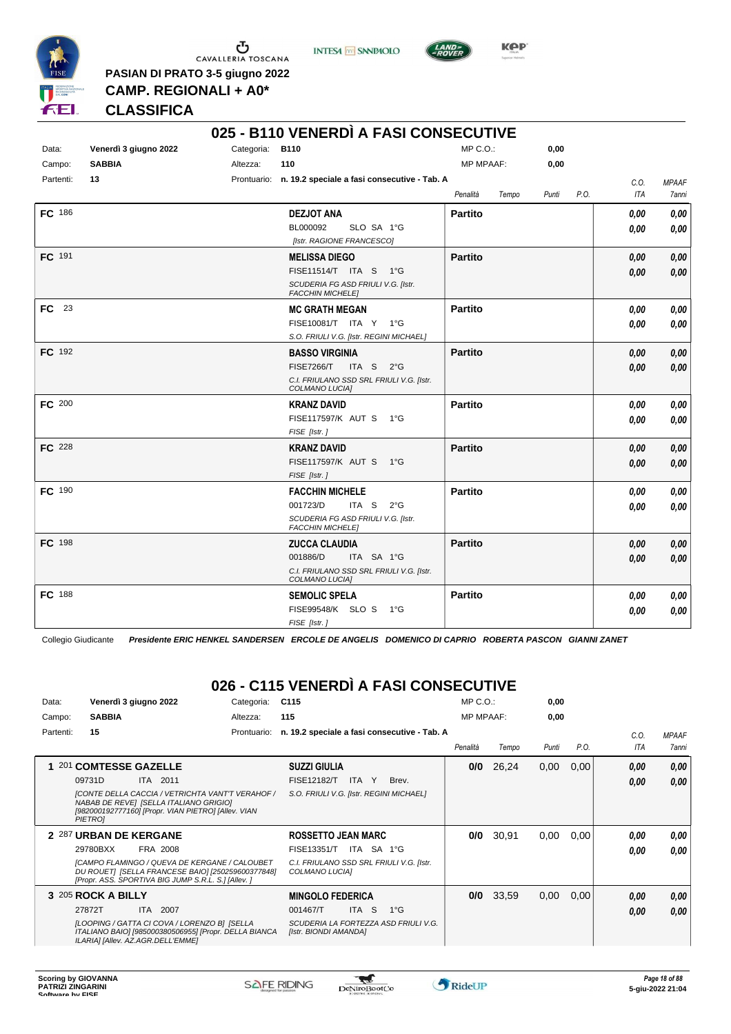

 $\begin{array}{c}\n\bullet \\
\bullet \\
\bullet \\
\bullet \\
\bullet\n\end{array}$  CAVALLERIA TOSCANA **PASIAN DI PRATO 3-5 giugno 2022**

**INTESA** M SANPAOLO



**Kep** 

# **CLASSIFICA**

**CAMP. REGIONALI + A0\***

|               |                       |                 | 025 - B110 VENERDÌ A FASI CONSECUTIVE                         |                   |               |      |              |
|---------------|-----------------------|-----------------|---------------------------------------------------------------|-------------------|---------------|------|--------------|
| Data:         | Venerdì 3 giugno 2022 | Categoria: B110 |                                                               | $MP C. O.$ :      | 0,00          |      |              |
| Campo:        | <b>SABBIA</b>         | Altezza:        | 110                                                           | <b>MP MPAAF:</b>  | 0,00          |      |              |
| Partenti:     | 13                    |                 | Prontuario: n. 19.2 speciale a fasi consecutive - Tab. A      |                   |               | C.O. | <b>MPAAF</b> |
|               |                       |                 |                                                               | Penalità<br>Tempo | P.O.<br>Punti | ITA  | 7anni        |
| <b>FC</b> 186 |                       |                 | <b>DEZJOT ANA</b>                                             | <b>Partito</b>    |               | 0.00 | 0,00         |
|               |                       |                 | BL000092<br>SLO SA 1°G                                        |                   |               | 0.00 | 0.00         |
|               |                       |                 | [Istr. RAGIONE FRANCESCO]                                     |                   |               |      |              |
| FC 191        |                       |                 | <b>MELISSA DIEGO</b>                                          | <b>Partito</b>    |               | 0.00 | 0,00         |
|               |                       |                 | FISE11514/T ITA S 1°G                                         |                   |               | 0,00 | 0,00         |
|               |                       |                 | SCUDERIA FG ASD FRIULI V.G. [Istr.<br><b>FACCHIN MICHELE]</b> |                   |               |      |              |
| FC 23         |                       |                 | <b>MC GRATH MEGAN</b>                                         | <b>Partito</b>    |               | 0,00 | 0,00         |
|               |                       |                 | FISE10081/T ITA Y 1°G                                         |                   |               | 0.00 | 0,00         |
|               |                       |                 | S.O. FRIULI V.G. [Istr. REGINI MICHAEL]                       |                   |               |      |              |
| FC 192        |                       |                 | <b>BASSO VIRGINIA</b>                                         | <b>Partito</b>    |               | 0,00 | 0,00         |
|               |                       |                 | <b>FISE7266/T</b><br>ITA S $2^{\circ}G$                       |                   |               | 0.00 | 0,00         |
|               |                       |                 | C.I. FRIULANO SSD SRL FRIULI V.G. [Istr.<br>COLMANO LUCIA]    |                   |               |      |              |
| FC 200        |                       |                 | <b>KRANZ DAVID</b>                                            | <b>Partito</b>    |               | 0,00 | 0,00         |
|               |                       |                 | FISE117597/K AUT S 1°G                                        |                   |               | 0.00 | 0,00         |
|               |                       |                 | FISE [Istr.]                                                  |                   |               |      |              |
| <b>FC</b> 228 |                       |                 | <b>KRANZ DAVID</b>                                            | <b>Partito</b>    |               | 0,00 | 0,00         |
|               |                       |                 | FISE117597/K AUT S<br>− 1°G                                   |                   |               | 0.00 | 0,00         |
| FC 190        |                       |                 | FISE [Istr.]                                                  |                   |               |      |              |
|               |                       |                 | <b>FACCHIN MICHELE</b><br>ITA S<br>001723/D<br>$2^{\circ}G$   | <b>Partito</b>    |               | 0,00 | 0,00         |
|               |                       |                 | SCUDERIA FG ASD FRIULI V.G. [Istr.                            |                   |               | 0.00 | 0.00         |
|               |                       |                 | <b>FACCHIN MICHELE]</b>                                       |                   |               |      |              |
| <b>FC</b> 198 |                       |                 | <b>ZUCCA CLAUDIA</b>                                          | <b>Partito</b>    |               | 0,00 | 0,00         |
|               |                       |                 | 001886/D<br>ITA SA 1°G                                        |                   |               | 0.00 | 0.00         |
|               |                       |                 | C.I. FRIULANO SSD SRL FRIULI V.G. [Istr.<br>COLMANO LUCIA]    |                   |               |      |              |
| <b>FC</b> 188 |                       |                 | <b>SEMOLIC SPELA</b>                                          | <b>Partito</b>    |               | 0,00 | 0,00         |
|               |                       |                 | FISE99548/K SLO S<br>1°G                                      |                   |               | 0.00 | 0,00         |
|               |                       |                 | FISE [Istr.]                                                  |                   |               |      |              |

Collegio Giudicante *Presidente ERIC HENKEL SANDERSEN ERCOLE DE ANGELIS DOMENICO DI CAPRIO ROBERTA PASCON GIANNI ZANET*

# **026 - C115 VENERDÌ A FASI CONSECUTIVE**

| Data:     | Venerdì 3 giugno 2022                                                                                                                                               | Categoria:  | C <sub>115</sub>                                              | $MP C. O.$ :     |       | 0,00  |      |      |              |
|-----------|---------------------------------------------------------------------------------------------------------------------------------------------------------------------|-------------|---------------------------------------------------------------|------------------|-------|-------|------|------|--------------|
| Campo:    | <b>SABBIA</b>                                                                                                                                                       | Altezza:    | 115                                                           | <b>MP MPAAF:</b> |       | 0,00  |      |      |              |
| Partenti: | 15                                                                                                                                                                  | Prontuario: | n. 19.2 speciale a fasi consecutive - Tab. A                  |                  |       |       |      | C.O. | <b>MPAAF</b> |
|           |                                                                                                                                                                     |             |                                                               | Penalità         | Tempo | Punti | P.O. | ITA  | 7anni        |
| 1 201     | <b>COMTESSE GAZELLE</b>                                                                                                                                             |             | <b>SUZZI GIULIA</b>                                           | 0/0              | 26,24 | 0,00  | 0,00 | 0,00 | 0.00         |
|           | 09731D<br><b>ITA 2011</b>                                                                                                                                           |             | <b>FISE12182/T</b><br>Brev.<br>ITA Y                          |                  |       |       |      | 0.00 | 0.00         |
|           | [CONTE DELLA CACCIA / VETRICHTA VANT'T VERAHOF /<br>NABAB DE REVE] [SELLA ITALIANO GRIGIO]<br>[982000192777160] [Propr. VIAN PIETRO] [Allev. VIAN<br><b>PIETROI</b> |             | S.O. FRIULI V.G. [Istr. REGINI MICHAEL]                       |                  |       |       |      |      |              |
|           | 2 287 URBAN DE KERGANE                                                                                                                                              |             | <b>ROSSETTO JEAN MARC</b>                                     | 0/0              | 30,91 | 0,00  | 0,00 | 0.00 | 0,00         |
|           | 29780BXX<br>FRA 2008                                                                                                                                                |             | ITA SA 1°G<br><b>FISE13351/T</b>                              |                  |       |       |      | 0.00 | 0.00         |
|           | <b>[CAMPO FLAMINGO / QUEVA DE KERGANE / CALOUBET</b><br>DU ROUETI [SELLA FRANCESE BAIO] [250259600377848]<br>[Propr. ASS. SPORTIVA BIG JUMP S.R.L. S.] [Allev. ]    |             | C.I. FRIULANO SSD SRL FRIULI V.G. [Istr.<br>COLMANO LUCIA]    |                  |       |       |      |      |              |
|           | 3 205 ROCK A BILLY                                                                                                                                                  |             | <b>MINGOLO FEDERICA</b>                                       | 0/0              | 33,59 | 0,00  | 0,00 | 0,00 | 0,00         |
|           | 2007<br>27872T<br>ITA I                                                                                                                                             |             | ITA S<br>$1^{\circ}$ G<br>001467/T                            |                  |       |       |      | 0.00 | 0,00         |
|           | [LOOPING / GATTA CI COVA / LORENZO B] [SELLA<br>ITALIANO BAIO] [985000380506955] [Propr. DELLA BIANCA<br>ILARIA] [Allev. AZ.AGR.DELL'EMME]                          |             | SCUDERIA LA FORTEZZA ASD FRIULI V.G.<br>[Istr. BIONDI AMANDA] |                  |       |       |      |      |              |

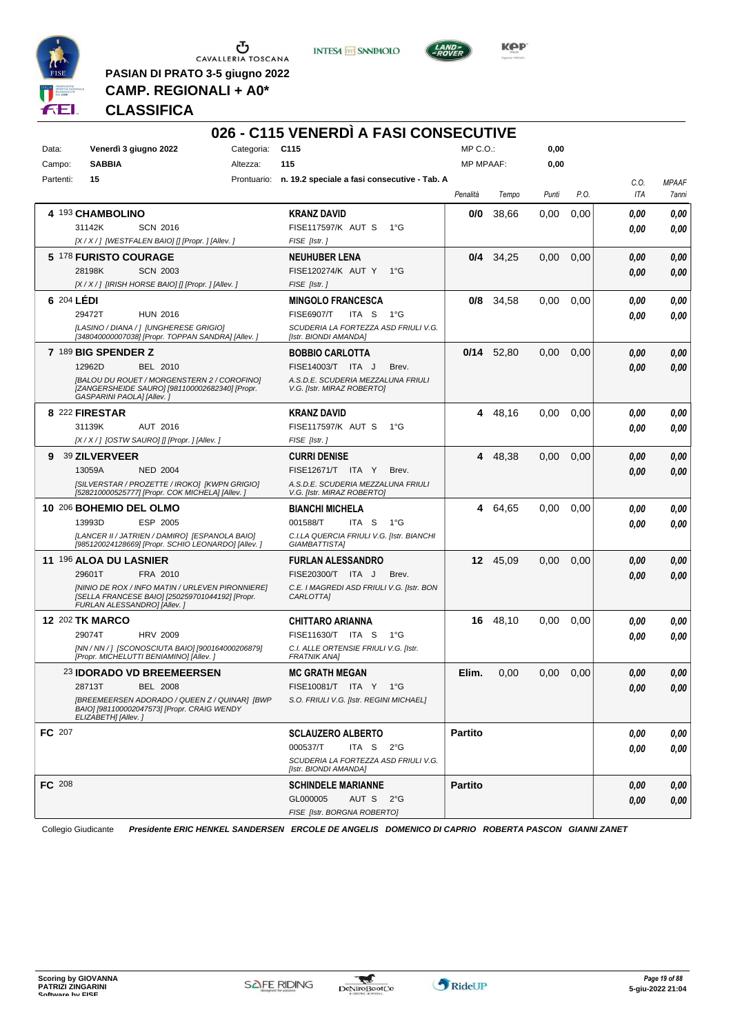

 $\begin{array}{c}\n\bullet \\
\bullet \\
\bullet \\
\bullet\n\end{array}$  CAVALLERIA TOSCANA

**PASIAN DI PRATO 3-5 giugno 2022 CAMP. REGIONALI + A0\***





**KPP** 

**CLASSIFICA**

|               |                                                                                                                                    |                 | 026 - C115 VENERDI A FASI CONSECUTIVE                            |                  |              |       |               |                    |                       |
|---------------|------------------------------------------------------------------------------------------------------------------------------------|-----------------|------------------------------------------------------------------|------------------|--------------|-------|---------------|--------------------|-----------------------|
| Data:         | Venerdì 3 giugno 2022                                                                                                              | Categoria: C115 |                                                                  | MP C.O.:         |              | 0,00  |               |                    |                       |
| Campo:        | <b>SABBIA</b>                                                                                                                      | Altezza:        | 115                                                              | <b>MP MPAAF:</b> |              | 0,00  |               |                    |                       |
| Partenti:     | 15                                                                                                                                 |                 | Prontuario: n. 19.2 speciale a fasi consecutive - Tab. A         | Penalità         | Tempo        | Punti | P.O.          | C.O.<br><b>ITA</b> | <b>MPAAF</b><br>7anni |
|               | 4 193 CHAMBOLINO                                                                                                                   |                 | <b>KRANZ DAVID</b>                                               | 0/0              | 38,66        | 0,00  | 0,00          | 0.00               | 0,00                  |
|               | 31142K<br><b>SCN 2016</b>                                                                                                          |                 | FISE117597/K AUT S<br>1°G                                        |                  |              |       |               | 0.00               | 0,00                  |
|               | [X / X / ] [WESTFALEN BAIO] [] [Propr. ] [Allev. ]                                                                                 |                 | FISE [Istr.]                                                     |                  |              |       |               |                    |                       |
|               | 5 178 FURISTO COURAGE                                                                                                              |                 | <b>NEUHUBER LENA</b>                                             | 0/4              | 34,25        | 0,00  | 0,00          | 0.00               | 0,00                  |
|               | 28198K<br><b>SCN 2003</b>                                                                                                          |                 | FISE120274/K AUT Y<br>$1^{\circ}G$                               |                  |              |       |               | 0.00               | 0,00                  |
|               | [X / X / ] [IRISH HORSE BAIO] [] [Propr. ] [Allev. ]                                                                               |                 | FISE [Istr.]                                                     |                  |              |       |               |                    |                       |
| 6 204 LÉDI    |                                                                                                                                    |                 | <b>MINGOLO FRANCESCA</b>                                         | 0/8              | 34,58        | 0,00  | 0,00          | 0.00               | 0,00                  |
|               | 29472T<br><b>HUN 2016</b>                                                                                                          |                 | <b>FISE6907/T</b><br>ITA S<br>1°G                                |                  |              |       |               | 0.00               | 0,00                  |
|               | [LASINO / DIANA / ] [UNGHERESE GRIGIO]<br>[348040000007038] [Propr. TOPPAN SANDRA] [Allev. ]                                       |                 | SCUDERIA LA FORTEZZA ASD FRIULI V.G.<br>[Istr. BIONDI AMANDA]    |                  |              |       |               |                    |                       |
|               | 7 189 BIG SPENDER Z                                                                                                                |                 | <b>BOBBIO CARLOTTA</b>                                           |                  | $0/14$ 52,80 | 0,00  | 0,00          | 0.00               | 0,00                  |
|               | 12962D<br>BEL 2010                                                                                                                 |                 | FISE14003/T ITA J<br>Brev.                                       |                  |              |       |               | 0.00               | 0,00                  |
|               | <b>IBALOU DU ROUET / MORGENSTERN 2 / COROFINOI</b><br>[ZANGERSHEIDE SAURO] [981100002682340] [Propr.<br>GASPARINI PAOLA] [Allev.]  |                 | A.S.D.E. SCUDERIA MEZZALUNA FRIULI<br>V.G. [Istr. MIRAZ ROBERTO] |                  |              |       |               |                    |                       |
|               | 8 222 FIRESTAR                                                                                                                     |                 | <b>KRANZ DAVID</b>                                               | 4                | 48,16        | 0,00  | 0,00          | 0.00               | 0,00                  |
|               | 31139K<br>AUT 2016                                                                                                                 |                 | <b>FISE117597/K AUT S</b><br>1°G                                 |                  |              |       |               | 0.00               | 0.00                  |
|               | [X/X/] [OSTW SAURO] [] [Propr. ] [Allev. ]                                                                                         |                 | FISE [Istr.]                                                     |                  |              |       |               |                    |                       |
| 9             | 39 ZILVERVEER                                                                                                                      |                 | <b>CURRI DENISE</b>                                              | 4                | 48,38        | 0,00  | 0,00          | 0.00               | 0,00                  |
|               | 13059A<br><b>NED 2004</b>                                                                                                          |                 | FISE12671/T ITA Y<br>Brev.                                       |                  |              |       |               | 0.00               | 0,00                  |
|               | [SILVERSTAR / PROZETTE / IROKO] [KWPN GRIGIO]<br>[528210000525777] [Propr. COK MICHELA] [Allev. ]                                  |                 | A.S.D.E. SCUDERIA MEZZALUNA FRIULI<br>V.G. [Istr. MIRAZ ROBERTO] |                  |              |       |               |                    |                       |
|               | 10 206 BOHEMIO DEL OLMO                                                                                                            |                 | <b>BIANCHI MICHELA</b>                                           | 4                | 64,65        | 0,00  | 0,00          | 0.00               | 0,00                  |
|               | 13993D<br>ESP 2005                                                                                                                 |                 | 001588/T<br>ITA S<br>1°G                                         |                  |              |       |               | 0.00               | 0.00                  |
|               | [LANCER II / JATRIEN / DAMIRO] [ESPANOLA BAIO]<br>[985120024128669] [Propr. SCHIO LEONARDO] [Allev. j                              |                 | C.I.LA QUERCIA FRIULI V.G. [Istr. BIANCHI<br>GIAMBATTISTA]       |                  |              |       |               |                    |                       |
|               | 11 196 ALOA DU LASNIER                                                                                                             |                 | <b>FURLAN ALESSANDRO</b>                                         | 12 <sup>12</sup> | 45,09        | 0,00  | 0,00          | 0.00               | 0,00                  |
|               | 29601T<br>FRA 2010                                                                                                                 |                 | FISE20300/T ITA J<br>Brev.                                       |                  |              |       |               | 0.00               | 0,00                  |
|               | [NINIO DE ROX / INFO MATIN / URLEVEN PIRONNIERE]<br>[SELLA FRANCESE BAIO] [250259701044192] [Propr.<br>FURLAN ALESSANDRO] [Allev.] |                 | C.E. I MAGREDI ASD FRIULI V.G. [Istr. BON<br>CARLOTTA]           |                  |              |       |               |                    |                       |
|               | <b>12 202 TK MARCO</b>                                                                                                             |                 | <b>CHITTARO ARIANNA</b>                                          | 16               | 48,10        | 0,00  | 0,00          | 0.00               | 0,00                  |
|               | 29074T<br><b>HRV 2009</b>                                                                                                          |                 | FISE11630/T ITA S<br>1°G                                         |                  |              |       |               | 0.00               | 0,00                  |
|               | [NN / NN / ] [SCONOSCIUTA BAIO] [900164000206879]<br>[Propr. MICHELUTTI BENIAMINO] [Allev.]                                        |                 | C.I. ALLE ORTENSIE FRIULI V.G. [Istr.<br><b>FRATNIK ANAI</b>     |                  |              |       |               |                    |                       |
|               | 23 IDORADO VD BREEMEERSEN                                                                                                          |                 | <b>MC GRATH MEGAN</b>                                            | Elim.            | 0,00         |       | $0,00$ $0,00$ | $\it 0,00$         | $\it 0,00$            |
|               | 28713T<br><b>BEL 2008</b>                                                                                                          |                 | FISE10081/T ITA Y 1°G                                            |                  |              |       |               | 0.00               | 0,00                  |
|               | [BREEMEERSEN ADORADO / QUEEN Z / QUINAR] [BWP<br>BAIO] [981100002047573] [Propr. CRAIG WENDY<br>ELIZABETH] [Allev.]                |                 | S.O. FRIULI V.G. [Istr. REGINI MICHAEL]                          |                  |              |       |               |                    |                       |
| FC 207        |                                                                                                                                    |                 | <b>SCLAUZERO ALBERTO</b>                                         | <b>Partito</b>   |              |       |               | 0.00               | 0,00                  |
|               |                                                                                                                                    |                 | 000537/T<br>ITA S $2^{\circ}G$                                   |                  |              |       |               | 0.00               | 0,00                  |
|               |                                                                                                                                    |                 | SCUDERIA LA FORTEZZA ASD FRIULI V.G.<br>[Istr. BIONDI AMANDA]    |                  |              |       |               |                    |                       |
| <b>FC</b> 208 |                                                                                                                                    |                 | <b>SCHINDELE MARIANNE</b>                                        | <b>Partito</b>   |              |       |               | 0.00               | 0,00                  |
|               |                                                                                                                                    |                 | GL000005<br>AUT S 2°G                                            |                  |              |       |               | 0.00               | 0,00                  |
|               |                                                                                                                                    |                 | FISE [Istr. BORGNA ROBERTO]                                      |                  |              |       |               |                    |                       |

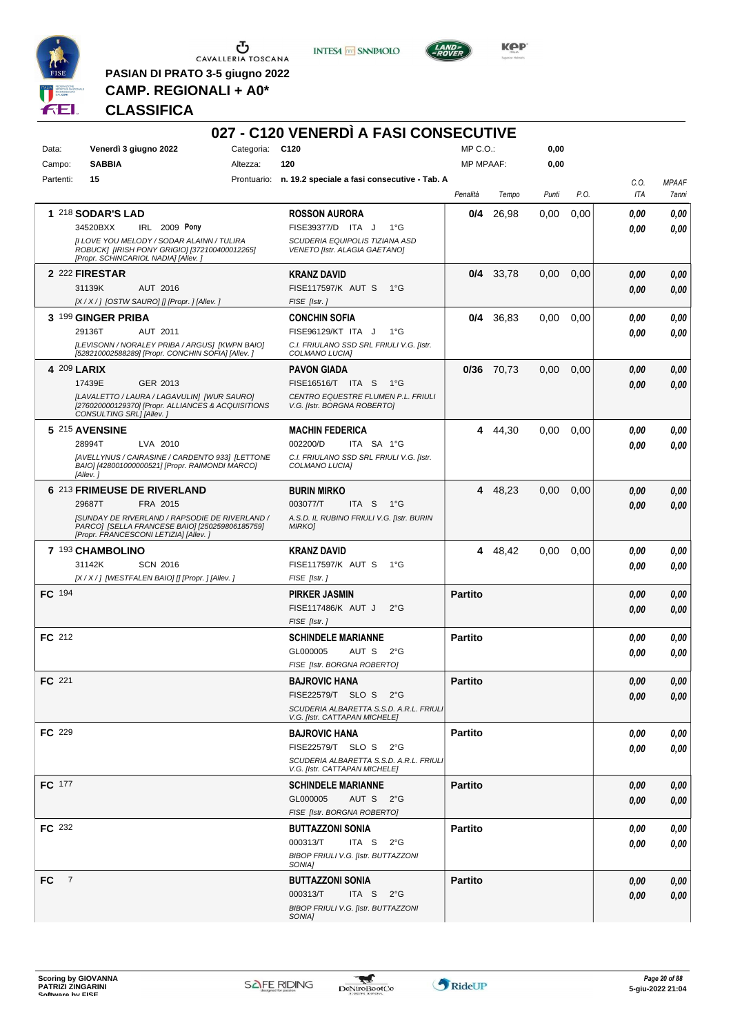

 $\begin{array}{c}\n\bullet \\
\bullet \\
\bullet \\
\bullet\n\end{array}$  CAVALLERIA TOSCANA

**PASIAN DI PRATO 3-5 giugno 2022 CAMP. REGIONALI + A0\***

**INTESA M** SANPAOLO



**Kep** 

### **CLASSIFICA**

|                       |                                                                                                                                                  |                 | 027 - C120 VENERDÌ A FASI CONSECUTIVE                                    |                  |            |       |      |      |              |
|-----------------------|--------------------------------------------------------------------------------------------------------------------------------------------------|-----------------|--------------------------------------------------------------------------|------------------|------------|-------|------|------|--------------|
| Data:                 | Venerdì 3 giugno 2022                                                                                                                            | Categoria: C120 |                                                                          | $MP C. O.$ :     |            | 0,00  |      |      |              |
| Campo:                | <b>SABBIA</b>                                                                                                                                    | Altezza:        | 120                                                                      | <b>MP MPAAF:</b> |            | 0,00  |      |      |              |
| Partenti:             | 15                                                                                                                                               |                 | Prontuario: n. 19.2 speciale a fasi consecutive - Tab. A                 |                  |            |       |      | C.O. | <b>MPAAF</b> |
|                       |                                                                                                                                                  |                 |                                                                          | Penalità         | Tempo      | Punti | P.O. | ITA  | 7anni        |
|                       | 1 218 SODAR'S LAD                                                                                                                                |                 | <b>ROSSON AURORA</b>                                                     | 0/4              | 26,98      | 0,00  | 0,00 | 0.00 | 0,00         |
|                       | 34520BXX<br>IRL 2009 Pony                                                                                                                        |                 | FISE39377/D ITA J<br>$1^{\circ}G$                                        |                  |            |       |      | 0.00 | 0,00         |
|                       | [I LOVE YOU MELODY / SODAR ALAINN / TULIRA<br>ROBUCK] [IRISH PONY GRIGIO] [372100400012265]<br>[Propr. SCHINCARIOL NADIA] [Allev. ]              |                 | SCUDERIA EQUIPOLIS TIZIANA ASD<br>VENETO [Istr. ALAGIA GAETANO]          |                  |            |       |      |      |              |
|                       | 2 222 FIRESTAR                                                                                                                                   |                 | <b>KRANZ DAVID</b>                                                       |                  | 0/4 33,78  | 0,00  | 0,00 | 0.00 | 0,00         |
|                       | 31139K<br>AUT 2016                                                                                                                               |                 | <b>FISE117597/K AUT S</b><br>$1^{\circ}$ G                               |                  |            |       |      | 0.00 | 0,00         |
|                       | [X / X / ] [OSTW SAURO] [] [Propr. ] [Allev. ]                                                                                                   |                 | FISE [Istr.]                                                             |                  |            |       |      |      |              |
|                       | 3 199 GINGER PRIBA                                                                                                                               |                 | <b>CONCHIN SOFIA</b>                                                     |                  | 0/4 36,83  | 0,00  | 0,00 | 0.00 | 0,00         |
|                       | 29136T<br>AUT 2011                                                                                                                               |                 | FISE96129/KT ITA J<br>$1^{\circ}G$                                       |                  |            |       |      | 0.00 | 0.00         |
|                       | [LEVISONN / NORALEY PRIBA / ARGUS] [KWPN BAIO]<br>[528210002588289] [Propr. CONCHIN SOFIA] [Allev. ]                                             |                 | C.I. FRIULANO SSD SRL FRIULI V.G. [Istr.<br>COLMANO LUCIA]               |                  |            |       |      |      |              |
| 4 209 LARIX           |                                                                                                                                                  |                 | <b>PAVON GIADA</b>                                                       |                  | 0/36 70.73 | 0,00  | 0,00 | 0.00 | 0,00         |
|                       | 17439E<br>GER 2013                                                                                                                               |                 | FISE16516/T ITA S<br>− 1°G                                               |                  |            |       |      | 0.00 | 0,00         |
|                       | [LAVALETTO / LAURA / LAGAVULIN] [WUR SAURO]<br>[276020000129370] [Propr. ALLIANCES & ACQUISITIONS<br>CONSULTING SRL1 [Allev.]                    |                 | CENTRO EQUESTRE FLUMEN P.L. FRIULI<br>V.G. [Istr. BORGNA ROBERTO]        |                  |            |       |      |      |              |
|                       | 5 215 AVENSINE                                                                                                                                   |                 | <b>MACHIN FEDERICA</b>                                                   | 4                | 44,30      | 0,00  | 0.00 | 0.00 | 0,00         |
|                       | 28994T<br>LVA 2010                                                                                                                               |                 | 002200/D<br>ITA SA 1°G                                                   |                  |            |       |      | 0.00 | 0.00         |
|                       | [AVELLYNUS / CAIRASINE / CARDENTO 933] [LETTONE<br>BAIO] [428001000000521] [Propr. RAIMONDI MARCO]<br>[Allev.]                                   |                 | C.I. FRIULANO SSD SRL FRIULI V.G. [Istr.<br>COLMANO LUCIA]               |                  |            |       |      |      |              |
|                       | 6 213 FRIMEUSE DE RIVERLAND                                                                                                                      |                 | <b>BURIN MIRKO</b>                                                       |                  | 4 48,23    | 0,00  | 0,00 | 0.00 | 0,00         |
|                       | FRA 2015<br>29687T                                                                                                                               |                 | 003077/T<br>ITA S<br>1°G                                                 |                  |            |       |      | 0.00 | 0,00         |
|                       | <b>[SUNDAY DE RIVERLAND / RAPSODIE DE RIVERLAND /</b><br>PARCO] [SELLA FRANCESE BAIO] [250259806185759]<br>[Propr. FRANCESCONI LETIZIA] [Allev.] |                 | A.S.D. IL RUBINO FRIULI V.G. [Istr. BURIN<br><b>MIRKO]</b>               |                  |            |       |      |      |              |
|                       | 7 193 CHAMBOLINO                                                                                                                                 |                 | <b>KRANZ DAVID</b>                                                       | 4                | 48,42      | 0.00  | 0.00 | 0.00 | 0,00         |
|                       | 31142K<br><b>SCN 2016</b>                                                                                                                        |                 | FISE117597/K AUT S<br>$1^{\circ}G$                                       |                  |            |       |      | 0.00 | 0.00         |
|                       | [X / X / ] [WESTFALEN BAIO] [] [Propr. ] [Allev. ]                                                                                               |                 | FISE [Istr.]                                                             |                  |            |       |      |      |              |
| FC 194                |                                                                                                                                                  |                 | <b>PIRKER JASMIN</b>                                                     | <b>Partito</b>   |            |       |      | 0,00 | 0,00         |
|                       |                                                                                                                                                  |                 | FISE117486/K AUT J<br>$2^{\circ}$ G                                      |                  |            |       |      | 0.00 | 0,00         |
|                       |                                                                                                                                                  |                 | FISE [Istr.]                                                             |                  |            |       |      |      |              |
| FC 212                |                                                                                                                                                  |                 | <b>SCHINDELE MARIANNE</b>                                                | <b>Partito</b>   |            |       |      | 0,00 | 0,00         |
|                       |                                                                                                                                                  |                 | GL000005<br>AUT S<br>$2^{\circ}G$                                        |                  |            |       |      | 0.00 | 0.00         |
|                       |                                                                                                                                                  |                 | FISE [Istr. BORGNA ROBERTO]                                              |                  |            |       |      |      |              |
| FC 221                |                                                                                                                                                  |                 | <b>BAJROVIC HANA</b>                                                     | <b>Partito</b>   |            |       |      | 0,00 | 0,00         |
|                       |                                                                                                                                                  |                 | FISE22579/T SLO S 2°G                                                    |                  |            |       |      | 0,00 | 0,00         |
|                       |                                                                                                                                                  |                 | SCUDERIA ALBARETTA S.S.D. A.R.L. FRIULI<br>V.G. [Istr. CATTAPAN MICHELE] |                  |            |       |      |      |              |
| <b>FC</b> 229         |                                                                                                                                                  |                 | <b>BAJROVIC HANA</b>                                                     | <b>Partito</b>   |            |       |      | 0,00 | 0,00         |
|                       |                                                                                                                                                  |                 | FISE22579/T SLOS<br>$2^{\circ}G$                                         |                  |            |       |      | 0,00 | 0,00         |
|                       |                                                                                                                                                  |                 | SCUDERIA ALBARETTA S.S.D. A.R.L. FRIULI<br>V.G. [Istr. CATTAPAN MICHELE] |                  |            |       |      |      |              |
| FC 177                |                                                                                                                                                  |                 | <b>SCHINDELE MARIANNE</b>                                                | <b>Partito</b>   |            |       |      | 0,00 | 0,00         |
|                       |                                                                                                                                                  |                 | GL000005<br>AUT S 2°G                                                    |                  |            |       |      | 0,00 | 0,00         |
|                       |                                                                                                                                                  |                 | FISE [Istr. BORGNA ROBERTO]                                              |                  |            |       |      |      |              |
| <b>FC</b> 232         |                                                                                                                                                  |                 | <b>BUTTAZZONI SONIA</b>                                                  | <b>Partito</b>   |            |       |      | 0,00 | 0,00         |
|                       |                                                                                                                                                  |                 | 000313/T<br>ITA S<br>$2^{\circ}G$                                        |                  |            |       |      | 0,00 | 0,00         |
|                       |                                                                                                                                                  |                 | BIBOP FRIULI V.G. [Istr. BUTTAZZONI<br>SONIA]                            |                  |            |       |      |      |              |
| FC.<br>$\overline{7}$ |                                                                                                                                                  |                 | <b>BUTTAZZONI SONIA</b>                                                  | <b>Partito</b>   |            |       |      | 0,00 | 0,00         |
|                       |                                                                                                                                                  |                 | 000313/T<br>ITA S<br>$2^{\circ}$ G                                       |                  |            |       |      | 0,00 | 0,00         |
|                       |                                                                                                                                                  |                 | BIBOP FRIULI V.G. [Istr. BUTTAZZONI                                      |                  |            |       |      |      |              |
|                       |                                                                                                                                                  |                 | SONIA]                                                                   |                  |            |       |      |      |              |

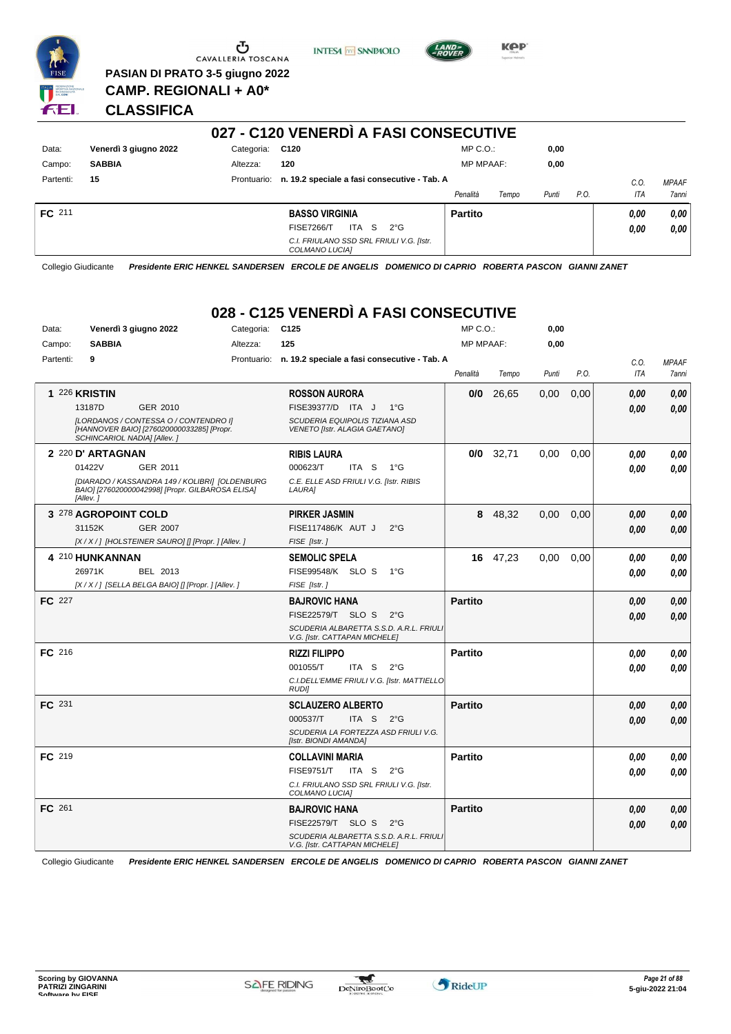

Ⴠ CAVALLERIA TOSCANA

**PASIAN DI PRATO 3-5 giugno 2022 CAMP. REGIONALI + A0\***

**INTESA M** SANPAOLO



**KPP** 

**CLASSIFICA**

#### **027 - C120 VENERDÌ A FASI CONSECUTIVE** Data: Venerdì 3 giugno 2022 Categoria: C120 Prontuario: **n. 19.2 speciale a fasi consecutive - Tab. A** Campo: **SABBIA** Partenti: **15** Altezza: **120** MP C.O.: MP MPAAF: **0,00 0,00** *Penalità Tempo Punti P.O. C.O. ITA MPAAF 7anni* **FC** 211 **BASSO VIRGINIA** *C.I. FRIULANO SSD SRL FRIULI V.G. [Istr. COLMANO LUCIA]* ITA S 2°G FISE7266/T *0,00* **Partito** *0,00 0,00 0,00*

Collegio Giudicante *Presidente ERIC HENKEL SANDERSEN ERCOLE DE ANGELIS DOMENICO DI CAPRIO ROBERTA PASCON GIANNI ZANET*

# **028 - C125 VENERDÌ A FASI CONSECUTIVE**

| Data:         | Venerdì 3 giugno 2022                                                                                             | Categoria: | C <sub>125</sub>                                                         | $MP C. O.$ :     |             | 0,00  |      |            |                     |
|---------------|-------------------------------------------------------------------------------------------------------------------|------------|--------------------------------------------------------------------------|------------------|-------------|-------|------|------------|---------------------|
| Campo:        | <b>SABBIA</b>                                                                                                     | Altezza:   | 125                                                                      | <b>MP MPAAF:</b> |             | 0,00  |      |            |                     |
| Partenti:     | 9                                                                                                                 |            | Prontuario: n. 19.2 speciale a fasi consecutive - Tab. A                 |                  |             |       |      | C.O.       | <b>MPAAF</b>        |
|               |                                                                                                                   |            |                                                                          | Penalità         | Tempo       | Punti | P.O. | <b>ITA</b> | <i><b>7anni</b></i> |
|               | 1 226 KRISTIN                                                                                                     |            | <b>ROSSON AURORA</b>                                                     | 0/0              | 26,65       | 0,00  | 0,00 | 0.00       | 0,00                |
|               | GER 2010<br>13187D                                                                                                |            | FISE39377/D ITA J<br>$1^{\circ}G$                                        |                  |             |       |      | 0,00       | 0.00                |
|               | [LORDANOS / CONTESSA O / CONTENDRO I]<br>[HANNOVER BAIO] [276020000033285] [Propr.<br>SCHINCARIOL NADIA] [Allev.] |            | <b>SCUDERIA EQUIPOLIS TIZIANA ASD</b><br>VENETO [Istr. ALAGIA GAETANO]   |                  |             |       |      |            |                     |
|               | 2 220 D' ARTAGNAN                                                                                                 |            | <b>RIBIS LAURA</b>                                                       |                  | $0/0$ 32,71 | 0,00  | 0.00 | 0.00       | 0,00                |
|               | 01422V<br>GER 2011                                                                                                |            | 000623/T<br>ITA S<br>1°G                                                 |                  |             |       |      | 0.00       | 0.00                |
|               | [DIARADO / KASSANDRA 149 / KOLIBRI] [OLDENBURG<br>BAIO] [276020000042998] [Propr. GILBAROSA ELISA]<br>[Allev.]    |            | C.E. ELLE ASD FRIULI V.G. [Istr. RIBIS<br>LAURA]                         |                  |             |       |      |            |                     |
|               | 3 278 AGROPOINT COLD                                                                                              |            | <b>PIRKER JASMIN</b>                                                     |                  | 8 48,32     | 0,00  | 0,00 | 0.00       | 0,00                |
|               | <b>GER 2007</b><br>31152K                                                                                         |            | FISE117486/K AUT J<br>$2^{\circ}G$                                       |                  |             |       |      | 0.00       | 0,00                |
|               | [X / X / ] [HOLSTEINER SAURO] [] [Propr. ] [Allev. ]                                                              |            | FISE [Istr.]                                                             |                  |             |       |      |            |                     |
|               | 4 210 HUNKANNAN                                                                                                   |            | <b>SEMOLIC SPELA</b>                                                     |                  | 16 47,23    | 0,00  | 0,00 | 0.00       | 0,00                |
|               | 26971K<br>BEL 2013                                                                                                |            | <b>FISE99548/K SLO S</b><br>1°G                                          |                  |             |       |      | 0.00       | 0.00                |
|               | [X / X / ] [SELLA BELGA BAIO] [] [Propr. ] [Allev. ]                                                              |            | FISE [Istr.]                                                             |                  |             |       |      |            |                     |
| FC 227        |                                                                                                                   |            | <b>BAJROVIC HANA</b>                                                     | <b>Partito</b>   |             |       |      | 0.00       | 0,00                |
|               |                                                                                                                   |            | FISE22579/T SLO S<br>$2^{\circ}$ G                                       |                  |             |       |      | 0.00       | 0.00                |
|               |                                                                                                                   |            | SCUDERIA ALBARETTA S.S.D. A.R.L. FRIULI<br>V.G. [Istr. CATTAPAN MICHELE] |                  |             |       |      |            |                     |
| FC 216        |                                                                                                                   |            | <b>RIZZI FILIPPO</b>                                                     | <b>Partito</b>   |             |       |      | 0,00       | 0,00                |
|               |                                                                                                                   |            | 001055/T<br>ITA S<br>$2^{\circ}$ G                                       |                  |             |       |      | 0.00       | 0.00                |
|               |                                                                                                                   |            | C.I.DELL'EMME FRIULI V.G. [Istr. MATTIELLO<br><b>RUDI</b>                |                  |             |       |      |            |                     |
| FC 231        |                                                                                                                   |            | <b>SCLAUZERO ALBERTO</b>                                                 | <b>Partito</b>   |             |       |      | 0.00       | 0,00                |
|               |                                                                                                                   |            | 000537/T<br>ITA S<br>$2^{\circ}G$                                        |                  |             |       |      | 0.00       | 0,00                |
|               |                                                                                                                   |            | SCUDERIA LA FORTEZZA ASD FRIULI V.G.<br>[Istr. BIONDI AMANDA]            |                  |             |       |      |            |                     |
| <b>FC</b> 219 |                                                                                                                   |            | <b>COLLAVINI MARIA</b>                                                   | <b>Partito</b>   |             |       |      | 0.00       | 0,00                |
|               |                                                                                                                   |            | <b>FISE9751/T</b><br>ITA S<br>$2^{\circ}G$                               |                  |             |       |      | 0.00       | 0.00                |
|               |                                                                                                                   |            | C.I. FRIULANO SSD SRL FRIULI V.G. [Istr.<br>COLMANO LUCIA]               |                  |             |       |      |            |                     |
| FC 261        |                                                                                                                   |            | <b>BAJROVIC HANA</b>                                                     | <b>Partito</b>   |             |       |      | 0,00       | 0,00                |
|               |                                                                                                                   |            | FISE22579/T SLO S<br>$2^{\circ}$ G                                       |                  |             |       |      | 0.00       | 0.00                |
|               |                                                                                                                   |            | SCUDERIA ALBARETTA S.S.D. A.R.L. FRIULI<br>V.G. [Istr. CATTAPAN MICHELE] |                  |             |       |      |            |                     |

Collegio Giudicante *Presidente ERIC HENKEL SANDERSEN ERCOLE DE ANGELIS DOMENICO DI CAPRIO ROBERTA PASCON GIANNI ZANET*

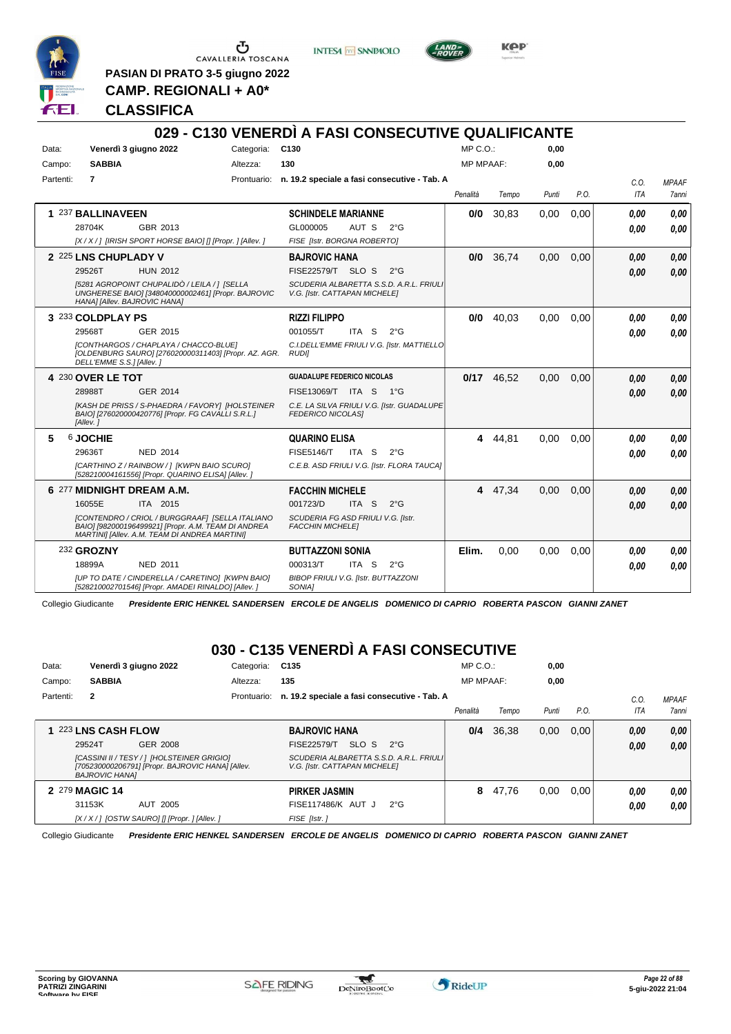

CAVALLERIA TOSCANA

**INTESA** M SANPAOLO



KOP

**PASIAN DI PRATO 3-5 giugno 2022 CAMP. REGIONALI + A0\***

#### **CLASSIFICA**

#### **029 - C130 VENERDÌ A FASI CONSECUTIVE QUALIFICANTE** Data: Venerdì 3 giugno 2022 Categoria: C130 Prontuario: **n. 19.2 speciale a fasi consecutive - Tab. A** Campo: **SABBIA** Partenti: **7** Altezza: **130**  $MP \cap O$ MP MPAAF: **0,00 0,00** *Penalità Tempo Punti P.O. C.O. ITA MPAAF 7anni* **1** 237 **BALLINAVEEN** GBR 2013 **SCHINDELE MARIANNE** *[X / X / ] [IRISH SPORT HORSE BAIO] [] [Propr. ] [Allev. ] FISE [Istr. BORGNA ROBERTO]* AUT S 2°G **0/0** 30,83 0,00 0,00 *0,00 0,00 0,00* 28704K GBR 2013 GL000005 AUT S 2°G <mark> 0,00 0,00</mark> **2** 225 **LNS CHUPLADY V** HUN 2012 **BAJROVIC HANA** *[5281 AGROPOINT CHUPALIDÒ / LEILA / ] [SELLA UNGHERESE BAIO] [348040000002461] [Propr. BAJROVIC HANA] [Allev. BAJROVIC HANA] SCUDERIA ALBARETTA S.S.D. A.R.L. FRIULI V.G. [Istr. CATTAPAN MICHELE]* SLO S 2°G 29526T FISE22579/T *0,00* **0/0** 36,74 0,00 0,00 *0,00 0,00 0,00* **3** 233 **COLDPLAY PS** GER 2015 **RIZZI FILIPPO** *[CONTHARGOS / CHAPLAYA / CHACCO-BLUE] [OLDENBURG SAURO] [276020000311403] [Propr. AZ. AGR. DELL'EMME S.S.] [Allev. ] C.I.DELL'EMME FRIULI V.G. [Istr. MATTIELLO RUDI]* ITA S 2°G **0/0** 40,03 0,00 0,00 *0,00 0,00 0,00* 29568T 001055/T *0,00* **4** 230 **OVER LE TOT** GER 2014 **GUADALUPE FEDERICO NICOLAS** *[KASH DE PRISS / S-PHAEDRA / FAVORY] [HOLSTEINER BAIO] [276020000420776] [Propr. FG CAVALLI S.R.L.] [Allev. ] C.E. LA SILVA FRIULI V.G. [Istr. GUADALUPE FEDERICO NICOLAS]* ITA S 1°G 28988T FISE13069/T *0,00* **0/17** 46,52 0,00 0,00 *0,00 0,00 0,00* **5** 6 **JOCHIE** NED 2014 **QUARINO ELISA** *[CARTHINO Z / RAINBOW / ] [KWPN BAIO SCURO] [528210004161556] [Propr. QUARINO ELISA] [Allev. ] C.E.B. ASD FRIULI V.G. [Istr. FLORA TAUCA]* ITA S 2°G **4** 44,81 0,00 0,00 *0,00 0,00 0,00* 29636T FISE5146/T *0,00* **6** 277 **MIDNIGHT DREAM A.M.** ITA 2015 **FACCHIN MICHELE** *[CONTENDRO / CRIOL / BURGGRAAF] [SELLA ITALIANO BAIO] [982000196499921] [Propr. A.M. TEAM DI ANDREA MARTINI] [Allev. A.M. TEAM DI ANDREA MARTINI] SCUDERIA FG ASD FRIULI V.G. [Istr. FACCHIN MICHELE]* ITA S 2°G **4** 47,34 0,00 0,00 *0,00 0,00 0,00* 16055E 001723/D *0,00* 232 **GROZNY** NED 2011 **BUTTAZZONI SONIA** *[UP TO DATE / CINDERELLA / CARETINO] [KWPN BAIO] [528210002701546] [Propr. AMADEI RINALDO] [Allev. ] BIBOP FRIULI V.G. [Istr. BUTTAZZONI SONIA]* ITA S 2°G **Elim.** 0,00 0,00 0,00 *0,00 0,00 0,00* 18899A NED 2011 000313/T ITA S 2°G <mark> *0,00 0,00*</mark>

Collegio Giudicante *Presidente ERIC HENKEL SANDERSEN ERCOLE DE ANGELIS DOMENICO DI CAPRIO ROBERTA PASCON GIANNI ZANET*

#### **030 - C135 VENERDÌ A FASI CONSECUTIVE**

| Data:     | Venerdì 3 giugno 2022                                                                                                   | Categoria:  | C <sub>135</sub>                                                         | $MP C. O.$ :     |       | 0,00  |      |            |              |
|-----------|-------------------------------------------------------------------------------------------------------------------------|-------------|--------------------------------------------------------------------------|------------------|-------|-------|------|------------|--------------|
| Campo:    | <b>SABBIA</b>                                                                                                           | Altezza:    | 135                                                                      | <b>MP MPAAF:</b> |       | 0,00  |      |            |              |
| Partenti: | $\mathbf{2}$                                                                                                            | Prontuario: | n. 19.2 speciale a fasi consecutive - Tab. A                             |                  |       |       |      | C.0        | <b>MPAAF</b> |
|           |                                                                                                                         |             |                                                                          | Penalità         | Tempo | Punti | P.O. | <b>ITA</b> | <b>7anni</b> |
|           | <b>223 LNS CASH FLOW</b>                                                                                                |             | <b>BAJROVIC HANA</b>                                                     | 0/4              | 36.38 | 0,00  | 0.00 | 0.00       | 0,00         |
|           | GER 2008<br>29524T                                                                                                      |             | SLO <sub>S</sub><br>FISE22579/T<br>$2^{\circ}G$                          |                  |       |       |      | 0.00       | 0.00         |
|           | [CASSINI II / TESY / ] [HOLSTEINER GRIGIO]<br>[705230000206791] [Propr. BAJROVIC HANA] [Allev.<br><b>BAJROVIC HANAI</b> |             | SCUDERIA ALBARETTA S.S.D. A.R.L. FRIULI<br>V.G. [Istr. CATTAPAN MICHELE] |                  |       |       |      |            |              |
|           | 2 279 MAGIC 14                                                                                                          |             | <b>PIRKER JASMIN</b>                                                     | 8                | 47,76 | 0.00  | 0.00 | 0.00       | 0.00         |
|           | 31153K<br>AUT 2005                                                                                                      |             | FISE117486/K AUT J<br>$2^{\circ}G$                                       |                  |       |       |      | 0.00       | 0.00         |
|           | [X/X/] [OSTW SAURO] [] [Propr. ] [Allev. ]                                                                              |             | FISE [Istr. ]                                                            |                  |       |       |      |            |              |

Collegio Giudicante *Presidente ERIC HENKEL SANDERSEN ERCOLE DE ANGELIS DOMENICO DI CAPRIO ROBERTA PASCON GIANNI ZANET*

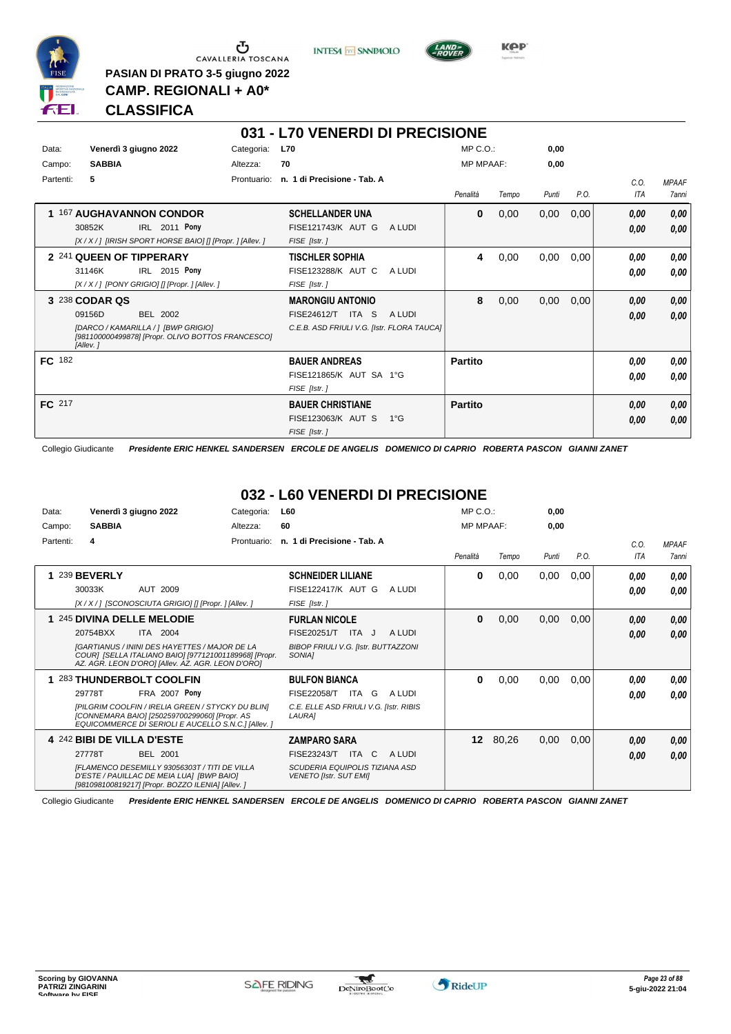

 $\begin{array}{c}\n\bullet \\
\bullet \\
\bullet \\
\bullet \\
\bullet\n\end{array}$  CAVALLERIA TOSCANA

**PASIAN DI PRATO 3-5 giugno 2022 CAMP. REGIONALI + A0\***

**INTESA** M SANPAOLO



**Kep** 

### **CLASSIFICA**

| 031 - L70 VENERDI DI PRECISIONE |                                                                                                                                                     |             |                                                                                                         |  |                  |       |       |      |                    |                       |
|---------------------------------|-----------------------------------------------------------------------------------------------------------------------------------------------------|-------------|---------------------------------------------------------------------------------------------------------|--|------------------|-------|-------|------|--------------------|-----------------------|
| Data:                           | Venerdì 3 giugno 2022                                                                                                                               | Categoria:  | <b>L70</b>                                                                                              |  | $MP C. O.$ :     |       | 0,00  |      |                    |                       |
| Campo:                          | <b>SABBIA</b>                                                                                                                                       | Altezza:    | 70                                                                                                      |  | <b>MP MPAAF:</b> |       | 0,00  |      |                    |                       |
| Partenti:                       | 5.                                                                                                                                                  | Prontuario: | n. 1 di Precisione - Tab. A                                                                             |  | Penalità         | Tempo | Punti | P.O. | C.0.<br><b>ITA</b> | <b>MPAAF</b><br>7anni |
| 1.                              | <b>167 AUGHAVANNON CONDOR</b><br>IRL 2011 Pony<br>30852K<br>[X / X / ] [IRISH SPORT HORSE BAIO] [] [Propr. ] [Allev. ]                              |             | <b>SCHELLANDER UNA</b><br>FISE121743/K AUT G<br>A LUDI<br>FISE [Istr.]                                  |  | 0                | 0,00  | 0,00  | 0,00 | 0.00<br>0.00       | 0,00<br>0,00          |
|                                 | 2 241 QUEEN OF TIPPERARY<br>IRL 2015 Pony<br>31146K<br>[X / X / ] [PONY GRIGIO] [] [Propr. ] [Allev. ]                                              |             | <b>TISCHLER SOPHIA</b><br>FISE123288/K AUT C<br>A LUDI<br>FISE [Istr.]                                  |  | 4                | 0,00  | 0,00  | 0,00 | 0.00<br>0,00       | 0,00<br>0,00          |
|                                 | 3 238 CODAR QS<br><b>BEL 2002</b><br>09156D<br>[DARCO / KAMARILLA / ] [BWP GRIGIO]<br>[981100000499878] [Propr. OLIVO BOTTOS FRANCESCO]<br>[Allev.] |             | <b>MARONGIU ANTONIO</b><br>ITA S<br>FISE24612/T<br>A LUDI<br>C.E.B. ASD FRIULI V.G. [Istr. FLORA TAUCA] |  | 8                | 0,00  | 0,00  | 0,00 | 0.00<br>0.00       | 0,00<br>0,00          |
| FC 182                          |                                                                                                                                                     |             | <b>BAUER ANDREAS</b><br>FISE121865/K AUT SA 1°G<br>FISE [Istr.]                                         |  | <b>Partito</b>   |       |       |      | 0.00<br>0.00       | 0,00<br>0.00          |
| FC 217                          |                                                                                                                                                     |             | <b>BAUER CHRISTIANE</b><br>FISE123063/K AUT S<br>$1^{\circ}G$<br>FISE [Istr.]                           |  | <b>Partito</b>   |       |       |      | 0.00<br>0.00       | 0,00<br>0,00          |

Collegio Giudicante *Presidente ERIC HENKEL SANDERSEN ERCOLE DE ANGELIS DOMENICO DI CAPRIO ROBERTA PASCON GIANNI ZANET*

### **032 - L60 VENERDI DI PRECISIONE**

| Data:     | Venerdì 3 giugno 2022                                                                                                                                              | Categoria:  | <b>L60</b>                                                             | $MP C. O.$ :     |          | 0,00  |      |            |              |
|-----------|--------------------------------------------------------------------------------------------------------------------------------------------------------------------|-------------|------------------------------------------------------------------------|------------------|----------|-------|------|------------|--------------|
| Campo:    | <b>SABBIA</b>                                                                                                                                                      | Altezza:    | 60                                                                     | <b>MP MPAAF:</b> |          | 0,00  |      |            |              |
| Partenti: | 4                                                                                                                                                                  | Prontuario: | n. 1 di Precisione - Tab. A                                            |                  |          |       |      | C.O.       | <b>MPAAF</b> |
|           |                                                                                                                                                                    |             |                                                                        | Penalità         | Tempo    | Punti | P.O. | <b>ITA</b> | <b>7anni</b> |
|           | 239 BEVERLY                                                                                                                                                        |             | <b>SCHNEIDER LILIANE</b>                                               | 0                | 0,00     | 0,00  | 0,00 | 0.00       | 0,00         |
|           | AUT 2009<br>30033K                                                                                                                                                 |             | <b>FISE122417/K AUT G</b><br>A LUDI                                    |                  |          |       |      | 0.00       | 0.00         |
|           | [X / X / ] [SCONOSCIUTA GRIGIO] [] [Propr. ] [Allev. ]                                                                                                             |             | FISE [Istr.]                                                           |                  |          |       |      |            |              |
|           | 1 245 DIVINA DELLE MELODIE                                                                                                                                         |             | <b>FURLAN NICOLE</b>                                                   | 0                | 0,00     | 0,00  | 0,00 | 0.00       | 0,00         |
|           | 20754BXX<br><b>ITA 2004</b>                                                                                                                                        |             | FISE20251/T<br>A LUDI<br>ITA J                                         |                  |          |       |      | 0.00       | 0,00         |
|           | <b>IGARTIANUS / ININI DES HAYETTES / MAJOR DE LA</b><br>COURI [SELLA ITALIANO BAIO] [977121001189968] [Propr.<br>AZ. AGR. LEON D'ORO] [Allev. AZ. AGR. LEON D'ORO] |             | <b>BIBOP FRIULI V.G. [Istr. BUTTAZZONI</b><br>SONIA <sub>1</sub>       |                  |          |       |      |            |              |
|           | 283 THUNDERBOLT COOLFIN                                                                                                                                            |             | <b>BULFON BIANCA</b>                                                   | 0                | 0,00     | 0,00  | 0,00 | 0.00       | 0,00         |
|           | FRA 2007 Pony<br>29778T                                                                                                                                            |             | <b>FISE22058/T</b><br>ITA G<br>A LUDI                                  |                  |          |       |      | 0.00       | 0.00         |
|           | [PILGRIM COOLFIN / IRELIA GREEN / STYCKY DU BLIN]<br>[CONNEMARA BAIO] [250259700299060] [Propr. AS<br>EQUICOMMERCE DI SERIOLI E AUCELLO S.N.C.] [Allev. ]          |             | C.E. ELLE ASD FRIULI V.G. [Istr. RIBIS<br>LAURA]                       |                  |          |       |      |            |              |
|           | 4 242 BIBI DE VILLA D'ESTE                                                                                                                                         |             | <b>ZAMPARO SARA</b>                                                    |                  | 12 80,26 | 0,00  | 0,00 | 0.00       | 0,00         |
|           | 27778T<br><b>BEL 2001</b>                                                                                                                                          |             | FISE23243/T<br>ITA C<br>A LUDI                                         |                  |          |       |      | 0,00       | 0,00         |
|           | IFLAMENCO DESEMILLY 93056303T / TITI DE VILLA<br>D'ESTE / PAUILLAC DE MEIA LUAI [BWP BAIO]<br>[981098100819217] [Propr. BOZZO ILENIA] [Allev. ]                    |             | <b>SCUDERIA EQUIPOLIS TIZIANA ASD</b><br><b>VENETO [Istr. SUT EMI]</b> |                  |          |       |      |            |              |

Collegio Giudicante *Presidente ERIC HENKEL SANDERSEN ERCOLE DE ANGELIS DOMENICO DI CAPRIO ROBERTA PASCON GIANNI ZANET*

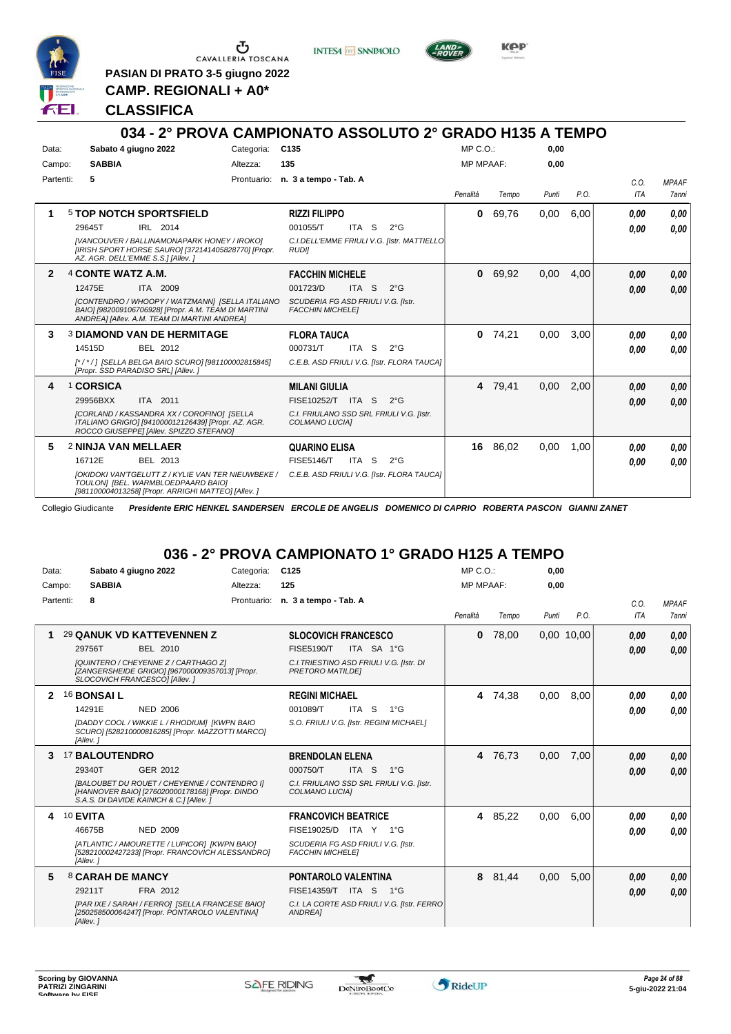

G CAVALLERIA TOSCANA

**PASIAN DI PRATO 3-5 giugno 2022**

**INTESA** M SANPAOLO



KOP

**CAMP. REGIONALI + A0\***

#### **CLASSIFICA**

#### **034 - 2° PROVA CAMPIONATO ASSOLUTO 2° GRADO H135 A TEMPO** Data: Sabato 4 giugno 2022 Categoria: C135 Prontuario: **n. 3 a tempo - Tab. A** Campo: **SABBIA** Partenti: **5** Altezza: **135** MP C.O.: MP MPAAF: **0,00 0,00** *Penalità Tempo Punti P.O. C.O. ITA MPAAF 7anni* **1** 5 **TOP NOTCH SPORTSFIELD** IRL 2014 **RIZZI FILIPPO** *[VANCOUVER / BALLINAMONAPARK HONEY / IROKO] [IRISH SPORT HORSE SAURO] [372141405828770] [Propr. AZ. AGR. DELL'EMME S.S.] [Allev. ] C.I.DELL'EMME FRIULI V.G. [Istr. MATTIELLO RUDI]* ITA S 2°G **0** 69,76 0,00 6,00 *0,00 0,00 0,00* 29645T IRL 2014 001055/T ITA S 2°G <mark> *0,00 0,00*</mark> **2** 4 **CONTE WATZ A.M.** ITA 2009 **FACCHIN MICHELE** *[CONTENDRO / WHOOPY / WATZMANN] [SELLA ITALIANO BAIO] [982009106706928] [Propr. A.M. TEAM DI MARTINI ANDREA] [Allev. A.M. TEAM DI MARTINI ANDREA] SCUDERIA FG ASD FRIULI V.G. [Istr. FACCHIN MICHELE]* ITA S 2°G **0** 69,92 0,00 4,00 *0,00 0,00 0,00* 12475E 001723/D *0,00* **3** 3 **DIAMOND VAN DE HERMITAGE** BEL 2012 **FLORA TAUCA** *[\* / \* / ] [SELLA BELGA BAIO SCURO] [981100002815845] [Propr. SSD PARADISO SRL] [Allev. ] C.E.B. ASD FRIULI V.G. [Istr. FLORA TAUCA]* ITA S 2°G **0** 74,21 0,00 3,00 *0,00 0,00 0,00* 14515D BEL 2012 000731/T ITA S 2°G <mark> 0,00 0,00</mark> **4** 1 **CORSICA** ITA 2011 **MILANI GIULIA** *[CORLAND / KASSANDRA XX / COROFINO] [SELLA ITALIANO GRIGIO] [941000012126439] [Propr. AZ. AGR. ROCCO GIUSEPPE] [Allev. SPIZZO STEFANO] C.I. FRIULANO SSD SRL FRIULI V.G. [Istr. COLMANO LUCIA]* 29956BXX ITA 2011 FISE10252/T ITA S 2°G **0,00 0,00 4** 79,41 0,00 2,00 *0,00 0,00 0,00* **5** 2 **NINJA VAN MELLAER** BEL 2013 **QUARINO ELISA** *[OKIDOKI VAN'TGELUTT Z / KYLIE VAN TER NIEUWBEKE / C.E.B. ASD FRIULI V.G. [Istr. FLORA TAUCA] TOULON] [BEL. WARMBLOEDPAARD BAIO] [981100004013258] [Propr. ARRIGHI MATTEO] [Allev. ]* 16712E BEL 2013 FISE5146/T ITA S 2°G **0,00 0,00 16** 86,02 0,00 1,00 *0,00 0,00 0,00*

Collegio Giudicante *Presidente ERIC HENKEL SANDERSEN ERCOLE DE ANGELIS DOMENICO DI CAPRIO ROBERTA PASCON GIANNI ZANET*

### **036 - 2° PROVA CAMPIONATO 1° GRADO H125 A TEMPO**

| Data:     | Sabato 4 giugno 2022                                                |                                                                                                                                                                                                                                                                               | Categoria: | C <sub>125</sub>                                                                                                     |                |                                                                                                            | MP C. O.         |                  | 0,00         |              |                              |                              |
|-----------|---------------------------------------------------------------------|-------------------------------------------------------------------------------------------------------------------------------------------------------------------------------------------------------------------------------------------------------------------------------|------------|----------------------------------------------------------------------------------------------------------------------|----------------|------------------------------------------------------------------------------------------------------------|------------------|------------------|--------------|--------------|------------------------------|------------------------------|
| Campo:    | <b>SABBIA</b>                                                       |                                                                                                                                                                                                                                                                               | Altezza:   | 125                                                                                                                  |                |                                                                                                            | <b>MP MPAAF:</b> |                  | 0,00         |              |                              |                              |
| Partenti: | 8                                                                   |                                                                                                                                                                                                                                                                               |            | Prontuario: n. 3 a tempo - Tab. A                                                                                    |                |                                                                                                            | Penalità         | Tempo            | Punti        | P.O.         | C.O.<br><b>ITA</b>           | <b>MPAAF</b><br><b>7anni</b> |
|           | 29756T                                                              | <b>29 QANUK VD KATTEVENNEN Z</b><br>BEL 2010<br>[QUINTERO / CHEYENNE Z / CARTHAGO Z]<br>[ZANGERSHEIDE GRIGIO] [967000009357013] [Propr.<br>SLOCOVICH FRANCESCO] [Allev.]                                                                                                      |            | <b>SLOCOVICH FRANCESCO</b><br><b>FISE5190/T</b><br><b>PRETORO MATILDEI</b>                                           |                | ITA SA 1°G<br>C.I. TRIESTINO ASD FRIULI V.G. [Istr. DI                                                     | $\mathbf{0}$     | 78.00            |              | 0,00 10,00   | 0,00<br>0.00                 | 0,00<br>0,00                 |
| 3.        | <b>16 BONSAIL</b><br>14291E<br>[Allev.]<br>17 BALOUTENDRO<br>29340T | <b>NED 2006</b><br>[DADDY COOL / WIKKIE L / RHODIUM] [KWPN BAIO<br>SCURO] [528210000816285] [Propr. MAZZOTTI MARCO]<br>GER 2012<br>[BALOUBET DU ROUET / CHEYENNE / CONTENDRO I]<br>[HANNOVER BAIO] [276020000178168] [Propr. DINDO<br>S.A.S. DI DAVIDE KAINICH & C.1 [Allev.] |            | <b>REGINI MICHAEL</b><br>001089/T<br><b>BRENDOLAN ELENA</b><br>000750/T<br>COLMANO LUCIA]                            | ITA S<br>ITA S | 1°G<br>S.O. FRIULI V.G. [Istr. REGINI MICHAEL]<br>$1^{\circ}G$<br>C.I. FRIULANO SSD SRL FRIULI V.G. [Istr. | 4                | 74,38<br>4 76,73 | 0,00<br>0,00 | 8,00<br>7,00 | 0.00<br>0.00<br>0,00<br>0.00 | 0.00<br>0,00<br>0,00<br>0,00 |
| 4         | 10 EVITA<br>46675B<br>[Allev.]                                      | NED 2009<br>[ATLANTIC / AMOURETTE / LUPICOR] [KWPN BAIO]<br>[528210002427233] [Propr. FRANCOVICH ALESSANDRO]                                                                                                                                                                  |            | <b>FRANCOVICH BEATRICE</b><br>FISE19025/D ITA Y 1°G<br>SCUDERIA FG ASD FRIULI V.G. [Istr.<br><b>FACCHIN MICHELE]</b> |                |                                                                                                            |                  | 4 85,22          | 0,00         | 6,00         | 0.00<br>0.00                 | 0.00<br>0,00                 |
| 5.        | 8 CARAH DE MANCY<br>29211T<br>[Allev.]                              | FRA 2012<br>[PAR IXE / SARAH / FERRO] [SELLA FRANCESE BAIO]<br>[250258500064247] [Propr. PONTAROLO VALENTINA]                                                                                                                                                                 |            | <b>PONTAROLO VALENTINA</b><br>FISE14359/T ITA S<br><b>ANDREA1</b>                                                    |                | $1^{\circ}G$<br>C.I. LA CORTE ASD FRIULI V.G. [Istr. FERRO]                                                | 8                | 81,44            | 0,00         | 5,00         | 0,00<br>0.00                 | 0,00<br>0.00                 |

\*

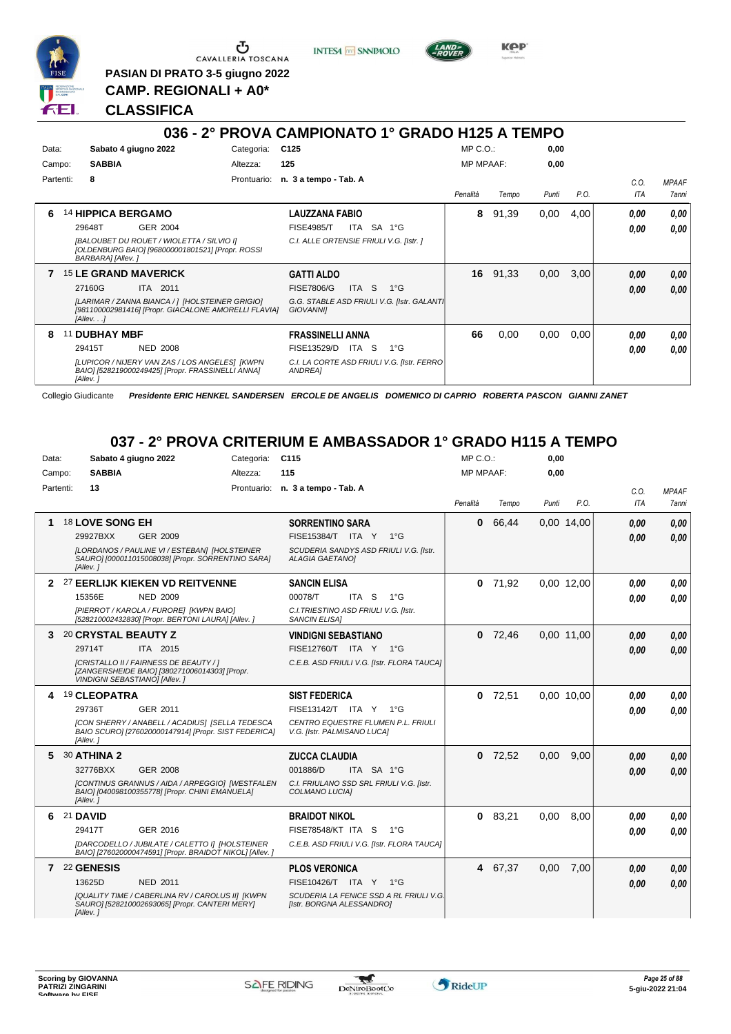

Ⴇ CAVALLERIA TOSCANA

**PASIAN DI PRATO 3-5 giugno 2022 CAMP. REGIONALI + A0\***

**INTESA** M SANPAOLO



**KPP** 

### **CLASSIFICA**

#### **036 - 2° PROVA CAMPIONATO 1° GRADO H125 A TEMPO** Data: Sabato 4 giugno 2022 Categoria: C125 Prontuario: **n. 3 a tempo - Tab. A** Campo: **SABBIA** Partenti: **8** Altezza: **125** MP C.O.: MP MPAAF: **0,00 0,00** *Penalità Tempo Punti P.O. C.O. ITA MPAAF 7anni* **6** 14 **HIPPICA BERGAMO** GER 2004 **LAUZZANA FABIO** *[BALOUBET DU ROUET / WIOLETTA / SILVIO I] [OLDENBURG BAIO] [968000001801521] [Propr. ROSSI BARBARA] [Allev. ] C.I. ALLE ORTENSIE FRIULI V.G. [Istr. ]* ITA SA 1°G **8** 91,39 0,00 4,00 *0,00 0,00 0,00* 29648T GER\_2004 FISE4985/T ITA SA 1°G *0,00 0,00* **7** 15 **LE GRAND MAVERICK** ITA 2011 **GATTI ALDO** *[LARIMAR / ZANNA BIANCA / ] [HOLSTEINER GRIGIO] [981100002981416] [Propr. GIACALONE AMORELLI FLAVIA] [Allev. . .] G.G. STABLE ASD FRIULI V.G. [Istr. GALANTI GIOVANNI]* ITA S 1°G **16** 91,33 0,00 3,00 *0,00 0,00 0,00* 27160G FISE7806/G *0,00* **8** 11 **DUBHAY MBF** NED 2008 **FRASSINELLI ANNA** *[LUPICOR / NIJERY VAN ZAS / LOS ANGELES] [KWPN BAIO] [528219000249425] [Propr. FRASSINELLI ANNA] [Allev. ] C.I. LA CORTE ASD FRIULI V.G. [Istr. FERRO ANDREA]* 29415T NED 2008 FISE13529/D ITA S 1°G *0,00 0,00* **66** 0,00 0,00 0,00 *0,00 0,00 0,00*

Collegio Giudicante *Presidente ERIC HENKEL SANDERSEN ERCOLE DE ANGELIS DOMENICO DI CAPRIO ROBERTA PASCON GIANNI ZANET*

#### **037 - 2° PROVA CRITERIUM E AMBASSADOR 1° GRADO H115 A TEMPO**

| Data:     | Sabato 4 giugno 2022                                                                                                             | Categoria: | C <sub>115</sub>                                                     | $MP C. O.$ :     |           | 0,00  |            |                    |                       |
|-----------|----------------------------------------------------------------------------------------------------------------------------------|------------|----------------------------------------------------------------------|------------------|-----------|-------|------------|--------------------|-----------------------|
| Campo:    | <b>SABBIA</b>                                                                                                                    | Altezza:   | 115                                                                  | <b>MP MPAAF:</b> |           | 0,00  |            |                    |                       |
| Partenti: | 13                                                                                                                               |            | Prontuario: n. 3 a tempo - Tab. A                                    | Penalità         | Tempo     | Punti | P.O.       | C.O.<br><b>ITA</b> | <b>MPAAF</b><br>7anni |
| 1.        | 18 LOVE SONG EH                                                                                                                  |            | <b>SORRENTINO SARA</b>                                               | $\mathbf{0}$     | 66,44     |       | 0,00 14,00 | 0,00               | 0.00                  |
|           | 29927BXX<br>GER 2009                                                                                                             |            | FISE15384/T ITA Y<br>$1^{\circ}G$                                    |                  |           |       |            | 0.00               | 0.00                  |
|           | [LORDANOS / PAULINE VI / ESTEBAN] [HOLSTEINER<br>SAURO] [000011015008038] [Propr. SORRENTINO SARA]<br>[Allev.]                   |            | SCUDERIA SANDYS ASD FRIULI V.G. [Istr.<br><b>ALAGIA GAETANOI</b>     |                  |           |       |            |                    |                       |
|           | 2 27 EERLIJK KIEKEN VD REITVENNE                                                                                                 |            | <b>SANCIN ELISA</b>                                                  | 0                | 71,92     |       | 0.00 12.00 | 0.00               | 0.00                  |
|           | 15356E<br><b>NED 2009</b>                                                                                                        |            | 00078/T<br>ITA <sub>S</sub><br>$1^{\circ}$ G                         |                  |           |       |            | 0.00               | 0.00                  |
|           | [PIERROT / KAROLA / FURORE] [KWPN BAIO]<br>[528210002432830] [Propr. BERTONI LAURA] [Allev. ]                                    |            | C.I. TRIESTINO ASD FRIULI V.G. [Istr.<br><b>SANCIN ELISAI</b>        |                  |           |       |            |                    |                       |
| 3         | 20 CRYSTAL BEAUTY Z                                                                                                              |            | <b>VINDIGNI SEBASTIANO</b>                                           |                  | $0$ 72,46 |       | 0.00 11.00 | 0.00               | 0.00                  |
|           | 29714T<br>ITA 2015                                                                                                               |            | FISE12760/T ITA Y 1°G                                                |                  |           |       |            | 0.00               | 0.00                  |
|           | [CRISTALLO II / FAIRNESS DE BEAUTY / ]<br>[ZANGERSHEIDE BAIO] [380271006014303] [Propr.<br><b>VINDIGNI SEBASTIANO] [Allev. ]</b> |            | C.E.B. ASD FRIULI V.G. [Istr. FLORA TAUCA]                           |                  |           |       |            |                    |                       |
|           | 4 19 CLEOPATRA                                                                                                                   |            | <b>SIST FEDERICA</b>                                                 |                  | $0$ 72,51 |       | 0.00 10.00 | 0,00               | 0.00                  |
|           | 29736T<br>GER 2011                                                                                                               |            | FISE13142/T ITA Y 1°G                                                |                  |           |       |            | 0,00               | 0.00                  |
|           | ICON SHERRY / ANABELL / ACADIUS] [SELLA TEDESCA<br>BAIO SCURO] [276020000147914] [Propr. SIST FEDERICA]<br>[Allev.]              |            | CENTRO EQUESTRE FLUMEN P.L. FRIULI<br>V.G. [Istr. PALMISANO LUCA]    |                  |           |       |            |                    |                       |
|           | 5 30 ATHINA 2                                                                                                                    |            | <b>ZUCCA CLAUDIA</b>                                                 | $\Omega$         | 72,52     | 0,00  | 9.00       | 0.00               | 0.00                  |
|           | 32776BXX<br><b>GER 2008</b>                                                                                                      |            | 001886/D<br>ITA SA 1°G                                               |                  |           |       |            | 0.00               | 0.00                  |
|           | <b>[CONTINUS GRANNUS / AIDA / ARPEGGIO] [WESTFALEN</b><br>BAIO] [040098100355778] [Propr. CHINI EMANUELA]<br>[Allev.]            |            | C.I. FRIULANO SSD SRL FRIULI V.G. [Istr.<br>COLMANO LUCIA]           |                  |           |       |            |                    |                       |
| 6.        | <b>21 DAVID</b>                                                                                                                  |            | <b>BRAIDOT NIKOL</b>                                                 | 0                | 83,21     | 0.00  | 8.00       | 0.00               | 0.00                  |
|           | GER 2016<br>29417T                                                                                                               |            | FISE78548/KT ITA S<br>$1^{\circ}G$                                   |                  |           |       |            | 0.00               | 0.00                  |
|           | [DARCODELLO / JUBILATE / CALETTO I] [HOLSTEINER<br>BAIO] [276020000474591] [Propr. BRAIDOT NIKOL] [Allev. ]                      |            | C.E.B. ASD FRIULI V.G. [Istr. FLORA TAUCA]                           |                  |           |       |            |                    |                       |
|           | 7 22 GENESIS                                                                                                                     |            | <b>PLOS VERONICA</b>                                                 |                  | 4 67,37   | 0,00  | 7,00       | 0.00               | 0,00                  |
|           | 13625D<br><b>NED 2011</b>                                                                                                        |            | FISE10426/T ITA Y 1°G                                                |                  |           |       |            | 0.00               | 0.00                  |
|           | [QUALITY TIME / CABERLINA RV / CAROLUS II] [KWPN<br>SAURO] [528210002693065] [Propr. CANTERI MERY]<br>[Allev. ]                  |            | SCUDERIA LA FENICE SSD A RL FRIULI V.G.<br>[Istr. BORGNA ALESSANDRO] |                  |           |       |            |                    |                       |

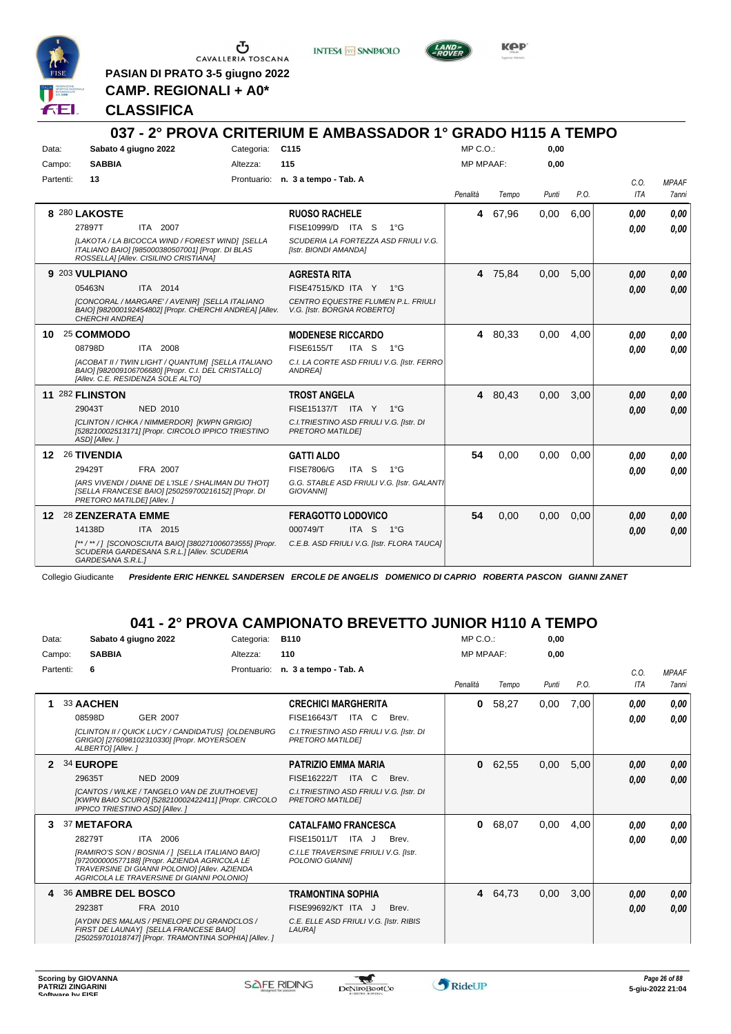

 $\begin{array}{c}\n\bullet \\
\bullet \\
\bullet \\
\bullet \\
\bullet\n\end{array}$  CAVALLERIA TOSCANA

**INTESA** M SANPAOLO



**Kep** 

**PASIAN DI PRATO 3-5 giugno 2022 CAMP. REGIONALI + A0\***

#### **CLASSIFICA**

|           |                                   |                                                                                                                                              |                 | 037 - 2° PROVA CRITERIUM E AMBASSADOR 1° GRADO H115 A TEMPO         |                  |         |       |      |            |              |
|-----------|-----------------------------------|----------------------------------------------------------------------------------------------------------------------------------------------|-----------------|---------------------------------------------------------------------|------------------|---------|-------|------|------------|--------------|
| Data:     | Sabato 4 giugno 2022              |                                                                                                                                              | Categoria: C115 |                                                                     | $MP C. O.$ :     |         | 0,00  |      |            |              |
| Campo:    | <b>SABBIA</b>                     |                                                                                                                                              | Altezza:        | 115                                                                 | <b>MP MPAAF:</b> |         | 0.00  |      |            |              |
| Partenti: | 13                                |                                                                                                                                              |                 | Prontuario: n. 3 a tempo - Tab. A                                   |                  |         |       |      | C.0.       | <b>MPAAF</b> |
|           |                                   |                                                                                                                                              |                 |                                                                     | Penalità         | Tempo   | Punti | P.O. | <b>ITA</b> | 7anni        |
|           | 8 280 LAKOSTE                     |                                                                                                                                              |                 | <b>RUOSO RACHELE</b>                                                | 4                | 67,96   | 0.00  | 6.00 | 0.00       | 0.00         |
|           | 27897T                            | <b>ITA 2007</b>                                                                                                                              |                 | FISE10999/D ITA S<br>$1^{\circ}G$                                   |                  |         |       |      | 0.00       | 0.00         |
|           |                                   | [LAKOTA / LA BICOCCA WIND / FOREST WIND] [SELLA<br>ITALIANO BAIO] [985000380507001] [Propr. DI BLAS<br>ROSSELLA] [Allev. CISILINO CRISTIANA] |                 | SCUDERIA LA FORTEZZA ASD FRIULI V.G.<br>[Istr. BIONDI AMANDA]       |                  |         |       |      |            |              |
|           | 9 203 VULPIANO                    |                                                                                                                                              |                 | <b>AGRESTA RITA</b>                                                 |                  | 4 75,84 | 0,00  | 5,00 | 0,00       | 0,00         |
|           | 05463N                            | ITA 2014                                                                                                                                     |                 | FISE47515/KD ITA Y 1°G                                              |                  |         |       |      | 0.00       | 0,00         |
|           | <b>CHERCHI ANDREAI</b>            | [CONCORAL / MARGARE' / AVENIR] [SELLA ITALIANO<br>BAIO] [982000192454802] [Propr. CHERCHI ANDREA] [Allev.                                    |                 | CENTRO EQUESTRE FLUMEN P.L. FRIULI<br>V.G. [Istr. BORGNA ROBERTO]   |                  |         |       |      |            |              |
| 10        | 25 COMMODO                        |                                                                                                                                              |                 | <b>MODENESE RICCARDO</b>                                            |                  | 4 80,33 | 0,00  | 4,00 | 0.00       | 0.00         |
|           | 08798D                            | <b>ITA 2008</b>                                                                                                                              |                 | <b>FISE6155/T</b><br>ITA S 1°G                                      |                  |         |       |      | 0.00       | 0.00         |
|           | [Allev. C.E. RESIDENZA SOLE ALTO] | [ACOBAT II / TWIN LIGHT / QUANTUM] [SELLA ITALIANO<br>BAIO] [982009106706680] [Propr. C.I. DEL CRISTALLO]                                    |                 | C.I. LA CORTE ASD FRIULI V.G. [Istr. FERRO<br>ANDREA]               |                  |         |       |      |            |              |
|           | 11 282 FLINSTON                   |                                                                                                                                              |                 | <b>TROST ANGELA</b>                                                 |                  | 4 80,43 | 0,00  | 3,00 | 0.00       | 0.00         |
|           | 29043T                            | NED 2010                                                                                                                                     |                 | FISE15137/T ITA Y 1°G                                               |                  |         |       |      | 0.00       | 0.00         |
|           | ASD] [Allev.]                     | [CLINTON / ICHKA / NIMMERDOR] [KWPN GRIGIO]<br>[528210002513171] [Propr. CIRCOLO IPPICO TRIESTINO                                            |                 | C.I. TRIESTINO ASD FRIULI V.G. [Istr. DI<br><b>PRETORO MATILDE!</b> |                  |         |       |      |            |              |
|           | 12 <sup>26</sup> TIVENDIA         |                                                                                                                                              |                 | <b>GATTI ALDO</b>                                                   | 54               | 0.00    | 0.00  | 0.00 | 0.00       | 0.00         |
|           | 29429T                            | FRA 2007                                                                                                                                     |                 | <b>FISE7806/G</b><br>ITA S<br>1°G                                   |                  |         |       |      | 0.00       | 0.00         |
|           | PRETORO MATILDE] [Allev.]         | [ARS VIVENDI / DIANE DE L'ISLE / SHALIMAN DU THOT]<br>[SELLA FRANCESE BAIO] [250259700216152] [Propr. DI                                     |                 | G.G. STABLE ASD FRIULI V.G. [Istr. GALANTI<br><b>GIOVANNII</b>      |                  |         |       |      |            |              |
|           | 12 28 ZENZERATA EMME              |                                                                                                                                              |                 | <b>FERAGOTTO LODOVICO</b>                                           | 54               | 0,00    | 0,00  | 0,00 | 0.00       | 0,00         |
|           | 14138D                            | ITA 2015                                                                                                                                     |                 | 000749/T<br>ITA S 1°G                                               |                  |         |       |      | 0,00       | 0.00         |
|           | GARDESANA S.R.L.1                 | [**/**/] [SCONOSCIUTA BAIO] [380271006073555] [Propr.<br>SCUDERIA GARDESANA S.R.L.] [Allev. SCUDERIA                                         |                 | C.E.B. ASD FRIULI V.G. [Istr. FLORA TAUCA]                          |                  |         |       |      |            |              |

Collegio Giudicante *Presidente ERIC HENKEL SANDERSEN ERCOLE DE ANGELIS DOMENICO DI CAPRIO ROBERTA PASCON GIANNI ZANET*

### **041 - 2° PROVA CAMPIONATO BREVETTO JUNIOR H110 A TEMPO**

| Data:<br>Campo: | <b>SABBIA</b>                            | Sabato 4 giugno 2022                                                                                                                                                                                        | Categoria:<br>Altezza: | <b>B110</b><br>110                                                                                          |                                                            | $MP C. O.$ :<br><b>MP MPAAF:</b> |       | 0.00<br>0,00 |      |              |                              |
|-----------------|------------------------------------------|-------------------------------------------------------------------------------------------------------------------------------------------------------------------------------------------------------------|------------------------|-------------------------------------------------------------------------------------------------------------|------------------------------------------------------------|----------------------------------|-------|--------------|------|--------------|------------------------------|
| Partenti:       | 6                                        |                                                                                                                                                                                                             | Prontuario:            | n. 3 a tempo - Tab. A                                                                                       |                                                            | Penalità                         | Tempo | Punti        | P.O. | C.O.<br>ITA  | <b>MPAAF</b><br><b>7anni</b> |
| 1               | 33 AACHEN<br>08598D<br>ALBERTO] [Allev.] | GER 2007<br>[CLINTON II / QUICK LUCY / CANDIDATUS] [OLDENBURG<br>GRIGIO] [276098102310330] [Propr. MOYERSOEN                                                                                                |                        | <b>CRECHICI MARGHERITA</b><br>FISE16643/T<br>PRETORO MATILDEI                                               | ITA C<br>Brev.<br>C.I. TRIESTINO ASD FRIULI V.G. [Istr. DI | 0                                | 58,27 | 0,00         | 7,00 | 0.00<br>0,00 | 0,00<br>0,00                 |
| 2               | 34 EUROPE<br>29635T                      | <b>NED 2009</b><br>[CANTOS / WILKE / TANGELO VAN DE ZUUTHOEVE]<br>[KWPN BAIO SCURO] [528210002422411] [Propr. CIRCOLO<br><b>IPPICO TRIESTINO ASDI [Allev.]</b>                                              |                        | <b>PATRIZIO EMMA MARIA</b><br><b>FISE16222/T</b><br><b>PRETORO MATILDEI</b>                                 | ITA C<br>Brev.<br>C.I. TRIESTINO ASD FRIULI V.G. [Istr. DI | $\mathbf{0}$                     | 62,55 | 0,00         | 5,00 | 0.00<br>0,00 | 0,00<br>0,00                 |
| 3               | 37 METAFORA<br>28279T                    | ITA 2006<br>[RAMIRO'S SON / BOSNIA / ] [SELLA ITALIANO BAIO]<br>[972000000577188] [Propr. AZIENDA AGRICOLA LE<br>TRAVERSINE DI GIANNI POLONIO] [Allev. AZIENDA<br>AGRICOLA LE TRAVERSINE DI GIANNI POLONIOI |                        | <b>CATALFAMO FRANCESCA</b><br><b>FISE15011/T</b><br>C.I.LE TRAVERSINE FRIULI V.G. [Istr.<br>POLONIO GIANNII | ITA J<br>Brev.                                             | 0                                | 68,07 | 0,00         | 4.00 | 0.00<br>0.00 | 0,00<br>0.00                 |
| 4               | <b>36 AMBRE DEL BOSCO</b><br>29238T      | FRA 2010<br><b>IAYDIN DES MALAIS / PENELOPE DU GRANDCLOS /</b><br>FIRST DE LAUNAYI [SELLA FRANCESE BAIO]<br>[250259701018747] [Propr. TRAMONTINA SOPHIA] [Allev.]                                           |                        | TRAMONTINA SOPHIA<br>FISE99692/KT ITA J<br>C.E. ELLE ASD FRIULI V.G. [Istr. RIBIS<br>LAURA]                 | Brev.                                                      | $\overline{\mathbf{4}}$          | 64,73 | 0,00         | 3,00 | 0,00<br>0.00 | 0,00<br>0,00                 |

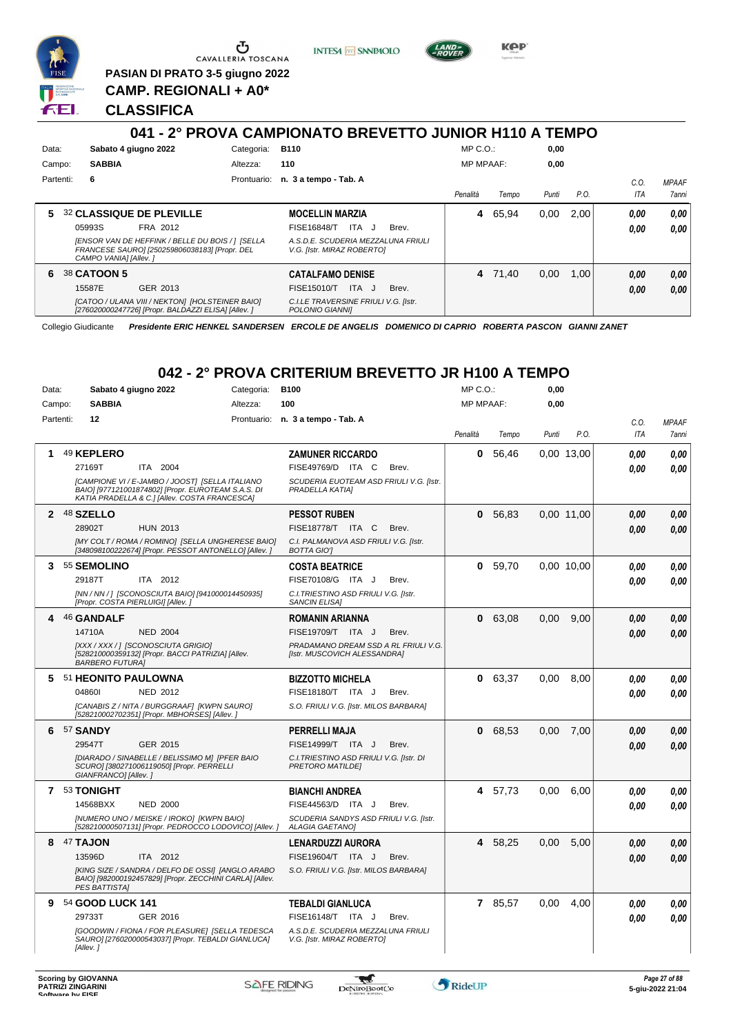

Ⴠ CAVALLERIA TOSCANA

**PASIAN DI PRATO 3-5 giugno 2022 CAMP. REGIONALI + A0\***

**INTESA** M SANPAOLO



**KPP** 

### **CLASSIFICA**

|           |                                                                                                                             |             | 041 - 2° PROVA CAMPIONATO BREVETTO JUNIOR H110 A TEMPO           |                  |         |       |      |             |                       |
|-----------|-----------------------------------------------------------------------------------------------------------------------------|-------------|------------------------------------------------------------------|------------------|---------|-------|------|-------------|-----------------------|
| Data:     | Sabato 4 giugno 2022                                                                                                        | Categoria:  | <b>B110</b>                                                      | $MP C. O.$ :     |         | 0,00  |      |             |                       |
| Campo:    | <b>SABBIA</b>                                                                                                               | Altezza:    | 110                                                              | <b>MP MPAAF:</b> |         | 0,00  |      |             |                       |
| Partenti: | - 6                                                                                                                         | Prontuario: | n. 3 a tempo - Tab. A                                            | Penalità         | Tempo   | Punti | P.O. | C.0.<br>ITA | <b>MPAAF</b><br>7anni |
| 5         | <b>32 CLASSIQUE DE PLEVILLE</b>                                                                                             |             | <b>MOCELLIN MARZIA</b>                                           | 4                | 65.94   | 0.00  | 2.00 | 0.00        | 0.00                  |
|           | 05993S<br>FRA 2012                                                                                                          |             | ITA J<br><b>FISE16848/T</b><br>Brev.                             |                  |         |       |      | 0.00        | 0.00                  |
|           | [ENSOR VAN DE HEFFINK / BELLE DU BOIS / ] [SELLA<br>FRANCESE SAURO] [250259806038183] [Propr. DEL<br>CAMPO VANIAI [Allev. ] |             | A.S.D.E. SCUDERIA MEZZALUNA FRIULI<br>V.G. [Istr. MIRAZ ROBERTO] |                  |         |       |      |             |                       |
| 6         | 38 CATOON 5                                                                                                                 |             | <b>CATALFAMO DENISE</b>                                          |                  | 4 71.40 | 0.00  | 1.00 | 0.00        | 0,00                  |
|           | GER 2013<br>15587E                                                                                                          |             | ITA J<br>FISE15010/T<br>Brev.                                    |                  |         |       |      | 0.00        | 0,00                  |
|           | [CATOO / ULANA VIII / NEKTON] [HOLSTEINER BAIO]<br>[276020000247726] [Propr. BALDAZZI ELISA] [Allev.]                       |             | C.I.LE TRAVERSINE FRIULI V.G. [Istr.<br>POLONIO GIANNII          |                  |         |       |      |             |                       |

Collegio Giudicante *Presidente ERIC HENKEL SANDERSEN ERCOLE DE ANGELIS DOMENICO DI CAPRIO ROBERTA PASCON GIANNI ZANET*

# **042 - 2° PROVA CRITERIUM BREVETTO JR H100 A TEMPO**

| Data:        | Sabato 4 giugno 2022   |                                                                                                                                                        | Categoria: | <b>B100</b>                                                          |       | MP C.O.:         |           | 0,00  |            |      |              |
|--------------|------------------------|--------------------------------------------------------------------------------------------------------------------------------------------------------|------------|----------------------------------------------------------------------|-------|------------------|-----------|-------|------------|------|--------------|
| Campo:       | <b>SABBIA</b>          |                                                                                                                                                        | Altezza:   | 100                                                                  |       | <b>MP MPAAF:</b> |           | 0,00  |            |      |              |
| Partenti:    | 12                     |                                                                                                                                                        |            | Prontuario: n. 3 a tempo - Tab. A                                    |       |                  |           |       |            | C.0. | <b>MPAAF</b> |
|              |                        |                                                                                                                                                        |            |                                                                      |       | Penalità         | Tempo     | Punti | P.O.       | ITA  | 7anni        |
| 1            | 49 KEPLERO             |                                                                                                                                                        |            | <b>ZAMUNER RICCARDO</b>                                              |       | 0                | 56.46     |       | 0.00 13.00 | 0.00 | 0,00         |
|              | 27169T                 | ITA 2004                                                                                                                                               |            | FISE49769/D ITA C                                                    | Brev. |                  |           |       |            | 0.00 | 0.00         |
|              |                        | [CAMPIONE VI / E-JAMBO / JOOST] [SELLA ITALIANO<br>BAIO] [977121001874802] [Propr. EUROTEAM S.A.S. DI<br>KATIA PRADELLA & C.] [Allev. COSTA FRANCESCA] |            | SCUDERIA EUOTEAM ASD FRIULI V.G. [Istr.<br>PRADELLA KATIA]           |       |                  |           |       |            |      |              |
| $\mathbf{2}$ | 48 SZELLO              |                                                                                                                                                        |            | <b>PESSOT RUBEN</b>                                                  |       |                  | 0, 56, 83 |       | 0,00 11,00 | 0.00 | 0,00         |
|              | 28902T                 | <b>HUN 2013</b>                                                                                                                                        |            | FISE18778/T ITA C                                                    | Brev. |                  |           |       |            | 0.00 | 0.00         |
|              |                        | [MY COLT / ROMA / ROMINO] [SELLA UNGHERESE BAIO]<br>[348098100222674] [Propr. PESSOT ANTONELLO] [Allev. ]                                              |            | C.I. PALMANOVA ASD FRIULI V.G. [Istr.<br><b>BOTTA GIOT</b>           |       |                  |           |       |            |      |              |
| 3            | 55 SEMOLINO            |                                                                                                                                                        |            | <b>COSTA BEATRICE</b>                                                |       | 0                | 59.70     |       | 0.00 10.00 | 0.00 | 0.00         |
|              | 29187T                 | ITA 2012                                                                                                                                               |            | FISE70108/G ITA J                                                    | Brev. |                  |           |       |            | 0.00 | 0.00         |
|              |                        | [NN / NN / ] [SCONOSCIUTA BAIO] [941000014450935]<br>[Propr. COSTA PIERLUIGI] [Allev.]                                                                 |            | C.I. TRIESTINO ASD FRIULI V.G. [Istr.<br><b>SANCIN ELISA]</b>        |       |                  |           |       |            |      |              |
| 4            | 46 GANDALF             |                                                                                                                                                        |            | <b>ROMANIN ARIANNA</b>                                               |       | $\mathbf{0}$     | 63.08     | 0.00  | 9.00       | 0.00 | 0,00         |
|              | 14710A                 | <b>NED 2004</b>                                                                                                                                        |            | FISE19709/T ITA J                                                    | Brev. |                  |           |       |            | 0.00 | 0.00         |
|              | <b>BARBERO FUTURA]</b> | [XXX / XXX / ] [SCONOSCIUTA GRIGIO]<br>[528210000359132] [Propr. BACCI PATRIZIA] [Allev.                                                               |            | PRADAMANO DREAM SSD A RL FRIULI V.G.<br>[Istr. MUSCOVICH ALESSANDRA] |       |                  |           |       |            |      |              |
| 5            | 51 HEONITO PAULOWNA    |                                                                                                                                                        |            | <b>BIZZOTTO MICHELA</b>                                              |       |                  | 0 63,37   | 0,00  | 8,00       | 0.00 | 0,00         |
|              | 048601                 | NED 2012                                                                                                                                               |            | FISE18180/T ITA J                                                    | Brev. |                  |           |       |            | 0.00 | 0.00         |
|              |                        | [CANABIS Z / NITA / BURGGRAAF] [KWPN SAURO]<br>[528210002702351] [Propr. MBHORSES] [Allev. ]                                                           |            | S.O. FRIULI V.G. [Istr. MILOS BARBARA]                               |       |                  |           |       |            |      |              |
| 6            | 57 SANDY               |                                                                                                                                                        |            | PERRELLI MAJA                                                        |       | $\mathbf{0}$     | 68,53     | 0.00  | 7.00       | 0.00 | 0.00         |
|              | 29547T                 | GER 2015                                                                                                                                               |            | FISE14999/T ITA J                                                    | Brev. |                  |           |       |            | 0.00 | 0.00         |
|              | GIANFRANCO] [Allev.]   | [DIARADO / SINABELLE / BELISSIMO M] [PFER BAIO<br>SCURO] [380271006119050] [Propr. PERRELLI                                                            |            | C.I. TRIESTINO ASD FRIULI V.G. [Istr. DI<br>PRETORO MATILDE]         |       |                  |           |       |            |      |              |
|              | 7 53 TONIGHT           |                                                                                                                                                        |            | <b>BIANCHI ANDREA</b>                                                |       |                  | 4 57,73   | 0.00  | 6.00       | 0.00 | 0.00         |
|              | 14568BXX               | <b>NED 2000</b>                                                                                                                                        |            | FISE44563/D ITA J                                                    | Brev. |                  |           |       |            | 0.00 | 0.00         |
|              |                        | [NUMERO UNO / MEISKE / IROKO] [KWPN BAIO]<br>[528210000507131] [Propr. PEDROCCO LODOVICO] [Allev.]                                                     |            | SCUDERIA SANDYS ASD FRIULI V.G. [Istr.<br><b>ALAGIA GAETANO]</b>     |       |                  |           |       |            |      |              |
| 8            | 47 TAJON               |                                                                                                                                                        |            | <b>LENARDUZZI AURORA</b>                                             |       |                  | 4 58,25   | 0,00  | 5,00       | 0.00 | 0,00         |
|              | 13596D                 | ITA 2012                                                                                                                                               |            | FISE19604/T ITA J                                                    | Brev. |                  |           |       |            | 0.00 | 0.00         |
|              | PES BATTISTAI          | IKING SIZE / SANDRA / DELFO DE OSSII IANGLO ARABO<br>BAIO] [982000192457829] [Propr. ZECCHINI CARLA] [Allev.                                           |            | S.O. FRIULI V.G. [Istr. MILOS BARBARA]                               |       |                  |           |       |            |      |              |
| 9            | 54 GOOD LUCK 141       |                                                                                                                                                        |            | TEBALDI GIANLUCA                                                     |       |                  | 7 85,57   | 0,00  | 4,00       | 0.00 | 0,00         |
|              | 29733T                 | GER 2016                                                                                                                                               |            | FISE16148/T ITA J                                                    | Brev. |                  |           |       |            | 0.00 | 0.00         |
|              | [Allev.]               | [GOODWIN / FIONA / FOR PLEASURE] [SELLA TEDESCA<br>SAURO] [276020000543037] [Propr. TEBALDI GIANLUCA]                                                  |            | A.S.D.E. SCUDERIA MEZZALUNA FRIULI<br>V.G. [Istr. MIRAZ ROBERTO]     |       |                  |           |       |            |      |              |

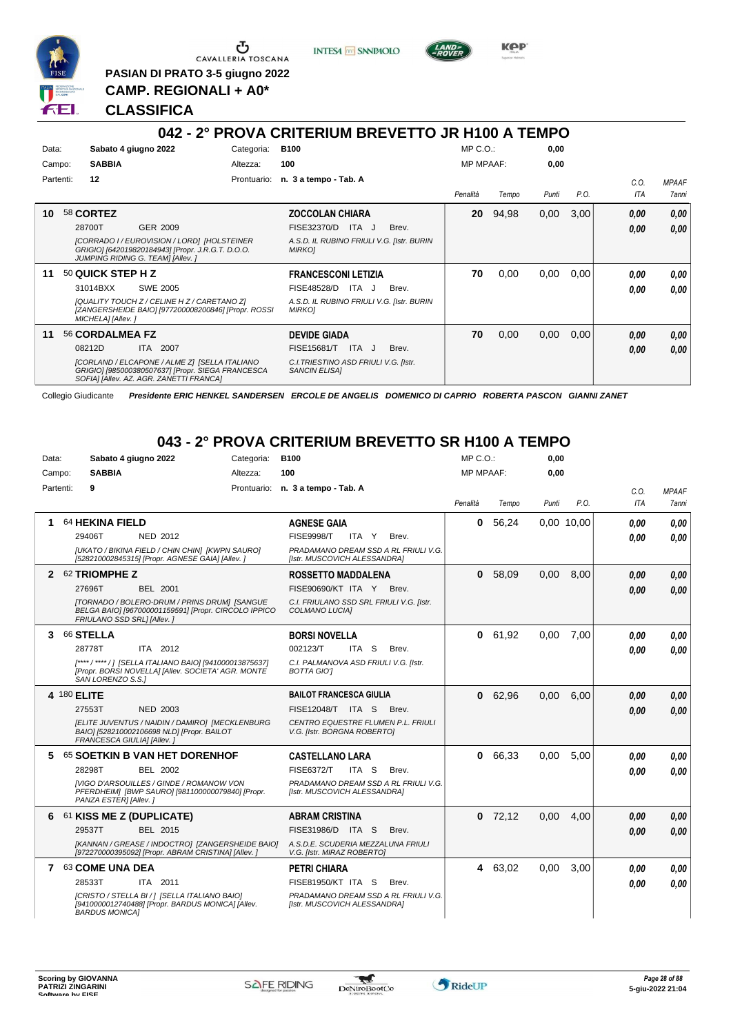

Ⴇ CAVALLERIA TOSCANA

**PASIAN DI PRATO 3-5 giugno 2022 CAMP. REGIONALI + A0\***

**INTESA** M SANPAOLO



**KPP** 

### **CLASSIFICA**

#### **042 - 2° PROVA CRITERIUM BREVETTO JR H100 A TEMPO** Data: Sabato 4 giugno 2022 Categoria: B100 Prontuario: **n. 3 a tempo - Tab. A** Campo: **SABBIA** Partenti: **12** Altezza: **100** MP C.O.: MP MPAAF: **0,00 0,00** *Penalità Tempo Punti P.O. C.O. ITA MPAAF 7anni* **10** 58 **CORTEZ** GER 2009 **ZOCCOLAN CHIARA** *[CORRADO I / EUROVISION / LORD] [HOLSTEINER GRIGIO] [642019820184943] [Propr. J.R.G.T. D.O.O. JUMPING RIDING G. TEAM] [Allev. ] A.S.D. IL RUBINO FRIULI V.G. [Istr. BURIN MIRKO]* 28700T GER\_2009 FISE32370/D ITA J Brev. **0,00 0,00 20** 94,98 0,00 3,00 *0,00 0,00 0,00* **11** 50 **QUICK STEP H Z** SWE 2005 **FRANCESCONI LETIZIA** *[QUALITY TOUCH Z / CELINE H Z / CARETANO Z] [ZANGERSHEIDE BAIO] [977200008200846] [Propr. ROSSI MICHELA] [Allev. ] A.S.D. IL RUBINO FRIULI V.G. [Istr. BURIN MIRKO]* 31014BXX SWE 2005 FISE48528/D ITA J Brev. **0,00 0,00 70** 0,00 0,00 0,00 *0,00 0,00 0,00* **11** 56 **CORDALMEA FZ** ITA 2007 **DEVIDE GIADA** *[CORLAND / ELCAPONE / ALME Z] [SELLA ITALIANO GRIGIO] [985000380507637] [Propr. SIEGA FRANCESCA SOFIA] [Allev. AZ. AGR. ZANETTI FRANCA] C.I.TRIESTINO ASD FRIULI V.G. [Istr. SANCIN ELISA]* 08212D ITA 2007 FISE15681/T ITA J Brev. <mark>0,00 0,00</mark> **70** 0,00 0,00 0,00 *0,00 0,00 0,00*

Collegio Giudicante *Presidente ERIC HENKEL SANDERSEN ERCOLE DE ANGELIS DOMENICO DI CAPRIO ROBERTA PASCON GIANNI ZANET*

### **043 - 2° PROVA CRITERIUM BREVETTO SR H100 A TEMPO**

| Data:        |             | Sabato 4 giugno 2022                                                                                                               | Categoria: | <b>B100</b>                                                          | $MP C. O.$ :     |           | 0,00  |            |            |              |
|--------------|-------------|------------------------------------------------------------------------------------------------------------------------------------|------------|----------------------------------------------------------------------|------------------|-----------|-------|------------|------------|--------------|
|              | Campo:      | <b>SABBIA</b>                                                                                                                      | Altezza:   | 100                                                                  | <b>MP MPAAF:</b> |           | 0.00  |            |            |              |
|              | Partenti:   | 9                                                                                                                                  |            | Prontuario: n. 3 a tempo - Tab. A                                    |                  |           |       |            | C.O.       | <b>MPAAF</b> |
|              |             |                                                                                                                                    |            |                                                                      | Penalità         | Tempo     | Punti | P.O.       | <b>ITA</b> | 7anni        |
|              |             | 64 HEKINA FIELD                                                                                                                    |            | <b>AGNESE GAIA</b>                                                   | $\mathbf{0}$     | 56.24     |       | 0.00 10.00 | 0.00       | 0.00         |
|              |             | 29406T<br><b>NED 2012</b>                                                                                                          |            | <b>FISE9998/T</b><br>ITA Y<br>Brev.                                  |                  |           |       |            | 0.00       | 0.00         |
|              |             | [UKATO / BIKINA FIELD / CHIN CHIN] [KWPN SAURO]<br>[528210002845315] [Propr. AGNESE GAIA] [Allev. ]                                |            | PRADAMANO DREAM SSD A RL FRIULI V.G.<br>[Istr. MUSCOVICH ALESSANDRA] |                  |           |       |            |            |              |
| $\mathbf{2}$ |             | 62 TRIOMPHE Z                                                                                                                      |            | <b>ROSSETTO MADDALENA</b>                                            |                  | 0, 58,09  | 0.00  | 8.00       | 0,00       | 0.00         |
|              |             | 27696T<br><b>BEL 2001</b>                                                                                                          |            | FISE90690/KT ITA Y<br>Brev.                                          |                  |           |       |            | 0.00       | 0.00         |
|              |             | [TORNADO / BOLERO-DRUM / PRINS DRUM] [SANGUE<br>BELGA BAIO] [967000001159591] [Propr. CIRCOLO IPPICO<br>FRIULANO SSD SRL1 [Allev.] |            | C.I. FRIULANO SSD SRL FRIULI V.G. [Istr.<br>COLMANO LUCIA]           |                  |           |       |            |            |              |
| 3            |             | 66 STELLA                                                                                                                          |            | <b>BORSI NOVELLA</b>                                                 | 0                | 61,92     | 0.00  | 7.00       | 0.00       | 0.00         |
|              |             | ITA 2012<br>28778T                                                                                                                 |            | 002123/T<br>ITA S<br>Brev.                                           |                  |           |       |            | 0.00       | 0.00         |
|              |             | [****/****/] [SELLA ITALIANO BAIO] [941000013875637]<br>[Propr. BORSI NOVELLA] [Allev. SOCIETA' AGR. MONTE<br>SAN LORENZO S.S.1    |            | C.I. PALMANOVA ASD FRIULI V.G. [Istr.<br><b>BOTTA GIOT</b>           |                  |           |       |            |            |              |
|              | 4 180 ELITE |                                                                                                                                    |            | <b>BAILOT FRANCESCA GIULIA</b>                                       |                  | 0 62,96   | 0,00  | 6.00       | 0,00       | 0.00         |
|              |             | <b>NED 2003</b><br>27553T                                                                                                          |            | <b>FISE12048/T ITA S</b><br>Brev.                                    |                  |           |       |            | 0.00       | 0.00         |
|              |             | [ELITE JUVENTUS / NAIDIN / DAMIRO] [MECKLENBURG<br>BAIO] [528210002106698 NLD] [Propr. BAILOT<br>FRANCESCA GIULIA] [Allev.]        |            | CENTRO EQUESTRE FLUMEN P.L. FRIULI<br>V.G. [Istr. BORGNA ROBERTO]    |                  |           |       |            |            |              |
| 5            |             | 65 SOETKIN B VAN HET DORENHOF                                                                                                      |            | <b>CASTELLANO LARA</b>                                               |                  | 0 66,33   | 0.00  | 5,00       | 0,00       | 0,00         |
|              |             | 28298T<br>BEL 2002                                                                                                                 |            | <b>FISE6372/T</b><br>ITA S<br>Brev.                                  |                  |           |       |            | 0.00       | 0.00         |
|              |             | <b>IVIGO D'ARSOUILLES / GINDE / ROMANOW VON</b><br>PFERDHEIM] [BWP SAURO] [981100000079840] [Propr.<br>PANZA ESTER] [Allev.]       |            | PRADAMANO DREAM SSD A RL FRIULI V.G.<br>[Istr. MUSCOVICH ALESSANDRA] |                  |           |       |            |            |              |
| 6            |             | 61 KISS ME Z (DUPLICATE)                                                                                                           |            | <b>ABRAM CRISTINA</b>                                                |                  | $0$ 72,12 | 0.00  | 4.00       | 0.00       | 0,00         |
|              |             | BEL 2015<br>29537T                                                                                                                 |            | FISE31986/D ITA S<br>Brev.                                           |                  |           |       |            | 0.00       | 0.00         |
|              |             | [KANNAN / GREASE / INDOCTRO] [ZANGERSHEIDE BAIO]<br>[972270000395092] [Propr. ABRAM CRISTINA] [Allev. ]                            |            | A.S.D.E. SCUDERIA MEZZALUNA FRIULI<br>V.G. [Istr. MIRAZ ROBERTO]     |                  |           |       |            |            |              |
|              |             | 7 63 COME UNA DEA                                                                                                                  |            | <b>PETRI CHIARA</b>                                                  |                  | 4 63,02   | 0.00  | 3.00       | 0.00       | 0.00         |
|              |             | ITA 2011<br>28533T                                                                                                                 |            | FISE81950/KT ITA S<br>Brev.                                          |                  |           |       |            | 0.00       | 0.00         |
|              |             | [CRISTO / STELLA BI / ] [SELLA ITALIANO BAIO]<br>[9410000012740488] [Propr. BARDUS MONICA] [Allev.<br><b>BARDUS MONICAI</b>        |            | PRADAMANO DREAM SSD A RL FRIULI V.G.<br>[Istr. MUSCOVICH ALESSANDRA] |                  |           |       |            |            |              |



 $\blacktriangledown$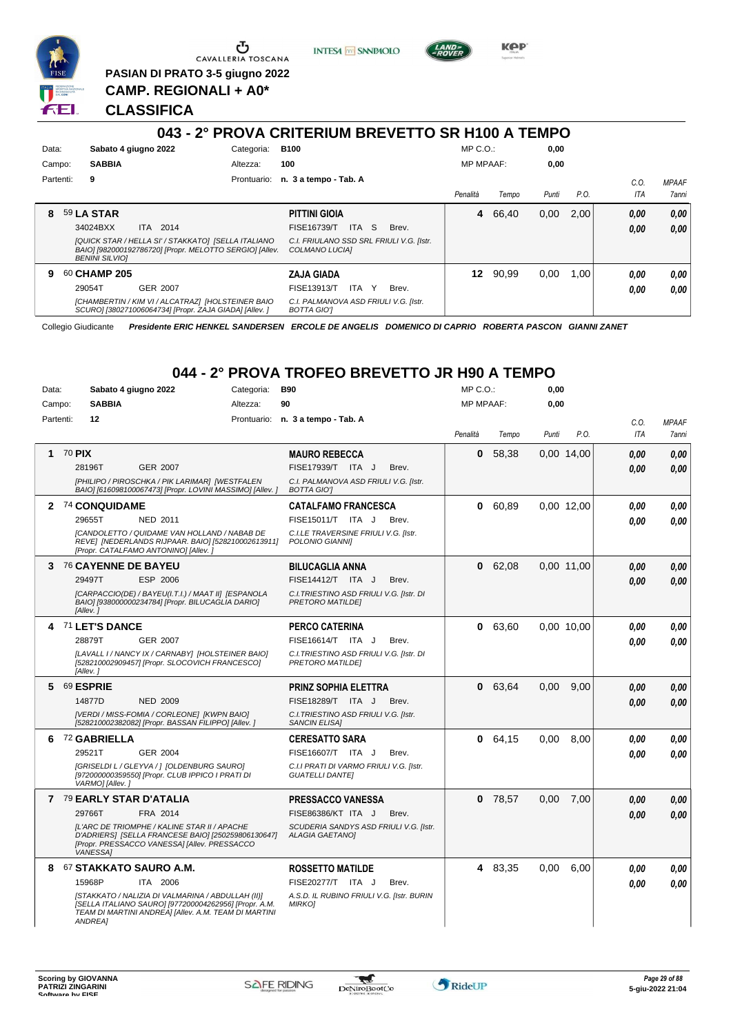

Ⴠ CAVALLERIA TOSCANA

**PASIAN DI PRATO 3-5 giugno 2022 CAMP. REGIONALI + A0\***

**CLASSIFICA**

# **043 - 2° PROVA CRITERIUM BREVETTO SR H100 A TEMPO**

**INTESA** M SANPAOLO

**KPP** 

| Data:<br>Campo: |                               | <b>SABBIA</b>         | Sabato 4 giugno 2022                                                                                                       | Categoria:<br>Altezza: | <b>B100</b><br>100                                                                                                   | $MP C. O.$ :<br><b>MP MPAAF:</b> |       | 0,00<br>0,00 |      |              |                              |
|-----------------|-------------------------------|-----------------------|----------------------------------------------------------------------------------------------------------------------------|------------------------|----------------------------------------------------------------------------------------------------------------------|----------------------------------|-------|--------------|------|--------------|------------------------------|
| Partenti:       | 9                             |                       |                                                                                                                            | Prontuario:            | n. 3 a tempo - Tab. A                                                                                                | Penalità                         | Tempo | Punti        | P.O. | C.O.<br>ITA  | <b>MPAAF</b><br><b>7anni</b> |
| 8               | <b>59 LA STAR</b><br>34024BXX | <b>BENINI SILVIOI</b> | ITA 2014<br>[QUICK STAR / HELLA SI' / STAKKATO] [SELLA ITALIANO<br>BAIO] [982000192786720] [Propr. MELOTTO SERGIO] [Allev. |                        | <b>PITTINI GIOIA</b><br>FISE16739/T<br>ITA S<br>Brev.<br>C.I. FRIULANO SSD SRL FRIULI V.G. [Istr.]<br>COLMANO LUCIAI | 4                                | 66,40 | 0,00         | 2.00 | 0,00<br>0,00 | 0.00<br>0.00                 |
| 9               | 60 CHAMP 205<br>29054T        |                       | GER 2007<br>[CHAMBERTIN / KIM VI / ALCATRAZ] [HOLSTEINER BAIO<br>SCURO] [380271006064734] [Propr. ZAJA GIADA] [Allev. ]    |                        | ZAJA GIADA<br>FISE13913/T<br>ITA<br>Y<br>Brev.<br>C.I. PALMANOVA ASD FRIULI V.G. [Istr.<br><b>BOTTA GIOT</b>         | 12                               | 90.99 | 0,00         | 1.00 | 0.00<br>0.00 | 0.00<br>0.00                 |

Collegio Giudicante *Presidente ERIC HENKEL SANDERSEN ERCOLE DE ANGELIS DOMENICO DI CAPRIO ROBERTA PASCON GIANNI ZANET*

## **044 - 2° PROVA TROFEO BREVETTO JR H90 A TEMPO**

| Data:     | Sabato 4 giugno 2022                                                                                                                                                                                                            | Categoria: | <b>B90</b>                                                                                                                         | MP C.O.:         |           | 0,00  |            |                    |                              |
|-----------|---------------------------------------------------------------------------------------------------------------------------------------------------------------------------------------------------------------------------------|------------|------------------------------------------------------------------------------------------------------------------------------------|------------------|-----------|-------|------------|--------------------|------------------------------|
| Campo:    | <b>SABBIA</b>                                                                                                                                                                                                                   | Altezza:   | 90                                                                                                                                 | <b>MP MPAAF:</b> |           | 0,00  |            |                    |                              |
| Partenti: | $12 \,$                                                                                                                                                                                                                         |            | Prontuario: n. 3 a tempo - Tab. A                                                                                                  | Penalità         | Tempo     | Punti | P.O.       | C.O.<br><b>ITA</b> | <b>MPAAF</b><br><b>7anni</b> |
| 1         | 70 PIX<br>28196T<br><b>GER 2007</b><br>[PHILIPO / PIROSCHKA / PIK LARIMAR] [WESTFALEN<br>BAIO] [616098100067473] [Propr. LOVINI MASSIMO] [Allev.]                                                                               |            | <b>MAURO REBECCA</b><br>FISE17939/T ITA J<br>Brev.<br>C.I. PALMANOVA ASD FRIULI V.G. [Istr.<br><b>BOTTA GIOT</b>                   | 0                | 58,38     |       | 0.00 14.00 | 0.00<br>0.00       | 0.00<br>0.00                 |
|           | 2 74 CONQUIDAME<br>29655T<br><b>NED 2011</b><br>[CANDOLETTO / QUIDAME VAN HOLLAND / NABAB DE<br>REVE] [NEDERLANDS RIJPAAR. BAIO] [528210002613911]<br>[Propr. CATALFAMO ANTONINO] [Allev.]                                      |            | <b>CATALFAMO FRANCESCA</b><br>FISE15011/T ITA J<br>Brev.<br>C.I.LE TRAVERSINE FRIULI V.G. [Istr.<br>POLONIO GIANNII                | 0                | 60.89     |       | 0.00 12.00 | 0.00<br>0.00       | 0.00<br>0.00                 |
|           | 3 76 CAYENNE DE BAYEU<br>29497T<br>ESP 2006<br>[CARPACCIO(DE) / BAYEU(I.T.I.) / MAAT II] [ESPANOLA<br>BAIO] [938000000234784] [Propr. BILUCAGLIA DARIO]<br>[Allev.]                                                             |            | <b>BILUCAGLIA ANNA</b><br>FISE14412/T ITA J<br>Brev.<br>C.I. TRIESTINO ASD FRIULI V.G. [Istr. DI<br>PRETORO MATILDEI               |                  | 0 62,08   |       | 0.00 11.00 | 0.00<br>0.00       | 0.00<br>0.00                 |
|           | 71 LET'S DANCE<br>28879T<br>GER 2007<br>[LAVALL I / NANCY IX / CARNABY] [HOLSTEINER BAIO]<br>[528210002909457] [Propr. SLOCOVICH FRANCESCO]<br>[Allev.]                                                                         |            | <b>PERCO CATERINA</b><br>FISE16614/T ITA J<br>Brev.<br>C.I. TRIESTINO ASD FRIULI V.G. [Istr. DI<br>PRETORO MATILDEI                | 0                | 63,60     |       | 0.00 10.00 | 0.00<br>0.00       | 0,00<br>0.00                 |
| 5.        | 69 ESPRIE<br>14877D<br><b>NED 2009</b><br>[VERDI / MISS-FOMIA / CORLEONE] [KWPN BAIO]<br>[528210002382082] [Propr. BASSAN FILIPPO] [Allev. ]                                                                                    |            | PRINZ SOPHIA ELETTRA<br>FISE18289/T ITA J<br>Brev.<br>C.I. TRIESTINO ASD FRIULI V.G. [Istr.<br><b>SANCIN ELISA1</b>                | 0                | 63,64     | 0.00  | 9,00       | 0,00<br>0.00       | 0.00<br>0.00                 |
| 6         | <sup>72</sup> GABRIELLA<br>29521T<br><b>GER 2004</b><br>[GRISELDI L / GLEYVA /   [OLDENBURG SAURO]<br>[972000000359550] [Propr. CLUB IPPICO I PRATI DI<br>VARMO] [Allev.]                                                       |            | <b>CERESATTO SARA</b><br>FISE16607/T ITA J<br>Brev.<br>C.I.I PRATI DI VARMO FRIULI V.G. [Istr.<br><b>GUATELLI DANTEI</b>           | 0                | 64,15     | 0,00  | 8,00       | 0.00<br>0.00       | 0,00<br>0,00                 |
|           | 7 79 EARLY STAR D'ATALIA<br>29766T<br>FRA 2014<br>IL'ARC DE TRIOMPHE / KALINE STAR II / APACHE<br>D'ADRIERS] [SELLA FRANCESE BAIO] [250259806130647]<br>[Propr. PRESSACCO VANESSA] [Allev. PRESSACCO<br><b>VANESSA1</b>         |            | <b>PRESSACCO VANESSA</b><br><b>FISE86386/KT ITA J</b><br>Brev.<br>SCUDERIA SANDYS ASD FRIULI V.G. [Istr.<br><b>ALAGIA GAETANOI</b> |                  | $0$ 78,57 | 0,00  | 7,00       | 0.00<br>0.00       | 0,00<br>0.00                 |
|           | 8 67 STAKKATO SAURO A.M.<br>15968P<br>ITA 2006<br>[STAKKATO / NALIZIA DI VALMARINA / ABDULLAH (II)]<br>[SELLA ITALIANO SAURO] [977200004262956] [Propr. A.M.<br>TEAM DI MARTINI ANDREA] [Allev. A.M. TEAM DI MARTINI<br>ANDREA] |            | <b>ROSSETTO MATILDE</b><br>FISE20277/T ITA J<br>Brev.<br>A.S.D. IL RUBINO FRIULI V.G. [Istr. BURIN<br><b>MIRKOI</b>                |                  | 4 83,35   | 0,00  | 6.00       | 0.00<br>0.00       | 0.00<br>0.00                 |



 $\blacktriangledown$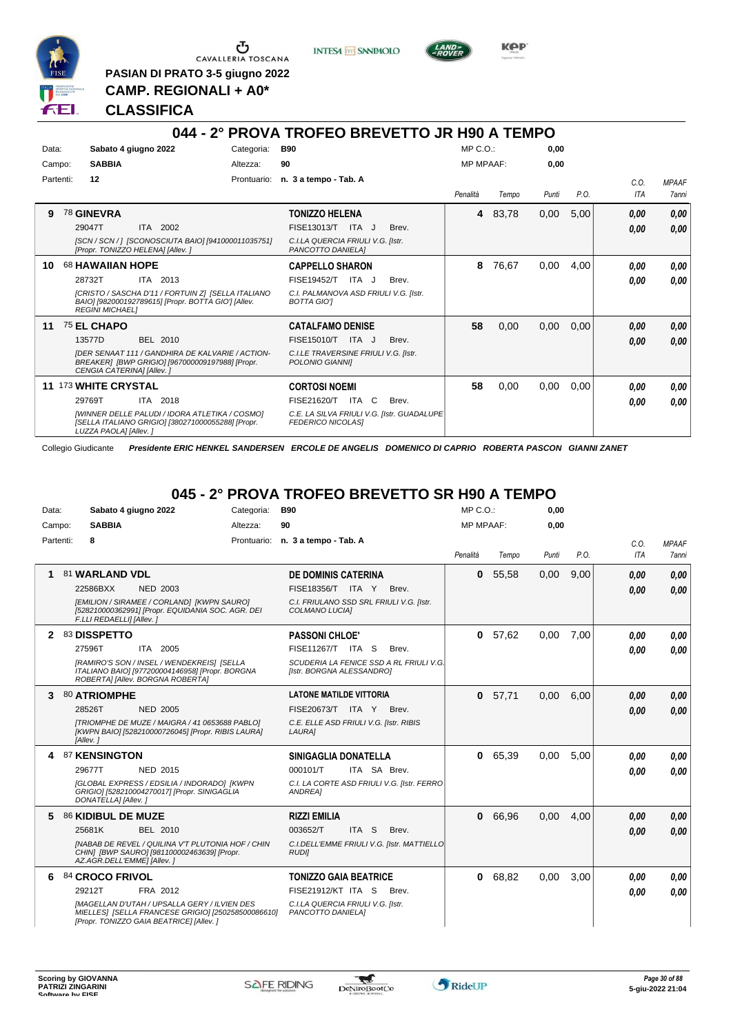

G CAVALLERIA TOSCANA

**PASIAN DI PRATO 3-5 giugno 2022 CAMP. REGIONALI + A0\***

**INTESA** M SANPAOLO



**CLASSIFICA**

#### **044 - 2° PROVA TROFEO BREVETTO JR H90 A TEMPO** Data: Sabato 4 giugno 2022 Categoria: B90 Prontuario: **n. 3 a tempo - Tab. A** Campo: **SABBIA** Partenti: **12** Altezza: **90** MP C.O.: MP MPAAF: **0,00 0,00** *Penalità Tempo Punti P.O. C.O. ITA* **9** 78 **GINEVRA** ITA 2002 **TONIZZO HELENA** *[SCN / SCN / ] [SCONOSCIUTA BAIO] [941000011035751] [Propr. TONIZZO HELENA] [Allev. ] C.I.LA QUERCIA FRIULI V.G. [Istr. PANCOTTO DANIELA]* ITA J Brev. 29047T FISE13013/T *0,00* **4** 83,78 0,00 5,00 *0,00 0,00* **10** 68 **HAWAIIAN HOPE** ITA 2013 **CAPPELLO SHARON** *[CRISTO / SASCHA D'11 / FORTUIN Z] [SELLA ITALIANO BAIO] [982000192789615] [Propr. BOTTA GIO'] [Allev. REGINI MICHAEL] C.I. PALMANOVA ASD FRIULI V.G. [Istr. BOTTA GIO']* 28732T ITA 2013 FISE19452/T ITA J Brev. **0,00 0,00 8** 76,67 0,00 4,00 *0,00 0,00* **11** 75 **EL CHAPO** BEL 2010 **CATALFAMO DENISE** *[DER SENAAT 111 / GANDHIRA DE KALVARIE / ACTION-BREAKER] [BWP GRIGIO] [967000009197988] [Propr. CENGIA CATERINA] [Allev. ] C.I.LE TRAVERSINE FRIULI V.G. [Istr. POLONIO GIANNI]* 13577D BEL 2010 FISE15010/T ITA J Brev. **0,00 0,00 58** 0,00 0,00 0,00 *0,00 0,00* **11** 173 **WHITE CRYSTAL** ITA 2018 **CORTOSI NOEMI** *[WINNER DELLE PALUDI / IDORA ATLETIKA / COSMO] [SELLA ITALIANO GRIGIO] [380271000055288] [Propr. LUZZA PAOLA] [Allev. ] C.E. LA SILVA FRIULI V.G. [Istr. GUADALUPE FEDERICO NICOLAS]* 29769T ITA 2018 FISE21620/T ITA C Brev. <mark>0 ,00 0,00</mark> **58** 0,00 0,00 0,00 *0,00 0,00*

Collegio Giudicante *Presidente ERIC HENKEL SANDERSEN ERCOLE DE ANGELIS DOMENICO DI CAPRIO ROBERTA PASCON GIANNI ZANET*

### **045 - 2° PROVA TROFEO BREVETTO SR H90 A TEMPO**

| Data: |           |                            | Sabato 4 giugno 2022                                                                                                                                  | Categoria: | <b>B90</b>                                                           |              | MP C. O.         |         | 0,00  |      |                    |                              |
|-------|-----------|----------------------------|-------------------------------------------------------------------------------------------------------------------------------------------------------|------------|----------------------------------------------------------------------|--------------|------------------|---------|-------|------|--------------------|------------------------------|
|       | Campo:    | <b>SABBIA</b>              |                                                                                                                                                       | Altezza:   | 90                                                                   |              | <b>MP MPAAF:</b> |         | 0,00  |      |                    |                              |
|       | Partenti: | 8                          |                                                                                                                                                       |            | Prontuario: n. 3 a tempo - Tab. A                                    |              | Penalità         | Tempo   | Punti | P.O. | C.O.<br><b>ITA</b> | <b>MPAAF</b><br><b>7anni</b> |
|       |           | 81 WARLAND VDL             |                                                                                                                                                       |            | <b>DE DOMINIS CATERINA</b>                                           |              | $\mathbf{0}$     | 55.58   | 0,00  | 9.00 | 0,00               | 0,00                         |
|       |           | 22586BXX                   | <b>NED 2003</b>                                                                                                                                       |            | FISE18356/T ITA Y                                                    | Brev.        |                  |         |       |      | 0.00               | 0.00                         |
|       |           | F.LLI REDAELLI] [Allev. ]  | [EMILION / SIRAMEE / CORLAND] [KWPN SAURO]<br>[528210000362991] [Propr. EQUIDANIA SOC. AGR. DEI                                                       |            | C.I. FRIULANO SSD SRL FRIULI V.G. [Istr.<br>COLMANO LUCIA]           |              |                  |         |       |      |                    |                              |
| 2     |           | 83 DISSPETTO               |                                                                                                                                                       |            | <b>PASSONI CHLOE'</b>                                                |              | $\mathbf{0}$     | 57,62   | 0.00  | 7.00 | 0.00               | 0,00                         |
|       |           | 27596T                     | ITA 2005                                                                                                                                              |            | FISE11267/T ITA S                                                    | Brev.        |                  |         |       |      | 0.00               | 0.00                         |
|       |           |                            | [RAMIRO'S SON / INSEL / WENDEKREIS] [SELLA<br>ITALIANO BAIO] [977200004146958] [Propr. BORGNA<br>ROBERTAI [Allev. BORGNA ROBERTA]                     |            | SCUDERIA LA FENICE SSD A RL FRIULI V.G.<br>[Istr. BORGNA ALESSANDRO] |              |                  |         |       |      |                    |                              |
| 3     |           | <b>80 ATRIOMPHE</b>        |                                                                                                                                                       |            | <b>LATONE MATILDE VITTORIA</b>                                       |              | $\mathbf{0}$     | 57,71   | 0,00  | 6.00 | 0.00               | 0,00                         |
|       |           | 28526T                     | <b>NED 2005</b>                                                                                                                                       |            | FISE20673/T ITA Y                                                    | Brev.        |                  |         |       |      | 0.00               | 0.00                         |
|       |           | [Allev.]                   | ITRIOMPHE DE MUZE / MAIGRA / 41 0653688 PABLOI<br>[KWPN BAIO] [528210000726045] [Propr. RIBIS LAURA]                                                  |            | C.E. ELLE ASD FRIULI V.G. [Istr. RIBIS<br><b>LAURA1</b>              |              |                  |         |       |      |                    |                              |
| 4     |           | 87 KENSINGTON              |                                                                                                                                                       |            | SINIGAGLIA DONATELLA                                                 |              | $\mathbf{0}$     | 65.39   | 0.00  | 5.00 | 0.00               | 0,00                         |
|       |           | 29677T                     | <b>NED 2015</b>                                                                                                                                       |            | 000101/T                                                             | ITA SA Brev. |                  |         |       |      | 0.00               | 0.00                         |
|       |           | DONATELLA] [Allev.]        | [GLOBAL EXPRESS / EDSILIA / INDORADO] [KWPN<br>GRIGIO1 [528210004270017] [Propr. SINIGAGLIA                                                           |            | C.I. LA CORTE ASD FRIULI V.G. [Istr. FERRO<br><b>ANDREA1</b>         |              |                  |         |       |      |                    |                              |
| 5     |           | 86 KIDIBUL DE MUZE         |                                                                                                                                                       |            | <b>RIZZI EMILIA</b>                                                  |              |                  | 0 66.96 | 0.00  | 4.00 | 0.00               | 0,00                         |
|       |           | 25681K                     | BEL 2010                                                                                                                                              |            | 003652/T<br>ITA <sub>S</sub>                                         | Brev.        |                  |         |       |      | 0.00               | 0.00                         |
|       |           | AZ.AGR.DELL'EMME] [Allev.] | <b>INABAB DE REVEL / QUILINA V'T PLUTONIA HOF / CHIN</b><br>CHIN] [BWP SAURO] [981100002463639] [Propr.                                               |            | C.I.DELL'EMME FRIULI V.G. [Istr. MATTIELLO<br><b>RUDII</b>           |              |                  |         |       |      |                    |                              |
| 6     |           | 84 CROCO FRIVOL            |                                                                                                                                                       |            | <b>TONIZZO GAIA BEATRICE</b>                                         |              |                  | 0 68,82 | 0.00  | 3,00 | 0,00               | 0,00                         |
|       |           | 29212T                     | FRA 2012                                                                                                                                              |            | <b>FISE21912/KT ITA S</b>                                            | Brev.        |                  |         |       |      | 0,00               | 0.00                         |
|       |           |                            | <b>IMAGELLAN D'UTAH / UPSALLA GERY / ILVIEN DES</b><br>MIELLES] [SELLA FRANCESE GRIGIO] [250258500086610]<br>[Propr. TONIZZO GAIA BEATRICE] [Allev. ] |            | C.I.LA QUERCIA FRIULI V.G. [Istr.<br>PANCOTTO DANIELA]               |              |                  |         |       |      |                    |                              |

w



*MPAAF 7anni*

*0,00*

*0,00*

*0,00*

*0,00*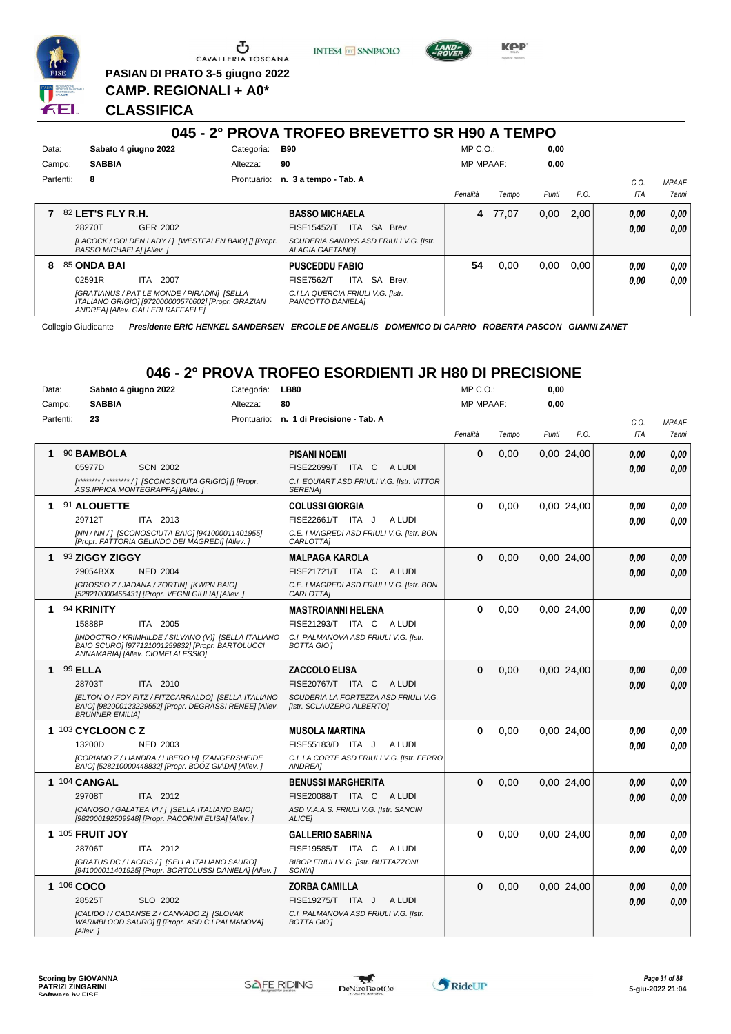

Ⴇ CAVALLERIA TOSCANA

**PASIAN DI PRATO 3-5 giugno 2022 CAMP. REGIONALI + A0\***

**INTESA M** SANPAOLO



**KPP** 

#### **CLASSIFICA**

#### **045 - 2° PROVA TROFEO BREVETTO SR H90 A TEMPO** Data: Sabato 4 giugno 2022 Categoria: B90 Prontuario: **n. 3 a tempo - Tab. A** Campo: **SABBIA** Partenti: **8** Altezza: **90** MP C.O.: MP MPAAF: **0,00 0,00** *Penalità Tempo Punti P.O. C.O. ITA MPAAF 7anni* **7** 82 **LET'S FLY R.H.** GER 2002 **BASSO MICHAELA** *[LACOCK / GOLDEN LADY / ] [WESTFALEN BAIO] [] [Propr. BASSO MICHAELA] [Allev. ] SCUDERIA SANDYS ASD FRIULI V.G. [Istr. ALAGIA GAETANO]* ITA SA Brev. 28270T FISE15452/T *0,00* **4** 77,07 0,00 2,00 *0,00 0,00 0,00* **8** 85 **ONDA BAI** ITA 2007 **PUSCEDDU FABIO** *[GRATIANUS / PAT LE MONDE / PIRADIN] [SELLA ITALIANO GRIGIO] [972000000570602] [Propr. GRAZIAN ANDREA] [Allev. GALLERI RAFFAELE] C.I.LA QUERCIA FRIULI V.G. [Istr. PANCOTTO DANIELA]* 02591R ITA 2007 FISE7562/T ITA SA Brev. **0,00 0,00 54** 0,00 0,00 0,00 *0,00 0,00 0,00*

Collegio Giudicante *Presidente ERIC HENKEL SANDERSEN ERCOLE DE ANGELIS DOMENICO DI CAPRIO ROBERTA PASCON GIANNI ZANET*

# **046 - 2° PROVA TROFEO ESORDIENTI JR H80 DI PRECISIONE**

| Data:      | Sabato 4 giugno 2022                                                                                                                           | Categoria: | <b>LB80</b>                                                       | MP C. O.         |       | 0,00  |            |      |              |
|------------|------------------------------------------------------------------------------------------------------------------------------------------------|------------|-------------------------------------------------------------------|------------------|-------|-------|------------|------|--------------|
| Campo:     | <b>SABBIA</b>                                                                                                                                  | Altezza:   | 80                                                                | <b>MP MPAAF:</b> |       | 0,00  |            |      |              |
| Partenti:  | 23                                                                                                                                             |            | Prontuario: n. 1 di Precisione - Tab. A                           |                  |       |       |            | C.O. | <b>MPAAF</b> |
|            |                                                                                                                                                |            |                                                                   | Penalità         | Tempo | Punti | P.O.       | ITA  | 7anni        |
|            | 90 BAMBOLA                                                                                                                                     |            | <b>PISANI NOEMI</b>                                               | $\bf{0}$         | 0,00  |       | 0,00 24,00 | 0.00 | 0,00         |
|            | 05977D<br><b>SCN 2002</b>                                                                                                                      |            | FISE22699/T ITA C<br>A LUDI                                       |                  |       |       |            | 0,00 | 0.00         |
|            | [******** / ******** / ] [SCONOSCIUTA GRIGIO] [] [Propr.<br>ASS.IPPICA MONTEGRAPPA] [Allev. ]                                                  |            | C.I. EQUIART ASD FRIULI V.G. [Istr. VITTOR<br><b>SERENA1</b>      |                  |       |       |            |      |              |
| 1          | 91 ALOUETTE                                                                                                                                    |            | <b>COLUSSI GIORGIA</b>                                            | 0                | 0,00  |       | 0,00 24,00 | 0.00 | 0,00         |
|            | 29712T<br>ITA 2013                                                                                                                             |            | FISE22661/T ITA J<br>A LUDI                                       |                  |       |       |            | 0.00 | 0.00         |
|            | [NN / NN / ] [SCONOSCIUTA BAIO] [941000011401955]<br>[Propr. FATTORIA GELINDO DEI MAGREDI] [Allev. ]                                           |            | C.E. I MAGREDI ASD FRIULI V.G. [Istr. BON<br>CARLOTTA]            |                  |       |       |            |      |              |
|            | 93 ZIGGY ZIGGY                                                                                                                                 |            | <b>MALPAGA KAROLA</b>                                             | $\Omega$         | 0,00  |       | 0,00 24,00 | 0.00 | 0,00         |
|            | 29054BXX<br><b>NED 2004</b>                                                                                                                    |            | FISE21721/T ITA C<br>A LUDI                                       |                  |       |       |            | 0.00 | 0.00         |
|            | [GROSSO Z / JADANA / ZORTIN] [KWPN BAIO]<br>[528210000456431] [Propr. VEGNI GIULIA] [Allev.]                                                   |            | C.E. I MAGREDI ASD FRIULI V.G. [Istr. BON<br>CARLOTTA]            |                  |       |       |            |      |              |
| 1.         | 94 KRINITY                                                                                                                                     |            | <b>MASTROIANNI HELENA</b>                                         | $\bf{0}$         | 0,00  |       | 0,00 24,00 | 0.00 | 0,00         |
|            | 15888P<br>ITA 2005                                                                                                                             |            | FISE21293/T ITA C<br>A LUDI                                       |                  |       |       |            | 0.00 | 0.00         |
|            | [INDOCTRO / KRIMHILDE / SILVANO (V)] [SELLA ITALIANO<br>BAIO SCURO] [977121001259832] [Propr. BARTOLUCCI<br>ANNAMARIA] [Allev. CIOMEI ALESSIO] |            | C.I. PALMANOVA ASD FRIULI V.G. [Istr.<br><b>BOTTA GIOT</b>        |                  |       |       |            |      |              |
| 1          | 99 ELLA                                                                                                                                        |            | <b>ZACCOLO ELISA</b>                                              | $\Omega$         | 0,00  |       | 0,00 24,00 | 0.00 | 0,00         |
|            | 28703T<br>ITA 2010                                                                                                                             |            | FISE20767/T ITA C<br>A LUDI                                       |                  |       |       |            | 0.00 | 0,00         |
|            | [ELTON O / FOY FITZ / FITZCARRALDO] [SELLA ITALIANO<br>BAIO] [982000123229552] [Propr. DEGRASSI RENEE] [Allev.<br><b>BRUNNER EMILIAI</b>       |            | SCUDERIA LA FORTEZZA ASD FRIULI V.G.<br>[Istr. SCLAUZERO ALBERTO] |                  |       |       |            |      |              |
|            | 1 103 CYCLOON C Z                                                                                                                              |            | <b>MUSOLA MARTINA</b>                                             | $\bf{0}$         | 0,00  |       | 0,00 24,00 | 0.00 | 0.00         |
|            | <b>NED 2003</b><br>13200D                                                                                                                      |            | FISE55183/D ITA J<br>A LUDI                                       |                  |       |       |            | 0.00 | 0.00         |
|            | [CORIANO Z / LIANDRA / LIBERO H] [ZANGERSHEIDE<br>BAIO] [528210000448832] [Propr. BOOZ GIADA] [Allev.]                                         |            | C.I. LA CORTE ASD FRIULI V.G. [Istr. FERRO<br>ANDREA]             |                  |       |       |            |      |              |
|            | 1 104 CANGAL                                                                                                                                   |            | <b>BENUSSI MARGHERITA</b>                                         | $\Omega$         | 0.00  |       | 0.00 24.00 | 0.00 | 0.00         |
|            | 29708T<br>ITA 2012                                                                                                                             |            | FISE20088/T ITA C ALUDI                                           |                  |       |       |            | 0.00 | 0,00         |
|            | [CANOSO / GALATEA VI / ] [SELLA ITALIANO BAIO]<br>[982000192509948] [Propr. PACORINI ELISA] [Allev. ]                                          |            | ASD V.A.A.S. FRIULI V.G. [Istr. SANCIN<br>ALICE1                  |                  |       |       |            |      |              |
|            | 1 105 FRUIT JOY                                                                                                                                |            | <b>GALLERIO SABRINA</b>                                           | $\Omega$         | 0,00  |       | 0,00 24,00 | 0.00 | 0,00         |
|            | 28706T<br>ITA 2012                                                                                                                             |            | FISE19585/T ITA C<br>A LUDI                                       |                  |       |       |            | 0.00 | 0.00         |
|            | [GRATUS DC / LACRIS / ] [SELLA ITALIANO SAURO]<br>[941000011401925] [Propr. BORTOLUSSI DANIELA] [Allev. ]                                      |            | <b>BIBOP FRIULI V.G. [Istr. BUTTAZZONI</b><br>SONIA1              |                  |       |       |            |      |              |
| 1 106 COCO |                                                                                                                                                |            | <b>ZORBA CAMILLA</b>                                              | $\bf{0}$         | 0,00  |       | 0,00 24,00 | 0.00 | 0,00         |
|            | 28525T<br>SLO 2002                                                                                                                             |            | FISE19275/T ITA J<br>A LUDI                                       |                  |       |       |            | 0.00 | 0.00         |
|            | [CALIDO I / CADANSE Z / CANVADO Z] [SLOVAK<br>WARMBLOOD SAURO] [] [Propr. ASD C.I.PALMANOVA]<br>[Allev.]                                       |            | C.I. PALMANOVA ASD FRIULI V.G. [Istr.<br><b>BOTTA GIOT</b>        |                  |       |       |            |      |              |

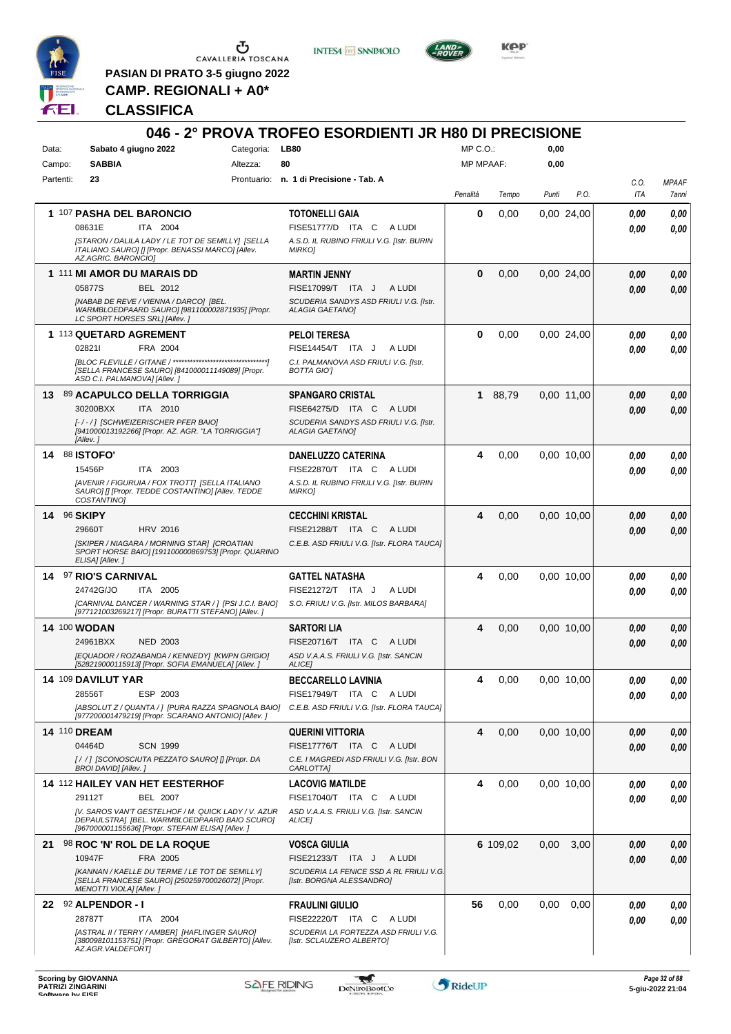

 $\begin{array}{c}\n\bullet \\
\bullet \\
\bullet \\
\bullet\n\end{array}$  CAVALLERIA TOSCANA

**PASIAN DI PRATO 3-5 giugno 2022 CAMP. REGIONALI + A0\***

**INTESA M** SANPAOLO



**Kep** 

### **CLASSIFICA**

|           |                                                                                                                                                           |                 | 046 - 2° PROVA TROFEO ESORDIENTI JR H80 DI PRECISIONE                |                  |          |       |            |      |              |
|-----------|-----------------------------------------------------------------------------------------------------------------------------------------------------------|-----------------|----------------------------------------------------------------------|------------------|----------|-------|------------|------|--------------|
| Data:     | Sabato 4 giugno 2022                                                                                                                                      | Categoria: LB80 |                                                                      | $MP C. O.$ :     |          | 0,00  |            |      |              |
| Campo:    | <b>SABBIA</b>                                                                                                                                             | Altezza:        | 80                                                                   | <b>MP MPAAF:</b> |          | 0,00  |            |      |              |
| Partenti: | 23                                                                                                                                                        |                 | Prontuario: n. 1 di Precisione - Tab. A                              |                  |          |       |            | C.0. | <b>MPAAF</b> |
|           |                                                                                                                                                           |                 |                                                                      | Penalità         | Tempo    | Punti | P.O.       | ITA  | 7anni        |
|           | 1 107 PASHA DEL BARONCIO                                                                                                                                  |                 | <b>TOTONELLI GAIA</b>                                                | 0                | 0,00     |       | 0.00 24,00 | 0.00 | 0,00         |
|           | 08631E<br>ITA 2004                                                                                                                                        |                 | FISE51777/D ITA C<br>A LUDI                                          |                  |          |       |            | 0.00 | 0,00         |
|           | [STARON / DALILA LADY / LE TOT DE SEMILLY] [SELLA<br>ITALIANO SAURO] [] [Propr. BENASSI MARCO] [Allev.<br>AZ.AGRIC. BARONCIO]                             |                 | A.S.D. IL RUBINO FRIULI V.G. [Istr. BURIN<br><b>MIRKOJ</b>           |                  |          |       |            |      |              |
|           | 1 111 MI AMOR DU MARAIS DD                                                                                                                                |                 | <b>MARTIN JENNY</b>                                                  | $\bf{0}$         | 0,00     |       | 0.00 24,00 | 0.00 | 0,00         |
|           | BEL 2012<br>05877S                                                                                                                                        |                 | FISE17099/T ITA J<br>A LUDI                                          |                  |          |       |            | 0.00 | 0,00         |
|           | [NABAB DE REVE / VIENNA / DARCO] [BEL.<br>WARMBLOEDPAARD SAURO] [981100002871935] [Propr.<br>LC SPORT HORSES SRL] [Allev.]                                |                 | SCUDERIA SANDYS ASD FRIULI V.G. [Istr.<br><b>ALAGIA GAETANO]</b>     |                  |          |       |            |      |              |
|           | 1 113 QUETARD AGREMENT                                                                                                                                    |                 | <b>PELOI TERESA</b>                                                  | 0                | 0,00     |       | 0.00 24,00 | 0,00 | 0,00         |
|           | 028211<br>FRA 2004                                                                                                                                        |                 | FISE14454/T ITA J<br>A LUDI                                          |                  |          |       |            | 0.00 | 0.00         |
|           | [SELLA FRANCESE SAURO] [841000011149089] [Propr.<br>ASD C.I. PALMANOVA] [Allev.]                                                                          |                 | C.I. PALMANOVA ASD FRIULI V.G. [Istr.<br><b>BOTTA GIOT</b>           |                  |          |       |            |      |              |
|           | 13 89 ACAPULCO DELLA TORRIGGIA                                                                                                                            |                 | <b>SPANGARO CRISTAL</b>                                              | 1                | 88,79    |       | 0,00 11,00 | 0,00 | 0,00         |
|           | 30200BXX<br>ITA 2010                                                                                                                                      |                 | FISE64275/D ITA C<br>A LUDI                                          |                  |          |       |            | 0.00 | 0,00         |
|           | I-/-/1 ISCHWEIZERISCHER PFER BAIOI<br>[941000013192266] [Propr. AZ. AGR. "LA TORRIGGIA"]<br>[Allev.]                                                      |                 | SCUDERIA SANDYS ASD FRIULI V.G. [Istr.<br><b>ALAGIA GAETANO]</b>     |                  |          |       |            |      |              |
|           | 14 88 ISTOFO'                                                                                                                                             |                 | <b>DANELUZZO CATERINA</b>                                            | 4                | 0,00     |       | 0.00 10.00 | 0.00 | 0,00         |
|           | 15456P<br>ITA 2003                                                                                                                                        |                 | FISE22870/T ITA C<br>A LUDI                                          |                  |          |       |            | 0.00 | 0,00         |
|           | [AVENIR / FIGURUIA / FOX TROTT] [SELLA ITALIANO<br>SAURO] [] [Propr. TEDDE COSTANTINO] [Allev. TEDDE<br><b>COSTANTINOI</b>                                |                 | A.S.D. IL RUBINO FRIULI V.G. [Istr. BURIN<br><b>MIRKO]</b>           |                  |          |       |            |      |              |
| 14        | 96 SKIPY                                                                                                                                                  |                 | <b>CECCHINI KRISTAL</b>                                              | 4                | 0,00     |       | 0.00 10.00 | 0.00 | 0,00         |
|           | 29660T<br><b>HRV 2016</b>                                                                                                                                 |                 | FISE21288/T ITA C<br>A LUDI                                          |                  |          |       |            | 0.00 | 0,00         |
|           | [SKIPER / NIAGARA / MORNING STAR] [CROATIAN<br>SPORT HORSE BAIO] [191100000869753] [Propr. QUARINO<br>ELISA] [Allev.]                                     |                 | C.E.B. ASD FRIULI V.G. [Istr. FLORA TAUCA]                           |                  |          |       |            |      |              |
|           | 14 97 RIO'S CARNIVAL                                                                                                                                      |                 | <b>GATTEL NATASHA</b>                                                | 4                | 0,00     |       | 0.00 10.00 | 0.00 | 0,00         |
|           | 24742G/JO<br>ITA 2005                                                                                                                                     |                 | FISE21272/T ITA J<br>A LUDI                                          |                  |          |       |            | 0.00 | 0,00         |
|           | [CARNIVAL DANCER / WARNING STAR / ] [PSI J.C.I. BAIO]<br>[977121003269217] [Propr. BURATTI STEFANO] [Allev. ]                                             |                 | S.O. FRIULI V.G. [Istr. MILOS BARBARA]                               |                  |          |       |            |      |              |
|           | <b>14 100 WODAN</b>                                                                                                                                       |                 | <b>SARTORI LIA</b>                                                   | 4                | 0,00     |       | 0.00 10.00 | 0,00 | 0,00         |
|           | 24961BXX<br><b>NED 2003</b>                                                                                                                               |                 | FISE20716/T ITA C<br>A LUDI                                          |                  |          |       |            | 0.00 | 0,00         |
|           | [EQUADOR / ROZABANDA / KENNEDY] [KWPN GRIGIO]<br>[528219000115913] [Propr. SOFIA EMANUELA] [Allev.]                                                       |                 | ASD V.A.A.S. FRIULI V.G. [Istr. SANCIN<br>ALICE]                     |                  |          |       |            |      |              |
|           | 14 109 DAVILUT YAR                                                                                                                                        |                 | <b>BECCARELLO LAVINIA</b>                                            | 4                | 0,00     |       | 0,00 10,00 | 0,00 | 0,00         |
|           | 28556T<br>ESP 2003                                                                                                                                        |                 | FISE17949/T ITA C<br>A LUDI                                          |                  |          |       |            | 0.00 | 0,00         |
|           | [ABSOLUT Z / QUANTA / ] [PURA RAZZA SPAGNOLA BAIO]<br>[977200001479219] [Propr. SCARANO ANTONIO] [Allev. ]                                                |                 | C.E.B. ASD FRIULI V.G. [Istr. FLORA TAUCA]                           |                  |          |       |            |      |              |
|           | <b>14 110 DREAM</b>                                                                                                                                       |                 | <b>QUERINI VITTORIA</b>                                              | 4                | 0,00     |       | 0.00 10.00 | 0,00 | 0,00         |
|           | 04464D<br><b>SCN 1999</b>                                                                                                                                 |                 | FISE17776/T ITA C<br>A LUDI                                          |                  |          |       |            | 0,00 | 0,00         |
|           | [//] [SCONOSCIUTA PEZZATO SAURO] [] [Propr. DA<br><b>BROI DAVIDI [Allev.]</b>                                                                             |                 | C.E. I MAGREDI ASD FRIULI V.G. [Istr. BON<br>CARLOTTA]               |                  |          |       |            |      |              |
|           | 14 112 HAILEY VAN HET EESTERHOF                                                                                                                           |                 | <b>LACOVIG MATILDE</b>                                               | 4                | 0,00     |       | 0.00 10.00 | 0,00 | 0,00         |
|           | <b>BEL 2007</b><br>29112T                                                                                                                                 |                 | FISE17040/T ITA C<br>A LUDI                                          |                  |          |       |            | 0.00 | 0,00         |
|           | [V. SAROS VAN'T GESTELHOF / M. QUICK LADY / V. AZUR<br>DEPAULSTRA] [BEL. WARMBLOEDPAARD BAIO SCURO]<br>[967000001155636] [Propr. STEFANI ELISA] [Allev. ] |                 | ASD V.A.A.S. FRIULI V.G. [Istr. SANCIN<br><b>ALICEI</b>              |                  |          |       |            |      |              |
|           | 21 98 ROC 'N' ROL DE LA ROQUE                                                                                                                             |                 | <b>VOSCA GIULIA</b>                                                  |                  | 6 109,02 | 0,00  | 3,00       | 0.00 | 0,00         |
|           | 10947F<br>FRA 2005                                                                                                                                        |                 | FISE21233/T ITA J<br>A LUDI                                          |                  |          |       |            | 0.00 | 0,00         |
|           | [KANNAN / KAELLE DU TERME / LE TOT DE SEMILLY]<br>[SELLA FRANCESE SAURO] [250259700026072] [Propr.<br>MENOTTI VIOLA] [Allev.]                             |                 | SCUDERIA LA FENICE SSD A RL FRIULI V.G.<br>[Istr. BORGNA ALESSANDRO] |                  |          |       |            |      |              |
|           | 22 92 ALPENDOR - I                                                                                                                                        |                 | <b>FRAULINI GIULIO</b>                                               | 56               | 0,00     | 0.00  | 0,00       | 0.00 | 0,00         |
|           | 28787T<br>ITA 2004                                                                                                                                        |                 | FISE22220/T ITA C<br>A LUDI                                          |                  |          |       |            | 0.00 | 0,00         |
|           | [ASTRAL II / TERRY / AMBER] [HAFLINGER SAURO]<br>[380098101153751] [Propr. GREGORAT GILBERTO] [Allev.                                                     |                 | SCUDERIA LA FORTEZZA ASD FRIULI V.G.<br>[Istr. SCLAUZERO ALBERTO]    |                  |          |       |            |      |              |
|           | AZ.AGR.VALDEFORTJ                                                                                                                                         |                 |                                                                      |                  |          |       |            |      |              |

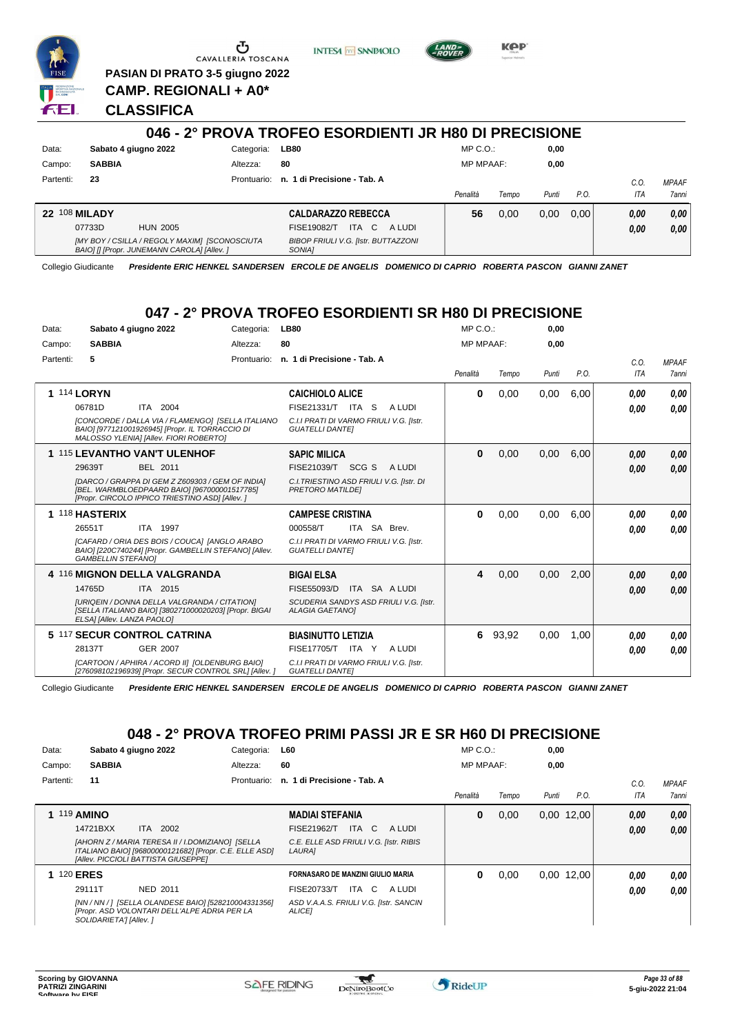

G CAVALLERIA TOSCANA

**PASIAN DI PRATO 3-5 giugno 2022 CAMP. REGIONALI + A0\***

**INTESA M** SANPAOLO



KOP

**CLASSIFICA**

#### **046 - 2° PROVA TROFEO ESORDIENTI JR H80 DI PRECISIONE** Data: Sabato 4 giugno 2022 Categoria: LB80 Prontuario: **n. 1 di Precisione - Tab. A** Campo: **SABBIA** Partenti: **23** Altezza: **80** MP C.O.: MP MPAAF: **0,00 0,00** *Penalità Tempo Punti P.O. C.O. ITA MPAAF 7anni* **22** 108 **MILADY** HUN 2005 **CALDARAZZO REBECCA** *[MY BOY / CSILLA / REGOLY MAXIM] [SCONOSCIUTA BAIO] [] [Propr. JUNEMANN CAROLA] [Allev. ] BIBOP FRIULI V.G. [Istr. BUTTAZZONI SONIA]* ITA C A LUDI 07733D FISE19082/T *0,00* **56** 0,00 0,00 0,00 *0,00 0,00 0,00*

Collegio Giudicante *Presidente ERIC HENKEL SANDERSEN ERCOLE DE ANGELIS DOMENICO DI CAPRIO ROBERTA PASCON GIANNI ZANET*

### **047 - 2° PROVA TROFEO ESORDIENTI SR H80 DI PRECISIONE**

| Data:     | Sabato 4 giugno 2022                                                                                                                                | Categoria:  | <b>LB80</b>                                                         | $MP C. O.$ :     |       | 0.00  |      |             |                              |
|-----------|-----------------------------------------------------------------------------------------------------------------------------------------------------|-------------|---------------------------------------------------------------------|------------------|-------|-------|------|-------------|------------------------------|
| Campo:    | <b>SABBIA</b>                                                                                                                                       | Altezza:    | 80                                                                  | <b>MP MPAAF:</b> |       | 0.00  |      |             |                              |
| Partenti: | 5                                                                                                                                                   | Prontuario: | n. 1 di Precisione - Tab. A                                         | Penalità         | Tempo | Punti | P.O. | C.O.<br>ITA | <b>MPAAF</b><br><b>7anni</b> |
|           | <b>1 114 LORYN</b>                                                                                                                                  |             | <b>CAICHIOLO ALICE</b>                                              | 0                | 0,00  | 0,00  | 6.00 | 0,00        | 0.00                         |
|           | 06781D<br>ITA 2004                                                                                                                                  |             | FISE21331/T ITA S<br>A LUDI                                         |                  |       |       |      | 0,00        | 0.00                         |
|           | ICONCORDE / DALLA VIA / FLAMENGO] [SELLA ITALIANO<br>BAIO] [977121001926945] [Propr. IL TORRACCIO DI<br>MALOSSO YLENIA] [Allev. FIORI ROBERTO]      |             | C.I.I PRATI DI VARMO FRIULI V.G. [Istr.<br><b>GUATELLI DANTEI</b>   |                  |       |       |      |             |                              |
|           | 1 115 LEVANTHO VAN'T ULENHOF                                                                                                                        |             | <b>SAPIC MILICA</b>                                                 | $\bf{0}$         | 0,00  | 0,00  | 6,00 | 0,00        | 0,00                         |
|           | 29639T<br>BEL 2011                                                                                                                                  |             | SCG S<br>FISE21039/T<br>A LUDI                                      |                  |       |       |      | 0.00        | 0,00                         |
|           | [DARCO / GRAPPA DI GEM Z Z609303 / GEM OF INDIA]<br>[BEL. WARMBLOEDPAARD BAIO] [967000001517785]<br>[Propr. CIRCOLO IPPICO TRIESTINO ASD] [Allev. ] |             | C.I. TRIESTINO ASD FRIULI V.G. [Istr. DI<br><b>PRETORO MATILDE!</b> |                  |       |       |      |             |                              |
|           | 1 118 HASTERIX                                                                                                                                      |             | <b>CAMPESE CRISTINA</b>                                             | $\bf{0}$         | 0.00  | 0.00  | 6.00 | 0.00        | 0.00                         |
|           | <b>ITA 1997</b><br>26551T                                                                                                                           |             | 000558/T<br>ITA SA Brev.                                            |                  |       |       |      | 0,00        | 0,00                         |
|           | [CAFARD / ORIA DES BOIS / COUCA] [ANGLO ARABO<br>BAIO] [220C740244] [Propr. GAMBELLIN STEFANO] [Allev.<br><b>GAMBELLIN STEFANOI</b>                 |             | C.I.I PRATI DI VARMO FRIULI V.G. [Istr.<br><b>GUATELLI DANTEI</b>   |                  |       |       |      |             |                              |
|           | 4 116 MIGNON DELLA VALGRANDA                                                                                                                        |             | <b>BIGAI ELSA</b>                                                   | 4                | 0,00  | 0,00  | 2,00 | 0,00        | 0,00                         |
|           | ITA 2015<br>14765D                                                                                                                                  |             | ITA SA A LUDI<br>FISE55093/D                                        |                  |       |       |      | 0,00        | 0.00                         |
|           | <b>IURIQEIN / DONNA DELLA VALGRANDA / CITATIONI</b><br>[SELLA ITALIANO BAIO] [380271000020203] [Propr. BIGAI<br>ELSA] [Allev. LANZA PAOLO]          |             | SCUDERIA SANDYS ASD FRIULI V.G. [Istr.<br><b>ALAGIA GAETANOI</b>    |                  |       |       |      |             |                              |
|           | 5 117 SECUR CONTROL CATRINA                                                                                                                         |             | <b>BIASINUTTO LETIZIA</b>                                           | 6                | 93,92 | 0,00  | 1,00 | 0,00        | 0,00                         |
|           | <b>GER 2007</b><br>28137T                                                                                                                           |             | <b>FISE17705/T</b><br>A LUDI<br>ITA Y                               |                  |       |       |      | 0,00        | 0.00                         |
|           | [CARTOON / APHIRA / ACORD II] [OLDENBURG BAIO]<br>[276098102196939] [Propr. SECUR CONTROL SRL] [Allev. ]                                            |             | C.I.I PRATI DI VARMO FRIULI V.G. [Istr.<br><b>GUATELLI DANTEI</b>   |                  |       |       |      |             |                              |

Collegio Giudicante *Presidente ERIC HENKEL SANDERSEN ERCOLE DE ANGELIS DOMENICO DI CAPRIO ROBERTA PASCON GIANNI ZANET*

## **048 - 2° PROVA TROFEO PRIMI PASSI JR E SR H60 DI PRECISIONE**

| Data:     | Sabato 4 giugno 2022                                                                                                                              | Categoria:  | L60                                                     | $MP C. O.$ :     |       | 0,00  |              |      |              |
|-----------|---------------------------------------------------------------------------------------------------------------------------------------------------|-------------|---------------------------------------------------------|------------------|-------|-------|--------------|------|--------------|
| Campo:    | <b>SABBIA</b>                                                                                                                                     | Altezza:    | 60                                                      | <b>MP MPAAF:</b> |       | 0.00  |              |      |              |
| Partenti: | 11                                                                                                                                                | Prontuario: | n. 1 di Precisione - Tab. A                             |                  |       |       |              | C.0  | <b>MPAAF</b> |
|           |                                                                                                                                                   |             |                                                         | Penalità         | Tempo | Punti | P.O.         | ITA  | <b>7anni</b> |
|           | <b>119 AMINO</b>                                                                                                                                  |             | <b>MADIAI STEFANIA</b>                                  | 0                | 0,00  |       | $0,00$ 12,00 | 0,00 | 0,00         |
|           | 14721BXX<br>ITA 2002                                                                                                                              |             | ITA C<br><b>FISE21962/T</b><br>A LUDI                   |                  |       |       |              | 0,00 | 0.00         |
|           | [AHORN Z / MARIA TERESA II / I.DOMIZIANO] [SELLA<br>ITALIANO BAIO] [96800000121682] [Propr. C.E. ELLE ASD]<br>[Allev. PICCIOLI BATTISTA GIUSEPPE] |             | C.E. ELLE ASD FRIULI V.G. [Istr. RIBIS<br><b>LAURAI</b> |                  |       |       |              |      |              |
|           | <b>120 ERES</b>                                                                                                                                   |             | FORNASARO DE MANZINI GIULIO MARIA                       | 0                | 0,00  |       | 0.00 12.00   | 0.00 | 0.00         |
|           | 29111T<br><b>NED 2011</b>                                                                                                                         |             | FISE20733/T<br>ITA C<br>A LUDI                          |                  |       |       |              | 0.00 | 0.00         |
|           | [NN / NN / ] [SELLA OLANDESE BAIO] [528210004331356]<br>[Propr. ASD VOLONTARI DELL'ALPE ADRIA PER LA<br>SOLIDARIETA'] [Allev.]                    |             | ASD V.A.A.S. FRIULI V.G. [Istr. SANCIN<br><b>ALICEI</b> |                  |       |       |              |      |              |

 $\blacktriangledown$ 

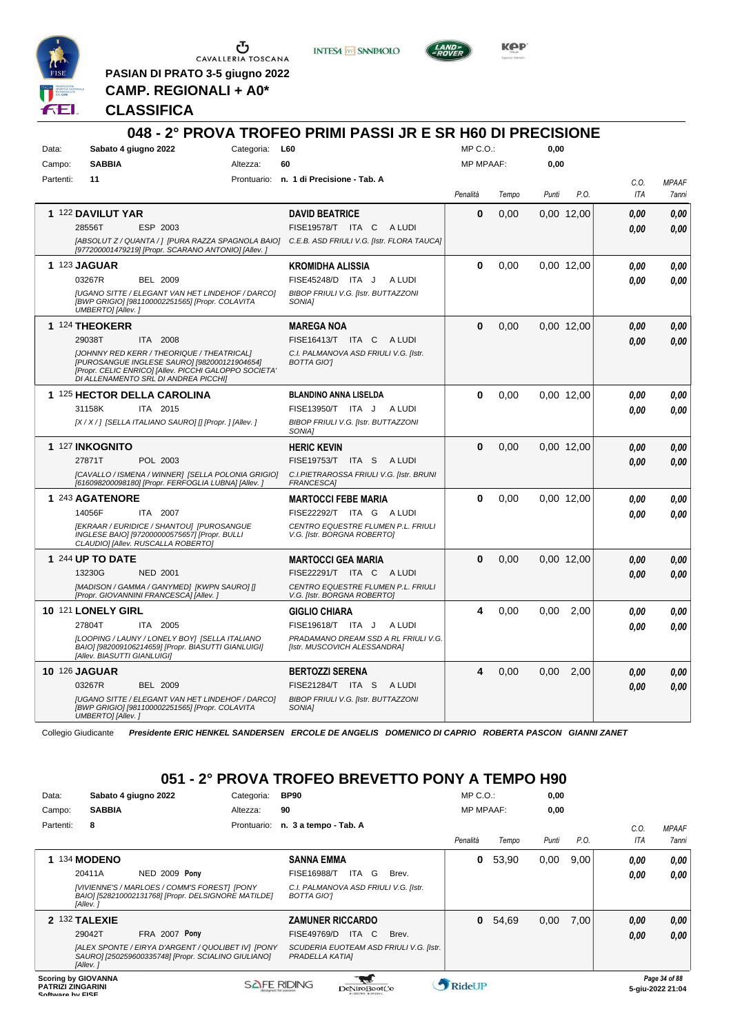

 $\sigma$   $\sigma$ 

**PASIAN DI PRATO 3-5 giugno 2022 CAMP. REGIONALI + A0\***

**INTESA M** SANPAOLO



**KPP** 

**CLASSIFICA**

|           |                                                                                                                                                                                                    | 048 - 2° PROVA TROFEO PRIMI PASSI JR E SR H60 DI PRECISIONE                                   |                  |       |       |            |             |                       |
|-----------|----------------------------------------------------------------------------------------------------------------------------------------------------------------------------------------------------|-----------------------------------------------------------------------------------------------|------------------|-------|-------|------------|-------------|-----------------------|
| Data:     | Sabato 4 giugno 2022                                                                                                                                                                               | Categoria: L60                                                                                | $MP C. O.$ :     |       | 0,00  |            |             |                       |
| Campo:    | <b>SABBIA</b><br>Altezza:                                                                                                                                                                          | 60                                                                                            | <b>MP MPAAF:</b> |       | 0,00  |            |             |                       |
| Partenti: | 11                                                                                                                                                                                                 | Prontuario: n. 1 di Precisione - Tab. A                                                       | Penalità         | Tempo | Punti | P.O.       | C.O.<br>ITA | <b>MPAAF</b><br>7anni |
|           | 1 122 DAVILUT YAR                                                                                                                                                                                  | <b>DAVID BEATRICE</b>                                                                         | $\bf{0}$         | 0.00  |       | 0,00 12,00 | 0.00        | 0.00                  |
|           | ESP 2003<br>28556T                                                                                                                                                                                 | FISE19578/T ITA C ALUDI                                                                       |                  |       |       |            | 0,00        | 0.00                  |
|           | [977200001479219] [Propr. SCARANO ANTONIO] [Allev. ]                                                                                                                                               | [ABSOLUT Z / QUANTA / ] [PURA RAZZA SPAGNOLA BAIO] C.E.B. ASD FRIULI V.G. [Istr. FLORA TAUCA] |                  |       |       |            |             |                       |
|           | <b>1 123 JAGUAR</b>                                                                                                                                                                                | <b>KROMIDHA ALISSIA</b>                                                                       | 0                | 0.00  |       | 0.00 12.00 | 0.00        | 0.00                  |
|           | 03267R<br>BEL 2009                                                                                                                                                                                 | FISE45248/D ITA J<br>A LUDI                                                                   |                  |       |       |            | 0.00        | 0.00                  |
|           | <b>IUGANO SITTE / ELEGANT VAN HET LINDEHOF / DARCOI</b><br>[BWP GRIGIO] [981100002251565] [Propr. COLAVITA<br>UMBERTO] [Allev.]                                                                    | BIBOP FRIULI V.G. [Istr. BUTTAZZONI<br>SONIA1                                                 |                  |       |       |            |             |                       |
|           | 1 124 THEOKERR                                                                                                                                                                                     | <b>MAREGA NOA</b>                                                                             | $\bf{0}$         | 0,00  |       | 0,00 12,00 | 0.00        | 0.00                  |
|           | 29038T<br>ITA 2008                                                                                                                                                                                 | FISE16413/T ITA C ALUDI                                                                       |                  |       |       |            | 0.00        | 0.00                  |
|           | <b>IJOHNNY RED KERR / THEORIQUE / THEATRICALI</b><br>[PUROSANGUE INGLESE SAURO] [982000121904654]<br>[Propr. CELIC ENRICO] [Allev. PICCHI GALOPPO SOCIETA'<br>DI ALLENAMENTO SRL DI ANDREA PICCHII | C.I. PALMANOVA ASD FRIULI V.G. [Istr.<br><b>BOTTA GIOT</b>                                    |                  |       |       |            |             |                       |
|           | 1 125 HECTOR DELLA CAROLINA                                                                                                                                                                        | <b>BLANDINO ANNA LISELDA</b>                                                                  | 0                | 0,00  |       | 0,00 12,00 | 0.00        | 0,00                  |
|           | 31158K<br>ITA 2015                                                                                                                                                                                 | FISE13950/T ITA J<br>A LUDI                                                                   |                  |       |       |            | 0.00        | 0.00                  |
|           | [X / X / ] [SELLA ITALIANO SAURO] [] [Propr. ] [Allev. ]                                                                                                                                           | BIBOP FRIULI V.G. [Istr. BUTTAZZONI<br><b>SONIA1</b>                                          |                  |       |       |            |             |                       |
|           | 1 127 INKOGNITO                                                                                                                                                                                    | <b>HERIC KEVIN</b>                                                                            | $\bf{0}$         | 0,00  |       | 0.00 12.00 | 0,00        | 0.00                  |
|           | 27871T<br>POL 2003                                                                                                                                                                                 | <b>FISE19753/T</b><br>ITA S<br>A LUDI                                                         |                  |       |       |            | 0.00        | 0.00                  |
|           | [CAVALLO / ISMENA / WINNER] [SELLA POLONIA GRIGIO]<br>[616098200098180] [Propr. FERFOGLIA LUBNA] [Allev. ]                                                                                         | C.I.PIETRAROSSA FRIULI V.G. [Istr. BRUNI<br><b>FRANCESCAI</b>                                 |                  |       |       |            |             |                       |
|           | 1 243 AGATENORE                                                                                                                                                                                    | <b>MARTOCCI FEBE MARIA</b>                                                                    | $\bf{0}$         | 0,00  |       | 0,00 12,00 | 0.00        | 0,00                  |
|           | 14056F<br>ITA 2007                                                                                                                                                                                 | FISE22292/T ITA G ALUDI                                                                       |                  |       |       |            | 0.00        | 0.00                  |
|           | [EKRAAR / EURIDICE / SHANTOU] [PUROSANGUE<br>INGLESE BAIO] [972000000575657] [Propr. BULLI<br>CLAUDIO] [Allev. RUSCALLA ROBERTO]                                                                   | CENTRO EQUESTRE FLUMEN P.L. FRIULI<br>V.G. [Istr. BORGNA ROBERTO]                             |                  |       |       |            |             |                       |
|           | 1 244 UP TO DATE                                                                                                                                                                                   | <b>MARTOCCI GEA MARIA</b>                                                                     | $\Omega$         | 0,00  |       | 0,00 12,00 | 0.00        | 0,00                  |
|           | 13230G<br><b>NED 2001</b>                                                                                                                                                                          | FISE22291/T ITA C ALUDI                                                                       |                  |       |       |            | 0.00        | 0,00                  |
|           | [MADISON / GAMMA / GANYMED] [KWPN SAURO] []<br>[Propr. GIOVANNINI FRANCESCA] [Allev.]                                                                                                              | CENTRO EQUESTRE FLUMEN P.L. FRIULI<br>V.G. [Istr. BORGNA ROBERTO]                             |                  |       |       |            |             |                       |
|           | 10 121 LONELY GIRL                                                                                                                                                                                 | <b>GIGLIO CHIARA</b>                                                                          | 4                | 0,00  | 0,00  | 2,00       | 0,00        | 0.00                  |
|           | 27804T<br>ITA 2005                                                                                                                                                                                 | FISE19618/T ITA J<br>A LUDI                                                                   |                  |       |       |            | 0.00        | 0.00                  |
|           | [LOOPING / LAUNY / LONELY BOY] [SELLA ITALIANO<br>BAIO] [982009106214659] [Propr. BIASUTTI GIANLUIGI]<br>[Allev. BIASUTTI GIANLUIGI]                                                               | PRADAMANO DREAM SSD A RL FRIULI V.G.<br>[Istr. MUSCOVICH ALESSANDRA]                          |                  |       |       |            |             |                       |
|           | <b>10 126 JAGUAR</b>                                                                                                                                                                               | <b>BERTOZZI SERENA</b>                                                                        | 4                | 0,00  | 0.00  | 2,00       | 0,00        | 0,00                  |
|           | 03267R<br>BEL 2009                                                                                                                                                                                 | FISE21284/T ITA S<br>A LUDI                                                                   |                  |       |       |            | 0.00        | 0.00                  |
|           | <b>JUGANO SITTE / ELEGANT VAN HET LINDEHOF / DARCO]</b><br>[BWP GRIGIO] [981100002251565] [Propr. COLAVITA<br>UMBERTO] [Allev.]                                                                    | <b>BIBOP FRIULI V.G. [Istr. BUTTAZZONI</b><br>SONIA1                                          |                  |       |       |            |             |                       |

Collegio Giudicante *Presidente ERIC HENKEL SANDERSEN ERCOLE DE ANGELIS DOMENICO DI CAPRIO ROBERTA PASCON GIANNI ZANET*

# **051 - 2° PROVA TROFEO BREVETTO PONY A TEMPO H90**

| Data:                                        | Sabato 4 giugno 2022       |                                                                                                           | Categoria:         | <b>BP90</b>                                                |               |    |       | $MP C. O.$ :     |       | 0,00  |      |      |                                   |
|----------------------------------------------|----------------------------|-----------------------------------------------------------------------------------------------------------|--------------------|------------------------------------------------------------|---------------|----|-------|------------------|-------|-------|------|------|-----------------------------------|
| Campo:                                       | <b>SABBIA</b>              |                                                                                                           | Altezza:           | 90                                                         |               |    |       | <b>MP MPAAF:</b> |       | 0,00  |      |      |                                   |
| Partenti:                                    | 8                          |                                                                                                           | Prontuario:        | n. 3 a tempo - Tab. A                                      |               |    |       |                  |       |       |      | C.0. | <b>MPAAF</b>                      |
|                                              |                            |                                                                                                           |                    |                                                            |               |    |       | Penalità         | Tempo | Punti | P.O. | ITA  | 7anni                             |
|                                              | 134 MODENO                 |                                                                                                           |                    | <b>SANNA EMMA</b>                                          |               |    |       | 0                | 53,90 | 0,00  | 9.00 | 0,00 | 0,00                              |
|                                              | 20411A                     | NED 2009 Pony                                                                                             |                    | <b>FISE16988/T</b>                                         | ITA.          | G  | Brev. |                  |       |       |      | 0,00 | 0.00                              |
|                                              | [Allev.]                   | [VIVIENNE'S / MARLOES / COMM'S FOREST] [PONY<br>BAIO] [528210002131768] [Propr. DELSIGNORE MATILDE]       |                    | C.I. PALMANOVA ASD FRIULI V.G. [Istr.<br>BOTTA GIO'I       |               |    |       |                  |       |       |      |      |                                   |
|                                              | 2 132 TALEXIE              |                                                                                                           |                    | <b>ZAMUNER RICCARDO</b>                                    |               |    |       | $\bf{0}$         | 54,69 | 0,00  | 7,00 | 0,00 | 0,00                              |
|                                              | 29042T                     | FRA 2007 Pony                                                                                             |                    | FISE49769/D                                                | ITA           | C. | Brev. |                  |       |       |      | 0,00 | 0.00                              |
|                                              | [Allev.]                   | [ALEX SPONTE / EIRYA D'ARGENT / QUOLIBET IV] [PONY<br>SAURO] [250259600335748] [Propr. SCIALINO GIULIANO] |                    | SCUDERIA EUOTEAM ASD FRIULI V.G. [Istr.<br>PRADELLA KATIA] |               |    |       |                  |       |       |      |      |                                   |
| <b>PATRIZI ZINGARINI</b><br>Coffware by EICE | <b>Scoring by GIOVANNA</b> |                                                                                                           | <b>SAFE RIDING</b> |                                                            | DeNiroBoot('o |    |       | RideUP           |       |       |      |      | Page 34 of 88<br>5-giu-2022 21:04 |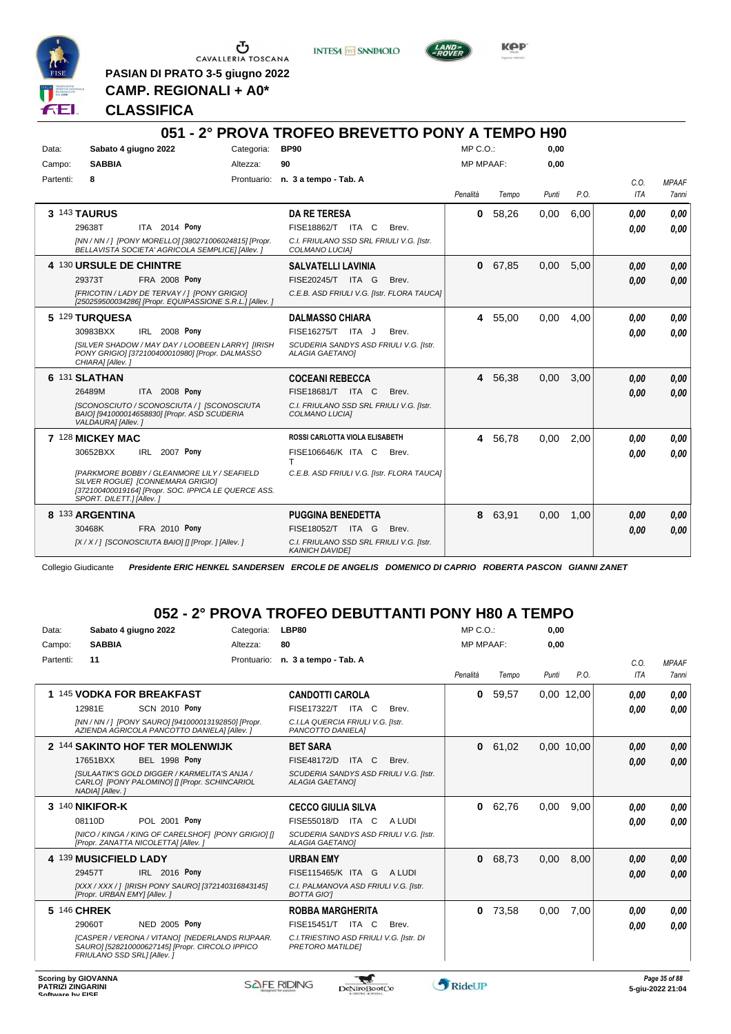

 $\begin{array}{c}\n\bullet \\
\bullet \\
\bullet \\
\bullet \\
\bullet\n\end{array}$  CAVALLERIA TOSCANA

**INTESA** M SANPAOLO



**Kep** 

**PASIAN DI PRATO 3-5 giugno 2022 CAMP. REGIONALI + A0\***

**CLASSIFICA**

|           |                                                                                                                                                                                                                             |            | 051 - 2° PROVA TROFEO BREVETTO PONY A TEMPO H90                                                                               |       |                  |         |       |      |                    |                              |
|-----------|-----------------------------------------------------------------------------------------------------------------------------------------------------------------------------------------------------------------------------|------------|-------------------------------------------------------------------------------------------------------------------------------|-------|------------------|---------|-------|------|--------------------|------------------------------|
| Data:     | Sabato 4 giugno 2022                                                                                                                                                                                                        | Categoria: | <b>BP90</b>                                                                                                                   |       | MP C.O.          |         | 0,00  |      |                    |                              |
| Campo:    | <b>SABBIA</b>                                                                                                                                                                                                               | Altezza:   | 90                                                                                                                            |       | <b>MP MPAAF:</b> |         | 0,00  |      |                    |                              |
| Partenti: | 8                                                                                                                                                                                                                           |            | Prontuario: n. 3 a tempo - Tab. A                                                                                             |       | Penalità         | Tempo   | Punti | P.O. | C.O.<br><b>ITA</b> | <b>MPAAF</b><br><b>7anni</b> |
|           | 3 143 TAURUS<br>ITA 2014 Pony<br>29638T<br>[NN / NN / ] [PONY MORELLO] [380271006024815] [Propr.<br>BELLAVISTA SOCIETA' AGRICOLA SEMPLICE] [Allev. ]                                                                        |            | <b>DA RE TERESA</b><br>FISE18862/T ITA C<br>C.I. FRIULANO SSD SRL FRIULI V.G. [Istr.<br>COLMANO LUCIA]                        | Brev. | 0                | 58,26   | 0.00  | 6.00 | 0.00<br>0.00       | 0.00<br>0.00                 |
|           | 4 130 URSULE DE CHINTRE<br>29373T<br><b>FRA 2008 Pony</b><br>[FRICOTIN / LADY DE TERVAY / ] [PONY GRIGIO]<br>[250259500034286] [Propr. EQUIPASSIONE S.R.L.] [Allev.]                                                        |            | <b>SALVATELLI LAVINIA</b><br>FISE20245/T ITA G<br>C.E.B. ASD FRIULI V.G. [Istr. FLORA TAUCA]                                  | Brev. | $\mathbf{0}$     | 67,85   | 0,00  | 5.00 | 0.00<br>0.00       | 0.00<br>0.00                 |
|           | 5 129 TURQUESA<br>IRL 2008 Pony<br>30983BXX<br>[SILVER SHADOW / MAY DAY / LOOBEEN LARRY] [IRISH<br>PONY GRIGIO] [372100400010980] [Propr. DALMASSO<br>CHIARA] [Allev.]                                                      |            | <b>DALMASSO CHIARA</b><br>FISE16275/T ITA J<br>SCUDERIA SANDYS ASD FRIULI V.G. [Istr.<br><b>ALAGIA GAETANOI</b>               | Brev. |                  | 4 55,00 | 0,00  | 4,00 | 0.00<br>0.00       | 0.00<br>0.00                 |
|           | 6 131 SLATHAN<br>2008 Pony<br>26489M<br>ITA I<br>ISCONOSCIUTO / SCONOSCIUTA /   [SCONOSCIUTA<br>BAIO] [941000014658830] [Propr. ASD SCUDERIA<br>VALDAURA] [Allev.]                                                          |            | <b>COCEANI REBECCA</b><br>FISE18681/T ITA C<br>C.I. FRIULANO SSD SRL FRIULI V.G. [Istr.<br>COLMANO LUCIA]                     | Brev. |                  | 4 56,38 | 0,00  | 3,00 | 0,00<br>0.00       | 0,00<br>0,00                 |
|           | 7 128 MICKEY MAC<br>30652BXX<br>IRL 2007 Pony<br><b>IPARKMORE BOBBY / GLEANMORE LILY / SEAFIELD</b><br>SILVER ROGUE] [CONNEMARA GRIGIO]<br>[372100400019164] [Propr. SOC. IPPICA LE QUERCE ASS.<br>SPORT. DILETT.] [Allev.] |            | ROSSI CARLOTTA VIOLA ELISABETH<br>FISE106646/K ITA C<br>т<br>C.E.B. ASD FRIULI V.G. [Istr. FLORA TAUCA]                       | Brev. | 4                | 56,78   | 0,00  | 2,00 | 0.00<br>0.00       | 0.00<br>0.00                 |
|           | 8 133 ARGENTINA<br>30468K<br>FRA 2010 Pony<br>[X / X / ] [SCONOSCIUTA BAIO] [] [Propr. ] [Allev. ]                                                                                                                          |            | <b>PUGGINA BENEDETTA</b><br><b>FISE18052/T</b><br>ITA G<br>C.I. FRIULANO SSD SRL FRIULI V.G. [Istr.<br><b>KAINICH DAVIDEI</b> | Brev. | 8                | 63,91   | 0,00  | 1,00 | 0,00<br>0.00       | 0,00<br>0,00                 |

Collegio Giudicante *Presidente ERIC HENKEL SANDERSEN ERCOLE DE ANGELIS DOMENICO DI CAPRIO ROBERTA PASCON GIANNI ZANET*

# **052 - 2° PROVA TROFEO DEBUTTANTI PONY H80 A TEMPO**

| Data:       | Sabato 4 giugno 2022                                                                                                              | Categoria:  | LBP80                                                               | $MP C. O.$ :     |       | 0,00  |            |      |              |
|-------------|-----------------------------------------------------------------------------------------------------------------------------------|-------------|---------------------------------------------------------------------|------------------|-------|-------|------------|------|--------------|
| Campo:      | <b>SABBIA</b>                                                                                                                     | Altezza:    | 80                                                                  | <b>MP MPAAF:</b> |       | 0,00  |            |      |              |
| Partenti:   | 11                                                                                                                                | Prontuario: | n. 3 a tempo - Tab. A                                               |                  |       |       |            | C.0. | <b>MPAAF</b> |
|             |                                                                                                                                   |             |                                                                     | Penalità         | Tempo | Punti | P.O.       | ITA  | <b>7anni</b> |
|             | 1 145 VODKA FOR BREAKFAST                                                                                                         |             | <b>CANDOTTI CAROLA</b>                                              | 0                | 59,57 |       | 0,00 12,00 | 0,00 | 0,00         |
|             | 12981E<br><b>SCN 2010 Pony</b>                                                                                                    |             | FISE17322/T ITA C<br>Brev.                                          |                  |       |       |            | 0,00 | 0,00         |
|             | INN / NN / 1 IPONY SAUROI I9410000131928501 IPropr.<br>AZIENDA AGRICOLA PANCOTTO DANIELA] [Allev. ]                               |             | C.I.LA QUERCIA FRIULI V.G. Ilstr.<br>PANCOTTO DANIELA]              |                  |       |       |            |      |              |
|             | 2 144 SAKINTO HOF TER MOLENWIJK                                                                                                   |             | <b>BET SARA</b>                                                     | 0                | 61,02 |       | 0,00 10,00 | 0,00 | 0,00         |
|             | 17651BXX<br><b>BEL 1998 Pony</b>                                                                                                  |             | FISE48172/D<br>ITA C<br>Brev.                                       |                  |       |       |            | 0,00 | 0,00         |
|             | ISULAATIK'S GOLD DIGGER / KARMELITA'S ANJA /<br>CARLO] [PONY PALOMINO] [] [Propr. SCHINCARIOL<br>NADIA] [Allev.]                  |             | SCUDERIA SANDYS ASD FRIULI V.G. [Istr.<br><b>ALAGIA GAETANOI</b>    |                  |       |       |            |      |              |
|             | 3 140 NIKIFOR-K                                                                                                                   |             | <b>CECCO GIULIA SILVA</b>                                           | 0                | 62,76 | 0,00  | 9,00       | 0,00 | 0.00         |
|             | 08110D<br>POL 2001 Pony                                                                                                           |             | FISE55018/D ITA C<br>A LUDI                                         |                  |       |       |            | 0,00 | 0,00         |
|             | [NICO / KINGA / KING OF CARELSHOF] [PONY GRIGIO] []<br>[Propr. ZANATTA NICOLETTA] [Allev.]                                        |             | SCUDERIA SANDYS ASD FRIULI V.G. [Istr.<br><b>ALAGIA GAETANOI</b>    |                  |       |       |            |      |              |
|             | 4 139 MUSICFIELD LADY                                                                                                             |             | <b>URBAN EMY</b>                                                    | 0                | 68,73 | 0,00  | 8.00       | 0,00 | 0,00         |
|             | IRL 2016 Pony<br>29457T                                                                                                           |             | FISE115465/K ITA G<br>A LUDI                                        |                  |       |       |            | 0,00 | 0,00         |
|             | [XXX / XXX / ] [IRISH PONY SAURO] [372140316843145]<br>[Propr. URBAN EMY] [Allev.]                                                |             | C.I. PALMANOVA ASD FRIULI V.G. [Istr.<br><b>BOTTA GIOT</b>          |                  |       |       |            |      |              |
| 5 146 CHREK |                                                                                                                                   |             | <b>ROBBA MARGHERITA</b>                                             | 0                | 73,58 | 0,00  | 7,00       | 0.00 | 0,00         |
|             | 29060T<br><b>NED 2005 Pony</b>                                                                                                    |             | FISE15451/T ITA C<br>Brev.                                          |                  |       |       |            | 0,00 | 0,00         |
|             | [CASPER / VERONA / VITANO] [NEDERLANDS RIJPAAR.<br>SAURO] [528210000627145] [Propr. CIRCOLO IPPICO<br>FRIULANO SSD SRL1 [Allev. ] |             | C.I. TRIESTINO ASD FRIULI V.G. [Istr. DI<br><b>PRETORO MATILDEI</b> |                  |       |       |            |      |              |

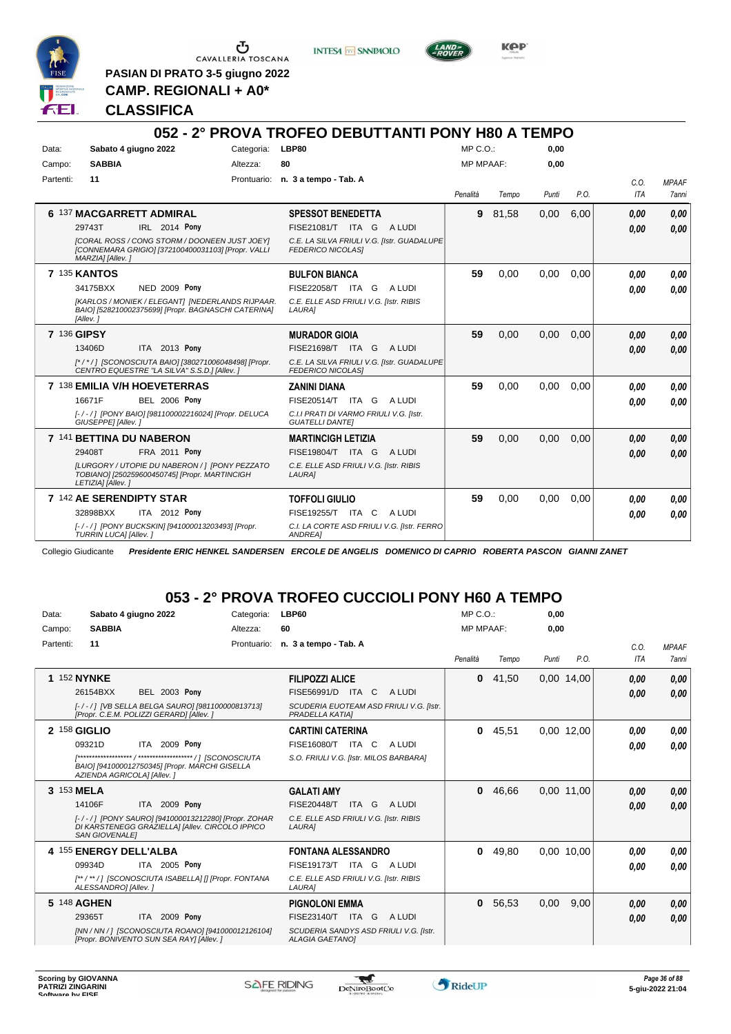

G CAVALLERIA TOSCANA

**INTESA** M SANPAOLO



KOP

**CAMP. REGIONALI + A0\***

**PASIAN DI PRATO 3-5 giugno 2022**

#### **CLASSIFICA**

#### **052 - 2° PROVA TROFEO DEBUTTANTI PONY H80 A TEMPO** Data: Sabato 4 giugno 2022 Categoria: LBP80 Prontuario: **n. 3 a tempo - Tab. A** Campo: **SABBIA** Partenti: **11** Altezza: **80**  $MP \cap O$ MP MPAAF: **0,00 0,00** *Penalità Tempo Punti P.O. C.O. ITA MPAAF 7anni* **6** 137 **MACGARRETT ADMIRAL IRL** 2014 Pony **SPESSOT BENEDETTA** *[CORAL ROSS / CONG STORM / DOONEEN JUST JOEY] [CONNEMARA GRIGIO] [372100400031103] [Propr. VALLI MARZIA] [Allev. ] C.E. LA SILVA FRIULI V.G. [Istr. GUADALUPE FEDERICO NICOLAS]* ITA G A LUDI 29743T FISE21081/T *0,00* **Pony 9** 81,58 0,00 6,00 *0,00 0,00 0,00* **7** 135 **KANTOS NED 2009 Pony BULFON BIANCA** *[KARLOS / MONIEK / ELEGANT] [NEDERLANDS RIJPAAR. BAIO] [528210002375699] [Propr. BAGNASCHI CATERINA] [Allev. ] C.E. ELLE ASD FRIULI V.G. [Istr. RIBIS LAURA]* ITA G A LUDI 34175BXX FISE22058/T *0,00* **Pony 59** 0,00 0,00 0,00 *0,00 0,00 0,00* **7** 136 **GIPSY** ITA 2013 Pony **MURADOR GIOIA** *[\* / \* / ] [SCONOSCIUTA BAIO] [380271006048498] [Propr. CENTRO EQUESTRE "LA SILVA" S.S.D.] [Allev. ] C.E. LA SILVA FRIULI V.G. [Istr. GUADALUPE FEDERICO NICOLAS]* ITA G A LUDI 13406D FISE21698/T *0,00* **Pony 59** 0,00 0,00 0,00 *0,00 0,00 0,00* **7** 138 **EMILIA V/H HOEVETERRAS BEL 2006 Pony ZANINI DIANA** *[- / - / ] [PONY BAIO] [981100002216024] [Propr. DELUCA GIUSEPPE] [Allev. ] C.I.I PRATI DI VARMO FRIULI V.G. [Istr. GUATELLI DANTE]* ITA G A LUDI 16671F FISE20514/T *0,00* **Pony 59** 0,00 0,00 0,00 *0,00 0,00 0,00* **7** 141 **BETTINA DU NABERON FRA 2011 Pony MARTINCIGH LETIZIA** *[LURGORY / UTOPIE DU NABERON / ] [PONY PEZZATO TOBIANO] [250259600450745] [Propr. MARTINCIGH LETIZIA] [Allev. ] C.E. ELLE ASD FRIULI V.G. [Istr. RIBIS LAURA]* ITA G A LUDI 29408T FISE19804/T *0,00* **Pony 59** 0,00 0,00 0,00 *0,00 0,00 0,00* **7** 142 **AE SERENDIPTY STAR** ITA 2012 Pony **TOFFOLI GIULIO** *[- / - / ] [PONY BUCKSKIN] [941000013203493] [Propr. TURRIN LUCA] [Allev. ] C.I. LA CORTE ASD FRIULI V.G. [Istr. FERRO ANDREA]* 32898BXX ITA 2012 Pony FISE19255/T ITA C A LUDI *0,00 0,00* **59** 0,00 0,00 0,00 *0,00 0,00 0,00*

Collegio Giudicante *Presidente ERIC HENKEL SANDERSEN ERCOLE DE ANGELIS DOMENICO DI CAPRIO ROBERTA PASCON GIANNI ZANET*

### **053 - 2° PROVA TROFEO CUCCIOLI PONY H60 A TEMPO**

| Data:              | Sabato 4 giugno 2022                                                                                                            | Categoria:  | LBP60                                                            | $MP C. O.$ :     |       | 0,00  |            |      |              |
|--------------------|---------------------------------------------------------------------------------------------------------------------------------|-------------|------------------------------------------------------------------|------------------|-------|-------|------------|------|--------------|
| Campo:             | <b>SABBIA</b>                                                                                                                   | Altezza:    | 60                                                               | <b>MP MPAAF:</b> |       | 0,00  |            |      |              |
| Partenti:          | 11                                                                                                                              | Prontuario: | n. 3 a tempo - Tab. A                                            |                  |       |       |            | C.0. | <b>MPAAF</b> |
|                    |                                                                                                                                 |             |                                                                  | Penalità         | Tempo | Punti | P.O.       | ITA  | <b>7anni</b> |
| <b>1 152 NYNKE</b> |                                                                                                                                 |             | <b>FILIPOZZI ALICE</b>                                           | 0                | 41,50 |       | 0,00 14,00 | 0,00 | 0,00         |
|                    | <b>BEL 2003 Pony</b><br>26154BXX                                                                                                |             | FISE56991/D<br>A LUDI<br>ITA C                                   |                  |       |       |            | 0.00 | 0,00         |
|                    | [-/-/] [VB SELLA BELGA SAURO] [981100000813713]<br>[Propr. C.E.M. POLIZZI GERARD] [Allev. ]                                     |             | SCUDERIA EUOTEAM ASD FRIULI V.G. [Istr.<br>PRADELLA KATIAI       |                  |       |       |            |      |              |
| 2 158 GIGLIO       |                                                                                                                                 |             | <b>CARTINI CATERINA</b>                                          | 0                | 45,51 |       | 0.00 12.00 | 0,00 | 0,00         |
|                    | ITA 2009 Pony<br>09321D                                                                                                         |             | FISE16080/T<br>ITA C<br>A LUDI                                   |                  |       |       |            | 0,00 | 0,00         |
|                    |                                                                                                                                 |             | S.O. FRIULI V.G. [Istr. MILOS BARBARA]                           |                  |       |       |            |      |              |
|                    | BAIO] [941000012750345] [Propr. MARCHI GISELLA<br>AZIENDA AGRICOLAI [Allev.]                                                    |             |                                                                  |                  |       |       |            |      |              |
| 3 153 MELA         |                                                                                                                                 |             | <b>GALATI AMY</b>                                                | 0                | 46.66 |       | 0.00 11.00 | 0,00 | 0,00         |
|                    | ITA 2009 Pony<br>14106F                                                                                                         |             | A LUDI<br><b>FISE20448/T</b><br>ITA G                            |                  |       |       |            | 0,00 | 0,00         |
|                    | [-/-/] [PONY SAURO] [941000013212280] [Propr. ZOHAR<br>DI KARSTENEGG GRAZIELLA] [Allev. CIRCOLO IPPICO<br><b>SAN GIOVENALE!</b> |             | C.E. ELLE ASD FRIULI V.G. [Istr. RIBIS<br>LAURA]                 |                  |       |       |            |      |              |
|                    | 4 155 ENERGY DELL'ALBA                                                                                                          |             | <b>FONTANA ALESSANDRO</b>                                        | 0                | 49,80 |       | 0.00 10.00 | 0,00 | 0,00         |
|                    | ITA 2005 Pony<br>09934D                                                                                                         |             | FISE19173/T ITA G<br>A LUDI                                      |                  |       |       |            | 0,00 | 0.00         |
|                    | [**/**/] [SCONOSCIUTA ISABELLA] [] [Propr. FONTANA<br>ALESSANDRO] [Allev.]                                                      |             | C.E. ELLE ASD FRIULI V.G. [Istr. RIBIS<br>LAURA]                 |                  |       |       |            |      |              |
|                    | 5 148 AGHEN                                                                                                                     |             | <b>PIGNOLONI EMMA</b>                                            | $\mathbf{0}$     | 56,53 | 0,00  | 9,00       | 0,00 | 0,00         |
|                    | ITA 2009 Pony<br>29365T                                                                                                         |             | FISE23140/T ITA G<br>A LUDI                                      |                  |       |       |            | 0.00 | 0,00         |
|                    | [NN / NN / ] [SCONOSCIUTA ROANO] [941000012126104]<br>[Propr. BONIVENTO SUN SEA RAY] [Allev. ]                                  |             | SCUDERIA SANDYS ASD FRIULI V.G. [Istr.<br><b>ALAGIA GAETANOI</b> |                  |       |       |            |      |              |

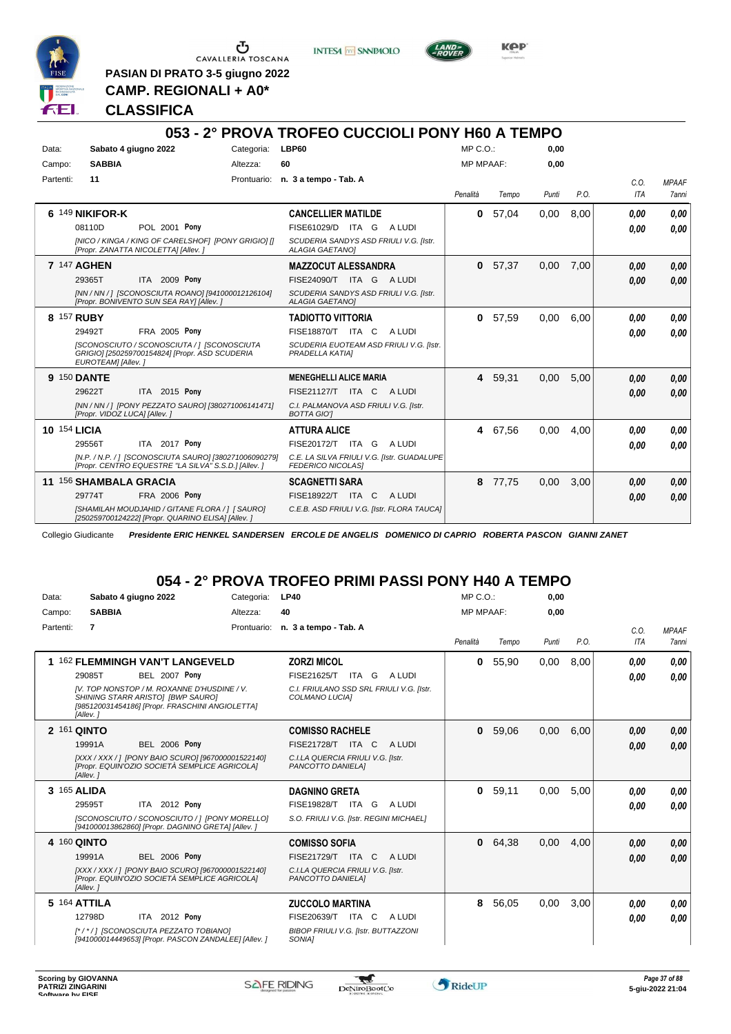

**INTESA** M SANPAOLO



KOP

**PASIAN DI PRATO 3-5 giugno 2022 CAMP. REGIONALI + A0\***

**CLASSIFICA**

#### **053 - 2° PROVA TROFEO CUCCIOLI PONY H60 A TEMPO** Data: Sabato 4 giugno 2022 Categoria: LBP60 Prontuario: **n. 3 a tempo - Tab. A** Campo: **SABBIA** Partenti: **11** Altezza: **60** MP C.O.: MP MPAAF: **0,00 0,00** *Penalità Tempo Punti P.O. C.O. ITA MPAAF 7anni* **6** 149 **NIKIFOR-K** POL 2001 Pony **CANCELLIER MATILDE** *[NICO / KINGA / KING OF CARELSHOF] [PONY GRIGIO] [] [Propr. ZANATTA NICOLETTA] [Allev. ] SCUDERIA SANDYS ASD FRIULI V.G. [Istr. ALAGIA GAETANO]* 08110D POL 2001 Pony FISE61029/D ITA G A LUDI *0,00 0,00* **0** 57,04 0,00 8,00 *0,00 0,00 0,00* **7** 147 **AGHEN ITA 2009 Pony MAZZOCUT ALESSANDRA** *[NN / NN / ] [SCONOSCIUTA ROANO] [941000012126104] [Propr. BONIVENTO SUN SEA RAY] [Allev. ] SCUDERIA SANDYS ASD FRIULI V.G. [Istr. ALAGIA GAETANO]* ITA G A LUDI 29365T FISE24090/T *0,00* **Pony 0** 57,37 0,00 7,00 *0,00 0,00 0,00* **8** 157 **RUBY FRA 2005 Pony TADIOTTO VITTORIA** *[SCONOSCIUTO / SCONOSCIUTA / ] [SCONOSCIUTA GRIGIO] [250259700154824] [Propr. ASD SCUDERIA EUROTEAM] [Allev. ] SCUDERIA EUOTEAM ASD FRIULI V.G. [Istr. PRADELLA KATIA]* ITA C A LUDI 29492T FISE18870/T *0,00* **Pony 0** 57,59 0,00 6,00 *0,00 0,00 0,00* **9** 150 **DANTE** ITA 2015 Pony **MENEGHELLI ALICE MARIA** *[NN / NN / ] [PONY PEZZATO SAURO] [380271006141471] [Propr. VIDOZ LUCA] [Allev. ] C.I. PALMANOVA ASD FRIULI V.G. [Istr. BOTTA GIO']* ITA C A LUDI 29622T FISE21127/T *0,00* **Pony 4** 59,31 0,00 5,00 *0,00 0,00 0,00* **10** 154 **LICIA** ITA 2017 Pony **ATTURA ALICE** *[N.P. / N.P. / ] [SCONOSCIUTA SAURO] [380271006090279] [Propr. CENTRO EQUESTRE "LA SILVA" S.S.D.] [Allev. ] C.E. LA SILVA FRIULI V.G. [Istr. GUADALUPE FEDERICO NICOLAS]* ITA G A LUDI 29556T FISE20172/T *0,00* **Pony 4** 67,56 0,00 4,00 *0,00 0,00 0,00* **11** 156 **SHAMBALA GRACIA FRA 2006 Pony SCAGNETTI SARA** *[SHAMILAH MOUDJAHID / GITANE FLORA / ] [ SAURO] [250259700124222] [Propr. QUARINO ELISA] [Allev. ] C.E.B. ASD FRIULI V.G. [Istr. FLORA TAUCA]* ITA C A LUDI 29774T FISE18922/T *0,00* **Pony 8** 77,75 0,00 3,00 *0,00 0,00 0,00*

Collegio Giudicante *Presidente ERIC HENKEL SANDERSEN ERCOLE DE ANGELIS DOMENICO DI CAPRIO ROBERTA PASCON GIANNI ZANET*

# **054 - 2° PROVA TROFEO PRIMI PASSI PONY H40 A TEMPO**

| Data:     | Sabato 4 giugno 2022                                                                                                                                                                                                 | Categoria:  | <b>LP40</b>                                                                                                               | $MP C. O.$ :     |       | 0.00  |      |                    |                              |
|-----------|----------------------------------------------------------------------------------------------------------------------------------------------------------------------------------------------------------------------|-------------|---------------------------------------------------------------------------------------------------------------------------|------------------|-------|-------|------|--------------------|------------------------------|
| Campo:    | <b>SABBIA</b>                                                                                                                                                                                                        | Altezza:    | 40                                                                                                                        | <b>MP MPAAF:</b> |       | 0,00  |      |                    |                              |
| Partenti: | $\overline{7}$                                                                                                                                                                                                       | Prontuario: | n. 3 a tempo - Tab. A                                                                                                     | Penalità         | Tempo | Punti | P.O. | C.0.<br><b>ITA</b> | <b>MPAAF</b><br><b>7anni</b> |
|           | 1 162 FLEMMINGH VAN'T LANGEVELD<br><b>BEL 2007 Pony</b><br>29085T<br>IV. TOP NONSTOP / M. ROXANNE D'HUSDINE / V.<br>SHINING STARR ARISTOI [BWP SAURO]<br>[985120031454186] [Propr. FRASCHINI ANGIOLETTA]<br>[Allev.] |             | <b>ZORZI MICOL</b><br>FISE21625/T<br>ITA G ALUDI<br>C.I. FRIULANO SSD SRL FRIULI V.G. [Istr.<br>COLMANO LUCIAI            | 0                | 55.90 | 0,00  | 8.00 | 0.00<br>0.00       | 0.00<br>0.00                 |
|           | 2 161 QINTO<br><b>BEL 2006 Pony</b><br>19991A<br>[XXX / XXX / ] [PONY BAIO SCURO] [967000001522140]<br>[Propr. EQUIN'OZIO SOCIETÀ SEMPLICE AGRICOLA]<br>[Allev.]                                                     |             | <b>COMISSO RACHELE</b><br><b>FISE21728/T ITA C</b><br>A LUDI<br>C.I.LA QUERCIA FRIULI V.G. [Istr.<br>PANCOTTO DANIELA]    | 0                | 59.06 | 0.00  | 6.00 | 0.00<br>0.00       | 0,00<br>0.00                 |
|           | 3 165 ALIDA<br>ITA 2012 Pony<br>29595T<br>[SCONOSCIUTO / SCONOSCIUTO / ] [PONY MORELLO]<br>[941000013862860] [Propr. DAGNINO GRETA] [Allev. ]                                                                        |             | <b>DAGNINO GRETA</b><br><b>FISE19828/T</b><br>A LUDI<br>ITA G<br>S.O. FRIULI V.G. [Istr. REGINI MICHAEL]                  | 0                | 59,11 | 0,00  | 5,00 | 0.00<br>0,00       | 0.00<br>0.00                 |
|           | 4 160 QINTO<br><b>BEL 2006 Pony</b><br>19991A<br>[XXX / XXX / ] [PONY BAIO SCURO] [967000001522140]<br>[Propr. EQUIN'OZIO SOCIETÀ SEMPLICE AGRICOLA]<br>[Allev.]                                                     |             | <b>COMISSO SOFIA</b><br>FISE21729/T ITA C<br>A LUDI<br>C.I.LA QUERCIA FRIULI V.G. [Istr.<br>PANCOTTO DANIELA]             | 0                | 64,38 | 0,00  | 4,00 | 0,00<br>0.00       | 0,00<br>0.00                 |
|           | 5 164 ATTILA<br>ITA 2012 Pony<br>12798D<br>I*/*/1 ISCONOSCIUTA PEZZATO TOBIANOI<br>[941000014449653] [Propr. PASCON ZANDALEE] [Allev. ]                                                                              |             | <b>ZUCCOLO MARTINA</b><br>FISE20639/T ITA C<br>A LUDI<br><b>BIBOP FRIULI V.G. [Istr. BUTTAZZONI</b><br>SONIA <sub>1</sub> | 8                | 56,05 | 0,00  | 3,00 | 0,00<br>0.00       | 0,00<br>0.00                 |

w

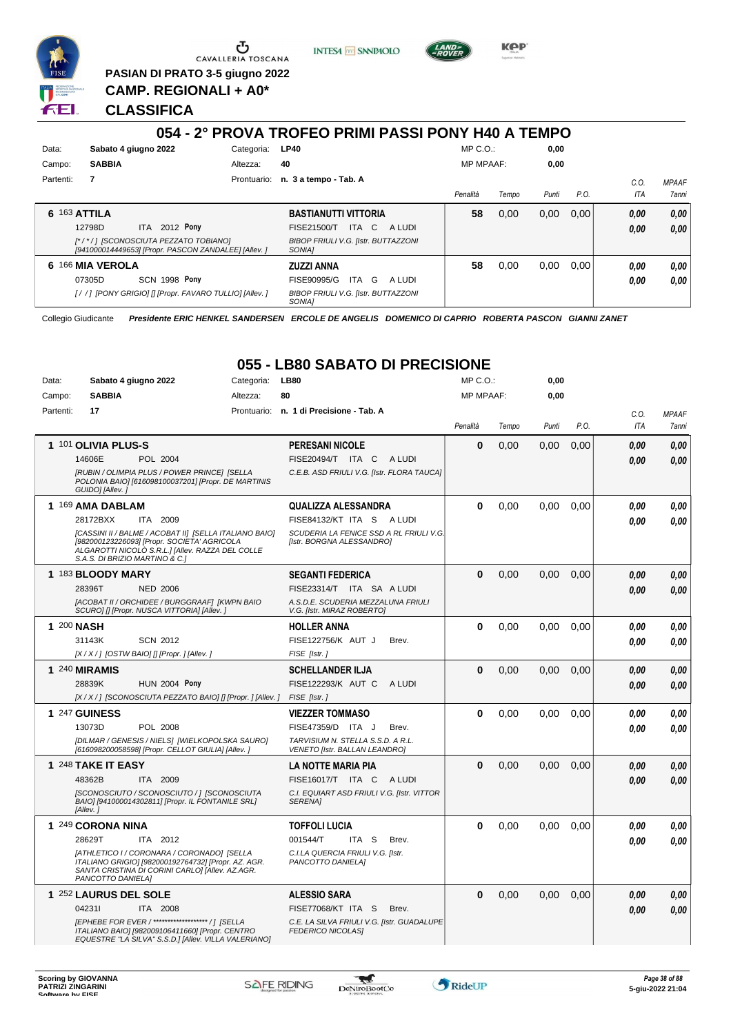

Ⴠ CAVALLERIA TOSCANA **PASIAN DI PRATO 3-5 giugno 2022**

**INTESA M** SANPAOLO



**CLASSIFICA**

**CAMP. REGIONALI + A0\***

#### **054 - 2° PROVA TROFEO PRIMI PASSI PONY H40 A TEMPO** Data: Sabato 4 giugno 2022 Categoria: LP40 Prontuario: **n. 3 a tempo - Tab. A** Campo: **SABBIA** Partenti: **7** Altezza: **40** MP C.O.: MP MPAAF: **0,00 0,00** *Penalità Tempo Punti P.O. C.O. ITA MPAAF 7anni* **6** 163 **ATTILA** ITA 2012 Pony **BASTIANUTTI VITTORIA** *[\* / \* / ] [SCONOSCIUTA PEZZATO TOBIANO] [941000014449653] [Propr. PASCON ZANDALEE] [Allev. ] BIBOP FRIULI V.G. [Istr. BUTTAZZONI SONIA]* 12798D ITA 2012 Pony FISE21500/T ITA C A LUDI *0,00 0,00* **58** 0,00 0,00 0,00 *0,00 0,00 0,00* **6** 166 **MIA VEROLA SCN 1998 Pony ZUZZI ANNA** *[ / / ] [PONY GRIGIO] [] [Propr. FAVARO TULLIO] [Allev. ] BIBOP FRIULI V.G. [Istr. BUTTAZZONI SONIA]* ITA G A LUDI 07305D FISE90995/G *0,00* **Pony 58** 0,00 0,00 0,00 *0,00 0,00 0,00*

Collegio Giudicante *Presidente ERIC HENKEL SANDERSEN ERCOLE DE ANGELIS DOMENICO DI CAPRIO ROBERTA PASCON GIANNI ZANET*

# **055 - LB80 SABATO DI PRECISIONE**

| Data:     | Sabato 4 giugno 2022                                                                                                                                                                        | Categoria: | <b>LB80</b>                                                            | MP C.O.:         |       | 0,00  |      |            |              |
|-----------|---------------------------------------------------------------------------------------------------------------------------------------------------------------------------------------------|------------|------------------------------------------------------------------------|------------------|-------|-------|------|------------|--------------|
| Campo:    | <b>SABBIA</b>                                                                                                                                                                               | Altezza:   | 80                                                                     | <b>MP MPAAF:</b> |       | 0,00  |      |            |              |
| Partenti: | 17                                                                                                                                                                                          |            | Prontuario: n. 1 di Precisione - Tab. A                                |                  |       |       |      | C.O.       | <b>MPAAF</b> |
|           |                                                                                                                                                                                             |            |                                                                        | Penalità         | Tempo | Punti | P.O. | <b>ITA</b> | 7anni        |
|           | 1 101 OLIVIA PLUS-S                                                                                                                                                                         |            | <b>PERESANI NICOLE</b>                                                 | $\bf{0}$         | 0,00  | 0,00  | 0.00 | 0.00       | 0.00         |
|           | POL 2004<br>14606E                                                                                                                                                                          |            | FISE20494/T ITA C<br>A LUDI                                            |                  |       |       |      | 0.00       | 0.00         |
|           | [RUBIN / OLIMPIA PLUS / POWER PRINCE] [SELLA<br>POLONIA BAIO] [616098100037201] [Propr. DE MARTINIS<br>GUIDO] [Allev.]                                                                      |            | C.E.B. ASD FRIULI V.G. [Istr. FLORA TAUCA]                             |                  |       |       |      |            |              |
|           | 1 169 AMA DABLAM                                                                                                                                                                            |            | QUALIZZA ALESSANDRA                                                    | $\bf{0}$         | 0,00  | 0.00  | 0.00 | 0.00       | 0.00         |
|           | 28172BXX<br>ITA 2009                                                                                                                                                                        |            | FISE84132/KT ITA S ALUDI                                               |                  |       |       |      | 0.00       | 0,00         |
|           | [CASSINI II / BALME / ACOBAT II] [SELLA ITALIANO BAIO]<br>[982000123226093] [Propr. SOCIETA' AGRICOLA<br>ALGAROTTI NICOLO S.R.L.] [Allev. RAZZA DEL COLLE<br>S.A.S. DI BRIZIO MARTINO & C.1 |            | SCUDERIA LA FENICE SSD A RL FRIULI V.G.<br>[Istr. BORGNA ALESSANDRO]   |                  |       |       |      |            |              |
|           | 1 183 BLOODY MARY                                                                                                                                                                           |            | <b>SEGANTI FEDERICA</b>                                                | $\bf{0}$         | 0.00  | 0.00  | 0.00 | 0.00       | 0.00         |
|           | 28396T<br><b>NED 2006</b>                                                                                                                                                                   |            | FISE23314/T ITA SA A LUDI                                              |                  |       |       |      | 0,00       | 0.00         |
|           | [ACOBAT II / ORCHIDEE / BURGGRAAF] [KWPN BAIO<br>SCURO] [] [Propr. NUSCA VITTORIA] [Allev.]                                                                                                 |            | A.S.D.E. SCUDERIA MEZZALUNA FRIULI<br>V.G. [Istr. MIRAZ ROBERTO]       |                  |       |       |      |            |              |
|           | 1 200 NASH                                                                                                                                                                                  |            | <b>HOLLER ANNA</b>                                                     | $\bf{0}$         | 0.00  | 0.00  | 0.00 | 0.00       | 0.00         |
|           | 31143K<br><b>SCN 2012</b>                                                                                                                                                                   |            | FISE122756/K AUT J<br>Brev.                                            |                  |       |       |      | 0.00       | 0.00         |
|           | $[X/X/$ ] [OSTW BAIO] [] [Propr. ] [Allev. ]                                                                                                                                                |            | FISE [Istr.]                                                           |                  |       |       |      |            |              |
|           | 1 240 MIRAMIS                                                                                                                                                                               |            | <b>SCHELLANDER ILJA</b>                                                | $\bf{0}$         | 0,00  | 0,00  | 0.00 | 0.00       | 0,00         |
|           | 28839K<br><b>HUN 2004 Pony</b>                                                                                                                                                              |            | FISE122293/K AUT C<br>A LUDI                                           |                  |       |       |      | 0.00       | 0.00         |
|           | [X / X / ] [SCONOSCIUTA PEZZATO BAIO] [] [Propr. ] [Allev. ]                                                                                                                                |            | FISE [Istr.]                                                           |                  |       |       |      |            |              |
|           | 1 247 GUINESS                                                                                                                                                                               |            | <b>VIEZZER TOMMASO</b>                                                 | $\bf{0}$         | 0.00  | 0.00  | 0.00 | 0.00       | 0.00         |
|           | 13073D<br>POL 2008                                                                                                                                                                          |            | FISE47359/D ITA J<br>Brev.                                             |                  |       |       |      | 0.00       | 0.00         |
|           | [DILMAR / GENESIS / NIELS] [WIELKOPOLSKA SAURO]<br>[616098200058598] [Propr. CELLOT GIULIA] [Allev. ]                                                                                       |            | TARVISIUM N. STELLA S.S.D. A R.L.<br>VENETO [Istr. BALLAN LEANDRO]     |                  |       |       |      |            |              |
|           | 1 248 TAKE IT EASY                                                                                                                                                                          |            | LA NOTTE MARIA PIA                                                     | $\bf{0}$         | 0.00  | 0.00  | 0,00 | 0.00       | 0.00         |
|           | 48362B<br>ITA 2009                                                                                                                                                                          |            | FISE16017/T ITA C<br>A LUDI                                            |                  |       |       |      | 0.00       | 0.00         |
|           | [SCONOSCIUTO / SCONOSCIUTO / ] [SCONOSCIUTA<br>BAIO] [941000014302811] [Propr. IL FONTANILE SRL]<br>[Allev.]                                                                                |            | C.I. EQUIART ASD FRIULI V.G. [Istr. VITTOR<br><b>SERENA1</b>           |                  |       |       |      |            |              |
|           | 1 249 CORONA NINA                                                                                                                                                                           |            | <b>TOFFOLI LUCIA</b>                                                   | $\bf{0}$         | 0,00  | 0,00  | 0,00 | 0.00       | 0,00         |
|           | 28629T<br>ITA 2012                                                                                                                                                                          |            | 001544/T<br>ITA S<br>Brev.                                             |                  |       |       |      | 0.00       | 0.00         |
|           | [ATHLETICO I / CORONARA / CORONADO] [SELLA<br>ITALIANO GRIGIO] [982000192764732] [Propr. AZ. AGR.<br>SANTA CRISTINA DI CORINI CARLO] [Allev. AZ.AGR.<br>PANCOTTO DANIELAI                   |            | C.I.LA QUERCIA FRIULI V.G. [Istr.<br>PANCOTTO DANIELA]                 |                  |       |       |      |            |              |
|           | 1 252 LAURUS DEL SOLE                                                                                                                                                                       |            | <b>ALESSIO SARA</b>                                                    | $\bf{0}$         | 0,00  | 0,00  | 0,00 | 0,00       | 0,00         |
|           | 042311<br>ITA 2008                                                                                                                                                                          |            | FISE77068/KT ITA S<br>Brev.                                            |                  |       |       |      | 0.00       | 0.00         |
|           | <b>IEPHEBE FOR EVER / ******************* / 1 ISELLA</b><br>ITALIANO BAIO] [982009106411660] [Propr. CENTRO<br>EQUESTRE "LA SILVA" S.S.D.] [Allev. VILLA VALERIANO]                         |            | C.E. LA SILVA FRIULI V.G. [Istr. GUADALUPE<br><b>FEDERICO NICOLASI</b> |                  |       |       |      |            |              |



 $\mathcal{L}$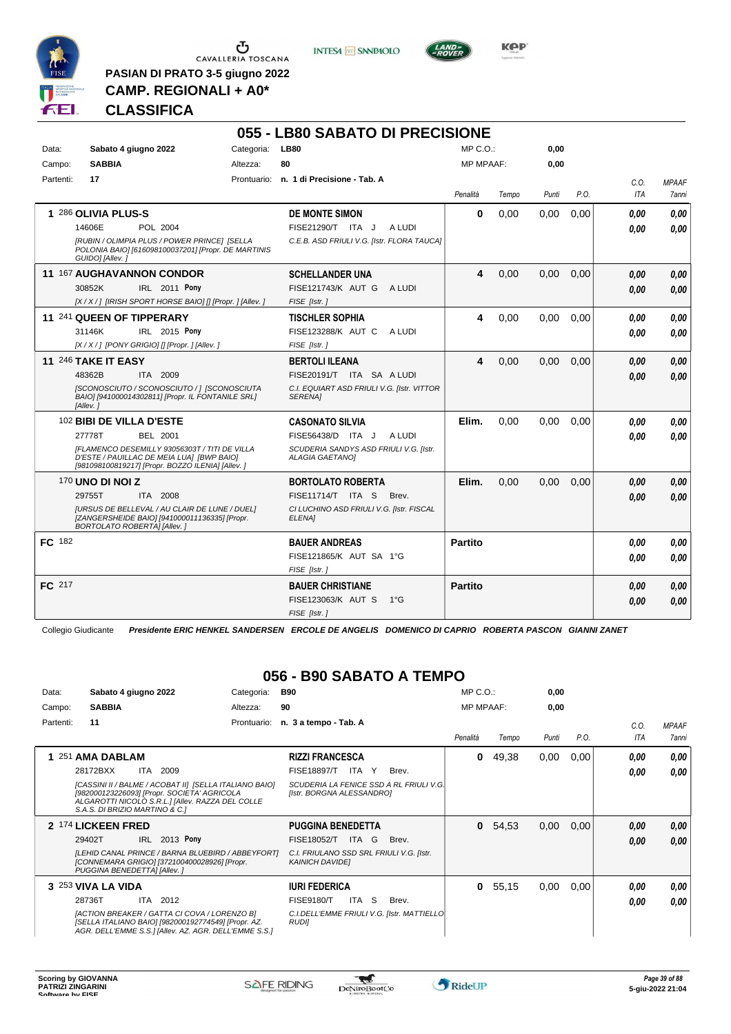

**PASIAN DI PRATO 3-5 giugno 2022 CAMP. REGIONALI + A0\***

**INTESA** M SANPAOLO



**Kep** 

# **CLASSIFICA**

|           |                                                                                                                                                 |            | 055 - LB80 SABATO DI PRECISIONE                                  |                  |       |       |      |            |              |
|-----------|-------------------------------------------------------------------------------------------------------------------------------------------------|------------|------------------------------------------------------------------|------------------|-------|-------|------|------------|--------------|
| Data:     | Sabato 4 giugno 2022                                                                                                                            | Categoria: | <b>LB80</b>                                                      | MP C.O.:         |       | 0,00  |      |            |              |
| Campo:    | <b>SABBIA</b>                                                                                                                                   | Altezza:   | 80                                                               | <b>MP MPAAF:</b> |       | 0,00  |      |            |              |
| Partenti: | 17                                                                                                                                              |            | Prontuario: n. 1 di Precisione - Tab. A                          |                  |       |       |      | C.O.       | <b>MPAAF</b> |
|           |                                                                                                                                                 |            |                                                                  | Penalità         | Tempo | Punti | P.O. | <b>ITA</b> | <b>7anni</b> |
|           | 1 286 OLIVIA PLUS-S                                                                                                                             |            | <b>DE MONTE SIMON</b>                                            | 0                | 0.00  | 0,00  | 0.00 | 0.00       | 0,00         |
|           | 14606E<br>POL 2004                                                                                                                              |            | A LUDI<br>FISE21290/T ITA J                                      |                  |       |       |      | 0.00       | 0.00         |
|           | [RUBIN / OLIMPIA PLUS / POWER PRINCE] [SELLA<br>POLONIA BAIO] [616098100037201] [Propr. DE MARTINIS<br>GUIDO] [Allev.]                          |            | C.E.B. ASD FRIULI V.G. [Istr. FLORA TAUCA]                       |                  |       |       |      |            |              |
|           | 11 167 AUGHAVANNON CONDOR                                                                                                                       |            | <b>SCHELLANDER UNA</b>                                           | 4                | 0,00  | 0,00  | 0,00 | 0.00       | 0.00         |
|           | 30852K<br>IRL 2011 Pony                                                                                                                         |            | FISE121743/K AUT G<br>A LUDI                                     |                  |       |       |      | 0.00       | 0.00         |
|           | [X / X / ] [IRISH SPORT HORSE BAIO] [] [Propr. ] [Allev. ]                                                                                      |            | FISE [Istr.]                                                     |                  |       |       |      |            |              |
|           | 11 241 QUEEN OF TIPPERARY                                                                                                                       |            | <b>TISCHLER SOPHIA</b>                                           | 4                | 0.00  | 0.00  | 0.00 | 0.00       | 0.00         |
|           | 31146K<br>IRL 2015 Pony                                                                                                                         |            | FISE123288/K AUT C<br>A LUDI                                     |                  |       |       |      | 0.00       | 0.00         |
|           | [X / X / ] [PONY GRIGIO] [] [Propr. ] [Allev. ]                                                                                                 |            | FISE [Istr.]                                                     |                  |       |       |      |            |              |
|           | <b>11 246 TAKE IT EASY</b>                                                                                                                      |            | <b>BERTOLI ILEANA</b>                                            | 4                | 0,00  | 0,00  | 0,00 | 0.00       | 0.00         |
|           | 48362B<br>ITA 2009                                                                                                                              |            | FISE20191/T ITA SA A LUDI                                        |                  |       |       |      | 0.00       | 0,00         |
|           | [SCONOSCIUTO / SCONOSCIUTO / ] [SCONOSCIUTA<br>BAIO] [941000014302811] [Propr. IL FONTANILE SRL]<br>[Allev.]                                    |            | C.I. EQUIART ASD FRIULI V.G. [Istr. VITTOR<br><b>SERENA1</b>     |                  |       |       |      |            |              |
|           | 102 BIBI DE VILLA D'ESTE                                                                                                                        |            | <b>CASONATO SILVIA</b>                                           | Elim.            | 0.00  | 0.00  | 0.00 | 0.00       | 0,00         |
|           | <b>BEL 2001</b><br>27778T                                                                                                                       |            | FISE56438/D ITA J<br>A LUDI                                      |                  |       |       |      | 0.00       | 0.00         |
|           | [FLAMENCO DESEMILLY 93056303T / TITI DE VILLA<br>D'ESTE / PAUILLAC DE MEIA LUAI [BWP BAIO]<br>[981098100819217] [Propr. BOZZO ILENIA] [Allev. ] |            | SCUDERIA SANDYS ASD FRIULI V.G. [Istr.<br><b>ALAGIA GAETANOI</b> |                  |       |       |      |            |              |
|           | 170 <b>UNO DI NOI Z</b>                                                                                                                         |            | <b>BORTOLATO ROBERTA</b>                                         | Elim.            | 0.00  | 0.00  | 0.00 | 0.00       | 0.00         |
|           | 29755T<br>ITA 2008                                                                                                                              |            | <b>FISE11714/T ITA S</b><br>Brev.                                |                  |       |       |      | 0.00       | 0.00         |
|           | [URSUS DE BELLEVAL / AU CLAIR DE LUNE / DUEL]<br>[ZANGERSHEIDE BAIO] [941000011136335] [Propr.<br>BORTOLATO ROBERTA] [Allev.]                   |            | CI LUCHINO ASD FRIULI V.G. [Istr. FISCAL<br>ELENA1               |                  |       |       |      |            |              |
| FC 182    |                                                                                                                                                 |            | <b>BAUER ANDREAS</b>                                             | <b>Partito</b>   |       |       |      | 0.00       | 0.00         |
|           |                                                                                                                                                 |            | FISE121865/K AUT SA 1°G                                          |                  |       |       |      | 0.00       | 0.00         |
|           |                                                                                                                                                 |            | FISE [Istr.]                                                     |                  |       |       |      |            |              |
| FC 217    |                                                                                                                                                 |            | <b>BAUER CHRISTIANE</b>                                          | <b>Partito</b>   |       |       |      | 0.00       | 0.00         |
|           |                                                                                                                                                 |            | FISE123063/K AUT S<br>$1^{\circ}G$                               |                  |       |       |      | 0.00       | 0,00         |
|           |                                                                                                                                                 |            | FISE [Istr.]                                                     |                  |       |       |      |            |              |

Collegio Giudicante *Presidente ERIC HENKEL SANDERSEN ERCOLE DE ANGELIS DOMENICO DI CAPRIO ROBERTA PASCON GIANNI ZANET*

# **056 - B90 SABATO A TEMPO**

| Data:     | Sabato 4 giugno 2022                                                                                                                                                                        | Categoria:  | <b>B90</b>                                                           | $MP C. O.$ :     |       | 0,00  |      |      |              |
|-----------|---------------------------------------------------------------------------------------------------------------------------------------------------------------------------------------------|-------------|----------------------------------------------------------------------|------------------|-------|-------|------|------|--------------|
| Campo:    | <b>SABBIA</b>                                                                                                                                                                               | Altezza:    | 90                                                                   | <b>MP MPAAF:</b> |       | 0,00  |      |      |              |
| Partenti: | 11                                                                                                                                                                                          | Prontuario: | n. 3 a tempo - Tab. A                                                |                  |       |       |      | C.0. | <b>MPAAF</b> |
|           |                                                                                                                                                                                             |             |                                                                      | Penalità         | Tempo | Punti | P.O. | ITA  | <b>7anni</b> |
|           | 1 251 AMA DABLAM                                                                                                                                                                            |             | <b>RIZZI FRANCESCA</b>                                               | 0                | 49,38 | 0,00  | 0,00 | 0,00 | 0.00         |
|           | 28172BXX<br>ITA 2009                                                                                                                                                                        |             | FISE18897/T<br>Brev.<br>ITA Y                                        |                  |       |       |      | 0,00 | 0.00         |
|           | [CASSINI II / BALME / ACOBAT II] [SELLA ITALIANO BAIO]<br>[982000123226093] [Propr. SOCIETA' AGRICOLA<br>ALGAROTTI NICOLO S.R.L.] [Allev. RAZZA DEL COLLE<br>S.A.S. DI BRIZIO MARTINO & C.1 |             | SCUDERIA LA FENICE SSD A RL FRIULI V.G.<br>[Istr. BORGNA ALESSANDRO] |                  |       |       |      |      |              |
|           | 2 174 LICKEEN FRED                                                                                                                                                                          |             | <b>PUGGINA BENEDETTA</b>                                             | 0                | 54,53 | 0,00  | 0,00 | 0.00 | 0,00         |
|           | IRL 2013 Pony<br>29402T                                                                                                                                                                     |             | ITA G<br>Brev.<br><b>FISE18052/T</b>                                 |                  |       |       |      | 0,00 | 0.00         |
|           | [LEHID CANAL PRINCE / BARNA BLUEBIRD / ABBEYFORT]<br>[CONNEMARA GRIGIO] [372100400028926] [Propr.<br>PUGGINA BENEDETTAI [Allev.]                                                            |             | C.I. FRIULANO SSD SRL FRIULI V.G. [Istr.<br><b>KAINICH DAVIDEI</b>   |                  |       |       |      |      |              |
|           | 3 253 VIVA LA VIDA                                                                                                                                                                          |             | <b>IURI FEDERICA</b>                                                 | 0                | 55,15 | 0,00  | 0,00 | 0.00 | 0.00         |
|           | ITA 2012<br>28736T                                                                                                                                                                          |             | ITA<br><sub>S</sub><br><b>FISE9180/T</b><br>Brev.                    |                  |       |       |      | 0,00 | 0.00         |
|           | [ACTION BREAKER / GATTA CI COVA / LORENZO B]<br>[SELLA ITALIANO BAIO] [982000192774549] [Propr. AZ.<br>AGR. DELL'EMME S.S.] [Allev. AZ. AGR. DELL'EMME S.S.]                                |             | C.I.DELL'EMME FRIULI V.G. [Istr. MATTIELLO]<br><b>RUDI]</b>          |                  |       |       |      |      |              |

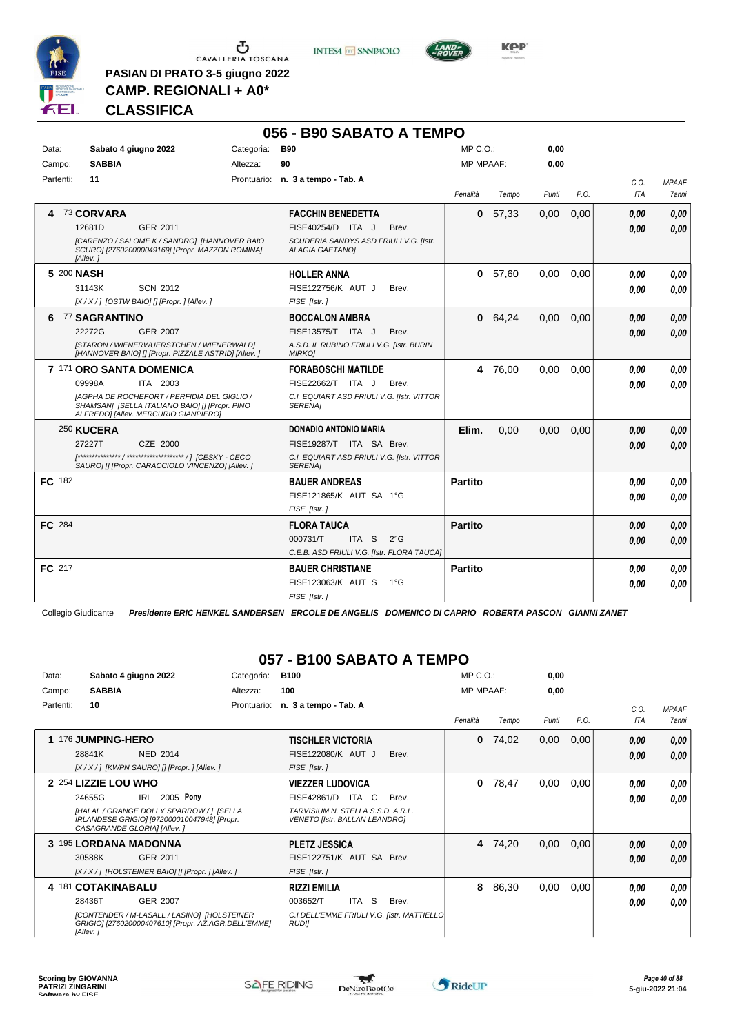

 $\begin{array}{c}\n\bullet \\
\bullet \\
\bullet \\
\bullet\n\end{array}$  CAVALLERIA TOSCANA

**PASIAN DI PRATO 3-5 giugno 2022 CAMP. REGIONALI + A0\***

**INTESA** M SANPAOLO



# **CLASSIFICA**

|               |                                                                                                                                       |                 |            | 056 - B90 SABATO A TEMPO                                         |               |                  |         |       |      |            |              |
|---------------|---------------------------------------------------------------------------------------------------------------------------------------|-----------------|------------|------------------------------------------------------------------|---------------|------------------|---------|-------|------|------------|--------------|
| Data:         | Sabato 4 giugno 2022                                                                                                                  |                 | Categoria: | <b>B90</b>                                                       |               | $MP C. O.$ :     |         | 0,00  |      |            |              |
| Campo:        | <b>SABBIA</b>                                                                                                                         |                 | Altezza:   | 90                                                               |               | <b>MP MPAAF:</b> |         | 0,00  |      |            |              |
| Partenti:     | 11                                                                                                                                    |                 |            | Prontuario: n. 3 a tempo - Tab. A                                |               |                  |         |       |      | C.O.       | <b>MPAAF</b> |
|               |                                                                                                                                       |                 |            |                                                                  |               | Penalità         | Tempo   | Punti | P.O. | <b>ITA</b> | 7anni        |
| 4             | 73 CORVARA                                                                                                                            |                 |            | <b>FACCHIN BENEDETTA</b>                                         |               | 0                | 57,33   | 0,00  | 0,00 | 0.00       | 0,00         |
|               | 12681D                                                                                                                                | GER 2011        |            | FISE40254/D ITA J                                                | Brev.         |                  |         |       |      | 0.00       | 0.00         |
|               | [CARENZO / SALOME K / SANDRO] [HANNOVER BAIO<br>SCURO] [276020000049169] [Propr. MAZZON ROMINA]<br>[Allev.]                           |                 |            | SCUDERIA SANDYS ASD FRIULI V.G. [Istr.<br><b>ALAGIA GAETANOI</b> |               |                  |         |       |      |            |              |
|               | 5 200 NASH                                                                                                                            |                 |            | <b>HOLLER ANNA</b>                                               |               | 0                | 57,60   | 0,00  | 0.00 | 0.00       | 0.00         |
|               | 31143K                                                                                                                                | <b>SCN 2012</b> |            | FISE122756/K AUT J                                               | Brev.         |                  |         |       |      | 0.00       | 0.00         |
|               | [X / X / ] [OSTW BAIO] [] [Propr. ] [Allev. ]                                                                                         |                 |            | FISE [Istr.]                                                     |               |                  |         |       |      |            |              |
|               | 6 77 SAGRANTINO                                                                                                                       |                 |            | <b>BOCCALON AMBRA</b>                                            |               |                  | 0 64,24 | 0,00  | 0,00 | 0.00       | 0,00         |
|               | 22272G                                                                                                                                | <b>GER 2007</b> |            | FISE13575/T ITA J                                                | Brev.         |                  |         |       |      | 0.00       | 0,00         |
|               | [STARON / WIENERWUERSTCHEN / WIENERWALD]<br>[HANNOVER BAIO] [] [Propr. PIZZALE ASTRID] [Allev. ]                                      |                 |            | A.S.D. IL RUBINO FRIULI V.G. [Istr. BURIN<br><b>MIRKOI</b>       |               |                  |         |       |      |            |              |
|               | 7 171 ORO SANTA DOMENICA                                                                                                              |                 |            | <b>FORABOSCHI MATILDE</b>                                        |               |                  | 4 76.00 | 0.00  | 0.00 | 0.00       | 0.00         |
|               | 09998A                                                                                                                                | ITA 2003        |            | FISE22662/T ITA J                                                | Brev.         |                  |         |       |      | 0.00       | 0.00         |
|               | [AGPHA DE ROCHEFORT / PERFIDIA DEL GIGLIO /<br>SHAMSAN] [SELLA ITALIANO BAIO] [] [Propr. PINO<br>ALFREDO] [Allev. MERCURIO GIANPIERO] |                 |            | C.I. EQUIART ASD FRIULI V.G. [Istr. VITTOR<br><b>SERENA1</b>     |               |                  |         |       |      |            |              |
|               | 250 KUCERA                                                                                                                            |                 |            | <b>DONADIO ANTONIO MARIA</b>                                     |               | Elim.            | 0,00    | 0,00  | 0,00 | 0.00       | 0,00         |
|               | 27227T                                                                                                                                | CZE 2000        |            | FISE19287/T ITA SA Brev.                                         |               |                  |         |       |      | 0.00       | 0.00         |
|               | SAURO] [] [Propr. CARACCIOLO VINCENZO] [Allev. ]                                                                                      |                 |            | C.I. EQUIART ASD FRIULI V.G. [Istr. VITTOR<br><b>SERENA1</b>     |               |                  |         |       |      |            |              |
| FC 182        |                                                                                                                                       |                 |            | <b>BAUER ANDREAS</b>                                             |               | <b>Partito</b>   |         |       |      | 0.00       | 0,00         |
|               |                                                                                                                                       |                 |            | FISE121865/K AUT SA 1°G                                          |               |                  |         |       |      | 0.00       | 0.00         |
|               |                                                                                                                                       |                 |            | FISE [Istr.]                                                     |               |                  |         |       |      |            |              |
| <b>FC</b> 284 |                                                                                                                                       |                 |            | <b>FLORA TAUCA</b>                                               |               | <b>Partito</b>   |         |       |      | 0.00       | 0.00         |
|               |                                                                                                                                       |                 |            | ITA S<br>000731/T                                                | $2^{\circ}$ G |                  |         |       |      | 0,00       | 0.00         |
|               |                                                                                                                                       |                 |            | C.E.B. ASD FRIULI V.G. [Istr. FLORA TAUCA]                       |               |                  |         |       |      |            |              |
| FC 217        |                                                                                                                                       |                 |            | <b>BAUER CHRISTIANE</b>                                          |               | <b>Partito</b>   |         |       |      | 0.00       | 0,00         |
|               |                                                                                                                                       |                 |            | FISE123063/K AUT S                                               | $1^{\circ}G$  |                  |         |       |      | 0.00       | 0.00         |
|               |                                                                                                                                       |                 |            | FISE [Istr.]                                                     |               |                  |         |       |      |            |              |

Collegio Giudicante *Presidente ERIC HENKEL SANDERSEN ERCOLE DE ANGELIS DOMENICO DI CAPRIO ROBERTA PASCON GIANNI ZANET*

# **057 - B100 SABATO A TEMPO**

| Data:     | Sabato 4 giugno 2022                                                                                                   | Categoria:  | <b>B100</b>                                                               | $MP C. O.$ : |                  | 0,00  |      |            |              |
|-----------|------------------------------------------------------------------------------------------------------------------------|-------------|---------------------------------------------------------------------------|--------------|------------------|-------|------|------------|--------------|
| Campo:    | <b>SABBIA</b>                                                                                                          | Altezza:    | 100                                                                       |              | <b>MP MPAAF:</b> | 0,00  |      |            |              |
| Partenti: | 10                                                                                                                     | Prontuario: | n. 3 a tempo - Tab. A                                                     |              |                  |       |      | C.0.       | <b>MPAAF</b> |
|           |                                                                                                                        |             |                                                                           | Penalità     | Tempo            | Punti | P.O. | <b>ITA</b> | 7anni        |
|           | 1 176 JUMPING-HERO                                                                                                     |             | <b>TISCHLER VICTORIA</b>                                                  | 0            | 74,02            | 0,00  | 0,00 | 0.00       | 0,00         |
|           | 28841K<br><b>NED 2014</b>                                                                                              |             | FISE122080/K AUT J<br>Brev.                                               |              |                  |       |      | 0,00       | 0,00         |
|           | [X / X / ] [KWPN SAURO] [] [Propr. ] [Allev. ]                                                                         |             | FISE [Istr. ]                                                             |              |                  |       |      |            |              |
|           | 2 254 LIZZIE LOU WHO                                                                                                   |             | <b>VIEZZER LUDOVICA</b>                                                   | 0            | 78,47            | 0,00  | 0,00 | 0.00       | 0.00         |
|           | IRL 2005 Pony<br>24655G                                                                                                |             | FISE42861/D<br>ITA C<br>Brev.                                             |              |                  |       |      | 0,00       | 0.00         |
|           | [HALAL / GRANGE DOLLY SPARROW / ] [SELLA<br>IRLANDESE GRIGIO] [972000010047948] [Propr.<br>CASAGRANDE GLORIA] [Allev.] |             | TARVISIUM N. STELLA S.S.D. A R.L.<br><b>VENETO [Istr. BALLAN LEANDRO]</b> |              |                  |       |      |            |              |
|           | 3 195 LORDANA MADONNA                                                                                                  |             | <b>PLETZ JESSICA</b>                                                      | 4            | 74,20            | 0,00  | 0,00 | 0,00       | 0,00         |
|           | GER 2011<br>30588K                                                                                                     |             | FISE122751/K AUT SA Brev.                                                 |              |                  |       |      | 0.00       | 0.00         |
|           | [X / X / ] [HOLSTEINER BAIO] [] [Propr. ] [Allev. ]                                                                    |             | FISE [Istr.]                                                              |              |                  |       |      |            |              |
|           | 4 181 COTAKINABALU                                                                                                     |             | <b>RIZZI EMILIA</b>                                                       | 8            | 86,30            | 0,00  | 0,00 | 0.00       | 0,00         |
|           | 28436T<br>GER 2007                                                                                                     |             | ITA<br><sub>S</sub><br>003652/T<br>Brev.                                  |              |                  |       |      | 0.00       | 0.00         |
|           | [CONTENDER / M-LASALL / LASINO] [HOLSTEINER<br>GRIGIO] [276020000407610] [Propr. AZ.AGR.DELL'EMME]<br>[Allev.]         |             | C.I.DELL'EMME FRIULI V.G. [Istr. MATTIELLO]<br><b>RUDII</b>               |              |                  |       |      |            |              |

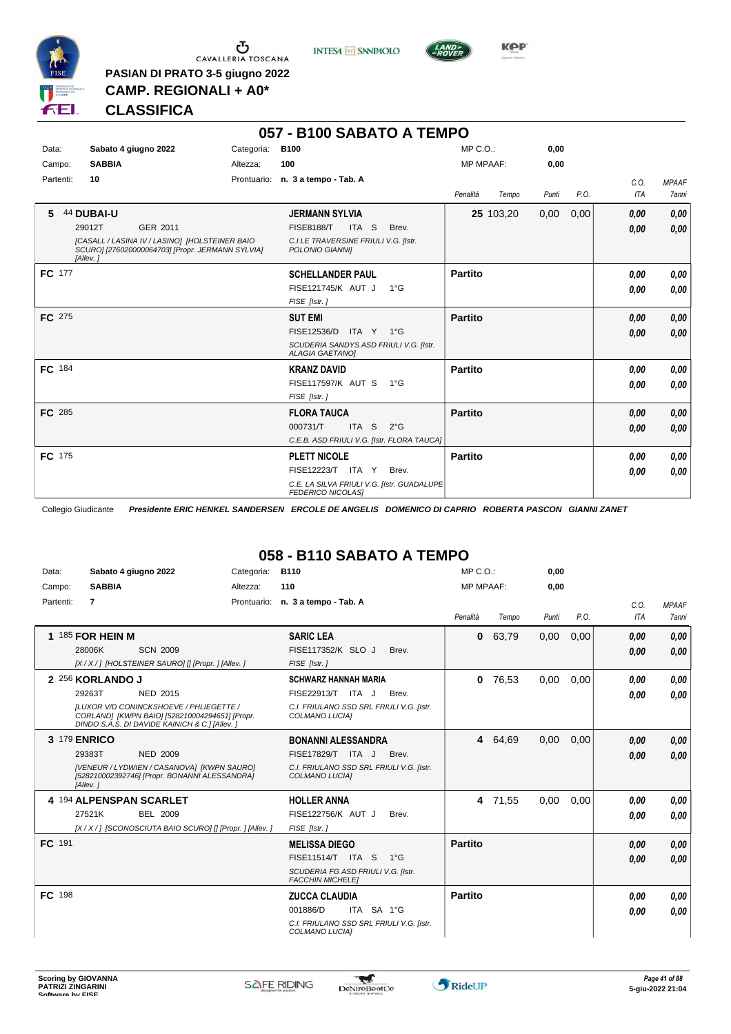

 $\begin{array}{c}\n\bullet \\
\bullet \\
\bullet \\
\bullet\n\end{array}$  CAVALLERIA TOSCANA

**PASIAN DI PRATO 3-5 giugno 2022 CAMP. REGIONALI + A0\***

**INTESA** M SANPAOLO



**Kep** 

### **CLASSIFICA**

| 057 - B100 SABATO A TEMPO |                                                                                                                |            |                                                                         |                   |       |      |            |              |  |
|---------------------------|----------------------------------------------------------------------------------------------------------------|------------|-------------------------------------------------------------------------|-------------------|-------|------|------------|--------------|--|
| Data:                     | Sabato 4 giugno 2022                                                                                           | Categoria: | <b>B100</b>                                                             | $MP C. O.$ :      | 0,00  |      |            |              |  |
| Campo:                    | <b>SABBIA</b>                                                                                                  | Altezza:   | 100                                                                     | <b>MP MPAAF:</b>  | 0,00  |      |            |              |  |
| Partenti:                 | 10                                                                                                             |            | Prontuario: n. 3 a tempo - Tab. A                                       |                   |       |      | C.O.       | <b>MPAAF</b> |  |
|                           |                                                                                                                |            |                                                                         | Penalità<br>Tempo | Punti | P.O. | <b>ITA</b> | <b>7anni</b> |  |
| 5.                        | 44 DUBAI-U                                                                                                     |            | <b>JERMANN SYLVIA</b>                                                   | 25 103,20         | 0,00  | 0,00 | 0,00       | 0,00         |  |
|                           | 29012T<br>GER 2011                                                                                             |            | <b>FISE8188/T</b><br>ITA S<br>Brev.                                     |                   |       |      | 0,00       | 0.00         |  |
|                           | [CASALL / LASINA IV / LASINO] [HOLSTEINER BAIO<br>SCURO] [276020000064703] [Propr. JERMANN SYLVIA]<br>[Allev.] |            | C.I.LE TRAVERSINE FRIULI V.G. [Istr.<br>POLONIO GIANNII                 |                   |       |      |            |              |  |
| FC 177                    |                                                                                                                |            | <b>SCHELLANDER PAUL</b>                                                 | <b>Partito</b>    |       |      | 0.00       | 0,00         |  |
|                           |                                                                                                                |            | FISE121745/K AUT J<br>$1^{\circ}G$                                      |                   |       |      | 0,00       | 0.00         |  |
|                           |                                                                                                                |            | FISE [Istr.]                                                            |                   |       |      |            |              |  |
| <b>FC</b> 275             |                                                                                                                |            | <b>SUT EMI</b>                                                          | <b>Partito</b>    |       |      | 0,00       | 0,00         |  |
|                           |                                                                                                                |            | FISE12536/D<br>ITA Y 1°G                                                |                   |       |      | 0.00       | 0.00         |  |
|                           |                                                                                                                |            | SCUDERIA SANDYS ASD FRIULI V.G. [Istr.<br><b>ALAGIA GAETANOI</b>        |                   |       |      |            |              |  |
| FC 184                    |                                                                                                                |            | <b>KRANZ DAVID</b>                                                      | <b>Partito</b>    |       |      | 0,00       | 0,00         |  |
|                           |                                                                                                                |            | FISE117597/K AUT S 1°G                                                  |                   |       |      | 0.00       | 0,00         |  |
|                           |                                                                                                                |            | FISE [Istr.]                                                            |                   |       |      |            |              |  |
| FC 285                    |                                                                                                                |            | <b>FLORA TAUCA</b>                                                      | <b>Partito</b>    |       |      | 0,00       | 0,00         |  |
|                           |                                                                                                                |            | 000731/T<br>ITA <sub>S</sub><br>$2^{\circ}G$                            |                   |       |      | 0,00       | 0,00         |  |
|                           |                                                                                                                |            | C.E.B. ASD FRIULI V.G. [Istr. FLORA TAUCA]                              |                   |       |      |            |              |  |
| FC 175                    |                                                                                                                |            | <b>PLETT NICOLE</b>                                                     | <b>Partito</b>    |       |      | 0,00       | 0,00         |  |
|                           |                                                                                                                |            | FISE12223/T ITA Y<br>Brev.                                              |                   |       |      | 0.00       | 0,00         |  |
|                           |                                                                                                                |            | C.E. LA SILVA FRIULI V.G. [Istr. GUADALUPE]<br><b>FEDERICO NICOLASI</b> |                   |       |      |            |              |  |

Collegio Giudicante *Presidente ERIC HENKEL SANDERSEN ERCOLE DE ANGELIS DOMENICO DI CAPRIO ROBERTA PASCON GIANNI ZANET*

# **058 - B110 SABATO A TEMPO**

| Data:     | Sabato 4 giugno 2022                                                                                                                                                                 | Categoria: | <b>B110</b>                                                                                                                | $MP C. O.$ :     |         | 0,00  |      |              |                              |
|-----------|--------------------------------------------------------------------------------------------------------------------------------------------------------------------------------------|------------|----------------------------------------------------------------------------------------------------------------------------|------------------|---------|-------|------|--------------|------------------------------|
| Campo:    | <b>SABBIA</b>                                                                                                                                                                        | Altezza:   | 110                                                                                                                        | <b>MP MPAAF:</b> |         | 0,00  |      |              |                              |
| Partenti: | $\overline{7}$                                                                                                                                                                       |            | Prontuario: n. 3 a tempo - Tab. A                                                                                          | Penalità         | Tempo   | Punti | P.O. | C.O.<br>ITA  | <b>MPAAF</b><br><b>7anni</b> |
|           | 1 185 FOR HEIN M<br>28006K<br><b>SCN 2009</b><br>[X / X / ] [HOLSTEINER SAURO] [] [Propr. ] [Allev. ]                                                                                |            | <b>SARIC LEA</b><br>FISE117352/K SLO J<br>Brev.<br>FISE [Istr.]                                                            | 0                | 63,79   | 0,00  | 0,00 | 0,00<br>0.00 | 0,00<br>0,00                 |
|           | 2 256 KORLANDO J<br>29263T<br>NED 2015<br>ILUXOR V/D CONINCKSHOEVE / PHLIEGETTE /<br>CORLAND] [KWPN BAIO] [528210004294651] [Propr.<br>DINDO S.A.S. DI DAVIDE KAINICH & C.] [Allev.] |            | <b>SCHWARZ HANNAH MARIA</b><br>FISE22913/T ITA J<br>Brev.<br>C.I. FRIULANO SSD SRL FRIULI V.G. [Istr.<br>COLMANO LUCIA]    | $\mathbf{0}$     | 76,53   | 0,00  | 0,00 | 0.00<br>0.00 | 0.00<br>0.00                 |
|           | 3 179 ENRICO<br>29383T<br><b>NED 2009</b><br>[VENEUR / LYDWIEN / CASANOVA] [KWPN SAURO]<br>[528210002392746] [Propr. BONANNI ALESSANDRA]<br>[Allev.]                                 |            | <b>BONANNI ALESSANDRA</b><br>FISE17829/T ITA J<br>Brev.<br>C.I. FRIULANO SSD SRL FRIULI V.G. [Istr.<br>COLMANO LUCIA]      |                  | 4 64,69 | 0,00  | 0,00 | 0,00<br>0.00 | 0,00<br>0.00                 |
|           | 4 194 ALPENSPAN SCARLET<br>27521K<br><b>BEL 2009</b><br>[X / X / 1 [SCONOSCIUTA BAIO SCURO] [] [Propr. ] [Allev. ]                                                                   |            | <b>HOLLER ANNA</b><br>FISE122756/K AUT J<br>Brev.<br>FISE [Istr.]                                                          | 4                | 71,55   | 0,00  | 0,00 | 0,00<br>0.00 | 0.00<br>0.00                 |
| FC 191    |                                                                                                                                                                                      |            | <b>MELISSA DIEGO</b><br>FISE11514/T ITA S<br>$1^{\circ}G$<br>SCUDERIA FG ASD FRIULI V.G. [Istr.<br><b>FACCHIN MICHELET</b> | <b>Partito</b>   |         |       |      | 0,00<br>0,00 | 0.00<br>0.00                 |
| FC 198    |                                                                                                                                                                                      |            | <b>ZUCCA CLAUDIA</b><br>ITA SA 1°G<br>001886/D<br>C.I. FRIULANO SSD SRL FRIULI V.G. [Istr.<br>COLMANO LUCIA]               | Partito          |         |       |      | 0,00<br>0,00 | 0,00<br>0,00                 |

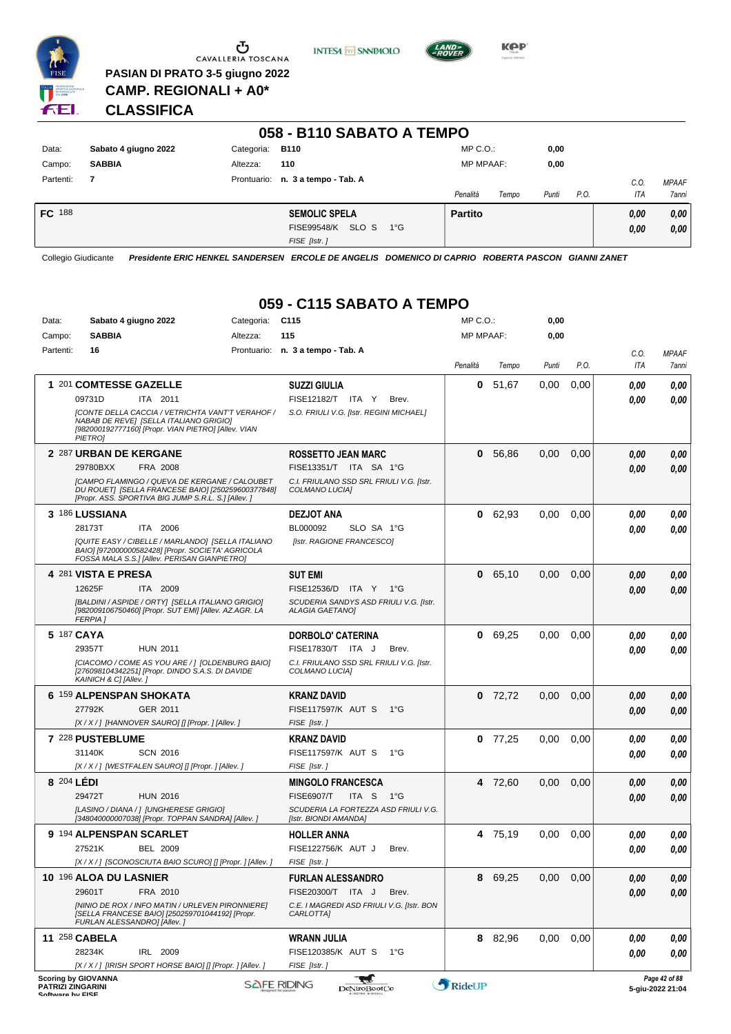

 $\begin{array}{c}\n\bullet \\
\bullet \\
\bullet \\
\bullet\n\end{array}$  CAVALLERIA TOSCANA **PASIAN DI PRATO 3-5 giugno 2022**





**CLASSIFICA**

**CAMP. REGIONALI + A0\***

| 058 - B110 SABATO A TEMPO |                      |            |                                             |                  |       |       |      |      |              |
|---------------------------|----------------------|------------|---------------------------------------------|------------------|-------|-------|------|------|--------------|
| Data:                     | Sabato 4 giugno 2022 | Categoria: | <b>B110</b>                                 | $MP C. O.$ :     |       | 0,00  |      |      |              |
| Campo:                    | <b>SABBIA</b>        | Altezza:   | 110                                         | <b>MP MPAAF:</b> |       | 0,00  |      |      |              |
| Partenti:                 | $\overline{7}$       |            | Prontuario: n. 3 a tempo - Tab. A           |                  |       |       |      | C.0  | <b>MPAAF</b> |
|                           |                      |            |                                             | Penalità         | Tempo | Punti | P.O. | ITA  | <b>7anni</b> |
| <b>FC</b> 188             |                      |            | <b>SEMOLIC SPELA</b>                        | <b>Partito</b>   |       |       |      | 0,00 | 0,00         |
|                           |                      |            | SLO S<br><b>FISE99548/K</b><br>$1^{\circ}G$ |                  |       |       |      | 0.00 | 0,00         |
|                           |                      |            | FISE [Istr.]                                |                  |       |       |      |      |              |

Collegio Giudicante *Presidente ERIC HENKEL SANDERSEN ERCOLE DE ANGELIS DOMENICO DI CAPRIO ROBERTA PASCON GIANNI ZANET*

# **059 - C115 SABATO A TEMPO**

| Data:            | Sabato 4 giugno 2022                                                                                                          | Categoria:                                                                                                | C <sub>115</sub>                                                 | MP C. O.  |         | 0,00  |      |             |                                   |
|------------------|-------------------------------------------------------------------------------------------------------------------------------|-----------------------------------------------------------------------------------------------------------|------------------------------------------------------------------|-----------|---------|-------|------|-------------|-----------------------------------|
| Campo:           | <b>SABBIA</b>                                                                                                                 | Altezza:                                                                                                  | 115                                                              | MP MPAAF: |         | 0,00  |      |             |                                   |
| Partenti:        | 16                                                                                                                            |                                                                                                           | Prontuario: n. 3 a tempo - Tab. A                                | Penalità  | Tempo   | Punti | P.O. | C.O.<br>ITA | <b>MPAAF</b><br>7anni             |
|                  | 1 201 COMTESSE GAZELLE                                                                                                        |                                                                                                           | <b>SUZZI GIULIA</b>                                              | 0         | 51,67   | 0,00  | 0,00 | 0,00        | 0,00                              |
|                  | 09731D<br>ITA 2011                                                                                                            |                                                                                                           | FISE12182/T ITA Y<br>Brev.                                       |           |         |       |      | 0.00        | 0,00                              |
|                  | NABAB DE REVE] [SELLA ITALIANO GRIGIO]<br>[982000192777160] [Propr. VIAN PIETRO] [Allev. VIAN<br><b>PIETROJ</b>               | [CONTE DELLA CACCIA / VETRICHTA VANT'T VERAHOF /                                                          | S.O. FRIULI V.G. [Istr. REGINI MICHAEL]                          |           |         |       |      |             |                                   |
|                  | 2 287 URBAN DE KERGANE                                                                                                        |                                                                                                           | <b>ROSSETTO JEAN MARC</b>                                        | 0         | 56,86   | 0,00  | 0,00 | 0,00        | 0,00                              |
|                  | 29780BXX<br>FRA 2008                                                                                                          |                                                                                                           | FISE13351/T ITA SA 1°G                                           |           |         |       |      | 0,00        | 0,00                              |
|                  | [Propr. ASS. SPORTIVA BIG JUMP S.R.L. S.] [Allev.]                                                                            | <b>[CAMPO FLAMINGO / QUEVA DE KERGANE / CALOUBET</b><br>DU ROUETI [SELLA FRANCESE BAIO] [250259600377848] | C.I. FRIULANO SSD SRL FRIULI V.G. [Istr.<br>COLMANO LUCIAI       |           |         |       |      |             |                                   |
|                  | 3 186 LUSSIANA                                                                                                                |                                                                                                           | <b>DEZJOT ANA</b>                                                | 0         | 62,93   | 0,00  | 0,00 | 0.00        | 0,00                              |
|                  | 28173T<br>ITA 2006                                                                                                            |                                                                                                           | BL000092<br>SLO SA 1°G                                           |           |         |       |      | 0.00        | 0,00                              |
|                  | BAIO] [972000000582428] [Propr. SOCIETA' AGRICOLA<br>FOSSA MALA S.S.] [Allev. PERISAN GIANPIETRO]                             | [QUITE EASY / CIBELLE / MARLANDO] [SELLA ITALIANO                                                         | [Istr. RAGIONE FRANCESCO]                                        |           |         |       |      |             |                                   |
|                  | 4 281 VISTA E PRESA                                                                                                           |                                                                                                           | <b>SUT EMI</b>                                                   | 0         | 65,10   | 0,00  | 0,00 | 0,00        | 0,00                              |
|                  | 12625F<br>ITA 2009                                                                                                            |                                                                                                           | FISE12536/D ITA Y 1°G                                            |           |         |       |      | 0,00        | 0,00                              |
|                  | [BALDINI / ASPIDE / ORTY] [SELLA ITALIANO GRIGIO]<br>[982009106750460] [Propr. SUT EMI] [Allev. AZ.AGR. LA<br><b>FERPIA</b> 1 |                                                                                                           | SCUDERIA SANDYS ASD FRIULI V.G. [Istr.<br><b>ALAGIA GAETANO]</b> |           |         |       |      |             |                                   |
|                  | 5 187 CAYA                                                                                                                    |                                                                                                           | <b>DORBOLO' CATERINA</b>                                         | 0         | 69,25   | 0,00  | 0,00 | 0.00        | 0,00                              |
|                  | 29357T<br><b>HUN 2011</b>                                                                                                     |                                                                                                           | FISE17830/T ITA J<br>Brev.                                       |           |         |       |      | 0.00        | 0,00                              |
|                  | [276098104342251] [Propr. DINDO S.A.S. DI DAVIDE<br>KAINICH & C] [Allev.]                                                     | [CIACOMO / COME AS YOU ARE /   [OLDENBURG BAIO]                                                           | C.I. FRIULANO SSD SRL FRIULI V.G. [Istr.<br>COLMANO LUCIA]       |           |         |       |      |             |                                   |
|                  | 6 159 ALPENSPAN SHOKATA                                                                                                       |                                                                                                           | <b>KRANZ DAVID</b>                                               | 0         | 72,72   | 0,00  | 0,00 | 0.00        | 0,00                              |
|                  | 27792K<br>GER 2011                                                                                                            |                                                                                                           | <b>FISE117597/K AUT S</b><br>$1^{\circ}G$                        |           |         |       |      | 0,00        | 0,00                              |
|                  | [X/X/] [HANNOVER SAURO] [] [Propr. ] [Allev. ]                                                                                |                                                                                                           | FISE [Istr.]                                                     |           |         |       |      |             |                                   |
|                  | 7 228 PUSTEBLUME                                                                                                              |                                                                                                           | <b>KRANZ DAVID</b>                                               | 0         | 77,25   | 0,00  | 0,00 | 0,00        | 0,00                              |
|                  | 31140K<br><b>SCN 2016</b>                                                                                                     |                                                                                                           | <b>FISE117597/K AUT S</b><br>1°G                                 |           |         |       |      | 0.00        | 0.00                              |
|                  | [X / X / ] [WESTFALEN SAURO] [] [Propr. ] [Allev. ]                                                                           |                                                                                                           | FISE [Istr.]                                                     |           |         |       |      |             |                                   |
|                  | 8 204 LÉDI                                                                                                                    |                                                                                                           | <b>MINGOLO FRANCESCA</b>                                         |           | 4 72,60 | 0,00  | 0,00 | 0,00        | 0,00                              |
|                  | 29472T<br><b>HUN 2016</b>                                                                                                     |                                                                                                           | <b>FISE6907/T</b><br>ITA S<br>1°G                                |           |         |       |      | 0,00        | 0,00                              |
|                  | [LASINO / DIANA / ] [UNGHERESE GRIGIO]<br>[348040000007038] [Propr. TOPPAN SANDRA] [Allev. ]                                  |                                                                                                           | SCUDERIA LA FORTEZZA ASD FRIULI V.G.<br>[Istr. BIONDI AMANDA]    |           |         |       |      |             |                                   |
|                  | 9 194 ALPENSPAN SCARLET                                                                                                       |                                                                                                           | <b>HOLLER ANNA</b>                                               |           | 4 75,19 | 0,00  | 0,00 | 0,00        | 0,00                              |
|                  | 27521K<br>BEL 2009                                                                                                            |                                                                                                           | FISE122756/K AUT J<br>Brev.                                      |           |         |       |      | 0.00        | 0.00                              |
|                  |                                                                                                                               | [X/X/] [SCONOSCIUTA BAIO SCURO] [] [Propr. ] [Allev. ]                                                    | FISE [Istr.]                                                     |           |         |       |      |             |                                   |
|                  | 10 196 ALOA DU LASNIER                                                                                                        |                                                                                                           | <b>FURLAN ALESSANDRO</b>                                         |           | 8 69,25 | 0,00  | 0,00 | 0,00        | 0,00                              |
|                  | 29601T<br>FRA 2010                                                                                                            |                                                                                                           | FISE20300/T ITA J<br>Brev.                                       |           |         |       |      | 0,00        | 0,00                              |
|                  | [SELLA FRANCESE BAIO] [250259701044192] [Propr.<br>FURLAN ALESSANDRO] [Allev.]                                                | [NINIO DE ROX / INFO MATIN / URLEVEN PIRONNIERE]                                                          | C.E. I MAGREDI ASD FRIULI V.G. [Istr. BON<br>CARLOTTA]           |           |         |       |      |             |                                   |
|                  | 11 258 CABELA                                                                                                                 |                                                                                                           | WRANN JULIA                                                      |           | 8 82,96 | 0,00  | 0,00 | 0.00        | 0,00                              |
|                  | 28234K<br>IRL 2009                                                                                                            |                                                                                                           | FISE120385/K AUT S<br>1°G                                        |           |         |       |      | 0,00        | 0,00                              |
|                  | [X / X / ] [IRISH SPORT HORSE BAIO] [] [Propr. ] [Allev. ]                                                                    |                                                                                                           | FISE [Istr.]                                                     |           |         |       |      |             |                                   |
| Coffware by EICE | <b>Scoring by GIOVANNA</b><br>PATRIZI ZINGARINI                                                                               |                                                                                                           | لحجه<br><b>SAFE RIDING</b><br><b>DeNiroBootCo</b>                | RideUP    |         |       |      |             | Page 42 of 88<br>5-giu-2022 21:04 |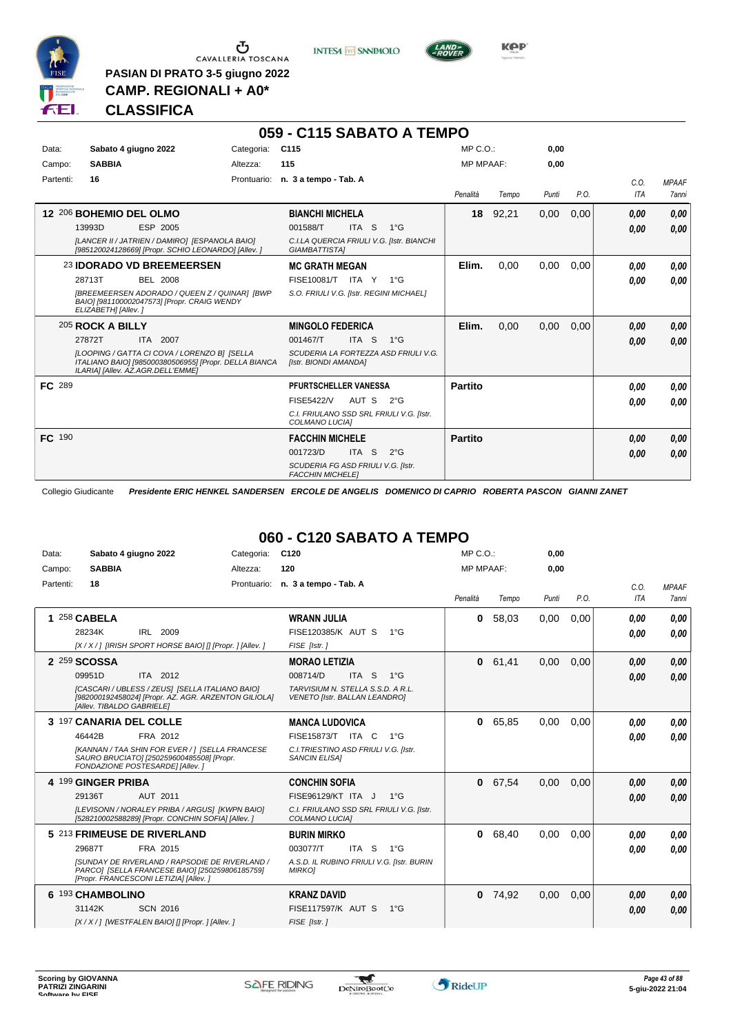

 $\begin{array}{c}\n\bullet \\
\bullet \\
\bullet \\
\bullet \\
\bullet\n\end{array}$  CAVALLERIA TOSCANA

**PASIAN DI PRATO 3-5 giugno 2022 CAMP. REGIONALI + A0\***

**INTESA** M SANPAOLO



# **CLASSIFICA**

|           |                                                                                                                                            |                 | 059 - C115 SABATO A TEMPO                                     |                  |       |       |      |                    |                              |
|-----------|--------------------------------------------------------------------------------------------------------------------------------------------|-----------------|---------------------------------------------------------------|------------------|-------|-------|------|--------------------|------------------------------|
| Data:     | Sabato 4 giugno 2022                                                                                                                       | Categoria: C115 |                                                               | MP C. O.         |       | 0,00  |      |                    |                              |
| Campo:    | <b>SABBIA</b>                                                                                                                              | Altezza:        | 115                                                           | <b>MP MPAAF:</b> |       | 0.00  |      |                    |                              |
| Partenti: | 16                                                                                                                                         |                 | Prontuario: n. 3 a tempo - Tab. A                             | Penalità         | Tempo | Punti | P.O. | C.0.<br><b>ITA</b> | <b>MPAAF</b><br><b>7anni</b> |
|           | 12 206 BOHEMIO DEL OLMO                                                                                                                    |                 | <b>BIANCHI MICHELA</b>                                        | 18               | 92,21 | 0,00  | 0,00 | 0.00               | 0,00                         |
|           | ESP 2005<br>13993D                                                                                                                         |                 | ITA S<br>001588/T<br>$1^{\circ}G$                             |                  |       |       |      | 0,00               | 0.00                         |
|           | [LANCER II / JATRIEN / DAMIRO] [ESPANOLA BAIO]<br>[985120024128669] [Propr. SCHIO LEONARDO] [Allev. ]                                      |                 | C.I.LA QUERCIA FRIULI V.G. [Istr. BIANCHI<br>GIAMBATTISTA]    |                  |       |       |      |                    |                              |
|           | 23 IDORADO VD BREEMEERSEN                                                                                                                  |                 | <b>MC GRATH MEGAN</b>                                         | Elim.            | 0.00  | 0,00  | 0.00 | 0.00               | 0,00                         |
|           | 28713T<br>BEL 2008                                                                                                                         |                 | FISE10081/T ITA Y<br>$1^{\circ}G$                             |                  |       |       |      | 0,00               | 0,00                         |
|           | [BREEMEERSEN ADORADO / QUEEN Z / QUINAR] [BWP<br>BAIO] [981100002047573] [Propr. CRAIG WENDY<br>ELIZABETH] [Allev.]                        |                 | S.O. FRIULI V.G. [Istr. REGINI MICHAEL]                       |                  |       |       |      |                    |                              |
|           | 205 ROCK A BILLY                                                                                                                           |                 | <b>MINGOLO FEDERICA</b>                                       | Elim.            | 0,00  | 0,00  | 0,00 | 0.00               | 0,00                         |
|           | 27872T<br>ITA 2007                                                                                                                         |                 | 001467/T<br>ITA S<br>$1^{\circ}G$                             |                  |       |       |      | 0.00               | 0.00                         |
|           | ILOOPING / GATTA CI COVA / LORENZO BI ISELLA<br>ITALIANO BAIO] [985000380506955] [Propr. DELLA BIANCA<br>ILARIA] [Allev. AZ.AGR.DELL'EMME] |                 | SCUDERIA LA FORTEZZA ASD FRIULI V.G.<br>[Istr. BIONDI AMANDA] |                  |       |       |      |                    |                              |
| FC 289    |                                                                                                                                            |                 | PFURTSCHELLER VANESSA                                         | <b>Partito</b>   |       |       |      | 0,00               | 0.00                         |
|           |                                                                                                                                            |                 | <b>FISE5422/V</b><br>AUT S<br>$2^{\circ}$ G                   |                  |       |       |      | 0.00               | 0.00                         |
|           |                                                                                                                                            |                 | C.I. FRIULANO SSD SRL FRIULI V.G. [Istr.<br>COLMANO LUCIA]    |                  |       |       |      |                    |                              |
| FC 190    |                                                                                                                                            |                 | <b>FACCHIN MICHELE</b>                                        | <b>Partito</b>   |       |       |      | 0.00               | 0,00                         |
|           |                                                                                                                                            |                 | 001723/D<br>ITA S<br>$2^{\circ}$ G                            |                  |       |       |      | 0,00               | 0.00                         |
|           |                                                                                                                                            |                 | SCUDERIA FG ASD FRIULI V.G. [Istr.<br><b>FACCHIN MICHELE]</b> |                  |       |       |      |                    |                              |

Collegio Giudicante *Presidente ERIC HENKEL SANDERSEN ERCOLE DE ANGELIS DOMENICO DI CAPRIO ROBERTA PASCON GIANNI ZANET*

# **060 - C120 SABATO A TEMPO**

| Data:     | Sabato 4 giugno 2022                                                                                                                                                                           | Categoria: | C <sub>120</sub>                                                                                                                       | $MP C. O.$ :     |       | 0,00  |      |                    |                              |
|-----------|------------------------------------------------------------------------------------------------------------------------------------------------------------------------------------------------|------------|----------------------------------------------------------------------------------------------------------------------------------------|------------------|-------|-------|------|--------------------|------------------------------|
| Campo:    | <b>SABBIA</b>                                                                                                                                                                                  | Altezza:   | 120                                                                                                                                    | <b>MP MPAAF:</b> |       | 0,00  |      |                    |                              |
| Partenti: | 18                                                                                                                                                                                             |            | Prontuario: n. 3 a tempo - Tab. A                                                                                                      | Penalità         | Tempo | Punti | P.O. | C.O.<br><b>ITA</b> | <b>MPAAF</b><br><b>7anni</b> |
|           | 1 258 CABELA<br>IRL 2009<br>28234K<br>[X / X / ] [IRISH SPORT HORSE BAIO] [] [Propr. ] [Allev. ]                                                                                               |            | <b>WRANN JULIA</b><br>FISE120385/K AUT S<br>$1^{\circ}G$<br>FISE [Istr.]                                                               | 0                | 58,03 | 0,00  | 0.00 | 0,00<br>0,00       | 0.00<br>0.00                 |
|           | 2 259 SCOSSA<br>ITA 2012<br>09951D<br>[CASCARI / UBLESS / ZEUS] [SELLA ITALIANO BAIO]<br>[982000192458024] [Propr. AZ. AGR. ARZENTON GILIOLA]<br>[Allev. TIBALDO GABRIELE]                     |            | <b>MORAO LETIZIA</b><br>008714/D<br>ITA S<br>$1^{\circ}G$<br>TARVISIUM N. STELLA S.S.D. A R.L.<br><b>VENETO [Istr. BALLAN LEANDRO]</b> | $\mathbf{0}$     | 61.41 | 0.00  | 0.00 | 0,00<br>0.00       | 0.00<br>0,00                 |
|           | 3 197 CANARIA DEL COLLE<br>46442B<br>FRA 2012<br>[KANNAN / TAA SHIN FOR EVER / ] [SELLA FRANCESE<br>SAURO BRUCIATO] [250259600485508] [Propr.<br>FONDAZIONE POSTESARDE] [Allev.]               |            | <b>MANCA LUDOVICA</b><br>FISE15873/T ITA C<br>$1^{\circ}$ G<br>C.I. TRIESTINO ASD FRIULI V.G. [Istr.<br><b>SANCIN ELISAI</b>           | 0                | 65,85 | 0,00  | 0,00 | 0,00<br>0.00       | 0.00<br>0.00                 |
|           | 4 199 GINGER PRIBA<br>29136T<br>AUT 2011<br>[LEVISONN / NORALEY PRIBA / ARGUS] [KWPN BAIO]<br>[528210002588289] [Propr. CONCHIN SOFIA] [Allev. ]                                               |            | <b>CONCHIN SOFIA</b><br>FISE96129/KT ITA J<br>$1^{\circ}G$<br>C.I. FRIULANO SSD SRL FRIULI V.G. [Istr.<br>COLMANO LUCIA]               | 0                | 67,54 | 0,00  | 0.00 | 0,00<br>0,00       | 0,00<br>0,00                 |
|           | 5 213 FRIMEUSE DE RIVERLAND<br>29687T<br>FRA 2015<br>ISUNDAY DE RIVERLAND / RAPSODIE DE RIVERLAND /<br>PARCO] [SELLA FRANCESE BAIO] [250259806185759]<br>[Propr. FRANCESCONI LETIZIA] [Allev.] |            | <b>BURIN MIRKO</b><br>003077/T<br>ITA S<br>$1^{\circ}G$<br>A.S.D. IL RUBINO FRIULI V.G. [Istr. BURIN<br><b>MIRKOI</b>                  | 0                | 68,40 | 0,00  | 0,00 | 0.00<br>0.00       | 0.00<br>0.00                 |
|           | 6 193 CHAMBOLINO<br>31142K<br><b>SCN 2016</b><br>[X / X / ] [WESTFALEN BAIO] [] [Propr. ] [Allev. ]                                                                                            |            | <b>KRANZ DAVID</b><br>FISE117597/K AUT S<br>$1^{\circ}$ G<br>FISE [Istr.]                                                              | $\mathbf{0}$     | 74,92 | 0,00  | 0,00 | 0,00<br>0,00       | 0,00<br>0.00                 |

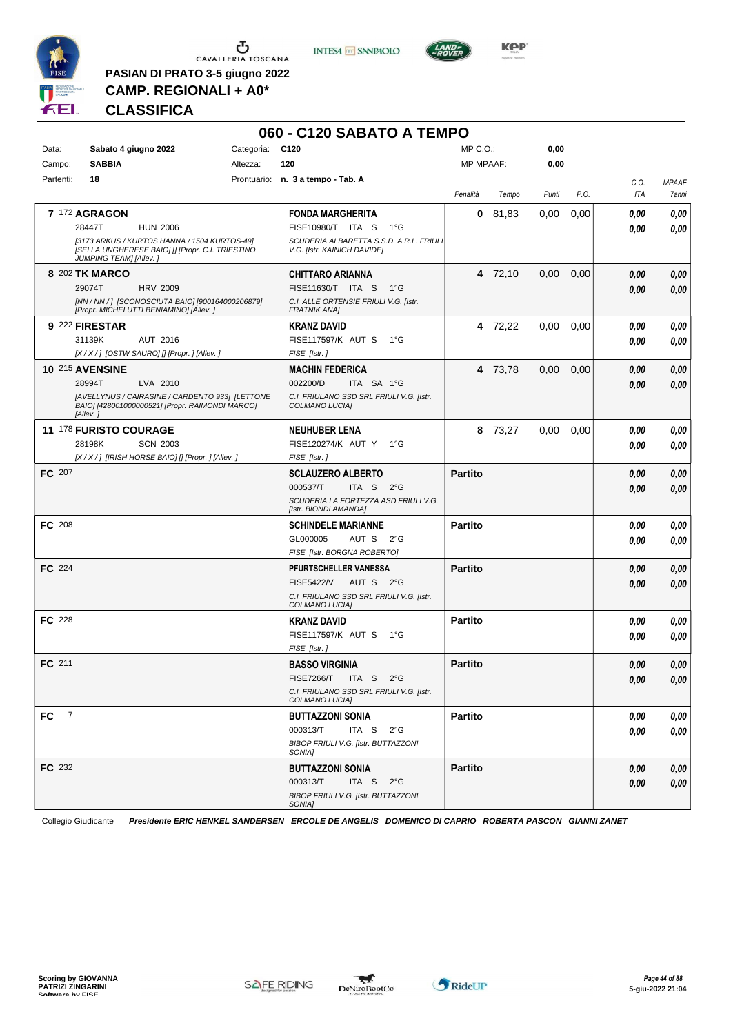

 $\begin{array}{c}\n\bullet \\
\bullet \\
\bullet \\
\bullet\n\end{array}$  CAVALLERIA TOSCANA

**PASIAN DI PRATO 3-5 giugno 2022 CAMP. REGIONALI + A0\***

**INTESA** M SANPAOLO



**Kep** 

# **CLASSIFICA**

|                       |                         |                                                                                                    |                 | 060 - C120 SABATO A TEMPO                                              |                |         |       |      |      |              |
|-----------------------|-------------------------|----------------------------------------------------------------------------------------------------|-----------------|------------------------------------------------------------------------|----------------|---------|-------|------|------|--------------|
| Data:                 | Sabato 4 giugno 2022    |                                                                                                    | Categoria: C120 |                                                                        | MP C.O.:       |         | 0,00  |      |      |              |
| Campo:                | <b>SABBIA</b>           |                                                                                                    | Altezza:        | 120                                                                    | MP MPAAF:      |         | 0,00  |      |      |              |
| Partenti:             | 18                      |                                                                                                    |                 | Prontuario: n. 3 a tempo - Tab. A                                      |                |         |       |      | C.O. | <b>MPAAF</b> |
|                       |                         |                                                                                                    |                 |                                                                        | Penalità       | Tempo   | Punti | P.O. | ITA  | 7anni        |
|                       | <b>7 172 AGRAGON</b>    |                                                                                                    |                 | <b>FONDA MARGHERITA</b>                                                | 0              | 81,83   | 0,00  | 0,00 | 0.00 | 0,00         |
|                       | 28447T                  | <b>HUN 2006</b>                                                                                    |                 | FISE10980/T ITA S<br>1°G                                               |                |         |       |      | 0.00 | 0,00         |
|                       | JUMPING TEAM] [Allev. ] | [3173 ARKUS / KURTOS HANNA / 1504 KURTOS-49]<br>[SELLA UNGHERESE BAIO] [] [Propr. C.I. TRIESTINO   |                 | SCUDERIA ALBARETTA S.S.D. A.R.L. FRIULI<br>V.G. [Istr. KAINICH DAVIDE] |                |         |       |      |      |              |
|                       | 8 202 TK MARCO          |                                                                                                    |                 | CHITTARO ARIANNA                                                       |                | 4 72,10 | 0,00  | 0,00 | 0,00 | 0,00         |
|                       | 29074T                  | <b>HRV 2009</b>                                                                                    |                 | FISE11630/T ITA S<br>$1^{\circ}G$                                      |                |         |       |      | 0,00 | 0,00         |
|                       |                         | [NN / NN / ] [SCONOSCIUTA BAIO] [900164000206879]<br>[Propr. MICHELUTTI BENIAMINO] [Allev.]        |                 | C.I. ALLE ORTENSIE FRIULI V.G. [Istr.<br>FRATNIK ANA]                  |                |         |       |      |      |              |
|                       | 9 222 FIRESTAR          |                                                                                                    |                 | <b>KRANZ DAVID</b>                                                     |                | 4 72,22 | 0,00  | 0,00 | 0.00 | 0,00         |
|                       | 31139K                  | AUT 2016                                                                                           |                 | <b>FISE117597/K AUT S</b><br>1°G                                       |                |         |       |      | 0.00 | 0,00         |
|                       |                         | $[X/X$ / ] [OSTW SAURO] [] [Propr. ] [Allev. ]                                                     |                 | FISE [Istr.]                                                           |                |         |       |      |      |              |
|                       | <b>10 215 AVENSINE</b>  |                                                                                                    |                 | MACHIN FEDERICA                                                        |                | 4 73,78 | 0,00  | 0,00 | 0,00 | 0,00         |
|                       | 28994T                  | LVA 2010                                                                                           |                 | 002200/D<br>ITA SA 1°G                                                 |                |         |       |      | 0,00 | 0,00         |
|                       | [Allev.]                | [AVELLYNUS / CAIRASINE / CARDENTO 933] [LETTONE<br>BAIO] [428001000000521] [Propr. RAIMONDI MARCO] |                 | C.I. FRIULANO SSD SRL FRIULI V.G. [Istr.<br>COLMANO LUCIA]             |                |         |       |      |      |              |
|                       | 11 178 FURISTO COURAGE  |                                                                                                    |                 | <b>NEUHUBER LENA</b>                                                   | 8              | 73,27   | 0,00  | 0,00 | 0,00 | 0,00         |
|                       | 28198K                  | <b>SCN 2003</b>                                                                                    |                 | FISE120274/K AUT Y<br>1°G                                              |                |         |       |      | 0.00 | 0,00         |
|                       |                         | [X / X / ] [IRISH HORSE BAIO] [] [Propr. ] [Allev. ]                                               |                 | FISE [Istr.]                                                           |                |         |       |      |      |              |
| <b>FC</b> 207         |                         |                                                                                                    |                 | <b>SCLAUZERO ALBERTO</b>                                               | <b>Partito</b> |         |       |      | 0,00 | 0,00         |
|                       |                         |                                                                                                    |                 | 000537/T<br>ITA S<br>$2^{\circ}G$                                      |                |         |       |      | 0,00 | 0,00         |
|                       |                         |                                                                                                    |                 | SCUDERIA LA FORTEZZA ASD FRIULI V.G.<br>[Istr. BIONDI AMANDA]          |                |         |       |      |      |              |
| FC 208                |                         |                                                                                                    |                 | <b>SCHINDELE MARIANNE</b>                                              | <b>Partito</b> |         |       |      | 0,00 | 0,00         |
|                       |                         |                                                                                                    |                 | GL000005<br>AUT S<br>$2^{\circ}$ G                                     |                |         |       |      | 0.00 | 0,00         |
|                       |                         |                                                                                                    |                 | FISE [Istr. BORGNA ROBERTO]                                            |                |         |       |      |      |              |
| <b>FC</b> 224         |                         |                                                                                                    |                 | PFURTSCHELLER VANESSA                                                  | <b>Partito</b> |         |       |      | 0,00 | 0,00         |
|                       |                         |                                                                                                    |                 | <b>FISE5422/V</b><br>AUT S 2°G                                         |                |         |       |      | 0,00 | 0,00         |
|                       |                         |                                                                                                    |                 | C.I. FRIULANO SSD SRL FRIULI V.G. [Istr.<br>COLMANO LUCIA]             |                |         |       |      |      |              |
| <b>FC</b> 228         |                         |                                                                                                    |                 | <b>KRANZ DAVID</b>                                                     | <b>Partito</b> |         |       |      | 0,00 | 0,00         |
|                       |                         |                                                                                                    |                 | <b>FISE117597/K AUT S</b><br>1°G<br>FISE [Istr.]                       |                |         |       |      | 0.00 | 0,00         |
| FC 211                |                         |                                                                                                    |                 | <b>BASSO VIRGINIA</b>                                                  | <b>Partito</b> |         |       |      | 0,00 | 0,00         |
|                       |                         |                                                                                                    |                 | FISE7266/T ITA S 2°G                                                   |                |         |       |      | 0,00 | 0,00         |
|                       |                         |                                                                                                    |                 | C.I. FRIULANO SSD SRL FRIULI V.G. [Istr.<br>COLMANO LUCIA]             |                |         |       |      |      |              |
| $\overline{7}$<br>FC. |                         |                                                                                                    |                 | <b>BUTTAZZONI SONIA</b>                                                | <b>Partito</b> |         |       |      | 0,00 | 0,00         |
|                       |                         |                                                                                                    |                 | 000313/T<br>ITA S $2^{\circ}G$                                         |                |         |       |      | 0,00 | 0,00         |
|                       |                         |                                                                                                    |                 | BIBOP FRIULI V.G. [Istr. BUTTAZZONI<br>SONIA]                          |                |         |       |      |      |              |
| FC 232                |                         |                                                                                                    |                 | <b>BUTTAZZONI SONIA</b>                                                | <b>Partito</b> |         |       |      | 0,00 | 0,00         |
|                       |                         |                                                                                                    |                 | 000313/T<br>ITA S $2^{\circ}G$                                         |                |         |       |      | 0,00 | 0,00         |
|                       |                         |                                                                                                    |                 | BIBOP FRIULI V.G. [Istr. BUTTAZZONI<br>SONIA]                          |                |         |       |      |      |              |
|                       |                         |                                                                                                    |                 |                                                                        |                |         |       |      |      |              |

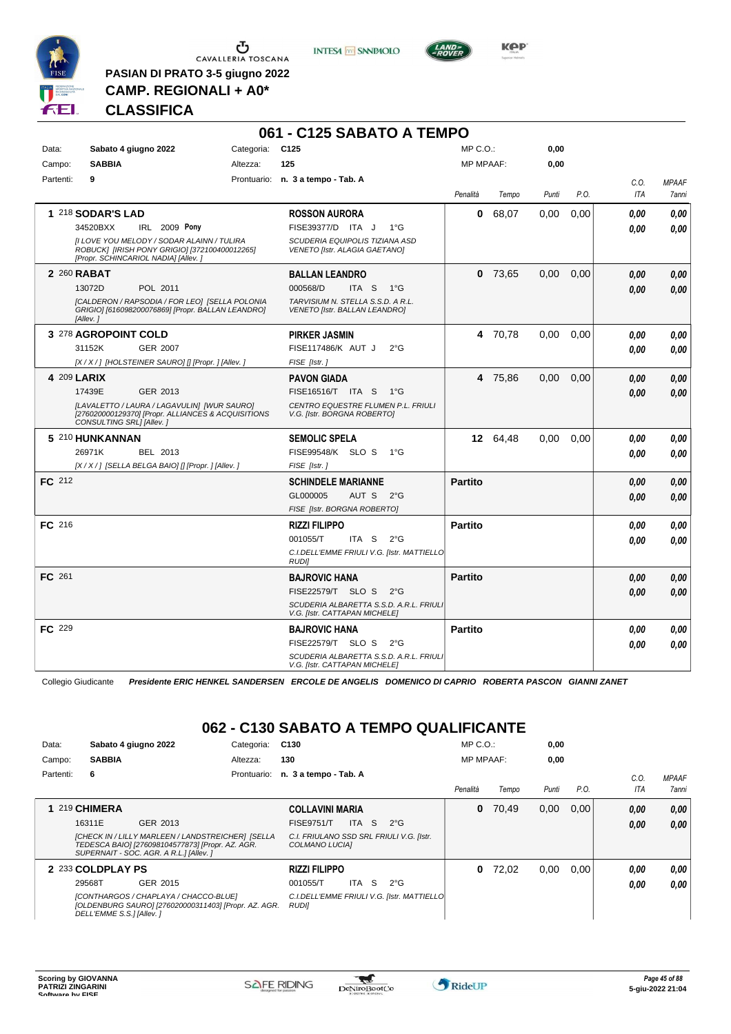

**PASIAN DI PRATO 3-5 giugno 2022 CAMP. REGIONALI + A0\***

**INTESA** M SANPAOLO



**Kep** 

### **CLASSIFICA**

|           |                                                                                                                                     |                 | 061 - C125 SABATO A TEMPO                                                |                  |           |       |      |            |              |
|-----------|-------------------------------------------------------------------------------------------------------------------------------------|-----------------|--------------------------------------------------------------------------|------------------|-----------|-------|------|------------|--------------|
| Data:     | Sabato 4 giugno 2022                                                                                                                | Categoria: C125 |                                                                          | $MP C. O.$ :     |           | 0,00  |      |            |              |
| Campo:    | <b>SABBIA</b>                                                                                                                       | Altezza:        | 125                                                                      | <b>MP MPAAF:</b> |           | 0,00  |      |            |              |
| Partenti: | 9                                                                                                                                   |                 | Prontuario: n. 3 a tempo - Tab. A                                        |                  |           |       |      | C.O.       | <b>MPAAF</b> |
|           |                                                                                                                                     |                 |                                                                          | Penalità         | Tempo     | Punti | P.O. | <b>ITA</b> | 7anni        |
|           | <b>1 218 SODAR'S LAD</b>                                                                                                            |                 | <b>ROSSON AURORA</b>                                                     | 0                | 68,07     | 0,00  | 0,00 | 0.00       | 0.00         |
|           | 34520BXX<br>IRL 2009 Pony                                                                                                           |                 | FISE39377/D ITA J<br>$1^{\circ}G$                                        |                  |           |       |      | 0.00       | 0,00         |
|           | [I LOVE YOU MELODY / SODAR ALAINN / TULIRA<br>ROBUCK] [IRISH PONY GRIGIO] [372100400012265]<br>[Propr. SCHINCARIOL NADIA] [Allev. ] |                 | SCUDERIA EQUIPOLIS TIZIANA ASD<br>VENETO [Istr. ALAGIA GAETANO]          |                  |           |       |      |            |              |
|           | 2 260 RABAT                                                                                                                         |                 | <b>BALLAN LEANDRO</b>                                                    |                  | $0$ 73,65 | 0,00  | 0,00 | 0.00       | 0.00         |
|           | 13072D<br>POL 2011                                                                                                                  |                 | 000568/D<br>ITA S<br>$1^{\circ}G$                                        |                  |           |       |      | 0.00       | 0.00         |
|           | [CALDERON / RAPSODIA / FOR LEO] [SELLA POLONIA<br>GRIGIO] [616098200076869] [Propr. BALLAN LEANDRO]<br>[Allev.]                     |                 | TARVISIUM N. STELLA S.S.D. A R.L.<br>VENETO [Istr. BALLAN LEANDRO]       |                  |           |       |      |            |              |
|           | 3 278 AGROPOINT COLD                                                                                                                |                 | <b>PIRKER JASMIN</b>                                                     |                  | 4 70.78   | 0.00  | 0.00 | 0.00       | 0.00         |
|           | 31152K<br><b>GER 2007</b>                                                                                                           |                 | FISE117486/K AUT J<br>$2^{\circ}$ G                                      |                  |           |       |      | 0.00       | 0.00         |
|           | [X / X / ] [HOLSTEINER SAURO] [] [Propr. ] [Allev. ]                                                                                |                 | FISE [Istr.]                                                             |                  |           |       |      |            |              |
|           | 4 209 LARIX                                                                                                                         |                 | <b>PAVON GIADA</b>                                                       |                  | 4 75,86   | 0,00  | 0,00 | 0.00       | 0,00         |
|           | 17439E<br>GER 2013                                                                                                                  |                 | FISE16516/T ITA S<br>$1^{\circ}G$                                        |                  |           |       |      | 0.00       | 0,00         |
|           | [LAVALETTO / LAURA / LAGAVULIN] [WUR SAURO]<br>[276020000129370] [Propr. ALLIANCES & ACQUISITIONS<br>CONSULTING SRL] [Allev.]       |                 | CENTRO EQUESTRE FLUMEN P.L. FRIULI<br>V.G. [Istr. BORGNA ROBERTO]        |                  |           |       |      |            |              |
|           | 5 210 HUNKANNAN                                                                                                                     |                 | <b>SEMOLIC SPELA</b>                                                     |                  | 12 64.48  | 0.00  | 0.00 | 0.00       | 0.00         |
|           | 26971K<br>BEL 2013                                                                                                                  |                 | FISE99548/K SLO S<br>1°G                                                 |                  |           |       |      | 0.00       | 0.00         |
|           | [X / X / ] [SELLA BELGA BAIO] [] [Propr. ] [Allev. ]                                                                                |                 | FISE [Istr.]                                                             |                  |           |       |      |            |              |
| FC 212    |                                                                                                                                     |                 | <b>SCHINDELE MARIANNE</b>                                                | <b>Partito</b>   |           |       |      | 0.00       | 0,00         |
|           |                                                                                                                                     |                 | GL000005<br>AUT S<br>$2^{\circ}G$                                        |                  |           |       |      | 0.00       | 0,00         |
|           |                                                                                                                                     |                 | FISE [Istr. BORGNA ROBERTO]                                              |                  |           |       |      |            |              |
| FC 216    |                                                                                                                                     |                 | <b>RIZZI FILIPPO</b>                                                     | <b>Partito</b>   |           |       |      | 0.00       | 0.00         |
|           |                                                                                                                                     |                 | 001055/T<br>ITA S<br>$2^{\circ}$ G                                       |                  |           |       |      | 0.00       | 0.00         |
|           |                                                                                                                                     |                 | C.I.DELL'EMME FRIULI V.G. [Istr. MATTIELLO<br><b>RUDI</b>                |                  |           |       |      |            |              |
| FC 261    |                                                                                                                                     |                 | <b>BAJROVIC HANA</b>                                                     | <b>Partito</b>   |           |       |      | 0.00       | 0,00         |
|           |                                                                                                                                     |                 | FISE22579/T SLO S<br>$2^{\circ}G$                                        |                  |           |       |      | 0.00       | 0.00         |
|           |                                                                                                                                     |                 | SCUDERIA ALBARETTA S.S.D. A.R.L. FRIULI<br>V.G. [Istr. CATTAPAN MICHELE] |                  |           |       |      |            |              |
| FC 229    |                                                                                                                                     |                 | <b>BAJROVIC HANA</b>                                                     | <b>Partito</b>   |           |       |      | 0.00       | 0.00         |
|           |                                                                                                                                     |                 | FISE22579/T SLO S<br>$2^{\circ}G$                                        |                  |           |       |      | 0.00       | 0.00         |
|           |                                                                                                                                     |                 | SCUDERIA ALBARETTA S.S.D. A.R.L. FRIULI<br>V.G. [Istr. CATTAPAN MICHELE] |                  |           |       |      |            |              |

Collegio Giudicante *Presidente ERIC HENKEL SANDERSEN ERCOLE DE ANGELIS DOMENICO DI CAPRIO ROBERTA PASCON GIANNI ZANET*

# **062 - C130 SABATO A TEMPO QUALIFICANTE**

| Data:     | Sabato 4 giugno 2022     |                                                                                                                                                  | Categoria:  | C <sub>130</sub>       |            |                                             | $MP C. O.$ :     |       | 0,00  |      |      |                     |
|-----------|--------------------------|--------------------------------------------------------------------------------------------------------------------------------------------------|-------------|------------------------|------------|---------------------------------------------|------------------|-------|-------|------|------|---------------------|
| Campo:    | <b>SABBIA</b>            |                                                                                                                                                  | Altezza:    | 130                    |            |                                             | <b>MP MPAAF:</b> |       | 0,00  |      |      |                     |
| Partenti: | 6                        |                                                                                                                                                  | Prontuario: | n. 3 a tempo - Tab. A  |            |                                             |                  |       |       |      | C.0  | <b>MPAAF</b>        |
|           |                          |                                                                                                                                                  |             |                        |            |                                             | Penalità         | Tempo | Punti | P.O. | ITA  | <i><b>7anni</b></i> |
|           | 1 219 CHIMERA            |                                                                                                                                                  |             | <b>COLLAVINI MARIA</b> |            |                                             | $\bf{0}$         | 70.49 | 0,00  | 0.00 | 0,00 | 0,00                |
|           | 16311E                   | GER 2013                                                                                                                                         |             | <b>FISE9751/T</b>      | ITA S      | $2^{\circ}G$                                |                  |       |       |      | 0,00 | 0,00                |
|           |                          | [CHECK IN / LILLY MARLEEN / LANDSTREICHER] [SELLA<br>TEDESCA BAIO] [276098104577873] [Propr. AZ. AGR.<br>SUPERNAIT - SOC. AGR. A R.L.] [Allev. ] |             | COLMANO LUCIAI         |            | C.I. FRIULANO SSD SRL FRIULI V.G. [Istr.    |                  |       |       |      |      |                     |
|           | 2 233 COLDPLAY PS        |                                                                                                                                                  |             | <b>RIZZI FILIPPO</b>   |            |                                             | 0                | 72.02 | 0,00  | 0.00 | 0.00 | 0.00                |
|           | 29568T                   | GER 2015                                                                                                                                         |             | 001055/T               | -S<br>ITA. | $2^{\circ}G$                                |                  |       |       |      | 0.00 | 0.00                |
|           | DELL'EMME S.S.] [Allev.] | [CONTHARGOS / CHAPLAYA / CHACCO-BLUE]<br>[OLDENBURG SAURO] [276020000311403] [Propr. AZ. AGR.                                                    |             | <b>RUDII</b>           |            | C.I.DELL'EMME FRIULI V.G. [Istr. MATTIELLO] |                  |       |       |      |      |                     |

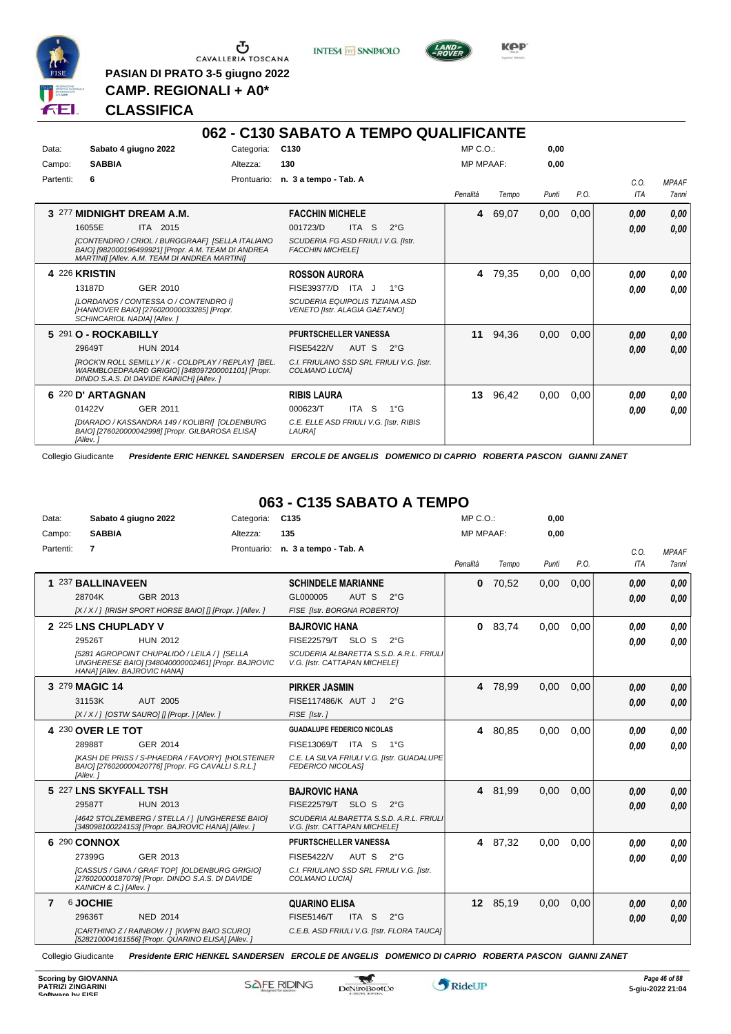

 $\overline{\phantom{a}}$ 

 $\begin{array}{c}\n\bullet \\
\bullet \\
\bullet \\
\bullet \\
\bullet\n\end{array}$  CAVALLERIA TOSCANA

**PASIAN DI PRATO 3-5 giugno 2022 CAMP. REGIONALI + A0\***

**INTESA** M SANPAOLO



**Kep** 

# **CLASSIFICA**

|           |                                                                                                                                                                                                            |            | 062 - C130 SABATO A TEMPO QUALIFICANTE                                                                                                    |                  |          |       |      |                    |                       |
|-----------|------------------------------------------------------------------------------------------------------------------------------------------------------------------------------------------------------------|------------|-------------------------------------------------------------------------------------------------------------------------------------------|------------------|----------|-------|------|--------------------|-----------------------|
| Data:     | Sabato 4 giugno 2022                                                                                                                                                                                       | Categoria: | C <sub>130</sub>                                                                                                                          | $MP C. O.$ :     |          | 0,00  |      |                    |                       |
| Campo:    | <b>SABBIA</b>                                                                                                                                                                                              | Altezza:   | 130                                                                                                                                       | <b>MP MPAAF:</b> |          | 0,00  |      |                    |                       |
| Partenti: | 6                                                                                                                                                                                                          |            | Prontuario: n. 3 a tempo - Tab. A                                                                                                         | Penalità         | Tempo    | Punti | P.O. | C.0.<br><b>ITA</b> | <b>MPAAF</b><br>7anni |
|           | 3 277 MIDNIGHT DREAM A.M.<br>16055E<br>ITA 2015<br>[CONTENDRO / CRIOL / BURGGRAAF] [SELLA ITALIANO<br>BAIO] [982000196499921] [Propr. A.M. TEAM DI ANDREA<br>MARTINI] [Allev. A.M. TEAM DI ANDREA MARTINI] |            | <b>FACCHIN MICHELE</b><br>ITA S<br>001723/D<br>$2^{\circ}$ G<br>SCUDERIA FG ASD FRIULI V.G. [Istr.<br><b>FACCHIN MICHELE!</b>             | 4                | 69,07    | 0,00  | 0,00 | 0,00<br>0.00       | 0,00<br>0.00          |
|           | 4 226 KRISTIN<br>13187D<br>GER 2010<br>[LORDANOS / CONTESSA O / CONTENDRO I]<br>[HANNOVER BAIO] [276020000033285] [Propr.<br>SCHINCARIOL NADIA] [Allev. ]                                                  |            | <b>ROSSON AURORA</b><br>FISE39377/D<br>ITA J<br>$1^{\circ}$ G<br>SCUDERIA EQUIPOLIS TIZIANA ASD<br><b>VENETO [Istr. ALAGIA GAETANO]</b>   |                  | 4 79,35  | 0.00  | 0,00 | 0.00<br>0.00       | 0.00<br>0.00          |
|           | 5 291 O - ROCKABILLY<br>29649T<br><b>HUN 2014</b><br>[ROCK'N ROLL SEMILLY / K - COLDPLAY / REPLAY] [BEL.<br>WARMBLOEDPAARD GRIGIO] [348097200001101] [Propr.<br>DINDO S.A.S. DI DAVIDE KAINICHI [Allev. ]  |            | <b>PFURTSCHELLER VANESSA</b><br>AUT S<br><b>FISE5422/V</b><br>$2^{\circ}$ G<br>C.I. FRIULANO SSD SRL FRIULI V.G. [Istr.<br>COLMANO LUCIAI |                  | 11 94,36 | 0,00  | 0,00 | 0,00<br>0,00       | 0,00<br>0.00          |
|           | 6 220 D' ARTAGNAN<br>GER 2011<br>01422V<br>[DIARADO / KASSANDRA 149 / KOLIBRI] [OLDENBURG<br>BAIO] [276020000042998] [Propr. GILBAROSA ELISA]<br>[Allev.]                                                  |            | <b>RIBIS LAURA</b><br>ITA S<br>$1^{\circ}G$<br>000623/T<br>C.E. ELLE ASD FRIULI V.G. [Istr. RIBIS<br><b>LAURA1</b>                        |                  | 13 96,42 | 0.00  | 0,00 | 0.00<br>0,00       | 0,00<br>0.00          |

Collegio Giudicante *Presidente ERIC HENKEL SANDERSEN ERCOLE DE ANGELIS DOMENICO DI CAPRIO ROBERTA PASCON GIANNI ZANET*

# **063 - C135 SABATO A TEMPO**

| Data:     | Sabato 4 giugno 2022                                                                                                               | Categoria: | C <sub>135</sub>                                                         | $MP C. O.$ :     |           | 0,00  |      |            |              |
|-----------|------------------------------------------------------------------------------------------------------------------------------------|------------|--------------------------------------------------------------------------|------------------|-----------|-------|------|------------|--------------|
| Campo:    | <b>SABBIA</b>                                                                                                                      | Altezza:   | 135                                                                      | <b>MP MPAAF:</b> |           | 0.00  |      |            |              |
| Partenti: | $\overline{7}$                                                                                                                     |            | Prontuario: n. 3 a tempo - Tab. A                                        |                  |           |       |      | C.O.       | <b>MPAAF</b> |
|           |                                                                                                                                    |            |                                                                          | Penalità         | Tempo     | Punti | P.O. | <b>ITA</b> | 7anni        |
|           | 1 237 BALLINAVEEN                                                                                                                  |            | <b>SCHINDELE MARIANNE</b>                                                |                  | $0$ 70,52 | 0,00  | 0.00 | 0.00       | 0.00         |
|           | 28704K<br>GBR 2013                                                                                                                 |            | AUT S<br>GL000005<br>$2^{\circ}$ G                                       |                  |           |       |      | 0,00       | 0.00         |
|           | [X / X / ] [IRISH SPORT HORSE BAIO] [] [Propr. ] [Allev. ]                                                                         |            | FISE [Istr. BORGNA ROBERTO]                                              |                  |           |       |      |            |              |
|           | 2 225 LNS CHUPLADY V                                                                                                               |            | <b>BAJROVIC HANA</b>                                                     |                  | 0 83,74   | 0,00  | 0,00 | 0.00       | 0.00         |
|           | 29526T<br><b>HUN 2012</b>                                                                                                          |            | FISE22579/T SLO S<br>$2^{\circ}G$                                        |                  |           |       |      | 0.00       | 0.00         |
|           | [5281 AGROPOINT CHUPALIDÒ / LEILA / 1 [SELLA<br>UNGHERESE BAIO] [348040000002461] [Propr. BAJROVIC<br>HANA] [Allev. BAJROVIC HANA] |            | SCUDERIA ALBARETTA S.S.D. A.R.L. FRIULI<br>V.G. [Istr. CATTAPAN MICHELE] |                  |           |       |      |            |              |
|           | 3 279 MAGIC 14                                                                                                                     |            | <b>PIRKER JASMIN</b>                                                     |                  | 4 78,99   | 0,00  | 0,00 | 0.00       | 0,00         |
|           | 31153K<br>AUT 2005                                                                                                                 |            | FISE117486/K AUT J<br>$2^{\circ}G$                                       |                  |           |       |      | 0,00       | 0,00         |
|           | $[X/X/$ ] [OSTW SAURO] [] [Propr. ] [Allev. ]                                                                                      |            | FISE [Istr.]                                                             |                  |           |       |      |            |              |
|           | 4 230 OVER LE TOT                                                                                                                  |            | <b>GUADALUPE FEDERICO NICOLAS</b>                                        |                  | 4 80,85   | 0,00  | 0.00 | 0,00       | 0.00         |
|           | 28988T<br>GER 2014                                                                                                                 |            | FISE13069/T ITA S 1°G                                                    |                  |           |       |      | 0.00       | 0.00         |
|           | [KASH DE PRISS / S-PHAEDRA / FAVORY] [HOLSTEINER<br>BAIO] [276020000420776] [Propr. FG CAVALLI S.R.L.]<br>[Allev.]                 |            | C.E. LA SILVA FRIULI V.G. [Istr. GUADALUPE<br><b>FEDERICO NICOLASI</b>   |                  |           |       |      |            |              |
|           | 5 227 LNS SKYFALL TSH                                                                                                              |            | <b>BAJROVIC HANA</b>                                                     |                  | 4 81,99   | 0.00  | 0.00 | 0,00       | 0,00         |
|           | 29587T<br><b>HUN 2013</b>                                                                                                          |            | FISE22579/T SLO S<br>$2^{\circ}$ G                                       |                  |           |       |      | 0.00       | 0.00         |
|           | [4642 STOLZEMBERG / STELLA / 1 [UNGHERESE BAIO]<br>[348098100224153] [Propr. BAJROVIC HANA] [Allev. ]                              |            | SCUDERIA ALBARETTA S.S.D. A.R.L. FRIULI<br>V.G. [Istr. CATTAPAN MICHELE] |                  |           |       |      |            |              |
|           | 6 290 CONNOX                                                                                                                       |            | PFURTSCHELLER VANESSA                                                    |                  | 4 87,32   | 0,00  | 0.00 | 0.00       | 0.00         |
|           | 27399G<br>GER 2013                                                                                                                 |            | AUT S<br><b>FISE5422/V</b><br>$2^{\circ}G$                               |                  |           |       |      | 0.00       | 0.00         |
|           | [CASSUS / GINA / GRAF TOP] [OLDENBURG GRIGIO]<br>[276020000187079] [Propr. DINDO S.A.S. DI DAVIDE<br>KAINICH & C.] [Allev.]        |            | C.I. FRIULANO SSD SRL FRIULI V.G. [Istr.<br>COLMANO LUCIA]               |                  |           |       |      |            |              |
| 7         | 6 JOCHIE                                                                                                                           |            | <b>QUARINO ELISA</b>                                                     |                  | 12 85,19  | 0,00  | 0,00 | 0.00       | 0,00         |
|           | 29636T<br><b>NED 2014</b>                                                                                                          |            | <b>FISE5146/T</b><br>ITA S<br>$2^{\circ}$ G                              |                  |           |       |      | 0,00       | 0,00         |
|           | [CARTHINO Z / RAINBOW / ] [KWPN BAIO SCURO]<br>[528210004161556] [Propr. QUARINO ELISA] [Allev. ]                                  |            | C.E.B. ASD FRIULI V.G. [Istr. FLORA TAUCA]                               |                  |           |       |      |            |              |

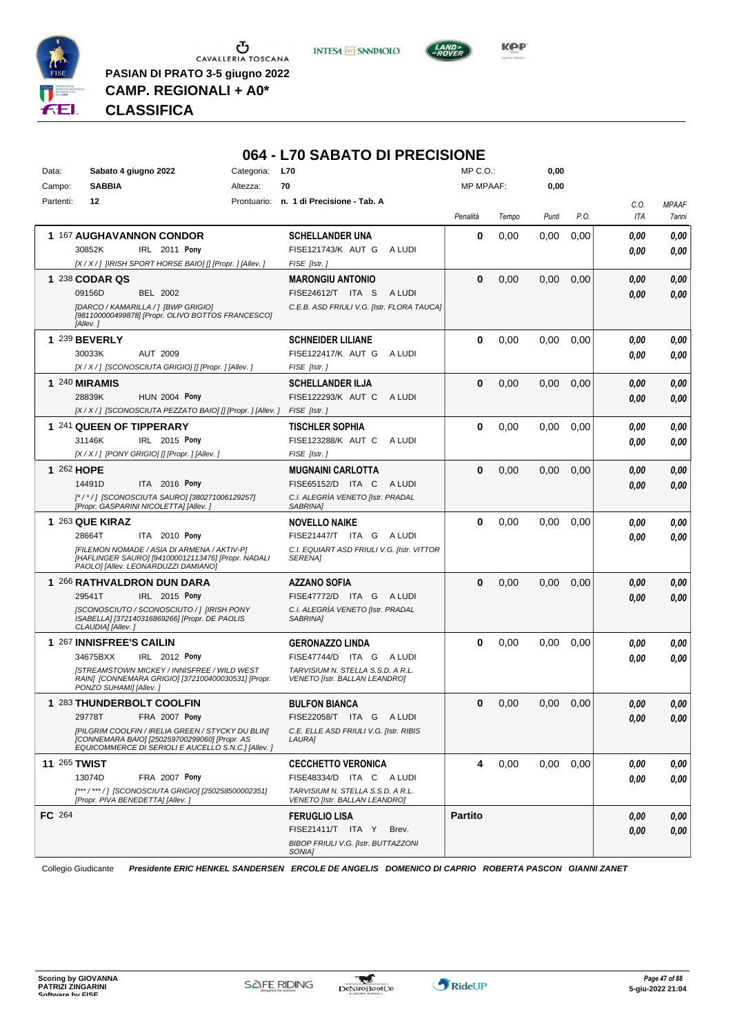

Ⴠ CAVALLERIA TOSCANA **PASIAN DI PRATO 3-5 giugno 2022**

**CAMP. REGIONALI + A0\***

**INTESA** M SANPAOLO



*Presidente ERIC HENKEL SANDERSEN ERCOLE DE ANGELIS DOMENICO DI CAPRIO ROBERTA PASCON GIANNI ZANET* **CLASSIFICA**

# **064 - L70 SABATO DI PRECISIONE**

| <b>SABBIA</b><br>70<br><b>MP MPAAF:</b><br>0,00<br>Campo:<br>Altezza:                                                                                               |                      |
|---------------------------------------------------------------------------------------------------------------------------------------------------------------------|----------------------|
| n. 1 di Precisione - Tab. A<br>Partenti:<br>12<br>Prontuario:                                                                                                       | C.O.<br><b>MPAAF</b> |
| Penalità<br>P.O.<br>Tempo<br>Punti                                                                                                                                  | ITA<br>7anni         |
| 1 167 AUGHAVANNON CONDOR<br>0<br>0,00<br>0,00<br>0,00<br><b>SCHELLANDER UNA</b>                                                                                     | 0.00<br>0,00         |
| 30852K<br>IRL 2011 Pony<br>FISE121743/K AUT G<br>A LUDI                                                                                                             | 0.00<br>0.00         |
| [X / X / ] [IRISH SPORT HORSE BAIO] [] [Propr. ] [Allev. ]<br>FISE [Istr.]                                                                                          |                      |
| 1 238 CODAR QS<br>$\bf{0}$<br>0,00<br>0,00<br>0,00<br><b>MARONGIU ANTONIO</b>                                                                                       | 0,00<br>0.00         |
| 09156D<br><b>BEL 2002</b><br>FISE24612/T ITA S<br>A LUDI                                                                                                            | 0.00<br>0,00         |
| [DARCO / KAMARILLA / ] [BWP GRIGIO]<br>C.E.B. ASD FRIULI V.G. [Istr. FLORA TAUCA]                                                                                   |                      |
| [981100000499878] [Propr. OLIVO BOTTOS FRANCESCO]<br>[Allev.]                                                                                                       |                      |
|                                                                                                                                                                     |                      |
| 1 239 BEVERLY<br>$\bf{0}$<br>0,00<br>0,00<br><b>SCHNEIDER LILIANE</b><br>0,00                                                                                       | 0.00<br>0,00         |
| 30033K<br><b>AUT 2009</b><br>FISE122417/K AUT G<br>A LUDI                                                                                                           | 0.00<br>0,00         |
| [X / X / ] [SCONOSCIUTA GRIGIO] [] [Propr. ] [Allev. ]<br>FISE [Istr.]                                                                                              |                      |
| $\bf{0}$<br>0,00<br>0,00<br>0,00<br>1 240 MIRAMIS<br><b>SCHELLANDER ILJA</b>                                                                                        | 0,00<br>0,00         |
| 28839K<br><b>HUN 2004 Pony</b><br>FISE122293/K AUT C<br>A LUDI                                                                                                      | 0.00<br>0,00         |
| [X / X / ] [SCONOSCIUTA PEZZATO BAIO] [] [Propr. ] [Allev. ]<br>FISE [Istr.]                                                                                        |                      |
| 1 241 QUEEN OF TIPPERARY<br>$\bf{0}$<br>0,00<br>0,00<br><b>TISCHLER SOPHIA</b><br>0,00                                                                              | 0.00<br>0,00         |
| IRL 2015 Pony<br>FISE123288/K AUT C<br>31146K<br>A LUDI                                                                                                             | 0,00<br>0,00         |
| [X / X / ] [PONY GRIGIO] [] [Propr. ] [Allev. ]<br>FISE [Istr.]                                                                                                     |                      |
| 1 262 HOPE<br>$\bf{0}$<br>0,00<br>0,00<br>0,00<br><b>MUGNAINI CARLOTTA</b>                                                                                          | 0,00<br>0,00         |
| 14491D<br>ITA 2016 Pony<br>FISE65152/D ITA C<br>A LUDI                                                                                                              | 0,00<br>0.00         |
| C.I. ALEGRÌA VENETO [Istr. PRADAL<br>[*/*/] [SCONOSCIUTA SAURO] [380271006129257]<br>[Propr. GASPARINI NICOLETTA] [Allev.]<br>SABRINA]                              |                      |
| 1 263 QUE KIRAZ<br>$\bf{0}$<br>0,00<br>0,00<br>0,00<br><b>NOVELLO NAIKE</b>                                                                                         | 0.00<br>0,00         |
| 28664T<br>ITA 2010 Pony<br><b>FISE21447/T ITA G</b><br>A LUDI                                                                                                       | 0.00<br>0.00         |
| [FILEMON NOMADE / ASIA DI ARMENA / AKTIV-P]<br>C.I. EQUIART ASD FRIULI V.G. [Istr. VITTOR                                                                           |                      |
| [HAFLINGER SAURO] [941000012113476] [Propr. NADALI<br><b>SERENAI</b><br>PAOLO] [Allev. LEONARDUZZI DAMIANO]                                                         |                      |
| 1 266 RATHVALDRON DUN DARA<br>$\bf{0}$<br>0,00<br>0,00<br>0,00<br>AZZANO SOFIA                                                                                      | 0.00<br>0,00         |
| 29541T<br>IRL 2015 Pony<br>FISE47772/D ITA G<br>A LUDI                                                                                                              | 0.00<br>0.00         |
| [SCONOSCIUTO / SCONOSCIUTO / ] [IRISH PONY<br>C.I. ALEGRÌA VENETO [Istr. PRADAL<br>ISABELLA] [372140316869266] [Propr. DE PAOLIS<br>SABRINA]                        |                      |
| CLAUDIA] [Allev.]                                                                                                                                                   |                      |
| 1 267 INNISFREE'S CAILIN<br>$\bf{0}$<br>0.00                                                                                                                        |                      |
| 0,00<br>0,00<br><b>GERONAZZO LINDA</b>                                                                                                                              | 0.00<br>0,00         |
| 34675BXX<br>IRL 2012 Pony<br>FISE47744/D ITA G ALUDI                                                                                                                | 0.00<br>0.00         |
| <b>ISTREAMSTOWN MICKEY / INNISFREE / WILD WEST</b><br>TARVISIUM N. STELLA S.S.D. A R.L.                                                                             |                      |
| RAIN] [CONNEMARA GRIGIO] [372100400030531] [Propr.<br>VENETO [Istr. BALLAN LEANDRO]<br>PONZO SUHAMI] [Allev.]                                                       |                      |
| 1 283 THUNDERBOLT COOLFIN<br><b>BULFON BIANCA</b><br>0<br>0,00<br>0,00<br>0,00                                                                                      | 0,00<br>0,00         |
| FISE22058/T ITA G ALUDI                                                                                                                                             |                      |
| 29778T FRA 2007 Pony<br>[PILGRIM COOLFIN / IRELIA GREEN / STYCKY DU BLIN]<br>C.E. ELLE ASD FRIULI V.G. [Istr. RIBIS                                                 | $\it 0,00$<br>0,00   |
| [CONNEMARA BAIO] [250259700299060] [Propr. AS<br>LAURA]<br>EQUICOMMERCE DI SERIOLI E AUCELLO S.N.C.1 [Allev. ]                                                      |                      |
|                                                                                                                                                                     |                      |
| <b>11 265 TWIST</b><br>4<br>0,00<br>0,00<br>0,00<br><b>CECCHETTO VERONICA</b>                                                                                       | 0,00<br>0,00         |
| 13074D<br>FRA 2007 Pony<br>FISE48334/D ITA C ALUDI                                                                                                                  | 0,00<br>0,00         |
| [***/***/] [SCONOSCIUTA GRIGIO] [250258500002351]<br>TARVISIUM N. STELLA S.S.D. A R.L.<br>[Propr. PIVA BENEDETTA] [Allev. ]<br><b>VENETO [Istr. BALLAN LEANDRO]</b> |                      |
| FC 264<br><b>Partito</b><br><b>FERUGLIO LISA</b>                                                                                                                    | 0,00<br>0,00         |
| FISE21411/T ITA Y<br>Brev.<br>BIBOP FRIULI V.G. [Istr. BUTTAZZONI                                                                                                   | 0,00<br>0,00         |

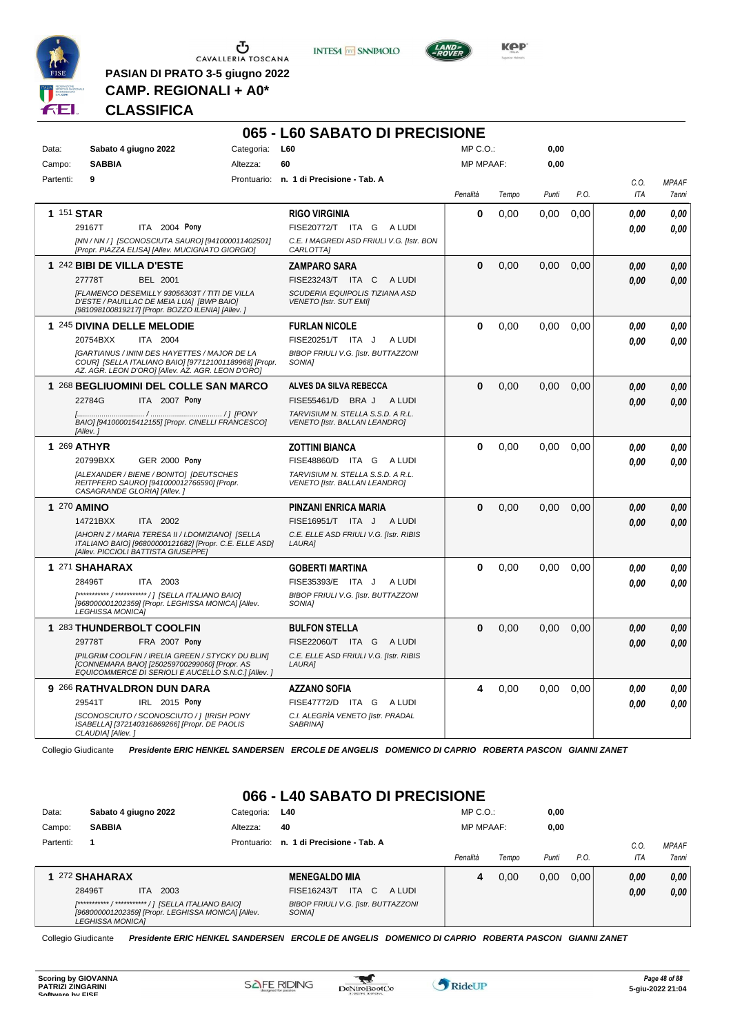

 $\begin{array}{c}\n\bullet \\
\bullet \\
\bullet \\
\bullet \\
\bullet\n\end{array}$  CAVALLERIA TOSCANA

**PASIAN DI PRATO 3-5 giugno 2022 CAMP. REGIONALI + A0\***

**INTESA** M SANPAOLO



**Kep** 

### **CLASSIFICA**

|           |                                                                                                                      |                                                                                                                                                                    | 065 - L60 SABATO DI PRECISIONE                                            |              |       |       |      |      |              |
|-----------|----------------------------------------------------------------------------------------------------------------------|--------------------------------------------------------------------------------------------------------------------------------------------------------------------|---------------------------------------------------------------------------|--------------|-------|-------|------|------|--------------|
| Data:     | Sabato 4 giugno 2022                                                                                                 | Categoria:                                                                                                                                                         | <b>L60</b>                                                                | $MP C. Q$ .: |       | 0,00  |      |      |              |
| Campo:    | <b>SABBIA</b>                                                                                                        | Altezza:                                                                                                                                                           | 60                                                                        | MP MPAAF:    |       | 0,00  |      |      |              |
| Partenti: | 9                                                                                                                    |                                                                                                                                                                    | Prontuario: n. 1 di Precisione - Tab. A                                   |              |       |       |      | C.O. | <b>MPAAF</b> |
|           |                                                                                                                      |                                                                                                                                                                    |                                                                           | Penalità     | Tempo | Punti | P.O. | ITA  | 7anni        |
|           | 1 151 STAR                                                                                                           |                                                                                                                                                                    | <b>RIGO VIRGINIA</b>                                                      | 0            | 0,00  | 0,00  | 0,00 | 0.00 | 0.00         |
|           | 29167T                                                                                                               | ITA 2004 Pony                                                                                                                                                      | FISE20772/T ITA G ALUDI                                                   |              |       |       |      | 0.00 | 0.00         |
|           |                                                                                                                      | [NN / NN / ] [SCONOSCIUTA SAURO] [941000011402501]<br>[Propr. PIAZZA ELISA] [Allev. MUCIGNATO GIORGIO]                                                             | C.E. I MAGREDI ASD FRIULI V.G. [Istr. BON<br>CARLOTTA]                    |              |       |       |      |      |              |
|           | 1 242 BIBI DE VILLA D'ESTE                                                                                           |                                                                                                                                                                    | <b>ZAMPARO SARA</b>                                                       | 0            | 0.00  | 0.00  | 0.00 | 0.00 | 0,00         |
|           | 27778T<br>BEL 2001                                                                                                   |                                                                                                                                                                    | FISE23243/T ITA C ALUDI                                                   |              |       |       |      | 0.00 | 0.00         |
|           | D'ESTE / PAUILLAC DE MEIA LUA] [BWP BAIO]                                                                            | [FLAMENCO DESEMILLY 93056303T / TITI DE VILLA<br>[981098100819217] [Propr. BOZZO ILENIA] [Allev. ]                                                                 | SCUDERIA EQUIPOLIS TIZIANA ASD<br><b>VENETO [Istr. SUT EMI]</b>           |              |       |       |      |      |              |
|           | 1 245 DIVINA DELLE MELODIE                                                                                           |                                                                                                                                                                    | <b>FURLAN NICOLE</b>                                                      | 0            | 0,00  | 0,00  | 0,00 | 0.00 | 0.00         |
|           | 20754BXX<br>ITA 2004                                                                                                 |                                                                                                                                                                    | FISE20251/T ITA J<br>A LUDI                                               |              |       |       |      | 0.00 | 0.00         |
|           |                                                                                                                      | <b>[GARTIANUS / ININI DES HAYETTES / MAJOR DE LA</b><br>COUR] [SELLA ITALIANO BAIO] [977121001189968] [Propr.<br>AZ. AGR. LEON D'ORO] [Allev. AZ. AGR. LEON D'ORO] | <b>BIBOP FRIULI V.G. [Istr. BUTTAZZONI</b><br>SONIA <sub>l</sub>          |              |       |       |      |      |              |
|           |                                                                                                                      | 1 268 BEGLIUOMINI DEL COLLE SAN MARCO                                                                                                                              | ALVES DA SILVA REBECCA                                                    | 0            | 0.00  | 0.00  | 0.00 | 0.00 | 0,00         |
|           | 22784G                                                                                                               | ITA 2007 Pony                                                                                                                                                      | FISE55461/D<br>BRA J<br>A LUDI                                            |              |       |       |      | 0.00 | 0.00         |
|           | [Allev.]                                                                                                             | BAIO] [941000015412155] [Propr. CINELLI FRANCESCO]                                                                                                                 | TARVISIUM N. STELLA S.S.D. A R.L.<br><b>VENETO [Istr. BALLAN LEANDRO]</b> |              |       |       |      |      |              |
|           | 1 269 ATHYR                                                                                                          |                                                                                                                                                                    | <b>ZOTTINI BIANCA</b>                                                     | 0            | 0.00  | 0.00  | 0,00 | 0.00 | 0,00         |
|           | 20799BXX                                                                                                             | <b>GER 2000 Pony</b>                                                                                                                                               | FISE48860/D ITA G ALUDI                                                   |              |       |       |      | 0.00 | 0.00         |
|           | [ALEXANDER / BIENE / BONITO] [DEUTSCHES<br>REITPFERD SAUROI [941000012766590] [Propr.<br>CASAGRANDE GLORIA] [Allev.] |                                                                                                                                                                    | TARVISIUM N. STELLA S.S.D. A R.L.<br>VENETO [Istr. BALLAN LEANDRO]        |              |       |       |      |      |              |
|           | 1 270 AMINO                                                                                                          |                                                                                                                                                                    | PINZANI ENRICA MARIA                                                      | $\bf{0}$     | 0.00  | 0,00  | 0.00 | 0.00 | 0,00         |
|           | 14721BXX<br>ITA 2002                                                                                                 |                                                                                                                                                                    | FISE16951/T ITA J<br>A LUDI                                               |              |       |       |      | 0.00 | 0.00         |
|           | [Allev. PICCIOLI BATTISTA GIUSEPPE]                                                                                  | [AHORN Z / MARIA TERESA II / I.DOMIZIANO] [SELLA<br>ITALIANO BAIO] [96800000121682] [Propr. C.E. ELLE ASD]                                                         | C.E. ELLE ASD FRIULI V.G. [Istr. RIBIS<br>LAURA]                          |              |       |       |      |      |              |
|           | 1 271 SHAHARAX                                                                                                       |                                                                                                                                                                    | GOBERTI MARTINA                                                           | 0            | 0,00  | 0,00  | 0,00 | 0.00 | 0.00         |
|           | 28496T<br><b>ITA 2003</b>                                                                                            |                                                                                                                                                                    | FISE35393/E ITA J<br>A LUDI                                               |              |       |       |      | 0.00 | 0.00         |
|           | [***********/***********/] [SELLA ITALIANO BAIO]<br><b>LEGHISSA MONICAI</b>                                          | [968000001202359] [Propr. LEGHISSA MONICA] [Allev.                                                                                                                 | <b>BIBOP FRIULI V.G. [Istr. BUTTAZZONI</b><br>SONIA1                      |              |       |       |      |      |              |
|           | 1 283 THUNDERBOLT COOLFIN                                                                                            |                                                                                                                                                                    | <b>BULFON STELLA</b>                                                      | $\bf{0}$     | 0.00  | 0.00  | 0.00 | 0.00 | 0,00         |
|           | 29778T                                                                                                               | FRA 2007 Pony                                                                                                                                                      | FISE22060/T ITA G<br>A LUDI                                               |              |       |       |      | 0.00 | 0.00         |
|           |                                                                                                                      | [PILGRIM COOLFIN / IRELIA GREEN / STYCKY DU BLIN]<br>[CONNEMARA BAIO] [250259700299060] [Propr. AS<br>EQUICOMMERCE DI SERIOLI E AUCELLO S.N.C.1 [Allev. ]          | C.E. ELLE ASD FRIULI V.G. [Istr. RIBIS<br>LAURA]                          |              |       |       |      |      |              |
|           | 9 266 RATHVALDRON DUN DARA                                                                                           |                                                                                                                                                                    | <b>AZZANO SOFIA</b>                                                       | 4            | 0,00  | 0.00  | 0,00 | 0.00 | 0.00         |
|           | 29541T                                                                                                               | IRL 2015 Pony                                                                                                                                                      | FISE47772/D ITA G<br>A LUDI                                               |              |       |       |      | 0.00 | 0.00         |
|           | ISABELLA] [372140316869266] [Propr. DE PAOLIS<br>CLAUDIA] [Allev.]                                                   | [SCONOSCIUTO / SCONOSCIUTO / ] [IRISH PONY                                                                                                                         | C.I. ALEGRÌA VENETO [Istr. PRADAL<br>SABRINA]                             |              |       |       |      |      |              |

Collegio Giudicante *Presidente ERIC HENKEL SANDERSEN ERCOLE DE ANGELIS DOMENICO DI CAPRIO ROBERTA PASCON GIANNI ZANET*

# **066 - L40 SABATO DI PRECISIONE**

| Data:     | Sabato 4 giugno 2022                                                          | Categoria:  | <b>L40</b>                                            | $MP C. O.$ :     |       | 0,00  |      |      |              |
|-----------|-------------------------------------------------------------------------------|-------------|-------------------------------------------------------|------------------|-------|-------|------|------|--------------|
| Campo:    | <b>SABBIA</b>                                                                 | Altezza:    | 40                                                    | <b>MP MPAAF:</b> |       | 0,00  |      |      |              |
| Partenti: |                                                                               | Prontuario: | n. 1 di Precisione - Tab. A                           |                  |       |       |      | C.0  | <b>MPAAF</b> |
|           |                                                                               |             |                                                       | Penalità         | Tempo | Punti | P.O. | ITA  | 7anni        |
|           | 1 272 SHAHARAX                                                                |             | <b>MENEGALDO MIA</b>                                  | 4                | 0.00  | 0,00  | 0.00 | 0,00 | 0,00         |
|           | 28496T<br>2003<br>ITA.                                                        |             | <b>ITA</b><br>$\overline{C}$<br>FISE16243/T<br>A LUDI |                  |       |       |      | 0,00 | 0,00         |
|           | [968000001202359] [Propr. LEGHISSA MONICA] [Allev.<br><b>LEGHISSA MONICA1</b> |             | <b>BIBOP FRIULI V.G. [Istr. BUTTAZZONI</b><br>SONIA1  |                  |       |       |      |      |              |

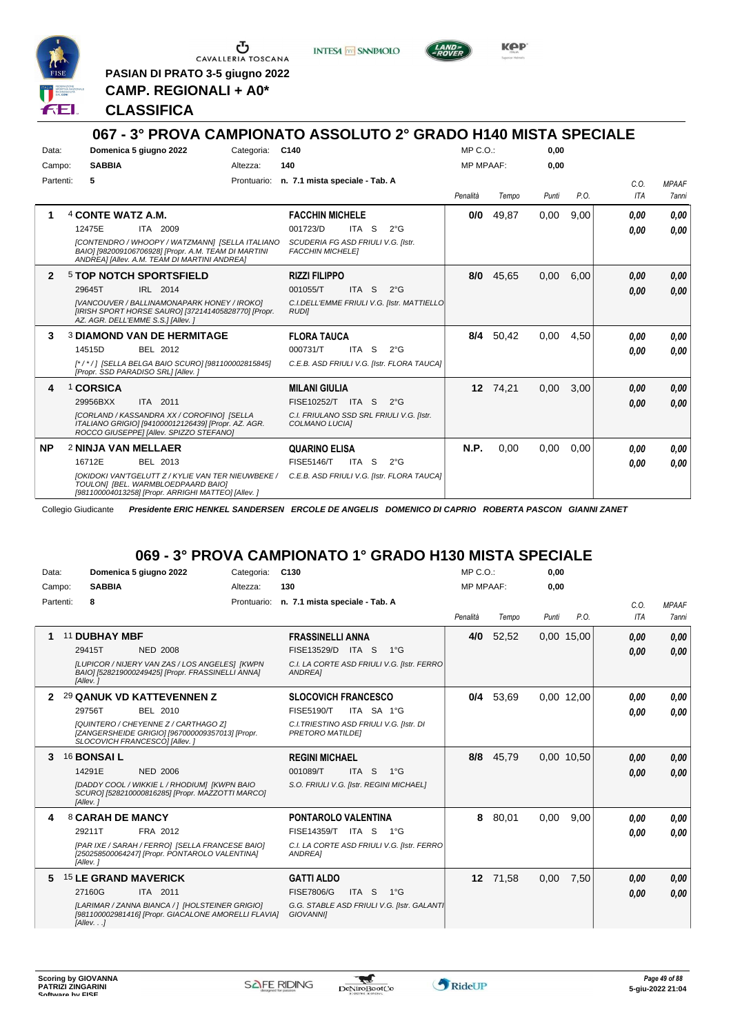

**PASIAN DI PRATO 3-5 giugno 2022 CAMP. REGIONALI + A0\***

**INTESA** M SANPAOLO



KOP

#### **CLASSIFICA**

#### **067 - 3° PROVA CAMPIONATO ASSOLUTO 2° GRADO H140 MISTA SPECIALE** Data: **Domenica 5 giugno 2022** Categoria: C140 Prontuario: **n. 7.1 mista speciale - Tab. A** Campo: **SABBIA** Partenti: **5** Altezza: **140**  $MP C. O.$ MP MPAAF: **0,00 0,00** *Penalità Tempo Punti P.O. C.O. ITA MPAAF 7anni* **1** 4 **CONTE WATZ A.M.** ITA 2009 **FACCHIN MICHELE** *[CONTENDRO / WHOOPY / WATZMANN] [SELLA ITALIANO BAIO] [982009106706928] [Propr. A.M. TEAM DI MARTINI ANDREA] [Allev. A.M. TEAM DI MARTINI ANDREA] SCUDERIA FG ASD FRIULI V.G. [Istr. FACCHIN MICHELE]* ITA S 2°G **0/0** 49,87 0,00 9,00 *0,00 0,00 0,00* 12475E 001723/D *0,00* **2** 5 **TOP NOTCH SPORTSFIELD** IRL 2014 **RIZZI FILIPPO** *[VANCOUVER / BALLINAMONAPARK HONEY / IROKO] [IRISH SPORT HORSE SAURO] [372141405828770] [Propr. AZ. AGR. DELL'EMME S.S.] [Allev. ] C.I.DELL'EMME FRIULI V.G. [Istr. MATTIELLO RUDI]* ITA S 2°G **8/0** 45,65 0,00 6,00 *0,00 0,00 0,00* 29645T IRL 2014 001055/T ITA S 2°G <mark> 0,00 0,00</mark> **3** 3 **DIAMOND VAN DE HERMITAGE** BEL 2012 **FLORA TAUCA** *[\* / \* / ] [SELLA BELGA BAIO SCURO] [981100002815845] [Propr. SSD PARADISO SRL] [Allev. ] C.E.B. ASD FRIULI V.G. [Istr. FLORA TAUCA]* ITA S 2°G **8/4** 50,42 0,00 4,50 *0,00 0,00 0,00* 14515D BEL 2012 000731/T ITA S 2°G <mark> *0,00 0,00*</mark> **4** 1 **CORSICA** ITA 2011 **MILANI GIULIA** *[CORLAND / KASSANDRA XX / COROFINO] [SELLA ITALIANO GRIGIO] [941000012126439] [Propr. AZ. AGR. ROCCO GIUSEPPE] [Allev. SPIZZO STEFANO] C.I. FRIULANO SSD SRL FRIULI V.G. [Istr. COLMANO LUCIA]* 29956BXX ITA 2011 FISE10252/T ITA S 2°G **0,00 0,00 12** 74,21 0,00 3,00 *0,00 0,00 0,00* **NP** 2 **NINJA VAN MELLAER** BEL 2013 **QUARINO ELISA** *[OKIDOKI VAN'TGELUTT Z / KYLIE VAN TER NIEUWBEKE / C.E.B. ASD FRIULI V.G. [Istr. FLORA TAUCA] TOULON] [BEL. WARMBLOEDPAARD BAIO] [981100004013258] [Propr. ARRIGHI MATTEO] [Allev. ]* ITA S 2°G **N.P.** 0,00 0,00 0,00 *0,00 0,00 0,00* 16712E BEL 2013 FISE5146/T ITA S 2°G <mark>0 ,00 0,00</mark>

Collegio Giudicante *Presidente ERIC HENKEL SANDERSEN ERCOLE DE ANGELIS DOMENICO DI CAPRIO ROBERTA PASCON GIANNI ZANET*

# **069 - 3° PROVA CAMPIONATO 1° GRADO H130 MISTA SPECIALE**

| Data:     | Domenica 5 giugno 2022                                                                                                                                                                                                                                                                                                                         | Categoria:  | C130                                                                                                                                                                                                                                                                     | MP C. O.         |                     | 0,00         |                          |                              |                              |
|-----------|------------------------------------------------------------------------------------------------------------------------------------------------------------------------------------------------------------------------------------------------------------------------------------------------------------------------------------------------|-------------|--------------------------------------------------------------------------------------------------------------------------------------------------------------------------------------------------------------------------------------------------------------------------|------------------|---------------------|--------------|--------------------------|------------------------------|------------------------------|
| Campo:    | <b>SABBIA</b>                                                                                                                                                                                                                                                                                                                                  | Altezza:    | 130                                                                                                                                                                                                                                                                      | <b>MP MPAAF:</b> |                     | 0,00         |                          |                              |                              |
| Partenti: | 8                                                                                                                                                                                                                                                                                                                                              | Prontuario: | n. 7.1 mista speciale - Tab. A                                                                                                                                                                                                                                           | Penalità         | Tempo               | Punti        | P.O.                     | C.0.<br><b>ITA</b>           | <b>MPAAF</b><br>7anni        |
|           | 11 DUBHAY MBF<br>29415T<br><b>NED 2008</b><br>[LUPICOR / NIJERY VAN ZAS / LOS ANGELES] [KWPN<br>BAIO] [528219000249425] [Propr. FRASSINELLI ANNA]<br>[Allev.]                                                                                                                                                                                  |             | <b>FRASSINELLI ANNA</b><br>FISE13529/D ITA S<br>$1^{\circ}G$<br>C.I. LA CORTE ASD FRIULI V.G. [Istr. FERRO]<br>ANDREA]                                                                                                                                                   | 4/0              | 52,52               |              | 0,00 15,00               | 0.00<br>0.00                 | 0.00<br>0.00                 |
| 2         | 29 QANUK VD KATTEVENNEN Z<br>29756T<br>BEL 2010<br>[QUINTERO / CHEYENNE Z / CARTHAGO Z]<br>[ZANGERSHEIDE GRIGIO] [967000009357013] [Propr.<br>SLOCOVICH FRANCESCO] [Allev.]<br>16 <b>BONSAI L</b><br>14291E<br><b>NED 2006</b><br>[DADDY COOL / WIKKIE L / RHODIUM] [KWPN BAIO<br>SCURO] [528210000816285] [Propr. MAZZOTTI MARCO]<br>[Allev.] |             | <b>SLOCOVICH FRANCESCO</b><br><b>FISE5190/T</b><br>ITA SA 1°G<br>C.I. TRIESTINO ASD FRIULI V.G. [Istr. DI<br>PRETORO MATILDEI<br><b>REGINI MICHAEL</b><br>001089/T<br>ITA <sub>S</sub><br>$1^{\circ}G$<br>S.O. FRIULI V.G. [Istr. REGINI MICHAEL]                        | 0/4<br>8/8       | 53,69<br>45.79      |              | 0.00 12,00<br>0.00 10.50 | 0.00<br>0.00<br>0,00<br>0.00 | 0.00<br>0.00<br>0.00<br>0.00 |
| 4<br>5.   | 8 CARAH DE MANCY<br>29211T<br>FRA 2012<br>[PAR IXE / SARAH / FERRO] [SELLA FRANCESE BAIO]<br>[250258500064247] [Propr. PONTAROLO VALENTINA]<br>[Allev.]<br><b>15 LE GRAND MAVERICK</b><br>27160G<br>ITA 2011<br>[LARIMAR / ZANNA BIANCA / 1 [HOLSTEINER GRIGIO]<br>[981100002981416] [Propr. GIACALONE AMORELLI FLAVIA]<br>[Allev. ]           |             | <b>PONTAROLO VALENTINA</b><br><b>FISE14359/T</b><br>ITA S<br>$1^{\circ}G$<br>C.I. LA CORTE ASD FRIULI V.G. [Istr. FERRO]<br>ANDREA]<br><b>GATTI ALDO</b><br><b>FISE7806/G</b><br>ITA S<br>$1^{\circ}G$<br>G.G. STABLE ASD FRIULI V.G. [Istr. GALANTI<br><b>GIOVANNII</b> |                  | 8 80.01<br>12 71,58 | 0.00<br>0,00 | 9.00<br>7,50             | 0,00<br>0.00<br>0,00<br>0.00 | 0.00<br>0.00<br>0,00<br>0.00 |



\*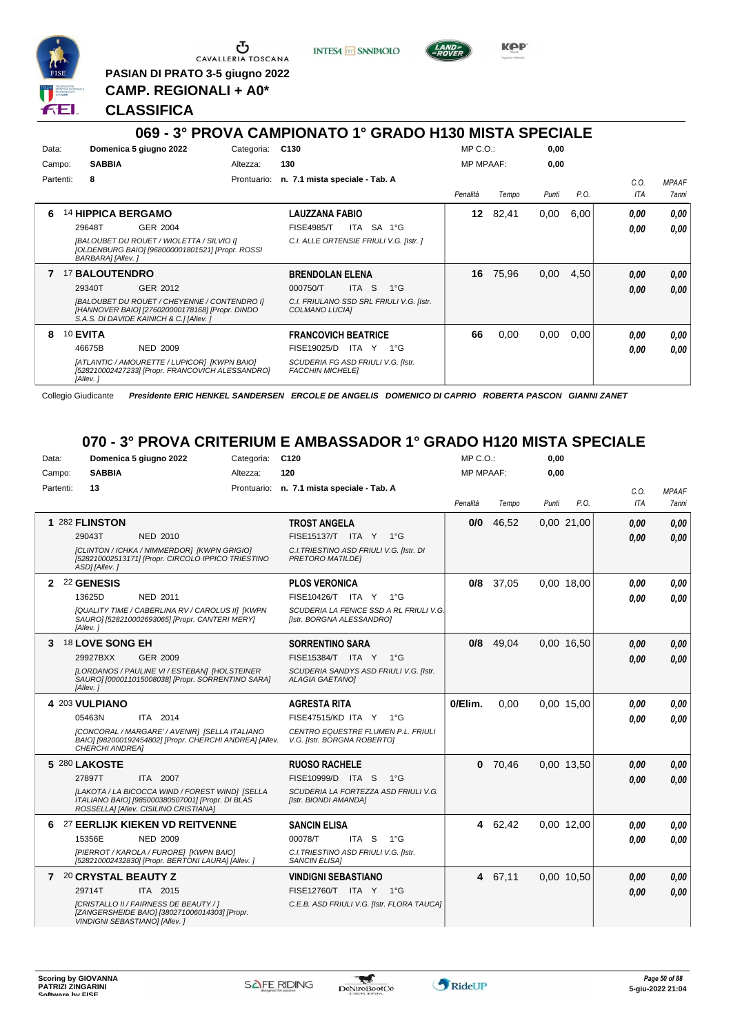

**PASIAN DI PRATO 3-5 giugno 2022**

**INTESA** M SANPAOLO



KOP

**CAMP. REGIONALI + A0\* CLASSIFICA**

#### **069 - 3° PROVA CAMPIONATO 1° GRADO H130 MISTA SPECIALE** Data: **Domenica 5 giugno 2022** Categoria: C130 Prontuario: **n. 7.1 mista speciale - Tab. A** Campo: **SABBIA** Partenti: **8** Altezza: **130** MP C.O.: MP MPAAF: **0,00 0,00** *Penalità Tempo Punti P.O. C.O. ITA MPAAF 7anni* **6** 14 **HIPPICA BERGAMO** GER 2004 **LAUZZANA FABIO** *[BALOUBET DU ROUET / WIOLETTA / SILVIO I] [OLDENBURG BAIO] [968000001801521] [Propr. ROSSI BARBARA] [Allev. ] C.I. ALLE ORTENSIE FRIULI V.G. [Istr. ]* ITA SA 1°G **12** 82,41 0,00 6,00 *0,00 0,00 0,00* 29648T GER\_2004 FISE4985/T ITA SA 1°G *0,00 0,00* **7** 17 **BALOUTENDRO** GER 2012 **BRENDOLAN ELENA** *[BALOUBET DU ROUET / CHEYENNE / CONTENDRO I] [HANNOVER BAIO] [276020000178168] [Propr. DINDO S.A.S. DI DAVIDE KAINICH & C.] [Allev. ] C.I. FRIULANO SSD SRL FRIULI V.G. [Istr. COLMANO LUCIA]* ITA S 1°G **16** 75,96 0,00 4,50 *0,00 0,00 0,00* 29340T 000750/T *0,00* **8** 10 **EVITA** NED 2009 **FRANCOVICH BEATRICE** *[ATLANTIC / AMOURETTE / LUPICOR] [KWPN BAIO] [528210002427233] [Propr. FRANCOVICH ALESSANDRO] [Allev. ] SCUDERIA FG ASD FRIULI V.G. [Istr. FACCHIN MICHELE]* 46675B NED 2009 FISE19025/D ITA Y 1°G **0,00 0,00 66** 0,00 0,00 0,00 *0,00 0,00 0,00*

Collegio Giudicante *Presidente ERIC HENKEL SANDERSEN ERCOLE DE ANGELIS DOMENICO DI CAPRIO ROBERTA PASCON GIANNI ZANET*

# **070 - 3° PROVA CRITERIUM E AMBASSADOR 1° GRADO H120 MISTA SPECIALE**

| Data:     | Domenica 5 giugno 2022                                                                                                                       | Categoria: | C <sub>120</sub>                                                     | $MP C. O.$ :     |         | 0,00  |            |      |              |
|-----------|----------------------------------------------------------------------------------------------------------------------------------------------|------------|----------------------------------------------------------------------|------------------|---------|-------|------------|------|--------------|
| Campo:    | <b>SABBIA</b>                                                                                                                                | Altezza:   | 120                                                                  | <b>MP MPAAF:</b> |         | 0.00  |            |      |              |
| Partenti: | 13                                                                                                                                           |            | Prontuario: n. 7.1 mista speciale - Tab. A                           |                  |         |       |            | C.O. | <b>MPAAF</b> |
|           |                                                                                                                                              |            |                                                                      | Penalità         | Tempo   | Punti | P.O.       | ITA  | 7anni        |
|           | 1 282 FLINSTON                                                                                                                               |            | <b>TROST ANGELA</b>                                                  | 0/0              | 46,52   |       | 0,00 21,00 | 0.00 | 0.00         |
|           | 29043T<br>NED 2010                                                                                                                           |            | FISE15137/T ITA Y 1°G                                                |                  |         |       |            | 0,00 | 0.00         |
|           | [CLINTON / ICHKA / NIMMERDOR] [KWPN GRIGIO]<br>[528210002513171] [Propr. CIRCOLO IPPICO TRIESTINO<br>ASD] [Allev.]                           |            | C.I. TRIESTINO ASD FRIULI V.G. [Istr. DI<br>PRETORO MATILDEI         |                  |         |       |            |      |              |
| 2         | 22 GENESIS                                                                                                                                   |            | <b>PLOS VERONICA</b>                                                 | 0/8              | 37,05   |       | 0.00 18.00 | 0.00 | 0.00         |
|           | <b>NED 2011</b><br>13625D                                                                                                                    |            | FISE10426/T ITA Y 1°G                                                |                  |         |       |            | 0.00 | 0.00         |
|           | [QUALITY TIME / CABERLINA RV / CAROLUS II] [KWPN<br>SAURO] [528210002693065] [Propr. CANTERI MERY]<br>[Allev.]                               |            | SCUDERIA LA FENICE SSD A RL FRIULI V.G.<br>[Istr. BORGNA ALESSANDRO] |                  |         |       |            |      |              |
| 3         | <sup>18</sup> LOVE SONG EH                                                                                                                   |            | <b>SORRENTINO SARA</b>                                               | 0/8              | 49,04   |       | 0.00 16.50 | 0.00 | 0,00         |
|           | 29927BXX<br>GER 2009                                                                                                                         |            | FISE15384/T ITA Y 1°G                                                |                  |         |       |            | 0.00 | 0.00         |
|           | [LORDANOS / PAULINE VI / ESTEBAN] [HOLSTEINER<br>SAURO] [000011015008038] [Propr. SORRENTINO SARA]<br>[Allev.]                               |            | SCUDERIA SANDYS ASD FRIULI V.G. [Istr.<br><b>ALAGIA GAETANOI</b>     |                  |         |       |            |      |              |
|           | 4 203 VULPIANO                                                                                                                               |            | <b>AGRESTA RITA</b>                                                  | 0/Elim.          | 0.00    |       | 0.00 15.00 | 0.00 | 0.00         |
|           | ITA 2014<br>05463N                                                                                                                           |            | FISE47515/KD ITA Y 1°G                                               |                  |         |       |            | 0.00 | 0.00         |
|           | [CONCORAL / MARGARE' / AVENIR] [SELLA ITALIANO<br>BAIO] [982000192454802] [Propr. CHERCHI ANDREA] [Allev.<br><b>CHERCHI ANDREAI</b>          |            | CENTRO EQUESTRE FLUMEN P.L. FRIULI<br>V.G. [Istr. BORGNA ROBERTO]    |                  |         |       |            |      |              |
|           | 5 280 LAKOSTE                                                                                                                                |            | <b>RUOSO RACHELE</b>                                                 | 0                | 70,46   |       | 0.00 13,50 | 0,00 | 0,00         |
|           | 27897T<br>ITA 2007                                                                                                                           |            | FISE10999/D ITA S<br>$1^{\circ}G$                                    |                  |         |       |            | 0.00 | 0.00         |
|           | [LAKOTA / LA BICOCCA WIND / FOREST WIND] [SELLA<br>ITALIANO BAIO] [985000380507001] [Propr. DI BLAS<br>ROSSELLA] [Allev. CISILINO CRISTIANA] |            | SCUDERIA LA FORTEZZA ASD FRIULI V.G.<br>[Istr. BIONDI AMANDA]        |                  |         |       |            |      |              |
|           | 6 27 EERLIJK KIEKEN VD REITVENNE                                                                                                             |            | <b>SANCIN ELISA</b>                                                  |                  | 4 62,42 |       | 0.00 12,00 | 0.00 | 0.00         |
|           | 15356E<br><b>NED 2009</b>                                                                                                                    |            | 00078/T<br>ITA S<br>$1^{\circ}G$                                     |                  |         |       |            | 0.00 | 0.00         |
|           | [PIERROT / KAROLA / FURORE] [KWPN BAIO]<br>[528210002432830] [Propr. BERTONI LAURA] [Allev. ]                                                |            | C.I. TRIESTINO ASD FRIULI V.G. [Istr.<br><b>SANCIN ELISA1</b>        |                  |         |       |            |      |              |
|           | 7 20 CRYSTAL BEAUTY Z                                                                                                                        |            | <b>VINDIGNI SEBASTIANO</b>                                           |                  | 4 67,11 |       | 0.00 10.50 | 0.00 | 0,00         |
|           | 29714T<br>ITA 2015                                                                                                                           |            | FISE12760/T ITA Y 1°G                                                |                  |         |       |            | 0.00 | 0.00         |
|           | [CRISTALLO II / FAIRNESS DE BEAUTY / ]<br>[ZANGERSHEIDE BAIO] [380271006014303] [Propr.<br>VINDIGNI SEBASTIANO] [Allev.]                     |            | C.E.B. ASD FRIULI V.G. [Istr. FLORA TAUCA]                           |                  |         |       |            |      |              |

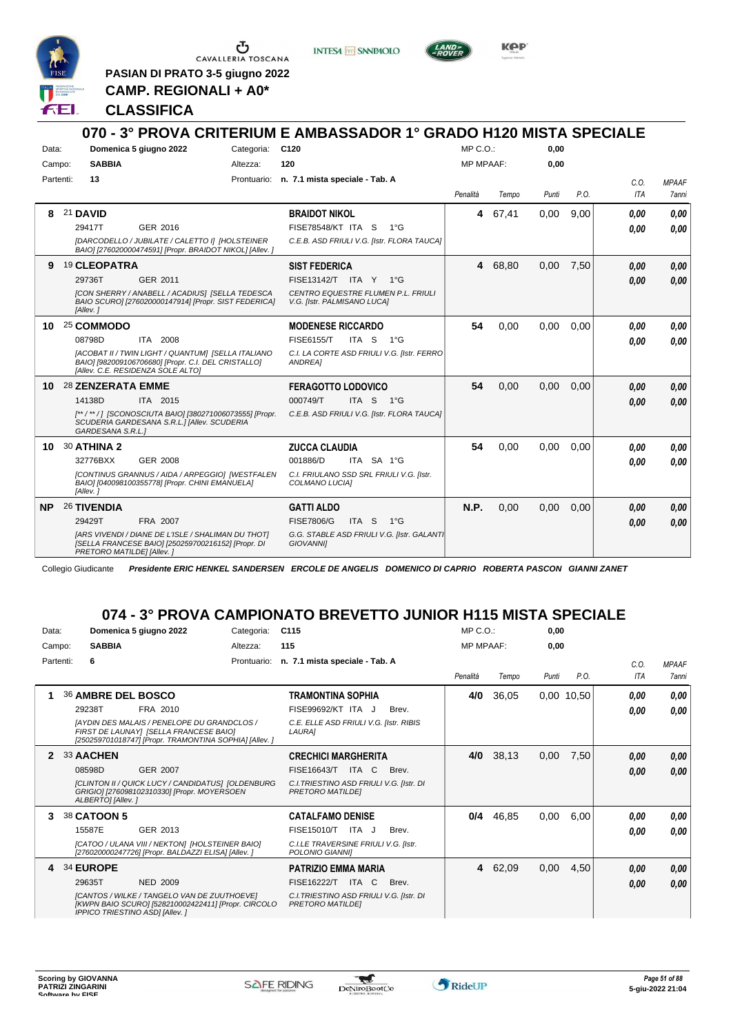

**INTESA** M SANPAOLO



**KPP** 

**PASIAN DI PRATO 3-5 giugno 2022 CAMP. REGIONALI + A0\***

### **CLASSIFICA**

|           |                           |                                                                                                                                                |            | 070 - 3° PROVA CRITERIUM E AMBASSADOR 1° GRADO H120 MISTA SPECIALE |                  |         |       |      |                    |                              |
|-----------|---------------------------|------------------------------------------------------------------------------------------------------------------------------------------------|------------|--------------------------------------------------------------------|------------------|---------|-------|------|--------------------|------------------------------|
| Data:     |                           | Domenica 5 giugno 2022                                                                                                                         | Categoria: | C <sub>120</sub>                                                   | MP C.O.:         |         | 0,00  |      |                    |                              |
| Campo:    | <b>SABBIA</b>             |                                                                                                                                                | Altezza:   | 120                                                                | <b>MP MPAAF:</b> |         | 0,00  |      |                    |                              |
| Partenti: | 13                        |                                                                                                                                                |            | Prontuario: n. 7.1 mista speciale - Tab. A                         | Penalità         | Tempo   | Punti | P.O. | C.0.<br><b>ITA</b> | <b>MPAAF</b><br><b>7anni</b> |
|           |                           |                                                                                                                                                |            |                                                                    |                  |         |       |      |                    |                              |
| 8         | 21 DAVID                  |                                                                                                                                                |            | <b>BRAIDOT NIKOL</b>                                               |                  | 4 67,41 | 0,00  | 9,00 | 0.00               | 0,00                         |
|           | 29417T                    | GER 2016                                                                                                                                       |            | <b>FISE78548/KT ITA S</b><br>1°G                                   |                  |         |       |      | 0.00               | 0.00                         |
|           |                           | [DARCODELLO / JUBILATE / CALETTO I] [HOLSTEINER<br>BAIO] [276020000474591] [Propr. BRAIDOT NIKOL] [Allev.]                                     |            | C.E.B. ASD FRIULI V.G. [Istr. FLORA TAUCA]                         |                  |         |       |      |                    |                              |
| 9         | 19 CLEOPATRA              |                                                                                                                                                |            | <b>SIST FEDERICA</b>                                               |                  | 4 68.80 | 0.00  | 7.50 | 0.00               | 0,00                         |
|           | 29736T                    | GER 2011                                                                                                                                       |            | FISE13142/T ITA Y 1°G                                              |                  |         |       |      | 0.00               | 0.00                         |
|           | [Allev. 1                 | [CON SHERRY / ANABELL / ACADIUS] [SELLA TEDESCA<br>BAIO SCURO] [276020000147914] [Propr. SIST FEDERICA]                                        |            | CENTRO EQUESTRE FLUMEN P.L. FRIULI<br>V.G. [Istr. PALMISANO LUCA]  |                  |         |       |      |                    |                              |
|           | 10 25 COMMODO             |                                                                                                                                                |            | <b>MODENESE RICCARDO</b>                                           | 54               | 0,00    | 0,00  | 0,00 | 0.00               | 0.00                         |
|           | 08798D                    | ITA 2008                                                                                                                                       |            | FISE6155/T<br>ITA S $1^{\circ}$ G                                  |                  |         |       |      | 0.00               | 0.00                         |
|           |                           | [ACOBAT II / TWIN LIGHT / QUANTUM] [SELLA ITALIANO<br>BAIO] [982009106706680] [Propr. C.I. DEL CRISTALLO]<br>[Allev. C.E. RESIDENZA SOLE ALTO] |            | C.I. LA CORTE ASD FRIULI V.G. [Istr. FERRO<br>ANDREA1              |                  |         |       |      |                    |                              |
|           | 10 28 ZENZERATA EMME      |                                                                                                                                                |            | <b>FERAGOTTO LODOVICO</b>                                          | 54               | 0,00    | 0,00  | 0.00 | 0.00               | 0.00                         |
|           | 14138D                    | ITA 2015                                                                                                                                       |            | 000749/T<br>ITA S 1°G                                              |                  |         |       |      | 0.00               | 0.00                         |
|           | GARDESANA S.R.L.1         | [**/**/] [SCONOSCIUTA BAIO] [380271006073555] [Propr.<br>SCUDERIA GARDESANA S.R.L.] [Allev. SCUDERIA                                           |            | C.E.B. ASD FRIULI V.G. [Istr. FLORA TAUCA]                         |                  |         |       |      |                    |                              |
| 10        | 30 ATHINA 2               |                                                                                                                                                |            | <b>ZUCCA CLAUDIA</b>                                               | 54               | 0.00    | 0.00  | 0.00 | 0.00               | 0.00                         |
|           | 32776BXX                  | GER 2008                                                                                                                                       |            | 001886/D<br>ITA SA 1°G                                             |                  |         |       |      | 0.00               | 0.00                         |
|           | [Allev.]                  | [CONTINUS GRANNUS / AIDA / ARPEGGIO] [WESTFALEN<br>BAIO] [040098100355778] [Propr. CHINI EMANUELA]                                             |            | C.I. FRIULANO SSD SRL FRIULI V.G. [Istr.<br>COLMANO LUCIAI         |                  |         |       |      |                    |                              |
| NP        | <b>26 TIVENDIA</b>        |                                                                                                                                                |            | <b>GATTI ALDO</b>                                                  | <b>N.P.</b>      | 0,00    | 0,00  | 0.00 | 0.00               | 0.00                         |
|           | 29429T                    | FRA 2007                                                                                                                                       |            | ITA <sub>S</sub><br><b>FISE7806/G</b><br>$1^{\circ}G$              |                  |         |       |      | 0.00               | 0.00                         |
|           | PRETORO MATILDE] [Allev.] | <b>IARS VIVENDI / DIANE DE L'ISLE / SHALIMAN DU THOTI</b><br>[SELLA FRANCESE BAIO] [250259700216152] [Propr. DI                                |            | G.G. STABLE ASD FRIULI V.G. [Istr. GALANT]<br><b>GIOVANNII</b>     |                  |         |       |      |                    |                              |

Collegio Giudicante *Presidente ERIC HENKEL SANDERSEN ERCOLE DE ANGELIS DOMENICO DI CAPRIO ROBERTA PASCON GIANNI ZANET*

# **074 - 3° PROVA CAMPIONATO BREVETTO JUNIOR H115 MISTA SPECIALE**

| Data:     |                                       | Domenica 5 giugno 2022                                                                                                                         | Categoria:  | C <sub>115</sub>                                                    |       | MP C. O.         |         | 0,00  |            |             |                       |
|-----------|---------------------------------------|------------------------------------------------------------------------------------------------------------------------------------------------|-------------|---------------------------------------------------------------------|-------|------------------|---------|-------|------------|-------------|-----------------------|
| Campo:    | <b>SABBIA</b>                         |                                                                                                                                                | Altezza:    | 115                                                                 |       | <b>MP MPAAF:</b> |         | 0,00  |            |             |                       |
| Partenti: | 6                                     |                                                                                                                                                | Prontuario: | n. 7.1 mista speciale - Tab. A                                      |       | Penalità         | Tempo   | Punti | P.O.       | C.O.<br>ITA | <b>MPAAF</b><br>7anni |
|           | 36 AMBRE DEL BOSCO                    |                                                                                                                                                |             | TRAMONTINA SOPHIA                                                   |       | 4/0              | 36,05   |       | 0.00 10.50 | 0.00        | 0,00                  |
|           | 29238T                                | FRA 2010                                                                                                                                       |             | FISE99692/KT ITA J                                                  | Brev. |                  |         |       |            | 0.00        | 0.00                  |
|           |                                       | [AYDIN DES MALAIS / PENELOPE DU GRANDCLOS /<br>FIRST DE LAUNAYI [SELLA FRANCESE BAIO]<br>[250259701018747] [Propr. TRAMONTINA SOPHIA] [Allev.] |             | C.E. ELLE ASD FRIULI V.G. [Istr. RIBIS<br>LAURA]                    |       |                  |         |       |            |             |                       |
| 2         | 33 AACHEN                             |                                                                                                                                                |             | <b>CRECHICI MARGHERITA</b>                                          |       | 4/0              | 38,13   | 0,00  | 7,50       | 0,00        | 0,00                  |
|           | 08598D                                | <b>GER 2007</b>                                                                                                                                |             | FISE16643/T<br>ITA<br>C.                                            | Brev. |                  |         |       |            | 0,00        | 0.00                  |
|           | ALBERTO] [Allev.]                     | [CLINTON II / QUICK LUCY / CANDIDATUS] [OLDENBURG<br>GRIGIO] [276098102310330] [Propr. MOYERSOEN                                               |             | C.I. TRIESTINO ASD FRIULI V.G. [Istr. DI<br>PRETORO MATILDEI        |       |                  |         |       |            |             |                       |
| 3         | 38 CATOON 5                           |                                                                                                                                                |             | <b>CATALFAMO DENISE</b>                                             |       | 0/4              | 46,85   | 0,00  | 6,00       | 0.00        | 0,00                  |
|           | 15587E                                | GER 2013                                                                                                                                       |             | FISE15010/T<br>ITA J                                                | Brev. |                  |         |       |            | 0.00        | 0.00                  |
|           |                                       | ICATOO / ULANA VIII / NEKTON] [HOLSTEINER BAIO]<br>[276020000247726] [Propr. BALDAZZI ELISA] [Allev. ]                                         |             | C.I.LE TRAVERSINE FRIULI V.G. [Istr.<br>POLONIO GIANNII             |       |                  |         |       |            |             |                       |
| 4         | 34 EUROPE                             |                                                                                                                                                |             | <b>PATRIZIO EMMA MARIA</b>                                          |       |                  | 4 62,09 | 0,00  | 4,50       | 0,00        | 0,00                  |
|           | 29635T                                | <b>NED 2009</b>                                                                                                                                |             | <b>FISE16222/T</b><br>ITA C                                         | Brev. |                  |         |       |            | 0,00        | 0,00                  |
|           | <b>IPPICO TRIESTINO ASDI [Allev.]</b> | [CANTOS / WILKE / TANGELO VAN DE ZUUTHOEVE]<br>[KWPN BAIO SCURO] [528210002422411] [Propr. CIRCOLO                                             |             | C.I. TRIESTINO ASD FRIULI V.G. [Istr. DI<br><b>PRETORO MATILDEI</b> |       |                  |         |       |            |             |                       |

 $\mathbf{r}$ 

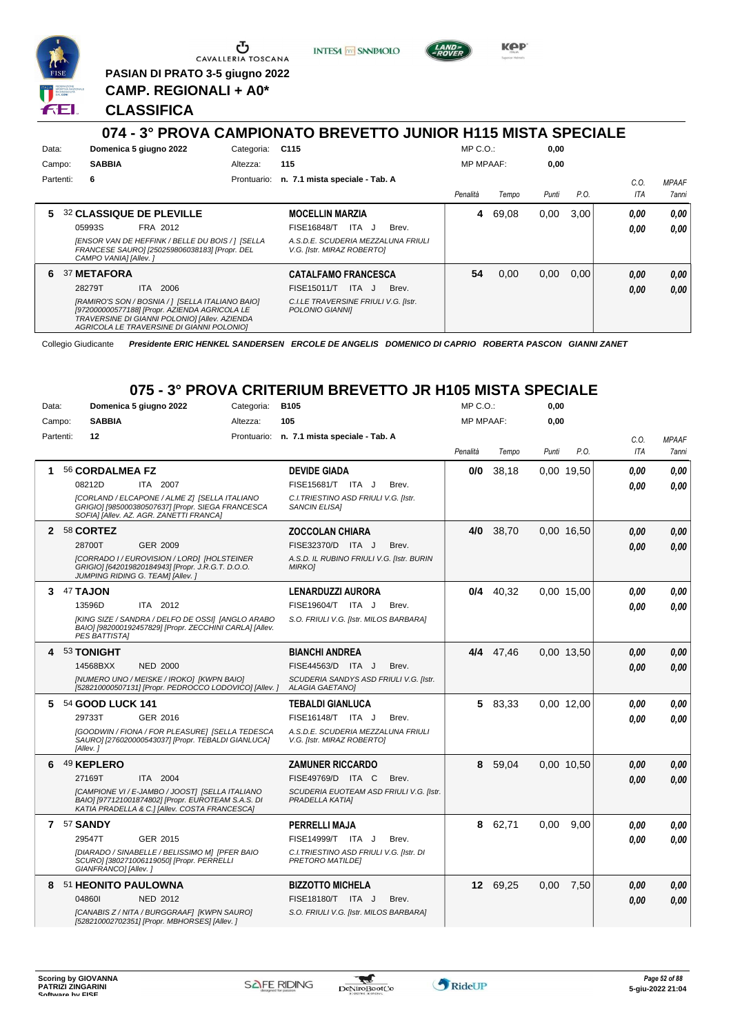

**PASIAN DI PRATO 3-5 giugno 2022 CAMP. REGIONALI + A0\***

**INTESA M SANPAOLO** 



**KPP** 

#### **CLASSIFICA**

#### **074 - 3° PROVA CAMPIONATO BREVETTO JUNIOR H115 MISTA SPECIALE** Data: **Domenica 5 giugno 2022** Categoria: C115 Prontuario: **n. 7.1 mista speciale - Tab. A** Campo: **SABBIA** Partenti: **6** Altezza: **115** MP C.O.: MP MPAAF: **0,00 0,00** *Penalità Tempo Punti P.O. C.O. ITA MPAAF 7anni* **5** 32 **CLASSIQUE DE PLEVILLE** FRA 2012 **MOCELLIN MARZIA** *[ENSOR VAN DE HEFFINK / BELLE DU BOIS / ] [SELLA FRANCESE SAURO] [250259806038183] [Propr. DEL CAMPO VANIA] [Allev. ] A.S.D.E. SCUDERIA MEZZALUNA FRIULI V.G. [Istr. MIRAZ ROBERTO]* 05993S FRA 2012 FISE16848/T ITA J Brev. **0,00 0,00 4** 69,08 0,00 3,00 *0,00 0,00 0,00* **6** 37 **METAFORA** ITA 2006 **CATALFAMO FRANCESCA** *[RAMIRO'S SON / BOSNIA / ] [SELLA ITALIANO BAIO] [972000000577188] [Propr. AZIENDA AGRICOLA LE TRAVERSINE DI GIANNI POLONIO] [Allev. AZIENDA AGRICOLA LE TRAVERSINE DI GIANNI POLONIO] C.I.LE TRAVERSINE FRIULI V.G. [Istr. POLONIO GIANNI]* ITA J Brev. 28279T FISE15011/T *0,00* **54** 0,00 0,00 0,00 *0,00 0,00 0,00*

Collegio Giudicante *Presidente ERIC HENKEL SANDERSEN ERCOLE DE ANGELIS DOMENICO DI CAPRIO ROBERTA PASCON GIANNI ZANET*

#### **075 - 3° PROVA CRITERIUM BREVETTO JR H105 MISTA SPECIALE**

| Data:        |           |                            | Domenica 5 giugno 2022                                                                                                                                 | Categoria: | <b>B105</b>                                                      |       | $MP C. O.$ :     |             | 0,00  |            |            |              |
|--------------|-----------|----------------------------|--------------------------------------------------------------------------------------------------------------------------------------------------------|------------|------------------------------------------------------------------|-------|------------------|-------------|-------|------------|------------|--------------|
| Campo:       |           | <b>SABBIA</b>              |                                                                                                                                                        | Altezza:   | 105                                                              |       | <b>MP MPAAF:</b> |             | 0,00  |            |            |              |
|              | Partenti: | 12                         |                                                                                                                                                        |            | Prontuario: n. 7.1 mista speciale - Tab. A                       |       |                  |             |       |            | C.O.       | <b>MPAAF</b> |
|              |           |                            |                                                                                                                                                        |            |                                                                  |       | Penalità         | Tempo       | Punti | P.O.       | <b>ITA</b> | 7anni        |
| 1            |           | 56 CORDALMEA FZ            |                                                                                                                                                        |            | <b>DEVIDE GIADA</b>                                              |       | 0/0              | 38,18       |       | 0,00 19,50 | 0.00       | 0,00         |
|              |           | 08212D                     | ITA 2007                                                                                                                                               |            | FISE15681/T ITA J                                                | Brev. |                  |             |       |            | 0.00       | 0.00         |
|              |           |                            | [CORLAND / ELCAPONE / ALME Z] [SELLA ITALIANO<br>GRIGIO] [985000380507637] [Propr. SIEGA FRANCESCA<br>SOFIA] [Allev. AZ. AGR. ZANETTI FRANCA]          |            | C.I. TRIESTINO ASD FRIULI V.G. [Istr.<br><b>SANCIN ELISAI</b>    |       |                  |             |       |            |            |              |
| $\mathbf{2}$ |           | 58 CORTEZ                  |                                                                                                                                                        |            | <b>ZOCCOLAN CHIARA</b>                                           |       | 4/0              | 38,70       |       | 0.00 16.50 | 0.00       | 0,00         |
|              |           | 28700T                     | <b>GER 2009</b>                                                                                                                                        |            | FISE32370/D ITA J                                                | Brev. |                  |             |       |            | 0,00       | 0,00         |
|              |           |                            | [CORRADO I / EUROVISION / LORD] [HOLSTEINER<br>GRIGIO] [642019820184943] [Propr. J.R.G.T. D.O.O.<br>JUMPING RIDING G. TEAM] [Allev.]                   |            | A.S.D. IL RUBINO FRIULI V.G. [Istr. BURIN<br><b>MIRKOI</b>       |       |                  |             |       |            |            |              |
| 3            |           | 47 TAJON                   |                                                                                                                                                        |            | <b>LENARDUZZI AURORA</b>                                         |       |                  | $0/4$ 40,32 |       | 0,00 15,00 | 0.00       | 0,00         |
|              |           | 13596D                     | ITA 2012                                                                                                                                               |            | <b>FISE19604/T</b><br>ITA J                                      | Brev. |                  |             |       |            | 0.00       | 0.00         |
|              |           | <b>PES BATTISTA]</b>       | [KING SIZE / SANDRA / DELFO DE OSSI] [ANGLO ARABO<br>BAIO] [982000192457829] [Propr. ZECCHINI CARLA] [Allev.                                           |            | S.O. FRIULI V.G. [Istr. MILOS BARBARA]                           |       |                  |             |       |            |            |              |
| 4            |           | 53 TONIGHT                 |                                                                                                                                                        |            | <b>BIANCHI ANDREA</b>                                            |       |                  | 4/4 47.46   |       | 0.00 13.50 | 0.00       | 0,00         |
|              |           | 14568BXX                   | <b>NED 2000</b>                                                                                                                                        |            | FISE44563/D ITA J                                                | Brev. |                  |             |       |            | 0.00       | 0,00         |
|              |           |                            | [NUMERO UNO / MEISKE / IROKO] [KWPN BAIO]<br>[528210000507131] [Propr. PEDROCCO LODOVICO] [Allev.]                                                     |            | SCUDERIA SANDYS ASD FRIULI V.G. [Istr.<br><b>ALAGIA GAETANO]</b> |       |                  |             |       |            |            |              |
| 5            |           | 54 GOOD LUCK 141           |                                                                                                                                                        |            | <b>TEBALDI GIANLUCA</b>                                          |       |                  | 5 83,33     |       | 0.00 12.00 | 0.00       | 0.00         |
|              |           | 29733T                     | GER 2016                                                                                                                                               |            | FISE16148/T ITA J                                                | Brev. |                  |             |       |            | 0.00       | 0.00         |
|              |           | [Allev.]                   | [GOODWIN / FIONA / FOR PLEASURE] [SELLA TEDESCA<br>SAURO] [276020000543037] [Propr. TEBALDI GIANLUCA]                                                  |            | A.S.D.E. SCUDERIA MEZZALUNA FRIULI<br>V.G. [Istr. MIRAZ ROBERTO] |       |                  |             |       |            |            |              |
| 6            |           | 49 KEPLERO                 |                                                                                                                                                        |            | <b>ZAMUNER RICCARDO</b>                                          |       | 8                | 59,04       |       | 0,00 10,50 | 0.00       | 0,00         |
|              |           | 27169T                     | ITA 2004                                                                                                                                               |            | FISE49769/D ITA C                                                | Brev. |                  |             |       |            | 0.00       | 0.00         |
|              |           |                            | [CAMPIONE VI / E-JAMBO / JOOST] [SELLA ITALIANO<br>BAIO] [977121001874802] [Propr. EUROTEAM S.A.S. DI<br>KATIA PRADELLA & C.] [Allev. COSTA FRANCESCA] |            | SCUDERIA EUOTEAM ASD FRIULI V.G. [Istr.<br>PRADELLA KATIA]       |       |                  |             |       |            |            |              |
|              |           | 7 57 SANDY                 |                                                                                                                                                        |            | PERRELLI MAJA                                                    |       | 8                | 62,71       | 0.00  | 9,00       | 0.00       | 0.00         |
|              |           | 29547T                     | GER 2015                                                                                                                                               |            | FISE14999/T ITA J                                                | Brev. |                  |             |       |            | 0.00       | 0.00         |
|              |           | GIANFRANCO] [Allev.]       | [DIARADO / SINABELLE / BELISSIMO M] [PFER BAIO<br>SCURO] [380271006119050] [Propr. PERRELLI                                                            |            | C.I. TRIESTINO ASD FRIULI V.G. [Istr. DI<br>PRETORO MATILDEI     |       |                  |             |       |            |            |              |
| 8            |           | <b>51 HEONITO PAULOWNA</b> |                                                                                                                                                        |            | <b>BIZZOTTO MICHELA</b>                                          |       |                  | 12 69,25    | 0,00  | 7,50       | 0.00       | 0,00         |
|              |           | 048601                     | <b>NED 2012</b>                                                                                                                                        |            | FISE18180/T ITA J                                                | Brev. |                  |             |       |            | 0,00       | 0,00         |
|              |           |                            | [CANABIS Z / NITA / BURGGRAAF] [KWPN SAURO]<br>[528210002702351] [Propr. MBHORSES] [Allev.]                                                            |            | S.O. FRIULI V.G. [Istr. MILOS BARBARA]                           |       |                  |             |       |            |            |              |

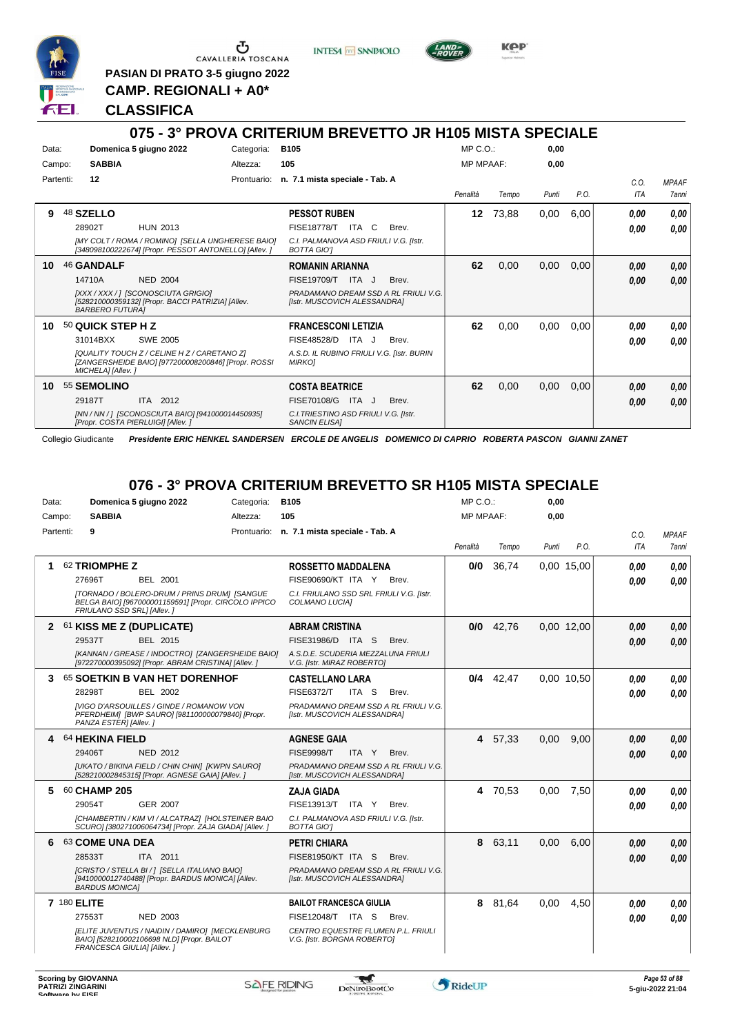

**PASIAN DI PRATO 3-5 giugno 2022**

**INTESA** M SANPAOLO



KOP

**CAMP. REGIONALI + A0\* CLASSIFICA**

#### **075 - 3° PROVA CRITERIUM BREVETTO JR H105 MISTA SPECIALE** Data: **Domenica 5 giugno 2022** Categoria: B105 Prontuario: **n. 7.1 mista speciale - Tab. A** Campo: **SABBIA** Partenti: **12** Altezza: **105** MP C.O.: MP MPAAF: **0,00 0,00** *Penalità Tempo Punti P.O. C.O. ITA* **9** 48 **SZELLO** HUN 2013 **PESSOT RUBEN** *[MY COLT / ROMA / ROMINO] [SELLA UNGHERESE BAIO] [348098100222674] [Propr. PESSOT ANTONELLO] [Allev. ] C.I. PALMANOVA ASD FRIULI V.G. [Istr. BOTTA GIO']* 28902T HUN 2013 FISE18778/T ITA C Brev. **0,00 0,00 12** 73,88 0,00 6,00 *0,00 0,00* **10** 46 **GANDALF** NED 2004 **ROMANIN ARIANNA** *[XXX / XXX / ] [SCONOSCIUTA GRIGIO] [528210000359132] [Propr. BACCI PATRIZIA] [Allev. BARBERO FUTURA] PRADAMANO DREAM SSD A RL FRIULI V.G. [Istr. MUSCOVICH ALESSANDRA]* ITA J Brev. 14710A FISE19709/T *0,00* **62** 0,00 0,00 0,00 *0,00 0,00* **10** 50 **QUICK STEP H Z** SWE 2005 **FRANCESCONI LETIZIA** *[QUALITY TOUCH Z / CELINE H Z / CARETANO Z] [ZANGERSHEIDE BAIO] [977200008200846] [Propr. ROSSI MICHELA] [Allev. ] A.S.D. IL RUBINO FRIULI V.G. [Istr. BURIN MIRKO]* 31014BXX SWE 2005 FISE48528/D ITA J Brev. **0,00 0,00 62** 0,00 0,00 0,00 *0,00 0,00* **10** 55 **SEMOLINO** ITA 2012 **COSTA BEATRICE** *[NN / NN / ] [SCONOSCIUTA BAIO] [941000014450935] [Propr. COSTA PIERLUIGI] [Allev. ] C.I.TRIESTINO ASD FRIULI V.G. [Istr. SANCIN ELISA]* 29187T ITA 2012 FISE70108/G ITA J Brev. <mark>0,00 0,00</mark> **62** 0,00 0,00 0,00 *0,00 0,00*

Collegio Giudicante *Presidente ERIC HENKEL SANDERSEN ERCOLE DE ANGELIS DOMENICO DI CAPRIO ROBERTA PASCON GIANNI ZANET*

# **076 - 3° PROVA CRITERIUM BREVETTO SR H105 MISTA SPECIALE**

| Data:     | Domenica 5 giugno 2022                                                                                                             | Categoria: | <b>B105</b>                                                          | $MP C. O.$ :     |             | 0,00  |            |            |              |
|-----------|------------------------------------------------------------------------------------------------------------------------------------|------------|----------------------------------------------------------------------|------------------|-------------|-------|------------|------------|--------------|
| Campo:    | <b>SABBIA</b>                                                                                                                      | Altezza:   | 105                                                                  | <b>MP MPAAF:</b> |             | 0.00  |            |            |              |
| Partenti: | 9                                                                                                                                  |            | Prontuario: n. 7.1 mista speciale - Tab. A                           |                  |             |       |            | C.O.       | <b>MPAAF</b> |
|           |                                                                                                                                    |            |                                                                      | Penalità         | Tempo       | Punti | P.O.       | <b>ITA</b> | 7anni        |
|           | 62 TRIOMPHE Z                                                                                                                      |            | <b>ROSSETTO MADDALENA</b>                                            | 0/0              | 36,74       |       | 0.00 15.00 | 0,00       | 0.00         |
|           | 27696T<br>BEL 2001                                                                                                                 |            | FISE90690/KT ITA Y Brev.                                             |                  |             |       |            | 0.00       | 0.00         |
|           | [TORNADO / BOLERO-DRUM / PRINS DRUM] [SANGUE<br>BELGA BAIO] [967000001159591] [Propr. CIRCOLO IPPICO<br>FRIULANO SSD SRL] [Allev.] |            | C.I. FRIULANO SSD SRL FRIULI V.G. [Istr.<br>COLMANO LUCIA]           |                  |             |       |            |            |              |
|           | 2 61 KISS ME Z (DUPLICATE)                                                                                                         |            | <b>ABRAM CRISTINA</b>                                                | 0/0              | 42,76       |       | 0,00 12,00 | 0.00       | 0,00         |
|           | 29537T<br>BEL 2015                                                                                                                 |            | FISE31986/D ITA S<br>Brev.                                           |                  |             |       |            | 0.00       | 0.00         |
|           | [KANNAN / GREASE / INDOCTRO] [ZANGERSHEIDE BAIO]<br>[972270000395092] [Propr. ABRAM CRISTINA] [Allev. ]                            |            | A.S.D.E. SCUDERIA MEZZALUNA FRIULI<br>V.G. [Istr. MIRAZ ROBERTO]     |                  |             |       |            |            |              |
| 3         | 65 SOETKIN B VAN HET DORENHOF                                                                                                      |            | <b>CASTELLANO LARA</b>                                               |                  | $0/4$ 42.47 |       | 0.00 10.50 | 0.00       | 0.00         |
|           | 28298T<br><b>BEL 2002</b>                                                                                                          |            | <b>FISE6372/T</b><br>ITA S<br>Brev.                                  |                  |             |       |            | 0.00       | 0.00         |
|           | <b>IVIGO D'ARSOUILLES / GINDE / ROMANOW VON</b><br>PFERDHEIM] [BWP SAURO] [981100000079840] [Propr.<br>PANZA ESTER] [Allev.]       |            | PRADAMANO DREAM SSD A RL FRIULI V.G.<br>[Istr. MUSCOVICH ALESSANDRA] |                  |             |       |            |            |              |
|           | 4 64 HEKINA FIELD                                                                                                                  |            | <b>AGNESE GAIA</b>                                                   |                  | 4 57,33     | 0,00  | 9.00       | 0.00       | 0,00         |
|           | <b>NED 2012</b><br>29406T                                                                                                          |            | <b>FISE9998/T</b><br>ITA Y<br>Brev.                                  |                  |             |       |            | 0.00       | 0.00         |
|           | [UKATO / BIKINA FIELD / CHIN CHIN] [KWPN SAURO]<br>[528210002845315] [Propr. AGNESE GAIA] [Allev. ]                                |            | PRADAMANO DREAM SSD A RL FRIULI V.G.<br>[Istr. MUSCOVICH ALESSANDRA] |                  |             |       |            |            |              |
| 5.        | 60 CHAMP 205                                                                                                                       |            | <b>ZAJA GIADA</b>                                                    |                  | 4 70.53     | 0.00  | 7.50       | 0.00       | 0.00         |
|           | 29054T<br><b>GER 2007</b>                                                                                                          |            | FISE13913/T ITA Y<br>Brev.                                           |                  |             |       |            | 0.00       | 0.00         |
|           | [CHAMBERTIN / KIM VI / ALCATRAZ] [HOLSTEINER BAIO<br>SCURO] [380271006064734] [Propr. ZAJA GIADA] [Allev. ]                        |            | C.I. PALMANOVA ASD FRIULI V.G. [Istr.<br><b>BOTTA GIOT</b>           |                  |             |       |            |            |              |
| 6         | 63 COME UNA DEA                                                                                                                    |            | <b>PETRI CHIARA</b>                                                  |                  | 8 63,11     | 0.00  | 6.00       | 0,00       | 0.00         |
|           | 28533T<br>ITA 2011                                                                                                                 |            | <b>FISE81950/KT ITA S</b><br>Brev.                                   |                  |             |       |            | 0.00       | 0.00         |
|           | [CRISTO / STELLA BI / ] [SELLA ITALIANO BAIO]<br>[9410000012740488] [Propr. BARDUS MONICA] [Allev.<br><b>BARDUS MONICAI</b>        |            | PRADAMANO DREAM SSD A RL FRIULI V.G.<br>[Istr. MUSCOVICH ALESSANDRA] |                  |             |       |            |            |              |
|           | 7 180 ELITE                                                                                                                        |            | <b>BAILOT FRANCESCA GIULIA</b>                                       |                  | 8 81,64     | 0.00  | 4.50       | 0.00       | 0.00         |
|           | <b>NED 2003</b><br>27553T                                                                                                          |            | <b>FISE12048/T ITA S</b><br>Brev.                                    |                  |             |       |            | 0.00       | 0.00         |
|           | [ELITE JUVENTUS / NAIDIN / DAMIRO] [MECKLENBURG<br>BAIO] [528210002106698 NLD] [Propr. BAILOT<br>FRANCESCA GIULIA] [Allev.]        |            | CENTRO EQUESTRE FLUMEN P.L. FRIULI<br>V.G. [Istr. BORGNA ROBERTO]    |                  |             |       |            |            |              |

w



*MPAAF 7anni*

*0,00*

*0,00*

*0,00*

*0,00*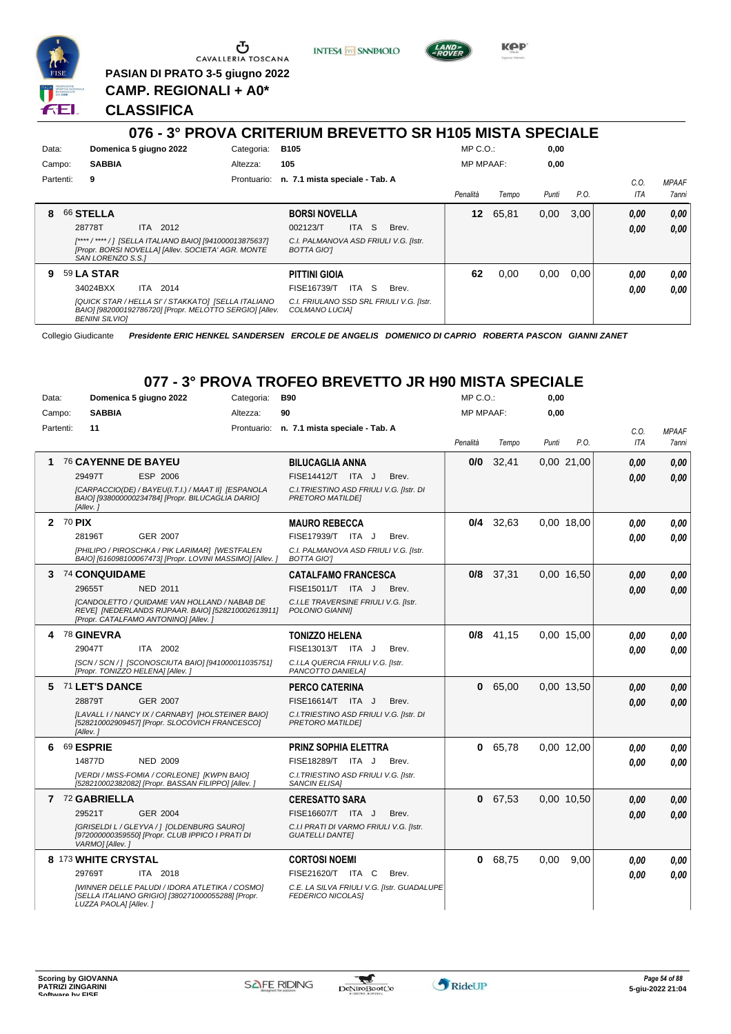

**INTESA** M SANPAOLO



**KPP** 

**PASIAN DI PRATO 3-5 giugno 2022 CAMP. REGIONALI + A0\***

**CLASSIFICA**

# **076 - 3° PROVA CRITERIUM BREVETTO SR H105 MISTA SPECIALE**

| Data:     | Domenica 5 giugno 2022 |          |                                                                                                                 | Categoria: | <b>B105</b>                                                |            |                                           | $MP C. O.$ :     |       | 0,00  |      |      |              |
|-----------|------------------------|----------|-----------------------------------------------------------------------------------------------------------------|------------|------------------------------------------------------------|------------|-------------------------------------------|------------------|-------|-------|------|------|--------------|
| Campo:    | <b>SABBIA</b>          |          |                                                                                                                 | Altezza:   | 105                                                        |            |                                           | <b>MP MPAAF:</b> |       | 0,00  |      |      |              |
| Partenti: | 9                      |          |                                                                                                                 |            | Prontuario: n. 7.1 mista speciale - Tab. A                 |            |                                           |                  |       |       |      | C.O. | <b>MPAAF</b> |
|           |                        |          |                                                                                                                 |            |                                                            |            |                                           | Penalità         | Tempo | Punti | P.O. | ITA  | 7anni        |
| 8         | 66 STELLA              |          |                                                                                                                 |            | <b>BORSI NOVELLA</b>                                       |            |                                           | 12               | 65,81 | 0,00  | 3.00 | 0,00 | 0,00         |
|           | 28778T                 | ITA 2012 |                                                                                                                 |            | 002123/T                                                   | S.<br>ITA. | Brev.                                     |                  |       |       |      | 0,00 | 0.00         |
|           | SAN LORENZO S.S.1      |          | [**** / **** / ]  [SELLA ITALIANO BAIO] [941000013875637]<br>[Propr. BORSI NOVELLA] [Allev. SOCIETA' AGR. MONTE |            | C.I. PALMANOVA ASD FRIULI V.G. [Istr.<br><b>BOTTA GIOT</b> |            |                                           |                  |       |       |      |      |              |
| 9         | <b>59 LA STAR</b>      |          |                                                                                                                 |            | <b>PITTINI GIOIA</b>                                       |            |                                           | 62               | 0,00  | 0.00  | 0.00 | 0,00 | 0.00         |
|           | 34024BXX               | ITA 2014 |                                                                                                                 |            | FISE16739/T                                                | S<br>ITA   | Brev.                                     |                  |       |       |      | 0.00 | 0.00         |
|           | <b>BENINI SILVIOI</b>  |          | [QUICK STAR / HELLA SI' / STAKKATO] [SELLA ITALIANO<br>BAIO] [982000192786720] [Propr. MELOTTO SERGIO] [Allev.  |            | COLMANO LUCIA]                                             |            | C.I. FRIULANO SSD SRL FRIULI V.G. [Istr.] |                  |       |       |      |      |              |

Collegio Giudicante *Presidente ERIC HENKEL SANDERSEN ERCOLE DE ANGELIS DOMENICO DI CAPRIO ROBERTA PASCON GIANNI ZANET*

# **077 - 3° PROVA TROFEO BREVETTO JR H90 MISTA SPECIALE**

| Data:  |           |                            | Domenica 5 giugno 2022                                                                                                                     | Categoria: | <b>B90</b>                                                             | $MP C. O.$ :     |             | 0,00  |            |            |              |
|--------|-----------|----------------------------|--------------------------------------------------------------------------------------------------------------------------------------------|------------|------------------------------------------------------------------------|------------------|-------------|-------|------------|------------|--------------|
| Campo: |           | <b>SABBIA</b>              |                                                                                                                                            | Altezza:   | 90                                                                     | <b>MP MPAAF:</b> |             | 0,00  |            |            |              |
|        | Partenti: | 11                         |                                                                                                                                            |            | Prontuario: n. 7.1 mista speciale - Tab. A                             |                  |             |       |            | C.O.       | <b>MPAAF</b> |
|        |           |                            |                                                                                                                                            |            |                                                                        | Penalità         | Tempo       | Punti | P.O.       | <b>ITA</b> | 7anni        |
| 1      |           | <b>76 CAYENNE DE BAYEU</b> |                                                                                                                                            |            | <b>BILUCAGLIA ANNA</b>                                                 | 0/0              | 32.41       |       | 0,00 21,00 | 0.00       | 0.00         |
|        |           | 29497T                     | ESP 2006                                                                                                                                   |            | FISE14412/T ITA J<br>Brev.                                             |                  |             |       |            | 0.00       | 0,00         |
|        |           | [Allev. 1                  | [CARPACCIO(DE) / BAYEU(I.T.I.) / MAAT II] [ESPANOLA<br>BAIO] [938000000234784] [Propr. BILUCAGLIA DARIO]                                   |            | C.I. TRIESTINO ASD FRIULI V.G. [Istr. DI<br><b>PRETORO MATILDEI</b>    |                  |             |       |            |            |              |
|        | 2 70 PIX  |                            |                                                                                                                                            |            | <b>MAURO REBECCA</b>                                                   |                  | $0/4$ 32.63 |       | 0.00 18.00 | 0.00       | 0.00         |
|        |           | 28196T                     | <b>GER 2007</b>                                                                                                                            |            | FISE17939/T ITA J<br>Brev.                                             |                  |             |       |            | 0,00       | 0,00         |
|        |           |                            | [PHILIPO / PIROSCHKA / PIK LARIMAR] [WESTFALEN<br>BAIO] [616098100067473] [Propr. LOVINI MASSIMO] [Allev. ]                                |            | C.I. PALMANOVA ASD FRIULI V.G. [Istr.<br><b>BOTTA GIOT</b>             |                  |             |       |            |            |              |
| 3      |           | 74 CONQUIDAME              |                                                                                                                                            |            | <b>CATALFAMO FRANCESCA</b>                                             |                  | 0/8 37,31   |       | 0,00 16,50 | 0.00       | 0,00         |
|        |           | 29655T                     | <b>NED 2011</b>                                                                                                                            |            | FISE15011/T ITA J<br>Brev.                                             |                  |             |       |            | 0.00       | 0,00         |
|        |           |                            | [CANDOLETTO / QUIDAME VAN HOLLAND / NABAB DE<br>REVE] [NEDERLANDS RIJPAAR. BAIO] [528210002613911]<br>[Propr. CATALFAMO ANTONINO] [Allev.] |            | C.I.LE TRAVERSINE FRIULI V.G. [Istr.<br>POLONIO GIANNII                |                  |             |       |            |            |              |
| 4      |           | <b>78 GINEVRA</b>          |                                                                                                                                            |            | TONIZZO HELENA                                                         | 0/8              | 41,15       |       | 0.00 15.00 | 0.00       | 0,00         |
|        |           | 29047T                     | ITA 2002                                                                                                                                   |            | FISE13013/T ITA J<br>Brev.                                             |                  |             |       |            | 0.00       | 0.00         |
|        |           |                            | [SCN / SCN / ] [SCONOSCIUTA BAIO] [941000011035751]<br>[Propr. TONIZZO HELENA] [Allev.]                                                    |            | C.I.LA QUERCIA FRIULI V.G. [Istr.<br>PANCOTTO DANIELAI                 |                  |             |       |            |            |              |
|        |           | 5 71 LET'S DANCE           |                                                                                                                                            |            | <b>PERCO CATERINA</b>                                                  | $\mathbf{0}$     | 65,00       |       | 0,00 13,50 | 0,00       | 0,00         |
|        |           | 28879T                     | <b>GER 2007</b>                                                                                                                            |            | FISE16614/T ITA J<br>Brev.                                             |                  |             |       |            | 0.00       | 0,00         |
|        |           | [Allev.]                   | [LAVALL I / NANCY IX / CARNABY] [HOLSTEINER BAIO]<br>[528210002909457] [Propr. SLOCOVICH FRANCESCO]                                        |            | C.I. TRIESTINO ASD FRIULI V.G. [Istr. DI<br>PRETORO MATILDEI           |                  |             |       |            |            |              |
| 6      |           | 69 ESPRIE                  |                                                                                                                                            |            | <b>PRINZ SOPHIA ELETTRA</b>                                            |                  | 0 65,78     |       | 0,00 12,00 | 0.00       | 0,00         |
|        |           | 14877D                     | <b>NED 2009</b>                                                                                                                            |            | FISE18289/T ITA J<br>Brev.                                             |                  |             |       |            | 0.00       | 0.00         |
|        |           |                            | [VERDI / MISS-FOMIA / CORLEONE] [KWPN BAIO]<br>[528210002382082] [Propr. BASSAN FILIPPO] [Allev.]                                          |            | C.I. TRIESTINO ASD FRIULI V.G. [Istr.<br><b>SANCIN ELISA1</b>          |                  |             |       |            |            |              |
|        |           | 7 72 GABRIELLA             |                                                                                                                                            |            | <b>CERESATTO SARA</b>                                                  |                  | 0 67,53     |       | 0.00 10.50 | 0.00       | 0.00         |
|        |           | 29521T                     | <b>GER 2004</b>                                                                                                                            |            | FISE16607/T ITA J<br>Brev.                                             |                  |             |       |            | 0.00       | 0,00         |
|        |           | VARMO] [Allev.]            | [GRISELDI L / GLEYVA /   [OLDENBURG SAURO]<br>[972000000359550] [Propr. CLUB IPPICO I PRATI DI                                             |            | C.I.I PRATI DI VARMO FRIULI V.G. [Istr.<br><b>GUATELLI DANTE]</b>      |                  |             |       |            |            |              |
|        |           | 8 173 WHITE CRYSTAL        |                                                                                                                                            |            | <b>CORTOSI NOEMI</b>                                                   |                  | 0 68,75     | 0,00  | 9.00       | 0.00       | 0,00         |
|        |           | 29769T                     | ITA 2018                                                                                                                                   |            | FISE21620/T ITA C<br>Brev.                                             |                  |             |       |            | 0.00       | 0.00         |
|        |           | LUZZA PAOLA] [Allev. ]     | [WINNER DELLE PALUDI / IDORA ATLETIKA / COSMO]<br>[SELLA ITALIANO GRIGIO] [380271000055288] [Propr.                                        |            | C.E. LA SILVA FRIULI V.G. [Istr. GUADALUPE<br><b>FEDERICO NICOLASI</b> |                  |             |       |            |            |              |

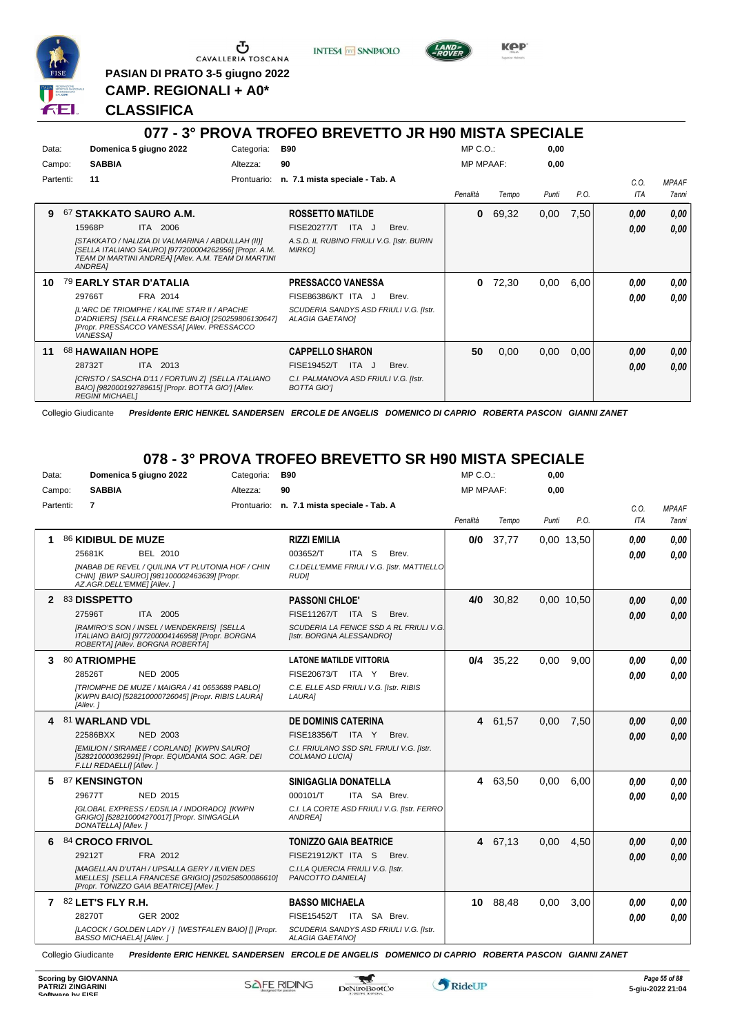

**PASIAN DI PRATO 3-5 giugno 2022 CAMP. REGIONALI + A0\***

**INTESA** M SANPAOLO



KOP

**CLASSIFICA**

#### **077 - 3° PROVA TROFEO BREVETTO JR H90 MISTA SPECIALE** Data: **Domenica 5 giugno 2022** Categoria: B90 Prontuario: **n. 7.1 mista speciale - Tab. A** Campo: **SABBIA** Partenti: **11** Altezza: **90** MP C.O.: MP MPAAF: **0,00 0,00** *Penalità Tempo Punti P.O. C.O. ITA MPAAF 7anni* **9** 67 **STAKKATO SAURO A.M.** ITA 2006 **ROSSETTO MATILDE** *[STAKKATO / NALIZIA DI VALMARINA / ABDULLAH (II)] [SELLA ITALIANO SAURO] [977200004262956] [Propr. A.M. TEAM DI MARTINI ANDREA] [Allev. A.M. TEAM DI MARTINI ANDREA] A.S.D. IL RUBINO FRIULI V.G. [Istr. BURIN MIRKO]* 15968P ITA 2006 FISE20277/T ITA J Brev. **0,00 0,00 0** 69,32 0,00 7,50 *0,00 0,00 0,00* **10** 79 **EARLY STAR D'ATALIA** FRA 2014 **PRESSACCO VANESSA** *[L'ARC DE TRIOMPHE / KALINE STAR II / APACHE D'ADRIERS] [SELLA FRANCESE BAIO] [250259806130647] [Propr. PRESSACCO VANESSA] [Allev. PRESSACCO VANESSA] SCUDERIA SANDYS ASD FRIULI V.G. [Istr. ALAGIA GAETANO]* FISE86386/KT ITA J Brev. **0** 72,30 0,00 6,00 *0,00 0,00 0,00* 29766T FRA 2014 FISE86386/KT ITA J Brev. **0,00 0,00 11** 68 **HAWAIIAN HOPE** ITA 2013 **CAPPELLO SHARON** *[CRISTO / SASCHA D'11 / FORTUIN Z] [SELLA ITALIANO BAIO] [982000192789615] [Propr. BOTTA GIO'] [Allev. REGINI MICHAEL] C.I. PALMANOVA ASD FRIULI V.G. [Istr. BOTTA GIO']* 28732T ITA 2013 FISE19452/T ITA J Brev. <mark>0,00 0,00</mark> **50** 0,00 0,00 0,00 *0,00 0,00 0,00*

Collegio Giudicante *Presidente ERIC HENKEL SANDERSEN ERCOLE DE ANGELIS DOMENICO DI CAPRIO ROBERTA PASCON GIANNI ZANET*

# **078 - 3° PROVA TROFEO BREVETTO SR H90 MISTA SPECIALE**

| Data:        | Domenica 5 giugno 2022                                                                                                                                | Categoria:  | <b>B90</b>                                                           | $MP C. O.$ :     |         | 0,00  |            |            |              |
|--------------|-------------------------------------------------------------------------------------------------------------------------------------------------------|-------------|----------------------------------------------------------------------|------------------|---------|-------|------------|------------|--------------|
| Campo:       | <b>SABBIA</b>                                                                                                                                         | Altezza:    | 90                                                                   | <b>MP MPAAF:</b> |         | 0,00  |            |            |              |
| Partenti:    | $\overline{7}$                                                                                                                                        | Prontuario: | n. 7.1 mista speciale - Tab. A                                       |                  |         |       |            | C.O.       | <b>MPAAF</b> |
|              |                                                                                                                                                       |             |                                                                      | Penalità         | Tempo   | Punti | P.O.       | <b>ITA</b> | 7anni        |
| 1            | 86 KIDIBUL DE MUZE                                                                                                                                    |             | <b>RIZZI EMILIA</b>                                                  | 0/0              | 37,77   |       | 0,00 13,50 | 0.00       | 0.00         |
|              | 25681K<br>BEL 2010                                                                                                                                    |             | 003652/T<br>ITA S<br>Brev.                                           |                  |         |       |            | 0,00       | 0.00         |
|              | <b>[NABAB DE REVEL / QUILINA V'T PLUTONIA HOF / CHIN</b><br>CHIN] [BWP SAURO] [981100002463639] [Propr.<br>AZ.AGR.DELL'EMME] [Allev.]                 |             | C.I.DELL'EMME FRIULI V.G. [Istr. MATTIELLO]<br><b>RUDII</b>          |                  |         |       |            |            |              |
| $\mathbf{2}$ | 83 DISSPETTO                                                                                                                                          |             | <b>PASSONI CHLOE'</b>                                                | 4/0              | 30,82   |       | 0.00 10.50 | 0,00       | 0,00         |
|              | 27596T<br>ITA 2005                                                                                                                                    |             | FISE11267/T ITA S<br>Brev.                                           |                  |         |       |            | 0.00       | 0.00         |
|              | [RAMIRO'S SON / INSEL / WENDEKREIS] [SELLA<br>ITALIANO BAIO] [977200004146958] [Propr. BORGNA<br>ROBERTA] [Allev. BORGNA ROBERTA]                     |             | SCUDERIA LA FENICE SSD A RL FRIULI V.G.<br>[Istr. BORGNA ALESSANDRO] |                  |         |       |            |            |              |
|              | 3 80 ATRIOMPHE                                                                                                                                        |             | <b>LATONE MATILDE VITTORIA</b>                                       | 0/4              | 35,22   | 0,00  | 9.00       | 0.00       | 0.00         |
|              | 28526T<br><b>NED 2005</b>                                                                                                                             |             | FISE20673/T ITA Y<br>Brev.                                           |                  |         |       |            | 0.00       | 0.00         |
|              | [TRIOMPHE DE MUZE / MAIGRA / 41 0653688 PABLO]<br>[KWPN BAIO] [528210000726045] [Propr. RIBIS LAURA]<br>[Allev.]                                      |             | C.E. ELLE ASD FRIULI V.G. [Istr. RIBIS<br>LAURA]                     |                  |         |       |            |            |              |
| 4            | 81 WARLAND VDL                                                                                                                                        |             | <b>DE DOMINIS CATERINA</b>                                           |                  | 4 61,57 | 0,00  | 7,50       | 0,00       | 0,00         |
|              | 22586BXX<br><b>NED 2003</b>                                                                                                                           |             | FISE18356/T ITA Y<br>Brev.                                           |                  |         |       |            | 0.00       | 0.00         |
|              | [EMILION / SIRAMEE / CORLAND] [KWPN SAURO]<br>[528210000362991] [Propr. EQUIDANIA SOC. AGR. DEI<br>F.LLI REDAELLI] [Allev.]                           |             | C.I. FRIULANO SSD SRL FRIULI V.G. [Istr.<br>COLMANO LUCIA]           |                  |         |       |            |            |              |
| 5.           | 87 KENSINGTON                                                                                                                                         |             | SINIGAGLIA DONATELLA                                                 |                  | 4 63,50 | 0,00  | 6.00       | 0.00       | 0.00         |
|              | NED 2015<br>29677T                                                                                                                                    |             | 000101/T<br>ITA SA Brev.                                             |                  |         |       |            | 0,00       | 0.00         |
|              | [GLOBAL EXPRESS / EDSILIA / INDORADO] [KWPN<br>GRIGIO] [528210004270017] [Propr. SINIGAGLIA<br>DONATELLA] [Allev.]                                    |             | C.I. LA CORTE ASD FRIULI V.G. [Istr. FERRO<br>ANDREA]                |                  |         |       |            |            |              |
| 6            | 84 CROCO FRIVOL                                                                                                                                       |             | <b>TONIZZO GAIA BEATRICE</b>                                         |                  | 4 67,13 | 0.00  | 4.50       | 0.00       | 0,00         |
|              | 29212T<br>FRA 2012                                                                                                                                    |             | <b>FISE21912/KT ITA S</b><br>Brev.                                   |                  |         |       |            | 0.00       | 0.00         |
|              | <b>IMAGELLAN D'UTAH / UPSALLA GERY / ILVIEN DES</b><br>MIELLES] [SELLA FRANCESE GRIGIO] [250258500086610]<br>[Propr. TONIZZO GAIA BEATRICE] [Allev. ] |             | C.I.LA QUERCIA FRIULI V.G. [Istr.<br>PANCOTTO DANIELA]               |                  |         |       |            |            |              |
|              | 7 82 LET'S FLY R.H.                                                                                                                                   |             | <b>BASSO MICHAELA</b>                                                | 10               | 88,48   | 0,00  | 3,00       | 0.00       | 0,00         |
|              | 28270T<br>GER 2002                                                                                                                                    |             | FISE15452/T ITA SA Brev.                                             |                  |         |       |            | 0.00       | 0.00         |
|              | [LACOCK / GOLDEN LADY / ] [WESTFALEN BAIO] [] [Propr.<br><b>BASSO MICHAELA] [Allev. ]</b>                                                             |             | SCUDERIA SANDYS ASD FRIULI V.G. [Istr.<br><b>ALAGIA GAETANOI</b>     |                  |         |       |            |            |              |

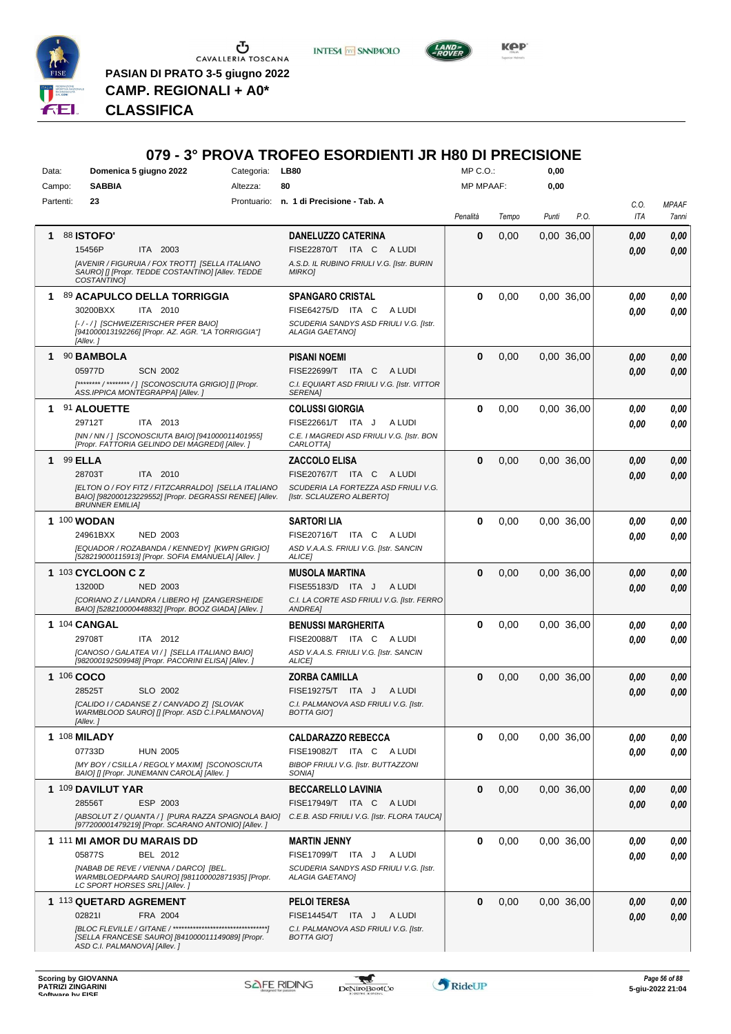

 $\begin{array}{c}\n\bullet \\
\bullet \\
\bullet \\
\bullet \\
\bullet\n\end{array}$  CAVALLERIA TOSCANA **PASIAN DI PRATO 3-5 giugno 2022 CAMP. REGIONALI + A0\***





*Presidente ERIC HENKEL SANDERSEN ERCOLE DE ANGELIS DOMENICO DI CAPRIO ROBERTA PASCON GIANNI ZANET* **CLASSIFICA**

# **079 - 3° PROVA TROFEO ESORDIENTI JR H80 DI PRECISIONE**

| Data:      | Domenica 5 giugno 2022                                                                                                     | Categoria: | <b>LB80</b>                                                | MP C.O.:         |       | 0,00  |            |      |              |
|------------|----------------------------------------------------------------------------------------------------------------------------|------------|------------------------------------------------------------|------------------|-------|-------|------------|------|--------------|
| Campo:     | <b>SABBIA</b>                                                                                                              | Altezza:   | 80                                                         | <b>MP MPAAF:</b> |       | 0,00  |            |      |              |
| Partenti:  | 23                                                                                                                         |            | Prontuario: n. 1 di Precisione - Tab. A                    |                  |       |       |            | C.O. | <b>MPAAF</b> |
|            |                                                                                                                            |            |                                                            | Penalità         | Tempo | Punti | P.O.       | ITA  | 7anni        |
|            |                                                                                                                            |            |                                                            |                  |       |       |            |      |              |
|            | 88 <b>ISTOFO'</b>                                                                                                          |            | <b>DANELUZZO CATERINA</b>                                  | $\bf{0}$         | 0,00  |       | 0.00 36.00 | 0.00 | 0,00         |
|            | ITA 2003<br>15456P                                                                                                         |            | FISE22870/T ITA C ALUDI                                    |                  |       |       |            | 0.00 | 0,00         |
|            | [AVENIR / FIGURUIA / FOX TROTT] [SELLA ITALIANO<br>SAURO] [] [Propr. TEDDE COSTANTINO] [Allev. TEDDE<br><b>COSTANTINOI</b> |            | A.S.D. IL RUBINO FRIULI V.G. [Istr. BURIN<br><b>MIRKOJ</b> |                  |       |       |            |      |              |
|            | 89 ACAPULCO DELLA TORRIGGIA                                                                                                |            | <b>SPANGARO CRISTAL</b>                                    | $\bf{0}$         | 0,00  |       | 0.00 36.00 | 0.00 | 0,00         |
|            | 30200BXX<br>ITA 2010                                                                                                       |            | FISE64275/D ITA C<br>A LUDI                                |                  |       |       |            | 0.00 | 0,00         |
|            | [-/-/] [SCHWEIZERISCHER PFER BAIO]                                                                                         |            | SCUDERIA SANDYS ASD FRIULI V.G. [Istr.                     |                  |       |       |            |      |              |
|            | [941000013192266] [Propr. AZ. AGR. "LA TORRIGGIA"]<br>[Allev.]                                                             |            | ALAGIA GAETANO]                                            |                  |       |       |            |      |              |
| 1.         | 90 BAMBOLA                                                                                                                 |            | <b>PISANI NOEMI</b>                                        | $\bf{0}$         | 0,00  |       | 0.00 36.00 | 0,00 | 0,00         |
|            | 05977D<br><b>SCN 2002</b>                                                                                                  |            | FISE22699/T ITA C<br>A LUDI                                |                  |       |       |            | 0.00 | 0,00         |
|            | [******** / ******** / ] [SCONOSCIUTA GRIGIO] [] [Propr.                                                                   |            | C.I. EQUIART ASD FRIULI V.G. [Istr. VITTOR                 |                  |       |       |            |      |              |
|            | ASS.IPPICA MONTEGRAPPA] [Allev.]                                                                                           |            | SERENA]                                                    |                  |       |       |            |      |              |
| 1.         | 91 ALOUETTE                                                                                                                |            | <b>COLUSSI GIORGIA</b>                                     | $\bf{0}$         | 0,00  |       | 0.00 36,00 | 0.00 | 0,00         |
|            | 29712T<br>ITA 2013                                                                                                         |            | FISE22661/T ITA J<br>A LUDI                                |                  |       |       |            | 0.00 | 0.00         |
|            | [NN / NN / ] [SCONOSCIUTA BAIO] [941000011401955]                                                                          |            | C.E. I MAGREDI ASD FRIULI V.G. [Istr. BON                  |                  |       |       |            |      |              |
|            | [Propr. FATTORIA GELINDO DEI MAGREDI] [Allev.]                                                                             |            | CARLOTTA]                                                  |                  |       |       |            |      |              |
| 1.         | <b>99 ELLA</b>                                                                                                             |            | <b>ZACCOLO ELISA</b>                                       | $\bf{0}$         | 0,00  |       | 0.00 36.00 | 0.00 | 0,00         |
|            | 28703T<br>ITA 2010                                                                                                         |            | FISE20767/T ITA C<br>A LUDI                                |                  |       |       |            | 0.00 | 0,00         |
|            | [ELTON O / FOY FITZ / FITZCARRALDO] [SELLA ITALIANO                                                                        |            | SCUDERIA LA FORTEZZA ASD FRIULI V.G.                       |                  |       |       |            |      |              |
|            | BAIO] [982000123229552] [Propr. DEGRASSI RENEE] [Allev.<br><b>BRUNNER EMILIA]</b>                                          |            | [Istr. SCLAUZERO ALBERTO]                                  |                  |       |       |            |      |              |
|            | 1 100 WODAN                                                                                                                |            | <b>SARTORI LIA</b>                                         | $\bf{0}$         | 0,00  |       | 0.00 36.00 | 0,00 | 0,00         |
|            | 24961BXX<br><b>NED 2003</b>                                                                                                |            | FISE20716/T ITA C<br>A LUDI                                |                  |       |       |            | 0.00 | 0,00         |
|            | [EQUADOR / ROZABANDA / KENNEDY] [KWPN GRIGIO]                                                                              |            | ASD V.A.A.S. FRIULI V.G. [Istr. SANCIN                     |                  |       |       |            |      |              |
|            | [528219000115913] [Propr. SOFIA EMANUELA] [Allev.]                                                                         |            | ALICE]                                                     |                  |       |       |            |      |              |
|            | 1 103 CYCLOON C Z                                                                                                          |            | <b>MUSOLA MARTINA</b>                                      | $\Omega$         | 0,00  |       | 0.00 36.00 | 0.00 | 0,00         |
|            |                                                                                                                            |            |                                                            |                  |       |       |            |      |              |
|            | 13200D<br><b>NED 2003</b>                                                                                                  |            | FISE55183/D ITA J<br>A LUDI                                |                  |       |       |            | 0.00 | 0.00         |
|            | [CORIANO Z / LIANDRA / LIBERO H] [ZANGERSHEIDE                                                                             |            | C.I. LA CORTE ASD FRIULI V.G. [Istr. FERRO                 |                  |       |       |            |      |              |
|            | BAIO] [528210000448832] [Propr. BOOZ GIADA] [Allev.]                                                                       |            | ANDREA]                                                    |                  |       |       |            |      |              |
|            | 1 104 CANGAL                                                                                                               |            | <b>BENUSSI MARGHERITA</b>                                  | $\bf{0}$         | 0,00  |       | 0.00 36.00 | 0.00 | 0,00         |
|            | 29708T<br>ITA 2012                                                                                                         |            | FISE20088/T ITA C<br>A LUDI                                |                  |       |       |            | 0.00 | 0.00         |
|            | [CANOSO / GALATEA VI / ] [SELLA ITALIANO BAIO]                                                                             |            | ASD V.A.A.S. FRIULI V.G. [Istr. SANCIN                     |                  |       |       |            |      |              |
|            | [982000192509948] [Propr. PACORINI ELISA] [Allev. ]                                                                        |            | ALICE]                                                     |                  |       |       |            |      |              |
| 1 106 COCO |                                                                                                                            |            | <b>ZORBA CAMILLA</b>                                       | $\bf{0}$         | 0,00  |       | 0.00 36.00 | 0,00 | 0,00         |
|            | 28525T<br>SLO 2002                                                                                                         |            | FISE19275/T ITA J<br>A LUDI                                |                  |       |       |            | 0.00 | 0,00         |
|            | [CALIDO I / CADANSE Z / CANVADO Z] [SLOVAK<br>WARMBLOOD SAURO] [] [Propr. ASD C.I.PALMANOVA]                               |            | C.I. PALMANOVA ASD FRIULI V.G. [Istr.<br><b>BOTTA GIOT</b> |                  |       |       |            |      |              |
|            | [Allev.]                                                                                                                   |            |                                                            |                  |       |       |            |      |              |
|            | 1 108 <b>MILADY</b>                                                                                                        |            | <b>CALDARAZZO REBECCA</b>                                  | 0                | 0,00  |       | 0.00 36.00 | 0,00 | 0,00         |
|            | 07733D<br><b>HUN 2005</b>                                                                                                  |            | FISE19082/T ITA C ALUDI                                    |                  |       |       |            | 0,00 | 0,00         |
|            | [MY BOY / CSILLA / REGOLY MAXIM] [SCONOSCIUTA<br>BAIO] [] [Propr. JUNEMANN CAROLA] [Allev.]                                |            | BIBOP FRIULI V.G. [Istr. BUTTAZZONI<br>SONIA <sub>l</sub>  |                  |       |       |            |      |              |
|            |                                                                                                                            |            |                                                            |                  |       |       |            |      |              |
|            | 1 109 DAVILUT YAR                                                                                                          |            | <b>BECCARELLO LAVINIA</b>                                  | $\bf{0}$         | 0,00  |       | 0,00 36,00 | 0,00 | 0,00         |
|            | 28556T<br>ESP 2003                                                                                                         |            | FISE17949/T ITA C ALUDI                                    |                  |       |       |            | 0,00 | 0,00         |
|            | [ABSOLUT Z / QUANTA / 1 [PURA RAZZA SPAGNOLA BAIO]<br>[977200001479219] [Propr. SCARANO ANTONIO] [Allev. ]                 |            | C.E.B. ASD FRIULI V.G. [Istr. FLORA TAUCA]                 |                  |       |       |            |      |              |
|            | 1 111 MI AMOR DU MARAIS DD                                                                                                 |            | <b>MARTIN JENNY</b>                                        | $\bf{0}$         | 0,00  |       | 0.00 36.00 | 0.00 | 0,00         |
|            | 05877S<br>BEL 2012                                                                                                         |            | FISE17099/T ITA J<br>A LUDI                                |                  |       |       |            | 0,00 | 0,00         |
|            | [NABAB DE REVE / VIENNA / DARCO] [BEL.                                                                                     |            | SCUDERIA SANDYS ASD FRIULI V.G. [Istr.                     |                  |       |       |            |      |              |
|            | WARMBLOEDPAARD SAURO] [981100002871935] [Propr.<br>LC SPORT HORSES SRL] [Allev. ]                                          |            | <b>ALAGIA GAETANO]</b>                                     |                  |       |       |            |      |              |
|            | 1 113 QUETARD AGREMENT                                                                                                     |            | <b>PELOI TERESA</b>                                        | $\mathbf 0$      | 0,00  |       | 0.00 36.00 | 0,00 | 0,00         |
|            | 028211<br>FRA 2004                                                                                                         |            | FISE14454/T ITA J<br>A LUDI                                |                  |       |       |            | 0,00 | 0,00         |
|            | [SELLA FRANCESE SAURO] [841000011149089] [Propr.                                                                           |            | C.I. PALMANOVA ASD FRIULI V.G. [Istr.<br><b>BOTTA GIOT</b> |                  |       |       |            |      |              |

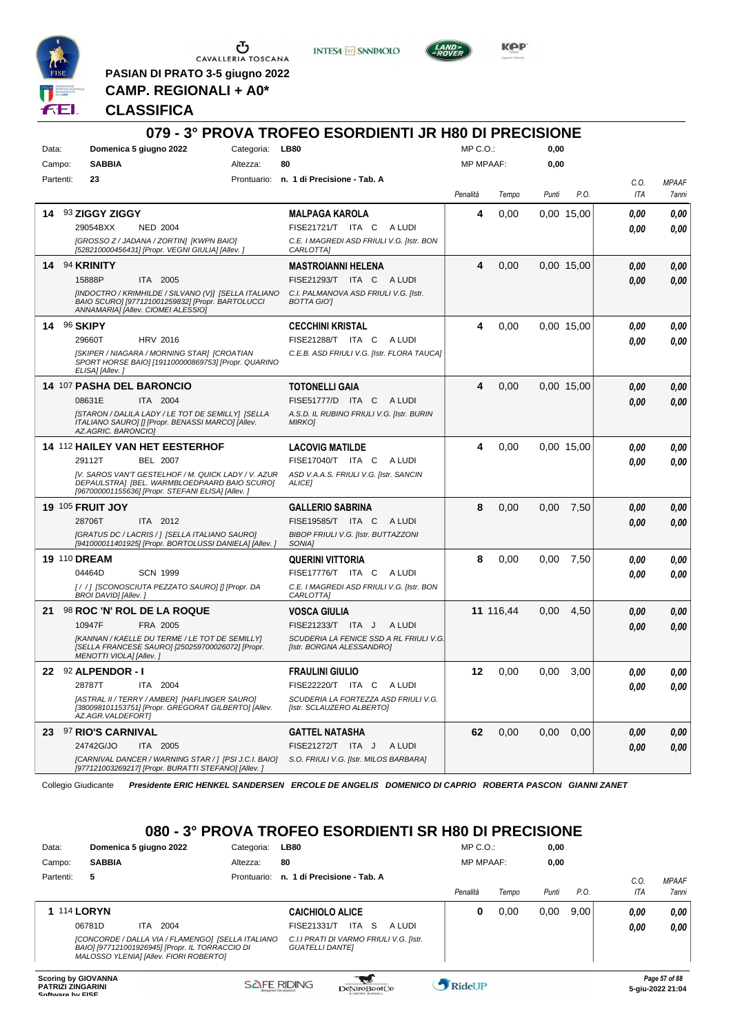

 $\begin{array}{c}\n\bullet \\
\bullet \\
\bullet \\
\bullet \\
\bullet\n\end{array}$  CAVALLERIA TOSCANA

**INTESA** M SANPAOLO



**KPP** 

**PASIAN DI PRATO 3-5 giugno 2022 CAMP. REGIONALI + A0\***

#### **CLASSIFICA**

|             |                                                                                                                                                                                                                           | 079 - 3° PROVA TROFEO ESORDIENTI JR H80 DI PRECISIONE                                                                                                                                               |                  |           |       |                   |                    |                       |
|-------------|---------------------------------------------------------------------------------------------------------------------------------------------------------------------------------------------------------------------------|-----------------------------------------------------------------------------------------------------------------------------------------------------------------------------------------------------|------------------|-----------|-------|-------------------|--------------------|-----------------------|
| Data:       | Domenica 5 giugno 2022<br>Categoria:                                                                                                                                                                                      | <b>LB80</b>                                                                                                                                                                                         | MP C.O.:         |           | 0,00  |                   |                    |                       |
| Campo:      | <b>SABBIA</b><br>Altezza:                                                                                                                                                                                                 | 80                                                                                                                                                                                                  | <b>MP MPAAF:</b> |           | 0,00  |                   |                    |                       |
| Partenti:   | 23                                                                                                                                                                                                                        | Prontuario: n. 1 di Precisione - Tab. A                                                                                                                                                             | Penalità         | Tempo     | Punti | P.O.              | C.O.<br>ITA        | <b>MPAAF</b><br>7anni |
| 14          | 93 ZIGGY ZIGGY<br>29054BXX<br><b>NED 2004</b><br>[GROSSO Z / JADANA / ZORTIN] [KWPN BAIO]<br>[528210000456431] [Propr. VEGNI GIULIA] [Allev.]                                                                             | <b>MALPAGA KAROLA</b><br>FISE21721/T ITA C<br>A LUDI<br>C.E. I MAGREDI ASD FRIULI V.G. [Istr. BON<br>CARLOTTA]                                                                                      | 4                | 0,00      |       | 0.00 15.00        | 0,00<br>0.00       | 0,00<br>0.00          |
|             | 14 94 KRINITY<br>15888P<br>ITA 2005<br>[INDOCTRO / KRIMHILDE / SILVANO (V)] [SELLA ITALIANO<br>BAIO SCURO] [977121001259832] [Propr. BARTOLUCCI<br>ANNAMARIA] [Allev. CIOMEI ALESSIO]                                     | <b>MASTROIANNI HELENA</b><br>FISE21293/T ITA C ALUDI<br>C.I. PALMANOVA ASD FRIULI V.G. Ilstr.<br><b>BOTTA GIOT</b>                                                                                  | 4                | 0,00      |       | 0.00 15.00        | 0.00<br>0.00       | 0,00<br>0,00          |
| 14 96 SKIPY | <b>HRV 2016</b><br>29660T<br>[SKIPER / NIAGARA / MORNING STAR] [CROATIAN<br>SPORT HORSE BAIO] [191100000869753] [Propr. QUARINO<br>ELISA] [Allev.]                                                                        | <b>CECCHINI KRISTAL</b><br>FISE21288/T ITA C<br>A LUDI<br>C.E.B. ASD FRIULI V.G. [Istr. FLORA TAUCA]                                                                                                | 4                | 0,00      |       | 0.00 15,00        | 0,00<br>0.00       | 0,00<br>0,00          |
|             | 14 107 PASHA DEL BARONCIO<br>08631E<br>ITA 2004<br>[STARON / DALILA LADY / LE TOT DE SEMILLY] [SELLA<br>ITALIANO SAURO] [] [Propr. BENASSI MARCO] [Allev.<br>AZ.AGRIC. BARONCIO]                                          | <b>TOTONELLI GAIA</b><br>FISE51777/D ITA C<br>A LUDI<br>A.S.D. IL RUBINO FRIULI V.G. [Istr. BURIN<br><b>MIRKOJ</b>                                                                                  | 4                | 0,00      |       | 0.00 15.00        | 0,00<br>0.00       | 0,00<br>0.00          |
|             | 14 112 HAILEY VAN HET EESTERHOF<br><b>BEL 2007</b><br>29112T<br>IV. SAROS VAN'T GESTELHOF / M. QUICK LADY / V. AZUR<br>DEPAULSTRA] [BEL. WARMBLOEDPAARD BAIO SCURO]<br>[967000001155636] [Propr. STEFANI ELISA] [Allev. j | <b>LACOVIG MATILDE</b><br>FISE17040/T ITA C<br>A LUDI<br>ASD V.A.A.S. FRIULI V.G. [Istr. SANCIN<br><b>ALICEI</b>                                                                                    | 4                | 0,00      |       | 0.00 15.00        | 0.00<br>0.00       | 0,00<br>0.00          |
|             | <b>19 105 FRUIT JOY</b><br>28706T<br>ITA 2012<br>[GRATUS DC / LACRIS / ] [SELLA ITALIANO SAURO]<br>[941000011401925] [Propr. BORTOLUSSI DANIELA] [Allev.]                                                                 | <b>GALLERIO SABRINA</b><br>FISE19585/T ITA C<br>A LUDI<br>BIBOP FRIULI V.G. [Istr. BUTTAZZONI<br>SONIA]                                                                                             | 8                | 0,00      | 0,00  | 7,50              | 0.00<br>0.00       | 0,00<br>0.00          |
|             | <b>19 110 DREAM</b><br>04464D<br><b>SCN 1999</b><br>[/ /] [SCONOSCIUTA PEZZATO SAURO] [] [Propr. DA<br>BROI DAVID] [Allev.]                                                                                               | <b>QUERINI VITTORIA</b><br>FISE17776/T ITA C<br>A LUDI<br>C.E. I MAGREDI ASD FRIULI V.G. [Istr. BON<br>CARLOTTA]                                                                                    | 8                | 0,00      | 0,00  | 7,50              | 0.00<br>0.00       | 0,00<br>0.00          |
| 21          | 98 ROC 'N' ROL DE LA ROQUE<br>FRA 2005<br>10947F<br>[KANNAN / KAELLE DU TERME / LE TOT DE SEMILLY]<br>[SELLA FRANCESE SAURO] [250259700026072] [Propr.<br>MENOTTI VIOLA] [Allev.]                                         | <b>VOSCA GIULIA</b><br>FISE21233/T ITA J<br>A LUDI<br>SCUDERIA LA FENICE SSD A RL FRIULI V.G.<br>[Istr. BORGNA ALESSANDRO]                                                                          |                  | 11 116,44 | 0,00  | 4,50              | 0,00<br>0.00       | 0,00<br>0.00          |
| 22          | 92 ALPENDOR - I<br>28787T<br>ITA 2004<br>[ASTRAL II / TERRY / AMBER] [HAFLINGER SAURO]<br>[380098101153751] [Propr. GREGORAT GILBERTO] [Allev.<br>AZ.AGR.VALDEFORTJ                                                       | <b>FRAULINI GIULIO</b><br>FISE22220/T ITA C ALUDI<br>SCUDERIA LA FORTEZZA ASD FRIULI V.G.<br>[Istr. SCLAUZERO ALBERTO]                                                                              | 12               | 0,00      | 0,00  | 3,00              | $\it 0,00$<br>0,00 | 0,00<br>0,00          |
|             | 23 97 RIO'S CARNIVAL<br>24742G/JO<br><b>ITA 2005</b><br>[CARNIVAL DANCER / WARNING STAR / ] [PSI J.C.I. BAIO]<br>[977121003269217] [Propr. BURATTI STEFANO] [Allev. j<br>Collegio Giudicante                              | <b>GATTEL NATASHA</b><br>FISE21272/T ITA J<br>A LUDI<br>S.O. FRIULI V.G. [Istr. MILOS BARBARA]<br>Presidente ERIC HENKEL SANDERSEN ERCOLE DE ANGELIS DOMENICO DI CAPRIO ROBERTA PASCON GIANNI ZANET | 62               | 0,00      |       | $0.00 \quad 0.00$ | 0.00<br>0.00       | 0,00<br>0,00          |

# **080 - 3° PROVA TROFEO ESORDIENTI SR H80 DI PRECISIONE**

| Data:                                                  | Domenica 5 giugno 2022                                                                                                                         | Categoria:  | <b>LB80</b>                                                       | $MP C. O.$ :     |       | 0,00  |      |      |                                   |
|--------------------------------------------------------|------------------------------------------------------------------------------------------------------------------------------------------------|-------------|-------------------------------------------------------------------|------------------|-------|-------|------|------|-----------------------------------|
| Campo:                                                 | <b>SABBIA</b>                                                                                                                                  | Altezza:    | 80                                                                | <b>MP MPAAF:</b> |       | 0,00  |      |      |                                   |
| Partenti:                                              | 5                                                                                                                                              | Prontuario: | n. 1 di Precisione - Tab. A                                       |                  |       |       |      | C.0  | <b>MPAAF</b>                      |
|                                                        |                                                                                                                                                |             |                                                                   | Penalità         | Tempo | Punti | P.O. | ITA  | <b>7anni</b>                      |
| <b>1 114 LORYN</b>                                     |                                                                                                                                                |             | <b>CAICHIOLO ALICE</b>                                            | 0                | 0,00  | 0,00  | 9,00 | 0.00 | 0.00                              |
|                                                        | 2004<br>06781D<br>ITA.                                                                                                                         |             | <b>ITA</b><br>FISE21331/T<br>-S<br>A LUDI                         |                  |       |       |      | 0.00 | 0.00                              |
|                                                        | [CONCORDE / DALLA VIA / FLAMENGO] [SELLA ITALIANO<br>BAIO] [977121001926945] [Propr. IL TORRACCIO DI<br>MALOSSO YLENIA] [Allev. FIORI ROBERTO] |             | C.I.I PRATI DI VARMO FRIULI V.G. [Istr.<br><b>GUATELLI DANTEI</b> |                  |       |       |      |      |                                   |
| <b>Scoring by GIOVANNA</b><br><b>PATRIZI ZINGARINI</b> |                                                                                                                                                |             | <b>SAFE RIDING</b><br>DeNiroBootCo                                | RideUP           |       |       |      |      | Page 57 of 88<br>5-giu-2022 21:04 |

**Software by FISE Software by FISE Software by FISE Software by FISE 5-giu-2022 21:04**<br> **Software by FISE 5-giu-2022 21:04**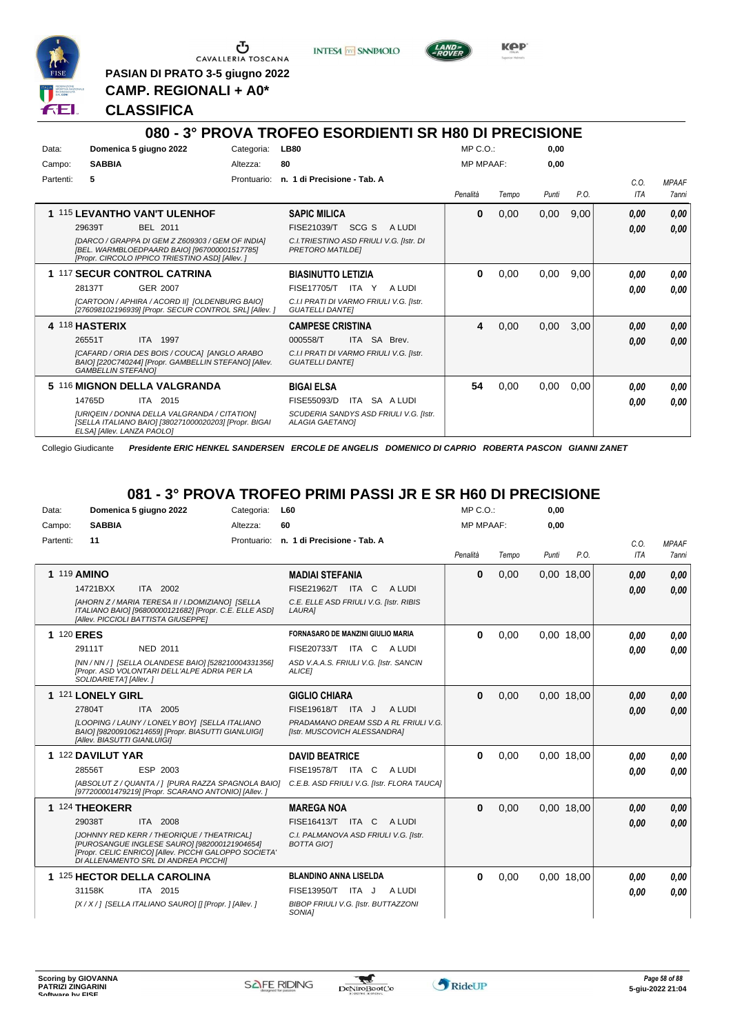

**PASIAN DI PRATO 3-5 giugno 2022 CAMP. REGIONALI + A0\***

**INTESA** M SANPAOLO



KOP

### **CLASSIFICA**

#### **080 - 3° PROVA TROFEO ESORDIENTI SR H80 DI PRECISIONE** Data: **Domenica 5 giugno 2022** Categoria: LB80 Prontuario: **n. 1 di Precisione - Tab. A** Campo: **SABBIA** Partenti: **5** Altezza: **80** MP C.O.: MP MPAAF: **0,00 0,00** *Penalità Tempo Punti P.O. C.O. ITA MPAAF 7anni* **1** 115 **LEVANTHO VAN'T ULENHOF** BEL 2011 **SAPIC MILICA** *[DARCO / GRAPPA DI GEM Z Z609303 / GEM OF INDIA] [BEL. WARMBLOEDPAARD BAIO] [967000001517785] [Propr. CIRCOLO IPPICO TRIESTINO ASD] [Allev. ] C.I.TRIESTINO ASD FRIULI V.G. [Istr. DI PRETORO MATILDE]* SCG S A LUDI 29639T FISE21039/T *0,00* **0** 0,00 0,00 9,00 *0,00 0,00 0,00* **1** 117 **SECUR CONTROL CATRINA** GER 2007 **BIASINUTTO LETIZIA** *[CARTOON / APHIRA / ACORD II] [OLDENBURG BAIO] [276098102196939] [Propr. SECUR CONTROL SRL] [Allev. ] C.I.I PRATI DI VARMO FRIULI V.G. [Istr. GUATELLI DANTE]* ITA Y A LUDI 28137T FISE17705/T *0,00* **0** 0,00 0,00 9,00 *0,00 0,00 0,00* **4** 118 **HASTERIX** ITA 1997 **CAMPESE CRISTINA** *[CAFARD / ORIA DES BOIS / COUCA] [ANGLO ARABO BAIO] [220C740244] [Propr. GAMBELLIN STEFANO] [Allev. GAMBELLIN STEFANO] C.I.I PRATI DI VARMO FRIULI V.G. [Istr. GUATELLI DANTE]* ITA SA Brev. **4** 0,00 0,00 3,00 *0,00 0,00 0,00* 26551T ITA 1997 000558/T ITA SA Brev. | <mark> *0,00 0,00*</mark> **5** 116 **MIGNON DELLA VALGRANDA** ITA 2015 **BIGAI ELSA** *[URIQEIN / DONNA DELLA VALGRANDA / CITATION] [SELLA ITALIANO BAIO] [380271000020203] [Propr. BIGAI ELSA] [Allev. LANZA PAOLO] SCUDERIA SANDYS ASD FRIULI V.G. [Istr. ALAGIA GAETANO]* 14765D ITA 2015 FISE55093/D ITA SA A LUDI **0,00 0,00 54** 0,00 0,00 0,00 *0,00 0,00 0,00*

Collegio Giudicante *Presidente ERIC HENKEL SANDERSEN ERCOLE DE ANGELIS DOMENICO DI CAPRIO ROBERTA PASCON GIANNI ZANET*

#### **081 - 3° PROVA TROFEO PRIMI PASSI JR E SR H60 DI PRECISIONE**

| Data:     | Domenica 5 giugno 2022                                                                                                                                                                      | Categoria:  | L60                                                                  | MP C.O.          |       | 0,00  |            |            |              |
|-----------|---------------------------------------------------------------------------------------------------------------------------------------------------------------------------------------------|-------------|----------------------------------------------------------------------|------------------|-------|-------|------------|------------|--------------|
| Campo:    | <b>SABBIA</b>                                                                                                                                                                               | Altezza:    | 60                                                                   | <b>MP MPAAF:</b> |       | 0,00  |            |            |              |
| Partenti: | 11                                                                                                                                                                                          | Prontuario: | n. 1 di Precisione - Tab. A                                          |                  |       |       |            | C.O.       | <b>MPAAF</b> |
|           |                                                                                                                                                                                             |             |                                                                      | Penalità         | Tempo | Punti | P.O.       | <b>ITA</b> | 7anni        |
|           | 1 119 AMINO                                                                                                                                                                                 |             | <b>MADIAI STEFANIA</b>                                               | $\bf{0}$         | 0,00  |       | 0,00 18,00 | 0,00       | 0.00         |
|           | 14721BXX<br>ITA 2002                                                                                                                                                                        |             | FISE21962/T ITA C<br>A LUDI                                          |                  |       |       |            | 0.00       | 0,00         |
|           | [AHORN Z / MARIA TERESA II / I.DOMIZIANO] [SELLA<br>ITALIANO BAIO] [96800000121682] [Propr. C.E. ELLE ASD]<br>[Allev. PICCIOLI BATTISTA GIUSEPPE]                                           |             | C.E. ELLE ASD FRIULI V.G. [Istr. RIBIS<br>LAURA]                     |                  |       |       |            |            |              |
|           | 1 120 ERES                                                                                                                                                                                  |             | <b>FORNASARO DE MANZINI GIULIO MARIA</b>                             | 0                | 0,00  |       | 0,00 18,00 | 0.00       | 0.00         |
|           | NED 2011<br>29111T                                                                                                                                                                          |             | FISE20733/T ITA C ALUDI                                              |                  |       |       |            | 0.00       | 0.00         |
|           | [NN / NN / ] [SELLA OLANDESE BAIO] [528210004331356]<br>[Propr. ASD VOLONTARI DELL'ALPE ADRIA PER LA<br>SOLIDARIETA'] [Allev. ]                                                             |             | ASD V.A.A.S. FRIULI V.G. [Istr. SANCIN<br><b>ALICEI</b>              |                  |       |       |            |            |              |
|           | 1 121 LONELY GIRL                                                                                                                                                                           |             | <b>GIGLIO CHIARA</b>                                                 | $\bf{0}$         | 0.00  |       | 0.00 18.00 | 0,00       | 0,00         |
|           | 27804T<br>ITA 2005                                                                                                                                                                          |             | FISE19618/T ITA J<br>A LUDI                                          |                  |       |       |            | 0.00       | 0.00         |
|           | [LOOPING / LAUNY / LONELY BOY] [SELLA ITALIANO<br>BAIO] [982009106214659] [Propr. BIASUTTI GIANLUIGI]<br>[Allev. BIASUTTI GIANLUIGI]                                                        |             | PRADAMANO DREAM SSD A RL FRIULI V.G.<br>[Istr. MUSCOVICH ALESSANDRA] |                  |       |       |            |            |              |
|           | 1 122 DAVILUT YAR                                                                                                                                                                           |             | <b>DAVID BEATRICE</b>                                                | 0                | 0,00  |       | 0.00 18.00 | 0.00       | 0.00         |
|           | 28556T<br>ESP 2003                                                                                                                                                                          |             | <b>FISE19578/T</b><br>A LUDI<br>ITA C                                |                  |       |       |            | 0.00       | 0.00         |
|           | [ABSOLUT Z / QUANTA / ] [PURA RAZZA SPAGNOLA BAIO]<br>[977200001479219] [Propr. SCARANO ANTONIO] [Allev.]                                                                                   |             | C.E.B. ASD FRIULI V.G. [Istr. FLORA TAUCA]                           |                  |       |       |            |            |              |
|           | 1 124 THEOKERR                                                                                                                                                                              |             | <b>MAREGA NOA</b>                                                    | $\bf{0}$         | 0,00  |       | 0,00 18,00 | 0,00       | 0,00         |
|           | ITA 2008<br>29038T                                                                                                                                                                          |             | FISE16413/T ITA C ALUDI                                              |                  |       |       |            | 0.00       | 0.00         |
|           | [JOHNNY RED KERR / THEORIQUE / THEATRICAL]<br>[PUROSANGUE INGLESE SAURO] [982000121904654]<br>[Propr. CELIC ENRICO] [Allev. PICCHI GALOPPO SOCIETA'<br>DI ALLENAMENTO SRL DI ANDREA PICCHI] |             | C.I. PALMANOVA ASD FRIULI V.G. [Istr.<br><b>BOTTA GIOT</b>           |                  |       |       |            |            |              |
|           | 1 125 HECTOR DELLA CAROLINA                                                                                                                                                                 |             | <b>BLANDINO ANNA LISELDA</b>                                         | $\bf{0}$         | 0,00  |       | 0.00 18.00 | 0.00       | 0.00         |
|           | ITA 2015<br>31158K                                                                                                                                                                          |             | FISE13950/T<br>ITA J<br>A LUDI                                       |                  |       |       |            | 0.00       | 0.00         |
|           | [X / X / ] [SELLA ITALIANO SAURO] [] [Propr. ] [Allev. ]                                                                                                                                    |             | BIBOP FRIULI V.G. [Istr. BUTTAZZONI<br>SONIA1                        |                  |       |       |            |            |              |



\*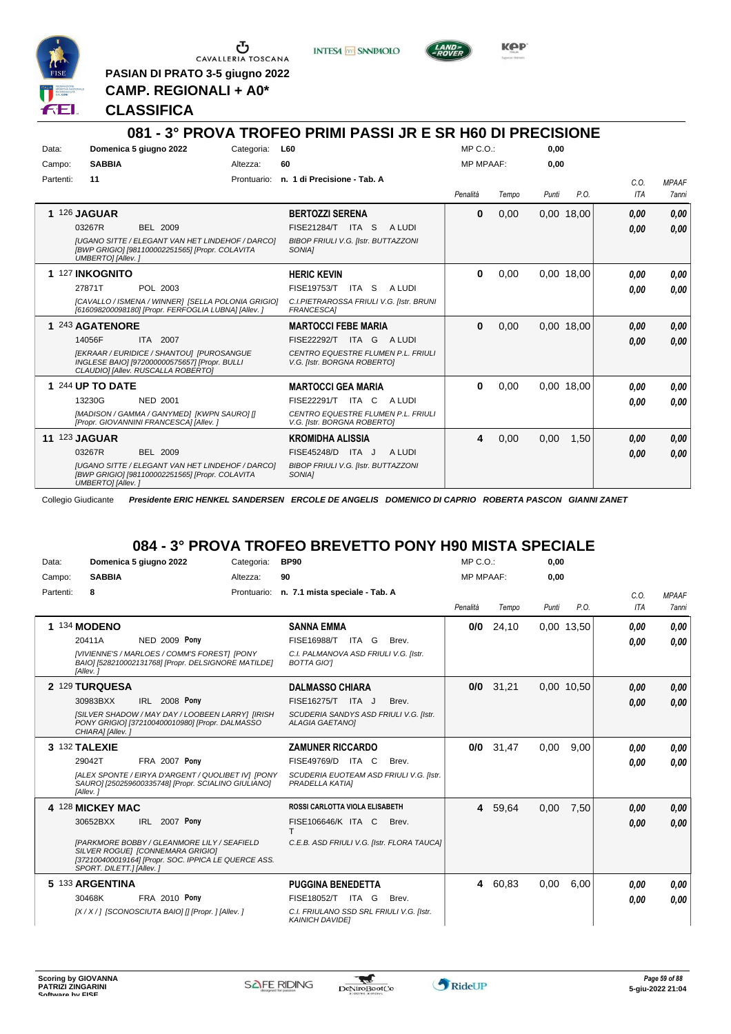

 $\begin{array}{c}\n\bullet \\
\bullet \\
\bullet \\
\bullet \\
\bullet\n\end{array}$  CAVALLERIA TOSCANA

**PASIAN DI PRATO 3-5 giugno 2022 CAMP. REGIONALI + A0\***

**INTESA** M SANPAOLO



**Kep** 

#### **CLASSIFICA**

|           |                                                                                                                                        |            | 081 - 3° PROVA TROFEO PRIMI PASSI JR E SR H60 DI PRECISIONE              |              |       |       |            |            |              |
|-----------|----------------------------------------------------------------------------------------------------------------------------------------|------------|--------------------------------------------------------------------------|--------------|-------|-------|------------|------------|--------------|
| Data:     | Domenica 5 giugno 2022                                                                                                                 | Categoria: | <b>L60</b>                                                               | MP C.O.      |       | 0.00  |            |            |              |
| Campo:    | <b>SABBIA</b>                                                                                                                          | Altezza:   | 60                                                                       | MP MPAAF:    |       | 0.00  |            |            |              |
| Partenti: | 11                                                                                                                                     |            | Prontuario: n. 1 di Precisione - Tab. A                                  |              |       |       |            | C.O.       | <b>MPAAF</b> |
|           |                                                                                                                                        |            |                                                                          | Penalità     | Tempo | Punti | P.O.       | <b>ITA</b> | <b>7anni</b> |
| 1         | <b>126 JAGUAR</b>                                                                                                                      |            | <b>BERTOZZI SERENA</b>                                                   | $\bf{0}$     | 0,00  |       | 0,00 18,00 | 0.00       | 0.00         |
|           | BEL 2009<br>03267R                                                                                                                     |            | FISE21284/T ITA S<br>A LUDI                                              |              |       |       |            | 0.00       | 0.00         |
|           | <b>IUGANO SITTE / ELEGANT VAN HET LINDEHOF / DARCOI</b><br>[BWP GRIGIO] [981100002251565] [Propr. COLAVITA<br><b>UMBERTOI</b> [Allev.] |            | <b>BIBOP FRIULI V.G. [Istr. BUTTAZZONI</b><br>SONIA1                     |              |       |       |            |            |              |
|           | 1 127 INKOGNITO                                                                                                                        |            | <b>HERIC KEVIN</b>                                                       | 0            | 0,00  |       | 0,00 18,00 | 0.00       | 0,00         |
|           | 27871T<br>POL 2003                                                                                                                     |            | <b>FISE19753/T</b><br>ITA S<br>A LUDI                                    |              |       |       |            | 0.00       | 0.00         |
|           | [CAVALLO / ISMENA / WINNER] [SELLA POLONIA GRIGIO]<br>[616098200098180] [Propr. FERFOGLIA LUBNA] [Allev. ]                             |            | C.I.PIETRAROSSA FRIULI V.G. [Istr. BRUNI<br><b>FRANCESCA1</b>            |              |       |       |            |            |              |
|           | 1 243 AGATENORE                                                                                                                        |            | <b>MARTOCCI FEBE MARIA</b>                                               | $\mathbf{0}$ | 0.00  |       | 0.00 18.00 | 0,00       | 0.00         |
|           | 14056F<br>ITA 2007                                                                                                                     |            | ITA G<br><b>FISE22292/T</b><br>A LUDI                                    |              |       |       |            | 0.00       | 0.00         |
|           | [EKRAAR / EURIDICE / SHANTOU] [PUROSANGUE<br>INGLESE BAIO] [972000000575657] [Propr. BULLI<br>CLAUDIO] [Allev. RUSCALLA ROBERTO]       |            | <b>CENTRO EQUESTRE FLUMEN P.L. FRIULI</b><br>V.G. [Istr. BORGNA ROBERTO] |              |       |       |            |            |              |
|           | 1 244 UP TO DATE                                                                                                                       |            | <b>MARTOCCI GEA MARIA</b>                                                | 0            | 0.00  |       | 0.00 18.00 | 0.00       | 0.00         |
|           | 13230G<br><b>NED 2001</b>                                                                                                              |            | FISE22291/T ITA C<br>A LUDI                                              |              |       |       |            | 0.00       | 0.00         |
|           | [MADISON / GAMMA / GANYMED] [KWPN SAURO] []<br>[Propr. GIOVANNINI FRANCESCA] [Allev.]                                                  |            | CENTRO EQUESTRE FLUMEN P.L. FRIULI<br>V.G. [Istr. BORGNA ROBERTO]        |              |       |       |            |            |              |
|           | <b>11 123 JAGUAR</b>                                                                                                                   |            | <b>KROMIDHA ALISSIA</b>                                                  | 4            | 0.00  | 0.00  | 1.50       | 0,00       | 0.00         |
|           | 03267R<br><b>BEL 2009</b>                                                                                                              |            | FISE45248/D ITA J<br>A LUDI                                              |              |       |       |            | 0.00       | 0.00         |
|           | <b>IUGANO SITTE / ELEGANT VAN HET LINDEHOF / DARCO]</b><br>[BWP GRIGIO] [981100002251565] [Propr. COLAVITA<br><b>UMBERTOI</b> [Allev.] |            | <b>BIBOP FRIULI V.G. [Istr. BUTTAZZONI</b><br>SONIA]                     |              |       |       |            |            |              |

Collegio Giudicante *Presidente ERIC HENKEL SANDERSEN ERCOLE DE ANGELIS DOMENICO DI CAPRIO ROBERTA PASCON GIANNI ZANET*

# **084 - 3° PROVA TROFEO BREVETTO PONY H90 MISTA SPECIALE**

| Data:     | Domenica 5 giugno 2022                                                                                                                                                     | Categoria:  | <b>BP90</b>                                                        | $MP C. O.$ :     |       | 0,00  |            |      |              |
|-----------|----------------------------------------------------------------------------------------------------------------------------------------------------------------------------|-------------|--------------------------------------------------------------------|------------------|-------|-------|------------|------|--------------|
| Campo:    | <b>SABBIA</b>                                                                                                                                                              | Altezza:    | 90                                                                 | <b>MP MPAAF:</b> |       | 0,00  |            |      |              |
| Partenti: | 8                                                                                                                                                                          | Prontuario: | n. 7.1 mista speciale - Tab. A                                     |                  |       |       |            | C.0. | <b>MPAAF</b> |
|           |                                                                                                                                                                            |             |                                                                    | Penalità         | Tempo | Punti | P.O.       | ITA  | <b>7anni</b> |
|           | 1 134 MODENO                                                                                                                                                               |             | <b>SANNA EMMA</b>                                                  | 0/0              | 24,10 |       | 0.00 13.50 | 0.00 | 0.00         |
|           | NED 2009 Pony<br>20411A                                                                                                                                                    |             | <b>FISE16988/T</b><br>ITA G<br>Brev.                               |                  |       |       |            | 0.00 | 0,00         |
|           | [VIVIENNE'S / MARLOES / COMM'S FOREST] [PONY<br>BAIO] [528210002131768] [Propr. DELSIGNORE MATILDE]<br>[Allev.]                                                            |             | C.I. PALMANOVA ASD FRIULI V.G. [Istr.<br><b>BOTTA GIOT</b>         |                  |       |       |            |      |              |
|           | 2 129 TURQUESA                                                                                                                                                             |             | <b>DALMASSO CHIARA</b>                                             | 0/0              | 31,21 |       | 0,00 10,50 | 0,00 | 0,00         |
|           | 30983BXX<br><b>IRL 2008 Pony</b>                                                                                                                                           |             | FISE16275/T ITA J<br>Brev.                                         |                  |       |       |            | 0,00 | 0.00         |
|           | [SILVER SHADOW / MAY DAY / LOOBEEN LARRY] [IRISH<br>PONY GRIGIO] [372100400010980] [Propr. DALMASSO<br>CHIARA] [Allev.]                                                    |             | SCUDERIA SANDYS ASD FRIULI V.G. [Istr.<br><b>ALAGIA GAETANOI</b>   |                  |       |       |            |      |              |
|           | 3 132 TALEXIE                                                                                                                                                              |             | <b>ZAMUNER RICCARDO</b>                                            | 0/0              | 31,47 | 0.00  | 9.00       | 0.00 | 0.00         |
|           | <b>FRA 2007 Pony</b><br>29042T                                                                                                                                             |             | FISE49769/D ITA C<br>Brev.                                         |                  |       |       |            | 0.00 | 0.00         |
|           | [ALEX SPONTE / EIRYA D'ARGENT / QUOLIBET IV] [PONY<br>SAURO] [250259600335748] [Propr. SCIALINO GIULIANO]<br>[Allev.]                                                      |             | SCUDERIA EUOTEAM ASD FRIULI V.G. [Istr.<br>PRADELLA KATIAI         |                  |       |       |            |      |              |
|           | 4 128 MICKEY MAC                                                                                                                                                           |             | ROSSI CARLOTTA VIOLA ELISABETH                                     | 4                | 59,64 | 0,00  | 7,50       | 0,00 | 0,00         |
|           | IRL 2007 Pony<br>30652BXX                                                                                                                                                  |             | FISE106646/K ITA C<br>Brev.<br>т                                   |                  |       |       |            | 0,00 | 0.00         |
|           | <b>IPARKMORE BOBBY / GLEANMORE LILY / SEAFIELD</b><br>SILVER ROGUEI [CONNEMARA GRIGIO]<br>[372100400019164] [Propr. SOC. IPPICA LE QUERCE ASS.<br>SPORT. DILETT.] [Allev.] |             | C.E.B. ASD FRIULI V.G. [Istr. FLORA TAUCA]                         |                  |       |       |            |      |              |
|           | 5 133 ARGENTINA                                                                                                                                                            |             | <b>PUGGINA BENEDETTA</b>                                           | 4                | 60,83 | 0,00  | 6,00       | 0.00 | 0.00         |
|           | 30468K<br><b>FRA 2010 Pony</b>                                                                                                                                             |             | FISE18052/T ITA G<br>Brev.                                         |                  |       |       |            | 0.00 | 0.00         |
|           | [X/X/] [SCONOSCIUTA BAIO] [] [Propr. ] [Allev. ]                                                                                                                           |             | C.I. FRIULANO SSD SRL FRIULI V.G. [Istr.<br><b>KAINICH DAVIDE!</b> |                  |       |       |            |      |              |



 $\tau$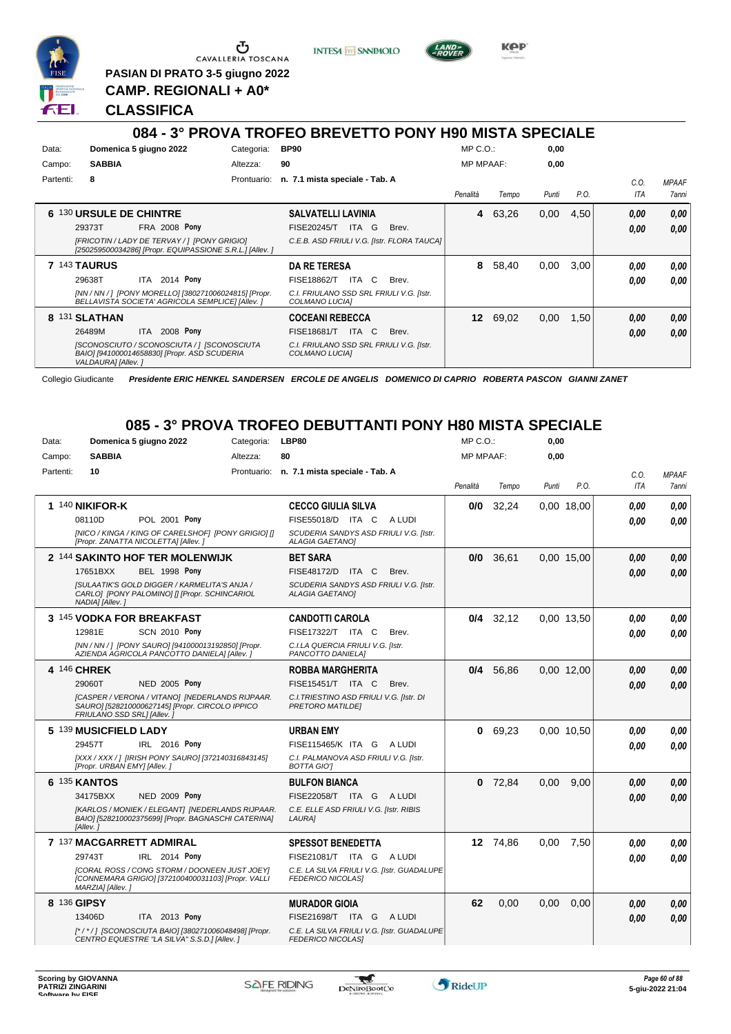

**PASIAN DI PRATO 3-5 giugno 2022 CAMP. REGIONALI + A0\***

**INTESA** M SANPAOLO



**Kep** 

# **CLASSIFICA**

|           |                                                                                                                   |             | 084 - 3° PROVA TROFEO BREVETTO PONY H90 MISTA SPECIALE     |                  |       |       |      |            |                     |
|-----------|-------------------------------------------------------------------------------------------------------------------|-------------|------------------------------------------------------------|------------------|-------|-------|------|------------|---------------------|
| Data:     | Domenica 5 giugno 2022                                                                                            | Categoria:  | <b>BP90</b>                                                | $MP C. O.$ :     |       | 0,00  |      |            |                     |
| Campo:    | <b>SABBIA</b>                                                                                                     | Altezza:    | 90                                                         | <b>MP MPAAF:</b> |       | 0,00  |      |            |                     |
| Partenti: | 8                                                                                                                 | Prontuario: | n. 7.1 mista speciale - Tab. A                             |                  |       |       |      | C.O.       | <b>MPAAF</b>        |
|           |                                                                                                                   |             |                                                            | Penalità         | Tempo | Punti | P.O. | <b>ITA</b> | <i><b>7anni</b></i> |
|           | 6 130 URSULE DE CHINTRE                                                                                           |             | <b>SALVATELLI LAVINIA</b>                                  | 4                | 63,26 | 0,00  | 4,50 | 0,00       | 0,00                |
|           | FRA 2008 Pony<br>29373T                                                                                           |             | <b>FISE20245/T</b><br>ITA I<br>G<br>Brev.                  |                  |       |       |      | 0.00       | 0,00                |
|           | [FRICOTIN / LADY DE TERVAY / ] [PONY GRIGIO]<br>[250259500034286] [Propr. EQUIPASSIONE S.R.L.] [Allev. ]          |             | C.E.B. ASD FRIULI V.G. [Istr. FLORA TAUCA]                 |                  |       |       |      |            |                     |
|           | 7 143 TAURUS                                                                                                      |             | <b>DA RE TERESA</b>                                        | 8                | 58,40 | 0,00  | 3,00 | 0.00       | 0,00                |
|           | 2014 Pony<br>29638T<br>ITA                                                                                        |             | FISE18862/T<br>ITA<br>C.<br>Brev.                          |                  |       |       |      | 0.00       | 0.00                |
|           | [NN / NN / ] [PONY MORELLO] [380271006024815] [Propr.<br>BELLAVISTA SOCIETA' AGRICOLA SEMPLICE] [Allev. ]         |             | C.I. FRIULANO SSD SRL FRIULI V.G. [Istr.<br>COLMANO LUCIAI |                  |       |       |      |            |                     |
|           | 8 131 SLATHAN                                                                                                     |             | <b>COCEANI REBECCA</b>                                     | 12               | 69,02 | 0,00  | 1,50 | 0.00       | 0.00                |
|           | 2008 Pony<br>26489M<br><b>ITA</b>                                                                                 |             | <b>FISE18681/T</b><br>ITA I<br>C.<br>Brev.                 |                  |       |       |      | 0,00       | 0.00                |
|           | [SCONOSCIUTO / SCONOSCIUTA / ] [SCONOSCIUTA<br>BAIO] [941000014658830] [Propr. ASD SCUDERIA<br>VALDAURA] [Allev.] |             | C.I. FRIULANO SSD SRL FRIULI V.G. [Istr.<br>COLMANO LUCIAI |                  |       |       |      |            |                     |

Collegio Giudicante *Presidente ERIC HENKEL SANDERSEN ERCOLE DE ANGELIS DOMENICO DI CAPRIO ROBERTA PASCON GIANNI ZANET*

# **085 - 3° PROVA TROFEO DEBUTTANTI PONY H80 MISTA SPECIALE**

| Data:     |                              | Domenica 5 giugno 2022                                                                                  | Categoria: | LBP80                                                                  | MP C.O.:         |             | 0,00  |            |            |              |
|-----------|------------------------------|---------------------------------------------------------------------------------------------------------|------------|------------------------------------------------------------------------|------------------|-------------|-------|------------|------------|--------------|
| Campo:    | <b>SABBIA</b>                |                                                                                                         | Altezza:   | 80                                                                     | <b>MP MPAAF:</b> |             | 0,00  |            |            |              |
| Partenti: | 10                           |                                                                                                         |            | Prontuario: n. 7.1 mista speciale - Tab. A                             |                  |             |       |            | C.O.       | <b>MPAAF</b> |
|           |                              |                                                                                                         |            |                                                                        | Penalità         | Tempo       | Punti | P.O.       | <b>ITA</b> | <b>7anni</b> |
|           | 1 140 NIKIFOR-K              |                                                                                                         |            | <b>CECCO GIULIA SILVA</b>                                              | 0/0              | 32,24       |       | 0,00 18,00 | 0.00       | 0.00         |
|           | 08110D                       | POL 2001 Pony                                                                                           |            | FISE55018/D ITA C<br>A LUDI                                            |                  |             |       |            | 0.00       | 0.00         |
|           |                              | [NICO / KINGA / KING OF CARELSHOF] [PONY GRIGIO] []<br>[Propr. ZANATTA NICOLETTA] [Allev.]              |            | SCUDERIA SANDYS ASD FRIULI V.G. [Istr.<br><b>ALAGIA GAETANOI</b>       |                  |             |       |            |            |              |
|           |                              | 2 144 SAKINTO HOF TER MOLENWIJK                                                                         |            | <b>BET SARA</b>                                                        |                  | 0/0 36,61   |       | 0.00 15.00 | 0.00       | 0,00         |
|           | 17651BXX                     | <b>BEL 1998 Pony</b>                                                                                    |            | FISE48172/D ITA C<br>Brev.                                             |                  |             |       |            | 0.00       | 0,00         |
|           | NADIA] [Allev.]              | <b>[SULAATIK'S GOLD DIGGER / KARMELITA'S ANJA /</b><br>CARLO] [PONY PALOMINO] [] [Propr. SCHINCARIOL    |            | SCUDERIA SANDYS ASD FRIULI V.G. [Istr.<br><b>ALAGIA GAETANO]</b>       |                  |             |       |            |            |              |
|           |                              | 3 145 VODKA FOR BREAKFAST                                                                               |            | <b>CANDOTTI CAROLA</b>                                                 |                  | $0/4$ 32,12 |       | 0.00 13.50 | 0.00       | 0.00         |
|           | 12981E                       | <b>SCN 2010 Pony</b>                                                                                    |            | FISE17322/T ITA C<br>Brev.                                             |                  |             |       |            | 0.00       | 0.00         |
|           |                              | [NN / NN / ] [PONY SAURO] [941000013192850] [Propr.<br>AZIENDA AGRICOLA PANCOTTO DANIELA] [Allev. ]     |            | C.I.LA QUERCIA FRIULI V.G. [Istr.<br>PANCOTTO DANIELA]                 |                  |             |       |            |            |              |
|           | 4 146 CHREK                  |                                                                                                         |            | <b>ROBBA MARGHERITA</b>                                                |                  | 0/4 56.86   |       | 0.00 12.00 | 0.00       | 0.00         |
|           | 29060T                       | NED 2005 Pony                                                                                           |            | FISE15451/T ITA C<br>Brev.                                             |                  |             |       |            | 0.00       | 0,00         |
|           | FRIULANO SSD SRL] [Allev.]   | [CASPER / VERONA / VITANO] [NEDERLANDS RIJPAAR.<br>SAURO] [528210000627145] [Propr. CIRCOLO IPPICO      |            | C.I. TRIESTINO ASD FRIULI V.G. [Istr. DI<br>PRETORO MATILDEI           |                  |             |       |            |            |              |
|           | 5 139 MUSICFIELD LADY        |                                                                                                         |            | <b>URBAN EMY</b>                                                       |                  | 0 69,23     |       | 0.00 10.50 | 0.00       | 0,00         |
|           | 29457T                       | IRL 2016 Pony                                                                                           |            | FISE115465/K ITA G<br>A LUDI                                           |                  |             |       |            | 0.00       | 0.00         |
|           | [Propr. URBAN EMY] [Allev. ] | [XXX / XXX / ] [IRISH PONY SAURO] [372140316843145]                                                     |            | C.I. PALMANOVA ASD FRIULI V.G. [Istr.<br><b>BOTTA GIOT</b>             |                  |             |       |            |            |              |
|           | 6 135 KANTOS                 |                                                                                                         |            | <b>BULFON BIANCA</b>                                                   | 0                | 72,84       | 0,00  | 9.00       | 0.00       | 0,00         |
|           | 34175BXX                     | NED 2009 Pony                                                                                           |            | FISE22058/T ITA G ALUDI                                                |                  |             |       |            | 0.00       | 0.00         |
|           | [Allev.]                     | [KARLOS / MONIEK / ELEGANT] [NEDERLANDS RIJPAAR.<br>BAIO] [528210002375699] [Propr. BAGNASCHI CATERINA] |            | C.E. ELLE ASD FRIULI V.G. [Istr. RIBIS<br>LAURA]                       |                  |             |       |            |            |              |
|           |                              | 7 137 MACGARRETT ADMIRAL                                                                                |            | <b>SPESSOT BENEDETTA</b>                                               |                  | 12 74,86    | 0,00  | 7,50       | 0.00       | 0,00         |
|           | 29743T                       | IRL 2014 Pony                                                                                           |            | FISE21081/T ITA G ALUDI                                                |                  |             |       |            | 0.00       | 0.00         |
|           | MARZIA] [Allev.]             | [CORAL ROSS / CONG STORM / DOONEEN JUST JOEY]<br>[CONNEMARA GRIGIO] [372100400031103] [Propr. VALLI     |            | C.E. LA SILVA FRIULI V.G. [Istr. GUADALUPE<br>FEDERICO NICOLAS]        |                  |             |       |            |            |              |
|           | 8 136 GIPSY                  |                                                                                                         |            | <b>MURADOR GIOIA</b>                                                   | 62               | 0.00        | 0.00  | 0.00       | 0.00       | 0,00         |
|           | 13406D                       | ITA 2013 Pony                                                                                           |            | FISE21698/T ITA G<br>A LUDI                                            |                  |             |       |            | 0.00       | 0,00         |
|           |                              | [*/*/] [SCONOSCIUTA BAIO] [380271006048498] [Propr.<br>CENTRO EQUESTRE "LA SILVA" S.S.D.] [Allev.]      |            | C.E. LA SILVA FRIULI V.G. [Istr. GUADALUPE<br><b>FEDERICO NICOLASI</b> |                  |             |       |            |            |              |

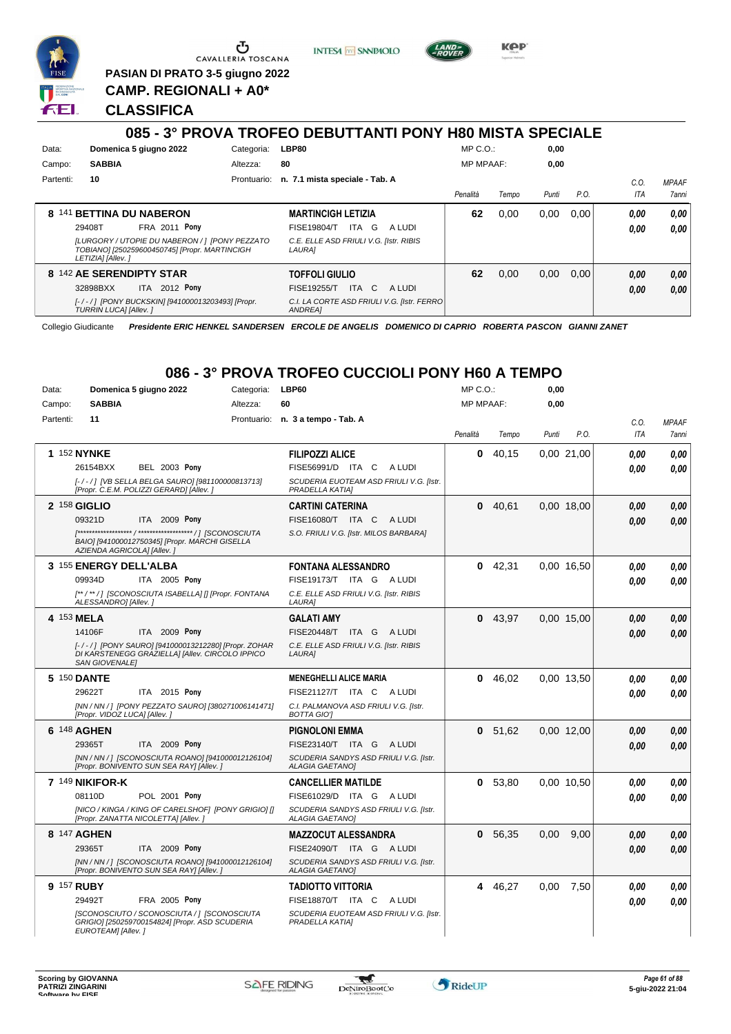

**PASIAN DI PRATO 3-5 giugno 2022 CAMP. REGIONALI + A0\***

**INTESA m** SANPAOLO



KOP

#### **CLASSIFICA**

#### **085 - 3° PROVA TROFEO DEBUTTANTI PONY H80 MISTA SPECIALE** Data: **Domenica 5 giugno 2022** Categoria: LBP80 Prontuario: **n. 7.1 mista speciale - Tab. A** Campo: **SABBIA** Partenti: **10** Altezza: **80** MP C.O.: MP MPAAF: **0,00 0,00** *Penalità Tempo Punti P.O. C.O. ITA MPAAF* **8** 141 **BETTINA DU NABERON FRA 2011 Pony MARTINCIGH LETIZIA** *[LURGORY / UTOPIE DU NABERON / ] [PONY PEZZATO TOBIANO] [250259600450745] [Propr. MARTINCIGH LETIZIA] [Allev. ] C.E. ELLE ASD FRIULI V.G. [Istr. RIBIS LAURA]* ITA G A LUDI 29408T FISE19804/T *0,00* **Pony 62** 0,00 0,00 0,00 *0,00 0,00* **8** 142 **AE SERENDIPTY STAR ITA** 2012 **Pony TOFFOLI GIULIO** *[- / - / ] [PONY BUCKSKIN] [941000013203493] [Propr. TURRIN LUCA] [Allev. ] C.I. LA CORTE ASD FRIULI V.G. [Istr. FERRO ANDREA]* 32898BXX ITA 2012 Pony FISE19255/T ITA C A LUDI *0,00 0,00* **62** 0,00 0,00 0,00 *0,00 0,00*

Collegio Giudicante *Presidente ERIC HENKEL SANDERSEN ERCOLE DE ANGELIS DOMENICO DI CAPRIO ROBERTA PASCON GIANNI ZANET*

# **086 - 3° PROVA TROFEO CUCCIOLI PONY H60 A TEMPO**

| Data:     | Domenica 5 giugno 2022                                                                                                          | Categoria: | LBP60                                                            | MP C. O.         |           | 0,00  |               |      |              |
|-----------|---------------------------------------------------------------------------------------------------------------------------------|------------|------------------------------------------------------------------|------------------|-----------|-------|---------------|------|--------------|
| Campo:    | <b>SABBIA</b>                                                                                                                   | Altezza:   | 60                                                               | <b>MP MPAAF:</b> |           | 0,00  |               |      |              |
| Partenti: | 11                                                                                                                              |            | Prontuario: n. 3 a tempo - Tab. A                                |                  |           |       |               | C.O. | <b>MPAAF</b> |
|           |                                                                                                                                 |            |                                                                  | Penalità         | Tempo     | Punti | P.O.          | ITA  | 7anni        |
|           | 1 152 NYNKE                                                                                                                     |            | <b>FILIPOZZI ALICE</b>                                           | 0                | 40,15     |       | 0,00 21,00    | 0.00 | 0,00         |
|           | <b>BEL 2003 Pony</b><br>26154BXX                                                                                                |            | FISE56991/D ITA C<br>A LUDI                                      |                  |           |       |               | 0,00 | 0.00         |
|           | [-/-/] [VB SELLA BELGA SAURO] [981100000813713]<br>[Propr. C.E.M. POLIZZI GERARD] [Allev. ]                                     |            | SCUDERIA EUOTEAM ASD FRIULI V.G. [Istr.<br>PRADELLA KATIAI       |                  |           |       |               |      |              |
|           | 2 158 GIGLIO                                                                                                                    |            | <b>CARTINI CATERINA</b>                                          |                  | 0 40,61   |       | 0,00 18,00    | 0.00 | 0,00         |
|           | 09321D<br>ITA 2009 Pony                                                                                                         |            | FISE16080/T ITA C<br>A LUDI                                      |                  |           |       |               | 0.00 | 0.00         |
|           | BAIO] [941000012750345] [Propr. MARCHI GISELLA<br>AZIENDA AGRICOLA] [Allev.]                                                    |            | S.O. FRIULI V.G. [Istr. MILOS BARBARA]                           |                  |           |       |               |      |              |
|           | 3 155 ENERGY DELL'ALBA                                                                                                          |            | <b>FONTANA ALESSANDRO</b>                                        |                  | $0$ 42,31 |       | 0.00 16.50    | 0.00 | 0.00         |
|           | 09934D<br>ITA 2005 Pony                                                                                                         |            | FISE19173/T ITA G ALUDI                                          |                  |           |       |               | 0.00 | 0.00         |
|           | [**/**/] [SCONOSCIUTA ISABELLA] [] [Propr. FONTANA<br>ALESSANDRO] [Allev.]                                                      |            | C.E. ELLE ASD FRIULI V.G. [Istr. RIBIS<br>LAURA]                 |                  |           |       |               |      |              |
|           | 4 153 MELA                                                                                                                      |            | <b>GALATI AMY</b>                                                | 0                | 43.97     |       | 0.00 15.00    | 0.00 | 0,00         |
|           | 14106F<br>ITA 2009 Pony                                                                                                         |            | <b>FISE20448/T</b><br>ITA G ALUDI                                |                  |           |       |               | 0.00 | 0.00         |
|           | [-/-/] [PONY SAURO] [941000013212280] [Propr. ZOHAR<br>DI KARSTENEGG GRAZIELLA] [Allev. CIRCOLO IPPICO<br><b>SAN GIOVENALE]</b> |            | C.E. ELLE ASD FRIULI V.G. [Istr. RIBIS<br>LAURA]                 |                  |           |       |               |      |              |
|           | 5 150 DANTE                                                                                                                     |            | <b>MENEGHELLI ALICE MARIA</b>                                    |                  | 0 46,02   |       | 0,00 13,50    | 0.00 | 0,00         |
|           | 29622T<br>ITA 2015 Pony                                                                                                         |            | FISE21127/T ITA C ALUDI                                          |                  |           |       |               | 0.00 | 0.00         |
|           | [NN / NN / ] [PONY PEZZATO SAURO] [380271006141471]<br>[Propr. VIDOZ LUCA] [Allev.]                                             |            | C.I. PALMANOVA ASD FRIULI V.G. [Istr.<br><b>BOTTA GIOT</b>       |                  |           |       |               |      |              |
|           | 6 148 AGHEN                                                                                                                     |            | <b>PIGNOLONI EMMA</b>                                            |                  | 0, 51, 62 |       | 0,00 12,00    | 0.00 | 0,00         |
|           | ITA 2009 Pony<br>29365T                                                                                                         |            | FISE23140/T ITA G ALUDI                                          |                  |           |       |               | 0,00 | 0.00         |
|           | [NN / NN / ] [SCONOSCIUTA ROANO] [941000012126104]<br>[Propr. BONIVENTO SUN SEA RAY] [Allev.]                                   |            | SCUDERIA SANDYS ASD FRIULI V.G. [Istr.<br><b>ALAGIA GAETANO]</b> |                  |           |       |               |      |              |
|           | 7 149 NIKIFOR-K                                                                                                                 |            | <b>CANCELLIER MATILDE</b>                                        | 0                | 53,80     |       | 0.00 10.50    | 0.00 | 0.00         |
|           | 08110D<br>POL 2001 Pony                                                                                                         |            | FISE61029/D ITA G ALUDI                                          |                  |           |       |               | 0.00 | 0,00         |
|           | [NICO / KINGA / KING OF CARELSHOF] [PONY GRIGIO] []<br>[Propr. ZANATTA NICOLETTA] [Allev.]                                      |            | SCUDERIA SANDYS ASD FRIULI V.G. [Istr.<br><b>ALAGIA GAETANO]</b> |                  |           |       |               |      |              |
|           | 8 147 AGHEN                                                                                                                     |            | <b>MAZZOCUT ALESSANDRA</b>                                       | 0                | 56,35     |       | $0,00$ $9,00$ | 0.00 | 0,00         |
|           | 29365T<br>ITA 2009 Pony                                                                                                         |            | FISE24090/T ITA G ALUDI                                          |                  |           |       |               | 0,00 | 0.00         |
|           | [NN / NN / ] [SCONOSCIUTA ROANO] [941000012126104]<br>[Propr. BONIVENTO SUN SEA RAY] [Allev.]                                   |            | SCUDERIA SANDYS ASD FRIULI V.G. [Istr.<br><b>ALAGIA GAETANOI</b> |                  |           |       |               |      |              |
|           | 9 157 RUBY                                                                                                                      |            | <b>TADIOTTO VITTORIA</b>                                         |                  | 4 46,27   | 0,00  | 7,50          | 0.00 | 0,00         |
|           | 29492T<br>FRA 2005 Pony                                                                                                         |            | FISE18870/T ITA C<br>A LUDI                                      |                  |           |       |               | 0.00 | 0.00         |
|           | [SCONOSCIUTO / SCONOSCIUTA / ] [SCONOSCIUTA<br>GRIGIO] [250259700154824] [Propr. ASD SCUDERIA<br>EUROTEAM] [Allev.]             |            | SCUDERIA EUOTEAM ASD FRIULI V.G. [Istr.<br>PRADELLA KATIA]       |                  |           |       |               |      |              |



*7anni*

*0,00*

*0,00*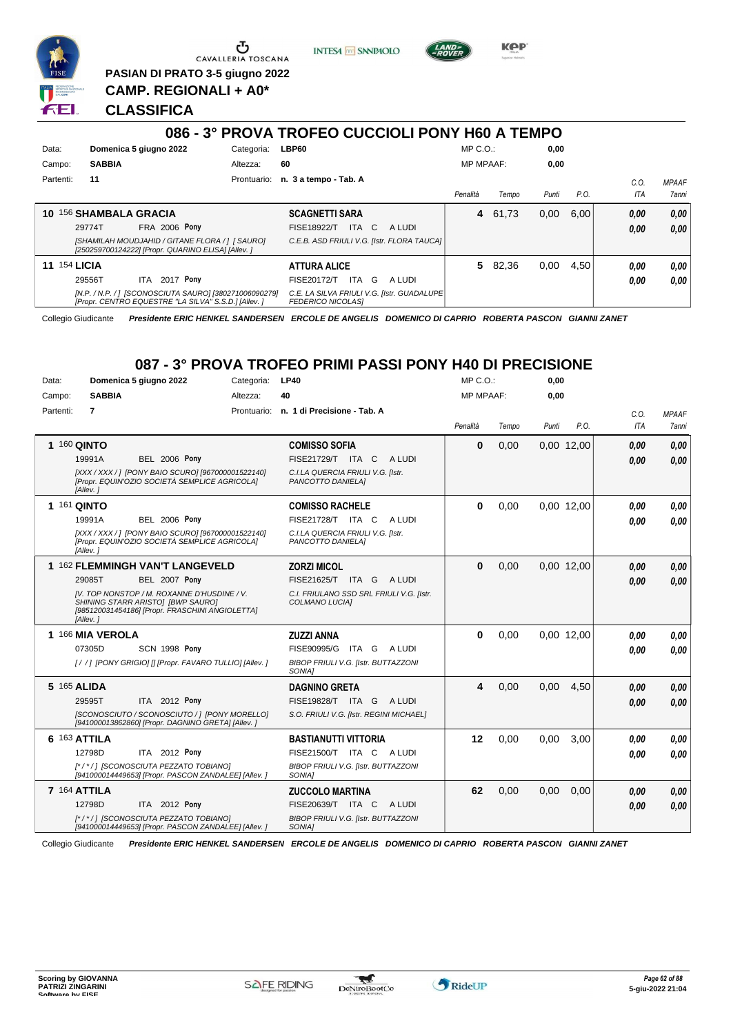

**PASIAN DI PRATO 3-5 giugno 2022 CAMP. REGIONALI + A0\***

**INTESA** M SANPAOLO

**KPP** 

#### **CLASSIFICA**

### **086 - 3° PROVA TROFEO CUCCIOLI PONY H60 A TEMPO**

| Data:     | Domenica 5 giugno 2022                                                                                        | Categoria:  | LBP60                                                                   | $MP C. O.$ :     |         | 0,00  |      |      |              |
|-----------|---------------------------------------------------------------------------------------------------------------|-------------|-------------------------------------------------------------------------|------------------|---------|-------|------|------|--------------|
| Campo:    | <b>SABBIA</b>                                                                                                 | Altezza:    | 60                                                                      | <b>MP MPAAF:</b> |         | 0,00  |      |      |              |
| Partenti: | 11                                                                                                            | Prontuario: | n. 3 a tempo - Tab. A                                                   |                  |         |       |      | C.O. | <b>MPAAF</b> |
|           |                                                                                                               |             |                                                                         | Penalità         | Tempo   | Punti | P.O. | ITA  | <b>7anni</b> |
| 10        | <b>156 SHAMBALA GRACIA</b>                                                                                    |             | <b>SCAGNETTI SARA</b>                                                   |                  | 4 61,73 | 0,00  | 6.00 | 0,00 | 0,00         |
|           | <b>FRA 2006 Pony</b><br>29774T                                                                                |             | ITA C<br>FISE18922/T<br>A LUDI                                          |                  |         |       |      | 0,00 | 0,00         |
|           | [SHAMILAH MOUDJAHID / GITANE FLORA / 1   SAURO]<br>[250259700124222] [Propr. QUARINO ELISA] [Allev. ]         |             | C.E.B. ASD FRIULI V.G. [Istr. FLORA TAUCA]                              |                  |         |       |      |      |              |
| 11        | <b>154 LICIA</b>                                                                                              |             | <b>ATTURA ALICE</b>                                                     |                  | 5 82,36 | 0,00  | 4.50 | 0.00 | 0.00         |
|           | 2017 Pony<br>29556T<br>ITA.                                                                                   |             | G<br>FISE20172/T<br>ITA<br>A LUDI                                       |                  |         |       |      | 0.00 | 0.00         |
|           | [N.P. / N.P. / ] [SCONOSCIUTA SAURO] [380271006090279]<br>[Propr. CENTRO EQUESTRE "LA SILVA" S.S.D.] [Allev.] |             | C.E. LA SILVA FRIULI V.G. [Istr. GUADALUPE]<br><b>FEDERICO NICOLASI</b> |                  |         |       |      |      |              |

Collegio Giudicante *Presidente ERIC HENKEL SANDERSEN ERCOLE DE ANGELIS DOMENICO DI CAPRIO ROBERTA PASCON GIANNI ZANET*

### **087 - 3° PROVA TROFEO PRIMI PASSI PONY H40 DI PRECISIONE**

| Data:     | Domenica 5 giugno 2022                                                                                                                          | Categoria:  | <b>LP40</b>                                                 | MP C.O.:         |       | 0,00  |            |      |              |
|-----------|-------------------------------------------------------------------------------------------------------------------------------------------------|-------------|-------------------------------------------------------------|------------------|-------|-------|------------|------|--------------|
| Campo:    | <b>SABBIA</b>                                                                                                                                   | Altezza:    | 40                                                          | <b>MP MPAAF:</b> |       | 0,00  |            |      |              |
| Partenti: | $\overline{7}$                                                                                                                                  | Prontuario: | n. 1 di Precisione - Tab. A                                 |                  |       |       |            | C.O. | <b>MPAAF</b> |
|           |                                                                                                                                                 |             |                                                             | Penalità         | Tempo | Punti | P.O.       | ITA  | <b>7anni</b> |
|           | 1 160 QINTO                                                                                                                                     |             | <b>COMISSO SOFIA</b>                                        | $\bf{0}$         | 0,00  |       | 0,00 12,00 | 0.00 | 0,00         |
|           | 19991A<br><b>BEL 2006 Pony</b>                                                                                                                  |             | FISE21729/T ITA C<br>A LUDI                                 |                  |       |       |            | 0.00 | 0.00         |
|           | [XXX / XXX / ] [PONY BAIO SCURO] [967000001522140]<br>[Propr. EQUIN'OZIO SOCIETÀ SEMPLICE AGRICOLA]<br>[Allev.]                                 |             | C.I.LA QUERCIA FRIULI V.G. [Istr.<br>PANCOTTO DANIELA]      |                  |       |       |            |      |              |
|           | 1 161 QINTO                                                                                                                                     |             | <b>COMISSO RACHELE</b>                                      | $\bf{0}$         | 0,00  |       | 0.00 12.00 | 0,00 | 0.00         |
|           | 19991A<br><b>BEL 2006 Pony</b>                                                                                                                  |             | FISE21728/T ITA C<br>A LUDI                                 |                  |       |       |            | 0.00 | 0.00         |
|           | [XXX / XXX / ] [PONY BAIO SCURO] [967000001522140]<br>IPropr. EQUIN'OZIO SOCIETÀ SEMPLICE AGRICOLAI<br>[Allev.]                                 |             | C.I.LA QUERCIA FRIULI V.G. [Istr.<br>PANCOTTO DANIELA]      |                  |       |       |            |      |              |
|           | 1 162 FLEMMINGH VAN'T LANGEVELD                                                                                                                 |             | <b>ZORZI MICOL</b>                                          | $\mathbf{0}$     | 0,00  |       | 0,00 12,00 | 0,00 | 0,00         |
|           | BEL 2007 Pony<br>29085T                                                                                                                         |             | FISE21625/T ITA G ALUDI                                     |                  |       |       |            | 0.00 | 0.00         |
|           | IV. TOP NONSTOP / M. ROXANNE D'HUSDINE / V.<br>SHINING STARR ARISTOI [BWP SAURO]<br>[985120031454186] [Propr. FRASCHINI ANGIOLETTA]<br>[Allev.] |             | C.I. FRIULANO SSD SRL FRIULI V.G. [Istr.<br>COLMANO LUCIA]  |                  |       |       |            |      |              |
|           | 1 166 MIA VEROLA                                                                                                                                |             | <b>ZUZZI ANNA</b>                                           | $\bf{0}$         | 0,00  |       | 0,00 12,00 | 0.00 | 0.00         |
|           | 07305D<br><b>SCN 1998 Pony</b>                                                                                                                  |             | FISE90995/G<br>ITA G<br>A LUDI                              |                  |       |       |            | 0.00 | 0.00         |
|           | [//] [PONY GRIGIO] [] [Propr. FAVARO TULLIO] [Allev.]                                                                                           |             | <b>BIBOP FRIULI V.G. [Istr. BUTTAZZONI</b><br><b>SONIA1</b> |                  |       |       |            |      |              |
|           | 5 165 ALIDA                                                                                                                                     |             | <b>DAGNINO GRETA</b>                                        | 4                | 0,00  | 0,00  | 4,50       | 0.00 | 0,00         |
|           | 29595T<br>ITA 2012 Pony                                                                                                                         |             | FISE19828/T ITA G<br>A LUDI                                 |                  |       |       |            | 0.00 | 0,00         |
|           | [SCONOSCIUTO / SCONOSCIUTO / ] [PONY MORELLO]<br>[941000013862860] [Propr. DAGNINO GRETA] [Allev. ]                                             |             | S.O. FRIULI V.G. [Istr. REGINI MICHAEL]                     |                  |       |       |            |      |              |
|           | 6 163 ATTILA                                                                                                                                    |             | <b>BASTIANUTTI VITTORIA</b>                                 | 12               | 0.00  | 0.00  | 3.00       | 0.00 | 0.00         |
|           | 12798D<br>ITA 2012 Pony                                                                                                                         |             | FISE21500/T ITA C ALUDI                                     |                  |       |       |            | 0.00 | 0.00         |
|           | [*/*/] [SCONOSCIUTA PEZZATO TOBIANO]<br>[941000014449653] [Propr. PASCON ZANDALEE] [Allev. ]                                                    |             | <b>BIBOP FRIULI V.G. [Istr. BUTTAZZONI</b><br>SONIA1        |                  |       |       |            |      |              |
|           | 7 164 ATTILA                                                                                                                                    |             | <b>ZUCCOLO MARTINA</b>                                      | 62               | 0,00  | 0,00  | 0,00       | 0.00 | 0,00         |
|           | 12798D<br>ITA 2012 Pony                                                                                                                         |             | FISE20639/T ITA C<br>A LUDI                                 |                  |       |       |            | 0.00 | 0.00         |
|           | [*/*/] [SCONOSCIUTA PEZZATO TOBIANO]<br>[941000014449653] [Propr. PASCON ZANDALEE] [Allev. ]                                                    |             | BIBOP FRIULI V.G. [Istr. BUTTAZZONI<br>SONIA]               |                  |       |       |            |      |              |

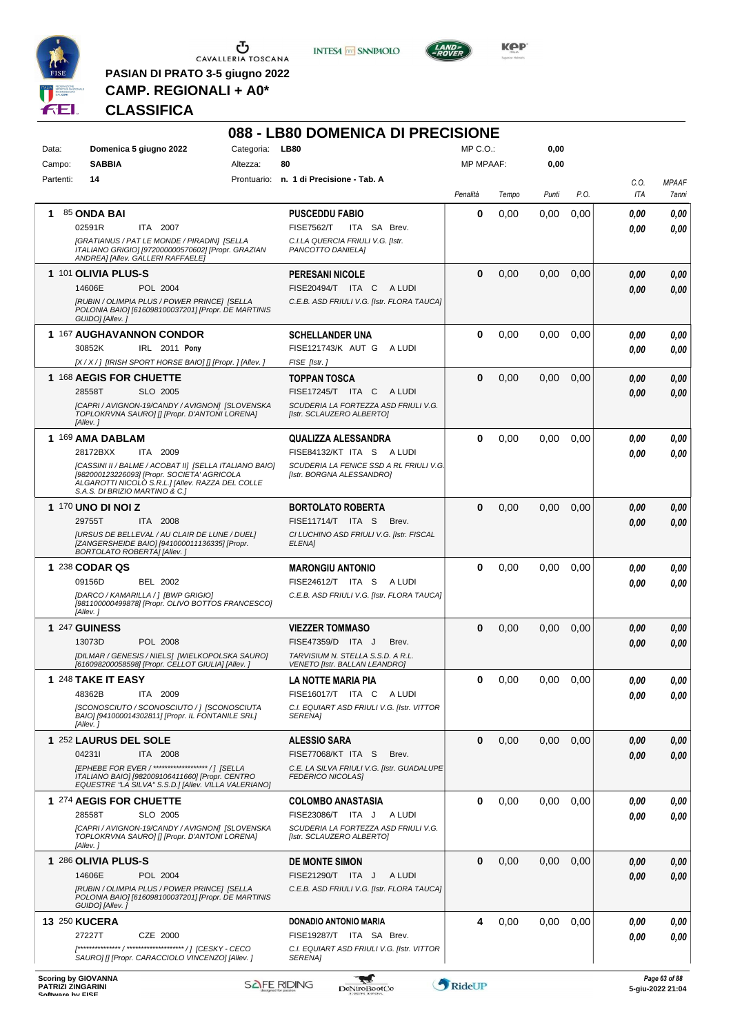

 $\begin{array}{c}\n\bullet \\
\bullet \\
\bullet \\
\bullet\n\end{array}$  CAVALLERIA TOSCANA

**PASIAN DI PRATO 3-5 giugno 2022 CAMP. REGIONALI + A0\***

**INTESA M** SANPAOLO



**KOP** 

# **CLASSIFICA**

|                                                                            |                                                                                                                                                              |            | 088 - LB80 DOMENICA DI PRECISIONE                                      |                  |       |       |      |                    |                                   |
|----------------------------------------------------------------------------|--------------------------------------------------------------------------------------------------------------------------------------------------------------|------------|------------------------------------------------------------------------|------------------|-------|-------|------|--------------------|-----------------------------------|
| Data:                                                                      | Domenica 5 giugno 2022                                                                                                                                       | Categoria: | <b>LB80</b>                                                            | $MP C. O.$ :     |       | 0,00  |      |                    |                                   |
| Campo:                                                                     | <b>SABBIA</b>                                                                                                                                                | Altezza:   | 80                                                                     | <b>MP MPAAF:</b> |       | 0,00  |      |                    |                                   |
| Partenti:                                                                  | 14                                                                                                                                                           |            | Prontuario: n. 1 di Precisione - Tab. A                                | Penalità         | Tempo | Punti | P.O. | C.O.<br><b>ITA</b> | <b>MPAAF</b><br>7anni             |
| 1.                                                                         | 85 ONDA BAI                                                                                                                                                  |            | <b>PUSCEDDU FABIO</b>                                                  | 0                | 0,00  | 0,00  | 0,00 | 0.00               | 0,00                              |
|                                                                            | ITA 2007<br>02591R                                                                                                                                           |            | <b>FISE7562/T</b><br>ITA SA Brev.                                      |                  |       |       |      | 0.00               | 0.00                              |
|                                                                            | [GRATIANUS / PAT LE MONDE / PIRADIN] [SELLA<br>ITALIANO GRIGIO] [972000000570602] [Propr. GRAZIAN                                                            |            | C.I.LA QUERCIA FRIULI V.G. [Istr.<br>PANCOTTO DANIELA]                 |                  |       |       |      |                    |                                   |
|                                                                            | ANDREA] [Allev. GALLERI RAFFAELE]                                                                                                                            |            |                                                                        |                  |       |       |      |                    |                                   |
|                                                                            | 1 101 OLIVIA PLUS-S                                                                                                                                          |            | <b>PERESANI NICOLE</b>                                                 | 0                | 0,00  | 0,00  | 0,00 | 0.00               | 0,00                              |
|                                                                            | 14606E<br>POL 2004                                                                                                                                           |            | FISE20494/T ITA C<br>A LUDI                                            |                  |       |       |      | 0.00               | 0,00                              |
|                                                                            | [RUBIN / OLIMPIA PLUS / POWER PRINCE] [SELLA<br>POLONIA BAIO] [616098100037201] [Propr. DE MARTINIS<br>GUIDO] [Allev.]                                       |            | C.E.B. ASD FRIULI V.G. [Istr. FLORA TAUCA]                             |                  |       |       |      |                    |                                   |
|                                                                            | 1 167 AUGHAVANNON CONDOR                                                                                                                                     |            | <b>SCHELLANDER UNA</b>                                                 | $\bf{0}$         | 0,00  | 0,00  | 0,00 | 0.00               | 0,00                              |
|                                                                            | IRL 2011 Pony<br>30852K                                                                                                                                      |            | FISE121743/K AUT G<br>A LUDI                                           |                  |       |       |      | 0.00               | 0,00                              |
|                                                                            | [X / X / ] [IRISH SPORT HORSE BAIO] [] [Propr. ] [Allev.]                                                                                                    |            | FISE [Istr.]                                                           |                  |       |       |      |                    |                                   |
|                                                                            | 1 168 AEGIS FOR CHUETTE                                                                                                                                      |            | <b>TOPPAN TOSCA</b>                                                    | $\bf{0}$         | 0,00  | 0.00  | 0,00 | 0.00               | 0,00                              |
|                                                                            | SLO 2005<br>28558T                                                                                                                                           |            | FISE17245/T ITA C<br>A LUDI                                            |                  |       |       |      | 0.00               | 0.00                              |
|                                                                            | [CAPRI / AVIGNON-19/CANDY / AVIGNON] [SLOVENSKA<br>TOPLOKRVNA SAUROJ [] [Propr. D'ANTONI LORENA]<br>[Allev.]                                                 |            | SCUDERIA LA FORTEZZA ASD FRIULI V.G.<br>[Istr. SCLAUZERO ALBERTO]      |                  |       |       |      |                    |                                   |
|                                                                            | 1 169 AMA DABLAM                                                                                                                                             |            | <b>QUALIZZA ALESSANDRA</b>                                             | $\bf{0}$         | 0,00  | 0,00  | 0,00 | 0.00               | 0,00                              |
|                                                                            | ITA 2009<br>28172BXX                                                                                                                                         |            | FISE84132/KT ITA S ALUDI                                               |                  |       |       |      | 0.00               | 0.00                              |
|                                                                            | [CASSINI II / BALME / ACOBAT II] [SELLA ITALIANO BAIO]<br>[982000123226093] [Propr. SOCIETA' AGRICOLA                                                        |            | SCUDERIA LA FENICE SSD A RL FRIULI V.G.<br>[Istr. BORGNA ALESSANDRO]   |                  |       |       |      |                    |                                   |
|                                                                            | ALGAROTTI NICOLÒ S.R.L.] [Allev. RAZZA DEL COLLE<br>S.A.S. DI BRIZIO MARTINO & C.]                                                                           |            |                                                                        |                  |       |       |      |                    |                                   |
|                                                                            | 1 170 UNO DI NOI Z                                                                                                                                           |            | <b>BORTOLATO ROBERTA</b>                                               | 0                | 0,00  | 0.00  | 0,00 | 0.00               | 0,00                              |
|                                                                            | 29755T<br>ITA 2008                                                                                                                                           |            | FISE11714/T ITA S<br>Brev.                                             |                  |       |       |      | 0.00               | 0.00                              |
|                                                                            | [URSUS DE BELLEVAL / AU CLAIR DE LUNE / DUEL]<br>[ZANGERSHEIDE BAIO] [941000011136335] [Propr.<br>BORTOLATO ROBERTA] [Allev.]                                |            | CI LUCHINO ASD FRIULI V.G. [Istr. FISCAL<br>ELENA]                     |                  |       |       |      |                    |                                   |
|                                                                            | 1 238 CODAR QS                                                                                                                                               |            | <b>MARONGIU ANTONIO</b>                                                | 0                | 0,00  | 0,00  | 0,00 | 0.00               | 0,00                              |
|                                                                            | <b>BEL 2002</b><br>09156D                                                                                                                                    |            | FISE24612/T ITA S<br>A LUDI                                            |                  |       |       |      | 0.00               | 0.00                              |
|                                                                            | [DARCO / KAMARILLA / ] [BWP GRIGIO]<br>[981100000499878] [Propr. OLIVO BOTTOS FRANCESCO]<br>[Allev.]                                                         |            | C.E.B. ASD FRIULI V.G. [Istr. FLORA TAUCA]                             |                  |       |       |      |                    |                                   |
|                                                                            | 1 247 GUINESS                                                                                                                                                |            | <b>VIEZZER TOMMASO</b>                                                 | 0                | 0,00  | 0,00  | 0,00 | 0.00               | 0,00                              |
|                                                                            | 13073D<br>POL 2008                                                                                                                                           |            | FISE47359/D ITA J<br>Brev.                                             |                  |       |       |      | 0.00               | 0.00                              |
|                                                                            | [DILMAR / GENESIS / NIELS] [WIELKOPOLSKA SAURO]<br>[616098200058598] [Propr. CELLOT GIULIA] [Allev. ]                                                        |            | TARVISIUM N. STELLA S.S.D. A R.L.<br>VENETO [Istr. BALLAN LEANDRO]     |                  |       |       |      |                    |                                   |
|                                                                            | 1 248 TAKE IT EASY                                                                                                                                           |            | LA NOTTE MARIA PIA                                                     | 0                | 0,00  | 0,00  | 0.00 | 0,00               | 0,00                              |
|                                                                            | 48362B<br>ITA 2009                                                                                                                                           |            | FISE16017/T ITA C<br>A LUDI                                            |                  |       |       |      | 0.00               | 0.00                              |
|                                                                            | [SCONOSCIUTO / SCONOSCIUTO / ] [SCONOSCIUTA<br>BAIO] [941000014302811] [Propr. IL FONTANILE SRL]                                                             |            | C.I. EQUIART ASD FRIULI V.G. [Istr. VITTOR<br><b>SERENAI</b>           |                  |       |       |      |                    |                                   |
|                                                                            | [Allev.]                                                                                                                                                     |            |                                                                        |                  |       |       |      |                    |                                   |
|                                                                            | 1 252 LAURUS DEL SOLE                                                                                                                                        |            | <b>ALESSIO SARA</b>                                                    | $\bf{0}$         | 0,00  | 0,00  | 0,00 | 0,00               | 0,00                              |
|                                                                            | 042311<br>ITA 2008                                                                                                                                           |            | FISE77068/KT ITA S<br>Brev.                                            |                  |       |       |      | 0,00               | 0,00                              |
|                                                                            | [EPHEBE FOR EVER / ******************* / ] [SELLA<br>ITALIANO BAIO] [982009106411660] [Propr. CENTRO<br>EQUESTRE "LA SILVA" S.S.D.] [Allev. VILLA VALERIANO] |            | C.E. LA SILVA FRIULI V.G. [Istr. GUADALUPE<br><b>FEDERICO NICOLAS]</b> |                  |       |       |      |                    |                                   |
|                                                                            | 1 274 AEGIS FOR CHUETTE                                                                                                                                      |            | <b>COLOMBO ANASTASIA</b>                                               | $\bf{0}$         | 0,00  | 0,00  | 0.00 | 0.00               | 0,00                              |
|                                                                            | 28558T<br>SLO 2005                                                                                                                                           |            | FISE23086/T ITA J<br>A LUDI                                            |                  |       |       |      | 0,00               | 0.00                              |
|                                                                            | [CAPRI / AVIGNON-19/CANDY / AVIGNON] [SLOVENSKA<br>TOPLOKRVNA SAURO] [] [Propr. D'ANTONI LORENA]<br>[Allev.]                                                 |            | SCUDERIA LA FORTEZZA ASD FRIULI V.G.<br>[Istr. SCLAUZERO ALBERTO]      |                  |       |       |      |                    |                                   |
|                                                                            | 1 286 OLIVIA PLUS-S                                                                                                                                          |            | <b>DE MONTE SIMON</b>                                                  | $\bf{0}$         | 0,00  | 0,00  | 0,00 | 0,00               | 0,00                              |
|                                                                            | 14606E<br>POL 2004                                                                                                                                           |            | FISE21290/T ITA J<br>A LUDI                                            |                  |       |       |      | 0.00               | 0,00                              |
|                                                                            | [RUBIN / OLIMPIA PLUS / POWER PRINCE] [SELLA<br>POLONIA BAIO] [616098100037201] [Propr. DE MARTINIS<br>GUIDO] [Allev.]                                       |            | C.E.B. ASD FRIULI V.G. [Istr. FLORA TAUCA]                             |                  |       |       |      |                    |                                   |
| <b>13 250 KUCERA</b>                                                       |                                                                                                                                                              |            | DONADIO ANTONIO MARIA                                                  | 4                | 0,00  | 0,00  | 0,00 | 0,00               | 0,00                              |
|                                                                            | 27227T<br>CZE 2000                                                                                                                                           |            | FISE19287/T ITA SA Brev.                                               |                  |       |       |      | 0,00               | 0,00                              |
|                                                                            | SAURO] [] [Propr. CARACCIOLO VINCENZO] [Allev. ]                                                                                                             |            | C.I. EQUIART ASD FRIULI V.G. [Istr. VITTOR<br>SERENA]                  |                  |       |       |      |                    |                                   |
| <b>Scoring by GIOVANNA</b><br><b>PATRIZI ZINGARINI</b><br>Coffware by EICE |                                                                                                                                                              |            | <b>SAFE RIDING</b><br>DeNiroBootCo                                     | RideUP           |       |       |      |                    | Page 63 of 88<br>5-giu-2022 21:04 |

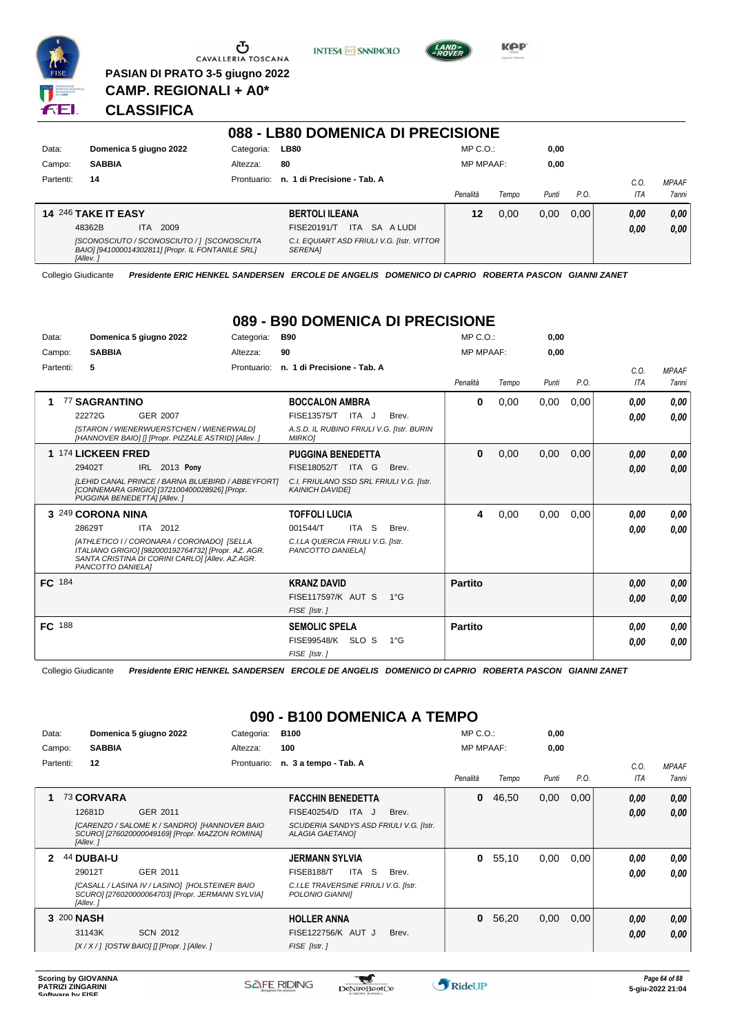

Ⴠ CAVALLERIA TOSCANA **PASIAN DI PRATO 3-5 giugno 2022**





### **CLASSIFICA**

**CAMP. REGIONALI + A0\***

|           |                                                                                                              |             | 088 - LB80 DOMENICA DI PRECISIONE                            |                  |       |       |      |            |              |
|-----------|--------------------------------------------------------------------------------------------------------------|-------------|--------------------------------------------------------------|------------------|-------|-------|------|------------|--------------|
| Data:     | Domenica 5 giugno 2022                                                                                       | Categoria:  | <b>LB80</b>                                                  | $MP C. O.$ :     |       | 0,00  |      |            |              |
| Campo:    | <b>SABBIA</b>                                                                                                | Altezza:    | 80                                                           | <b>MP MPAAF:</b> |       | 0,00  |      |            |              |
| Partenti: | 14                                                                                                           | Prontuario: | n. 1 di Precisione - Tab. A                                  |                  |       |       |      | C.O.       | <b>MPAAF</b> |
|           |                                                                                                              |             |                                                              | Penalità         | Tempo | Punti | P.O. | <b>ITA</b> | 7anni        |
|           | <b>14 246 TAKE IT EASY</b>                                                                                   |             | <b>BERTOLI ILEANA</b>                                        | 12               | 0.00  | 0.00  | 0.00 | 0,00       | 0,00         |
|           | 2009<br>48362B<br>ITA.                                                                                       |             | <b>ITA</b><br>SA A LUDI<br>FISE20191/T                       |                  |       |       |      | 0,00       | 0,00         |
|           | [SCONOSCIUTO / SCONOSCIUTO / ] [SCONOSCIUTA<br>BAIO] [941000014302811] [Propr. IL FONTANILE SRL]<br>[Allev.] |             | C.I. EQUIART ASD FRIULI V.G. [Istr. VITTOR<br><b>SERENAI</b> |                  |       |       |      |            |              |

Collegio Giudicante *Presidente ERIC HENKEL SANDERSEN ERCOLE DE ANGELIS DOMENICO DI CAPRIO ROBERTA PASCON GIANNI ZANET*

#### **089 - B90 DOMENICA DI PRECISIONE**

| Data:     | Domenica 5 giugno 2022                                                                                                                                                    | Categoria:  | <b>B90</b>                                                         |               | $MP C. O.$ :     |       | 0,00  |      |            |              |
|-----------|---------------------------------------------------------------------------------------------------------------------------------------------------------------------------|-------------|--------------------------------------------------------------------|---------------|------------------|-------|-------|------|------------|--------------|
| Campo:    | <b>SABBIA</b>                                                                                                                                                             | Altezza:    | 90                                                                 |               | <b>MP MPAAF:</b> |       | 0,00  |      |            |              |
| Partenti: | 5                                                                                                                                                                         | Prontuario: | n. 1 di Precisione - Tab. A                                        |               |                  |       |       |      | C.O.       | <b>MPAAF</b> |
|           |                                                                                                                                                                           |             |                                                                    |               | Penalità         | Tempo | Punti | P.O. | <b>ITA</b> | <b>7anni</b> |
| 1         | <b>77 SAGRANTINO</b>                                                                                                                                                      |             | <b>BOCCALON AMBRA</b>                                              |               | 0                | 0,00  | 0,00  | 0,00 | 0.00       | 0,00         |
|           | 22272G<br>GER 2007                                                                                                                                                        |             | <b>FISE13575/T</b><br>ITA J                                        | Brev.         |                  |       |       |      | 0,00       | 0,00         |
|           | [STARON / WIENERWUERSTCHEN / WIENERWALD]<br>[HANNOVER BAIO] [] [Propr. PIZZALE ASTRID] [Allev. ]                                                                          |             | A.S.D. IL RUBINO FRIULI V.G. [Istr. BURIN<br><b>MIRKO]</b>         |               |                  |       |       |      |            |              |
|           | 1 174 LICKEEN FRED                                                                                                                                                        |             | <b>PUGGINA BENEDETTA</b>                                           |               | 0                | 0,00  | 0,00  | 0,00 | 0,00       | 0,00         |
|           | 29402T<br>IRL 2013 Pony                                                                                                                                                   |             | FISE18052/T<br>ITA G                                               | Brev.         |                  |       |       |      | 0,00       | 0,00         |
|           | [LEHID CANAL PRINCE / BARNA BLUEBIRD / ABBEYFORT]<br>[CONNEMARA GRIGIO] [372100400028926] [Propr.<br>PUGGINA BENEDETTA] [Allev.]                                          |             | C.I. FRIULANO SSD SRL FRIULI V.G. [Istr.<br><b>KAINICH DAVIDEI</b> |               |                  |       |       |      |            |              |
|           | 3 249 CORONA NINA                                                                                                                                                         |             | <b>TOFFOLI LUCIA</b>                                               |               | 4                | 0,00  | 0,00  | 0,00 | 0,00       | 0,00         |
|           | ITA 2012<br>28629T                                                                                                                                                        |             | 001544/T<br>ITA S                                                  | Brev.         |                  |       |       |      | 0,00       | 0,00         |
|           | [ATHLETICO I / CORONARA / CORONADO] [SELLA<br>ITALIANO GRIGIO] [982000192764732] [Propr. AZ. AGR.<br>SANTA CRISTINA DI CORINI CARLO] [Allev. AZ.AGR.<br>PANCOTTO DANIELA] |             | C.I.LA QUERCIA FRIULI V.G. [Istr.<br>PANCOTTO DANIELA]             |               |                  |       |       |      |            |              |
| FC 184    |                                                                                                                                                                           |             | <b>KRANZ DAVID</b>                                                 |               | <b>Partito</b>   |       |       |      | 0,00       | 0,00         |
|           |                                                                                                                                                                           |             | <b>FISE117597/K AUT S</b>                                          | $1^{\circ}G$  |                  |       |       |      | 0,00       | 0,00         |
|           |                                                                                                                                                                           |             | FISE [Istr.]                                                       |               |                  |       |       |      |            |              |
| FC 188    |                                                                                                                                                                           |             | <b>SEMOLIC SPELA</b>                                               |               | <b>Partito</b>   |       |       |      | 0,00       | 0,00         |
|           |                                                                                                                                                                           |             | FISE99548/K SLO S                                                  | $1^{\circ}$ G |                  |       |       |      | 0,00       | 0,00         |
|           |                                                                                                                                                                           |             | FISE [Istr.]                                                       |               |                  |       |       |      |            |              |

Collegio Giudicante *Presidente ERIC HENKEL SANDERSEN ERCOLE DE ANGELIS DOMENICO DI CAPRIO ROBERTA PASCON GIANNI ZANET*

### **090 - B100 DOMENICA A TEMPO**

| Data:     |            |               | Domenica 5 giugno 2022                                                                             | Categoria:  | <b>B100</b>                                                      |       | $MP C. O.$ :     |       | 0,00  |      |            |              |
|-----------|------------|---------------|----------------------------------------------------------------------------------------------------|-------------|------------------------------------------------------------------|-------|------------------|-------|-------|------|------------|--------------|
| Campo:    |            | <b>SABBIA</b> |                                                                                                    | Altezza:    | 100                                                              |       | <b>MP MPAAF:</b> |       | 0,00  |      |            |              |
| Partenti: |            | 12            |                                                                                                    | Prontuario: | n. 3 a tempo - Tab. A                                            |       |                  |       |       |      | C.O.       | <b>MPAAF</b> |
|           |            |               |                                                                                                    |             |                                                                  |       | Penalità         | Tempo | Punti | P.O. | <b>ITA</b> | 7anni        |
|           |            | 73 CORVARA    |                                                                                                    |             | <b>FACCHIN BENEDETTA</b>                                         |       | 0                | 46,50 | 0,00  | 0,00 | 0,00       | 0,00         |
|           |            | 12681D        | GER 2011                                                                                           |             | FISE40254/D<br>ITA J                                             | Brev. |                  |       |       |      | 0,00       | 0,00         |
|           |            | [Allev.]      | [CARENZO / SALOME K / SANDRO] [HANNOVER BAIO<br>SCURO] [276020000049169] [Propr. MAZZON ROMINA]    |             | SCUDERIA SANDYS ASD FRIULI V.G. [Istr.<br><b>ALAGIA GAETANOI</b> |       |                  |       |       |      |            |              |
| 2         |            | 44 DUBAI-U    |                                                                                                    |             | <b>JERMANN SYLVIA</b>                                            |       | 0                | 55,10 | 0,00  | 0,00 | 0.00       | 0,00         |
|           |            | 29012T        | GER 2011                                                                                           |             | ITA S<br><b>FISE8188/T</b>                                       | Brev. |                  |       |       |      | 0.00       | 0.00         |
|           |            | [Allev.]      | [CASALL / LASINA IV / LASINO] [HOLSTEINER BAIO<br>SCURO] [276020000064703] [Propr. JERMANN SYLVIA] |             | C.I.LE TRAVERSINE FRIULI V.G. [Istr.<br>POLONIO GIANNII          |       |                  |       |       |      |            |              |
|           | 3 200 NASH |               |                                                                                                    |             | <b>HOLLER ANNA</b>                                               |       | 0                | 56,20 | 0,00  | 0,00 | 0,00       | 0.00         |
|           |            | 31143K        | <b>SCN 2012</b>                                                                                    |             | FISE122756/K AUT J                                               | Brev. |                  |       |       |      | 0,00       | 0.00         |
|           |            |               | [X / X / ] [OSTW BAIO] [] [Propr. ] [Allev. ]                                                      |             | FISE [Istr.]                                                     |       |                  |       |       |      |            |              |

 $\mathcal{L}$ 

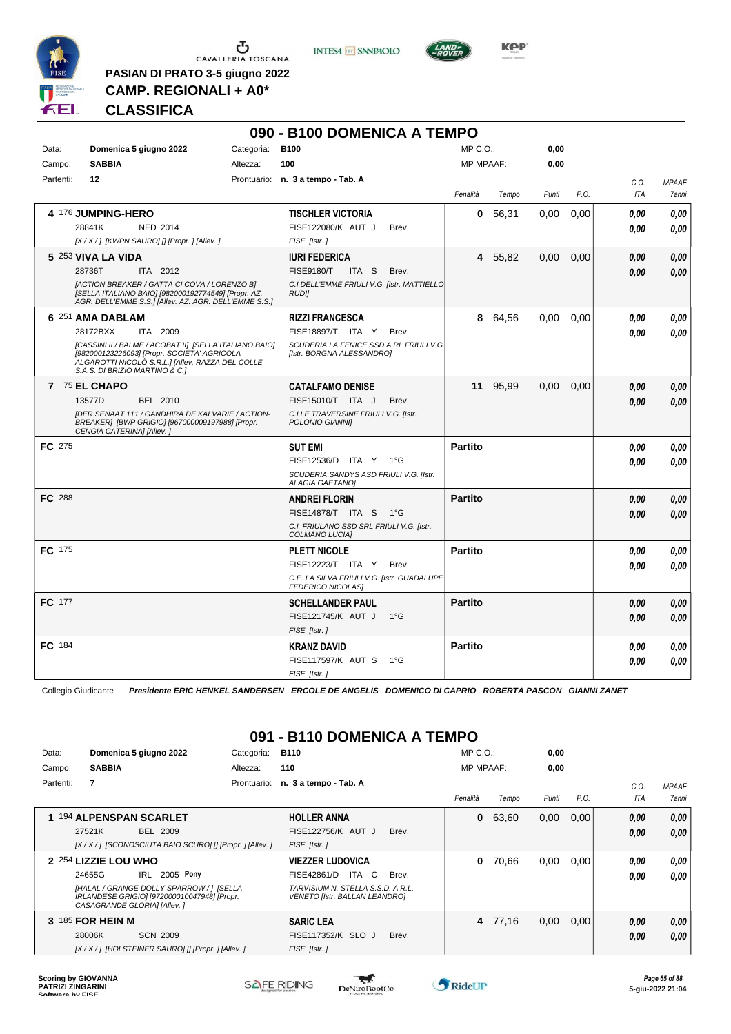

 $\begin{array}{c}\n\bullet \\
\bullet \\
\bullet \\
\bullet \\
\bullet\n\end{array}$  CAVALLERIA TOSCANA

**PASIAN DI PRATO 3-5 giugno 2022 CAMP. REGIONALI + A0\***

**INTESA** M SANPAOLO



**Kep** 

# **CLASSIFICA**

|               |                                                                                                                                                                                             |            | 090 - B100 DOMENICA A TEMPO                                            |                  |          |       |      |      |              |
|---------------|---------------------------------------------------------------------------------------------------------------------------------------------------------------------------------------------|------------|------------------------------------------------------------------------|------------------|----------|-------|------|------|--------------|
| Data:         | Domenica 5 giugno 2022                                                                                                                                                                      | Categoria: | <b>B100</b>                                                            | $MP C. O.$ :     |          | 0,00  |      |      |              |
| Campo:        | <b>SABBIA</b>                                                                                                                                                                               | Altezza:   | 100                                                                    | <b>MP MPAAF:</b> |          | 0,00  |      |      |              |
| Partenti:     | 12                                                                                                                                                                                          |            | Prontuario: n. 3 a tempo - Tab. A                                      |                  |          |       |      | C.O. | <b>MPAAF</b> |
|               |                                                                                                                                                                                             |            |                                                                        | Penalità         | Tempo    | Punti | P.O. | ITA  | 7anni        |
|               | 4 176 JUMPING-HERO                                                                                                                                                                          |            | <b>TISCHLER VICTORIA</b>                                               | 0                | 56,31    | 0,00  | 0,00 | 0.00 | 0,00         |
|               | 28841K<br>NED 2014                                                                                                                                                                          |            | FISE122080/K AUT J<br>Brev.                                            |                  |          |       |      | 0.00 | 0.00         |
|               | $[X/X$ / ] [KWPN SAURO] [] [Propr. ] [Allev. ]                                                                                                                                              |            | FISE [Istr.]                                                           |                  |          |       |      |      |              |
|               | 5 253 VIVA LA VIDA                                                                                                                                                                          |            | <b>IURI FEDERICA</b>                                                   |                  | 4 55,82  | 0,00  | 0,00 | 0.00 | 0,00         |
|               | 28736T<br>ITA 2012                                                                                                                                                                          |            | <b>FISE9180/T</b><br>ITA S<br>Brev.                                    |                  |          |       |      | 0.00 | 0.00         |
|               | [ACTION BREAKER / GATTA CI COVA / LORENZO B]<br>[SELLA ITALIANO BAIO] [982000192774549] [Propr. AZ.<br>AGR. DELL'EMME S.S.] [Allev. AZ. AGR. DELL'EMME S.S.]                                |            | C.I.DELL'EMME FRIULI V.G. [Istr. MATTIELLO<br><b>RUDII</b>             |                  |          |       |      |      |              |
|               | 6 251 AMA DABLAM                                                                                                                                                                            |            | <b>RIZZI FRANCESCA</b>                                                 |                  | 8 64,56  | 0.00  | 0.00 | 0.00 | 0,00         |
|               | 28172BXX<br>ITA 2009                                                                                                                                                                        |            | FISE18897/T ITA Y<br>Brev.                                             |                  |          |       |      | 0.00 | 0.00         |
|               | [CASSINI II / BALME / ACOBAT II] [SELLA ITALIANO BAIO]<br>[982000123226093] [Propr. SOCIETA' AGRICOLA<br>ALGAROTTI NICOLO S.R.L.] [Allev. RAZZA DEL COLLE<br>S.A.S. DI BRIZIO MARTINO & C.1 |            | SCUDERIA LA FENICE SSD A RL FRIULI V.G.<br>[Istr. BORGNA ALESSANDRO]   |                  |          |       |      |      |              |
|               | 7 75 EL CHAPO                                                                                                                                                                               |            | <b>CATALFAMO DENISE</b>                                                |                  | 11 95,99 | 0,00  | 0,00 | 0.00 | 0,00         |
|               | 13577D<br>BEL 2010                                                                                                                                                                          |            | FISE15010/T ITA J<br>Brev.                                             |                  |          |       |      | 0.00 | 0,00         |
|               | <b>IDER SENAAT 111 / GANDHIRA DE KALVARIE / ACTION-</b><br>BREAKER] [BWP GRIGIO] [967000009197988] [Propr.<br>CENGIA CATERINA] [Allev.]                                                     |            | C.I.LE TRAVERSINE FRIULI V.G. [Istr.<br>POLONIO GIANNII                |                  |          |       |      |      |              |
| <b>FC</b> 275 |                                                                                                                                                                                             |            | <b>SUT EMI</b>                                                         | <b>Partito</b>   |          |       |      | 0.00 | 0,00         |
|               |                                                                                                                                                                                             |            | FISE12536/D ITA Y 1°G                                                  |                  |          |       |      | 0.00 | 0.00         |
|               |                                                                                                                                                                                             |            | SCUDERIA SANDYS ASD FRIULI V.G. [Istr.<br><b>ALAGIA GAETANOI</b>       |                  |          |       |      |      |              |
| <b>FC 288</b> |                                                                                                                                                                                             |            | <b>ANDREI FLORIN</b>                                                   | <b>Partito</b>   |          |       |      | 0.00 | 0,00         |
|               |                                                                                                                                                                                             |            | <b>FISE14878/T ITA S</b><br>$1^{\circ}G$                               |                  |          |       |      | 0.00 | 0.00         |
|               |                                                                                                                                                                                             |            | C.I. FRIULANO SSD SRL FRIULI V.G. [Istr.<br>COLMANO LUCIA]             |                  |          |       |      |      |              |
| <b>FC</b> 175 |                                                                                                                                                                                             |            | <b>PLETT NICOLE</b>                                                    | <b>Partito</b>   |          |       |      | 0.00 | 0,00         |
|               |                                                                                                                                                                                             |            | FISE12223/T ITA Y<br>Brev.                                             |                  |          |       |      | 0.00 | 0.00         |
|               |                                                                                                                                                                                             |            | C.E. LA SILVA FRIULI V.G. [Istr. GUADALUPE<br><b>FEDERICO NICOLAS]</b> |                  |          |       |      |      |              |
| FC 177        |                                                                                                                                                                                             |            | <b>SCHELLANDER PAUL</b>                                                | <b>Partito</b>   |          |       |      | 0.00 | 0,00         |
|               |                                                                                                                                                                                             |            | FISE121745/K AUT J<br>$1^{\circ}G$                                     |                  |          |       |      | 0.00 | 0,00         |
|               |                                                                                                                                                                                             |            | FISE [Istr.]                                                           |                  |          |       |      |      |              |
| FC 184        |                                                                                                                                                                                             |            | KRANZ DAVID                                                            | <b>Partito</b>   |          |       |      | 0.00 | 0,00         |
|               |                                                                                                                                                                                             |            | FISE117597/K AUT S<br>$1^{\circ}G$                                     |                  |          |       |      | 0.00 | 0,00         |
|               |                                                                                                                                                                                             |            | FISE [Istr.]                                                           |                  |          |       |      |      |              |

Collegio Giudicante *Presidente ERIC HENKEL SANDERSEN ERCOLE DE ANGELIS DOMENICO DI CAPRIO ROBERTA PASCON GIANNI ZANET*

# **091 - B110 DOMENICA A TEMPO**

| Data:     | Domenica 5 giugno 2022                                                                                                 | Categoria:  | <b>B110</b>                                                               | $MP C. O.$ :     |       | 0,00  |      |      |              |
|-----------|------------------------------------------------------------------------------------------------------------------------|-------------|---------------------------------------------------------------------------|------------------|-------|-------|------|------|--------------|
| Campo:    | <b>SABBIA</b>                                                                                                          | Altezza:    | 110                                                                       | <b>MP MPAAF:</b> |       | 0,00  |      |      |              |
| Partenti: | $\overline{7}$                                                                                                         | Prontuario: | n. 3 a tempo - Tab. A                                                     |                  |       |       |      | C.0  | <b>MPAAF</b> |
|           |                                                                                                                        |             |                                                                           | Penalità         | Tempo | Punti | P.O. | ITA  | 7anni        |
|           | 194 ALPENSPAN SCARLET                                                                                                  |             | <b>HOLLER ANNA</b>                                                        | 0                | 63,60 | 0,00  | 0,00 | 0,00 | 0.00         |
|           | <b>BEL 2009</b><br>27521K                                                                                              |             | FISE122756/K AUT J<br>Brev.                                               |                  |       |       |      | 0,00 | 0.00         |
|           | [X/X/] [SCONOSCIUTA BAIO SCURO] [] [Propr. ] [Allev. ]                                                                 |             | FISE [Istr.]                                                              |                  |       |       |      |      |              |
|           | 2 254 LIZZIE LOU WHO                                                                                                   |             | <b>VIEZZER LUDOVICA</b>                                                   | 0                | 70,66 | 0,00  | 0.00 | 0.00 | 0,00         |
|           | 2005 Pony<br>24655G<br>IRL                                                                                             |             | FISE42861/D<br>ITA C<br>Brev.                                             |                  |       |       |      | 0,00 | 0,00         |
|           | [HALAL / GRANGE DOLLY SPARROW / 1 [SELLA<br>IRLANDESE GRIGIO] [972000010047948] [Propr.<br>CASAGRANDE GLORIAI [Allev.] |             | TARVISIUM N. STELLA S.S.D. A R.L.<br><b>VENETO [Istr. BALLAN LEANDRO]</b> |                  |       |       |      |      |              |
|           | 3 185 FOR HEIN M                                                                                                       |             | <b>SARIC LEA</b>                                                          | 4                | 77.16 | 0,00  | 0.00 | 0,00 | 0.00         |
|           | 28006K<br><b>SCN 2009</b>                                                                                              |             | FISE117352/K SLO J<br>Brev.                                               |                  |       |       |      | 0,00 | 0,00         |
|           | [X / X / ] [HOLSTEINER SAURO] [] [Propr. ] [Allev. ]                                                                   |             | FISE [Istr.]                                                              |                  |       |       |      |      |              |

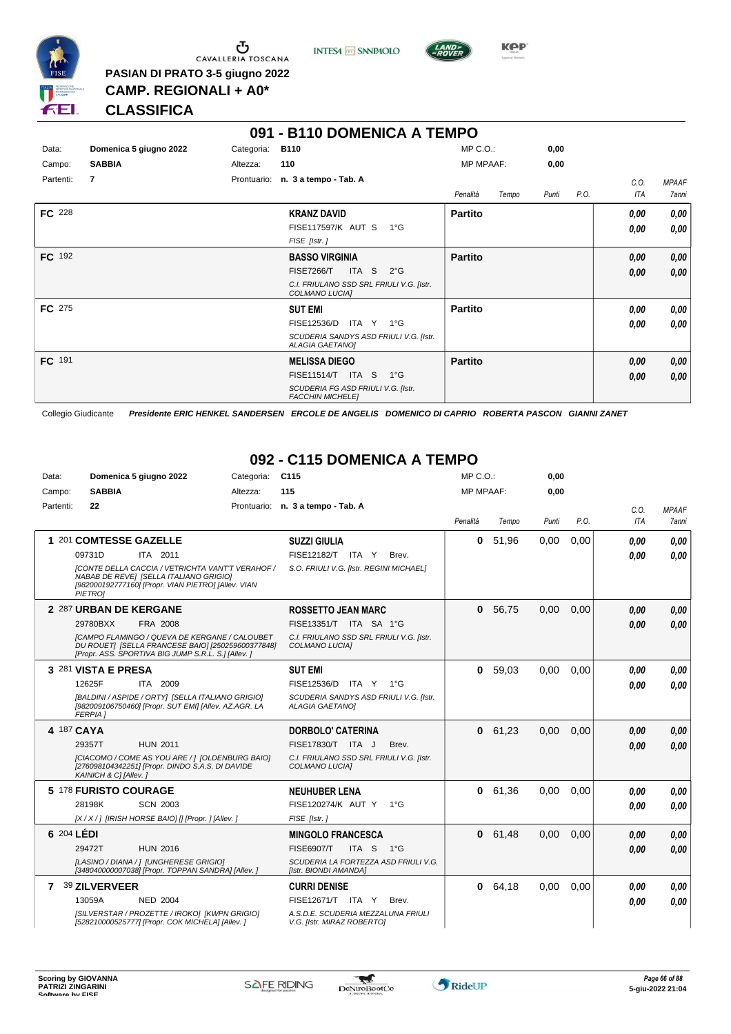

Ⴠ CAVALLERIA TOSCANA **PASIAN DI PRATO 3-5 giugno 2022**





**CLASSIFICA**

**CAMP. REGIONALI + A0\***

#### **091 - B110 DOMENICA A TEMPO** Data: **Domenica 5 giugno 2022** Categoria: B110 Prontuario: **n. 3 a tempo - Tab. A** Campo: **SABBIA** Partenti: **7** Altezza: **110** MP C.O.: MP MPAAF: **0,00 0,00** *Penalità Tempo Punti P.O. C.O. ITA MPAAF 7anni* **FC** 228 **KRANZ DAVID** *FISE [Istr. ]* AUT S 1°G FISE117597/K *0,00* **Partito** *0,00 0,00 0,00* **FC** 192 **BASSO VIRGINIA** *C.I. FRIULANO SSD SRL FRIULI V.G. [Istr. COLMANO LUCIA]* ITA S 2°G FISE7266/T *0,00* **Partito** *0,00 0,00 0,00* **FC** 275 **SUT EMI** *SCUDERIA SANDYS ASD FRIULI V.G. [Istr. ALAGIA GAETANO]* ITA Y 1°G FISE12536/D *0,00* **Partito** *0,00 0,00 0,00* **FC** 191 **MELISSA DIEGO** *SCUDERIA FG ASD FRIULI V.G. [Istr. FACCHIN MICHELE]* ITA S 1°G FISE11514/T *0,00* **Partito** *0,00 0,00 0,00*

Collegio Giudicante *Presidente ERIC HENKEL SANDERSEN ERCOLE DE ANGELIS DOMENICO DI CAPRIO ROBERTA PASCON GIANNI ZANET*

# **092 - C115 DOMENICA A TEMPO**

| Data:        | Domenica 5 giugno 2022                                                                                                                                              | Categoria: | C <sub>115</sub>                                                 | MP C.O.:         |         | 0,00  |      |            |              |
|--------------|---------------------------------------------------------------------------------------------------------------------------------------------------------------------|------------|------------------------------------------------------------------|------------------|---------|-------|------|------------|--------------|
| Campo:       | <b>SABBIA</b>                                                                                                                                                       | Altezza:   | 115                                                              | <b>MP MPAAF:</b> |         | 0.00  |      |            |              |
| Partenti:    | 22                                                                                                                                                                  |            | Prontuario: n. 3 a tempo - Tab. A                                |                  |         |       |      | C.O.       | <b>MPAAF</b> |
|              |                                                                                                                                                                     |            |                                                                  | Penalità         | Tempo   | Punti | P.O. | <b>ITA</b> | 7anni        |
|              | 1 201 COMTESSE GAZELLE                                                                                                                                              |            | <b>SUZZI GIULIA</b>                                              | 0                | 51,96   | 0,00  | 0,00 | 0.00       | 0.00         |
|              | 09731D<br>ITA 2011                                                                                                                                                  |            | FISE12182/T ITA Y<br>Brev.                                       |                  |         |       |      | 0.00       | 0.00         |
|              | <b>[CONTE DELLA CACCIA / VETRICHTA VANT'T VERAHOF /</b><br>NABAB DE REVEI [SELLA ITALIANO GRIGIO]<br>[982000192777160] [Propr. VIAN PIETRO] [Allev. VIAN<br>PIETRO] |            | S.O. FRIULI V.G. [Istr. REGINI MICHAEL]                          |                  |         |       |      |            |              |
|              | 2 287 URBAN DE KERGANE                                                                                                                                              |            | <b>ROSSETTO JEAN MARC</b>                                        | 0                | 56,75   | 0,00  | 0,00 | 0.00       | 0.00         |
|              | 29780BXX<br>FRA 2008                                                                                                                                                |            | FISE13351/T ITA SA 1°G                                           |                  |         |       |      | 0.00       | 0.00         |
|              | <b>ICAMPO FLAMINGO / QUEVA DE KERGANE / CALOUBET</b><br>DU ROUETI [SELLA FRANCESE BAIO] [250259600377848]<br>[Propr. ASS. SPORTIVA BIG JUMP S.R.L. S.] [Allev.]     |            | C.I. FRIULANO SSD SRL FRIULI V.G. [Istr.<br>COLMANO LUCIAI       |                  |         |       |      |            |              |
|              | 3 281 VISTA E PRESA                                                                                                                                                 |            | <b>SUT EMI</b>                                                   | 0                | 59,03   | 0,00  | 0,00 | 0.00       | 0.00         |
|              | 12625F<br>ITA 2009                                                                                                                                                  |            | FISE12536/D<br>ITA Y 1°G                                         |                  |         |       |      | 0.00       | 0.00         |
|              | [BALDINI / ASPIDE / ORTY] [SELLA ITALIANO GRIGIO]<br>[982009106750460] [Propr. SUT EMI] [Allev. AZ.AGR. LA<br><b>FERPIA 1</b>                                       |            | SCUDERIA SANDYS ASD FRIULI V.G. [Istr.<br><b>ALAGIA GAETANOI</b> |                  |         |       |      |            |              |
|              | 4 187 CAYA                                                                                                                                                          |            | <b>DORBOLO' CATERINA</b>                                         |                  | 0 61,23 | 0.00  | 0,00 | 0,00       | 0,00         |
|              | <b>HUN 2011</b><br>29357T                                                                                                                                           |            | FISE17830/T ITA J<br>Brev.                                       |                  |         |       |      | 0.00       | 0.00         |
|              | [CIACOMO / COME AS YOU ARE / 1 [OLDENBURG BAIO]<br>[276098104342251] [Propr. DINDO S.A.S. DI DAVIDE<br>KAINICH & C] [Allev.]                                        |            | C.I. FRIULANO SSD SRL FRIULI V.G. [Istr.<br>COLMANO LUCIA]       |                  |         |       |      |            |              |
|              | 5 178 FURISTO COURAGE                                                                                                                                               |            | <b>NEUHUBER LENA</b>                                             | 0                | 61.36   | 0.00  | 0,00 | 0,00       | 0.00         |
|              | 28198K<br><b>SCN 2003</b>                                                                                                                                           |            | FISE120274/K AUT Y 1°G                                           |                  |         |       |      | 0.00       | 0.00         |
|              | [X / X / ] [IRISH HORSE BAIO] [] [Propr. ] [Allev. ]                                                                                                                |            | FISE [Istr.]                                                     |                  |         |       |      |            |              |
|              | 6 204 LÉDI                                                                                                                                                          |            | <b>MINGOLO FRANCESCA</b>                                         |                  | 0 61,48 | 0,00  | 0,00 | 0.00       | 0.00         |
|              | 29472T<br><b>HUN 2016</b>                                                                                                                                           |            | ITA S<br><b>FISE6907/T</b><br>$1^{\circ}G$                       |                  |         |       |      | 0.00       | 0.00         |
|              | [LASINO / DIANA / 1 [UNGHERESE GRIGIO]<br>[348040000007038] [Propr. TOPPAN SANDRA] [Allev. ]                                                                        |            | SCUDERIA LA FORTEZZA ASD FRIULI V.G.<br>[Istr. BIONDI AMANDA]    |                  |         |       |      |            |              |
| $\mathbf{7}$ | 39 ZILVERVEER                                                                                                                                                       |            | <b>CURRI DENISE</b>                                              |                  | 0 64,18 | 0.00  | 0.00 | 0,00       | 0.00         |
|              | 13059A<br><b>NED 2004</b>                                                                                                                                           |            | FISE12671/T ITA Y<br>Brev.                                       |                  |         |       |      | 0.00       | 0.00         |
|              | [SILVERSTAR / PROZETTE / IROKO] [KWPN GRIGIO]<br>[528210000525777] [Propr. COK MICHELA] [Allev.]                                                                    |            | A.S.D.E. SCUDERIA MEZZALUNA FRIULI<br>V.G. [Istr. MIRAZ ROBERTO] |                  |         |       |      |            |              |

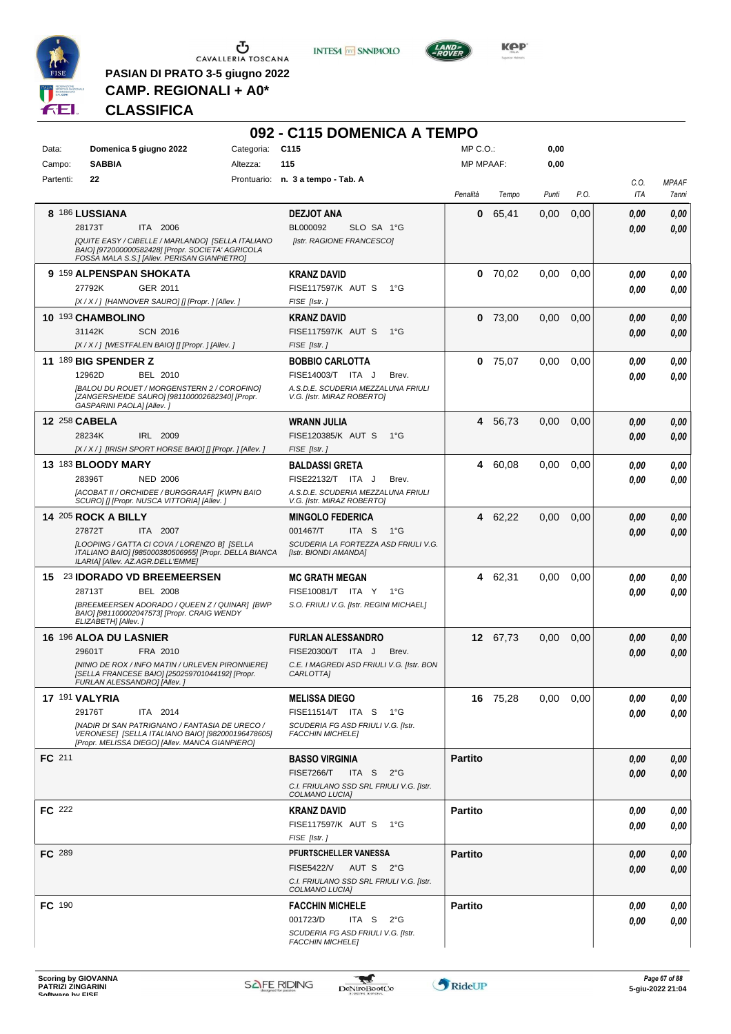

 $\begin{array}{c}\n\bullet \\
\bullet \\
\bullet \\
\bullet\n\end{array}$  CAVALLERIA TOSCANA

**PASIAN DI PRATO 3-5 giugno 2022 CAMP. REGIONALI + A0\***

**INTESA M** SANPAOLO



# **CLASSIFICA**

|               |                                                                                                                                                        |            | 092 - C115 DOMENICA A TEMPO                                      |                  |          |       |               |             |                       |
|---------------|--------------------------------------------------------------------------------------------------------------------------------------------------------|------------|------------------------------------------------------------------|------------------|----------|-------|---------------|-------------|-----------------------|
| Data:         | Domenica 5 giugno 2022                                                                                                                                 | Categoria: | C <sub>115</sub>                                                 | MP C. O.         |          | 0,00  |               |             |                       |
| Campo:        | <b>SABBIA</b>                                                                                                                                          | Altezza:   | 115                                                              | <b>MP MPAAF:</b> |          | 0,00  |               |             |                       |
| Partenti:     | 22                                                                                                                                                     |            | Prontuario: n. 3 a tempo - Tab. A                                | Penalità         | Tempo    | Punti | P.O.          | C.O.<br>ITA | <b>MPAAF</b><br>7anni |
|               | 8 186 LUSSIANA                                                                                                                                         |            | <b>DEZJOT ANA</b>                                                | 0                | 65,41    | 0,00  | 0,00          | 0.00        | 0,00                  |
|               | 28173T<br>ITA 2006                                                                                                                                     |            | BL000092<br>SLO SA 1°G                                           |                  |          |       |               | 0.00        | 0,00                  |
|               | [QUITE EASY / CIBELLE / MARLANDO] [SELLA ITALIANO<br>BAIO] [972000000582428] [Propr. SOCIETA' AGRICOLA<br>FOSSA MALA S.S.] [Allev. PERISAN GIANPIETRO] |            | [Istr. RAGIONE FRANCESCO]                                        |                  |          |       |               |             |                       |
|               | 9 159 ALPENSPAN SHOKATA                                                                                                                                |            | <b>KRANZ DAVID</b>                                               | 0                | 70,02    | 0,00  | 0,00          | 0.00        | 0,00                  |
|               | 27792K<br>GER 2011                                                                                                                                     |            | FISE117597/K AUT S<br>$1^{\circ}G$                               |                  |          |       |               | 0.00        | 0,00                  |
|               | [X / X / ] [HANNOVER SAURO] [] [Propr. ] [Allev. ]                                                                                                     |            | FISE [Istr.]                                                     |                  |          |       |               |             |                       |
|               | 10 193 CHAMBOLINO                                                                                                                                      |            | <b>KRANZ DAVID</b>                                               | 0                | 73,00    | 0,00  | 0,00          | 0.00        | 0,00                  |
|               | 31142K<br><b>SCN 2016</b>                                                                                                                              |            | FISE117597/K AUT S<br>$1^{\circ}G$                               |                  |          |       |               | 0.00        | 0,00                  |
|               | [X / X / ] [WESTFALEN BAIO] [] [Propr. ] [Allev. ]                                                                                                     |            | FISE [Istr.]                                                     |                  |          |       |               |             |                       |
|               | 11 189 BIG SPENDER Z<br>12962D<br>BEL 2010                                                                                                             |            | <b>BOBBIO CARLOTTA</b><br>FISE14003/T ITA J<br>Brev.             | 0                | 75,07    | 0.00  | 0,00          | 0.00        | 0,00                  |
|               | [BALOU DU ROUET / MORGENSTERN 2 / COROFINO]                                                                                                            |            | A.S.D.E. SCUDERIA MEZZALUNA FRIULI                               |                  |          |       |               | 0.00        | 0,00                  |
|               | [ZANGERSHEIDE SAURO] [981100002682340] [Propr.<br>GASPARINI PAOLA] [Allev.]                                                                            |            | V.G. [Istr. MIRAZ ROBERTO]                                       |                  |          |       |               |             |                       |
|               | <b>12 258 CABELA</b>                                                                                                                                   |            | <b>WRANN JULIA</b>                                               | 4                | 56.73    | 0,00  | 0,00          | 0.00        | 0,00                  |
|               | 28234K<br>IRL 2009                                                                                                                                     |            | FISE120385/K AUT S<br>$1^{\circ}G$                               |                  |          |       |               | 0.00        | 0,00                  |
|               | [X / X / ] [IRISH SPORT HORSE BAIO] [] [Propr. ] [Allev. ]                                                                                             |            | FISE [Istr.]                                                     |                  |          |       |               |             |                       |
|               | 13 183 BLOODY MARY<br>28396T                                                                                                                           |            | <b>BALDASSI GRETA</b>                                            | 4                | 60,08    | 0,00  | 0.00          | 0.00        | 0,00                  |
|               | <b>NED 2006</b><br>[ACOBAT II / ORCHIDEE / BURGGRAAF] [KWPN BAIO                                                                                       |            | FISE22132/T ITA J<br>Brev.<br>A.S.D.E. SCUDERIA MEZZALUNA FRIULI |                  |          |       |               | 0.00        | 0.00                  |
|               | SCURO] [] [Propr. NUSCA VITTORIA] [Allev.]                                                                                                             |            | V.G. [Istr. MIRAZ ROBERTO]                                       |                  |          |       |               |             |                       |
|               | <b>14 205 ROCK A BILLY</b>                                                                                                                             |            | <b>MINGOLO FEDERICA</b>                                          |                  | 4 62,22  | 0,00  | 0,00          | 0.00        | 0,00                  |
|               | 27872T<br>ITA 2007                                                                                                                                     |            | 001467/T<br>ITA <sub>S</sub><br>$1^{\circ}G$                     |                  |          |       |               | 0.00        | 0,00                  |
|               | [LOOPING / GATTA CI COVA / LORENZO B] [SELLA<br>ITALIANO BAIO] [985000380506955] [Propr. DELLA BIANCA<br>ILARIA] [Allev. AZ.AGR.DELL'EMME]             |            | SCUDERIA LA FORTEZZA ASD FRIULI V.G.<br>[Istr. BIONDI AMANDA]    |                  |          |       |               |             |                       |
|               | 15 23 IDORADO VD BREEMEERSEN                                                                                                                           |            | <b>MC GRATH MEGAN</b>                                            |                  | 4 62,31  | 0,00  | 0,00          | 0.00        | 0.00                  |
|               | 28713T<br><b>BEL 2008</b>                                                                                                                              |            | FISE10081/T ITA Y<br>1°G                                         |                  |          |       |               | 0.00        | 0.00                  |
|               | [BREEMEERSEN ADORADO / QUEEN Z / QUINAR] [BWP<br>BAIO] [981100002047573] [Propr. CRAIG WENDY<br>ELIZABETH] [Allev.]                                    |            | S.O. FRIULI V.G. [Istr. REGINI MICHAEL]                          |                  |          |       |               |             |                       |
|               | 16 196 ALOA DU LASNIER                                                                                                                                 |            | <b>FURLAN ALESSANDRO</b>                                         |                  | 12 67.73 | 0,00  | 0,00          | 0.00        | 0,00                  |
|               | 29601T<br>FRA 2010                                                                                                                                     |            | FISE20300/T<br>ITA J<br>Brev.                                    |                  |          |       |               | 0.00        | 0.00                  |
|               | [NINIO DE ROX / INFO MATIN / URLEVEN PIRONNIERE]<br>[SELLA FRANCESE BAIO] [250259701044192] [Propr.<br>FURLAN ALESSANDRO] [Allev.]                     |            | C.E. I MAGREDI ASD FRIULI V.G. [Istr. BON<br>CARLOT IAJ          |                  |          |       |               |             |                       |
|               | 17 191 VALYRIA                                                                                                                                         |            | <b>MELISSA DIEGO</b>                                             |                  | 16 75,28 |       | $0,00$ $0,00$ | 0,00        | 0,00                  |
|               | 29176T<br>ITA 2014                                                                                                                                     |            | FISE11514/T ITA S 1°G                                            |                  |          |       |               | 0,00        | 0,00                  |
|               | [NADIR DI SAN PATRIGNANO / FANTASIA DE URECO /<br>VERONESE] [SELLA ITALIANO BAIO] [982000196478605]<br>[Propr. MELISSA DIEGO] [Allev. MANCA GIANPIERO] |            | SCUDERIA FG ASD FRIULI V.G. [Istr.<br><b>FACCHIN MICHELE]</b>    |                  |          |       |               |             |                       |
| FC 211        |                                                                                                                                                        |            | <b>BASSO VIRGINIA</b>                                            | <b>Partito</b>   |          |       |               | 0,00        | 0,00                  |
|               |                                                                                                                                                        |            | <b>FISE7266/T</b><br>ITA S $2^{\circ}G$                          |                  |          |       |               | 0,00        | 0,00                  |
|               |                                                                                                                                                        |            | C.I. FRIULANO SSD SRL FRIULI V.G. [Istr.<br>COLMANO LUCIA]       |                  |          |       |               |             |                       |
| <b>FC</b> 222 |                                                                                                                                                        |            | <b>KRANZ DAVID</b>                                               | <b>Partito</b>   |          |       |               | 0,00        | 0,00                  |
|               |                                                                                                                                                        |            | FISE117597/K AUT S 1°G                                           |                  |          |       |               | 0,00        | 0,00                  |
|               |                                                                                                                                                        |            | FISE [Istr.]                                                     |                  |          |       |               |             |                       |
| <b>FC</b> 289 |                                                                                                                                                        |            | PFURTSCHELLER VANESSA                                            | <b>Partito</b>   |          |       |               | 0,00        | 0,00                  |
|               |                                                                                                                                                        |            | <b>FISE5422/V</b><br>AUT S 2°G                                   |                  |          |       |               | 0,00        | 0,00                  |
|               |                                                                                                                                                        |            | C.I. FRIULANO SSD SRL FRIULI V.G. [Istr.<br>COLMANO LUCIA]       |                  |          |       |               |             |                       |
| <b>FC</b> 190 |                                                                                                                                                        |            | <b>FACCHIN MICHELE</b>                                           | <b>Partito</b>   |          |       |               | 0,00        | 0,00                  |
|               |                                                                                                                                                        |            | 001723/D<br>ITA S $2^{\circ}G$                                   |                  |          |       |               | 0,00        | 0,00                  |
|               |                                                                                                                                                        |            | SCUDERIA FG ASD FRIULI V.G. [Istr.                               |                  |          |       |               |             |                       |
|               |                                                                                                                                                        |            | <b>FACCHIN MICHELE]</b>                                          |                  |          |       |               |             |                       |

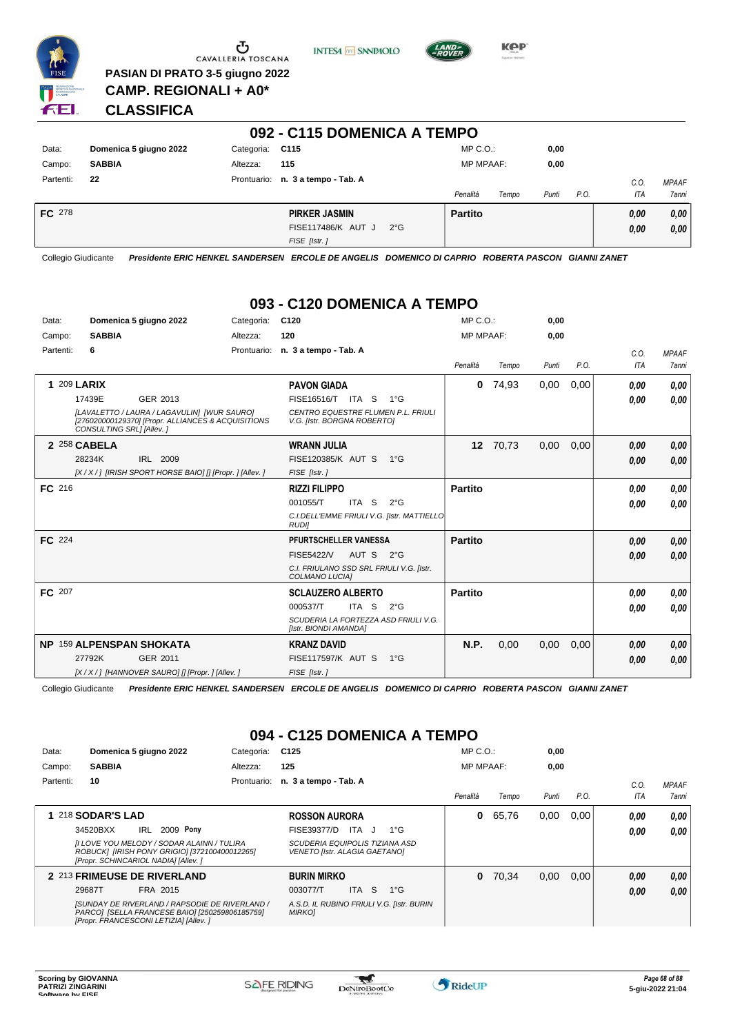

 $\begin{array}{c}\n\bullet \\
\bullet \\
\bullet \\
\bullet \\
\bullet\n\end{array}$  CAVALLERIA TOSCANA **PASIAN DI PRATO 3-5 giugno 2022**





**KPP** 

**CLASSIFICA**

**CAMP. REGIONALI + A0\***

| 092 - C115 DOMENICA A TEMPO |                        |                 |                                    |                  |       |       |      |      |              |  |  |  |
|-----------------------------|------------------------|-----------------|------------------------------------|------------------|-------|-------|------|------|--------------|--|--|--|
| Data:                       | Domenica 5 giugno 2022 | Categoria: C115 |                                    | $MP C. O.$ :     |       | 0,00  |      |      |              |  |  |  |
| Campo:                      | <b>SABBIA</b>          | Altezza:        | 115                                | <b>MP MPAAF:</b> |       | 0,00  |      |      |              |  |  |  |
| Partenti:                   | 22                     |                 | Prontuario: n. 3 a tempo - Tab. A  |                  |       |       |      | C.0. | <b>MPAAF</b> |  |  |  |
|                             |                        |                 |                                    | Penalità         | Tempo | Punti | P.O. | ITA  | 7anni        |  |  |  |
| <b>FC</b> 278               |                        |                 | <b>PIRKER JASMIN</b>               | <b>Partito</b>   |       |       |      | 0,00 | 0,00         |  |  |  |
|                             |                        |                 | FISE117486/K AUT J<br>$2^{\circ}G$ |                  |       |       |      | 0,00 | 0,00         |  |  |  |
|                             |                        |                 | FISE [Istr.]                       |                  |       |       |      |      |              |  |  |  |

Collegio Giudicante *Presidente ERIC HENKEL SANDERSEN ERCOLE DE ANGELIS DOMENICO DI CAPRIO ROBERTA PASCON GIANNI ZANET*

# **093 - C120 DOMENICA A TEMPO**

| Data:     | Domenica 5 giugno 2022          |                                                                                                   | Categoria: | C <sub>120</sub>                                                  |               | $MP C. O.$ :     |          | 0,00  |      |      |              |
|-----------|---------------------------------|---------------------------------------------------------------------------------------------------|------------|-------------------------------------------------------------------|---------------|------------------|----------|-------|------|------|--------------|
| Campo:    | <b>SABBIA</b>                   |                                                                                                   | Altezza:   | 120                                                               |               | <b>MP MPAAF:</b> |          | 0,00  |      |      |              |
| Partenti: | 6                               |                                                                                                   |            | Prontuario: n. 3 a tempo - Tab. A                                 |               |                  |          |       |      | C.O. | <b>MPAAF</b> |
|           |                                 |                                                                                                   |            |                                                                   |               | Penalità         | Tempo    | Punti | P.O. | ITA  | <b>7anni</b> |
|           | <b>1 209 LARIX</b>              |                                                                                                   |            | <b>PAVON GIADA</b>                                                |               | $\mathbf{0}$     | 74,93    | 0,00  | 0,00 | 0,00 | 0,00         |
|           | 17439E                          | GER 2013                                                                                          |            | FISE16516/T ITA S                                                 | $1^{\circ}G$  |                  |          |       |      | 0.00 | 0.00         |
|           | CONSULTING SRL] [Allev.]        | [LAVALETTO / LAURA / LAGAVULIN] [WUR SAURO]<br>[276020000129370] [Propr. ALLIANCES & ACQUISITIONS |            | CENTRO EQUESTRE FLUMEN P.L. FRIULI<br>V.G. [Istr. BORGNA ROBERTO] |               |                  |          |       |      |      |              |
|           | 2 258 CABELA                    |                                                                                                   |            | <b>WRANN JULIA</b>                                                |               |                  | 12 70,73 | 0,00  | 0,00 | 0.00 | 0.00         |
|           | 28234K                          | IRL 2009                                                                                          |            | FISE120385/K AUT S                                                | $1^{\circ}G$  |                  |          |       |      | 0,00 | 0.00         |
|           |                                 | [X/X/] [IRISH SPORT HORSE BAIO] [] [Propr. ] [Allev. ]                                            |            | FISE [Istr.]                                                      |               |                  |          |       |      |      |              |
| FC 216    |                                 |                                                                                                   |            | <b>RIZZI FILIPPO</b>                                              |               | <b>Partito</b>   |          |       |      | 0,00 | 0,00         |
|           |                                 |                                                                                                   |            | 001055/T<br>ITA <sub>S</sub>                                      | $2^{\circ}$ G |                  |          |       |      | 0.00 | 0,00         |
|           |                                 |                                                                                                   |            | C.I.DELL'EMME FRIULI V.G. [Istr. MATTIELLO<br><b>RUDI</b>         |               |                  |          |       |      |      |              |
| FC 224    |                                 |                                                                                                   |            | PFURTSCHELLER VANESSA                                             |               | <b>Partito</b>   |          |       |      | 0,00 | 0,00         |
|           |                                 |                                                                                                   |            | <b>FISE5422/V</b><br>AUT S                                        | $2^{\circ}G$  |                  |          |       |      | 0,00 | 0,00         |
|           |                                 |                                                                                                   |            | C.I. FRIULANO SSD SRL FRIULI V.G. [Istr.<br>COLMANO LUCIA]        |               |                  |          |       |      |      |              |
| FC 207    |                                 |                                                                                                   |            | <b>SCLAUZERO ALBERTO</b>                                          |               | <b>Partito</b>   |          |       |      | 0,00 | 0.00         |
|           |                                 |                                                                                                   |            | ITA S<br>000537/T                                                 | $2^{\circ}$ G |                  |          |       |      | 0,00 | 0,00         |
|           |                                 |                                                                                                   |            | SCUDERIA LA FORTEZZA ASD FRIULI V.G.<br>[Istr. BIONDI AMANDA]     |               |                  |          |       |      |      |              |
|           | <b>NP 159 ALPENSPAN SHOKATA</b> |                                                                                                   |            | <b>KRANZ DAVID</b>                                                |               | N.P.             | 0,00     | 0,00  | 0,00 | 0,00 | 0,00         |
|           | 27792K                          | GER 2011                                                                                          |            | <b>FISE117597/K AUT S</b>                                         | $1^{\circ}G$  |                  |          |       |      | 0,00 | 0,00         |
|           |                                 | [X / X / ] [HANNOVER SAURO] [] [Propr. ] [Allev. ]                                                |            | FISE [Istr.]                                                      |               |                  |          |       |      |      |              |

Collegio Giudicante *Presidente ERIC HENKEL SANDERSEN ERCOLE DE ANGELIS DOMENICO DI CAPRIO ROBERTA PASCON GIANNI ZANET*

# **094 - C125 DOMENICA A TEMPO**

| Data:     | Domenica 5 giugno 2022                                                                                                                    | Categoria:  | C <sub>125</sub>                                                       | $MP C. O.$ :     |       | 0,00  |      |            |              |
|-----------|-------------------------------------------------------------------------------------------------------------------------------------------|-------------|------------------------------------------------------------------------|------------------|-------|-------|------|------------|--------------|
| Campo:    | <b>SABBIA</b>                                                                                                                             | Altezza:    | 125                                                                    | <b>MP MPAAF:</b> |       | 0,00  |      |            |              |
| Partenti: | 10                                                                                                                                        | Prontuario: | n. 3 a tempo - Tab. A                                                  |                  |       |       |      | C.0        | <b>MPAAF</b> |
|           |                                                                                                                                           |             |                                                                        | Penalità         | Tempo | Punti | P.O. | <b>ITA</b> | 7anni        |
|           | 218 SODAR'S LAD                                                                                                                           |             | <b>ROSSON AURORA</b>                                                   | 0                | 65,76 | 0,00  | 0.00 | 0,00       | 0,00         |
|           | 2009 Pony<br>34520BXX<br>IRL                                                                                                              |             | FISE39377/D<br>ITA J<br>$1^{\circ}G$                                   |                  |       |       |      | 0,00       | 0,00         |
|           | [I LOVE YOU MELODY / SODAR ALAINN / TULIRA<br>ROBUCK] [IRISH PONY GRIGIO] [372100400012265]<br>[Propr. SCHINCARIOL NADIA] [Allev. ]       |             | SCUDERIA EQUIPOLIS TIZIANA ASD<br><b>VENETO [Istr. ALAGIA GAETANO]</b> |                  |       |       |      |            |              |
|           | 2 213 FRIMEUSE DE RIVERLAND                                                                                                               |             | <b>BURIN MIRKO</b>                                                     | 0                | 70.34 | 0,00  | 0,00 | 0,00       | 0,00         |
|           | 29687T<br>FRA 2015                                                                                                                        |             | <b>ITA</b><br>-S<br>003077/T<br>$1^{\circ}G$                           |                  |       |       |      | 0,00       | 0.00         |
|           | [SUNDAY DE RIVERLAND / RAPSODIE DE RIVERLAND /<br>PARCOI [SELLA FRANCESE BAIO] [250259806185759]<br>[Propr. FRANCESCONI LETIZIA] [Allev.] |             | A.S.D. IL RUBINO FRIULI V.G. [Istr. BURIN<br><b>MIRKOJ</b>             |                  |       |       |      |            |              |

 $\mathcal{L}$ 

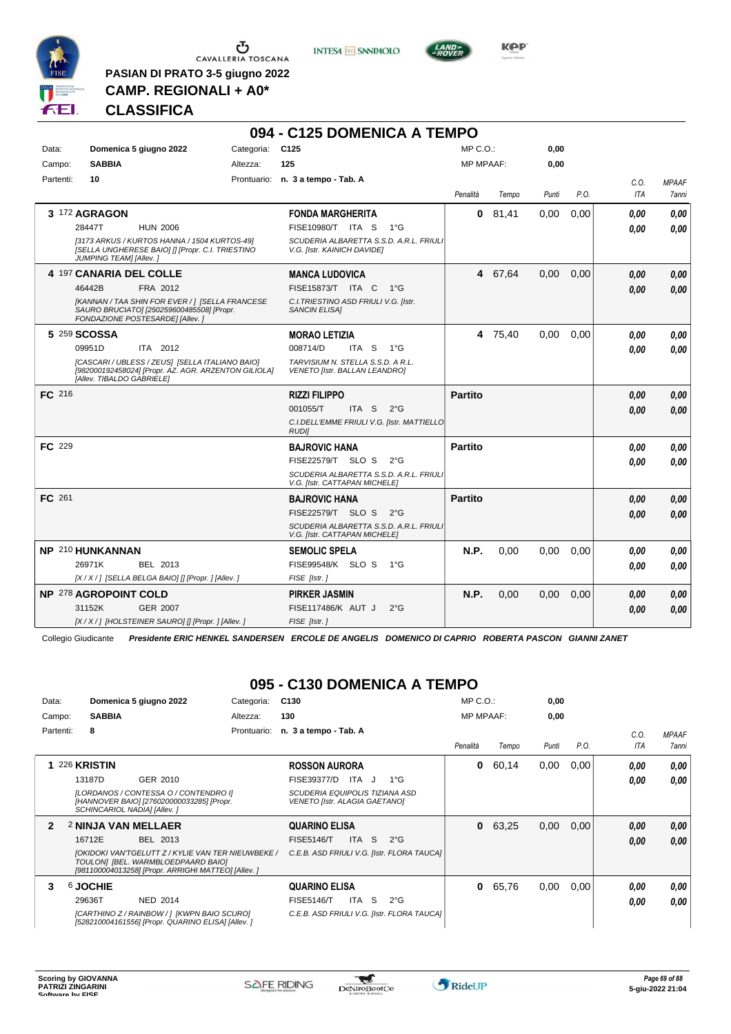

**PASIAN DI PRATO 3-5 giugno 2022 CAMP. REGIONALI + A0\***

**INTESA** M SANPAOLO



**Kep** 

# **CLASSIFICA**

|           |                                                                                                                                      |                 | 094 - C125 DOMENICA A TEMPO                                              |                  |         |       |      |      |              |
|-----------|--------------------------------------------------------------------------------------------------------------------------------------|-----------------|--------------------------------------------------------------------------|------------------|---------|-------|------|------|--------------|
| Data:     | Domenica 5 giugno 2022                                                                                                               | Categoria: C125 |                                                                          | $MP C. O.$ :     |         | 0,00  |      |      |              |
| Campo:    | <b>SABBIA</b>                                                                                                                        | Altezza:        | 125                                                                      | <b>MP MPAAF:</b> |         | 0,00  |      |      |              |
| Partenti: | 10                                                                                                                                   |                 | Prontuario: n. 3 a tempo - Tab. A                                        |                  |         |       |      | C.O. | <b>MPAAF</b> |
|           |                                                                                                                                      |                 |                                                                          | Penalità         | Tempo   | Punti | P.O. | ITA  | 7anni        |
|           | 3 172 AGRAGON                                                                                                                        |                 | <b>FONDA MARGHERITA</b>                                                  | 0                | 81,41   | 0,00  | 0,00 | 0.00 | 0.00         |
|           | 28447T<br><b>HUN 2006</b>                                                                                                            |                 | FISE10980/T ITA S<br>$1^{\circ}G$                                        |                  |         |       |      | 0.00 | 0.00         |
|           | [3173 ARKUS / KURTOS HANNA / 1504 KURTOS-49]<br>[SELLA UNGHERESE BAIO] [] [Propr. C.I. TRIESTINO<br>JUMPING TEAM] [Allev.]           |                 | SCUDERIA ALBARETTA S.S.D. A.R.L. FRIULI<br>V.G. [Istr. KAINICH DAVIDE]   |                  |         |       |      |      |              |
|           | 4 197 CANARIA DEL COLLE                                                                                                              |                 | <b>MANCA LUDOVICA</b>                                                    |                  | 4 67,64 | 0,00  | 0,00 | 0,00 | 0,00         |
|           | 46442B<br>FRA 2012                                                                                                                   |                 | FISE15873/T ITA C<br>$1^{\circ}G$                                        |                  |         |       |      | 0.00 | 0.00         |
|           | [KANNAN / TAA SHIN FOR EVER / ] [SELLA FRANCESE<br>SAURO BRUCIATO] [250259600485508] [Propr.<br>FONDAZIONE POSTESARDE] [Allev.]      |                 | C.I. TRIESTINO ASD FRIULI V.G. [Istr.<br><b>SANCIN ELISA1</b>            |                  |         |       |      |      |              |
|           | 5 259 SCOSSA                                                                                                                         |                 | <b>MORAO LETIZIA</b>                                                     |                  | 4 75,40 | 0,00  | 0,00 | 0,00 | 0,00         |
|           | ITA 2012<br>09951D                                                                                                                   |                 | 008714/D<br>ITA S<br>$1^{\circ}G$                                        |                  |         |       |      | 0.00 | 0.00         |
|           | [CASCARI / UBLESS / ZEUS] [SELLA ITALIANO BAIO]<br>[982000192458024] [Propr. AZ. AGR. ARZENTON GILIOLA]<br>[Allev. TIBALDO GABRIELE] |                 | TARVISIUM N. STELLA S.S.D. A R.L.<br>VENETO [Istr. BALLAN LEANDRO]       |                  |         |       |      |      |              |
| FC 216    |                                                                                                                                      |                 | <b>RIZZI FILIPPO</b>                                                     | <b>Partito</b>   |         |       |      | 0.00 | 0,00         |
|           |                                                                                                                                      |                 | 001055/T<br>ITA S<br>$2^{\circ}$ G                                       |                  |         |       |      | 0.00 | 0.00         |
|           |                                                                                                                                      |                 | C.I.DELL'EMME FRIULI V.G. [Istr. MATTIELLO<br><b>RUDII</b>               |                  |         |       |      |      |              |
| FC 229    |                                                                                                                                      |                 | <b>BAJROVIC HANA</b>                                                     | <b>Partito</b>   |         |       |      | 0.00 | 0.00         |
|           |                                                                                                                                      |                 | FISE22579/T SLO S<br>$2^{\circ}G$                                        |                  |         |       |      | 0.00 | 0.00         |
|           |                                                                                                                                      |                 | SCUDERIA ALBARETTA S.S.D. A.R.L. FRIULI<br>V.G. [Istr. CATTAPAN MICHELE] |                  |         |       |      |      |              |
| FC 261    |                                                                                                                                      |                 | <b>BAJROVIC HANA</b>                                                     | <b>Partito</b>   |         |       |      | 0.00 | 0.00         |
|           |                                                                                                                                      |                 | FISE22579/T SLO S<br>$2^{\circ}$ G                                       |                  |         |       |      | 0.00 | 0.00         |
|           |                                                                                                                                      |                 | SCUDERIA ALBARETTA S.S.D. A.R.L. FRIULI<br>V.G. [Istr. CATTAPAN MICHELE] |                  |         |       |      |      |              |
|           | NP 210 HUNKANNAN                                                                                                                     |                 | <b>SEMOLIC SPELA</b>                                                     | N.P.             | 0,00    | 0,00  | 0,00 | 0.00 | 0.00         |
|           | 26971K<br>BEL 2013                                                                                                                   |                 | FISE99548/K SLO S<br>$1^{\circ}$ G                                       |                  |         |       |      | 0.00 | 0.00         |
|           | [X / X / ] [SELLA BELGA BAIO] [] [Propr. ] [Allev. ]                                                                                 |                 | FISE [Istr.]                                                             |                  |         |       |      |      |              |
|           | <b>NP 278 AGROPOINT COLD</b>                                                                                                         |                 | <b>PIRKER JASMIN</b>                                                     | N.P.             | 0,00    | 0,00  | 0,00 | 0.00 | 0,00         |
|           | <b>GER 2007</b><br>31152K                                                                                                            |                 | FISE117486/K AUT J<br>$2^{\circ}$ G                                      |                  |         |       |      | 0.00 | 0,00         |
|           | [X / X / ] [HOLSTEINER SAURO] [] [Propr. ] [Allev. ]                                                                                 |                 | FISE [Istr.]                                                             |                  |         |       |      |      |              |

Collegio Giudicante *Presidente ERIC HENKEL SANDERSEN ERCOLE DE ANGELIS DOMENICO DI CAPRIO ROBERTA PASCON GIANNI ZANET*

# **095 - C130 DOMENICA A TEMPO**

| Data:        | Domenica 5 giugno 2022                                                                                                                         | Categoria:  | C <sub>130</sub>                                                              |               | $MP C. O.$ :     |       | 0,00  |      |      |                     |
|--------------|------------------------------------------------------------------------------------------------------------------------------------------------|-------------|-------------------------------------------------------------------------------|---------------|------------------|-------|-------|------|------|---------------------|
| Campo:       | <b>SABBIA</b>                                                                                                                                  | Altezza:    | 130                                                                           |               | <b>MP MPAAF:</b> |       | 0,00  |      |      |                     |
| Partenti:    | 8                                                                                                                                              | Prontuario: | n. 3 a tempo - Tab. A                                                         |               |                  |       |       |      | C.0  | <b>MPAAF</b>        |
|              |                                                                                                                                                |             |                                                                               |               | Penalità         | Tempo | Punti | P.O. | ITA  | <i><b>7anni</b></i> |
|              | 226 KRISTIN                                                                                                                                    |             | <b>ROSSON AURORA</b>                                                          |               | 0                | 60,14 | 0,00  | 0,00 | 0,00 | 0.00                |
|              | 13187D<br>GER 2010                                                                                                                             |             | FISE39377/D<br>ITA J                                                          | $1^{\circ}G$  |                  |       |       |      | 0,00 | 0.00                |
|              | [LORDANOS / CONTESSA O / CONTENDRO I]<br>[HANNOVER BAIO] [276020000033285] [Propr.<br>SCHINCARIOL NADIAI [Allev. ]                             |             | <b>SCUDERIA EQUIPOLIS TIZIANA ASD</b><br><b>VENETO [Istr. ALAGIA GAETANO]</b> |               |                  |       |       |      |      |                     |
| $\mathbf{2}$ | 2 NINJA VAN MELLAER                                                                                                                            |             | <b>QUARINO ELISA</b>                                                          |               | 0                | 63,25 | 0,00  | 0,00 | 0,00 | 0,00                |
|              | 16712E<br>BEL 2013                                                                                                                             |             | <b>ITA</b><br><sub>S</sub><br><b>FISE5146/T</b>                               | $2^{\circ}$ G |                  |       |       |      | 0,00 | 0.00                |
|              | [OKIDOKI VAN'TGELUTT Z / KYLIE VAN TER NIEUWBEKE /<br>TOULONI [BEL. WARMBLOEDPAARD BAIO]<br>[981100004013258] [Propr. ARRIGHI MATTEO] [Allev.] |             | C.E.B. ASD FRIULI V.G. [Istr. FLORA TAUCA]                                    |               |                  |       |       |      |      |                     |
| 3            | 6 JOCHIE                                                                                                                                       |             | <b>QUARINO ELISA</b>                                                          |               | 0                | 65,76 | 0,00  | 0,00 | 0,00 | 0,00                |
|              | 29636T<br><b>NED 2014</b>                                                                                                                      |             | ITA<br>S.<br><b>FISE5146/T</b>                                                | $2^{\circ}G$  |                  |       |       |      | 0,00 | 0.00                |
|              | [CARTHINO Z / RAINBOW / ] [KWPN BAIO SCURO]<br>[528210004161556] [Propr. QUARINO ELISA] [Allev. ]                                              |             | C.E.B. ASD FRIULI V.G. [Istr. FLORA TAUCA]                                    |               |                  |       |       |      |      |                     |

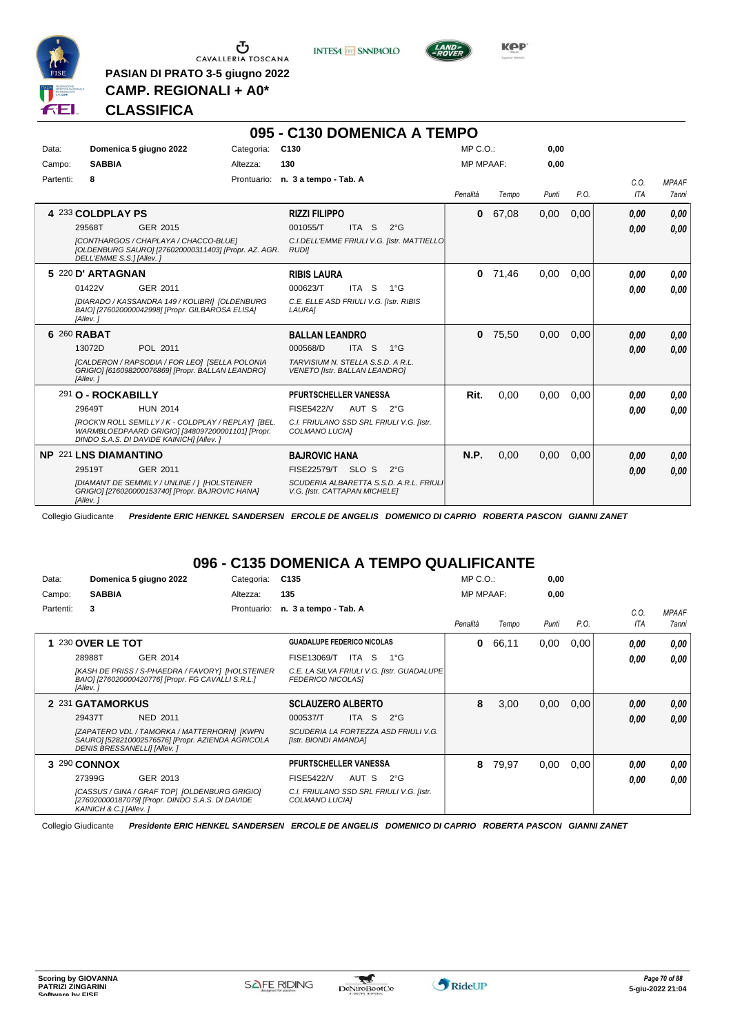

**PASIAN DI PRATO 3-5 giugno 2022 CAMP. REGIONALI + A0\***

**INTESA** M SANPAOLO



**Kep** 

# **CLASSIFICA**

|           |                           |                                                                                                                                                      |            | 095 - C130 DOMENICA A TEMPO                                               |       |               |                  |       |       |      |             |                       |
|-----------|---------------------------|------------------------------------------------------------------------------------------------------------------------------------------------------|------------|---------------------------------------------------------------------------|-------|---------------|------------------|-------|-------|------|-------------|-----------------------|
| Data:     | Domenica 5 giugno 2022    |                                                                                                                                                      | Categoria: | C <sub>130</sub>                                                          |       |               | MP C. O.         |       | 0,00  |      |             |                       |
| Campo:    | <b>SABBIA</b>             |                                                                                                                                                      | Altezza:   | 130                                                                       |       |               | <b>MP MPAAF:</b> |       | 0.00  |      |             |                       |
| Partenti: | 8                         |                                                                                                                                                      |            | Prontuario: n. 3 a tempo - Tab. A                                         |       |               | Penalità         | Tempo | Punti | P.O. | C.O.<br>ITA | <b>MPAAF</b><br>7anni |
|           | 4 233 COLDPLAY PS         |                                                                                                                                                      |            | <b>RIZZI FILIPPO</b>                                                      |       |               | 0                | 67,08 | 0,00  | 0.00 | 0,00        | 0,00                  |
|           | 29568T                    | GER 2015                                                                                                                                             |            | 001055/T                                                                  | ITA S | $2^{\circ}$ G |                  |       |       |      | 0.00        | 0,00                  |
|           | DELL'EMME S.S.1 [Allev. 1 | [CONTHARGOS / CHAPLAYA / CHACCO-BLUE]<br>[OLDENBURG SAURO] [276020000311403] [Propr. AZ. AGR.                                                        |            | C.I.DELL'EMME FRIULI V.G. [Istr. MATTIELLO<br><b>RUDII</b>                |       |               |                  |       |       |      |             |                       |
|           | 5 220 D' ARTAGNAN         |                                                                                                                                                      |            | <b>RIBIS LAURA</b>                                                        |       |               | $\mathbf{0}$     | 71.46 | 0.00  | 0.00 | 0,00        | 0,00                  |
|           | 01422V                    | GER 2011                                                                                                                                             |            | 000623/T                                                                  | ITA S | $1^{\circ}G$  |                  |       |       |      | 0,00        | 0.00                  |
|           | [Allev.]                  | [DIARADO / KASSANDRA 149 / KOLIBRI] [OLDENBURG<br>BAIO] [276020000042998] [Propr. GILBAROSA ELISA]                                                   |            | C.E. ELLE ASD FRIULI V.G. [Istr. RIBIS<br>LAURA]                          |       |               |                  |       |       |      |             |                       |
|           | 6 260 RABAT               |                                                                                                                                                      |            | <b>BALLAN LEANDRO</b>                                                     |       |               | $\mathbf{0}$     | 75,50 | 0,00  | 0,00 | 0,00        | 0,00                  |
|           | 13072D                    | POL 2011                                                                                                                                             |            | 000568/D                                                                  | ITA S | $1^{\circ}G$  |                  |       |       |      | 0,00        | 0.00                  |
|           | [Allev.]                  | [CALDERON / RAPSODIA / FOR LEO] [SELLA POLONIA<br>GRIGIO] [616098200076869] [Propr. BALLAN LEANDRO]                                                  |            | TARVISIUM N. STELLA S.S.D. A R.L.<br><b>VENETO [Istr. BALLAN LEANDRO]</b> |       |               |                  |       |       |      |             |                       |
|           | 291 O - ROCKABILLY        |                                                                                                                                                      |            | PFURTSCHELLER VANESSA                                                     |       |               | Rit.             | 0,00  | 0.00  | 0,00 | 0.00        | 0.00                  |
|           | 29649T                    | <b>HUN 2014</b>                                                                                                                                      |            | <b>FISE5422/V</b>                                                         | AUT S | $2^{\circ}G$  |                  |       |       |      | 0,00        | 0.00                  |
|           |                           | [ROCK'N ROLL SEMILLY / K - COLDPLAY / REPLAY] [BEL.<br>WARMBLOEDPAARD GRIGIO] [348097200001101] [Propr.<br>DINDO S.A.S. DI DAVIDE KAINICHI [Allev. ] |            | C.I. FRIULANO SSD SRL FRIULI V.G. [Istr.<br>COLMANO LUCIAI                |       |               |                  |       |       |      |             |                       |
|           | NP 221 LNS DIAMANTINO     |                                                                                                                                                      |            | <b>BAJROVIC HANA</b>                                                      |       |               | N.P.             | 0,00  | 0,00  | 0,00 | 0,00        | 0,00                  |
|           | 29519T                    | GER 2011                                                                                                                                             |            | FISE22579/T SLO S                                                         |       | $2^{\circ}$ G |                  |       |       |      | 0,00        | 0.00                  |
|           | [Allev.]                  | <b>IDIAMANT DE SEMMILY / UNLINE / 1 IHOLSTEINER</b><br>GRIGIO] [276020000153740] [Propr. BAJROVIC HANA]                                              |            | SCUDERIA ALBARETTA S.S.D. A.R.L. FRIULI<br>V.G. [Istr. CATTAPAN MICHELE]  |       |               |                  |       |       |      |             |                       |

Collegio Giudicante *Presidente ERIC HENKEL SANDERSEN ERCOLE DE ANGELIS DOMENICO DI CAPRIO ROBERTA PASCON GIANNI ZANET*

#### **096 - C135 DOMENICA A TEMPO QUALIFICANTE**

| Data:     |                              | Domenica 5 giugno 2022                                                                                  | Categoria:  | C <sub>135</sub>                  |             |                                             | $MP C. O.$ :     |       | 0,00  |      |            |              |
|-----------|------------------------------|---------------------------------------------------------------------------------------------------------|-------------|-----------------------------------|-------------|---------------------------------------------|------------------|-------|-------|------|------------|--------------|
| Campo:    | <b>SABBIA</b>                |                                                                                                         | Altezza:    | 135                               |             |                                             | <b>MP MPAAF:</b> |       | 0,00  |      |            |              |
| Partenti: | 3                            |                                                                                                         | Prontuario: | n. 3 a tempo - Tab. A             |             |                                             |                  |       |       |      | C.O.       | <b>MPAAF</b> |
|           |                              |                                                                                                         |             |                                   |             |                                             | Penalità         | Tempo | Punti | P.O. | <b>ITA</b> | <b>7anni</b> |
|           | <b>230 OVER LE TOT</b>       |                                                                                                         |             | <b>GUADALUPE FEDERICO NICOLAS</b> |             |                                             | 0                | 66,11 | 0,00  | 0,00 | 0.00       | 0.00         |
|           | 28988T                       | GER 2014                                                                                                |             | FISE13069/T                       | ITA S       | 1°G                                         |                  |       |       |      | 0.00       | 0.00         |
|           | [Allev.]                     | [KASH DE PRISS / S-PHAEDRA / FAVORY]  [HOLSTEINER<br>BAIO] [276020000420776] [Propr. FG CAVALLI S.R.L.] |             | <b>FEDERICO NICOLASI</b>          |             | C.E. LA SILVA FRIULI V.G. [Istr. GUADALUPE] |                  |       |       |      |            |              |
|           | 2 231 GATAMORKUS             |                                                                                                         |             | <b>SCLAUZERO ALBERTO</b>          |             |                                             | 8                | 3,00  | 0,00  | 0,00 | 0,00       | 0,00         |
|           | 29437T                       | <b>NED 2011</b>                                                                                         |             | 000537/T                          | -S<br>ITA I | $2^{\circ}$ G                               |                  |       |       |      | 0.00       | 0.00         |
|           | DENIS BRESSANELLI] [Allev. ] | [ZAPATERO VDL / TAMORKA / MATTERHORN] [KWPN<br>SAURO] [528210002576576] [Propr. AZIENDA AGRICOLA        |             | [Istr. BIONDI AMANDA]             |             | SCUDERIA LA FORTEZZA ASD FRIULI V.G.        |                  |       |       |      |            |              |
|           | 3 290 CONNOX                 |                                                                                                         |             | <b>PFURTSCHELLER VANESSA</b>      |             |                                             | 8                | 79,97 | 0.00  | 0,00 | 0.00       | 0,00         |
|           | 27399G                       | GER 2013                                                                                                |             | <b>FISE5422/V</b>                 | AUT S       | $2^{\circ}G$                                |                  |       |       |      | 0,00       | 0,00         |
|           | KAINICH & C.1 [Allev. 1      | [CASSUS / GINA / GRAF TOP] [OLDENBURG GRIGIO]<br>[276020000187079] [Propr. DINDO S.A.S. DI DAVIDE       |             | COLMANO LUCIAI                    |             | C.I. FRIULANO SSD SRL FRIULI V.G. [Istr.    |                  |       |       |      |            |              |

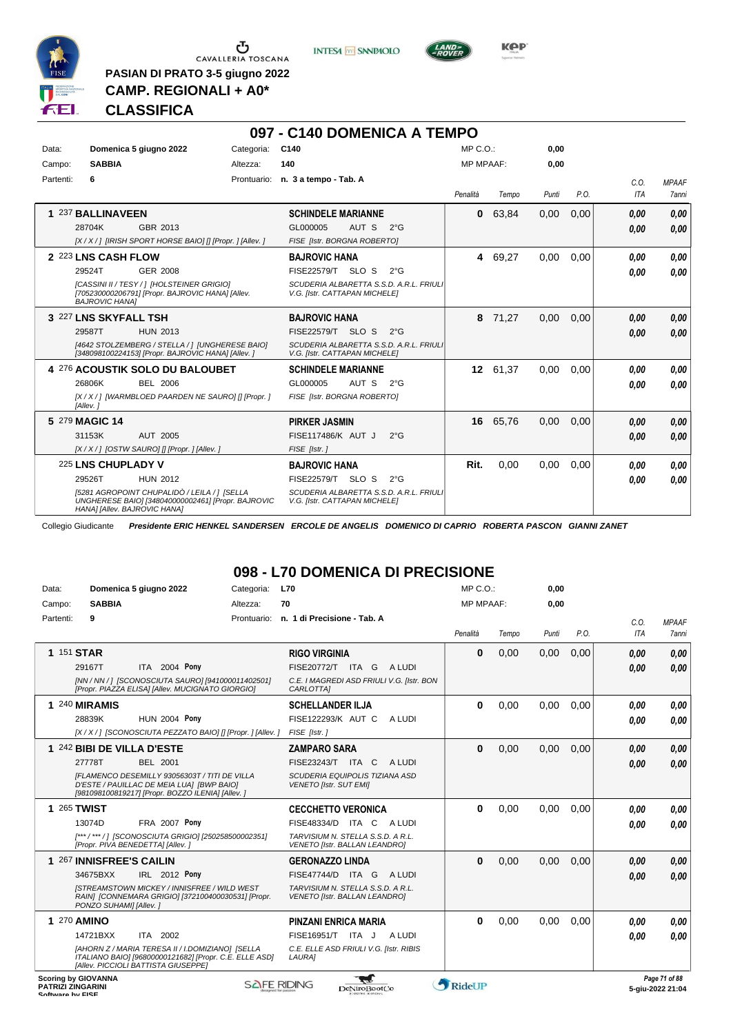

 $\begin{array}{c}\n\bullet \\
\bullet \\
\bullet \\
\bullet \\
\bullet\n\end{array}$  CAVALLERIA TOSCANA

**PASIAN DI PRATO 3-5 giugno 2022 CAMP. REGIONALI + A0\***

**INTESA M** SANPAOLO



**Kep** 

# **CLASSIFICA**

|           |                                                                                                                                    |            | 097 - C140 DOMENICA A TEMPO                                              |                  |         |       |      |      |              |
|-----------|------------------------------------------------------------------------------------------------------------------------------------|------------|--------------------------------------------------------------------------|------------------|---------|-------|------|------|--------------|
| Data:     | Domenica 5 giugno 2022                                                                                                             | Categoria: | C140                                                                     | $MP C. O.$ :     |         | 0.00  |      |      |              |
| Campo:    | <b>SABBIA</b>                                                                                                                      | Altezza:   | 140                                                                      | <b>MP MPAAF:</b> |         | 0,00  |      |      |              |
| Partenti: | 6                                                                                                                                  |            | Prontuario: n. 3 a tempo - Tab. A                                        |                  |         |       |      | C.0. | <b>MPAAF</b> |
|           |                                                                                                                                    |            |                                                                          | Penalità         | Tempo   | Punti | P.O. | ITA  | <b>7anni</b> |
|           | 1 237 BALLINAVEEN                                                                                                                  |            | <b>SCHINDELE MARIANNE</b>                                                | $\mathbf{0}$     | 63.84   | 0.00  | 0.00 | 0,00 | 0,00         |
|           | 28704K<br>GBR 2013                                                                                                                 |            | GL000005<br>AUT S<br>$2^{\circ}G$                                        |                  |         |       |      | 0,00 | 0.00         |
|           | [X / X / ] [IRISH SPORT HORSE BAIO] [] [Propr. ] [Allev. ]                                                                         |            | FISE [Istr. BORGNA ROBERTO]                                              |                  |         |       |      |      |              |
|           | 2 223 LNS CASH FLOW                                                                                                                |            | <b>BAJROVIC HANA</b>                                                     |                  | 4 69,27 | 0,00  | 0,00 | 0,00 | 0,00         |
|           | 29524T<br><b>GER 2008</b>                                                                                                          |            | FISE22579/T SLO S<br>$2^{\circ}$ G                                       |                  |         |       |      | 0,00 | 0.00         |
|           | [CASSINI II / TESY / 1 [HOLSTEINER GRIGIO]<br>[705230000206791] [Propr. BAJROVIC HANA] [Allev.<br><b>BAJROVIC HANAI</b>            |            | SCUDERIA ALBARETTA S.S.D. A.R.L. FRIULI<br>V.G. [Istr. CATTAPAN MICHELE] |                  |         |       |      |      |              |
|           | 3 227 LNS SKYFALL TSH                                                                                                              |            | <b>BAJROVIC HANA</b>                                                     | 8                | 71,27   | 0,00  | 0,00 | 0,00 | 0,00         |
|           | <b>HUN 2013</b><br>29587T                                                                                                          |            | FISE22579/T SLO S<br>$2^{\circ}G$                                        |                  |         |       |      | 0,00 | 0.00         |
|           | [4642 STOLZEMBERG / STELLA / ] [UNGHERESE BAIO]<br>[348098100224153] [Propr. BAJROVIC HANA] [Allev.]                               |            | SCUDERIA ALBARETTA S.S.D. A.R.L. FRIULI<br>V.G. [Istr. CATTAPAN MICHELE] |                  |         |       |      |      |              |
|           | 4 276 ACOUSTIK SOLO DU BALOUBET                                                                                                    |            | <b>SCHINDELE MARIANNE</b>                                                | 12 <sup>12</sup> | 61,37   | 0.00  | 0.00 | 0.00 | 0,00         |
|           | <b>BEL 2006</b><br>26806K                                                                                                          |            | AUT S<br>GL000005<br>$2^{\circ}G$                                        |                  |         |       |      | 0,00 | 0.00         |
|           | [X / X / ] [WARMBLOED PAARDEN NE SAURO] [] [Propr. ]<br>[Allev.]                                                                   |            | FISE [Istr. BORGNA ROBERTO]                                              |                  |         |       |      |      |              |
|           | 5 279 MAGIC 14                                                                                                                     |            | <b>PIRKER JASMIN</b>                                                     | 16               | 65.76   | 0.00  | 0.00 | 0,00 | 0.00         |
|           | 31153K<br>AUT 2005                                                                                                                 |            | FISE117486/K AUT J<br>$2^{\circ}$ G                                      |                  |         |       |      | 0,00 | 0.00         |
|           | [X / X / ] [OSTW SAURO] [] [Propr. ] [Allev. ]                                                                                     |            | FISE [Istr.]                                                             |                  |         |       |      |      |              |
|           | 225 LNS CHUPLADY V                                                                                                                 |            | <b>BAJROVIC HANA</b>                                                     | Rit.             | 0.00    | 0.00  | 0.00 | 0,00 | 0,00         |
|           | 29526T<br><b>HUN 2012</b>                                                                                                          |            | FISE22579/T SLO S<br>$2^{\circ}G$                                        |                  |         |       |      | 0.00 | 0.00         |
|           | [5281 AGROPOINT CHUPALIDÒ / LEILA / 1 [SELLA<br>UNGHERESE BAIOI [348040000002461] [Propr. BAJROVIC<br>HANA] [Allev. BAJROVIC HANA] |            | SCUDERIA ALBARETTA S.S.D. A.R.L. FRIULI<br>V.G. [Istr. CATTAPAN MICHELE] |                  |         |       |      |      |              |

Collegio Giudicante *Presidente ERIC HENKEL SANDERSEN ERCOLE DE ANGELIS DOMENICO DI CAPRIO ROBERTA PASCON GIANNI ZANET*

# **098 - L70 DOMENICA DI PRECISIONE**

| Data:                    | Domenica 5 giugno 2022                                                                                                                            | Categoria:         | <b>L70</b>                                                                | MP C.O.:         |       | 0,00  |      |      |                                   |
|--------------------------|---------------------------------------------------------------------------------------------------------------------------------------------------|--------------------|---------------------------------------------------------------------------|------------------|-------|-------|------|------|-----------------------------------|
| Campo:                   | <b>SABBIA</b>                                                                                                                                     | Altezza:           | 70                                                                        | <b>MP MPAAF:</b> |       | 0,00  |      |      |                                   |
| Partenti:                | 9                                                                                                                                                 | Prontuario:        | n. 1 di Precisione - Tab. A                                               |                  |       |       |      | C.0. | <b>MPAAF</b>                      |
|                          |                                                                                                                                                   |                    |                                                                           | Penalità         | Tempo | Punti | P.O. | ITA  | 7anni                             |
|                          | 1 151 STAR                                                                                                                                        |                    | <b>RIGO VIRGINIA</b>                                                      | $\bf{0}$         | 0,00  | 0,00  | 0,00 | 0,00 | 0.00                              |
|                          | ITA 2004 Pony<br>29167T                                                                                                                           |                    | FISE20772/T<br>ITA G<br>A LUDI                                            |                  |       |       |      | 0.00 | 0.00                              |
|                          | [NN / NN / ] [SCONOSCIUTA SAURO] [941000011402501]<br>[Propr. PIAZZA ELISA] [Allev. MUCIGNATO GIORGIO]                                            |                    | C.E. I MAGREDI ASD FRIULI V.G. [Istr. BON<br>CARLOTTA]                    |                  |       |       |      |      |                                   |
|                          | 1 240 MIRAMIS                                                                                                                                     |                    | <b>SCHELLANDER ILJA</b>                                                   | $\bf{0}$         | 0,00  | 0.00  | 0.00 | 0,00 | 0.00                              |
|                          | 28839K<br><b>HUN 2004 Pony</b>                                                                                                                    |                    | FISE122293/K AUT C<br>A LUDI                                              |                  |       |       |      | 0.00 | 0.00                              |
|                          | [X / X / ] [SCONOSCIUTA PEZZATO BAIO] [] [Propr. ] [Allev. ]                                                                                      |                    | FISE [Istr.]                                                              |                  |       |       |      |      |                                   |
|                          | 1 242 BIBI DE VILLA D'ESTE                                                                                                                        |                    | <b>ZAMPARO SARA</b>                                                       | $\bf{0}$         | 0,00  | 0,00  | 0,00 | 0,00 | 0.00                              |
|                          | 27778T<br><b>BEL 2001</b>                                                                                                                         |                    | FISE23243/T ITA C<br>A LUDI                                               |                  |       |       |      | 0.00 | 0.00                              |
|                          | IFLAMENCO DESEMILLY 93056303T / TITI DE VILLA<br>D'ESTE / PAUILLAC DE MEIA LUAI [BWP BAIO]<br>[981098100819217] [Propr. BOZZO ILENIA] [Allev.]    |                    | SCUDERIA EQUIPOLIS TIZIANA ASD<br><b>VENETO [Istr. SUT EMI]</b>           |                  |       |       |      |      |                                   |
|                          | <b>1 265 TWIST</b>                                                                                                                                |                    | <b>CECCHETTO VERONICA</b>                                                 | $\bf{0}$         | 0,00  | 0,00  | 0,00 | 0.00 | 0.00                              |
|                          | <b>FRA 2007 Pony</b><br>13074D                                                                                                                    |                    | FISE48334/D ITA C<br>A LUDI                                               |                  |       |       |      | 0,00 | 0.00                              |
|                          | [***/***/] [SCONOSCIUTA GRIGIO] [250258500002351]<br>[Propr. PIVA BENEDETTA] [Allev.]                                                             |                    | TARVISIUM N. STELLA S.S.D. A R.L.<br>VENETO [Istr. BALLAN LEANDRO]        |                  |       |       |      |      |                                   |
|                          | 1 267 INNISFREE'S CAILIN                                                                                                                          |                    | <b>GERONAZZO LINDA</b>                                                    | $\bf{0}$         | 0,00  | 0,00  | 0,00 | 0,00 | 0.00                              |
|                          | IRL 2012 Pony<br>34675BXX                                                                                                                         |                    | FISE47744/D ITA G<br>A LUDI                                               |                  |       |       |      | 0.00 | 0.00                              |
|                          | <b>ISTREAMSTOWN MICKEY / INNISFREE / WILD WEST</b><br>RAIN] [CONNEMARA GRIGIO] [372100400030531] [Propr.<br>PONZO SUHAMI] [Allev.]                |                    | TARVISIUM N. STELLA S.S.D. A R.L.<br><b>VENETO [Istr. BALLAN LEANDRO]</b> |                  |       |       |      |      |                                   |
|                          | 1 270 AMINO                                                                                                                                       |                    | <b>PINZANI ENRICA MARIA</b>                                               | $\bf{0}$         | 0,00  | 0,00  | 0,00 | 0.00 | 0.00                              |
|                          | ITA 2002<br>14721BXX                                                                                                                              |                    | FISE16951/T ITA J<br>A LUDI                                               |                  |       |       |      | 0.00 | 0.00                              |
|                          | [AHORN Z / MARIA TERESA II / I.DOMIZIANO] [SELLA<br>ITALIANO BAIO] [96800000121682] [Propr. C.E. ELLE ASD]<br>[Allev. PICCIOLI BATTISTA GIUSEPPE] |                    | C.E. ELLE ASD FRIULI V.G. [Istr. RIBIS<br>LAURA]                          |                  |       |       |      |      |                                   |
| <b>PATRIZI ZINGARINI</b> | <b>Scoring by GIOVANNA</b>                                                                                                                        | <b>SAFE RIDING</b> | DeNiroBoot('o                                                             | RideUP           |       |       |      |      | Page 71 of 88<br>5-aiu-2022 21:04 |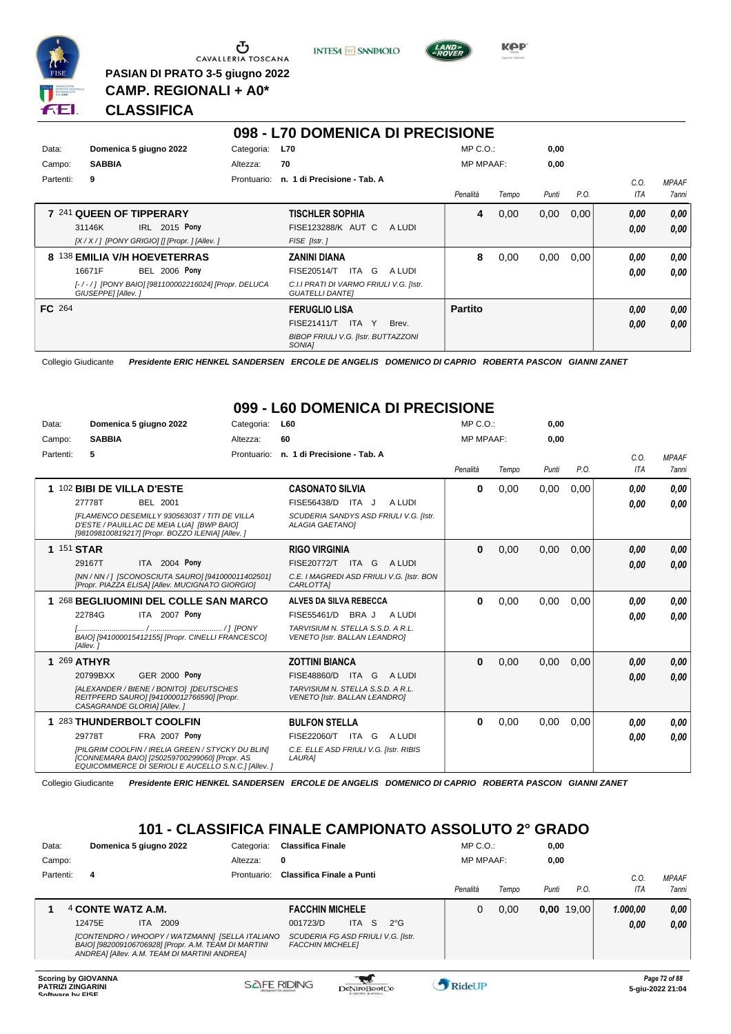

CAVALLERIA TOSCANA **PASIAN DI PRATO 3-5 giugno 2022**

**INTESA** M SANPAOLO



**KPP** 

# **CLASSIFICA**

**CAMP. REGIONALI + A0\***

|           |                              |                                                     |             | 098 - L70 DOMENICA DI PRECISIONE                                  |        |                  |       |       |      |            |              |
|-----------|------------------------------|-----------------------------------------------------|-------------|-------------------------------------------------------------------|--------|------------------|-------|-------|------|------------|--------------|
| Data:     | Domenica 5 giugno 2022       |                                                     | Categoria:  | <b>L70</b>                                                        |        | $MP C. O.$ :     |       | 0,00  |      |            |              |
| Campo:    | <b>SABBIA</b>                |                                                     | Altezza:    | 70                                                                |        | <b>MP MPAAF:</b> |       | 0,00  |      |            |              |
| Partenti: | 9                            |                                                     | Prontuario: | n. 1 di Precisione - Tab. A                                       |        |                  |       |       |      | C.O.       | <b>MPAAF</b> |
|           |                              |                                                     |             |                                                                   |        | Penalità         | Tempo | Punti | P.O. | <b>ITA</b> | 7anni        |
|           | 7 241 QUEEN OF TIPPERARY     |                                                     |             | <b>TISCHLER SOPHIA</b>                                            |        | 4                | 0,00  | 0,00  | 0,00 | 0,00       | 0,00         |
|           | 31146K                       | IRL 2015 Pony                                       |             | <b>FISE123288/K AUT C</b>                                         | A LUDI |                  |       |       |      | 0,00       | 0.00         |
|           |                              | $[X/X/$ ] [PONY GRIGIO] [] [Propr. ] [Allev. ]      |             | FISE [Istr.]                                                      |        |                  |       |       |      |            |              |
|           | 8 138 EMILIA V/H HOEVETERRAS |                                                     |             | ZANINI DIANA                                                      |        | 8                | 0,00  | 0,00  | 0.00 | 0.00       | 0.00         |
|           | 16671F                       | <b>BEL 2006 Pony</b>                                |             | FISE20514/T<br>ITA<br>G                                           | A LUDI |                  |       |       |      | 0.00       | 0.00         |
|           | GIUSEPPE] [Allev.]           | [-/-/] [PONY BAIO] [981100002216024] [Propr. DELUCA |             | C.I.I PRATI DI VARMO FRIULI V.G. [Istr.<br><b>GUATELLI DANTEI</b> |        |                  |       |       |      |            |              |
| FC 264    |                              |                                                     |             | <b>FERUGLIO LISA</b>                                              |        | <b>Partito</b>   |       |       |      | 0,00       | 0.00         |
|           |                              |                                                     |             | FISE21411/T<br>ITA<br>Y                                           | Brev.  |                  |       |       |      | 0,00       | 0.00         |
|           |                              |                                                     |             | <b>BIBOP FRIULI V.G. [Istr. BUTTAZZONI</b><br>SONIA <sub>1</sub>  |        |                  |       |       |      |            |              |

Collegio Giudicante *Presidente ERIC HENKEL SANDERSEN ERCOLE DE ANGELIS DOMENICO DI CAPRIO ROBERTA PASCON GIANNI ZANET*

# **099 - L60 DOMENICA DI PRECISIONE**

| Data:      | Domenica 5 giugno 2022                                                                                                                                                                                                          | Categoria:  | L60                                                                                                                                   | MP C.O.          |       | 0,00  |      |                    |                              |
|------------|---------------------------------------------------------------------------------------------------------------------------------------------------------------------------------------------------------------------------------|-------------|---------------------------------------------------------------------------------------------------------------------------------------|------------------|-------|-------|------|--------------------|------------------------------|
| Campo:     | <b>SABBIA</b>                                                                                                                                                                                                                   | Altezza:    | 60                                                                                                                                    | <b>MP MPAAF:</b> |       | 0.00  |      |                    |                              |
| Partenti:  | 5                                                                                                                                                                                                                               | Prontuario: | n. 1 di Precisione - Tab. A                                                                                                           | Penalità         | Tempo | Punti | P.O. | C.0.<br><b>ITA</b> | <b>MPAAF</b><br><b>7anni</b> |
|            | 102 BIBI DE VILLA D'ESTE<br>27778T<br><b>BEL 2001</b><br>IFLAMENCO DESEMILLY 93056303T / TITI DE VILLA<br>D'ESTE / PAUILLAC DE MEIA LUA] [BWP BAIO]<br>[981098100819217] [Propr. BOZZO ILENIA] [Allev.]                         |             | <b>CASONATO SILVIA</b><br>FISE56438/D ITA J<br>A LUDI<br>SCUDERIA SANDYS ASD FRIULI V.G. [Istr.<br><b>ALAGIA GAETANOI</b>             | 0                | 0.00  | 0,00  | 0.00 | 0.00<br>0.00       | 0,00<br>0,00                 |
| 1 151 STAR | ITA 2004 Pony<br>29167T<br>[NN / NN / ] [SCONOSCIUTA SAURO] [941000011402501]<br>[Propr. PIAZZA ELISA] [Allev. MUCIGNATO GIORGIO]                                                                                               |             | <b>RIGO VIRGINIA</b><br><b>FISE20772/T</b><br>ITA G<br>A LUDI<br>C.E. I MAGREDI ASD FRIULI V.G. [Istr. BON<br>CARLOTTA]               | 0                | 0.00  | 0,00  | 0.00 | 0,00<br>0.00       | 0.00<br>0,00                 |
|            | 1 268 BEGLIUOMINI DEL COLLE SAN MARCO<br>22784G<br>ITA 2007 Pony<br>BAIO] [941000015412155] [Propr. CINELLI FRANCESCO]<br>[Allev.]                                                                                              |             | ALVES DA SILVA REBECCA<br>FISE55461/D<br>BRA J<br>A LUDI<br>TARVISIUM N. STELLA S.S.D. A R.L.<br><b>VENETO [Istr. BALLAN LEANDRO]</b> | 0                | 0.00  | 0,00  | 0.00 | 0.00<br>0.00       | 0.00<br>0.00                 |
|            | 1 269 ATHYR<br><b>GER 2000 Pony</b><br>20799BXX<br>[ALEXANDER / BIENE / BONITO] [DEUTSCHES<br>REITPFERD SAUROI [941000012766590] [Propr.<br>CASAGRANDE GLORIA] [Allev.]                                                         |             | <b>ZOTTINI BIANCA</b><br>FISE48860/D<br>ITA G<br>A LUDI<br>TARVISIUM N. STELLA S.S.D. A R.L.<br><b>VENETO [Istr. BALLAN LEANDRO]</b>  | 0                | 0,00  | 0,00  | 0,00 | 0.00<br>0,00       | 0,00<br>0,00                 |
|            | 1 283 THUNDERBOLT COOLFIN<br><b>FRA 2007 Pony</b><br>29778T<br><b>IPILGRIM COOLFIN / IRELIA GREEN / STYCKY DU BLINI</b><br>[CONNEMARA BAIO] [250259700299060] [Propr. AS<br>EQUICOMMERCE DI SERIOLI E AUCELLO S.N.C.] [Allev. ] |             | <b>BULFON STELLA</b><br>FISE22060/T<br>ITA G<br>A LUDI<br>C.E. ELLE ASD FRIULI V.G. [Istr. RIBIS<br>LAURA]                            | 0                | 0,00  | 0,00  | 0,00 | 0.00<br>0.00       | 0.00<br>0.00                 |

Collegio Giudicante *Presidente ERIC HENKEL SANDERSEN ERCOLE DE ANGELIS DOMENICO DI CAPRIO ROBERTA PASCON GIANNI ZANET*

# **101 - CLASSIFICA FINALE CAMPIONATO ASSOLUTO 2° GRADO**

| Data:     | Domenica 5 giugno 2022 |      |                                                                                                                                                         | Categoria:  | <b>Classifica Finale</b>                                      |                  |              | MP C.O.:         |       | 0,00  |              |          |              |
|-----------|------------------------|------|---------------------------------------------------------------------------------------------------------------------------------------------------------|-------------|---------------------------------------------------------------|------------------|--------------|------------------|-------|-------|--------------|----------|--------------|
| Campo:    |                        |      |                                                                                                                                                         | Altezza:    | 0                                                             |                  |              | <b>MP MPAAF:</b> |       | 0,00  |              |          |              |
| Partenti: | 4                      |      |                                                                                                                                                         | Prontuario: | Classifica Finale a Punti                                     |                  |              |                  |       |       |              | C.O      | <b>MPAAF</b> |
|           |                        |      |                                                                                                                                                         |             |                                                               |                  |              | Penalità         | Tempo | Punti | P.O.         | ITA      | 7anni        |
|           | 4 CONTE WATZ A.M.      |      |                                                                                                                                                         |             | <b>FACCHIN MICHELE</b>                                        |                  |              | 0                | 0.00  |       | $0,00$ 19,00 | 1.000.00 | 0,00         |
|           | 12475E                 | ITA. | 2009                                                                                                                                                    |             | 001723/D                                                      | <b>ITA</b><br>-S | $2^{\circ}G$ |                  |       |       |              | 0,00     | 0,00         |
|           |                        |      | [CONTENDRO / WHOOPY / WATZMANN] [SELLA ITALIANO<br>BAIO] [982009106706928] [Propr. A.M. TEAM DI MARTINI<br>ANDREA] [Allev. A.M. TEAM DI MARTINI ANDREA] |             | SCUDERIA FG ASD FRIULI V.G. [Istr.<br><b>FACCHIN MICHELEI</b> |                  |              |                  |       |       |              |          |              |
|           |                        |      |                                                                                                                                                         |             |                                                               |                  |              |                  |       |       |              |          |              |



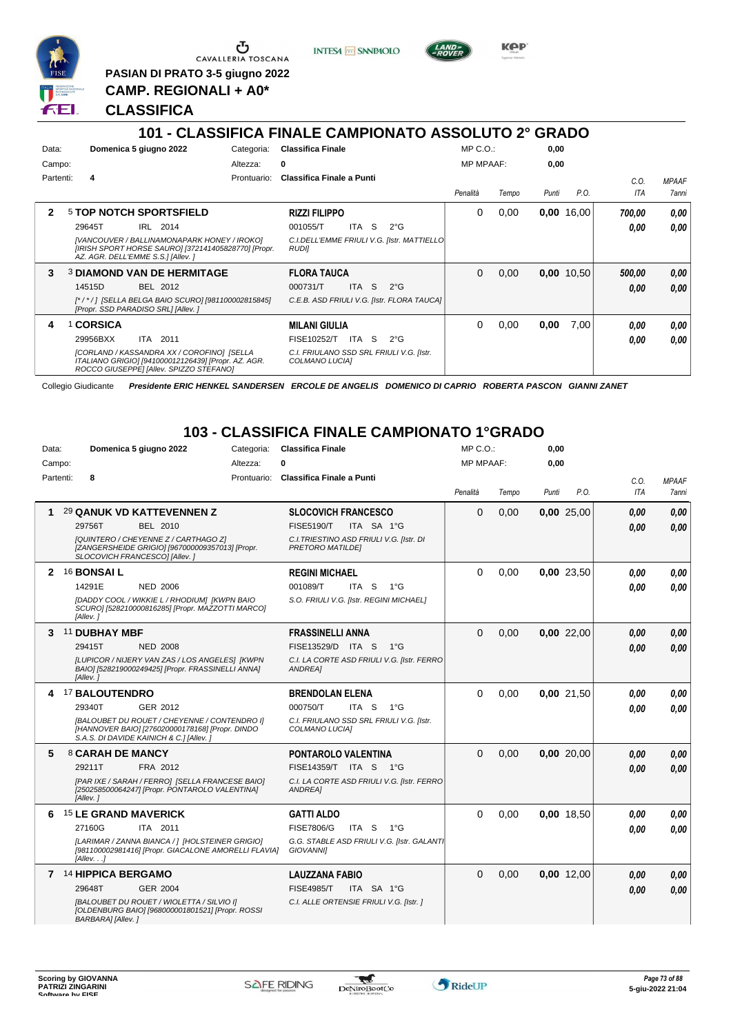

Ⴠ CAVALLERIA TOSCANA

**PASIAN DI PRATO 3-5 giugno 2022 CAMP. REGIONALI + A0\***

**CLASSIFICA**



**INTESA** M SANPAOLO

|              | .                                                                                                                                            |             | VERVUITIVA LIINAEE VAIIILIVINATU AUVUEVTU <i>E</i>          |                  |       |       | ◡╷╷─◡        |        |                     |
|--------------|----------------------------------------------------------------------------------------------------------------------------------------------|-------------|-------------------------------------------------------------|------------------|-------|-------|--------------|--------|---------------------|
| Data:        | Domenica 5 giugno 2022                                                                                                                       | Categoria:  | <b>Classifica Finale</b>                                    | $MP C. O.$ :     |       | 0,00  |              |        |                     |
| Campo:       |                                                                                                                                              | Altezza:    | 0                                                           | <b>MP MPAAF:</b> |       | 0,00  |              |        |                     |
| Partenti:    | 4                                                                                                                                            | Prontuario: | <b>Classifica Finale a Punti</b>                            |                  |       |       |              | C.O.   | <b>MPAAF</b>        |
|              |                                                                                                                                              |             |                                                             | Penalità         | Tempo | Punti | P.O.         | ITA    | <i><b>7anni</b></i> |
| $\mathbf{2}$ | <b>5 TOP NOTCH SPORTSFIELD</b>                                                                                                               |             | <b>RIZZI FILIPPO</b>                                        | $\Omega$         | 0,00  | 0,00  | 16,00        | 700.00 | 0.00                |
|              | IRL 2014<br>29645T                                                                                                                           |             | ITA<br><sub>S</sub><br>001055/T<br>$2^{\circ}G$             |                  |       |       |              | 0.00   | 0.00                |
|              | [VANCOUVER / BALLINAMONAPARK HONEY / IROKO]<br>[IRISH SPORT HORSE SAURO] [372141405828770] [Propr.<br>AZ. AGR. DELL'EMME S.S.] [Allev. ]     |             | C.I.DELL'EMME FRIULI V.G. [Istr. MATTIELLO]<br><b>RUDII</b> |                  |       |       |              |        |                     |
| 3            | <b>3 DIAMOND VAN DE HERMITAGE</b>                                                                                                            |             | <b>FLORA TAUCA</b>                                          | $\mathbf{0}$     | 0,00  |       | $0,00$ 10,50 | 500.00 | 0,00                |
|              | 14515D<br>BEL 2012                                                                                                                           |             | 000731/T<br>ITA S<br>$2^{\circ}G$                           |                  |       |       |              | 0.00   | 0.00                |
|              | [*/*/] [SELLA BELGA BAIO SCURO] [981100002815845]<br>[Propr. SSD PARADISO SRL] [Allev.]                                                      |             | C.E.B. ASD FRIULI V.G. [Istr. FLORA TAUCA]                  |                  |       |       |              |        |                     |
| 4            | 1 CORSICA                                                                                                                                    |             | <b>MILANI GIULIA</b>                                        | 0                | 0,00  | 0,00  | 7,00         | 0.00   | 0,00                |
|              | ITA 2011<br>29956BXX                                                                                                                         |             | ITA S<br>FISE10252/T<br>$2^{\circ}G$                        |                  |       |       |              | 0.00   | 0.00                |
|              | [CORLAND / KASSANDRA XX / COROFINO] [SELLA<br>ITALIANO GRIGIO] [941000012126439] [Propr. AZ. AGR.<br>ROCCO GIUSEPPE] [Allev. SPIZZO STEFANO] |             | C.I. FRIULANO SSD SRL FRIULI V.G. [Istr.<br>COLMANO LUCIAI  |                  |       |       |              |        |                     |

Collegio Giudicante *Presidente ERIC HENKEL SANDERSEN ERCOLE DE ANGELIS DOMENICO DI CAPRIO ROBERTA PASCON GIANNI ZANET*

## **103 - CLASSIFICA FINALE CAMPIONATO 1°GRADO**

| Data:     | Domenica 5 giugno 2022                                                                                                                      | Categoria:  | <b>Classifica Finale</b>                                            | MP C.O.:         |       | 0,00  |            |            |              |
|-----------|---------------------------------------------------------------------------------------------------------------------------------------------|-------------|---------------------------------------------------------------------|------------------|-------|-------|------------|------------|--------------|
| Campo:    |                                                                                                                                             | Altezza:    | U                                                                   | <b>MP MPAAF:</b> |       | 0.00  |            |            |              |
| Partenti: | 8                                                                                                                                           | Prontuario: | <b>Classifica Finale a Punti</b>                                    |                  |       |       |            | C.O.       | <b>MPAAF</b> |
|           |                                                                                                                                             |             |                                                                     | Penalità         | Tempo | Punti | P.O.       | <b>ITA</b> | 7anni        |
| 1         | 29 QANUK VD KATTEVENNEN Z                                                                                                                   |             | <b>SLOCOVICH FRANCESCO</b>                                          | 0                | 0,00  |       | 0,00 25,00 | 0.00       | 0.00         |
|           | <b>BEL 2010</b><br>29756T                                                                                                                   |             | <b>FISE5190/T</b><br>ITA SA 1°G                                     |                  |       |       |            | 0.00       | 0,00         |
|           | [QUINTERO / CHEYENNE Z / CARTHAGO Z]<br>[ZANGERSHEIDE GRIGIO] [967000009357013] [Propr.<br>SLOCOVICH FRANCESCO] [Allev.]                    |             | C.I. TRIESTINO ASD FRIULI V.G. [Istr. DI<br><b>PRETORO MATILDEI</b> |                  |       |       |            |            |              |
| 2         | 16 <b>BONSAI L</b>                                                                                                                          |             | <b>REGINI MICHAEL</b>                                               | 0                | 0,00  |       | 0,00 23,50 | 0.00       | 0.00         |
|           | 14291E<br><b>NED 2006</b>                                                                                                                   |             | 001089/T<br>ITA S<br>$1^{\circ}G$                                   |                  |       |       |            | 0.00       | 0.00         |
|           | [DADDY COOL / WIKKIE L / RHODIUM] [KWPN BAIO<br>SCURO] [528210000816285] [Propr. MAZZOTTI MARCO]<br>[Allev.]                                |             | S.O. FRIULI V.G. [Istr. REGINI MICHAEL]                             |                  |       |       |            |            |              |
| 3         | 11 DUBHAY MBF                                                                                                                               |             | <b>FRASSINELLI ANNA</b>                                             | $\Omega$         | 0.00  |       | 0.00 22.00 | 0.00       | 0.00         |
|           | 29415T<br><b>NED 2008</b>                                                                                                                   |             | FISE13529/D ITA S<br>$1^{\circ}G$                                   |                  |       |       |            | 0.00       | 0,00         |
|           | ILUPICOR / NIJERY VAN ZAS / LOS ANGELES] IKWPN<br>BAIO] [528219000249425] [Propr. FRASSINELLI ANNA]<br>[Allev.]                             |             | C.I. LA CORTE ASD FRIULI V.G. [Istr. FERRO<br>ANDREA]               |                  |       |       |            |            |              |
| 4         | 17 BALOUTENDRO                                                                                                                              |             | <b>BRENDOLAN ELENA</b>                                              | 0                | 0.00  |       | 0.00 21.50 | 0,00       | 0.00         |
|           | 29340T<br>GER 2012                                                                                                                          |             | 000750/T<br>ITA <sub>S</sub><br>$1^{\circ}G$                        |                  |       |       |            | 0,00       | 0,00         |
|           | [BALOUBET DU ROUET / CHEYENNE / CONTENDRO I]<br>[HANNOVER BAIO] [276020000178168] [Propr. DINDO<br>S.A.S. DI DAVIDE KAINICH & C.] [Allev. ] |             | C.I. FRIULANO SSD SRL FRIULI V.G. [Istr.<br>COLMANO LUCIA]          |                  |       |       |            |            |              |
| 5         | 8 CARAH DE MANCY                                                                                                                            |             | PONTAROLO VALENTINA                                                 | 0                | 0.00  |       | 0.00 20.00 | 0,00       | 0.00         |
|           | 29211T<br>FRA 2012                                                                                                                          |             | FISE14359/T ITA S 1°G                                               |                  |       |       |            | 0.00       | 0,00         |
|           | [PAR IXE / SARAH / FERRO] [SELLA FRANCESE BAIO]<br>[250258500064247] [Propr. PONTAROLO VALENTINA]<br>[Allev.]                               |             | C.I. LA CORTE ASD FRIULI V.G. [Istr. FERRO<br>ANDREA]               |                  |       |       |            |            |              |
| 6         | <b>15 LE GRAND MAVERICK</b>                                                                                                                 |             | <b>GATTI ALDO</b>                                                   | 0                | 0.00  |       | 0.00 18.50 | 0.00       | 0.00         |
|           | 27160G<br>ITA 2011                                                                                                                          |             | <b>FISE7806/G</b><br>ITA <sub>S</sub><br>$1^{\circ}G$               |                  |       |       |            | 0.00       | 0.00         |
|           | [LARIMAR / ZANNA BIANCA / 1 [HOLSTEINER GRIGIO]<br>[981100002981416] [Propr. GIACALONE AMORELLI FLAVIA]<br>[Allev. ]                        |             | G.G. STABLE ASD FRIULI V.G. [Istr. GALANTI<br><b>GIOVANNII</b>      |                  |       |       |            |            |              |
|           | 7 <sup>14</sup> HIPPICA BERGAMO                                                                                                             |             | <b>LAUZZANA FABIO</b>                                               | 0                | 0,00  |       | 0.00 12.00 | 0,00       | 0.00         |
|           | <b>GER 2004</b><br>29648T                                                                                                                   |             | <b>FISE4985/T</b><br>ITA SA 1°G                                     |                  |       |       |            | 0.00       | 0,00         |
|           | [BALOUBET DU ROUET / WIOLETTA / SILVIO I]<br>[OLDENBURG BAIO] [968000001801521] [Propr. ROSSI<br>BARBARA] [Allev.]                          |             | C.I. ALLE ORTENSIE FRIULI V.G. [Istr. ]                             |                  |       |       |            |            |              |



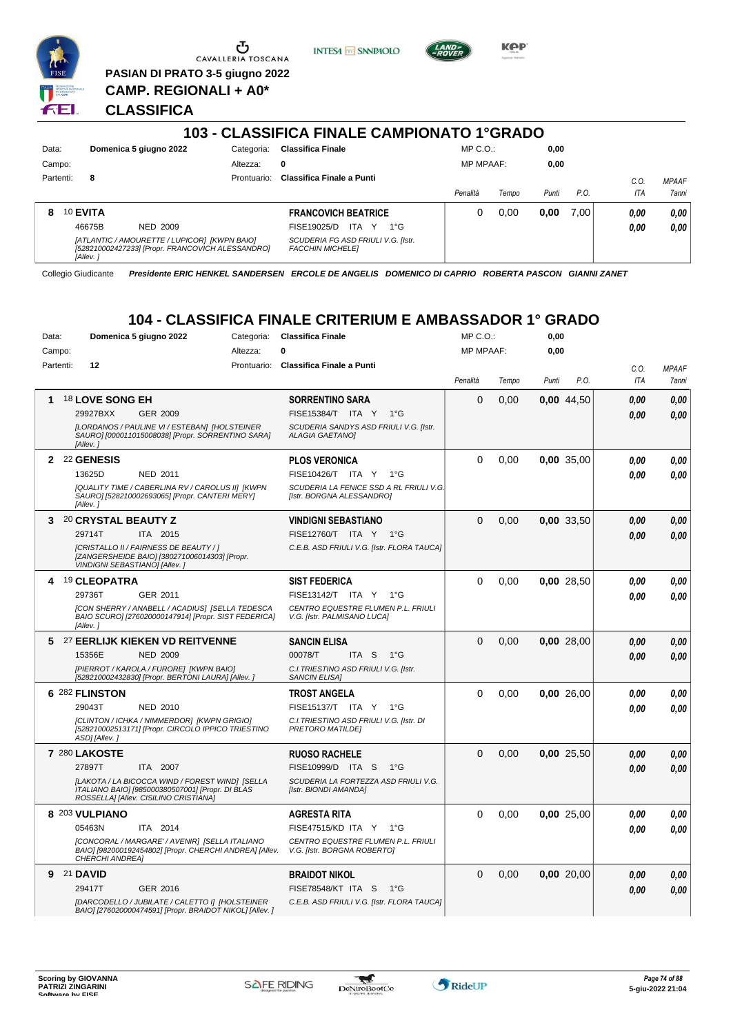

U CAVALLERIA TOSCANA **PASIAN DI PRATO 3-5 giugno 2022**

**CAMP. REGIONALI + A0\***

**INTESA** M SANPAOLO



**KPP** 

# **CLASSIFICA**

|           |                                                                                                                             |             | 103 - CLASSIFICA FINALE CAMPIONATO 1ºGRADO                    |                  |       |       |      |      |              |
|-----------|-----------------------------------------------------------------------------------------------------------------------------|-------------|---------------------------------------------------------------|------------------|-------|-------|------|------|--------------|
| Data:     | Domenica 5 giugno 2022                                                                                                      | Categoria:  | <b>Classifica Finale</b>                                      | $MP C. O.$ :     |       | 0,00  |      |      |              |
| Campo:    |                                                                                                                             | Altezza:    | 0                                                             | <b>MP MPAAF:</b> |       | 0,00  |      |      |              |
| Partenti: | 8                                                                                                                           | Prontuario: | Classifica Finale a Punti                                     |                  |       |       |      | C.0  | <b>MPAAF</b> |
|           |                                                                                                                             |             |                                                               | Penalità         | Tempo | Punti | P.O. | ITA  | <b>7anni</b> |
| 8         | 10 EVITA                                                                                                                    |             | <b>FRANCOVICH BEATRICE</b>                                    |                  | 0,00  | 0,00  | 7.00 | 0.00 | 0.00         |
|           | 46675B<br><b>NED 2009</b>                                                                                                   |             | ITA<br>FISE19025/D<br>Y<br>$1^{\circ}G$                       |                  |       |       |      | 0.00 | 0.00         |
|           | [ATLANTIC / AMOURETTE / LUPICOR] [KWPN BAIO]<br>[528210002427233] [Propr. FRANCOVICH ALESSANDRO]<br><i><b>IAllev.</b></i> i |             | SCUDERIA FG ASD FRIULI V.G. [Istr.<br><b>FACCHIN MICHELEI</b> |                  |       |       |      |      |              |

Collegio Giudicante *Presidente ERIC HENKEL SANDERSEN ERCOLE DE ANGELIS DOMENICO DI CAPRIO ROBERTA PASCON GIANNI ZANET*

# **104 - CLASSIFICA FINALE CRITERIUM E AMBASSADOR 1° GRADO**

| Data:     | Domenica 5 giugno 2022                                                                                                                       | Categoria:  | <b>Classifica Finale</b>                                             | MP C.O.:         |       | 0,00  |            |      |              |
|-----------|----------------------------------------------------------------------------------------------------------------------------------------------|-------------|----------------------------------------------------------------------|------------------|-------|-------|------------|------|--------------|
| Campo:    |                                                                                                                                              | Altezza:    | 0                                                                    | <b>MP MPAAF:</b> |       | 0,00  |            |      |              |
| Partenti: | 12                                                                                                                                           | Prontuario: | <b>Classifica Finale a Punti</b>                                     |                  |       |       |            | C.0. | <b>MPAAF</b> |
|           |                                                                                                                                              |             |                                                                      | Penalità         | Tempo | Punti | P.O.       | ITA  | 7anni        |
| 1         | <sup>18</sup> LOVE SONG EH                                                                                                                   |             | <b>SORRENTINO SARA</b>                                               | 0                | 0,00  |       | 0,00 44,50 | 0.00 | 0.00         |
|           | 29927BXX<br>GER 2009                                                                                                                         |             | FISE15384/T ITA Y<br>$1^{\circ}$ G                                   |                  |       |       |            | 0.00 | 0.00         |
|           | [LORDANOS / PAULINE VI / ESTEBAN] [HOLSTEINER<br>SAURO] [000011015008038] [Propr. SORRENTINO SARA]<br>[Allev.]                               |             | SCUDERIA SANDYS ASD FRIULI V.G. [Istr.<br><b>ALAGIA GAETANOI</b>     |                  |       |       |            |      |              |
|           | 2 22 GENESIS                                                                                                                                 |             | <b>PLOS VERONICA</b>                                                 | 0                | 0.00  |       | 0.00 35.00 | 0.00 | 0.00         |
|           | 13625D<br><b>NED 2011</b>                                                                                                                    |             | FISE10426/T ITA Y 1°G                                                |                  |       |       |            | 0.00 | 0.00         |
|           | [QUALITY TIME / CABERLINA RV / CAROLUS II] [KWPN<br>SAURO] [528210002693065] [Propr. CANTERI MERY]<br>[Allev.]                               |             | SCUDERIA LA FENICE SSD A RL FRIULI V.G.<br>[Istr. BORGNA ALESSANDRO] |                  |       |       |            |      |              |
| 3         | 20 CRYSTAL BEAUTY Z                                                                                                                          |             | <b>VINDIGNI SEBASTIANO</b>                                           | $\Omega$         | 0,00  |       | 0,00 33,50 | 0.00 | 0.00         |
|           | 29714T<br>ITA 2015                                                                                                                           |             | FISE12760/T ITA Y 1°G                                                |                  |       |       |            | 0.00 | 0.00         |
|           | [CRISTALLO II / FAIRNESS DE BEAUTY / ]<br>[ZANGERSHEIDE BAIO] [380271006014303] [Propr.<br>VINDIGNI SEBASTIANO] [Allev.]                     |             | C.E.B. ASD FRIULI V.G. [Istr. FLORA TAUCA]                           |                  |       |       |            |      |              |
|           | 19 CLEOPATRA                                                                                                                                 |             | <b>SIST FEDERICA</b>                                                 | 0                | 0.00  |       | 0.00 28.50 | 0.00 | 0.00         |
|           | 29736T<br>GER 2011                                                                                                                           |             | FISE13142/T ITA Y 1°G                                                |                  |       |       |            | 0.00 | 0.00         |
|           | [CON SHERRY / ANABELL / ACADIUS] [SELLA TEDESCA<br>BAIO SCURO] [276020000147914] [Propr. SIST FEDERICA]<br>[Allev.]                          |             | CENTRO EQUESTRE FLUMEN P.L. FRIULI<br>V.G. [Istr. PALMISANO LUCA]    |                  |       |       |            |      |              |
| 5.        | 27 EERLIJK KIEKEN VD REITVENNE                                                                                                               |             | <b>SANCIN ELISA</b>                                                  | $\Omega$         | 0,00  |       | 0,00 28,00 | 0.00 | 0.00         |
|           | 15356E<br><b>NED 2009</b>                                                                                                                    |             | 00078/T<br>ITA S<br>$1^{\circ}G$                                     |                  |       |       |            | 0.00 | 0.00         |
|           | [PIERROT / KAROLA / FURORE] [KWPN BAIO]<br>[528210002432830] [Propr. BERTONI LAURA] [Allev. ]                                                |             | C.I. TRIESTINO ASD FRIULI V.G. [Istr.<br><b>SANCIN ELISA1</b>        |                  |       |       |            |      |              |
|           | 6 282 FLINSTON                                                                                                                               |             | <b>TROST ANGELA</b>                                                  | 0                | 0.00  |       | 0.00 26.00 | 0.00 | 0,00         |
|           | 29043T<br><b>NED 2010</b>                                                                                                                    |             | FISE15137/T ITA Y 1°G                                                |                  |       |       |            | 0.00 | 0.00         |
|           | [CLINTON / ICHKA / NIMMERDOR] [KWPN GRIGIO]<br>[528210002513171] [Propr. CIRCOLO IPPICO TRIESTINO<br>ASD] [Allev.]                           |             | C.I. TRIESTINO ASD FRIULI V.G. [Istr. DI<br><b>PRETORO MATILDE!</b>  |                  |       |       |            |      |              |
|           | 7 280 LAKOSTE                                                                                                                                |             | <b>RUOSO RACHELE</b>                                                 | $\Omega$         | 0,00  |       | 0,00 25,50 | 0.00 | 0.00         |
|           | 27897T<br>ITA 2007                                                                                                                           |             | FISE10999/D ITA S<br>$1^{\circ}G$                                    |                  |       |       |            | 0.00 | 0.00         |
|           | [LAKOTA / LA BICOCCA WIND / FOREST WIND] [SELLA<br>ITALIANO BAIO] [985000380507001] [Propr. DI BLAS<br>ROSSELLA] [Allev. CISILINO CRISTIANA] |             | SCUDERIA LA FORTEZZA ASD FRIULI V.G.<br>[Istr. BIONDI AMANDA]        |                  |       |       |            |      |              |
|           | 8 203 VULPIANO                                                                                                                               |             | <b>AGRESTA RITA</b>                                                  | 0                | 0.00  |       | 0.00 25.00 | 0.00 | 0.00         |
|           | 05463N<br>ITA 2014                                                                                                                           |             | FISE47515/KD ITA Y<br>$1^{\circ}G$                                   |                  |       |       |            | 0.00 | 0.00         |
|           | [CONCORAL / MARGARE' / AVENIR] [SELLA ITALIANO<br>BAIO] [982000192454802] [Propr. CHERCHI ANDREA] [Allev.<br><b>CHERCHI ANDREA1</b>          |             | CENTRO EQUESTRE FLUMEN P.L. FRIULI<br>V.G. [Istr. BORGNA ROBERTO]    |                  |       |       |            |      |              |
| 9         | 21 DAVID                                                                                                                                     |             | <b>BRAIDOT NIKOL</b>                                                 | $\Omega$         | 0,00  |       | 0,00 20,00 | 0.00 | 0,00         |
|           | 29417T<br>GER 2016                                                                                                                           |             | FISE78548/KT ITA S<br>1°G                                            |                  |       |       |            | 0.00 | 0.00         |
|           | [DARCODELLO / JUBILATE / CALETTO I] [HOLSTEINER<br>BAIO] [276020000474591] [Propr. BRAIDOT NIKOL] [Allev. ]                                  |             | C.E.B. ASD FRIULI V.G. [Istr. FLORA TAUCA]                           |                  |       |       |            |      |              |

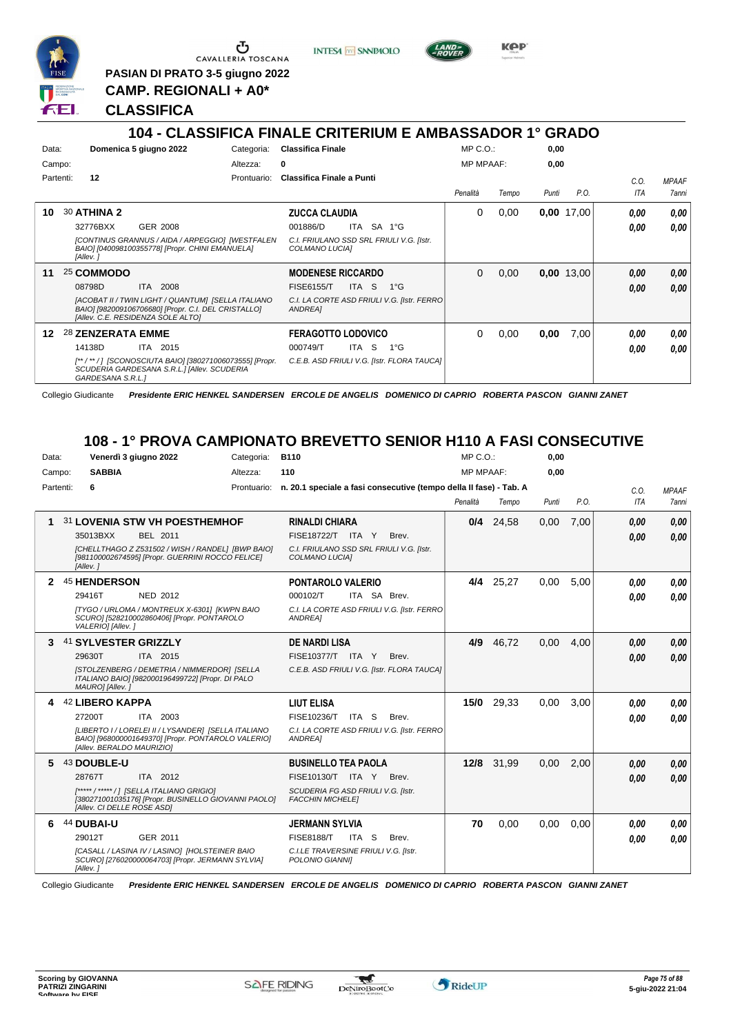

 $\sigma$  cavalleria toscana

**INTESA** M SANPAOLO



**KPP** 

**PASIAN DI PRATO 3-5 giugno 2022 CAMP. REGIONALI + A0\***

**CLASSIFICA**

# **104 - CLASSIFICA FINALE CRITERIUM E AMBASSADOR 1° GRADO**

|       |           |                    | 1 V T                                                                                                                                          |             | <u>ULAUUII IUA I IINALL UNITENUM E AMPAUUADUN</u>          |                  |       |       | טשמוט      |      |              |
|-------|-----------|--------------------|------------------------------------------------------------------------------------------------------------------------------------------------|-------------|------------------------------------------------------------|------------------|-------|-------|------------|------|--------------|
| Data: |           |                    | Domenica 5 giugno 2022                                                                                                                         | Categoria:  | <b>Classifica Finale</b>                                   | $MP C. O.$ :     |       | 0,00  |            |      |              |
|       | Campo:    |                    |                                                                                                                                                | Altezza:    | 0                                                          | <b>MP MPAAF:</b> |       | 0,00  |            |      |              |
|       | Partenti: | 12                 |                                                                                                                                                | Prontuario: | Classifica Finale a Punti                                  |                  |       |       |            | C.O. | <b>MPAAF</b> |
|       |           |                    |                                                                                                                                                |             |                                                            | Penalità         | Tempo | Punti | P.O.       | ITA  | 7anni        |
| 10    |           | <b>30 ATHINA 2</b> |                                                                                                                                                |             | <b>ZUCCA CLAUDIA</b>                                       | 0                | 0,00  |       | 0,00 17,00 | 0,00 | 0,00         |
|       |           | 32776BXX           | GER 2008                                                                                                                                       |             | 001886/D<br>SA 1°G<br>ITA                                  |                  |       |       |            | 0.00 | 0.00         |
|       |           | [Allev.]           | [CONTINUS GRANNUS / AIDA / ARPEGGIO] [WESTFALEN<br>BAIO] [040098100355778] [Propr. CHINI EMANUELA]                                             |             | C.I. FRIULANO SSD SRL FRIULI V.G. [Istr.<br>COLMANO LUCIAI |                  |       |       |            |      |              |
| 11    |           | 25 COMMODO         |                                                                                                                                                |             | <b>MODENESE RICCARDO</b>                                   | 0                | 0,00  |       | 0,00 13,00 | 0,00 | 0,00         |
|       |           | 08798D             | ITA 2008                                                                                                                                       |             | <b>FISE6155/T</b><br>ITA S<br>$1^{\circ}G$                 |                  |       |       |            | 0.00 | 0.00         |
|       |           |                    | [ACOBAT II / TWIN LIGHT / QUANTUM] [SELLA ITALIANO<br>BAIO] [982009106706680] [Propr. C.I. DEL CRISTALLO]<br>[Allev. C.E. RESIDENZA SOLE ALTO] |             | C.I. LA CORTE ASD FRIULI V.G. [Istr. FERRO]<br>ANDREA]     |                  |       |       |            |      |              |
| 12    |           | 28 ZENZERATA EMME  |                                                                                                                                                |             | <b>FERAGOTTO LODOVICO</b>                                  | 0                | 0,00  | 0,00  | 7,00       | 0.00 | 0,00         |
|       |           | 14138D             | ITA 2015                                                                                                                                       |             | $1^{\circ}$ G<br>000749/T<br>ITA<br>-S                     |                  |       |       |            | 0.00 | 0.00         |
|       |           | GARDESANA S.R.L.1  | [**/**/] [SCONOSCIUTA BAIO] [380271006073555] [Propr.<br>SCUDERIA GARDESANA S.R.L.] [Allev. SCUDERIA                                           |             | C.E.B. ASD FRIULI V.G. [Istr. FLORA TAUCA]                 |                  |       |       |            |      |              |

Collegio Giudicante *Presidente ERIC HENKEL SANDERSEN ERCOLE DE ANGELIS DOMENICO DI CAPRIO ROBERTA PASCON GIANNI ZANET*

#### **108 - 1° PROVA CAMPIONATO BREVETTO SENIOR H110 A FASI CONSECUTIVE**

| Data:     |                            | Venerdì 3 giugno 2022                                                                                     | Categoria:  | <b>B110</b>                                                        | $MP C. O.$ :     |             | 0,00  |      |            |              |
|-----------|----------------------------|-----------------------------------------------------------------------------------------------------------|-------------|--------------------------------------------------------------------|------------------|-------------|-------|------|------------|--------------|
| Campo:    | <b>SABBIA</b>              |                                                                                                           | Altezza:    | 110                                                                | <b>MP MPAAF:</b> |             | 0,00  |      |            |              |
| Partenti: | 6                          |                                                                                                           | Prontuario: | n. 20.1 speciale a fasi consecutive (tempo della II fase) - Tab. A |                  |             |       |      | C.O.       | <b>MPAAF</b> |
|           |                            |                                                                                                           |             |                                                                    | Penalità         | Tempo       | Punti | P.O. | <b>ITA</b> | <b>7anni</b> |
|           |                            | 31 LOVENIA STW VH POESTHEMHOF                                                                             |             | <b>RINALDI CHIARA</b>                                              |                  | $0/4$ 24,58 | 0,00  | 7,00 | 0,00       | 0.00         |
|           | 35013BXX                   | BEL 2011                                                                                                  |             | FISE18722/T ITA Y<br>Brev.                                         |                  |             |       |      | 0.00       | 0.00         |
|           | [Allev.]                   | [CHELLTHAGO Z Z531502 / WISH / RANDEL] [BWP BAIO]<br>[981100002674595] [Propr. GUERRINI ROCCO FELICE]     |             | C.I. FRIULANO SSD SRL FRIULI V.G. [Istr.<br>COLMANO LUCIA]         |                  |             |       |      |            |              |
|           | <b>45 HENDERSON</b>        |                                                                                                           |             | <b>PONTAROLO VALERIO</b>                                           | 4/4              | 25,27       | 0,00  | 5,00 | 0.00       | 0.00         |
|           | 29416T                     | <b>NED 2012</b>                                                                                           |             | 000102/T<br>ITA SA Brev.                                           |                  |             |       |      | 0.00       | 0.00         |
|           | VALERIO] [Allev.]          | ITYGO / URLOMA / MONTREUX X-6301] [KWPN BAIO<br>SCURO] [528210002860406] [Propr. PONTAROLO                |             | C.I. LA CORTE ASD FRIULI V.G. [Istr. FERRO<br>ANDREA]              |                  |             |       |      |            |              |
| 3         | 41 SYLVESTER GRIZZLY       |                                                                                                           |             | <b>DE NARDI LISA</b>                                               | 4/9              | 46,72       | 0,00  | 4.00 | 0,00       | 0,00         |
|           | 29630T                     | ITA 2015                                                                                                  |             | FISE10377/T ITA Y<br>Brev.                                         |                  |             |       |      | 0.00       | 0.00         |
|           | MAURO] [Allev.]            | [STOLZENBERG / DEMETRIA / NIMMERDOR] [SELLA<br>ITALIANO BAIO] [982000196499722] [Propr. DI PALO           |             | C.E.B. ASD FRIULI V.G. [Istr. FLORA TAUCA]                         |                  |             |       |      |            |              |
|           | 42 LIBERO KAPPA            |                                                                                                           |             | <b>LIUT ELISA</b>                                                  | 15/0             | 29,33       | 0.00  | 3.00 | 0.00       | 0.00         |
|           | 27200T                     | ITA 2003                                                                                                  |             | FISE10236/T<br>ITA S<br>Brev.                                      |                  |             |       |      | 0.00       | 0.00         |
|           | [Allev. BERALDO MAURIZIO]  | [LIBERTO I / LORELEI II / LYSANDER] [SELLA ITALIANO<br>BAIO] [968000001649370] [Propr. PONTAROLO VALERIO] |             | C.I. LA CORTE ASD FRIULI V.G. [Istr. FERRO<br><b>ANDREA1</b>       |                  |             |       |      |            |              |
|           | 43 DOUBLE-U                |                                                                                                           |             | <b>BUSINELLO TEA PAOLA</b>                                         |                  | 12/8 31,99  | 0.00  | 2,00 | 0,00       | 0.00         |
|           | 28767T                     | ITA 2012                                                                                                  |             | FISE10130/T ITA Y<br>Brev.                                         |                  |             |       |      | 0.00       | 0.00         |
|           | [Allev. CI DELLE ROSE ASD] | [*****/*****/1 [SELLA ITALIANO GRIGIO]<br>[380271001035176] [Propr. BUSINELLO GIOVANNI PAOLO]             |             | SCUDERIA FG ASD FRIULI V.G. [Istr.<br><b>FACCHIN MICHELE1</b>      |                  |             |       |      |            |              |
| 6         | 44 DUBAI-U                 |                                                                                                           |             | <b>JERMANN SYLVIA</b>                                              | 70               | 0,00        | 0,00  | 0.00 | 0,00       | 0.00         |
|           | 29012T                     | GER 2011                                                                                                  |             | <b>FISE8188/T</b><br>ITA S<br>Brev.                                |                  |             |       |      | 0.00       | 0.00         |
|           | [Allev.]                   | [CASALL / LASINA IV / LASINO] [HOLSTEINER BAIO<br>SCURO] [276020000064703] [Propr. JERMANN SYLVIA]        |             | C.I.LE TRAVERSINE FRIULI V.G. [Istr.<br>POLONIO GIANNII            |                  |             |       |      |            |              |

Collegio Giudicante *Presidente ERIC HENKEL SANDERSEN ERCOLE DE ANGELIS DOMENICO DI CAPRIO ROBERTA PASCON GIANNI ZANET*

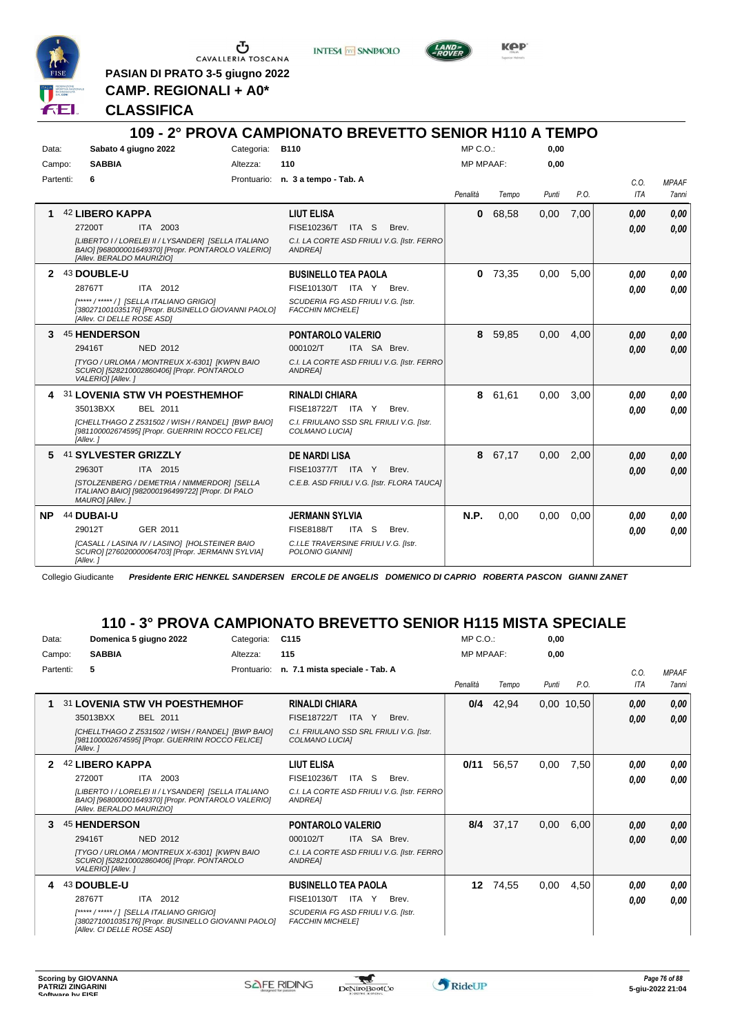

Ⴠ CAVALLERIA TOSCANA

**PASIAN DI PRATO 3-5 giugno 2022 CAMP. REGIONALI + A0\***

**INTESA** M SANPAOLO



**KPP** 

#### **CLASSIFICA**

|           |                            |                                                                                                           |            | 109 - 2° PROVA CAMPIONATO BREVETTO SENIOR H110 A TEMPO        |                  |           |       |      |                    |                       |
|-----------|----------------------------|-----------------------------------------------------------------------------------------------------------|------------|---------------------------------------------------------------|------------------|-----------|-------|------|--------------------|-----------------------|
| Data:     |                            | Sabato 4 giugno 2022                                                                                      | Categoria: | <b>B110</b>                                                   | MP C. O.         |           | 0.00  |      |                    |                       |
| Campo:    | <b>SABBIA</b>              |                                                                                                           | Altezza:   | 110                                                           | <b>MP MPAAF:</b> |           | 0,00  |      |                    |                       |
| Partenti: | 6                          |                                                                                                           |            | Prontuario: n. 3 a tempo - Tab. A                             | Penalità         | Tempo     | Punti | P.O. | C.0.<br><b>ITA</b> | <b>MPAAF</b><br>7anni |
| 1.        | <b>42 LIBERO KAPPA</b>     |                                                                                                           |            | <b>LIUT ELISA</b>                                             | $\mathbf{0}$     | 68,58     | 0,00  | 7,00 | 0.00               | 0.00                  |
|           | 27200T                     | ITA 2003                                                                                                  |            | FISE10236/T ITA S<br>Brev.                                    |                  |           |       |      | 0.00               | 0.00                  |
|           | [Allev. BERALDO MAURIZIO]  | [LIBERTO I / LORELEI II / LYSANDER] [SELLA ITALIANO<br>BAIO] [968000001649370] [Propr. PONTAROLO VALERIO] |            | C.I. LA CORTE ASD FRIULI V.G. [Istr. FERRO<br>ANDREA]         |                  |           |       |      |                    |                       |
|           | 2 43 DOUBLE-U              |                                                                                                           |            | <b>BUSINELLO TEA PAOLA</b>                                    |                  | $0$ 73,35 | 0,00  | 5,00 | 0.00               | 0,00                  |
|           | 28767T                     | ITA 2012                                                                                                  |            | FISE10130/T ITA Y Brev.                                       |                  |           |       |      | 0.00               | 0.00                  |
|           | [Allev. CI DELLE ROSE ASD] | [*****/*****/] [SELLA ITALIANO GRIGIO]<br>[380271001035176] [Propr. BUSINELLO GIOVANNI PAOLO]             |            | SCUDERIA FG ASD FRIULI V.G. [Istr.<br><b>FACCHIN MICHELE]</b> |                  |           |       |      |                    |                       |
| 3         | 45 HENDERSON               |                                                                                                           |            | PONTAROLO VALERIO                                             | 8                | 59,85     | 0.00  | 4.00 | 0,00               | 0.00                  |
|           | 29416T                     | <b>NED 2012</b>                                                                                           |            | ITA SA Brev.<br>000102/T                                      |                  |           |       |      | 0.00               | 0.00                  |
|           | VALERIO] [Allev.]          | [TYGO / URLOMA / MONTREUX X-6301] [KWPN BAIO<br>SCURO] [528210002860406] [Propr. PONTAROLO                |            | C.I. LA CORTE ASD FRIULI V.G. [Istr. FERRO]<br>ANDREA]        |                  |           |       |      |                    |                       |
|           |                            | 31 LOVENIA STW VH POESTHEMHOF                                                                             |            | <b>RINALDI CHIARA</b>                                         |                  | 8 61,61   | 0.00  | 3.00 | 0.00               | 0,00                  |
|           | 35013BXX                   | BEL 2011                                                                                                  |            | FISE18722/T ITA Y<br>Brev.                                    |                  |           |       |      | 0.00               | 0.00                  |
|           | [Allev.]                   | [CHELLTHAGO Z Z531502 / WISH / RANDEL] [BWP BAIO]<br>[981100002674595] [Propr. GUERRINI ROCCO FELICE]     |            | C.I. FRIULANO SSD SRL FRIULI V.G. [Istr.<br>COLMANO LUCIA]    |                  |           |       |      |                    |                       |
|           | 5 41 SYLVESTER GRIZZLY     |                                                                                                           |            | <b>DE NARDI LISA</b>                                          |                  | 8 67,17   | 0,00  | 2,00 | 0,00               | 0,00                  |
|           | 29630T                     | ITA 2015                                                                                                  |            | <b>FISE10377/T ITA Y</b><br>Brev.                             |                  |           |       |      | 0.00               | 0.00                  |
|           | MAURO] [Allev.]            | [STOLZENBERG / DEMETRIA / NIMMERDOR] [SELLA<br>ITALIANO BAIO] [982000196499722] [Propr. DI PALO           |            | C.E.B. ASD FRIULI V.G. [Istr. FLORA TAUCA]                    |                  |           |       |      |                    |                       |
|           | NP 44 DUBAI-U              |                                                                                                           |            | <b>JERMANN SYLVIA</b>                                         | N.P.             | 0.00      | 0.00  | 0.00 | 0.00               | 0,00                  |
|           | 29012T                     | GER 2011                                                                                                  |            | ITA S<br><b>FISE8188/T</b><br>Brev.                           |                  |           |       |      | 0.00               | 0.00                  |
|           | [Allev. 1                  | [CASALL / LASINA IV / LASINO] [HOLSTEINER BAIO<br>SCURO] [276020000064703] [Propr. JERMANN SYLVIA]        |            | C.I.LE TRAVERSINE FRIULI V.G. [Istr.<br>POLONIO GIANNII       |                  |           |       |      |                    |                       |

Collegio Giudicante *Presidente ERIC HENKEL SANDERSEN ERCOLE DE ANGELIS DOMENICO DI CAPRIO ROBERTA PASCON GIANNI ZANET*

# **110 - 3° PROVA CAMPIONATO BREVETTO SENIOR H115 MISTA SPECIALE**

| Data:     |          |                            | Domenica 5 giugno 2022                                                                                    | Categoria:  | C <sub>115</sub>                                              |              |                                             | MP C. O.         |       | 0.00  |              |             |                       |
|-----------|----------|----------------------------|-----------------------------------------------------------------------------------------------------------|-------------|---------------------------------------------------------------|--------------|---------------------------------------------|------------------|-------|-------|--------------|-------------|-----------------------|
| Campo:    |          | <b>SABBIA</b>              |                                                                                                           | Altezza:    | 115                                                           |              |                                             | <b>MP MPAAF:</b> |       | 0.00  |              |             |                       |
| Partenti: |          | 5                          |                                                                                                           | Prontuario: | n. 7.1 mista speciale - Tab. A                                |              |                                             | Penalità         | Tempo | Punti | P.O.         | C.O.<br>ITA | <b>MPAAF</b><br>7anni |
| 1         |          |                            | 31 LOVENIA STW VH POESTHEMHOF                                                                             |             | <b>RINALDI CHIARA</b>                                         |              |                                             | 0/4              | 42,94 |       | $0,00$ 10,50 | 0,00        | 0,00                  |
|           |          | 35013BXX                   | <b>BEL 2011</b>                                                                                           |             | <b>FISE18722/T ITA Y</b>                                      |              | Brev.                                       |                  |       |       |              | 0,00        | 0,00                  |
|           | [Allev.] |                            | [CHELLTHAGO Z Z531502 / WISH / RANDEL] [BWP BAIO]<br>[981100002674595] [Propr. GUERRINI ROCCO FELICE]     |             | C.I. FRIULANO SSD SRL FRIULI V.G. [Istr.<br>COLMANO LUCIA]    |              |                                             |                  |       |       |              |             |                       |
|           |          | 42 LIBERO KAPPA            |                                                                                                           |             | <b>LIUT ELISA</b>                                             |              |                                             | 0/11             | 56,57 | 0,00  | 7,50         | 0.00        | 0,00                  |
|           | 27200T   |                            | ITA 2003                                                                                                  |             | FISE10236/T                                                   | ITA S        | Brev.                                       |                  |       |       |              | 0.00        | 0.00                  |
|           |          | [Allev. BERALDO MAURIZIO]  | [LIBERTO I / LORELEI II / LYSANDER] [SELLA ITALIANO<br>BAIO] [968000001649370] [Propr. PONTAROLO VALERIO] |             | ANDREA1                                                       |              | C.I. LA CORTE ASD FRIULI V.G. [Istr. FERRO  |                  |       |       |              |             |                       |
| 3         |          | 45 HENDERSON               |                                                                                                           |             | <b>PONTAROLO VALERIO</b>                                      |              |                                             | 8/4              | 37,17 | 0,00  | 6,00         | 0,00        | 0,00                  |
|           | 29416T   |                            | <b>NED 2012</b>                                                                                           |             | 000102/T                                                      | ITA SA Brev. |                                             |                  |       |       |              | 0,00        | 0.00                  |
|           |          | VALERIO] [Allev.]          | [TYGO / URLOMA / MONTREUX X-6301] [KWPN BAIO<br>SCURO] [528210002860406] [Propr. PONTAROLO                |             | ANDREA]                                                       |              | C.I. LA CORTE ASD FRIULI V.G. [Istr. FERRO] |                  |       |       |              |             |                       |
| 4         |          | 43 DOUBLE-U                |                                                                                                           |             | <b>BUSINELLO TEA PAOLA</b>                                    |              |                                             | 12               | 74,55 | 0,00  | 4,50         | 0.00        | 0,00                  |
|           | 28767T   |                            | ITA 2012                                                                                                  |             | FISE10130/T                                                   | ITA Y        | Brev.                                       |                  |       |       |              | 0.00        | 0.00                  |
|           |          | [Allev. CI DELLE ROSE ASD] | [***** / ***** / ] [SELLA ITALIANO GRIGIO]<br>[380271001035176] [Propr. BUSINELLO GIOVANNI PAOLO]         |             | SCUDERIA FG ASD FRIULI V.G. [Istr.<br><b>FACCHIN MICHELE]</b> |              |                                             |                  |       |       |              |             |                       |

 $\tau$ 

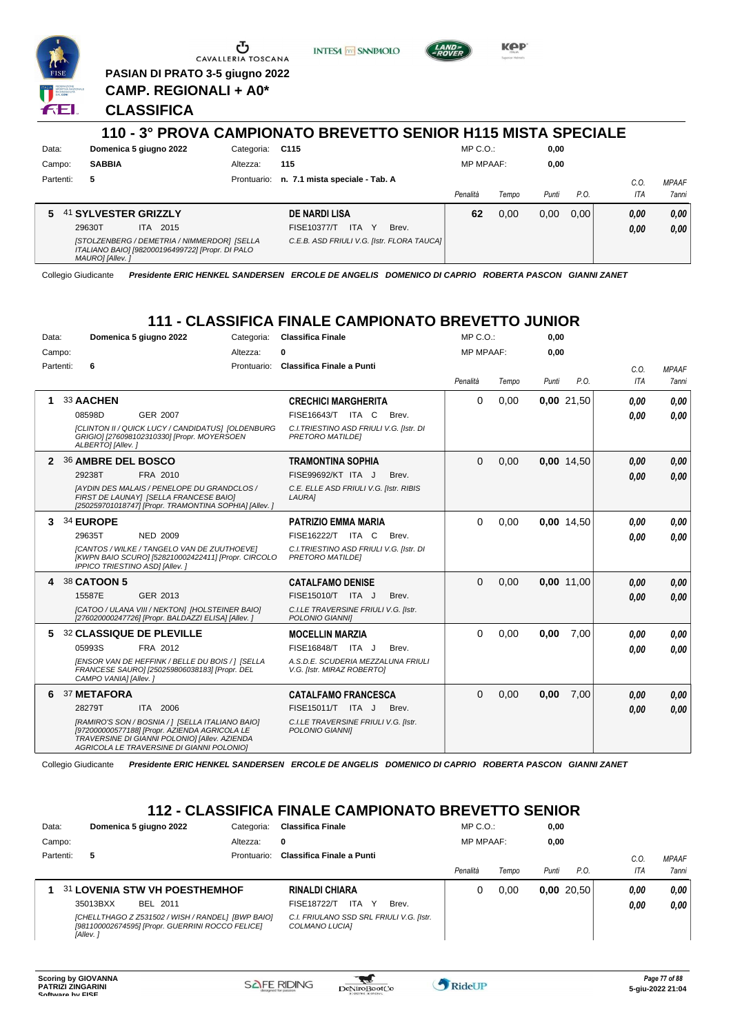

**INTESA** M SANPAOLO



**KPP** 

#### **CLASSIFICA**

7 E I

|           |                                                                                                                    |             | 110 - 3° PROVA CAMPIONATO BREVETTO SENIOR H115 MISTA SPECIALE |                  |       |       |      |      |              |
|-----------|--------------------------------------------------------------------------------------------------------------------|-------------|---------------------------------------------------------------|------------------|-------|-------|------|------|--------------|
| Data:     | Domenica 5 giugno 2022                                                                                             | Categoria:  | C115                                                          | $MP C. O.$ :     |       | 0,00  |      |      |              |
| Campo:    | <b>SABBIA</b>                                                                                                      | Altezza:    | 115                                                           | <b>MP MPAAF:</b> |       | 0,00  |      |      |              |
| Partenti: | 5                                                                                                                  | Prontuario: | n. 7.1 mista speciale - Tab. A                                |                  |       |       |      | C.O. | <b>MPAAF</b> |
|           |                                                                                                                    |             |                                                               | Penalità         | Tempo | Punti | P.O. | ITA  | 7anni        |
| 5         | 41 SYLVESTER GRIZZLY                                                                                               |             | <b>DE NARDI LISA</b>                                          | 62               | 0,00  | 0.00  | 0.00 | 0,00 | 0,00         |
|           | 29630T<br>ITA 2015                                                                                                 |             | FISE10377/T<br>ITA.<br>Y<br>Brev.                             |                  |       |       |      | 0,00 | 0,00         |
|           | [STOLZENBERG / DEMETRIA / NIMMERDOR] [SELLA<br>ITALIANO BAIO] [982000196499722] [Propr. DI PALO<br>MAURO] [Allev.] |             | C.E.B. ASD FRIULI V.G. [Istr. FLORA TAUCA]                    |                  |       |       |      |      |              |

Collegio Giudicante *Presidente ERIC HENKEL SANDERSEN ERCOLE DE ANGELIS DOMENICO DI CAPRIO ROBERTA PASCON GIANNI ZANET*

# **111 - CLASSIFICA FINALE CAMPIONATO BREVETTO JUNIOR**

| Data:     |           |                        | Domenica 5 giugno 2022                                                                                                                                                                          | Categoria:  | <b>Classifica Finale</b>                                         |       | MP C.O.:         |       | 0,00  |            |            |              |
|-----------|-----------|------------------------|-------------------------------------------------------------------------------------------------------------------------------------------------------------------------------------------------|-------------|------------------------------------------------------------------|-------|------------------|-------|-------|------------|------------|--------------|
| Campo:    |           |                        |                                                                                                                                                                                                 | Altezza:    | 0                                                                |       | <b>MP MPAAF:</b> |       | 0,00  |            |            |              |
| Partenti: |           | 6                      |                                                                                                                                                                                                 | Prontuario: | Classifica Finale a Punti                                        |       |                  |       |       |            | C.O.       | <b>MPAAF</b> |
|           |           |                        |                                                                                                                                                                                                 |             |                                                                  |       | Penalità         | Tempo | Punti | P.O.       | <b>ITA</b> | 7anni        |
| 1         | 33 AACHEN |                        |                                                                                                                                                                                                 |             | <b>CRECHICI MARGHERITA</b>                                       |       | 0                | 0,00  |       | 0,00 21,50 | 0.00       | 0.00         |
|           | 08598D    |                        | <b>GER 2007</b>                                                                                                                                                                                 |             | FISE16643/T ITA C                                                | Brev. |                  |       |       |            | 0.00       | 0,00         |
|           |           | ALBERTO] [Allev.]      | [CLINTON II / QUICK LUCY / CANDIDATUS] [OLDENBURG<br>GRIGIO] [276098102310330] [Propr. MOYERSOEN                                                                                                |             | C.I. TRIESTINO ASD FRIULI V.G. [Istr. DI<br>PRETORO MATILDEI     |       |                  |       |       |            |            |              |
| 2         |           | 36 AMBRE DEL BOSCO     |                                                                                                                                                                                                 |             | <b>TRAMONTINA SOPHIA</b>                                         |       | 0                | 0,00  |       | 0,00 14,50 | 0.00       | 0.00         |
|           | 29238T    |                        | FRA 2010                                                                                                                                                                                        |             | FISE99692/KT ITA J                                               | Brev. |                  |       |       |            | 0.00       | 0.00         |
|           |           |                        | <b>IAYDIN DES MALAIS / PENELOPE DU GRANDCLOS /</b><br>FIRST DE LAUNAY] [SELLA FRANCESE BAIO]<br>[250259701018747] [Propr. TRAMONTINA SOPHIA] [Allev. ]                                          |             | C.E. ELLE ASD FRIULI V.G. [Istr. RIBIS<br>LAURA]                 |       |                  |       |       |            |            |              |
| 3         | 34 EUROPE |                        |                                                                                                                                                                                                 |             | <b>PATRIZIO EMMA MARIA</b>                                       |       | 0                | 0,00  |       | 0,00 14,50 | 0.00       | 0.00         |
|           | 29635T    |                        | <b>NED 2009</b>                                                                                                                                                                                 |             | FISE16222/T ITA C                                                | Brev. |                  |       |       |            | 0.00       | 0.00         |
|           |           |                        | [CANTOS / WILKE / TANGELO VAN DE ZUUTHOEVE]<br>[KWPN BAIO SCURO] [528210002422411] [Propr. CIRCOLO<br>IPPICO TRIESTINO ASD] [Allev.]                                                            |             | C.I. TRIESTINO ASD FRIULI V.G. [Istr. DI<br>PRETORO MATILDEI     |       |                  |       |       |            |            |              |
| 4         |           | 38 CATOON 5            |                                                                                                                                                                                                 |             | <b>CATALFAMO DENISE</b>                                          |       | $\Omega$         | 0.00  |       | 0.00 11.00 | 0,00       | 0,00         |
|           | 15587E    |                        | GER 2013                                                                                                                                                                                        |             | FISE15010/T ITA J                                                | Brev. |                  |       |       |            | 0.00       | 0.00         |
|           |           |                        | [CATOO / ULANA VIII / NEKTON] [HOLSTEINER BAIO]<br>[276020000247726] [Propr. BALDAZZI ELISA] [Allev.]                                                                                           |             | C.I.LE TRAVERSINE FRIULI V.G. [Istr.<br>POLONIO GIANNI]          |       |                  |       |       |            |            |              |
| 5         |           |                        | <b>32 CLASSIQUE DE PLEVILLE</b>                                                                                                                                                                 |             | <b>MOCELLIN MARZIA</b>                                           |       | 0                | 0.00  | 0,00  | 7.00       | 0.00       | 0.00         |
|           | 05993S    |                        | FRA 2012                                                                                                                                                                                        |             | FISE16848/T ITA J                                                | Brev. |                  |       |       |            | 0.00       | 0.00         |
|           |           | CAMPO VANIAI [Allev. ] | [ENSOR VAN DE HEFFINK / BELLE DU BOIS / ] [SELLA<br>FRANCESE SAURO] [250259806038183] [Propr. DEL                                                                                               |             | A.S.D.E. SCUDERIA MEZZALUNA FRIULI<br>V.G. [Istr. MIRAZ ROBERTO] |       |                  |       |       |            |            |              |
| 6         |           | 37 METAFORA            |                                                                                                                                                                                                 |             | <b>CATALFAMO FRANCESCA</b>                                       |       | 0                | 0,00  | 0,00  | 7,00       | 0,00       | 0,00         |
|           | 28279T    |                        | ITA 2006                                                                                                                                                                                        |             | FISE15011/T ITA J                                                | Brev. |                  |       |       |            | 0.00       | 0.00         |
|           |           |                        | [RAMIRO'S SON / BOSNIA / ] [SELLA ITALIANO BAIO]<br>[972000000577188] [Propr. AZIENDA AGRICOLA LE<br>TRAVERSINE DI GIANNI POLONIO] [Allev. AZIENDA<br>AGRICOLA LE TRAVERSINE DI GIANNI POLONIO] |             | C.I.LE TRAVERSINE FRIULI V.G. [Istr.<br>POLONIO GIANNII          |       |                  |       |       |            |            |              |

Collegio Giudicante *Presidente ERIC HENKEL SANDERSEN ERCOLE DE ANGELIS DOMENICO DI CAPRIO ROBERTA PASCON GIANNI ZANET*

## **112 - CLASSIFICA FINALE CAMPIONATO BREVETTO SENIOR**

| Data:     | Domenica 5 giugno 2022                                                                                            | Categoria:  | <b>Classifica Finale</b>                                   | MP C. O.         |       | 0,00  |           |      |              |
|-----------|-------------------------------------------------------------------------------------------------------------------|-------------|------------------------------------------------------------|------------------|-------|-------|-----------|------|--------------|
| Campo:    |                                                                                                                   | Altezza:    | 0                                                          | <b>MP MPAAF:</b> |       | 0,00  |           |      |              |
| Partenti: | 5                                                                                                                 | Prontuario: | Classifica Finale a Punti                                  |                  |       |       |           | C.O  | <b>MPAAF</b> |
|           |                                                                                                                   |             |                                                            | Penalità         | Tempo | Punti | P.O.      | ITA  | <b>7anni</b> |
|           | 31 LOVENIA STW VH POESTHEMHOF                                                                                     |             | <b>RINALDI CHIARA</b>                                      | 0                | 0.00  |       | 0.0020.50 | 0.00 | 0,00         |
|           | 35013BXX<br>BEL 2011                                                                                              |             | <b>FISE18722/T</b><br><b>ITA</b><br>Brev.                  |                  |       |       |           | 0.00 | 0,00         |
|           | [CHELLTHAGO Z Z531502 / WISH / RANDEL] [BWP BAIO]<br>[981100002674595] [Propr. GUERRINI ROCCO FELICE]<br>[Allev.] |             | C.I. FRIULANO SSD SRL FRIULI V.G. [Istr.<br>COLMANO LUCIA] |                  |       |       |           |      |              |

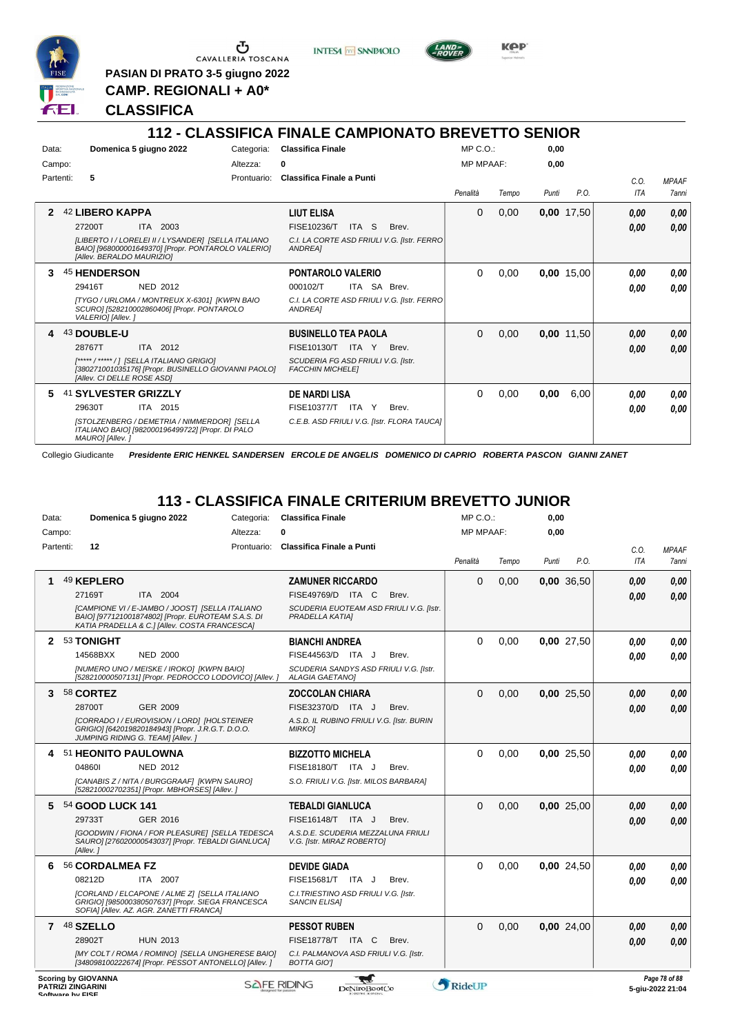

**PASIAN DI PRATO 3-5 giugno 2022 CAMP. REGIONALI + A0\***

**CLASSIFICA**



**Kep** 

# **112 - CLASSIFICA FINALE CAMPIONATO BREVETTO SENIOR**

| Data:<br>Campo: | Domenica 5 giugno 2022                                                                                                                                                          | Categoria:<br>Altezza: | <b>Classifica Finale</b><br>0                                                                                             | MP C. O.<br><b>MP MPAAF:</b> |       | 0,00<br>0.00 |              |              |                              |
|-----------------|---------------------------------------------------------------------------------------------------------------------------------------------------------------------------------|------------------------|---------------------------------------------------------------------------------------------------------------------------|------------------------------|-------|--------------|--------------|--------------|------------------------------|
| Partenti:       | 5                                                                                                                                                                               | Prontuario:            | Classifica Finale a Punti                                                                                                 | Penalità                     | Tempo | Punti        | P.O.         | C.0.<br>ITA  | <b>MPAAF</b><br><b>7anni</b> |
| 2               | 42 LIBERO KAPPA<br>27200T<br>ITA 2003<br>[LIBERTO I / LORELEI II / LYSANDER] [SELLA ITALIANO<br>BAIO] [968000001649370] [Propr. PONTAROLO VALERIO]<br>[Allev. BERALDO MAURIZIO] |                        | <b>LIUT ELISA</b><br>FISE10236/T<br>ITA S<br>Brev.<br>C.I. LA CORTE ASD FRIULI V.G. [Istr. FERRO<br><b>ANDREA1</b>        | 0                            | 0,00  |              | 0,00 17,50   | 0,00<br>0,00 | 0,00<br>0.00                 |
| 3               | <b>45 HENDERSON</b><br>29416T<br><b>NED 2012</b><br>[TYGO / URLOMA / MONTREUX X-6301] [KWPN BAIO<br>SCURO] [528210002860406] [Propr. PONTAROLO<br>VALERIO] [Allev.]             |                        | <b>PONTAROLO VALERIO</b><br>ITA SA Brev.<br>000102/T<br>C.I. LA CORTE ASD FRIULI V.G. [Istr. FERRO<br>ANDREA1             | $\Omega$                     | 0,00  |              | 0,00 15,00   | 0.00<br>0.00 | 0,00<br>0.00                 |
| 4               | 43 DOUBLE-U<br>28767T<br>ITA 2012<br>[*****/ *****/] [SELLA ITALIANO GRIGIO]<br>[380271001035176] [Propr. BUSINELLO GIOVANNI PAOLO]<br>[Allev. CI DELLE ROSE ASD]               |                        | <b>BUSINELLO TEA PAOLA</b><br>FISE10130/T ITA Y<br>Brev.<br>SCUDERIA FG ASD FRIULI V.G. [Istr.<br><b>FACCHIN MICHELET</b> | $\Omega$                     | 0,00  |              | $0,00$ 11,50 | 0.00<br>0,00 | 0,00<br>0.00                 |
| 5.              | 41 SYLVESTER GRIZZLY<br>29630T<br>ITA 2015<br>[STOLZENBERG / DEMETRIA / NIMMERDOR] [SELLA<br>ITALIANO BAIO] [982000196499722] [Propr. DI PALO<br>MAURO] [Allev.]                |                        | <b>DE NARDI LISA</b><br><b>FISE10377/T</b><br>ITA Y<br>Brev.<br>C.E.B. ASD FRIULI V.G. [Istr. FLORA TAUCA]                | $\Omega$                     | 0,00  | 0,00         | 6,00         | 0,00<br>0.00 | 0,00<br>0.00                 |

Collegio Giudicante *Presidente ERIC HENKEL SANDERSEN ERCOLE DE ANGELIS DOMENICO DI CAPRIO ROBERTA PASCON GIANNI ZANET*

# **113 - CLASSIFICA FINALE CRITERIUM BREVETTO JUNIOR**

| Data:        |                                                        | Domenica 5 giugno 2022                                                                                                                                 | Categoria: | <b>Classifica Finale</b>                                         |               |                                         | $MP C. O.$ :     |       | 0,00  |            |            |                                   |
|--------------|--------------------------------------------------------|--------------------------------------------------------------------------------------------------------------------------------------------------------|------------|------------------------------------------------------------------|---------------|-----------------------------------------|------------------|-------|-------|------------|------------|-----------------------------------|
| Campo:       |                                                        |                                                                                                                                                        | Altezza:   |                                                                  |               |                                         | <b>MP MPAAF:</b> |       | 0,00  |            |            |                                   |
| Partenti:    | 12                                                     |                                                                                                                                                        |            | Prontuario: Classifica Finale a Punti                            |               |                                         |                  |       |       |            | C.O.       | <b>MPAAF</b>                      |
|              |                                                        |                                                                                                                                                        |            |                                                                  |               |                                         | Penalità         | Tempo | Punti | P.O.       | <b>ITA</b> | 7anni                             |
|              | 49 KEPLERO                                             |                                                                                                                                                        |            | <b>ZAMUNER RICCARDO</b>                                          |               |                                         | 0                | 0,00  |       | 0,00 36,50 | 0,00       | 0,00                              |
|              | 27169T                                                 | ITA 2004                                                                                                                                               |            | FISE49769/D ITA C                                                |               | Brev.                                   |                  |       |       |            | 0.00       | 0.00                              |
|              |                                                        | [CAMPIONE VI / E-JAMBO / JOOST] [SELLA ITALIANO<br>BAIO] [977121001874802] [Propr. EUROTEAM S.A.S. DI<br>KATIA PRADELLA & C.] [Allev. COSTA FRANCESCA] |            | PRADELLA KATIAI                                                  |               | SCUDERIA EUOTEAM ASD FRIULI V.G. [Istr. |                  |       |       |            |            |                                   |
| $\mathbf{2}$ | 53 TONIGHT                                             |                                                                                                                                                        |            | <b>BIANCHI ANDREA</b>                                            |               |                                         | 0                | 0,00  |       | 0,00 27,50 | 0.00       | 0,00                              |
|              | 14568BXX                                               | <b>NED 2000</b>                                                                                                                                        |            | FISE44563/D ITA J                                                |               | Brev.                                   |                  |       |       |            | 0.00       | 0.00                              |
|              |                                                        | [NUMERO UNO / MEISKE / IROKO] [KWPN BAIO]<br>[528210000507131] [Propr. PEDROCCO LODOVICO] [Allev. ]                                                    |            | ALAGIA GAETANOJ                                                  |               | SCUDERIA SANDYS ASD FRIULI V.G. [Istr.  |                  |       |       |            |            |                                   |
| 3            | 58 CORTEZ                                              |                                                                                                                                                        |            | <b>ZOCCOLAN CHIARA</b>                                           |               |                                         | $\Omega$         | 0,00  |       | 0,00 25,50 | 0.00       | 0,00                              |
|              | 28700T                                                 | GER 2009                                                                                                                                               |            | FISE32370/D ITA J                                                |               | Brev.                                   |                  |       |       |            | 0.00       | 0.00                              |
|              |                                                        | [CORRADO I / EUROVISION / LORD] [HOLSTEINER<br>GRIGIO] [642019820184943] [Propr. J.R.G.T. D.O.O.<br>JUMPING RIDING G. TEAM] [Allev. ]                  |            | A.S.D. IL RUBINO FRIULI V.G. [Istr. BURIN<br><b>MIRKOI</b>       |               |                                         |                  |       |       |            |            |                                   |
|              | 4 51 HEONITO PAULOWNA                                  |                                                                                                                                                        |            | <b>BIZZOTTO MICHELA</b>                                          |               |                                         | $\Omega$         | 0,00  |       | 0,00 25,50 | 0.00       | 0.00                              |
|              | 048601                                                 | <b>NED 2012</b>                                                                                                                                        |            | FISE18180/T ITA J                                                |               | Brev.                                   |                  |       |       |            | 0.00       | 0.00                              |
|              |                                                        | [CANABIS Z / NITA / BURGGRAAF] [KWPN SAURO]<br>[528210002702351] [Propr. MBHORSES] [Allev.]                                                            |            | S.O. FRIULI V.G. [Istr. MILOS BARBARA]                           |               |                                         |                  |       |       |            |            |                                   |
| 5.           | 54 GOOD LUCK 141                                       |                                                                                                                                                        |            | <b>TEBALDI GIANLUCA</b>                                          |               |                                         | $\Omega$         | 0,00  |       | 0,00 25,00 | 0.00       | 0,00                              |
|              | 29733T                                                 | GER 2016                                                                                                                                               |            | FISE16148/T ITA J                                                |               | Brev.                                   |                  |       |       |            | 0.00       | 0.00                              |
|              | [Allev.]                                               | [GOODWIN / FIONA / FOR PLEASURE] [SELLA TEDESCA<br>SAURO] [276020000543037] [Propr. TEBALDI GIANLUCA]                                                  |            | A.S.D.E. SCUDERIA MEZZALUNA FRIULI<br>V.G. [Istr. MIRAZ ROBERTO] |               |                                         |                  |       |       |            |            |                                   |
| 6            | 56 CORDALMEA FZ                                        |                                                                                                                                                        |            | <b>DEVIDE GIADA</b>                                              |               |                                         | 0                | 0,00  |       | 0,00 24,50 | 0.00       | 0.00                              |
|              | 08212D                                                 | ITA 2007                                                                                                                                               |            | FISE15681/T ITA J                                                |               | Brev.                                   |                  |       |       |            | 0.00       | 0.00                              |
|              |                                                        | [CORLAND / ELCAPONE / ALME Z] [SELLA ITALIANO<br>GRIGIO] [985000380507637] [Propr. SIEGA FRANCESCA<br>SOFIA] [Allev. AZ. AGR. ZANETTI FRANCA]          |            | C.I. TRIESTINO ASD FRIULI V.G. [Istr.<br><b>SANCIN ELISA1</b>    |               |                                         |                  |       |       |            |            |                                   |
|              | 7 48 SZELLO                                            |                                                                                                                                                        |            | <b>PESSOT RUBEN</b>                                              |               |                                         | $\Omega$         | 0,00  |       | 0,00 24,00 | 0.00       | 0,00                              |
|              | 28902T                                                 | <b>HUN 2013</b>                                                                                                                                        |            | FISE18778/T ITA C                                                |               | Brev.                                   |                  |       |       |            | 0.00       | 0.00                              |
|              |                                                        | <b>[MY COLT / ROMA / ROMINO] [SELLA UNGHERESE BAIO]</b><br>[348098100222674] [Propr. PESSOT ANTONELLO] [Allev. ]                                       |            | C.I. PALMANOVA ASD FRIULI V.G. [Istr.<br><b>BOTTA GIOT</b>       |               |                                         |                  |       |       |            |            |                                   |
|              | <b>Scoring by GIOVANNA</b><br><b>PATRIZI ZINGARINI</b> |                                                                                                                                                        |            | <b>SAFE RIDING</b>                                               | DeNiroBoot('o |                                         | RideUP           |       |       |            |            | Page 78 of 88<br>5-aiu-2022 21:04 |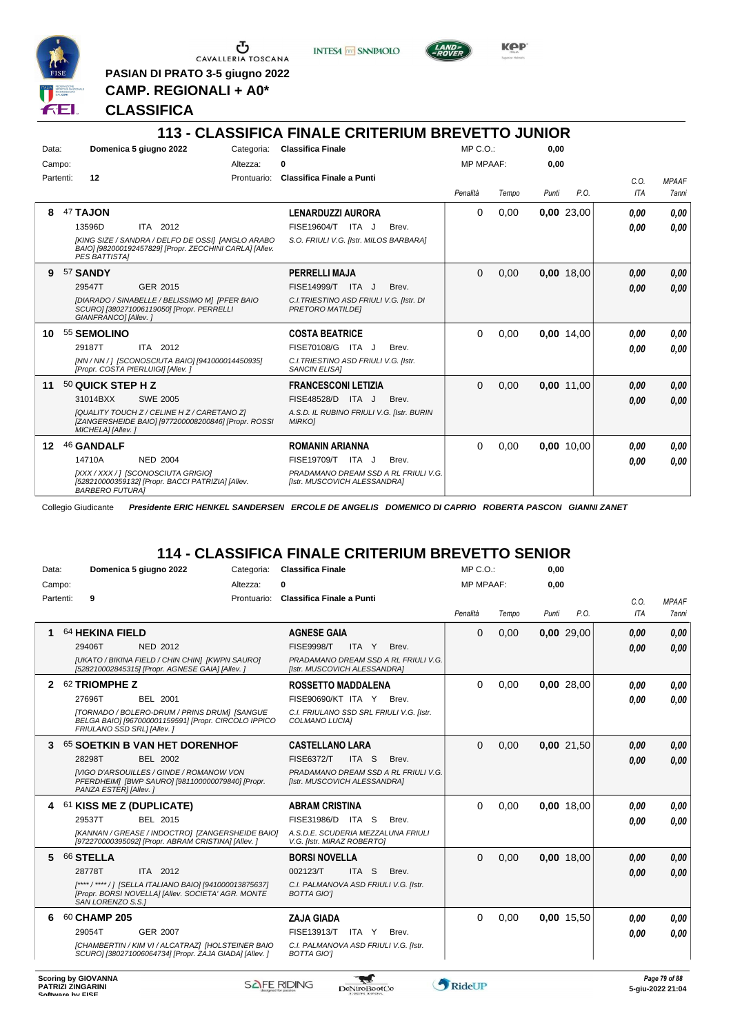

**PASIAN DI PRATO 3-5 giugno 2022 CAMP. REGIONALI + A0\***

**CLASSIFICA**





# **113 - CLASSIFICA FINALE CRITERIUM BREVETTO JUNIOR**

| Data:     | Domenica 5 giugno 2022             |                                                                                                              | Categoria:  | <b>Classifica Finale</b>                                             |       | MP C. O.         |       | 0,00  |            |      |              |
|-----------|------------------------------------|--------------------------------------------------------------------------------------------------------------|-------------|----------------------------------------------------------------------|-------|------------------|-------|-------|------------|------|--------------|
| Campo:    |                                    |                                                                                                              | Altezza:    | 0                                                                    |       | <b>MP MPAAF:</b> |       | 0.00  |            |      |              |
| Partenti: | 12                                 |                                                                                                              | Prontuario: | Classifica Finale a Punti                                            |       |                  |       |       |            | C.O. | <b>MPAAF</b> |
|           |                                    |                                                                                                              |             |                                                                      |       | Penalità         | Tempo | Punti | P.O.       | ITA  | 7anni        |
| ឧ         | 47 TAJON                           |                                                                                                              |             | <b>LENARDUZZI AURORA</b>                                             |       | $\Omega$         | 0,00  |       | 0,00 23,00 | 0.00 | 0,00         |
|           | 13596D                             | ITA 2012                                                                                                     |             | ITA J<br>FISE19604/T                                                 | Brev. |                  |       |       |            | 0.00 | 0,00         |
|           | <b>PES BATTISTAI</b>               | [KING SIZE / SANDRA / DELFO DE OSSI] [ANGLO ARABO<br>BAIO] [982000192457829] [Propr. ZECCHINI CARLA] [Allev. |             | S.O. FRIULI V.G. [Istr. MILOS BARBARA]                               |       |                  |       |       |            |      |              |
| 9         | 57 SANDY                           |                                                                                                              |             | PERRELLI MAJA                                                        |       | $\Omega$         | 0,00  |       | 0,00 18,00 | 0.00 | 0,00         |
|           | 29547T                             | GER 2015                                                                                                     |             | <b>FISE14999/T</b><br>ITA J                                          | Brev. |                  |       |       |            | 0.00 | 0,00         |
|           | GIANFRANCO] [Allev.]               | [DIARADO / SINABELLE / BELISSIMO M] [PFER BAIO<br>SCURO] [380271006119050] [Propr. PERRELLI                  |             | C.I. TRIESTINO ASD FRIULI V.G. [Istr. DI<br><b>PRETORO MATILDEI</b>  |       |                  |       |       |            |      |              |
| 10        | 55 SEMOLINO                        |                                                                                                              |             | <b>COSTA BEATRICE</b>                                                |       | $\Omega$         | 0,00  |       | 0.00 14.00 | 0.00 | 0,00         |
|           | 29187T                             | ITA 2012                                                                                                     |             | FISE70108/G ITA J                                                    | Brev. |                  |       |       |            | 0.00 | 0.00         |
|           | [Propr. COSTA PIERLUIGI] [Allev. ] | [NN / NN / ] [SCONOSCIUTA BAIO] [941000014450935]                                                            |             | C.I. TRIESTINO ASD FRIULI V.G. [Istr.<br><b>SANCIN ELISAI</b>        |       |                  |       |       |            |      |              |
| 11        | 50 QUICK STEP H Z                  |                                                                                                              |             | <b>FRANCESCONI LETIZIA</b>                                           |       | $\Omega$         | 0,00  |       | 0,00 11,00 | 0.00 | 0,00         |
|           | 31014BXX                           | <b>SWE 2005</b>                                                                                              |             | FISE48528/D<br>ITA J                                                 | Brev. |                  |       |       |            | 0.00 | 0.00         |
|           | MICHELA] [Allev.]                  | [QUALITY TOUCH Z / CELINE H Z / CARETANO Z]<br>[ZANGERSHEIDE BAIO] [977200008200846] [Propr. ROSSI           |             | A.S.D. IL RUBINO FRIULI V.G. [Istr. BURIN<br><b>MIRKOI</b>           |       |                  |       |       |            |      |              |
| $12 \,$   | 46 GANDALF                         |                                                                                                              |             | <b>ROMANIN ARIANNA</b>                                               |       | $\Omega$         | 0,00  |       | 0.00 10.00 | 0.00 | 0,00         |
|           | 14710A                             | <b>NED 2004</b>                                                                                              |             | <b>FISE19709/T</b><br>ITA J                                          | Brev. |                  |       |       |            | 0.00 | 0,00         |
|           | <b>BARBERO FUTURAI</b>             | [XXX / XXX / ] [SCONOSCIUTA GRIGIO]<br>[528210000359132] [Propr. BACCI PATRIZIA] [Allev.                     |             | PRADAMANO DREAM SSD A RL FRIULI V.G.<br>[Istr. MUSCOVICH ALESSANDRA] |       |                  |       |       |            |      |              |

Collegio Giudicante *Presidente ERIC HENKEL SANDERSEN ERCOLE DE ANGELIS DOMENICO DI CAPRIO ROBERTA PASCON GIANNI ZANET*

#### **114 - CLASSIFICA FINALE CRITERIUM BREVETTO SENIOR**

| Data:     |                            | Domenica 5 giugno 2022                                                                                      | Categoria:  | <b>Classifica Finale</b>                                             |       | $MP C. O.$ :     |       | 0,00  |            |      |              |
|-----------|----------------------------|-------------------------------------------------------------------------------------------------------------|-------------|----------------------------------------------------------------------|-------|------------------|-------|-------|------------|------|--------------|
| Campo:    |                            |                                                                                                             | Altezza:    | 0                                                                    |       | <b>MP MPAAF:</b> |       | 0,00  |            |      |              |
| Partenti: | 9                          |                                                                                                             | Prontuario: | Classifica Finale a Punti                                            |       |                  |       |       |            | C.O. | <b>MPAAF</b> |
|           |                            |                                                                                                             |             |                                                                      |       | Penalità         | Tempo | Punti | P.O.       | ITA  | 7anni        |
| 1         | 64 HEKINA FIELD            |                                                                                                             |             | <b>AGNESE GAIA</b>                                                   |       | $\Omega$         | 0.00  |       | 0,00 29,00 | 0.00 | 0.00         |
|           | 29406T                     | <b>NED 2012</b>                                                                                             |             | <b>FISE9998/T</b><br>ITA Y                                           | Brev. |                  |       |       |            | 0.00 | 0.00         |
|           |                            | [UKATO / BIKINA FIELD / CHIN CHIN] [KWPN SAURO]<br>[528210002845315] [Propr. AGNESE GAIA] [Allev. ]         |             | PRADAMANO DREAM SSD A RL FRIULI V.G.<br>[Istr. MUSCOVICH ALESSANDRA] |       |                  |       |       |            |      |              |
| 2         | 62 TRIOMPHE Z              |                                                                                                             |             | <b>ROSSETTO MADDALENA</b>                                            |       | $\Omega$         | 0,00  |       | 0,00 28,00 | 0.00 | 0.00         |
|           | 27696T                     | BEL 2001                                                                                                    |             | FISE90690/KT ITA Y                                                   | Brev. |                  |       |       |            | 0.00 | 0.00         |
|           | FRIULANO SSD SRL1 [Allev.] | [TORNADO / BOLERO-DRUM / PRINS DRUM] [SANGUE<br>BELGA BAIO] [967000001159591] [Propr. CIRCOLO IPPICO        |             | C.I. FRIULANO SSD SRL FRIULI V.G. [Istr.<br>COLMANO LUCIAI           |       |                  |       |       |            |      |              |
| 3         |                            | 65 SOETKIN B VAN HET DORENHOF                                                                               |             | <b>CASTELLANO LARA</b>                                               |       | $\Omega$         | 0,00  |       | 0,00 21,50 | 0,00 | 0,00         |
|           | 28298T                     | BEL 2002                                                                                                    |             | <b>FISE6372/T</b><br>ITA S                                           | Brev. |                  |       |       |            | 0.00 | 0.00         |
|           | PANZA ESTER] [Allev.]      | <b>IVIGO D'ARSOUILLES / GINDE / ROMANOW VON</b><br>PFERDHEIM] [BWP SAURO] [981100000079840] [Propr.         |             | PRADAMANO DREAM SSD A RL FRIULI V.G.<br>[Istr. MUSCOVICH ALESSANDRA] |       |                  |       |       |            |      |              |
| 4         | 61 KISS ME Z (DUPLICATE)   |                                                                                                             |             | <b>ABRAM CRISTINA</b>                                                |       | $\Omega$         | 0,00  |       | 0,00 18,00 | 0.00 | 0,00         |
|           | 29537T                     | BEL 2015                                                                                                    |             | FISE31986/D ITA S                                                    | Brev. |                  |       |       |            | 0.00 | 0.00         |
|           |                            | [KANNAN / GREASE / INDOCTRO] [ZANGERSHEIDE BAIO]<br>[972270000395092] [Propr. ABRAM CRISTINA] [Allev. ]     |             | A.S.D.E. SCUDERIA MEZZALUNA FRIULI<br>V.G. [Istr. MIRAZ ROBERTO]     |       |                  |       |       |            |      |              |
| 5         | 66 STELLA                  |                                                                                                             |             | <b>BORSI NOVELLA</b>                                                 |       | $\Omega$         | 0,00  |       | 0,00 18,00 | 0,00 | 0,00         |
|           | 28778T                     | ITA 2012                                                                                                    |             | ITA <sub>S</sub><br>002123/T                                         | Brev. |                  |       |       |            | 0.00 | 0.00         |
|           | SAN LORENZO S.S.I          | [****/****/] [SELLA ITALIANO BAIO] [941000013875637]<br>[Propr. BORSI NOVELLA] [Allev. SOCIETA' AGR. MONTE  |             | C.I. PALMANOVA ASD FRIULI V.G. [Istr.<br><b>BOTTA GIOT</b>           |       |                  |       |       |            |      |              |
| 6         | 60 CHAMP 205               |                                                                                                             |             | <b>ZAJA GIADA</b>                                                    |       | $\Omega$         | 0,00  |       | 0,00 15,50 | 0.00 | 0.00         |
|           | 29054T                     | <b>GER 2007</b>                                                                                             |             | FISE13913/T<br>ITA Y                                                 | Brev. |                  |       |       |            | 0.00 | 0.00         |
|           |                            | [CHAMBERTIN / KIM VI / ALCATRAZ] [HOLSTEINER BAIO<br>SCURO] [380271006064734] [Propr. ZAJA GIADA] [Allev. ] |             | C.I. PALMANOVA ASD FRIULI V.G. [Istr.<br><b>BOTTA GIOT</b>           |       |                  |       |       |            |      |              |
|           |                            |                                                                                                             |             |                                                                      |       |                  |       |       |            |      |              |

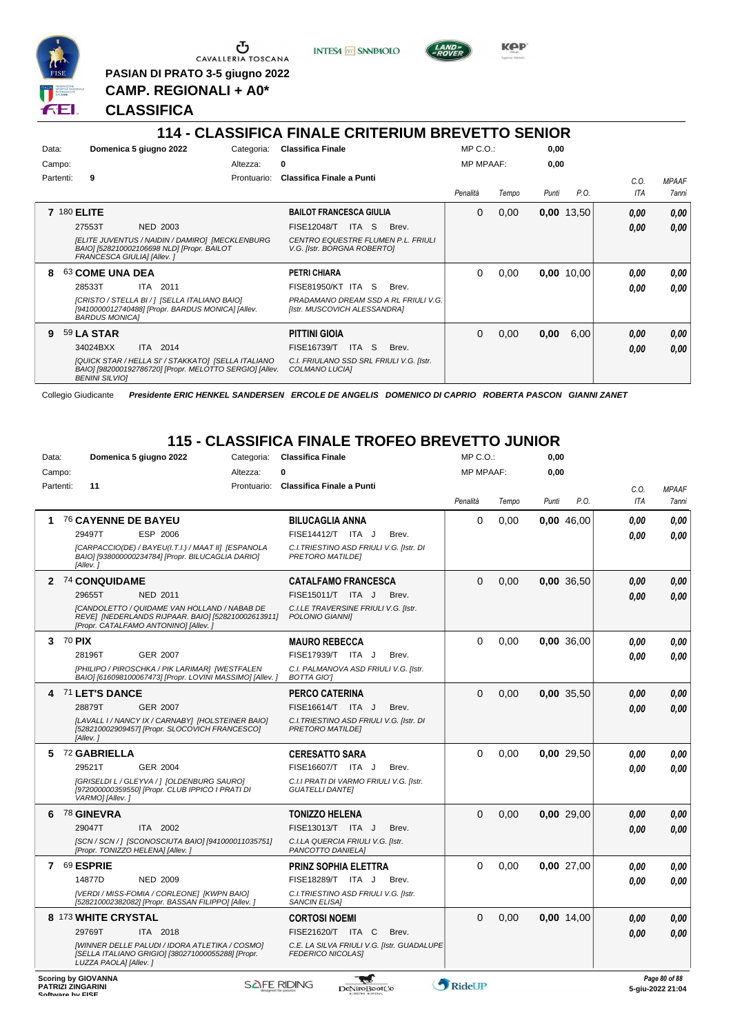

**PASIAN DI PRATO 3-5 giugno 2022 CAMP. REGIONALI + A0\***

**INTESA M** SANPAOLO



**Kep** 

#### **CLASSIFICA**

# **114 - CLASSIFICA FINALE CRITERIUM BREVETTO SENIOR**

| Data:     | Domenica 5 giugno 2022                                                                                                                  | Categoria:  | <b>Classifica Finale</b>                                             | $MP C. O.$ :     |       | 0,00  |            |            |              |
|-----------|-----------------------------------------------------------------------------------------------------------------------------------------|-------------|----------------------------------------------------------------------|------------------|-------|-------|------------|------------|--------------|
| Campo:    |                                                                                                                                         | Altezza:    | 0                                                                    | <b>MP MPAAF:</b> |       | 0,00  |            |            |              |
| Partenti: | 9                                                                                                                                       | Prontuario: | Classifica Finale a Punti                                            |                  |       |       |            | C.O.       | <b>MPAAF</b> |
|           |                                                                                                                                         |             |                                                                      | Penalità         | Tempo | Punti | P.O.       | <b>ITA</b> | 7anni        |
|           | <b>7 180 ELITE</b>                                                                                                                      |             | <b>BAILOT FRANCESCA GIULIA</b>                                       | $\Omega$         | 0,00  |       | 0,00 13,50 | 0,00       | 0,00         |
|           | 27553T<br><b>NED 2003</b>                                                                                                               |             | <b>FISE12048/T</b><br>ITA S<br>Brev.                                 |                  |       |       |            | 0.00       | 0.00         |
|           | [ELITE JUVENTUS / NAIDIN / DAMIRO] [MECKLENBURG<br>BAIO] [528210002106698 NLD] [Propr. BAILOT<br>FRANCESCA GIULIA] [Allev.]             |             | CENTRO EQUESTRE FLUMEN P.L. FRIULI<br>V.G. [Istr. BORGNA ROBERTO]    |                  |       |       |            |            |              |
| 8         | 63 COME UNA DEA                                                                                                                         |             | <b>PETRI CHIARA</b>                                                  | 0                | 0,00  |       | 0,00 10,00 | 0.00       | 0.00         |
|           | 28533T<br>ITA 2011                                                                                                                      |             | <b>FISE81950/KT ITA S</b><br>Brev.                                   |                  |       |       |            | 0.00       | 0.00         |
|           | [CRISTO / STELLA BI / ] [SELLA ITALIANO BAIO]<br>[9410000012740488] [Propr. BARDUS MONICA] [Allev.<br><b>BARDUS MONICAI</b>             |             | PRADAMANO DREAM SSD A RL FRIULI V.G.<br>[Istr. MUSCOVICH ALESSANDRA] |                  |       |       |            |            |              |
| 9         | <b>59 LA STAR</b>                                                                                                                       |             | <b>PITTINI GIOIA</b>                                                 | 0                | 0,00  | 0,00  | 6,00       | 0,00       | 0,00         |
|           | 34024BXX<br>ITA 2014                                                                                                                    |             | ITA S<br><b>FISE16739/T</b><br>Brev.                                 |                  |       |       |            | 0.00       | 0.00         |
|           | [QUICK STAR / HELLA SI' / STAKKATO] [SELLA ITALIANO<br>BAIO] [982000192786720] [Propr. MELOTTO SERGIO] [Allev.<br><b>BENINI SILVIOI</b> |             | C.I. FRIULANO SSD SRL FRIULI V.G. [Istr.<br>COLMANO LUCIA]           |                  |       |       |            |            |              |

Collegio Giudicante *Presidente ERIC HENKEL SANDERSEN ERCOLE DE ANGELIS DOMENICO DI CAPRIO ROBERTA PASCON GIANNI ZANET*

# **115 - CLASSIFICA FINALE TROFEO BREVETTO JUNIOR**

| Data:     |        | Domenica 5 giugno 2022                                                                                                                     | Categoria:  | <b>Classifica Finale</b>                                               | MP C.O.:            |       | 0,00  |            |            |               |
|-----------|--------|--------------------------------------------------------------------------------------------------------------------------------------------|-------------|------------------------------------------------------------------------|---------------------|-------|-------|------------|------------|---------------|
| Campo:    |        |                                                                                                                                            | Altezza:    | 0                                                                      | <b>MP MPAAF:</b>    |       | 0,00  |            |            |               |
| Partenti: |        | 11                                                                                                                                         | Prontuario: | Classifica Finale a Punti                                              |                     |       |       |            | C.O.       | <b>MPAAF</b>  |
|           |        |                                                                                                                                            |             |                                                                        | Penalità            | Tempo | Punti | P.O.       | <b>ITA</b> | 7anni         |
|           |        | 76 CAYENNE DE BAYEU                                                                                                                        |             | <b>BILUCAGLIA ANNA</b>                                                 | 0                   | 0,00  |       | 0,00 46,00 | 0.00       | 0,00          |
|           |        | ESP 2006<br>29497T                                                                                                                         |             | FISE14412/T ITA J<br>Brev.                                             |                     |       |       |            | 0.00       | 0.00          |
|           |        | [CARPACCIO(DE) / BAYEU(I.T.I.) / MAAT II] [ESPANOLA<br>BAIO] [938000000234784] [Propr. BILUCAGLIA DARIO]<br>[Allev.]                       |             | C.I. TRIESTINO ASD FRIULI V.G. [Istr. DI<br><b>PRETORO MATILDEI</b>    |                     |       |       |            |            |               |
|           |        | 2 74 CONQUIDAME                                                                                                                            |             | <b>CATALFAMO FRANCESCA</b>                                             | $\Omega$            | 0,00  |       | 0,00 36,50 | 0,00       | 0,00          |
|           |        | 29655T<br><b>NED 2011</b>                                                                                                                  |             | FISE15011/T ITA J<br>Brev.                                             |                     |       |       |            | 0.00       | 0.00          |
|           |        | [CANDOLETTO / QUIDAME VAN HOLLAND / NABAB DE<br>REVE] [NEDERLANDS RIJPAAR. BAIO] [528210002613911]<br>[Propr. CATALFAMO ANTONINO] [Allev.] |             | C.I.LE TRAVERSINE FRIULI V.G. [Istr.<br>POLONIO GIANNII                |                     |       |       |            |            |               |
| 3         | 70 PIX |                                                                                                                                            |             | <b>MAURO REBECCA</b>                                                   | $\Omega$            | 0,00  |       | 0,00 36,00 | 0.00       | 0,00          |
|           |        | <b>GER 2007</b><br>28196T                                                                                                                  |             | FISE17939/T ITA J<br>Brev.                                             |                     |       |       |            | 0.00       | 0.00          |
|           |        | [PHILIPO / PIROSCHKA / PIK LARIMAR] [WESTFALEN<br>BAIO] [616098100067473] [Propr. LOVINI MASSIMO] [Allev. ]                                |             | C.I. PALMANOVA ASD FRIULI V.G. [Istr.<br><b>BOTTA GIOT</b>             |                     |       |       |            |            |               |
|           |        | 4 71 LET'S DANCE                                                                                                                           |             | <b>PERCO CATERINA</b>                                                  | $\Omega$            | 0.00  |       | 0.00 35.50 | 0.00       | 0,00          |
|           |        | 28879T<br><b>GER 2007</b>                                                                                                                  |             | FISE16614/T ITA J<br>Brev.                                             |                     |       |       |            | 0.00       | 0.00          |
|           |        | [LAVALL I / NANCY IX / CARNABY] [HOLSTEINER BAIO]<br>[528210002909457] [Propr. SLOCOVICH FRANCESCO]<br>[Allev.]                            |             | C.I. TRIESTINO ASD FRIULI V.G. [Istr. DI<br><b>PRETORO MATILDEI</b>    |                     |       |       |            |            |               |
| 5         |        | 72 GABRIELLA                                                                                                                               |             | <b>CERESATTO SARA</b>                                                  | $\Omega$            | 0.00  |       | 0.00 29.50 | 0.00       | 0.00          |
|           |        | 29521T<br><b>GER 2004</b>                                                                                                                  |             | FISE16607/T ITA J<br>Brev.                                             |                     |       |       |            | 0.00       | 0.00          |
|           |        | [GRISELDI L / GLEYVA / 1 [OLDENBURG SAURO]<br>[972000000359550] [Propr. CLUB IPPICO I PRATI DI<br>VARMO] [Allev.]                          |             | C.I.I PRATI DI VARMO FRIULI V.G. [Istr.<br><b>GUATELLI DANTEI</b>      |                     |       |       |            |            |               |
| 6         |        | <b>78 GINEVRA</b>                                                                                                                          |             | <b>TONIZZO HELENA</b>                                                  | $\Omega$            | 0.00  |       | 0.00 29.00 | 0.00       | 0,00          |
|           |        | 29047T<br>ITA 2002                                                                                                                         |             | FISE13013/T ITA J<br>Brev.                                             |                     |       |       |            | 0.00       | 0.00          |
|           |        | [SCN / SCN / ] [SCONOSCIUTA BAIO] [941000011035751]<br>[Propr. TONIZZO HELENA] [Allev. ]                                                   |             | C.I.LA QUERCIA FRIULI V.G. [Istr.<br>PANCOTTO DANIELA]                 |                     |       |       |            |            |               |
| 7         |        | 69 ESPRIE                                                                                                                                  |             | PRINZ SOPHIA ELETTRA                                                   | $\Omega$            | 0,00  |       | 0,00 27,00 | 0.00       | 0.00          |
|           |        | 14877D<br><b>NED 2009</b>                                                                                                                  |             | FISE18289/T ITA J<br>Brev.                                             |                     |       |       |            | 0.00       | 0.00          |
|           |        | [VERDI / MISS-FOMIA / CORLEONE] [KWPN BAIO]<br>[528210002382082] [Propr. BASSAN FILIPPO] [Allev.]                                          |             | C.I. TRIESTINO ASD FRIULI V.G. [Istr.<br><b>SANCIN ELISAI</b>          |                     |       |       |            |            |               |
|           |        | 8 173 WHITE CRYSTAL                                                                                                                        |             | <b>CORTOSI NOEMI</b>                                                   | $\Omega$            | 0,00  |       | 0,00 14,00 | 0.00       | 0,00          |
|           |        | 29769T<br>ITA 2018                                                                                                                         |             | FISE21620/T ITA C<br>Brev.                                             |                     |       |       |            | 0.00       | 0.00          |
|           |        | [WINNER DELLE PALUDI / IDORA ATLETIKA / COSMO]<br>[SELLA ITALIANO GRIGIO] [380271000055288] [Propr.<br>LUZZA PAOLAI [Allev.]               |             | C.E. LA SILVA FRIULI V.G. [Istr. GUADALUPE<br><b>FEDERICO NICOLASI</b> |                     |       |       |            |            |               |
|           |        | <b>Scoring by GIOVANNA</b>                                                                                                                 | SAFE RIDING |                                                                        | <b>AD</b> DELLETING |       |       |            |            | Page 80 of 88 |

**PATRIZI ZINGARINI Software by FISE Software by FISE Software by FISE Software by FISE 5-giu-2022 21:04**<br> **Software by FISE 5-giu-2022 21:04** 

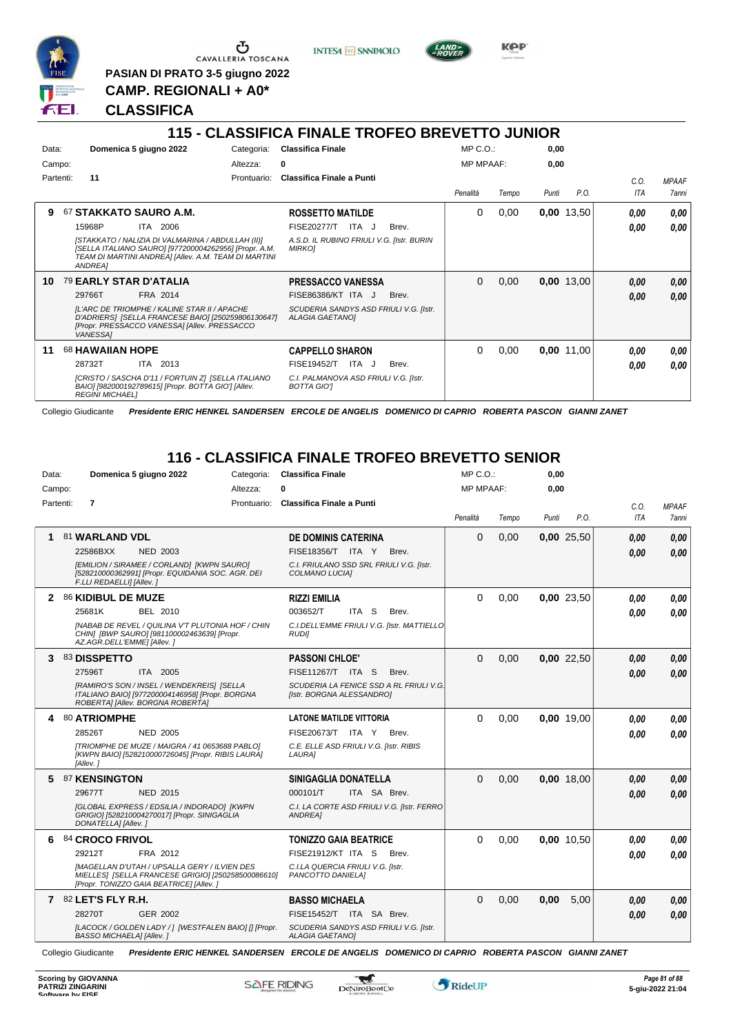

Ⴠ CAVALLERIA TOSCANA

**PASIAN DI PRATO 3-5 giugno 2022 CAMP. REGIONALI + A0\***

**CLASSIFICA**

# **115 - CLASSIFICA FINALE TROFEO BREVETTO JUNIOR**

**INTESA** M SANPAOLO

| Data:<br>Campo: |           |                         | Domenica 5 giugno 2022                                                                                                                                             | Categoria:<br>Altezza: | <b>Classifica Finale</b><br>0                                    | $MP C. O.$ :<br><b>MP MPAAF:</b> |       | 0,00<br>0,00 |            |            |              |
|-----------------|-----------|-------------------------|--------------------------------------------------------------------------------------------------------------------------------------------------------------------|------------------------|------------------------------------------------------------------|----------------------------------|-------|--------------|------------|------------|--------------|
|                 | Partenti: | 11                      |                                                                                                                                                                    | Prontuario:            | Classifica Finale a Punti                                        |                                  |       |              |            | C.O.       | <b>MPAAF</b> |
|                 |           |                         |                                                                                                                                                                    |                        |                                                                  | Penalità                         | Tempo | Punti        | P.O.       | <b>ITA</b> | <b>7anni</b> |
| 9               |           |                         | 67 STAKKATO SAURO A.M.                                                                                                                                             |                        | <b>ROSSETTO MATILDE</b>                                          | $\Omega$                         | 0,00  |              | 0,00 13,50 | 0.00       | 0,00         |
|                 |           | 15968P                  | ITA 2006                                                                                                                                                           |                        | <b>FISE20277/T</b><br>ITA J<br>Brev.                             |                                  |       |              |            | 0.00       | 0.00         |
|                 |           | ANDREA]                 | [STAKKATO / NALIZIA DI VALMARINA / ABDULLAH (II)]<br>[SELLA ITALIANO SAURO] [977200004262956] [Propr. A.M.<br>TEAM DI MARTINI ANDREA] [Allev. A.M. TEAM DI MARTINI |                        | A.S.D. IL RUBINO FRIULI V.G. [Istr. BURIN<br><b>MIRKOJ</b>       |                                  |       |              |            |            |              |
| 10              |           |                         | <b>79 EARLY STAR D'ATALIA</b>                                                                                                                                      |                        | <b>PRESSACCO VANESSA</b>                                         | $\Omega$                         | 0,00  |              | 0,00 13,00 | 0.00       | 0,00         |
|                 |           | 29766T                  | FRA 2014                                                                                                                                                           |                        | <b>FISE86386/KT ITA J</b><br>Brev.                               |                                  |       |              |            | 0.00       | 0,00         |
|                 |           | <b>VANESSAI</b>         | IL'ARC DE TRIOMPHE / KALINE STAR II / APACHE<br>D'ADRIERS] [SELLA FRANCESE BAIO] [250259806130647]<br>[Propr. PRESSACCO VANESSA] [Allev. PRESSACCO                 |                        | SCUDERIA SANDYS ASD FRIULI V.G. [Istr.<br><b>ALAGIA GAETANOI</b> |                                  |       |              |            |            |              |
| 11              |           | <b>68 HAWAIIAN HOPE</b> |                                                                                                                                                                    |                        | <b>CAPPELLO SHARON</b>                                           | $\Omega$                         | 0,00  |              | 0,00 11,00 | 0.00       | 0,00         |
|                 |           | 28732T                  | 2013<br>ITA                                                                                                                                                        |                        | ITA J<br>Brev.<br>FISE19452/T                                    |                                  |       |              |            | 0.00       | 0.00         |
|                 |           | <b>REGINI MICHAELI</b>  | [CRISTO / SASCHA D'11 / FORTUIN Z] [SELLA ITALIANO<br>BAIO] [982000192789615] [Propr. BOTTA GIO'] [Allev.                                                          |                        | C.I. PALMANOVA ASD FRIULI V.G. [Istr.<br>BOTTA GIO'I             |                                  |       |              |            |            |              |

Collegio Giudicante *Presidente ERIC HENKEL SANDERSEN ERCOLE DE ANGELIS DOMENICO DI CAPRIO ROBERTA PASCON GIANNI ZANET*

# **116 - CLASSIFICA FINALE TROFEO BREVETTO SENIOR**

| Data:     | Domenica 5 giugno 2022<br>Categoria:                                                                                                                 | <b>Classifica Finale</b>                                             | $MP C. O.$ :     |       | 0,00  |              |      |              |
|-----------|------------------------------------------------------------------------------------------------------------------------------------------------------|----------------------------------------------------------------------|------------------|-------|-------|--------------|------|--------------|
| Campo:    | Altezza:                                                                                                                                             |                                                                      | <b>MP MPAAF:</b> |       | 0.00  |              |      |              |
| Partenti: | $\overline{7}$                                                                                                                                       | Prontuario: Classifica Finale a Punti                                |                  |       |       |              | C.O. | <b>MPAAF</b> |
|           |                                                                                                                                                      |                                                                      | Penalità         | Tempo | Punti | P.O.         | ITA  | 7anni        |
|           | 81 WARLAND VDL                                                                                                                                       | <b>DE DOMINIS CATERINA</b>                                           | $\Omega$         | 0,00  |       | 0,00 25,50   | 0.00 | 0.00         |
|           | 22586BXX<br><b>NED 2003</b>                                                                                                                          | FISE18356/T ITA Y<br>Brev.                                           |                  |       |       |              | 0.00 | 0,00         |
|           | [EMILION / SIRAMEE / CORLAND] [KWPN SAURO]<br>[528210000362991] [Propr. EQUIDANIA SOC. AGR. DEI<br>F.LLI REDAELLI] [Allev.]                          | C.I. FRIULANO SSD SRL FRIULI V.G. [Istr.<br>COLMANO LUCIA]           |                  |       |       |              |      |              |
| 2         | 86 KIDIBUL DE MUZE                                                                                                                                   | <b>RIZZI EMILIA</b>                                                  | $\Omega$         | 0,00  |       | 0,00 23,50   | 0.00 | 0.00         |
|           | 25681K<br><b>BEL 2010</b>                                                                                                                            | 003652/T<br>ITA S<br>Brev.                                           |                  |       |       |              | 0.00 | 0.00         |
|           | <b>[NABAB DE REVEL / QUILINA V'T PLUTONIA HOF / CHIN</b><br>CHIN] [BWP SAURO] [981100002463639] [Propr.<br>AZ.AGR.DELL'EMME] [Allev.]                | C.I.DELL'EMME FRIULI V.G. [Istr. MATTIELLO<br><b>RUDII</b>           |                  |       |       |              |      |              |
| 3         | 83 DISSPETTO                                                                                                                                         | <b>PASSONI CHLOE'</b>                                                | $\Omega$         | 0,00  |       | $0,00$ 22,50 | 0.00 | 0,00         |
|           | 27596T<br>ITA 2005                                                                                                                                   | <b>FISE11267/T ITA S</b><br>Brev.                                    |                  |       |       |              | 0.00 | 0,00         |
|           | [RAMIRO'S SON / INSEL / WENDEKREIS] [SELLA<br>ITALIANO BAIO] [977200004146958] [Propr. BORGNA<br>ROBERTA] [Allev. BORGNA ROBERTA]                    | SCUDERIA LA FENICE SSD A RL FRIULI V.G.<br>[Istr. BORGNA ALESSANDRO] |                  |       |       |              |      |              |
| 4         | 80 ATRIOMPHE                                                                                                                                         | <b>LATONE MATILDE VITTORIA</b>                                       | $\Omega$         | 0,00  |       | 0.00 19.00   | 0.00 | 0.00         |
|           | 28526T<br><b>NED 2005</b>                                                                                                                            | FISE20673/T ITA Y<br>Brev.                                           |                  |       |       |              | 0.00 | 0.00         |
|           | ITRIOMPHE DE MUZE / MAIGRA / 41 0653688 PABLOI<br>[KWPN BAIO] [528210000726045] [Propr. RIBIS LAURA]<br>[Allev.]                                     | C.E. ELLE ASD FRIULI V.G. [Istr. RIBIS<br>LAURA]                     |                  |       |       |              |      |              |
| 5         | 87 KENSINGTON                                                                                                                                        | SINIGAGLIA DONATELLA                                                 | $\Omega$         | 0.00  |       | 0.00 18.00   | 0,00 | 0.00         |
|           | 29677T<br><b>NED 2015</b>                                                                                                                            | 000101/T<br>ITA SA Brev.                                             |                  |       |       |              | 0.00 | 0.00         |
|           | [GLOBAL EXPRESS / EDSILIA / INDORADO] [KWPN<br>GRIGIO] [528210004270017] [Propr. SINIGAGLIA<br>DONATELLA] [Allev.]                                   | C.I. LA CORTE ASD FRIULI V.G. [Istr. FERRO<br><b>ANDREA1</b>         |                  |       |       |              |      |              |
| 6         | 84 CROCO FRIVOL                                                                                                                                      | <b>TONIZZO GAIA BEATRICE</b>                                         | $\Omega$         | 0.00  |       | 0.00 10.50   | 0.00 | 0.00         |
|           | 29212T<br>FRA 2012                                                                                                                                   | <b>FISE21912/KT ITA S</b><br>Brev.                                   |                  |       |       |              | 0.00 | 0.00         |
|           | <b>[MAGELLAN D'UTAH / UPSALLA GERY / ILVIEN DES</b><br>MIELLES] [SELLA FRANCESE GRIGIO] [250258500086610]<br>[Propr. TONIZZO GAIA BEATRICE] [Allev.] | C.I.LA QUERCIA FRIULI V.G. [Istr.<br>PANCOTTO DANIELA]               |                  |       |       |              |      |              |
|           | 7 82 LET'S FLY R.H.                                                                                                                                  | <b>BASSO MICHAELA</b>                                                | $\Omega$         | 0,00  | 0.00  | 5.00         | 0.00 | 0.00         |
|           | <b>GER 2002</b><br>28270T                                                                                                                            | FISE15452/T ITA SA Brev.                                             |                  |       |       |              | 0.00 | 0,00         |
|           | [LACOCK / GOLDEN LADY / ] [WESTFALEN BAIO] [] [Propr.<br><b>BASSO MICHAELA] [Allev. ]</b>                                                            | SCUDERIA SANDYS ASD FRIULI V.G. [Istr.<br><b>ALAGIA GAETANOI</b>     |                  |       |       |              |      |              |

Collegio Giudicante *Presidente ERIC HENKEL SANDERSEN ERCOLE DE ANGELIS DOMENICO DI CAPRIO ROBERTA PASCON GIANNI ZANET*



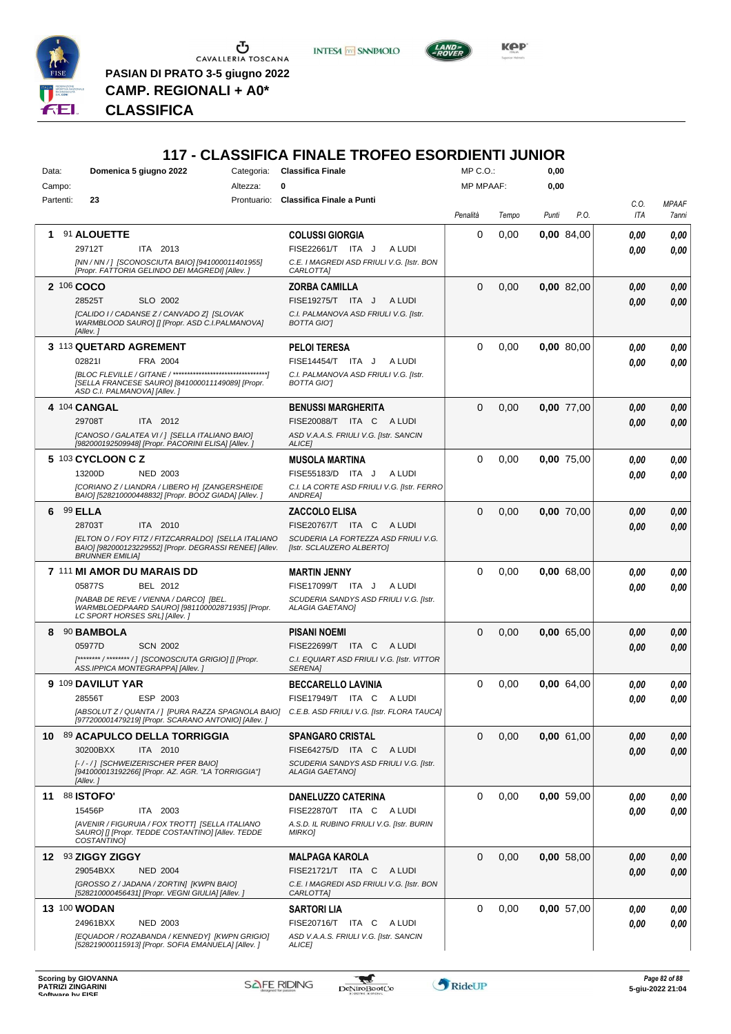

 $\begin{array}{c}\n\bullet \\
\bullet \\
\bullet \\
\bullet\n\end{array}$  CAVALLERIA TOSCANA **PASIAN DI PRATO 3-5 giugno 2022**

**CAMP. REGIONALI + A0\***

*Presidente ERIC HENKEL SANDERSEN ERCOLE DE ANGELIS DOMENICO DI CAPRIO ROBERTA PASCON GIANNI ZANET* **CLASSIFICA**

# **117 - CLASSIFICA FINALE TROFEO ESORDIENTI JUNIOR**

**INTESA** M SANPAOLO

| Data:  |           | Domenica 5 giugno 2022                                                                                                     | Categoria: | <b>Classifica Finale</b>                                                                      | MP C.O.:         |       | 0,00  |            |                    |                       |
|--------|-----------|----------------------------------------------------------------------------------------------------------------------------|------------|-----------------------------------------------------------------------------------------------|------------------|-------|-------|------------|--------------------|-----------------------|
| Campo: |           |                                                                                                                            | Altezza:   | 0                                                                                             | <b>MP MPAAF:</b> |       | 0,00  |            |                    |                       |
|        | Partenti: | 23                                                                                                                         |            | Prontuario: Classifica Finale a Punti                                                         | Penalità         | Tempo | Punti | P.O.       | C.O.<br><b>ITA</b> | <b>MPAAF</b><br>7anni |
| 1.     |           | 91 ALOUETTE                                                                                                                |            | <b>COLUSSI GIORGIA</b>                                                                        | 0                | 0,00  |       | 0,00 84,00 | 0.00               | 0,00                  |
|        |           | 29712T<br>ITA 2013                                                                                                         |            | FISE22661/T ITA J<br>A LUDI                                                                   |                  |       |       |            | 0.00               | 0.00                  |
|        |           | [NN / NN / ] [SCONOSCIUTA BAIO] [941000011401955]<br>[Propr. FATTORIA GELINDO DEI MAGREDI] [Allev.]                        |            | C.E. I MAGREDI ASD FRIULI V.G. [Istr. BON<br>CARLOTTA]                                        |                  |       |       |            |                    |                       |
|        |           | 2 106 COCO                                                                                                                 |            | <b>ZORBA CAMILLA</b>                                                                          | $\Omega$         | 0,00  |       | 0,00 82,00 | 0.00               | 0,00                  |
|        |           | 28525T<br>SLO 2002                                                                                                         |            | FISE19275/T ITA J<br>A LUDI                                                                   |                  |       |       |            | 0.00               | 0,00                  |
|        |           | [CALIDO I / CADANSE Z / CANVADO Z] [SLOVAK<br>WARMBLOOD SAURO] [] [Propr. ASD C.I.PALMANOVA]<br>[Allev.]                   |            | C.I. PALMANOVA ASD FRIULI V.G. [Istr.<br><b>BOTTA GIOT</b>                                    |                  |       |       |            |                    |                       |
|        |           | 3 113 QUETARD AGREMENT                                                                                                     |            | <b>PELOI TERESA</b>                                                                           | $\Omega$         | 0,00  |       | 0,00 80,00 | 0,00               | 0,00                  |
|        |           | 028211<br>FRA 2004                                                                                                         |            | FISE14454/T ITA J<br>A LUDI                                                                   |                  |       |       |            | 0.00               | 0,00                  |
|        |           | [SELLA FRANCESE SAURO] [841000011149089] [Propr.<br>ASD C.I. PALMANOVA] [Allev.]                                           |            | C.I. PALMANOVA ASD FRIULI V.G. [Istr.<br><b>BOTTA GIOT</b>                                    |                  |       |       |            |                    |                       |
|        |           | 4 104 CANGAL                                                                                                               |            | <b>BENUSSI MARGHERITA</b>                                                                     | $\Omega$         | 0,00  |       | 0,00 77,00 | 0.00               | 0,00                  |
|        |           | 29708T<br>ITA 2012                                                                                                         |            | <b>FISE20088/T ITA C</b><br>A LUDI                                                            |                  |       |       |            | 0.00               | 0.00                  |
|        |           | [CANOSO / GALATEA VI / ] [SELLA ITALIANO BAIO]<br>[982000192509948] [Propr. PACORINI ELISA] [Allev.]                       |            | ASD V.A.A.S. FRIULI V.G. [Istr. SANCIN<br><b>ALICEI</b>                                       |                  |       |       |            |                    |                       |
|        |           | 5 103 CYCLOON C Z                                                                                                          |            | <b>MUSOLA MARTINA</b>                                                                         | 0                | 0,00  |       | 0,00 75,00 | 0.00               | 0,00                  |
|        |           | 13200D<br><b>NED 2003</b>                                                                                                  |            | FISE55183/D ITA J<br>A LUDI                                                                   |                  |       |       |            | 0.00               | 0.00                  |
|        |           | [CORIANO Z / LIANDRA / LIBERO H] [ZANGERSHEIDE<br>BAIO] [528210000448832] [Propr. BOOZ GIADA] [Allev.]                     |            | C.I. LA CORTE ASD FRIULI V.G. [Istr. FERRO<br><b>ANDREA</b>                                   |                  |       |       |            |                    |                       |
| 6      |           | 99 ELLA                                                                                                                    |            | <b>ZACCOLO ELISA</b>                                                                          | $\Omega$         | 0,00  |       | 0,00 70,00 | 0.00               | 0,00                  |
|        |           | 28703T<br>ITA 2010                                                                                                         |            | FISE20767/T ITA C<br>A LUDI                                                                   |                  |       |       |            | 0.00               | 0,00                  |
|        |           | [ELTON O / FOY FITZ / FITZCARRALDO] [SELLA ITALIANO                                                                        |            | SCUDERIA LA FORTEZZA ASD FRIULI V.G.                                                          |                  |       |       |            |                    |                       |
|        |           | BAIO] [982000123229552] [Propr. DEGRASSI RENEE] [Allev.<br><b>BRUNNER EMILIA]</b>                                          |            | [Istr. SCLAUZERO ALBERTO]                                                                     |                  |       |       |            |                    |                       |
|        |           | 7 111 MI AMOR DU MARAIS DD                                                                                                 |            | <b>MARTIN JENNY</b>                                                                           | $\Omega$         | 0,00  |       | 0,00 68,00 | 0,00               | 0,00                  |
|        |           | 05877S<br>BEL 2012                                                                                                         |            | FISE17099/T ITA J<br>A LUDI                                                                   |                  |       |       |            | 0,00               | 0,00                  |
|        |           | [NABAB DE REVE / VIENNA / DARCO] [BEL.<br>WARMBLOEDPAARD SAURO] [981100002871935] [Propr.<br>LC SPORT HORSES SRL] [Allev.] |            | SCUDERIA SANDYS ASD FRIULI V.G. [Istr.<br><b>ALAGIA GAETANOI</b>                              |                  |       |       |            |                    |                       |
| 8      |           | 90 BAMBOLA                                                                                                                 |            | <b>PISANI NOEMI</b>                                                                           | $\Omega$         | 0,00  |       | 0,00 65,00 | 0.00               | 0,00                  |
|        |           | 05977D<br><b>SCN 2002</b>                                                                                                  |            | FISE22699/T ITA C<br>A LUDI                                                                   |                  |       |       |            | 0.00               | 0.00                  |
|        |           | [********/********/] [SCONOSCIUTA GRIGIO] [] [Propr.<br>ASS.IPPICA MONTEGRAPPA] [Allev.]                                   |            | C.I. EQUIART ASD FRIULI V.G. [Istr. VITTOR<br><b>SERENA1</b>                                  |                  |       |       |            |                    |                       |
|        |           | 9 109 DAVILUT YAR                                                                                                          |            | <b>BECCARELLO LAVINIA</b>                                                                     | $\Omega$         | 0,00  |       | 0,00 64,00 | 0,00               | 0,00                  |
|        |           | 28556T<br>ESP 2003                                                                                                         |            | FISE17949/T ITA C<br>A LUDI                                                                   |                  |       |       |            | 0.00               | 0.00                  |
|        |           | [977200001479219] [Propr. SCARANO ANTONIO] [Allev. ]                                                                       |            | [ABSOLUT Z / QUANTA / ] [PURA RAZZA SPAGNOLA BAIO] C.E.B. ASD FRIULI V.G. [Istr. FLORA TAUCA] |                  |       |       |            |                    |                       |
| 10     |           | 89 ACAPULCO DELLA TORRIGGIA                                                                                                |            | <b>SPANGARO CRISTAL</b>                                                                       | $\mathbf 0$      | 0,00  |       | 0,00 61,00 | 0,00               | 0,00                  |
|        |           | 30200BXX<br>ITA 2010<br>[-/-/] [SCHWEIZERISCHER PFER BAIO]                                                                 |            | FISE64275/D ITA C<br>A LUDI<br>SCUDERIA SANDYS ASD FRIULI V.G. [Istr.                         |                  |       |       |            | 0.00               | 0,00                  |
|        |           | [941000013192266] [Propr. AZ. AGR. "LA TORRIGGIA"]<br>[Allev. ]                                                            |            | <b>ALAGIA GAETANO]</b>                                                                        |                  |       |       |            |                    |                       |
| 11     |           | <b>88 ISTOFO'</b>                                                                                                          |            | <b>DANELUZZO CATERINA</b>                                                                     | 0                | 0,00  |       | 0,00 59,00 | 0,00               | 0,00                  |
|        |           | ITA 2003<br>15456P                                                                                                         |            | FISE22870/T ITA C ALUDI                                                                       |                  |       |       |            | 0,00               | 0,00                  |
|        |           | [AVENIR / FIGURUIA / FOX TROTT] [SELLA ITALIANO<br>SAURO] [] [Propr. TEDDE COSTANTINO] [Allev. TEDDE<br>COSTANTINO]        |            | A.S.D. IL RUBINO FRIULI V.G. [Istr. BURIN<br><b>MIRKO]</b>                                    |                  |       |       |            |                    |                       |
|        |           | 12 93 ZIGGY ZIGGY                                                                                                          |            | MALPAGA KAROLA                                                                                | $\mathbf 0$      | 0,00  |       | 0,00 58,00 | 0.00               | 0,00                  |
|        |           | 29054BXX<br><b>NED 2004</b>                                                                                                |            | FISE21721/T ITA C<br>A LUDI                                                                   |                  |       |       |            | 0,00               | 0,00                  |
|        |           | [GROSSO Z / JADANA / ZORTIN] [KWPN BAIO]<br>[528210000456431] [Propr. VEGNI GIULIA] [Allev.]                               |            | C.E. I MAGREDI ASD FRIULI V.G. [Istr. BON<br>CARLOTTA]                                        |                  |       |       |            |                    |                       |
|        |           | <b>13 100 WODAN</b>                                                                                                        |            | <b>SARTORI LIA</b>                                                                            | 0                | 0,00  |       | 0,00 57,00 | 0,00               | 0,00                  |
|        |           | 24961BXX<br><b>NED 2003</b>                                                                                                |            | FISE20716/T ITA C<br>A LUDI                                                                   |                  |       |       |            | 0,00               | 0.00                  |
|        |           | [EQUADOR / ROZABANDA / KENNEDY] [KWPN GRIGIO]<br>[528219000115913] [Propr. SOFIA EMANUELA] [Allev.]                        |            | ASD V.A.A.S. FRIULI V.G. [Istr. SANCIN<br>ALICE]                                              |                  |       |       |            |                    |                       |



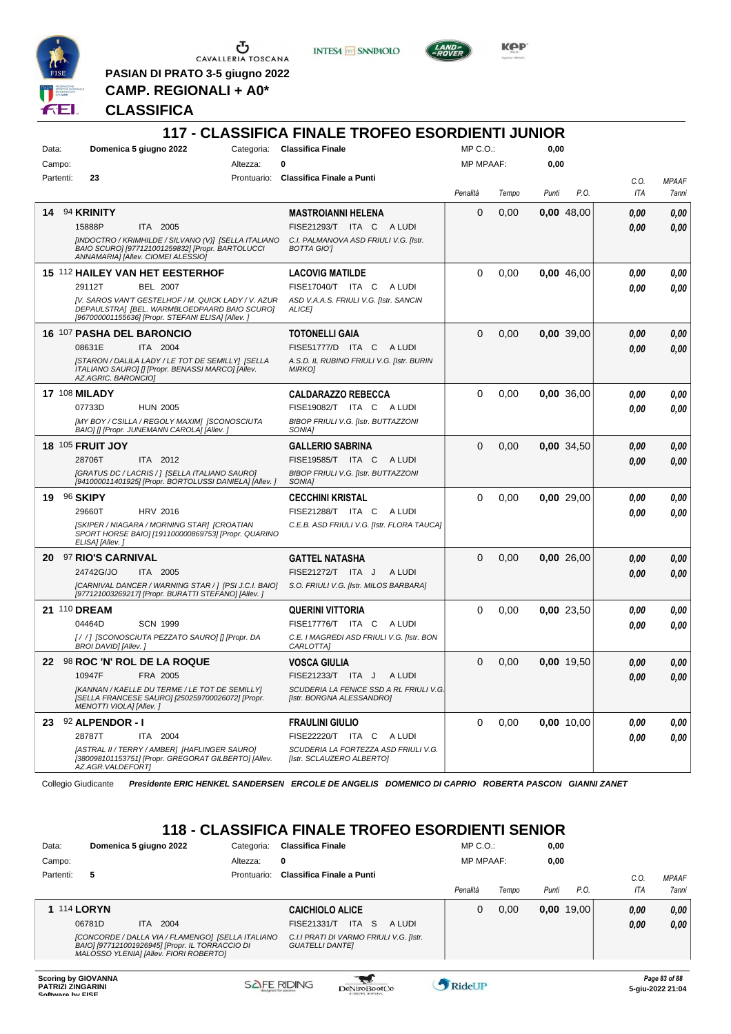

**PASIAN DI PRATO 3-5 giugno 2022 CAMP. REGIONALI + A0\***

**INTESA** M SANPAOLO



**Kep** 

# **CLASSIFICA**

|           |                         |                                                                                                                                                          |          | <b>117 - CLASSIFICA FINALE TROFEO ESORDIENTI JUNIOR</b>              |           |       |       |              |      |              |
|-----------|-------------------------|----------------------------------------------------------------------------------------------------------------------------------------------------------|----------|----------------------------------------------------------------------|-----------|-------|-------|--------------|------|--------------|
| Data:     |                         | Domenica 5 giugno 2022                                                                                                                                   |          | Categoria: Classifica Finale                                         | MP C.O.:  |       | 0,00  |              |      |              |
| Campo:    |                         |                                                                                                                                                          | Altezza: | 0                                                                    | MP MPAAF: |       | 0,00  |              |      |              |
| Partenti: | 23                      |                                                                                                                                                          |          | Prontuario: Classifica Finale a Punti                                |           |       |       |              | C.O. | <b>MPAAF</b> |
|           |                         |                                                                                                                                                          |          |                                                                      | Penalità  | Tempo | Punti | P.O.         | ITA  | 7anni        |
| 14        | 94 KRINITY              |                                                                                                                                                          |          | <b>MASTROIANNI HELENA</b>                                            | 0         | 0,00  |       | 0,00 48,00   | 0.00 | 0,00         |
|           | 15888P                  | ITA 2005                                                                                                                                                 |          | FISE21293/T ITA C ALUDI                                              |           |       |       |              | 0.00 | 0.00         |
|           |                         | [INDOCTRO / KRIMHILDE / SILVANO (V)] [SELLA ITALIANO<br>BAIO SCURO] [977121001259832] [Propr. BARTOLUCCI<br>ANNAMARIA] [Allev. CIOMEI ALESSIO]           |          | C.I. PALMANOVA ASD FRIULI V.G. [Istr.<br><b>BOTTA GIOT</b>           |           |       |       |              |      |              |
|           |                         | 15 112 HAILEY VAN HET EESTERHOF                                                                                                                          |          | <b>LACOVIG MATILDE</b>                                               | $\Omega$  | 0,00  |       | $0.00$ 46.00 | 0.00 | 0.00         |
|           | 29112T                  | <b>BEL 2007</b>                                                                                                                                          |          | FISE17040/T ITA C<br>A LUDI                                          |           |       |       |              | 0.00 | 0.00         |
|           |                         | IV. SAROS VAN'T GESTELHOF / M. QUICK LADY / V. AZUR<br>DEPAULSTRA] [BEL. WARMBLOEDPAARD BAIO SCURO]<br>[967000001155636] [Propr. STEFANI ELISA] [Allev.] |          | ASD V.A.A.S. FRIULI V.G. [Istr. SANCIN<br>ALICE]                     |           |       |       |              |      |              |
|           |                         | 16 107 PASHA DEL BARONCIO                                                                                                                                |          | <b>TOTONELLI GAIA</b>                                                | $\Omega$  | 0,00  |       | 0,00 39,00   | 0,00 | 0,00         |
|           | 08631E                  | ITA 2004                                                                                                                                                 |          | FISE51777/D ITA C ALUDI                                              |           |       |       |              | 0.00 | 0,00         |
|           | AZ.AGRIC. BARONCIOI     | [STARON / DALILA LADY / LE TOT DE SEMILLY] [SELLA<br>ITALIANO SAURO] [] [Propr. BENASSI MARCO] [Allev.                                                   |          | A.S.D. IL RUBINO FRIULI V.G. [Istr. BURIN<br><b>MIRKOJ</b>           |           |       |       |              |      |              |
|           | <b>17 108 MILADY</b>    |                                                                                                                                                          |          | <b>CALDARAZZO REBECCA</b>                                            | $\Omega$  | 0,00  |       | 0,00 36,00   | 0.00 | 0,00         |
|           | 07733D                  | <b>HUN 2005</b>                                                                                                                                          |          | FISE19082/T ITA C<br>A LUDI                                          |           |       |       |              | 0.00 | 0.00         |
|           |                         | [MY BOY / CSILLA / REGOLY MAXIM] [SCONOSCIUTA<br>BAIO] [] [Propr. JUNEMANN CAROLA] [Allev.]                                                              |          | BIBOP FRIULI V.G. [Istr. BUTTAZZONI<br>SONIA]                        |           |       |       |              |      |              |
|           | <b>18 105 FRUIT JOY</b> |                                                                                                                                                          |          | <b>GALLERIO SABRINA</b>                                              | $\Omega$  | 0,00  |       | 0,00 34,50   | 0.00 | 0,00         |
|           | 28706T                  | ITA 2012                                                                                                                                                 |          | FISE19585/T ITA C<br>A LUDI                                          |           |       |       |              | 0.00 | 0,00         |
|           |                         | [GRATUS DC / LACRIS / ] [SELLA ITALIANO SAURO]<br>[941000011401925] [Propr. BORTOLUSSI DANIELA] [Allev.]                                                 |          | BIBOP FRIULI V.G. [Istr. BUTTAZZONI<br>SONIA]                        |           |       |       |              |      |              |
| 19        | 96 SKIPY                |                                                                                                                                                          |          | <b>CECCHINI KRISTAL</b>                                              | $\Omega$  | 0,00  |       | 0,00 29,00   | 0.00 | 0,00         |
|           | 29660T                  | <b>HRV 2016</b>                                                                                                                                          |          | FISE21288/T ITA C ALUDI                                              |           |       |       |              | 0.00 | 0.00         |
|           | ELISA] [Allev.]         | [SKIPER / NIAGARA / MORNING STAR] [CROATIAN<br>SPORT HORSE BAIO] [191100000869753] [Propr. QUARINO                                                       |          | C.E.B. ASD FRIULI V.G. [Istr. FLORA TAUCA]                           |           |       |       |              |      |              |
|           | 20 97 RIO'S CARNIVAL    |                                                                                                                                                          |          | <b>GATTEL NATASHA</b>                                                | $\Omega$  | 0,00  |       | 0,00 26,00   | 0,00 | 0,00         |
|           | 24742G/JO               | ITA 2005                                                                                                                                                 |          | FISE21272/T ITA J<br>A LUDI                                          |           |       |       |              | 0.00 | 0.00         |
|           |                         | [CARNIVAL DANCER / WARNING STAR / ] [PSI J.C.I. BAIO]<br>[977121003269217] [Propr. BURATTI STEFANO] [Allev.]                                             |          | S.O. FRIULI V.G. [Istr. MILOS BARBARA]                               |           |       |       |              |      |              |
|           | 21 110 DREAM            |                                                                                                                                                          |          | <b>QUERINI VITTORIA</b>                                              | $\Omega$  | 0,00  |       | 0.00 23.50   | 0.00 | 0,00         |
|           | 04464D                  | <b>SCN 1999</b>                                                                                                                                          |          | FISE17776/T ITA C<br>A LUDI                                          |           |       |       |              | 0.00 | 0.00         |
|           | BROI DAVID] [Allev.]    | [/ /] [SCONOSCIUTA PEZZATO SAURO] [] [Propr. DA                                                                                                          |          | C.E. I MAGREDI ASD FRIULI V.G. [Istr. BON<br>CARLOTTA]               |           |       |       |              |      |              |
|           |                         | 22 <sup>98</sup> ROC 'N' ROL DE LA ROQUE                                                                                                                 |          | <b>VOSCA GIULIA</b>                                                  | 0         | 0,00  |       | 0,00 19,50   | 0.00 | 0.00         |
|           | 10947F                  | FRA 2005                                                                                                                                                 |          | FISE21233/T ITA J<br>A LUDI                                          |           |       |       |              | 0,00 | 0,00         |
|           | MENOTTI VIOLA] [Allev.] | [KANNAN / KAELLE DU TERME / LE TOT DE SEMILLY]<br>[SELLA FRANCESE SAURO] [250259700026072] [Propr.                                                       |          | SCUDERIA LA FENICE SSD A RL FRIULI V.G.<br>[Istr. BORGNA ALESSANDRO] |           |       |       |              |      |              |
|           | 23 92 ALPENDOR - I      |                                                                                                                                                          |          | <b>FRAULINI GIULIO</b>                                               | 0         | 0,00  |       | 0,00 10,00   | 0,00 | 0,00         |
|           | 28787T                  | ITA 2004                                                                                                                                                 |          | FISE22220/T ITA C ALUDI                                              |           |       |       |              | 0,00 | 0,00         |
|           | AZ.AGR.VALDEFORT]       | [ASTRAL II / TERRY / AMBER] [HAFLINGER SAURO]<br>[380098101153751] [Propr. GREGORAT GILBERTO] [Allev.                                                    |          | SCUDERIA LA FORTEZZA ASD FRIULI V.G.<br>[Istr. SCLAUZERO ALBERTO]    |           |       |       |              |      |              |

Collegio Giudicante *Presidente ERIC HENKEL SANDERSEN ERCOLE DE ANGELIS DOMENICO DI CAPRIO ROBERTA PASCON GIANNI ZANET*

# **118 - CLASSIFICA FINALE TROFEO ESORDIENTI SENIOR**

| Data:              | Domenica 5 giugno 2022 |                                                                                                                                                | Categoria:  | <b>Classifica Finale</b>                                          | $MP C. O.$ :     |       | 0,00  |              |      |              |
|--------------------|------------------------|------------------------------------------------------------------------------------------------------------------------------------------------|-------------|-------------------------------------------------------------------|------------------|-------|-------|--------------|------|--------------|
| Campo:             |                        |                                                                                                                                                | Altezza:    | 0                                                                 | <b>MP MPAAF:</b> |       | 0,00  |              |      |              |
| Partenti:          | 5                      |                                                                                                                                                | Prontuario: | Classifica Finale a Punti                                         |                  |       |       |              | C.O. | <b>MPAAF</b> |
|                    |                        |                                                                                                                                                |             |                                                                   | Penalità         | Tempo | Punti | P.O.         | ITA  | 7anni        |
| <b>1 114 LORYN</b> |                        |                                                                                                                                                |             | <b>CAICHIOLO ALICE</b>                                            | 0                | 0.00  |       | $0.00$ 19,00 | 0.00 | 0,00         |
|                    | 06781D                 | 2004<br>ITA.                                                                                                                                   |             | <b>ITA</b><br>-S<br>FISE21331/T<br>A LUDI                         |                  |       |       |              | 0.00 | 0,00         |
|                    |                        | [CONCORDE / DALLA VIA / FLAMENGO] [SELLA ITALIANO<br>BAIO] [977121001926945] [Propr. IL TORRACCIO DI<br>MALOSSO YLENIA] [Allev. FIORI ROBERTO] |             | C.I.I PRATI DI VARMO FRIULI V.G. [Istr.<br><b>GUATELLI DANTEI</b> |                  |       |       |              |      |              |
|                    |                        |                                                                                                                                                |             |                                                                   |                  |       |       |              |      |              |

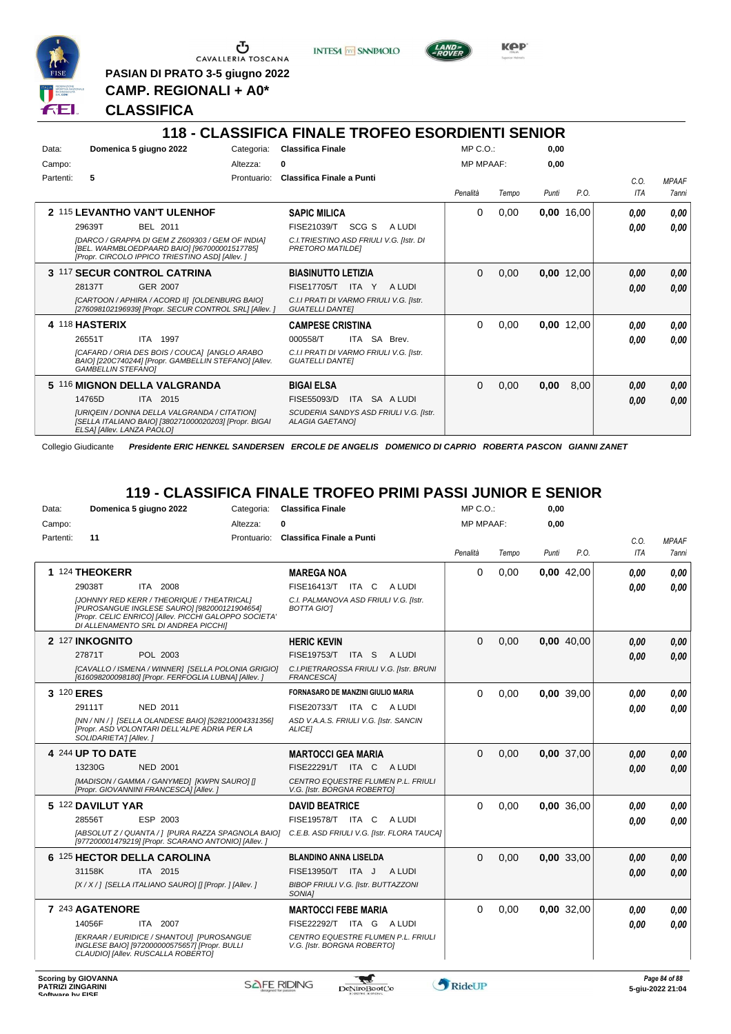

**PASIAN DI PRATO 3-5 giugno 2022 CAMP. REGIONALI + A0\***

**CLASSIFICA**





**Kep** 

**118 - CLASSIFICA FINALE TROFEO ESORDIENTI SENIOR**

| Data:     |                            | Domenica 5 giugno 2022                                                                                                                              | Categoria:  | <b>Classifica Finale</b>                                            |                 |                                        | MP C. O.         |       | 0,00  |              |            |              |
|-----------|----------------------------|-----------------------------------------------------------------------------------------------------------------------------------------------------|-------------|---------------------------------------------------------------------|-----------------|----------------------------------------|------------------|-------|-------|--------------|------------|--------------|
| Campo:    |                            |                                                                                                                                                     | Altezza:    | 0                                                                   |                 |                                        | <b>MP MPAAF:</b> |       | 0,00  |              |            |              |
| Partenti: | 5                          |                                                                                                                                                     | Prontuario: | <b>Classifica Finale a Punti</b>                                    |                 |                                        |                  |       |       |              | C.0.       | <b>MPAAF</b> |
|           |                            |                                                                                                                                                     |             |                                                                     |                 |                                        | Penalità         | Tempo | Punti | P.O.         | <b>ITA</b> | 7anni        |
|           |                            | 2 115 LEVANTHO VAN'T ULENHOF                                                                                                                        |             | <b>SAPIC MILICA</b>                                                 |                 |                                        | 0                | 0,00  |       | $0,00$ 16,00 | 0.00       | 0,00         |
|           | 29639T                     | <b>BEL 2011</b>                                                                                                                                     |             | FISE21039/T                                                         | SCG S           | A LUDI                                 |                  |       |       |              | 0.00       | 0.00         |
|           |                            | [DARCO / GRAPPA DI GEM Z Z609303 / GEM OF INDIA]<br>[BEL. WARMBLOEDPAARD BAIO] [967000001517785]<br>[Propr. CIRCOLO IPPICO TRIESTINO ASD] [Allev. ] |             | C.I. TRIESTINO ASD FRIULI V.G. [Istr. DI<br><b>PRETORO MATILDEI</b> |                 |                                        |                  |       |       |              |            |              |
|           |                            | 3 117 SECUR CONTROL CATRINA                                                                                                                         |             | <b>BIASINUTTO LETIZIA</b>                                           |                 |                                        | $\Omega$         | 0,00  |       | $0,00$ 12,00 | 0,00       | 0,00         |
|           | 28137T                     | <b>GER 2007</b>                                                                                                                                     |             | FISE17705/T                                                         | <b>ITA</b><br>Y | A LUDI                                 |                  |       |       |              | 0,00       | 0,00         |
|           |                            | [CARTOON / APHIRA / ACORD II] [OLDENBURG BAIO]<br>[276098102196939] [Propr. SECUR CONTROL SRL] [Allev.]                                             |             | C.I.I PRATI DI VARMO FRIULI V.G. [Istr.<br><b>GUATELLI DANTEI</b>   |                 |                                        |                  |       |       |              |            |              |
|           | 4 118 HASTERIX             |                                                                                                                                                     |             | <b>CAMPESE CRISTINA</b>                                             |                 |                                        | $\Omega$         | 0,00  |       | $0,00$ 12,00 | 0.00       | 0,00         |
|           | 26551T                     | <b>ITA 1997</b>                                                                                                                                     |             | 000558/T                                                            |                 | ITA SA Brev.                           |                  |       |       |              | 0.00       | 0.00         |
|           | <b>GAMBELLIN STEFANOI</b>  | [CAFARD / ORIA DES BOIS / COUCA] [ANGLO ARABO<br>BAIO] [220C740244] [Propr. GAMBELLIN STEFANO] [Allev.                                              |             | C.I.I PRATI DI VARMO FRIULI V.G. [Istr.<br><b>GUATELLI DANTEI</b>   |                 |                                        |                  |       |       |              |            |              |
|           |                            | 5 116 MIGNON DELLA VALGRANDA                                                                                                                        |             | <b>BIGAI ELSA</b>                                                   |                 |                                        | 0                | 0,00  | 0,00  | 8,00         | 0.00       | 0,00         |
|           | 14765D                     | ITA 2015                                                                                                                                            |             | FISE55093/D                                                         |                 | ITA SA A LUDI                          |                  |       |       |              | 0,00       | 0,00         |
|           | ELSAI [Allev. LANZA PAOLO] | <b>IURIQEIN / DONNA DELLA VALGRANDA / CITATIONI</b><br>[SELLA ITALIANO BAIO] [380271000020203] [Propr. BIGAI                                        |             | <b>ALAGIA GAETANOI</b>                                              |                 | SCUDERIA SANDYS ASD FRIULI V.G. [Istr. |                  |       |       |              |            |              |

Collegio Giudicante *Presidente ERIC HENKEL SANDERSEN ERCOLE DE ANGELIS DOMENICO DI CAPRIO ROBERTA PASCON GIANNI ZANET*

# **119 - CLASSIFICA FINALE TROFEO PRIMI PASSI JUNIOR E SENIOR**

| Data:     | Domenica 5 giugno 2022                                                                                                                                                                      | Categoria: | <b>Classifica Finale</b>                                          | MP C.O.:         |       | 0,00  |            |      |              |
|-----------|---------------------------------------------------------------------------------------------------------------------------------------------------------------------------------------------|------------|-------------------------------------------------------------------|------------------|-------|-------|------------|------|--------------|
| Campo:    |                                                                                                                                                                                             | Altezza:   | O                                                                 | <b>MP MPAAF:</b> |       | 0,00  |            |      |              |
| Partenti: | 11                                                                                                                                                                                          |            | Prontuario: Classifica Finale a Punti                             |                  |       |       |            | C.O. | <b>MPAAF</b> |
|           |                                                                                                                                                                                             |            |                                                                   | Penalità         | Tempo | Punti | P.O.       | ITA  | 7anni        |
|           | 1 124 THEOKERR                                                                                                                                                                              |            | <b>MAREGA NOA</b>                                                 | $\Omega$         | 0,00  |       | 0,00 42,00 | 0.00 | 0.00         |
|           | 29038T<br>ITA 2008                                                                                                                                                                          |            | FISE16413/T ITA C<br>A LUDI                                       |                  |       |       |            | 0.00 | 0.00         |
|           | [JOHNNY RED KERR / THEORIQUE / THEATRICAL]<br>[PUROSANGUE INGLESE SAURO] [982000121904654]<br>[Propr. CELIC ENRICO] [Allev. PICCHI GALOPPO SOCIETA'<br>DI ALLENAMENTO SRL DI ANDREA PICCHII |            | C.I. PALMANOVA ASD FRIULI V.G. [Istr.<br><b>BOTTA GIO'I</b>       |                  |       |       |            |      |              |
|           | 2 127 INKOGNITO                                                                                                                                                                             |            | <b>HERIC KEVIN</b>                                                | $\Omega$         | 0,00  |       | 0,00 40,00 | 0.00 | 0,00         |
|           | 27871T<br>POL 2003                                                                                                                                                                          |            | <b>FISE19753/T</b><br>ITA S<br>A LUDI                             |                  |       |       |            | 0.00 | 0.00         |
|           | [CAVALLO / ISMENA / WINNER] [SELLA POLONIA GRIGIO]<br>[616098200098180] [Propr. FERFOGLIA LUBNA] [Allev. ]                                                                                  |            | C.I.PIETRAROSSA FRIULI V.G. [Istr. BRUNI<br><b>FRANCESCA1</b>     |                  |       |       |            |      |              |
|           | 3 120 ERES                                                                                                                                                                                  |            | <b>FORNASARO DE MANZINI GIULIO MARIA</b>                          | $\Omega$         | 0.00  |       | 0.00 39.00 | 0.00 | 0.00         |
|           | <b>NED 2011</b><br>29111T                                                                                                                                                                   |            | FISE20733/T ITA C<br>A LUDI                                       |                  |       |       |            | 0.00 | 0.00         |
|           | [NN / NN / ] [SELLA OLANDESE BAIO] [528210004331356]<br>[Propr. ASD VOLONTARI DELL'ALPE ADRIA PER LA<br>SOLIDARIETA'] [Allev.]                                                              |            | ASD V.A.A.S. FRIULI V.G. [Istr. SANCIN<br>ALICE1                  |                  |       |       |            |      |              |
|           | 4 244 UP TO DATE                                                                                                                                                                            |            | <b>MARTOCCI GEA MARIA</b>                                         | $\Omega$         | 0,00  |       | 0,00 37,00 | 0.00 | 0,00         |
|           | 13230G<br><b>NED 2001</b>                                                                                                                                                                   |            | FISE22291/T ITA C<br>A LUDI                                       |                  |       |       |            | 0.00 | 0.00         |
|           | [MADISON / GAMMA / GANYMED] [KWPN SAURO] []<br>[Propr. GIOVANNINI FRANCESCA] [Allev.]                                                                                                       |            | CENTRO EQUESTRE FLUMEN P.L. FRIULI<br>V.G. [Istr. BORGNA ROBERTO] |                  |       |       |            |      |              |
|           | 5 122 DAVILUT YAR                                                                                                                                                                           |            | <b>DAVID BEATRICE</b>                                             | $\Omega$         | 0,00  |       | 0.00 36.00 | 0.00 | 0.00         |
|           | ESP 2003<br>28556T                                                                                                                                                                          |            | <b>FISE19578/T ITA C</b><br>A LUDI                                |                  |       |       |            | 0.00 | 0.00         |
|           | [ABSOLUT Z / QUANTA / ] [PURA RAZZA SPAGNOLA BAIO]<br>[977200001479219] [Propr. SCARANO ANTONIO] [Allev. ]                                                                                  |            | C.E.B. ASD FRIULI V.G. [Istr. FLORA TAUCA]                        |                  |       |       |            |      |              |
|           | 6 125 HECTOR DELLA CAROLINA                                                                                                                                                                 |            | <b>BLANDINO ANNA LISELDA</b>                                      | $\Omega$         | 0,00  |       | 0,00 33,00 | 0.00 | 0,00         |
|           | 31158K<br>ITA 2015                                                                                                                                                                          |            | FISE13950/T ITA J<br>A LUDI                                       |                  |       |       |            | 0.00 | 0.00         |
|           | [X / X / ] [SELLA ITALIANO SAURO] [] [Propr. ] [Allev. ]                                                                                                                                    |            | <b>BIBOP FRIULI V.G. [Istr. BUTTAZZONI</b><br>SONIA <sub>1</sub>  |                  |       |       |            |      |              |
|           | 7 243 AGATENORE                                                                                                                                                                             |            | <b>MARTOCCI FEBE MARIA</b>                                        | $\Omega$         | 0,00  |       | 0,00 32,00 | 0.00 | 0.00         |
|           | 14056F<br>ITA 2007                                                                                                                                                                          |            | FISE22292/T ITA G ALUDI                                           |                  |       |       |            | 0.00 | 0.00         |
|           | [EKRAAR / EURIDICE / SHANTOU] [PUROSANGUE<br>INGLESE BAIO] [972000000575657] [Propr. BULLI<br>CLAUDIO] [Allev. RUSCALLA ROBERTO]                                                            |            | CENTRO EQUESTRE FLUMEN P.L. FRIULI<br>V.G. [Istr. BORGNA ROBERTO] |                  |       |       |            |      |              |

 $\mathcal{L}$ 

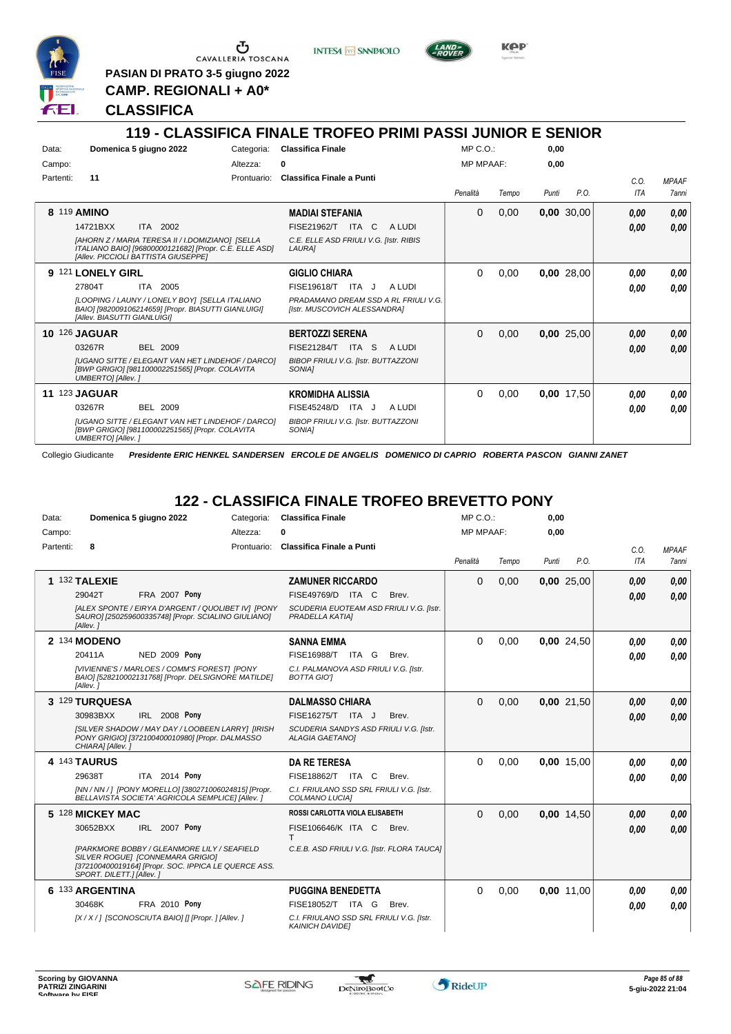

G CAVALLERIA TOSCANA

**PASIAN DI PRATO 3-5 giugno 2022**

**INTESA** M SANPAOLO



KOP

**CAMP. REGIONALI + A0\***

#### **CLASSIFICA**

#### **119 - CLASSIFICA FINALE TROFEO PRIMI PASSI JUNIOR E SENIOR** Data: **Domenica 5 giugno 2022** Categoria: Classifica Finale Prontuario: **Classifica Finale a Punti** Campo: Partenti: **11** Altezza: **0** MP C.O.: MP MPAAF: **0,00 0,00** *Penalità Tempo Punti P.O. C.O. ITA MPAAF 7anni* **8** 119 **AMINO** ITA 2002 **MADIAI STEFANIA** *[AHORN Z / MARIA TERESA II / I.DOMIZIANO] [SELLA ITALIANO BAIO] [96800000121682] [Propr. C.E. ELLE ASD] [Allev. PICCIOLI BATTISTA GIUSEPPE] C.E. ELLE ASD FRIULI V.G. [Istr. RIBIS LAURA]* ITA C A LUDI 14721BXX FISE21962/T *0,00* 0 0,00 **0,00** 30,00 *0,00 0,00 0,00* **9** 121 **LONELY GIRL** ITA 2005 **GIGLIO CHIARA** *[LOOPING / LAUNY / LONELY BOY] [SELLA ITALIANO BAIO] [982009106214659] [Propr. BIASUTTI GIANLUIGI] [Allev. BIASUTTI GIANLUIGI] PRADAMANO DREAM SSD A RL FRIULI V.G. [Istr. MUSCOVICH ALESSANDRA]* 27804T ITA 2005 FISE19618/T ITA J A LUDI **0,00 0,00** 0 0,00 **0,00** 28,00 *0,00 0,00 0,00* **10** 126 **JAGUAR** BEL 2009 **BERTOZZI SERENA** *[UGANO SITTE / ELEGANT VAN HET LINDEHOF / DARCO] [BWP GRIGIO] [981100002251565] [Propr. COLAVITA UMBERTO] [Allev. ] BIBOP FRIULI V.G. [Istr. BUTTAZZONI SONIA]* 03267R BEL 2009 FISE21284/T ITA S A LUDI **0,00 0,00** 0 0,00 **0,00** 25,00 *0,00 0,00 0,00* **11** 123 **JAGUAR** BEL 2009 **KROMIDHA ALISSIA** *[UGANO SITTE / ELEGANT VAN HET LINDEHOF / DARCO] [BWP GRIGIO] [981100002251565] [Propr. COLAVITA UMBERTO] [Allev. ] BIBOP FRIULI V.G. [Istr. BUTTAZZONI SONIA]* 03267R BEL 2009 FISE45248/D ITA J A LUDI **0,00 0,00** 0 0,00 **0,00** 17,50 *0,00 0,00 0,00*

Collegio Giudicante *Presidente ERIC HENKEL SANDERSEN ERCOLE DE ANGELIS DOMENICO DI CAPRIO ROBERTA PASCON GIANNI ZANET*

# **122 - CLASSIFICA FINALE TROFEO BREVETTO PONY**

| Data:     |                          | Domenica 5 giugno 2022                                                                                                                  | Categoria:  | <b>Classifica Finale</b>                                           | MP C. O.         |       | 0.00  |            |            |              |
|-----------|--------------------------|-----------------------------------------------------------------------------------------------------------------------------------------|-------------|--------------------------------------------------------------------|------------------|-------|-------|------------|------------|--------------|
| Campo:    |                          |                                                                                                                                         | Altezza:    | o                                                                  | <b>MP MPAAF:</b> |       | 0,00  |            |            |              |
| Partenti: | 8                        |                                                                                                                                         | Prontuario: | <b>Classifica Finale a Punti</b>                                   |                  |       |       |            | C.O.       | <b>MPAAF</b> |
|           |                          |                                                                                                                                         |             |                                                                    | Penalità         | Tempo | Punti | P.O.       | <b>ITA</b> | 7anni        |
|           | 1 132 TALEXIE            |                                                                                                                                         |             | <b>ZAMUNER RICCARDO</b>                                            | $\Omega$         | 0,00  |       | 0,00 25,00 | 0,00       | 0.00         |
|           | 29042T                   | <b>FRA 2007 Pony</b>                                                                                                                    |             | FISE49769/D ITA C<br>Brev.                                         |                  |       |       |            | 0.00       | 0,00         |
|           | [Allev.]                 | [ALEX SPONTE / EIRYA D'ARGENT / QUOLIBET IV] [PONY<br>SAURO] [250259600335748] [Propr. SCIALINO GIULIANO]                               |             | SCUDERIA EUOTEAM ASD FRIULI V.G. [Istr.<br>PRADELLA KATIA]         |                  |       |       |            |            |              |
|           | 2 134 MODENO             |                                                                                                                                         |             | <b>SANNA EMMA</b>                                                  | $\Omega$         | 0,00  |       | 0,00 24,50 | 0.00       | 0.00         |
|           | 20411A                   | <b>NED 2009 Pony</b>                                                                                                                    |             | FISE16988/T ITA G<br>Brev.                                         |                  |       |       |            | 0.00       | 0.00         |
|           | [Allev.]                 | [VIVIENNE'S / MARLOES / COMM'S FOREST] [PONY<br>BAIO] [528210002131768] [Propr. DELSIGNORE MATILDE]                                     |             | C.I. PALMANOVA ASD FRIULI V.G. [Istr.<br><b>BOTTA GIOT</b>         |                  |       |       |            |            |              |
|           | 3 129 TURQUESA           |                                                                                                                                         |             | <b>DALMASSO CHIARA</b>                                             | $\Omega$         | 0,00  |       | 0,00 21,50 | 0,00       | 0,00         |
|           | 30983BXX                 | IRL 2008 Pony                                                                                                                           |             | FISE16275/T ITA J<br>Brev.                                         |                  |       |       |            | 0.00       | 0,00         |
|           | CHIARA] [Allev.]         | [SILVER SHADOW / MAY DAY / LOOBEEN LARRY] [IRISH<br>PONY GRIGIO] [372100400010980] [Propr. DALMASSO                                     |             | SCUDERIA SANDYS ASD FRIULI V.G. [Istr.<br><b>ALAGIA GAETANOI</b>   |                  |       |       |            |            |              |
|           | 4 143 TAURUS             |                                                                                                                                         |             | <b>DA RE TERESA</b>                                                | $\Omega$         | 0,00  |       | 0,00 15,00 | 0.00       | 0.00         |
|           | 29638T                   | ITA 2014 Pony                                                                                                                           |             | FISE18862/T ITA C<br>Brev.                                         |                  |       |       |            | 0.00       | 0.00         |
|           |                          | [NN / NN / ] [PONY MORELLO] [380271006024815] [Propr.<br>BELLAVISTA SOCIETA' AGRICOLA SEMPLICE] [Allev. ]                               |             | C.I. FRIULANO SSD SRL FRIULI V.G. [Istr.<br>COLMANO LUCIA]         |                  |       |       |            |            |              |
|           | 5 128 MICKEY MAC         |                                                                                                                                         |             | ROSSI CARLOTTA VIOLA ELISABETH                                     | $\Omega$         | 0,00  |       | 0,00 14,50 | 0.00       | 0,00         |
|           | 30652BXX                 | IRL 2007 Pony                                                                                                                           |             | FISE106646/K ITA C<br>Brev.<br>T                                   |                  |       |       |            | 0.00       | 0,00         |
|           | SPORT. DILETT.] [Allev.] | [PARKMORE BOBBY / GLEANMORE LILY / SEAFIELD<br>SILVER ROGUEI [CONNEMARA GRIGIO]<br>[372100400019164] [Propr. SOC. IPPICA LE QUERCE ASS. |             | C.E.B. ASD FRIULI V.G. [Istr. FLORA TAUCA]                         |                  |       |       |            |            |              |
|           | 6 133 ARGENTINA          |                                                                                                                                         |             | <b>PUGGINA BENEDETTA</b>                                           | $\Omega$         | 0,00  |       | 0,00 11,00 | 0,00       | 0.00         |
|           | 30468K                   | <b>FRA 2010 Pony</b>                                                                                                                    |             | FISE18052/T ITA G<br>Brev.                                         |                  |       |       |            | 0.00       | 0.00         |
|           |                          | [X / X / ] [SCONOSCIUTA BAIO] [] [Propr. ] [Allev. ]                                                                                    |             | C.I. FRIULANO SSD SRL FRIULI V.G. [Istr.<br><b>KAINICH DAVIDEI</b> |                  |       |       |            |            |              |

\*

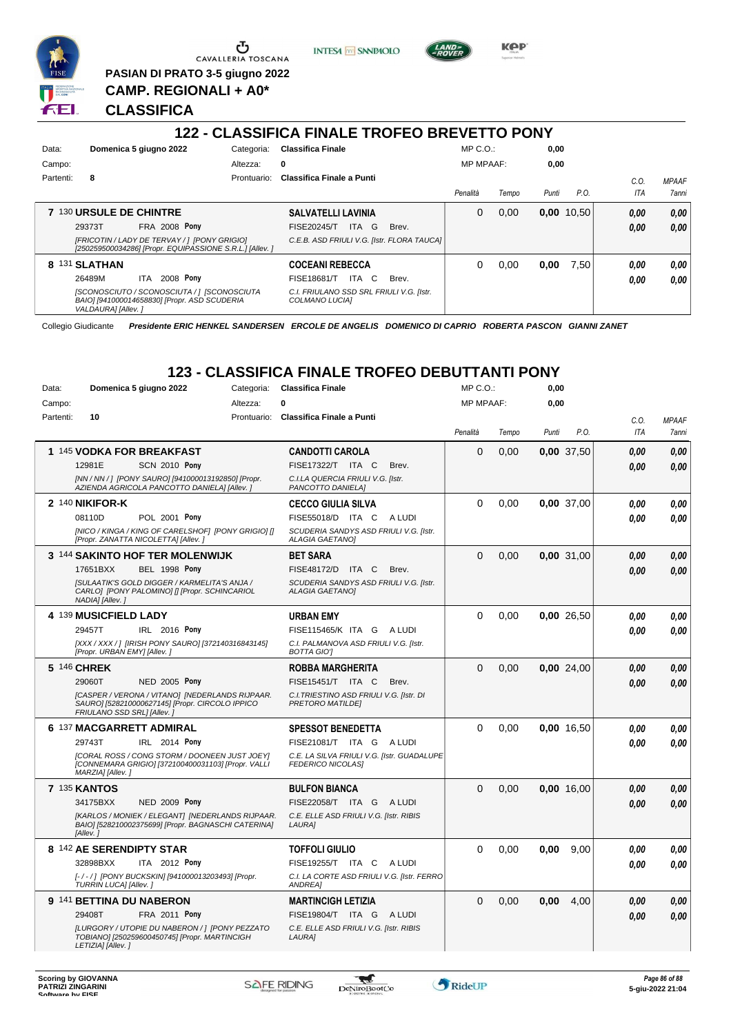

Ⴠ CAVALLERIA TOSCANA **PASIAN DI PRATO 3-5 giugno 2022**

**CAMP. REGIONALI + A0\***

**INTESA** M SANPAOLO



**KPP** 

# **CLASSIFICA**

#### **122 - CLASSIFICA FINALE TROFEO BREVETTO PONY**

| Data:     |                         | Domenica 5 giugno 2022                                                                                   | Categoria:  | <b>Classifica Finale</b>                                   |       | $MP C. O.$ :     |       | 0,00  |              |      |                     |
|-----------|-------------------------|----------------------------------------------------------------------------------------------------------|-------------|------------------------------------------------------------|-------|------------------|-------|-------|--------------|------|---------------------|
| Campo:    |                         |                                                                                                          | Altezza:    | 0                                                          |       | <b>MP MPAAF:</b> |       | 0,00  |              |      |                     |
| Partenti: | 8                       |                                                                                                          | Prontuario: | Classifica Finale a Punti                                  |       |                  |       |       |              | C.0  | <b>MPAAF</b>        |
|           |                         |                                                                                                          |             |                                                            |       | Penalità         | Tempo | Punti | P.O.         | ITA  | <i><b>7anni</b></i> |
|           | 7 130 URSULE DE CHINTRE |                                                                                                          |             | <b>SALVATELLI LAVINIA</b>                                  |       | 0                | 0.00  |       | $0,00$ 10,50 | 0,00 | 0.00                |
|           | 29373T                  | <b>FRA 2008 Pony</b>                                                                                     |             | ITA G<br>FISE20245/T                                       | Brev. |                  |       |       |              | 0,00 | 0.00                |
|           |                         | [FRICOTIN / LADY DE TERVAY / ] [PONY GRIGIO]<br>[250259500034286] [Propr. EQUIPASSIONE S.R.L.] [Allev. ] |             | C.E.B. ASD FRIULI V.G. [Istr. FLORA TAUCA]                 |       |                  |       |       |              |      |                     |
|           | 8 131 SLATHAN           |                                                                                                          |             | <b>COCEANI REBECCA</b>                                     |       | 0                | 0.00  | 0,00  | 7.50         | 0,00 | 0,00                |
|           | 26489M                  | 2008 Pony<br>ITA.                                                                                        |             | ITA C<br><b>FISE18681/T</b>                                | Brev. |                  |       |       |              | 0,00 | 0.00                |
|           | VALDAURA] [Allev.]      | [SCONOSCIUTO / SCONOSCIUTA / ] [SCONOSCIUTA<br>BAIO] [941000014658830] [Propr. ASD SCUDERIA              |             | C.I. FRIULANO SSD SRL FRIULI V.G. [Istr.<br>COLMANO LUCIA] |       |                  |       |       |              |      |                     |

Collegio Giudicante *Presidente ERIC HENKEL SANDERSEN ERCOLE DE ANGELIS DOMENICO DI CAPRIO ROBERTA PASCON GIANNI ZANET*

# **123 - CLASSIFICA FINALE TROFEO DEBUTTANTI PONY**

| Domenica 5 giugno 2022<br>Data:<br>Categoria: |                                                                                                                                  | <b>Classifica Finale</b> |                                                                        | MP C. O.    |                  | 0,00  |            |            |              |
|-----------------------------------------------|----------------------------------------------------------------------------------------------------------------------------------|--------------------------|------------------------------------------------------------------------|-------------|------------------|-------|------------|------------|--------------|
| Campo:                                        |                                                                                                                                  | Altezza:                 | 0                                                                      |             | <b>MP MPAAF:</b> |       | 0,00       |            |              |
| Partenti:                                     | 10                                                                                                                               | Prontuario:              | Classifica Finale a Punti                                              |             |                  |       |            | C.O.       | <b>MPAAF</b> |
|                                               |                                                                                                                                  |                          |                                                                        | Penalità    | Tempo            | Punti | P.O.       | <b>ITA</b> | <b>7anni</b> |
|                                               | 1 145 VODKA FOR BREAKFAST                                                                                                        |                          | <b>CANDOTTI CAROLA</b>                                                 | $\Omega$    | 0.00             |       | 0,00 37,50 | 0.00       | 0.00         |
|                                               | 12981E<br><b>SCN 2010 Pony</b>                                                                                                   |                          | FISE17322/T ITA C<br>Brev.                                             |             |                  |       |            | 0.00       | 0,00         |
|                                               | [NN / NN / ] [PONY SAURO] [941000013192850] [Propr.<br>AZIENDA AGRICOLA PANCOTTO DANIELAI [Allev.]                               |                          | C.I.LA QUERCIA FRIULI V.G. [Istr.<br>PANCOTTO DANIELA]                 |             |                  |       |            |            |              |
|                                               | 2 140 NIKIFOR-K                                                                                                                  |                          | <b>CECCO GIULIA SILVA</b>                                              | $\Omega$    | 0,00             |       | 0,00 37,00 | 0.00       | 0.00         |
|                                               | 08110D<br>POL 2001 Pony                                                                                                          |                          | FISE55018/D ITA C<br>A LUDI                                            |             |                  |       |            | 0.00       | 0.00         |
|                                               | [NICO / KINGA / KING OF CARELSHOF] [PONY GRIGIO] []<br>[Propr. ZANATTA NICOLETTA] [Allev.]                                       |                          | SCUDERIA SANDYS ASD FRIULI V.G. [Istr.<br><b>ALAGIA GAETANO]</b>       |             |                  |       |            |            |              |
|                                               | 3 144 SAKINTO HOF TER MOLENWIJK                                                                                                  |                          | <b>BET SARA</b>                                                        | $\Omega$    | 0,00             |       | 0,00 31,00 | 0.00       | 0,00         |
|                                               | <b>BEL 1998 Pony</b><br>17651BXX                                                                                                 |                          | FISE48172/D ITA C<br>Brev.                                             |             |                  |       |            | 0.00       | 0,00         |
|                                               | <b>ISULAATIK'S GOLD DIGGER / KARMELITA'S ANJA /</b><br>CARLO] [PONY PALOMINO] [] [Propr. SCHINCARIOL<br>NADIA] [Allev.]          |                          | SCUDERIA SANDYS ASD FRIULI V.G. [Istr.<br><b>ALAGIA GAETANOI</b>       |             |                  |       |            |            |              |
|                                               | 4 139 MUSICFIELD LADY                                                                                                            |                          | <b>URBAN EMY</b>                                                       | $\Omega$    | 0.00             |       | 0,00 26,50 | 0.00       | 0.00         |
|                                               | 29457T<br>IRL 2016 Pony                                                                                                          |                          | FISE115465/K ITA G A LUDI                                              |             |                  |       |            | 0.00       | 0,00         |
|                                               | [XXX / XXX / ] [IRISH PONY SAURO] [372140316843145]<br>[Propr. URBAN EMY] [Allev.]                                               |                          | C.I. PALMANOVA ASD FRIULI V.G. [Istr.<br><b>BOTTA GIOT</b>             |             |                  |       |            |            |              |
|                                               | 5 146 CHREK                                                                                                                      |                          | <b>ROBBA MARGHERITA</b>                                                | $\mathbf 0$ | 0,00             |       | 0,00 24,00 | 0.00       | 0,00         |
|                                               | <b>NED 2005 Pony</b><br>29060T                                                                                                   |                          | FISE15451/T ITA C<br>Brev.                                             |             |                  |       |            | 0.00       | 0.00         |
|                                               | [CASPER / VERONA / VITANO] [NEDERLANDS RIJPAAR.<br>SAURO] [528210000627145] [Propr. CIRCOLO IPPICO<br>FRIULANO SSD SRL1 [Allev.] |                          | C.I. TRIESTINO ASD FRIULI V.G. [Istr. DI<br><b>PRETORO MATILDEI</b>    |             |                  |       |            |            |              |
|                                               | 6 137 MACGARRETT ADMIRAL                                                                                                         |                          | <b>SPESSOT BENEDETTA</b>                                               | $\Omega$    | 0,00             |       | 0,00 16,50 | 0.00       | 0,00         |
|                                               | 29743T<br>IRL 2014 Pony                                                                                                          |                          | FISE21081/T<br>ITA G<br>A LUDI                                         |             |                  |       |            | 0.00       | 0.00         |
|                                               | <b>ICORAL ROSS / CONG STORM / DOONEEN JUST JOEY!</b><br>[CONNEMARA GRIGIO] [372100400031103] [Propr. VALLI<br>MARZIA] [Allev.]   |                          | C.E. LA SILVA FRIULI V.G. [Istr. GUADALUPE<br><b>FEDERICO NICOLAS]</b> |             |                  |       |            |            |              |
|                                               | <b>7 135 KANTOS</b>                                                                                                              |                          | <b>BULFON BIANCA</b>                                                   | $\Omega$    | 0,00             |       | 0,00 16,00 | 0.00       | 0,00         |
|                                               | 34175BXX<br><b>NED 2009 Pony</b>                                                                                                 |                          | FISE22058/T ITA G<br>A LUDI                                            |             |                  |       |            | 0.00       | 0.00         |
|                                               | [KARLOS / MONIEK / ELEGANT] [NEDERLANDS RIJPAAR.<br>BAIO] [528210002375699] [Propr. BAGNASCHI CATERINA]<br>[Allev.]              |                          | C.E. ELLE ASD FRIULI V.G. [Istr. RIBIS<br>LAURA]                       |             |                  |       |            |            |              |
|                                               | 8 142 AE SERENDIPTY STAR                                                                                                         |                          | <b>TOFFOLI GIULIO</b>                                                  | $\Omega$    | 0,00             | 0.00  | 9,00       | 0.00       | 0.00         |
|                                               | 32898BXX<br>ITA 2012 Pony                                                                                                        |                          | FISE19255/T ITA C<br>A LUDI                                            |             |                  |       |            | 0.00       | 0.00         |
|                                               | [-/-/] [PONY BUCKSKIN] [941000013203493] [Propr.<br>TURRIN LUCA] [Allev.]                                                        |                          | C.I. LA CORTE ASD FRIULI V.G. [Istr. FERRO<br><b>ANDREA</b>            |             |                  |       |            |            |              |
|                                               | 9 141 BETTINA DU NABERON                                                                                                         |                          | <b>MARTINCIGH LETIZIA</b>                                              | $\Omega$    | 0,00             | 0,00  | 4,00       | 0.00       | 0,00         |
|                                               | FRA 2011 Pony<br>29408T                                                                                                          |                          | FISE19804/T ITA G<br>A LUDI                                            |             |                  |       |            | 0.00       | 0,00         |
|                                               | [LURGORY / UTOPIE DU NABERON / ] [PONY PEZZATO<br>TOBIANO] [250259600450745] [Propr. MARTINCIGH<br>LETIZIA] [Allev.]             |                          | C.E. ELLE ASD FRIULI V.G. [Istr. RIBIS<br>LAURA]                       |             |                  |       |            |            |              |

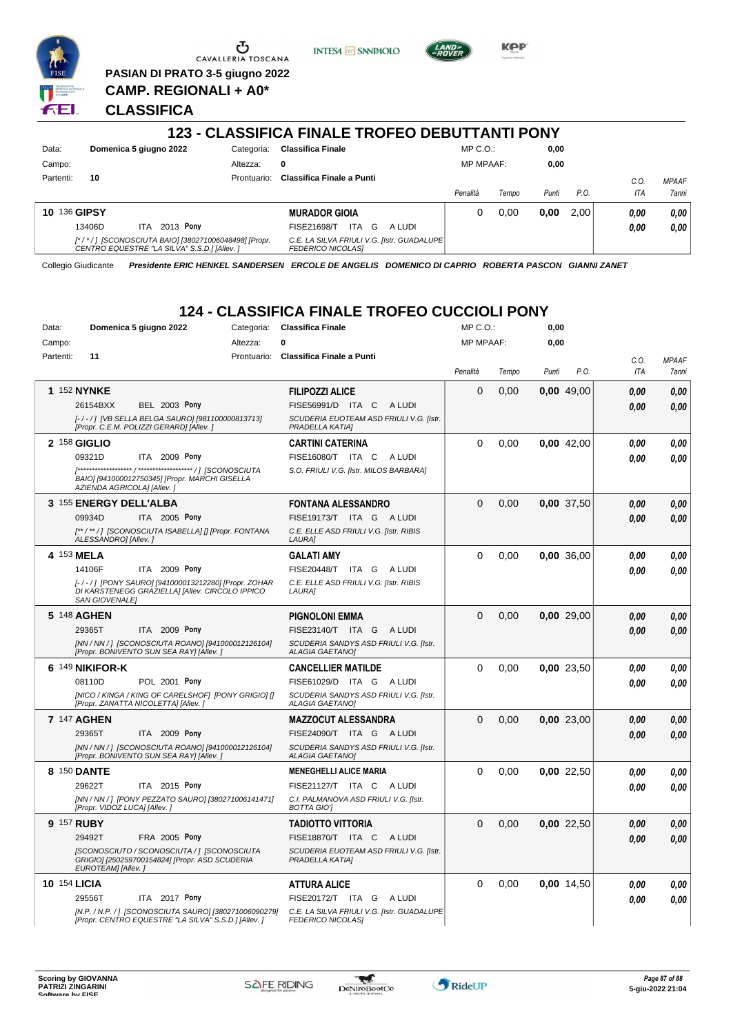

G CAVALLERIA TOSCANA **PASIAN DI PRATO 3-5 giugno 2022**

**CAMP. REGIONALI + A0\***

**INTESA M** SANPAOLO



**KPP** 

#### **CLASSIFICA**

#### **123 - CLASSIFICA FINALE TROFEO DEBUTTANTI PONY** Data: **Domenica 5 giugno 2022** Categoria: Classifica Finale Prontuario: **Classifica Finale a Punti** Campo: Partenti: **10** Altezza: **0** MP C.O.: MP MPAAF: **0,00 0,00** *Penalità Tempo Punti P.O. C.O. ITA MPAAF 7anni* **10** 136 **GIPSY** ITA 2013 Pony **MURADOR GIOIA** *[\* / \* / ] [SCONOSCIUTA BAIO] [380271006048498] [Propr. CENTRO EQUESTRE "LA SILVA" S.S.D.] [Allev. ] C.E. LA SILVA FRIULI V.G. [Istr. GUADALUPE FEDERICO NICOLAS]* ITA G A LUDI 13406D FISE21698/T *0,00* **Pony** 0 0,00 **0,00** 2,00 *0,00 0,00 0,00*

Collegio Giudicante *Presidente ERIC HENKEL SANDERSEN ERCOLE DE ANGELIS DOMENICO DI CAPRIO ROBERTA PASCON GIANNI ZANET*

# **124 - CLASSIFICA FINALE TROFEO CUCCIOLI PONY**

| Domenica 5 giugno 2022<br>Data: |                                                                                                                          | <b>Classifica Finale</b><br>Categoria: |                                                                  | MP C.O.:    |                  | 0,00  |              |            |              |
|---------------------------------|--------------------------------------------------------------------------------------------------------------------------|----------------------------------------|------------------------------------------------------------------|-------------|------------------|-------|--------------|------------|--------------|
| Campo:                          |                                                                                                                          | Altezza:                               | 0                                                                |             | <b>MP MPAAF:</b> |       | 0,00         |            |              |
| Partenti:                       | 11                                                                                                                       | Prontuario:                            | <b>Classifica Finale a Punti</b>                                 |             |                  |       |              | C.O.       | <b>MPAAF</b> |
|                                 |                                                                                                                          |                                        |                                                                  | Penalità    | Tempo            | Punti | P.O.         | <b>ITA</b> | 7anni        |
|                                 | 1 152 NYNKE                                                                                                              |                                        | <b>FILIPOZZI ALICE</b>                                           | $\Omega$    | 0,00             |       | 0,00 49,00   | 0.00       | 0,00         |
|                                 | <b>BEL 2003 Pony</b><br>26154BXX                                                                                         |                                        | FISE56991/D ITA C ALUDI                                          |             |                  |       |              | 0.00       | 0.00         |
|                                 | [-/-/] [VB SELLA BELGA SAURO] [981100000813713]<br>[Propr. C.E.M. POLIZZI GERARD] [Allev. ]                              |                                        | SCUDERIA EUOTEAM ASD FRIULI V.G. [Istr.<br>PRADELLA KATIAI       |             |                  |       |              |            |              |
|                                 | 2 158 GIGLIO                                                                                                             |                                        | <b>CARTINI CATERINA</b>                                          | $\Omega$    | 0,00             |       | $0.00$ 42.00 | 0.00       | 0.00         |
|                                 | 09321D<br>ITA 2009 Pony                                                                                                  |                                        | FISE16080/T ITA C<br>A LUDI                                      |             |                  |       |              | 0.00       | 0.00         |
|                                 | BAIO] [941000012750345] [Propr. MARCHI GISELLA<br>AZIENDA AGRICOLA] [Allev.]                                             |                                        | S.O. FRIULI V.G. [Istr. MILOS BARBARA]                           |             |                  |       |              |            |              |
|                                 | 3 155 ENERGY DELL'ALBA                                                                                                   |                                        | <b>FONTANA ALESSANDRO</b>                                        | $\Omega$    | 0,00             |       | 0.00 37,50   | 0.00       | 0,00         |
|                                 | 09934D<br>ITA 2005 Pony                                                                                                  |                                        | FISE19173/T ITA G ALUDI                                          |             |                  |       |              | 0.00       | 0.00         |
|                                 | [**/**/] [SCONOSCIUTA ISABELLA] [] [Propr. FONTANA<br>ALESSANDRO] [Allev.]                                               |                                        | C.E. ELLE ASD FRIULI V.G. [Istr. RIBIS<br>LAURA]                 |             |                  |       |              |            |              |
|                                 | 4 153 MELA                                                                                                               |                                        | <b>GALATI AMY</b>                                                | $\Omega$    | 0.00             |       | 0.00 36.00   | 0.00       | 0.00         |
|                                 | ITA 2009 Pony<br>14106F                                                                                                  |                                        | FISE20448/T ITA G ALUDI                                          |             |                  |       |              | 0.00       | 0.00         |
|                                 | [-/-/] [PONY SAURO] [941000013212280] [Propr. ZOHAR<br>DI KARSTENEGG GRAZIELLA] [Allev. CIRCOLO IPPICO<br>SAN GIOVENALEI |                                        | C.E. ELLE ASD FRIULI V.G. [Istr. RIBIS<br>LAURA]                 |             |                  |       |              |            |              |
|                                 | 5 148 AGHEN                                                                                                              |                                        | <b>PIGNOLONI EMMA</b>                                            | $\Omega$    | 0,00             |       | 0,00 29,00   | 0.00       | 0,00         |
|                                 | 29365T<br>ITA 2009 Pony                                                                                                  |                                        | FISE23140/T ITA G ALUDI                                          |             |                  |       |              | 0.00       | 0.00         |
|                                 | [NN / NN / ] [SCONOSCIUTA ROANO] [941000012126104]<br>[Propr. BONIVENTO SUN SEA RAY] [Allev.]                            |                                        | SCUDERIA SANDYS ASD FRIULI V.G. [Istr.<br><b>ALAGIA GAETANO]</b> |             |                  |       |              |            |              |
|                                 | 6 149 NIKIFOR-K                                                                                                          |                                        | <b>CANCELLIER MATILDE</b>                                        | $\Omega$    | 0.00             |       | 0.00 23.50   | 0.00       | 0.00         |
|                                 | POL 2001 Pony<br>08110D                                                                                                  |                                        | FISE61029/D ITA G ALUDI                                          |             |                  |       |              | 0.00       | 0.00         |
|                                 | [NICO / KINGA / KING OF CARELSHOF] [PONY GRIGIO] []<br>[Propr. ZANATTA NICOLETTA] [Allev.]                               |                                        | SCUDERIA SANDYS ASD FRIULI V.G. [Istr.<br><b>ALAGIA GAETANO]</b> |             |                  |       |              |            |              |
|                                 | 7 147 AGHEN                                                                                                              |                                        | <b>MAZZOCUT ALESSANDRA</b>                                       | $\Omega$    | 0,00             |       | 0.00 23,00   | 0.00       | 0.00         |
|                                 | 29365T<br><b>ITA 2009 Pony</b>                                                                                           |                                        | FISE24090/T ITA G ALUDI                                          |             |                  |       |              | 0.00       | 0.00         |
|                                 | [NN / NN / ] [SCONOSCIUTA ROANO] [941000012126104]<br>[Propr. BONIVENTO SUN SEA RAY] [Allev.]                            |                                        | SCUDERIA SANDYS ASD FRIULI V.G. [Istr.<br><b>ALAGIA GAETANO]</b> |             |                  |       |              |            |              |
|                                 | 8 150 DANTE                                                                                                              |                                        | <b>MENEGHELLI ALICE MARIA</b>                                    | $\Omega$    | 0,00             |       | 0,00 22,50   | 0,00       | 0,00         |
|                                 | 29622T<br>ITA 2015 Pony                                                                                                  |                                        | FISE21127/T ITA C ALUDI                                          |             |                  |       |              | 0.00       | 0.00         |
|                                 | [NN / NN / ] [PONY PEZZATO SAURO] [380271006141471]<br>[Propr. VIDOZ LUCA] [Allev.]                                      |                                        | C.I. PALMANOVA ASD FRIULI V.G. [Istr.<br><b>BOTTA GIOT</b>       |             |                  |       |              |            |              |
| 9 157 RUBY                      |                                                                                                                          |                                        | <b>TADIOTTO VITTORIA</b>                                         | $\Omega$    | 0.00             |       | 0.00 22.50   | 0,00       | 0,00         |
|                                 | 29492T<br>FRA 2005 Pony                                                                                                  |                                        | FISE18870/T ITA C<br>A LUDI                                      |             |                  |       |              | 0.00       | 0.00         |
|                                 | [SCONOSCIUTO / SCONOSCIUTA / ] [SCONOSCIUTA<br>GRIGIO] [250259700154824] [Propr. ASD SCUDERIA<br>EUROTEAM] [Allev.]      |                                        | SCUDERIA EUOTEAM ASD FRIULI V.G. [Istr.<br>PRADELLA KATIA]       |             |                  |       |              |            |              |
| 10 154 LICIA                    |                                                                                                                          |                                        | <b>ATTURA ALICE</b>                                              | $\mathbf 0$ | 0,00             |       | 0,00 14,50   | 0,00       | 0,00         |
|                                 | 29556T<br>ITA 2017 Pony                                                                                                  |                                        | FISE20172/T ITA G ALUDI                                          |             |                  |       |              | 0.00       | 0.00         |
|                                 | [N.P. / N.P. / ] [SCONOSCIUTA SAURO] [380271006090279]<br>[Propr. CENTRO EQUESTRE "LA SILVA" S.S.D.] [Allev.]            |                                        | C.E. LA SILVA FRIULI V.G. [Istr. GUADALUPE<br>FEDERICO NICOLAS]  |             |                  |       |              |            |              |